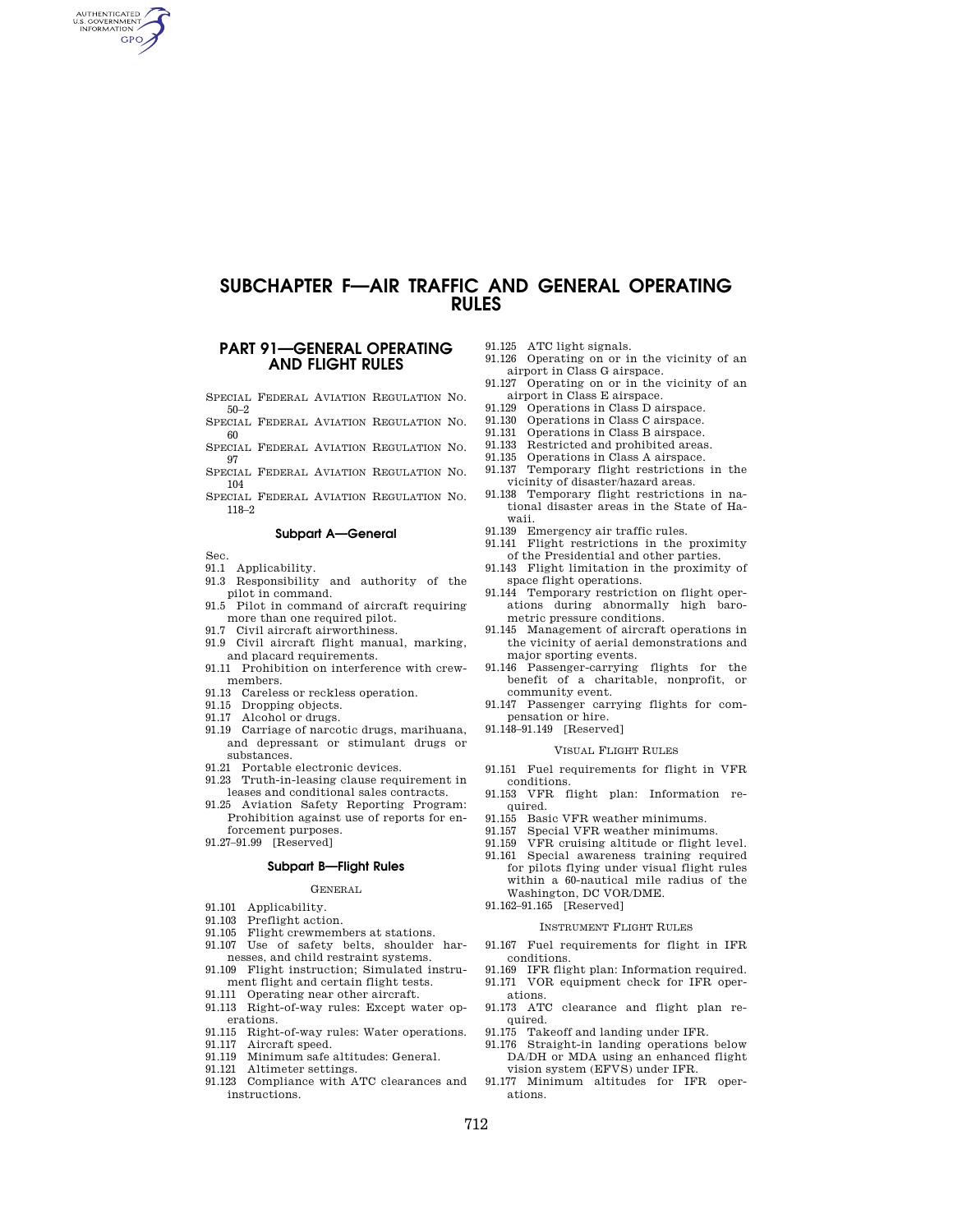# **SUBCHAPTER F—AIR TRAFFIC AND GENERAL OPERATING RULES**

# **PART 91—GENERAL OPERATING AND FLIGHT RULES**

SPECIAL FEDERAL AVIATION REGULATION NO. 50–2

SPECIAL FEDERAL AVIATION REGULATION NO. 60

SPECIAL FEDERAL AVIATION REGULATION NO. 97

SPECIAL FEDERAL AVIATION REGULATION NO. 104

SPECIAL FEDERAL AVIATION REGULATION NO. 118–2

#### **Subpart A—General**

Sec.

AUTHENTICATED GPO

- 91.1 Applicability.
- 91.3 Responsibility and authority of the pilot in command.
- 91.5 Pilot in command of aircraft requiring more than one required pilot.
- 91.7 Civil aircraft airworthiness.
- 91.9 Civil aircraft flight manual, marking, and placard requirements.
- 91.11 Prohibition on interference with crewmembers.
- 91.13 Careless or reckless operation.
- 91.15 Dropping objects.
- 91.17 Alcohol or drugs.
- 91.19 Carriage of narcotic drugs, marihuana, and depressant or stimulant drugs or substances.
- 91.21 Portable electronic devices.
- 91.23 Truth-in-leasing clause requirement in
- leases and conditional sales contracts. 91.25 Aviation Safety Reporting Program: Prohibition against use of reports for en-
- forcement purposes.
- 91.27–91.99 [Reserved]

#### **Subpart B—Flight Rules**

#### GENERAL

- 91.101 Applicability.
- 91.103 Preflight action.
- 91.105 Flight crewmembers at stations.
- 91.107 Use of safety belts, shoulder harnesses, and child restraint systems.
- 91.109 Flight instruction; Simulated instrument flight and certain flight tests.
- 91.111 Operating near other aircraft.
- 91.113 Right-of-way rules: Except water operations.
- 91.115 Right-of-way rules: Water operations.
- 91.117 Aircraft speed.
- 91.119 Minimum safe altitudes: General.
- 91.121 Altimeter settings.
- 91.123 Compliance with ATC clearances and instructions.

91.125 ATC light signals.

- 91.126 Operating on or in the vicinity of an airport in Class G airspace.
- 91.127 Operating on or in the vicinity of an airport in Class E airspace.
- 91.129 Operations in Class D airspace.
- 91.130 Operations in Class C airspace.
- 91.131 Operations in Class B airspace.
- 91.133 Restricted and prohibited areas.
- 91.135 Operations in Class A airspace.
- 91.137 Temporary flight restrictions in the vicinity of disaster/hazard areas.
- 91.138 Temporary flight restrictions in national disaster areas in the State of Hawaii.
- 91.139 Emergency air traffic rules.
- 91.141 Flight restrictions in the proximity of the Presidential and other parties.
- 91.143 Flight limitation in the proximity of space flight operations.
- 91.144 Temporary restriction on flight operations during abnormally high barometric pressure conditions.
- 91.145 Management of aircraft operations in the vicinity of aerial demonstrations and major sporting events.
- 91.146 Passenger-carrying flights for the benefit of a charitable, nonprofit, or community event.
- 91.147 Passenger carrying flights for compensation or hire.
- 91.148–91.149 [Reserved]

## VISUAL FLIGHT RULES

- 91.151 Fuel requirements for flight in VFR conditions.
- 91.153 VFR flight plan: Information required.
- 91.155 Basic VFR weather minimums.
- 91.157 Special VFR weather minimums.
- 91.159 VFR cruising altitude or flight level. 91.161 Special awareness training required for pilots flying under visual flight rules within a 60-nautical mile radius of the Washington, DC VOR/DME.
- 91.162–91.165 [Reserved]

#### INSTRUMENT FLIGHT RULES

- 91.167 Fuel requirements for flight in IFR conditions.
- 91.169 IFR flight plan: Information required. 91.171 VOR equipment check for IFR operations.
- 91.173 ATC clearance and flight plan required.
- 91.175 Takeoff and landing under IFR.
- 91.176 Straight-in landing operations below DA/DH or MDA using an enhanced flight vision system (EFVS) under IFR.
- 91.177 Minimum altitudes for IFR operations.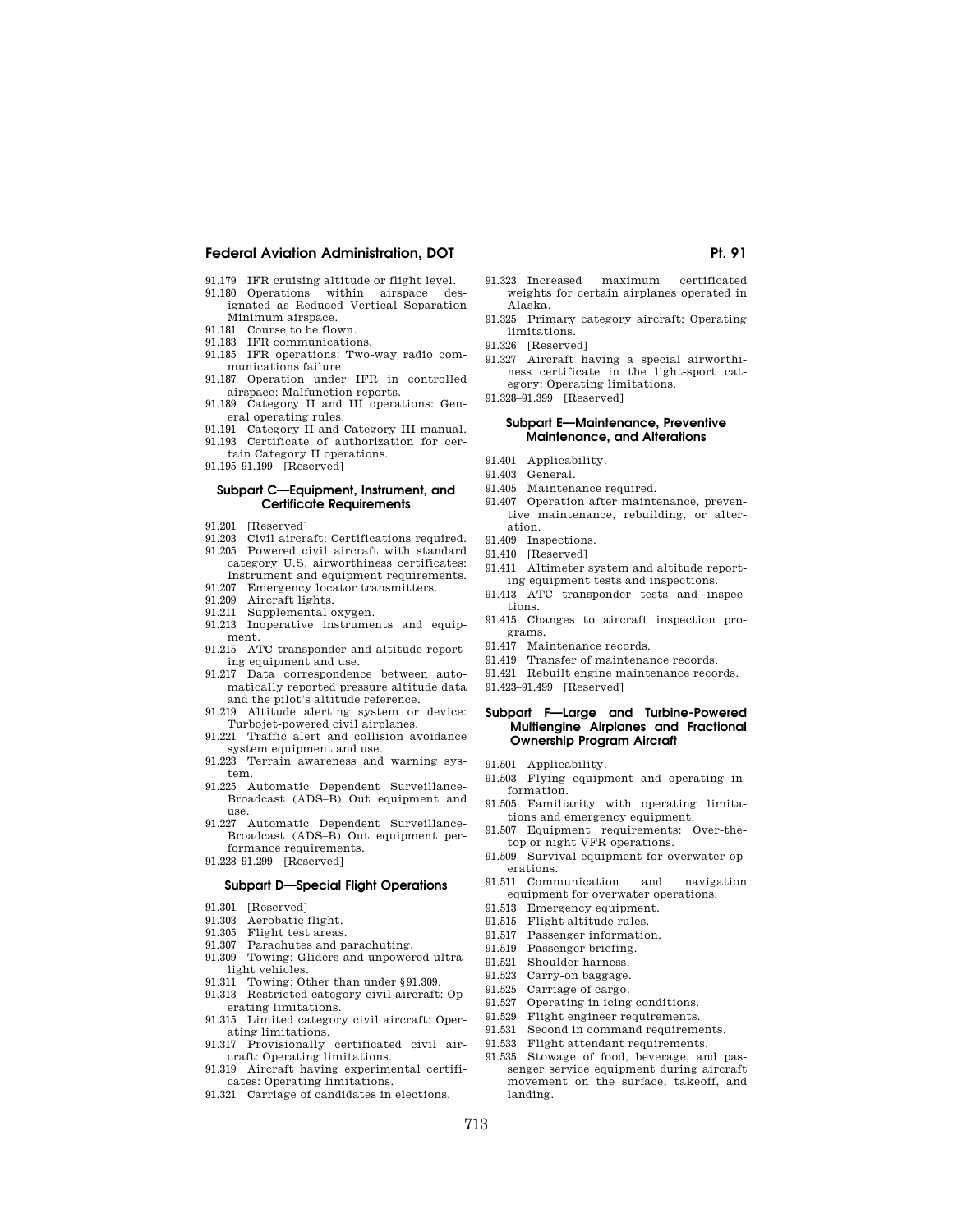- 91.179 IFR cruising altitude or flight level.
- 91.180 Operations within airspace designated as Reduced Vertical Separation
- Minimum airspace.
- 91.181 Course to be flown.
- 91.183 IFR communications. 91.185 IFR operations: Two-way radio communications failure.
- 91.187 Operation under IFR in controlled airspace: Malfunction reports.
- 91.189 Category II and III operations: General operating rules.
- 91.191 Category II and Category III manual. 91.193 Certificate of authorization for cer-
- tain Category II operations.
- 91.195–91.199 [Reserved]

#### **Subpart C—Equipment, Instrument, and Certificate Requirements**

- 91.201 [Reserved]
- 91.203 Civil aircraft: Certifications required.
- 91.205 Powered civil aircraft with standard category U.S. airworthiness certificates:
- Instrument and equipment requirements. 91.207 Emergency locator transmitters.
- 91.209 Aircraft lights.
- 91.211 Supplemental oxygen.
- 91.213 Inoperative instruments and equipment.
- 91.215 ATC transponder and altitude reporting equipment and use.
- 91.217 Data correspondence between automatically reported pressure altitude data and the pilot's altitude reference.
- 91.219 Altitude alerting system or device: Turbojet-powered civil airplanes.
- 91.221 Traffic alert and collision avoidance system equipment and use.
- 91.223 Terrain awareness and warning system.
- 91.225 Automatic Dependent Surveillance-Broadcast (ADS–B) Out equipment and use.
- 91.227 Automatic Dependent Surveillance-Broadcast (ADS–B) Out equipment performance requirements.
- 91.228–91.299 [Reserved]

#### **Subpart D—Special Flight Operations**

- 91.301 [Reserved]
- 91.303 Aerobatic flight.
- 91.305 Flight test areas.
- 91.307 Parachutes and parachuting.
- 91.309 Towing: Gliders and unpowered ultralight vehicles.
- 91.311 Towing: Other than under §91.309.
- 91.313 Restricted category civil aircraft: Op-
- erating limitations. 91.315 Limited category civil aircraft: Operating limitations.
- 91.317 Provisionally certificated civil aircraft: Operating limitations.
- 91.319 Aircraft having experimental certificates: Operating limitations.
- 91.321 Carriage of candidates in elections.
- 91.323 Increased maximum certificated weights for certain airplanes operated in Alaska.
- 91.325 Primary category aircraft: Operating limitations.
- 91.326 [Reserved]
- 91.327 Aircraft having a special airworthiness certificate in the light-sport category: Operating limitations.
- 91.328–91.399 [Reserved]

## **Subpart E—Maintenance, Preventive Maintenance, and Alterations**

- 91.401 Applicability.
- 91.403 General.
- 
- 91.405 Maintenance required.
- 91.407 Operation after maintenance, preventive maintenance, rebuilding, or alteration.
- 91.409 Inspections.
- 91.410 [Reserved]
- 91.411 Altimeter system and altitude reporting equipment tests and inspections.
- 91.413 ATC transponder tests and inspections.
- 91.415 Changes to aircraft inspection programs.
- 91.417 Maintenance records.
- 91.419 Transfer of maintenance records.
- 91.421 Rebuilt engine maintenance records.
- 91.423–91.499 [Reserved]

# **Subpart F—Large and Turbine-Powered Multiengine Airplanes and Fractional Ownership Program Aircraft**

- 91.501 Applicability.
- 91.503 Flying equipment and operating information.
- 91.505 Familiarity with operating limitations and emergency equipment.
- 91.507 Equipment requirements: Over-thetop or night VFR operations.
- 91.509 Survival equipment for overwater operations.
- 91.511 Communication and navigation equipment for overwater operations.
- 91.513 Emergency equipment.
- 91.515 Flight altitude rules.
- 91.517 Passenger information.
- 91.519 Passenger briefing.
- 91.521 Shoulder harness.
- 91.523 Carry-on baggage.
- 91.525 Carriage of cargo.
- 91.527 Operating in icing conditions.
- 
- 91.529 Flight engineer requirements.
- 91.531 Second in command requirements.
- 91.533 Flight attendant requirements.
- 91.535 Stowage of food, beverage, and passenger service equipment during aircraft movement on the surface, takeoff, and landing.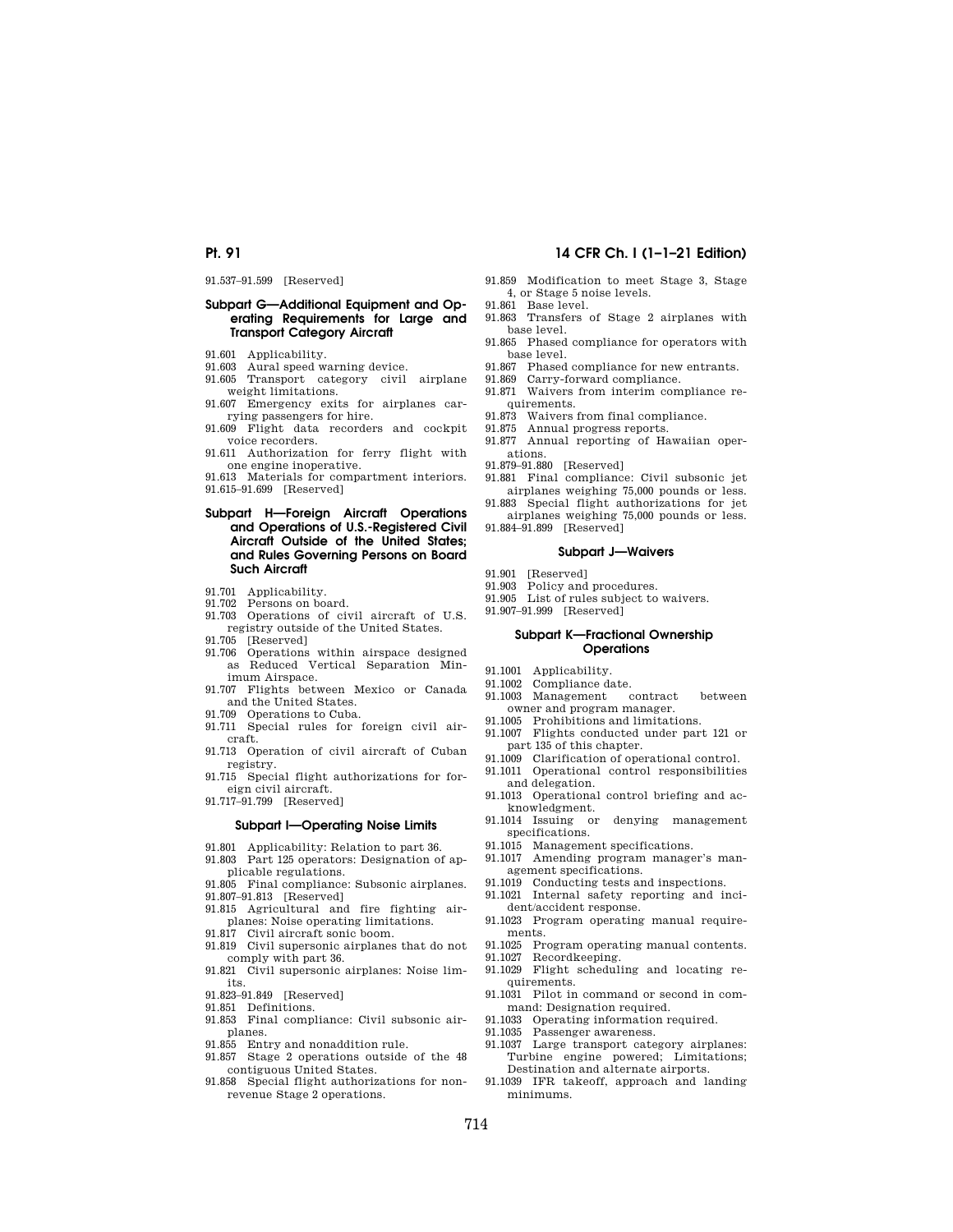# **Pt. 91 14 CFR Ch. I (1–1–21 Edition)**

91.537–91.599 [Reserved]

## **Subpart G—Additional Equipment and Operating Requirements for Large and Transport Category Aircraft**

- 91.601 Applicability.
- 91.603 Aural speed warning device.
- 91.605 Transport category civil airplane
- weight limitations. 91.607 Emergency exits for airplanes carrying passengers for hire.
- 91.609 Flight data recorders and cockpit voice recorders.
- 91.611 Authorization for ferry flight with one engine inoperative.

91.613 Materials for compartment interiors. 91.615–91.699 [Reserved]

## **Subpart H—Foreign Aircraft Operations and Operations of U.S.-Registered Civil Aircraft Outside of the United States; and Rules Governing Persons on Board Such Aircraft**

- 91.701 Applicability.
- 91.702 Persons on board.
- 91.703 Operations of civil aircraft of U.S. registry outside of the United States.
- 91.705 [Reserved]
- 91.706 Operations within airspace designed as Reduced Vertical Separation Minimum Airspace.
- 91.707 Flights between Mexico or Canada and the United States.
- 91.709 Operations to Cuba.
- 91.711 Special rules for foreign civil aircraft. 91.713 Operation of civil aircraft of Cuban
- registry. 91.715 Special flight authorizations for for-
- eign civil aircraft. 91.717–91.799 [Reserved]
- 

## **Subpart I—Operating Noise Limits**

- 91.801 Applicability: Relation to part 36.
- 91.803 Part 125 operators: Designation of applicable regulations.
- 91.805 Final compliance: Subsonic airplanes. 91.807–91.813 [Reserved]
- 91.815 Agricultural and fire fighting airplanes: Noise operating limitations.
- 91.817 Civil aircraft sonic boom.
- 91.819 Civil supersonic airplanes that do not
- comply with part 36. 91.821 Civil supersonic airplanes: Noise lim-
- its.
- 91.823–91.849 [Reserved] 91.851 Definitions.
- 
- 91.853 Final compliance: Civil subsonic airplanes.
- 
- 91.855 Entry and nonaddition rule. 91.857 Stage 2 operations outside of the 48 contiguous United States.
- 91.858 Special flight authorizations for nonrevenue Stage 2 operations.
- 91.859 Modification to meet Stage 3, Stage 4, or Stage 5 noise levels. 91.861 Base level.
- 91.863 Transfers of Stage 2 airplanes with base level.
- 91.865 Phased compliance for operators with base level.
- 91.867 Phased compliance for new entrants.
- 91.869 Carry-forward compliance.
- 91.871 Waivers from interim compliance requirements.
- 91.873 Waivers from final compliance.
- 91.875 Annual progress reports.
- 91.877 Annual reporting of Hawaiian operations.
- 91.879–91.880 [Reserved]
- 91.881 Final compliance: Civil subsonic jet airplanes weighing 75,000 pounds or less.
- 91.883 Special flight authorizations for jet airplanes weighing 75,000 pounds or less.
- 91.884–91.899 [Reserved]

#### **Subpart J—Waivers**

- 91.901 [Reserved]
- 91.903 Policy and procedures.
- 91.905 List of rules subject to waivers.
- 91.907–91.999 [Reserved]

#### **Subpart K—Fractional Ownership Operations**

- 91.1001 Applicability.
- 91.1002 Compliance date.
- 91.1003 Management contract between owner and program manager.
- 91.1005 Prohibitions and limitations.
- 91.1007 Flights conducted under part 121 or part 135 of this chapter.
- 91.1009 Clarification of operational control.
- 91.1011 Operational control responsibilities and delegation.
- 91.1013 Operational control briefing and acknowledgment.
- 91.1014 Issuing or denying management specifications.
- 91.1015 Management specifications.
- 91.1017 Amending program manager's management specifications.
- 91.1019 Conducting tests and inspections.
- 91.1021 Internal safety reporting and incident/accident response.
- 91.1023 Program operating manual requirements.
- 
- 91.1025 Program operating manual contents.<br>91.1027 Recordkeeping
- 91.1027 Recordkeeping.<br>91.1029 Flight schedul: Flight scheduling and locating requirements.
- 91.1031 Pilot in command or second in command: Designation required.
- 91.1033 Operating information required.
- 91.1035 Passenger awareness.
- 91.1037 Large transport category airplanes: Turbine engine powered; Limitations; Destination and alternate airports.
- 91.1039 IFR takeoff, approach and landing minimums.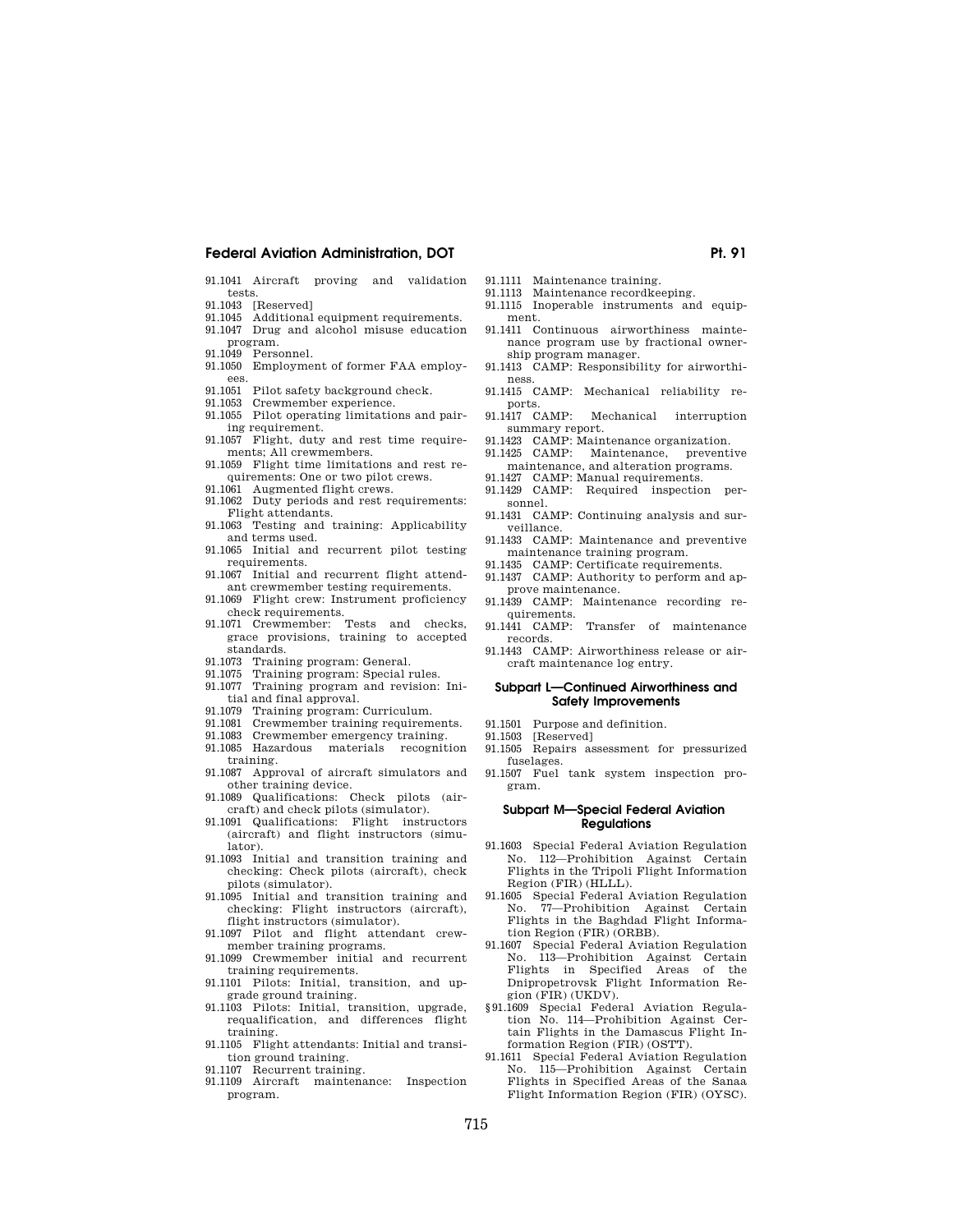- 91.1041 Aircraft proving and validation tests.
- 91.1043 [Reserved]<br>91.1045 Additional
- Additional equipment requirements.
- 91.1047 Drug and alcohol misuse education
- program.<br>91.1049 Perso Personnel.
- 91.1050 Employment of former FAA employees.
- 91.1051 Pilot safety background check.<br>91.1053 Crewmember experience.
- Crewmember experience.
- 91.1055 Pilot operating limitations and pairing requirement.
- 91.1057 Flight, duty and rest time requirements; All crewmembers.
- 91.1059 Flight time limitations and rest requirements: One or two pilot crews.
- 91.1061 Augmented flight crews.<br>91.1062 Duty periods and rest re
- Duty periods and rest requirements: Flight attendants.
- 91.1063 Testing and training: Applicability and terms used.
- 91.1065 Initial and recurrent pilot testing requirements.
- 91.1067 Initial and recurrent flight attendant crewmember testing requirements.
- 91.1069 Flight crew: Instrument proficiency check requirements.
- 91.1071 Crewmember: Tests and checks, grace provisions, training to accepted standards.
- 91.1073 Training program: General.
- 91.1075 Training program: Special rules.
- 91.1077 Training program and revision: Initial and final approval.
- 91.1079 Training program: Curriculum.<br>91.1081 Crewmember training requirem
- Crewmember training requirements.
- 91.1083 Crewmember emergency training.<br>91.1085 Hazardous materials recognit
- 91.1085 Hazardous materials recognition training.
- 91.1087 Approval of aircraft simulators and other training device.
- 91.1089 Qualifications: Check pilots (aircraft) and check pilots (simulator).
- 91.1091 Qualifications: Flight instructors (aircraft) and flight instructors (simulator).
- 91.1093 Initial and transition training and checking: Check pilots (aircraft), check pilots (simulator).
- 91.1095 Initial and transition training and checking: Flight instructors (aircraft), flight instructors (simulator).
- 91.1097 Pilot and flight attendant crewmember training programs.
- 91.1099 Crewmember initial and recurrent training requirements.
- 91.1101 Pilots: Initial, transition, and upgrade ground training.
- 91.1103 Pilots: Initial, transition, upgrade, requalification, and differences flight training.
- 91.1105 Flight attendants: Initial and transition ground training.
- 91.1107 Recurrent training.
- 91.1109 Aircraft maintenance: Inspection program.
- 91.1111 Maintenance training.
- 91.1113 Maintenance recordkeeping.
- 91.1115 Inoperable instruments and equipment.
- 91.1411 Continuous airworthiness maintenance program use by fractional ownership program manager.
- 91.1413 CAMP: Responsibility for airworthiness.
- 91.1415 CAMP: Mechanical reliability reports.<br>91.1417 CAMP:
- Mechanical interruption
- summary report. 91.1423 CAMP: Maintenance organization.
- 91.1425 CAMP: Maintenance, preventive
- maintenance, and alteration programs.
- 91.1427 CAMP: Manual requirements.
- 91.1429 CAMP: Required inspection personnel.
- 91.1431 CAMP: Continuing analysis and surveillance.
- 91.1433 CAMP: Maintenance and preventive maintenance training program.
- 91.1435 CAMP: Certificate requirements.
- 91.1437 CAMP: Authority to perform and ap-
- prove maintenance. 91.1439 CAMP: Maintenance recording re-
- quirements.<br>91.1441 CAMP: Transfer of maintenance records.
- 91.1443 CAMP: Airworthiness release or aircraft maintenance log entry.

#### **Subpart L—Continued Airworthiness and Safety Improvements**

- 
- 91.1501 Purpose and definition.<br>91.1503 [Reserved] 91.1503 [Reserved]<br>91.1505 Repairs as
- Repairs assessment for pressurized fuselages.
- 91.1507 Fuel tank system inspection program.

### **Subpart M—Special Federal Aviation Regulations**

- 91.1603 Special Federal Aviation Regulation No. 112—Prohibition Against Certain Flights in the Tripoli Flight Information Region (FIR) (HLLL).
- 91.1605 Special Federal Aviation Regulation No. 77—Prohibition Against Certain Flights in the Baghdad Flight Information Region (FIR) (ORBB).
- 91.1607 Special Federal Aviation Regulation No. 113—Prohibition Against Certain Flights in Specified Areas of the Dnipropetrovsk Flight Information Region (FIR) (UKDV).
- §91.1609 Special Federal Aviation Regulation No. 114—Prohibition Against Certain Flights in the Damascus Flight Information Region (FIR) (OSTT).
- 91.1611 Special Federal Aviation Regulation No. 115—Prohibition Against Certain Flights in Specified Areas of the Sanaa Flight Information Region (FIR) (OYSC).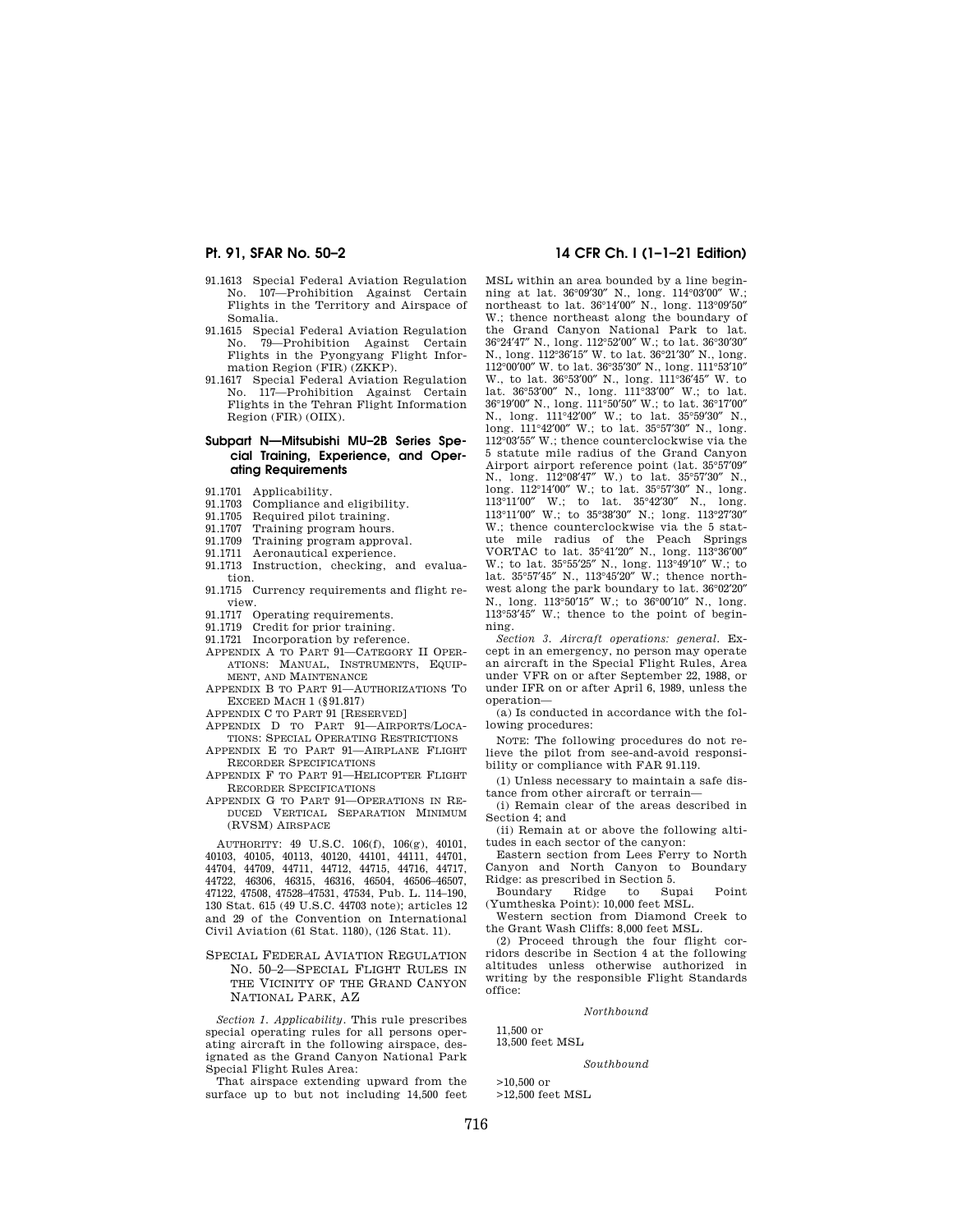- 91.1613 Special Federal Aviation Regulation No. 107—Prohibition Against Certain Flights in the Territory and Airspace of Somalia.
- 91.1615 Special Federal Aviation Regulation No. 79—Prohibition Against Certain Flights in the Pyongyang Flight Information Region (FIR) (ZKKP).
- 91.1617 Special Federal Aviation Regulation No. 117—Prohibition Against Certain Flights in the Tehran Flight Information Region (FIR) (OIIX).

## **Subpart N—Mitsubishi MU–2B Series Special Training, Experience, and Operating Requirements**

- 91.1701 Applicability.
- 91.1703 Compliance and eligibility.
- 91.1705 Required pilot training.<br>91.1707 Training program hours
- 91.1707 Training program hours.<br>91.1709 Training program appro
- 91.1709 Training program approval.<br>91.1711 Aeronautical experience
- Aeronautical experience.
- 91.1713 Instruction, checking, and evaluation.
- 91.1715 Currency requirements and flight review.
- 91.1717 Operating requirements.
- 91.1719 Credit for prior training.
- 91.1721 Incorporation by reference.
- APPENDIX A TO PART 91—CATEGORY II OPER-ATIONS: MANUAL, INSTRUMENTS, EQUIP-MENT, AND MAINTENANCE
- APPENDIX B TO PART 91—AUTHORIZATIONS TO EXCEED MACH 1 (§91.817)
- APPENDIX C TO PART 91 [RESERVED]
- APPENDIX D TO PART 91—AIRPORTS/LOCA-TIONS: SPECIAL OPERATING RESTRICTIONS
- APPENDIX E TO PART 91—AIRPLANE FLIGHT RECORDER SPECIFICATIONS
- APPENDIX F TO PART 91—HELICOPTER FLIGHT RECORDER SPECIFICATIONS
- APPENDIX G TO PART 91—OPERATIONS IN RE-DUCED VERTICAL SEPARATION MINIMUM (RVSM) AIRSPACE

AUTHORITY: 49 U.S.C. 106(f), 106(g), 40101, 40103, 40105, 40113, 40120, 44101, 44111, 44701, 44704, 44709, 44711, 44712, 44715, 44716, 44717, 44722, 46306, 46315, 46316, 46504, 46506–46507, 47122, 47508, 47528–47531, 47534, Pub. L. 114–190, 130 Stat. 615 (49 U.S.C. 44703 note); articles 12 and 29 of the Convention on International Civil Aviation (61 Stat. 1180), (126 Stat. 11).

# SPECIAL FEDERAL AVIATION REGULATION NO. 50–2—SPECIAL FLIGHT RULES IN THE VICINITY OF THE GRAND CANYON NATIONAL PARK, AZ

*Section 1. Applicability.* This rule prescribes special operating rules for all persons operating aircraft in the following airspace, designated as the Grand Canyon National Park Special Flight Rules Area:

That airspace extending upward from the surface up to but not including 14,500 feet

# **Pt. 91, SFAR No. 50–2 14 CFR Ch. I (1–1–21 Edition)**

MSL within an area bounded by a line beginning at lat. 36°09′30″ N., long. 114°03′00″ W.; northeast to lat. 36°14′00″ N., long. 113°09′50″ W.; thence northeast along the boundary of the Grand Canyon National Park to lat. 36°24′47″ N., long. 112°52′00″ W.; to lat. 36°30′30″ N., long. 112°36′15″ W. to lat. 36°21′30″ N., long. 112°00′00″ W. to lat. 36°35′30″ N., long. 111°53′10″ W., to lat. 36°53′00″ N., long. 111°36′45″ W. to lat. 36°53′00″ N., long. 111°33′00″ W.; to lat. 36°19′00″ N., long. 111°50′50″ W.; to lat. 36°17′00″ N., long. 111°42′00″ W.; to lat. 35°59′30″ N., long. 111°42′00″ W.; to lat. 35°57′30″ N., long. 112°03′55″ W.; thence counterclockwise via the 5 statute mile radius of the Grand Canyon Airport airport reference point (lat. 35°57′09″ N., long. 112°08′47″ W.) to lat. 35°57′30″ N., long. 112°14′00″ W.; to lat. 35°57′30″ N., long. 113°11′00″ W.; to lat. 35°42′30″ N., long. 113°11′00″ W.; to 35°38′30″ N.; long. 113°27′30″ W.; thence counterclockwise via the 5 statute mile radius of the Peach Springs VORTAC to lat. 35°41′20″ N., long. 113°36′00″ W.; to lat. 35°55′25″ N., long. 113°49′10″ W.; to lat. 35°57′45″ N., 113°45′20″ W.; thence northwest along the park boundary to lat. 36°02′20″ N., long. 113°50′15″ W.; to 36°00′10″ N., long. 113°53′45″ W.; thence to the point of beginning.

*Section 3. Aircraft operations: general.* Except in an emergency, no person may operate an aircraft in the Special Flight Rules, Area under VFR on or after September 22, 1988, or under IFR on or after April 6, 1989, unless the operation—

(a) Is conducted in accordance with the following procedures:

NOTE: The following procedures do not relieve the pilot from see-and-avoid responsibility or compliance with FAR 91.119.

(1) Unless necessary to maintain a safe distance from other aircraft or terrain—

(i) Remain clear of the areas described in Section 4; and

(ii) Remain at or above the following altitudes in each sector of the canyon:

Eastern section from Lees Ferry to North Canyon and North Canyon to Boundary Ridge: as prescribed in Section 5.<br>Boundary Ridge to Supai

Boundary Ridge to Supai Point (Yumtheska Point): 10,000 feet MSL.

Western section from Diamond Creek to the Grant Wash Cliffs: 8,000 feet MSL.

(2) Proceed through the four flight corridors describe in Section 4 at the following altitudes unless otherwise authorized in writing by the responsible Flight Standards office:

#### *Northbound*

11,500 or

13,500 feet MSL

#### *Southbound*

>10,500 or >12,500 feet MSL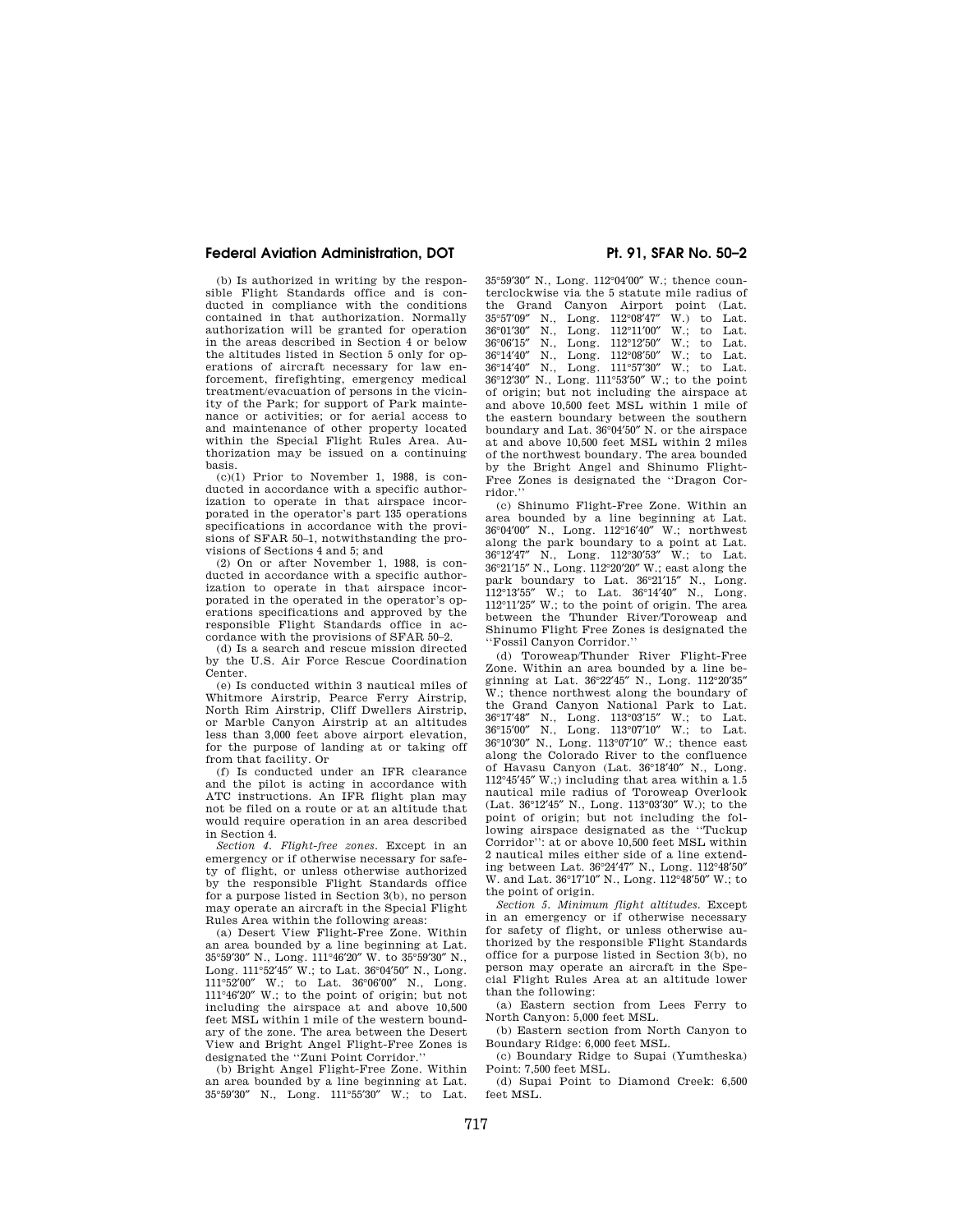# **Federal Aviation Administration, DOT Pt. 91, SFAR No. 50–2**

(b) Is authorized in writing by the responsible Flight Standards office and is conducted in compliance with the conditions contained in that authorization. Normally authorization will be granted for operation in the areas described in Section 4 or below the altitudes listed in Section 5 only for operations of aircraft necessary for law enforcement, firefighting, emergency medical treatment/evacuation of persons in the vicinity of the Park; for support of Park maintenance or activities; or for aerial access to and maintenance of other property located within the Special Flight Rules Area. Authorization may be issued on a continuing basis.

 $(c)(1)$  Prior to November 1, 1988, is conducted in accordance with a specific authorization to operate in that airspace incorporated in the operator's part 135 operations specifications in accordance with the provisions of SFAR 50–1, notwithstanding the provisions of Sections 4 and 5; and

(2) On or after November 1, 1988, is conducted in accordance with a specific authorization to operate in that airspace incorporated in the operated in the operator's operations specifications and approved by the responsible Flight Standards office in accordance with the provisions of SFAR 50–2.

(d) Is a search and rescue mission directed by the U.S. Air Force Rescue Coordination Center.

(e) Is conducted within 3 nautical miles of Whitmore Airstrip, Pearce Ferry Airstrip, North Rim Airstrip, Cliff Dwellers Airstrip, or Marble Canyon Airstrip at an altitudes less than 3,000 feet above airport elevation, for the purpose of landing at or taking off from that facility. Or

(f) Is conducted under an IFR clearance and the pilot is acting in accordance with ATC instructions. An IFR flight plan may not be filed on a route or at an altitude that would require operation in an area described in Section 4.

*Section 4. Flight-free zones.* Except in an emergency or if otherwise necessary for safety of flight, or unless otherwise authorized by the responsible Flight Standards office for a purpose listed in Section 3(b), no person may operate an aircraft in the Special Flight Rules Area within the following areas:

(a) Desert View Flight-Free Zone. Within an area bounded by a line beginning at Lat. 35°59′30″ N., Long. 111°46′20″ W. to 35°59′30″ N., Long. 111°52′45″ W.; to Lat. 36°04′50″ N., Long. 111°52′00″ W.; to Lat. 36°06′00″ N., Long. 111°46′20″ W.; to the point of origin; but not including the airspace at and above 10,500 feet MSL within 1 mile of the western boundary of the zone. The area between the Desert View and Bright Angel Flight-Free Zones is designated the "Zuni Point Corridor.

(b) Bright Angel Flight-Free Zone. Within an area bounded by a line beginning at Lat. 35°59′30″ N., Long. 111°55′30″ W.; to Lat.

35°59′30″ N., Long. 112°04′00″ W.; thence counterclockwise via the 5 statute mile radius of the Grand Canyon Airport point (Lat. 35°57′09″ N., Long. 112°08′47″ W.) to Lat. 36°01′30″ N., Long. 112°11′00″ W.; to Lat. 36°06′15″ N., Long. 112°12′50″ W.; to Lat. 36°14′40″ N., Long. 112°08′50″ W.; to Lat. Long.  $111°57'30''$  W.; to Lat. 36°12′30″ N., Long. 111°53′50″ W.; to the point of origin; but not including the airspace at and above 10,500 feet MSL within 1 mile of the eastern boundary between the southern boundary and Lat. 36°04′50″ N. or the airspace at and above 10,500 feet MSL within 2 miles of the northwest boundary. The area bounded by the Bright Angel and Shinumo Flight-Free Zones is designated the ''Dragon Corridor.''

(c) Shinumo Flight-Free Zone. Within an area bounded by a line beginning at Lat. 36°04′00″ N., Long. 112°16′40″ W.; northwest along the park boundary to a point at Lat. 36°12′47″ N., Long. 112°30′53″ W.; to Lat. 36°21′15″ N., Long. 112°20′20″ W.; east along the park boundary to Lat. 36°21′15″ N., Long. 112°13′55″ W.; to Lat. 36°14′40″ N., Long. 112°11′25″ W.; to the point of origin. The area between the Thunder River/Toroweap and Shinumo Flight Free Zones is designated the ''Fossil Canyon Corridor.''

(d) Toroweap/Thunder River Flight-Free Zone. Within an area bounded by a line beginning at Lat. 36°22′45″ N., Long. 112°20′35″ W.; thence northwest along the boundary of the Grand Canyon National Park to Lat. 36°17′48″ N., Long. 113°03′15″ W.; to Lat. 36°15′00″ N., Long. 113°07′10″ W.; to Lat. 36°10′30″ N., Long. 113°07′10″ W.; thence east along the Colorado River to the confluence of Havasu Canyon (Lat. 36°18′40″ N., Long. 112°45′45″ W.;) including that area within a 1.5 nautical mile radius of Toroweap Overlook (Lat. 36°12′45″ N., Long. 113°03′30″ W.); to the point of origin; but not including the following airspace designated as the ''Tuckup Corridor'': at or above 10,500 feet MSL within 2 nautical miles either side of a line extending between Lat. 36°24′47″ N., Long. 112°48′50″ W. and Lat. 36°17′10″ N., Long. 112°48′50″ W.; to the point of origin.

*Section 5. Minimum flight altitudes.* Except in an emergency or if otherwise necessary for safety of flight, or unless otherwise authorized by the responsible Flight Standards office for a purpose listed in Section 3(b), no person may operate an aircraft in the Special Flight Rules Area at an altitude lower than the following:

(a) Eastern section from Lees Ferry to North Canyon: 5,000 feet MSL.

(b) Eastern section from North Canyon to Boundary Ridge: 6,000 feet MSL.

(c) Boundary Ridge to Supai (Yumtheska) Point: 7,500 feet MSL.

(d) Supai Point to Diamond Creek: 6,500 feet MSL.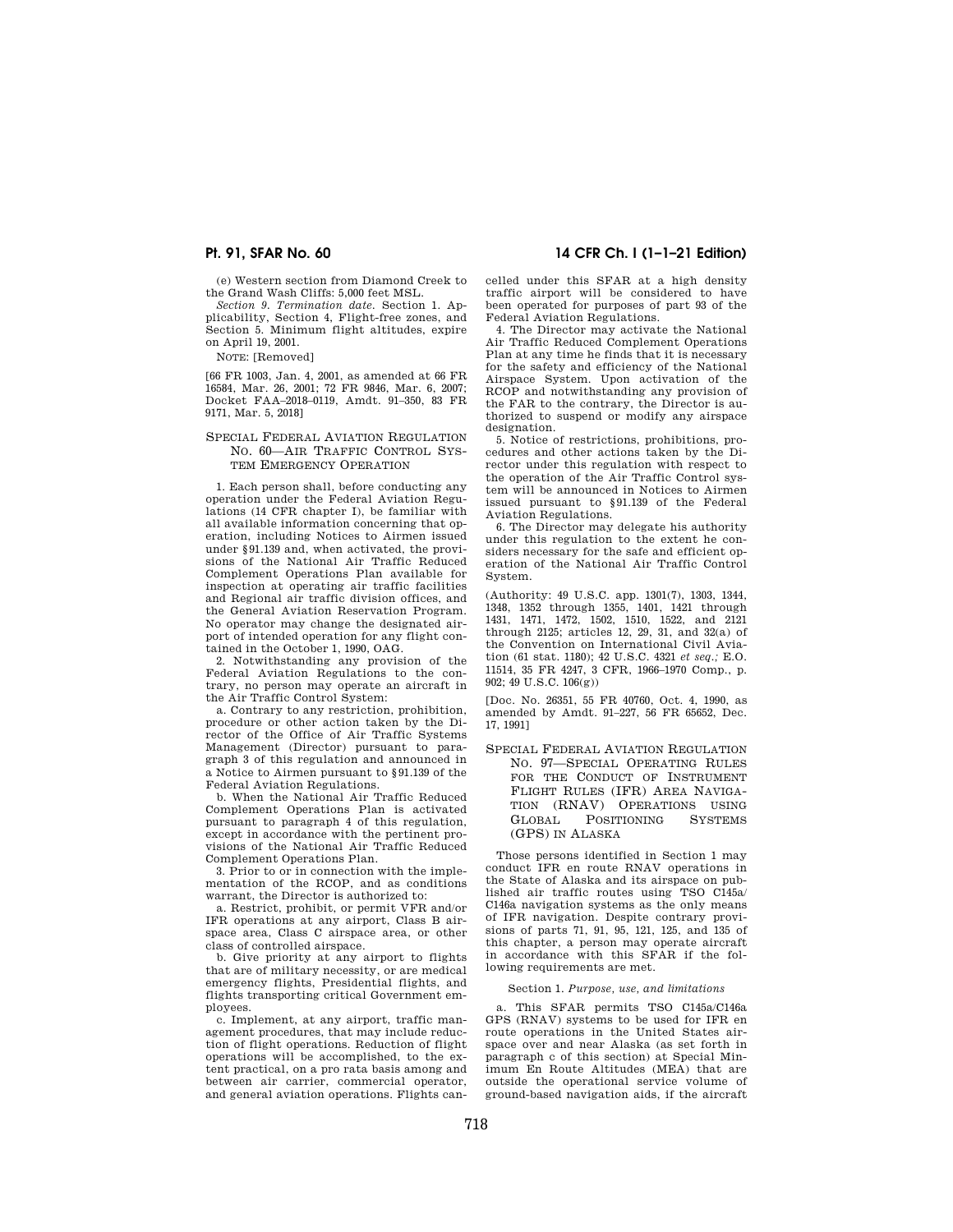(e) Western section from Diamond Creek to the Grand Wash Cliffs: 5,000 feet MSL.

*Section 9. Termination date.* Section 1. Applicability, Section 4, Flight-free zones, and Section 5. Minimum flight altitudes, expire on April 19, 2001.

NOTE: [Removed]

[66 FR 1003, Jan. 4, 2001, as amended at 66 FR 16584, Mar. 26, 2001; 72 FR 9846, Mar. 6, 2007; Docket FAA–2018–0119, Amdt. 91–350, 83 FR 9171, Mar. 5, 2018]

# SPECIAL FEDERAL AVIATION REGULATION NO. 60—AIR TRAFFIC CONTROL SYS-TEM EMERGENCY OPERATION

1. Each person shall, before conducting any operation under the Federal Aviation Regulations (14 CFR chapter I), be familiar with all available information concerning that operation, including Notices to Airmen issued under §91.139 and, when activated, the provisions of the National Air Traffic Reduced Complement Operations Plan available for inspection at operating air traffic facilities and Regional air traffic division offices, and the General Aviation Reservation Program. No operator may change the designated airport of intended operation for any flight contained in the October 1, 1990, OAG.

2. Notwithstanding any provision of the Federal Aviation Regulations to the contrary, no person may operate an aircraft in the Air Traffic Control System:

a. Contrary to any restriction, prohibition, procedure or other action taken by the Director of the Office of Air Traffic Systems Management (Director) pursuant to paragraph 3 of this regulation and announced in a Notice to Airmen pursuant to §91.139 of the Federal Aviation Regulations.

b. When the National Air Traffic Reduced Complement Operations Plan is activated pursuant to paragraph 4 of this regulation, except in accordance with the pertinent provisions of the National Air Traffic Reduced Complement Operations Plan.

3. Prior to or in connection with the implementation of the RCOP, and as conditions warrant, the Director is authorized to:

a. Restrict, prohibit, or permit VFR and/or IFR operations at any airport, Class B airspace area, Class C airspace area, or other class of controlled airspace.

b. Give priority at any airport to flights that are of military necessity, or are medical emergency flights, Presidential flights, and flights transporting critical Government employees.

c. Implement, at any airport, traffic management procedures, that may include reduction of flight operations. Reduction of flight operations will be accomplished, to the extent practical, on a pro rata basis among and between air carrier, commercial operator, and general aviation operations. Flights can-

# **Pt. 91, SFAR No. 60 14 CFR Ch. I (1–1–21 Edition)**

celled under this SFAR at a high density traffic airport will be considered to have been operated for purposes of part 93 of the Federal Aviation Regulations.

4. The Director may activate the National Air Traffic Reduced Complement Operations Plan at any time he finds that it is necessary for the safety and efficiency of the National Airspace System. Upon activation of the RCOP and notwithstanding any provision of the FAR to the contrary, the Director is authorized to suspend or modify any airspace designation.

5. Notice of restrictions, prohibitions, procedures and other actions taken by the Director under this regulation with respect to the operation of the Air Traffic Control system will be announced in Notices to Airmen issued pursuant to §91.139 of the Federal Aviation Regulations.

6. The Director may delegate his authority under this regulation to the extent he considers necessary for the safe and efficient operation of the National Air Traffic Control System.

(Authority: 49 U.S.C. app. 1301(7), 1303, 1344, 1348, 1352 through 1355, 1401, 1421 through 1431, 1471, 1472, 1502, 1510, 1522, and 2121 through 2125; articles 12, 29, 31, and 32(a) of the Convention on International Civil Aviation (61 stat. 1180); 42 U.S.C. 4321 *et seq.;* E.O. 11514, 35 FR 4247, 3 CFR, 1966–1970 Comp., p. 902; 49 U.S.C. 106(g))

[Doc. No. 26351, 55 FR 40760, Oct. 4, 1990, as amended by Amdt. 91–227, 56 FR 65652, Dec. 17, 1991]

## SPECIAL FEDERAL AVIATION REGULATION NO. 97—SPECIAL OPERATING RULES FOR THE CONDUCT OF INSTRUMENT FLIGHT RULES (IFR) AREA NAVIGA-TION (RNAV) OPERATIONS USING<br>GLOBAL POSITIONING SYSTEMS POSITIONING SYSTEMS (GPS) IN ALASKA

Those persons identified in Section 1 may conduct IFR en route RNAV operations in the State of Alaska and its airspace on published air traffic routes using TSO C145a/ C146a navigation systems as the only means of IFR navigation. Despite contrary provisions of parts 71, 91, 95, 121, 125, and 135 of this chapter, a person may operate aircraft in accordance with this SFAR if the following requirements are met.

#### Section 1. *Purpose, use, and limitations*

a. This SFAR permits TSO C145a/C146a GPS (RNAV) systems to be used for IFR en route operations in the United States airspace over and near Alaska (as set forth in paragraph c of this section) at Special Minimum En Route Altitudes (MEA) that are outside the operational service volume of ground-based navigation aids, if the aircraft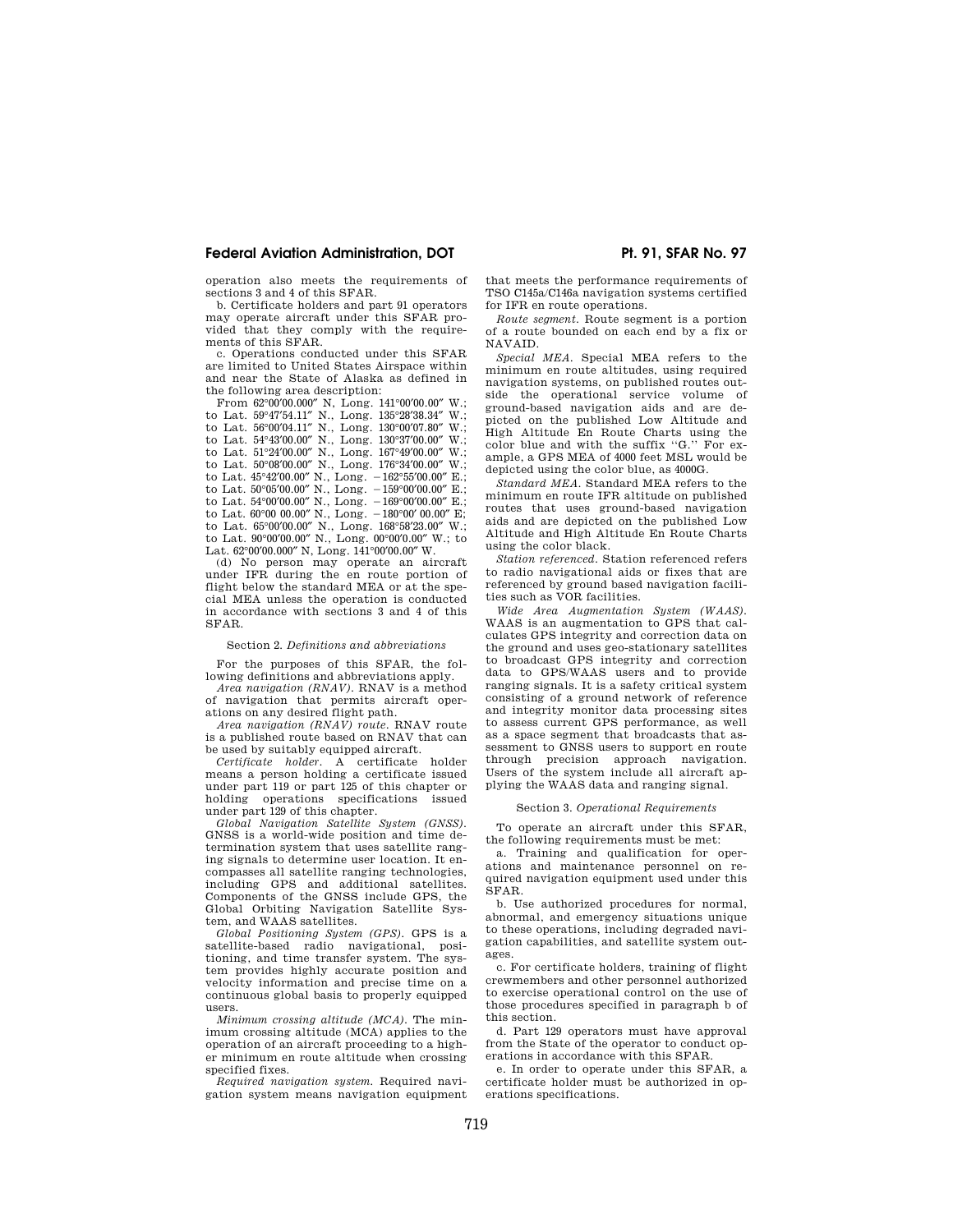# Federal Aviation Administration, DOT **Philopheral Pt. 91, SFAR No. 97**

operation also meets the requirements of sections 3 and 4 of this SFAR.

b. Certificate holders and part 91 operators may operate aircraft under this SFAR provided that they comply with the requirements of this SFAR.

c. Operations conducted under this SFAR are limited to United States Airspace within and near the State of Alaska as defined in the following area description:

From 62°00′00.000″ N, Long. 141°00′00.00″ W.; to Lat. 59°47′54.11″ N., Long. 135°28′38.34″ W.; to Lat. 56°00′04.11″ N., Long. 130°00′07.80″ W.; to Lat. 54°43′00.00″ N., Long. 130°37′00.00″ W.; to Lat. 51°24′00.00″ N., Long. 167°49′00.00″ W.; to Lat. 50°08′00.00″ N., Long. 176°34′00.00″ W.; to Lat. 45°42′00.00″ N., Long. ¥162°55′00.00″ E.; to Lat.  $50^{\circ}05'00.00''$  N., Long.  $-159^{\circ}00'00.00''$  E.; to Lat.  $54^{\circ}00'00.00''$  N., Long.  $-169^{\circ}00'00.00''$  E.; to Lat.  $60^{\circ}00$  00.00" N., Long.  $-180^{\circ}00'$  00.00" E; to Lat. 65°00′00.00″ N., Long. 168°58′23.00″ W.; to Lat. 90°00′00.00″ N., Long. 00°00′0.00″ W.; to Lat. 62°00′00.000″ N, Long. 141°00′00.00″ W.

(d) No person may operate an aircraft under IFR during the en route portion of flight below the standard MEA or at the special MEA unless the operation is conducted in accordance with sections 3 and 4 of this SFAR.

#### Section 2. *Definitions and abbreviations*

For the purposes of this SFAR, the following definitions and abbreviations apply.

*Area navigation (RNAV).* RNAV is a method of navigation that permits aircraft operations on any desired flight path.

*Area navigation (RNAV) route.* RNAV route is a published route based on RNAV that can be used by suitably equipped aircraft.

*Certificate holder.* A certificate holder means a person holding a certificate issued under part 119 or part 125 of this chapter or holding operations specifications issued under part 129 of this chapter.

*Global Navigation Satellite System (GNSS).*  GNSS is a world-wide position and time determination system that uses satellite ranging signals to determine user location. It encompasses all satellite ranging technologies, including GPS and additional satellites. Components of the GNSS include GPS, the Global Orbiting Navigation Satellite System, and WAAS satellites.

*Global Positioning System (GPS).* GPS is a satellite-based radio navigational, positioning, and time transfer system. The system provides highly accurate position and velocity information and precise time on a continuous global basis to properly equipped users.

*Minimum crossing altitude (MCA).* The minimum crossing altitude (MCA) applies to the operation of an aircraft proceeding to a higher minimum en route altitude when crossing specified fixes.

*Required navigation system.* Required navigation system means navigation equipment

that meets the performance requirements of TSO C145a/C146a navigation systems certified for IFR en route operations.

*Route segment.* Route segment is a portion of a route bounded on each end by a fix or NAVAID.

*Special MEA.* Special MEA refers to the minimum en route altitudes, using required navigation systems, on published routes outside the operational service volume of ground-based navigation aids and are depicted on the published Low Altitude and High Altitude En Route Charts using the color blue and with the suffix " $G$ ." For example, a GPS MEA of 4000 feet MSL would be depicted using the color blue, as 4000G.

*Standard MEA.* Standard MEA refers to the minimum en route IFR altitude on published routes that uses ground-based navigation aids and are depicted on the published Low Altitude and High Altitude En Route Charts using the color black.

*Station referenced.* Station referenced refers to radio navigational aids or fixes that are referenced by ground based navigation facilities such as VOR facilities.

*Wide Area Augmentation System (WAAS).*  WAAS is an augmentation to GPS that calculates GPS integrity and correction data on the ground and uses geo-stationary satellites to broadcast GPS integrity and correction data to GPS/WAAS users and to provide ranging signals. It is a safety critical system consisting of a ground network of reference and integrity monitor data processing sites to assess current GPS performance, as well as a space segment that broadcasts that assessment to GNSS users to support en route through precision approach navigation. Users of the system include all aircraft applying the WAAS data and ranging signal.

#### Section 3. *Operational Requirements*

To operate an aircraft under this SFAR, the following requirements must be met:

a. Training and qualification for operations and maintenance personnel on required navigation equipment used under this SFAR.

b. Use authorized procedures for normal, abnormal, and emergency situations unique to these operations, including degraded navigation capabilities, and satellite system outages.

c. For certificate holders, training of flight crewmembers and other personnel authorized to exercise operational control on the use of those procedures specified in paragraph b of this section.

d. Part 129 operators must have approval from the State of the operator to conduct operations in accordance with this SFAR.

e. In order to operate under this SFAR, a certificate holder must be authorized in operations specifications.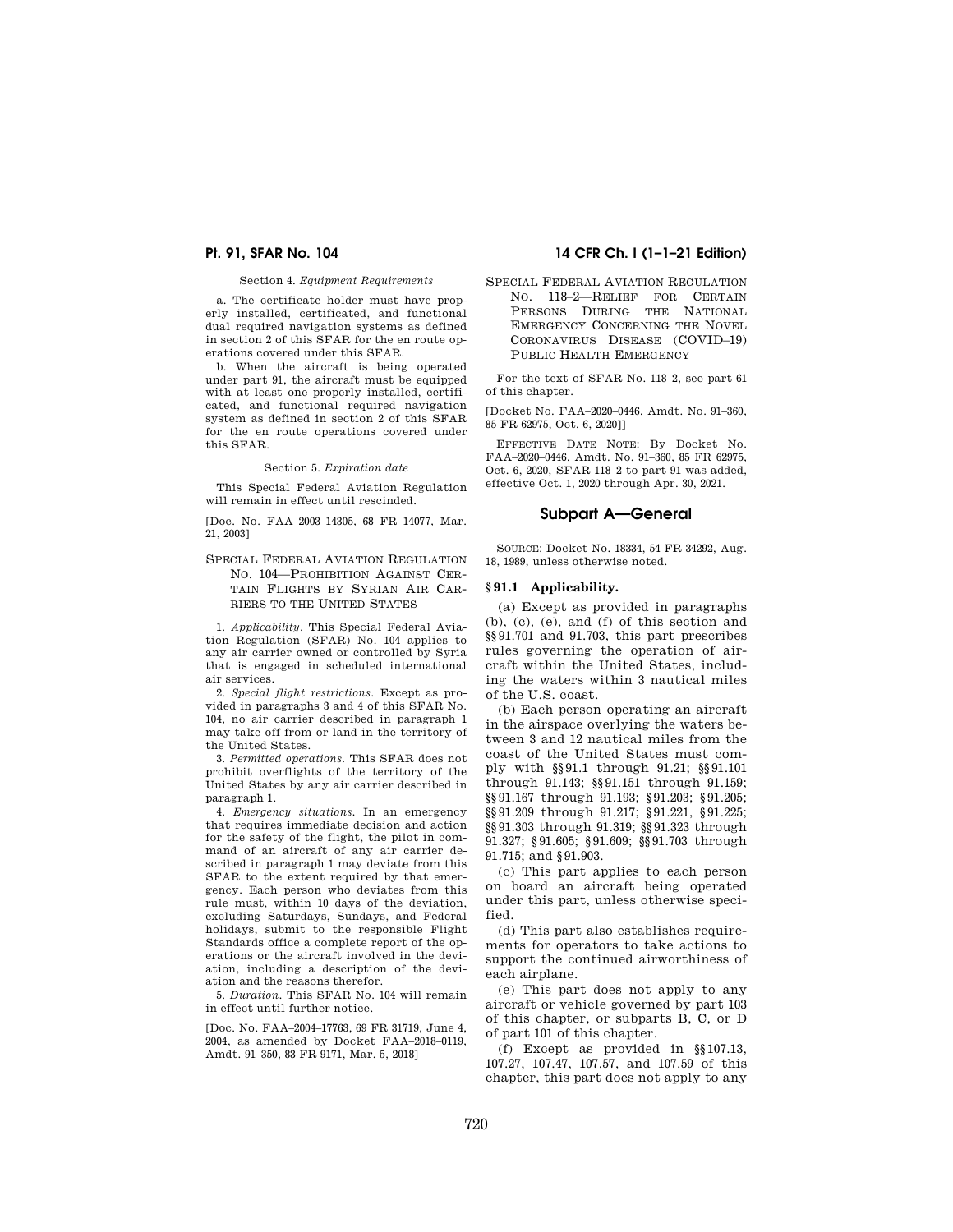#### Section 4. *Equipment Requirements*

a. The certificate holder must have properly installed, certificated, and functional dual required navigation systems as defined in section 2 of this SFAR for the en route operations covered under this SFAR.

b. When the aircraft is being operated under part 91, the aircraft must be equipped with at least one properly installed, certificated, and functional required navigation system as defined in section 2 of this SFAR for the en route operations covered under this SFAR.

## Section 5. *Expiration date*

This Special Federal Aviation Regulation will remain in effect until rescinded.

[Doc. No. FAA–2003–14305, 68 FR 14077, Mar. 21, 2003]

# SPECIAL FEDERAL AVIATION REGULATION NO. 104—PROHIBITION AGAINST CER-TAIN FLIGHTS BY SYRIAN AIR CAR-RIERS TO THE UNITED STATES

1. *Applicability.* This Special Federal Aviation Regulation (SFAR) No. 104 applies to any air carrier owned or controlled by Syria that is engaged in scheduled international air services.

2. *Special flight restrictions.* Except as provided in paragraphs 3 and 4 of this SFAR No. 104, no air carrier described in paragraph 1 may take off from or land in the territory of the United States.

3. *Permitted operations.* This SFAR does not prohibit overflights of the territory of the United States by any air carrier described in paragraph 1.

4. *Emergency situations.* In an emergency that requires immediate decision and action for the safety of the flight, the pilot in command of an aircraft of any air carrier described in paragraph 1 may deviate from this SFAR to the extent required by that emergency. Each person who deviates from this rule must, within 10 days of the deviation, excluding Saturdays, Sundays, and Federal holidays, submit to the responsible Flight Standards office a complete report of the operations or the aircraft involved in the deviation, including a description of the deviation and the reasons therefor.

5. *Duration.* This SFAR No. 104 will remain in effect until further notice.

[Doc. No. FAA–2004–17763, 69 FR 31719, June 4, 2004, as amended by Docket FAA–2018–0119, Amdt. 91–350, 83 FR 9171, Mar. 5, 2018]

# **Pt. 91, SFAR No. 104 14 CFR Ch. I (1–1–21 Edition)**

SPECIAL FEDERAL AVIATION REGULATION NO. 118–2—RELIEF FOR CERTAIN PERSONS DURING THE NATIONAL EMERGENCY CONCERNING THE NOVEL CORONAVIRUS DISEASE (COVID–19) PUBLIC HEALTH EMERGENCY

For the text of SFAR No. 118–2, see part 61 of this chapter.

[Docket No. FAA–2020–0446, Amdt. No. 91–360, 85 FR 62975, Oct. 6, 2020]]

EFFECTIVE DATE NOTE: By Docket No. FAA–2020–0446, Amdt. No. 91–360, 85 FR 62975, Oct. 6, 2020, SFAR 118–2 to part 91 was added, effective Oct. 1, 2020 through Apr. 30, 2021.

## **Subpart A—General**

SOURCE: Docket No. 18334, 54 FR 34292, Aug. 18, 1989, unless otherwise noted.

# **§ 91.1 Applicability.**

(a) Except as provided in paragraphs (b), (c), (e), and (f) of this section and §§91.701 and 91.703, this part prescribes rules governing the operation of aircraft within the United States, including the waters within 3 nautical miles of the U.S. coast.

(b) Each person operating an aircraft in the airspace overlying the waters between 3 and 12 nautical miles from the coast of the United States must comply with §§91.1 through 91.21; §§91.101 through 91.143; §§91.151 through 91.159; §§91.167 through 91.193; §91.203; §91.205; §§91.209 through 91.217; §91.221, §91.225; §§91.303 through 91.319; §§91.323 through 91.327; §91.605; §91.609; §§91.703 through 91.715; and §91.903.

(c) This part applies to each person on board an aircraft being operated under this part, unless otherwise specified.

(d) This part also establishes requirements for operators to take actions to support the continued airworthiness of each airplane.

(e) This part does not apply to any aircraft or vehicle governed by part 103 of this chapter, or subparts B, C, or D of part 101 of this chapter.

(f) Except as provided in §§107.13, 107.27, 107.47, 107.57, and 107.59 of this chapter, this part does not apply to any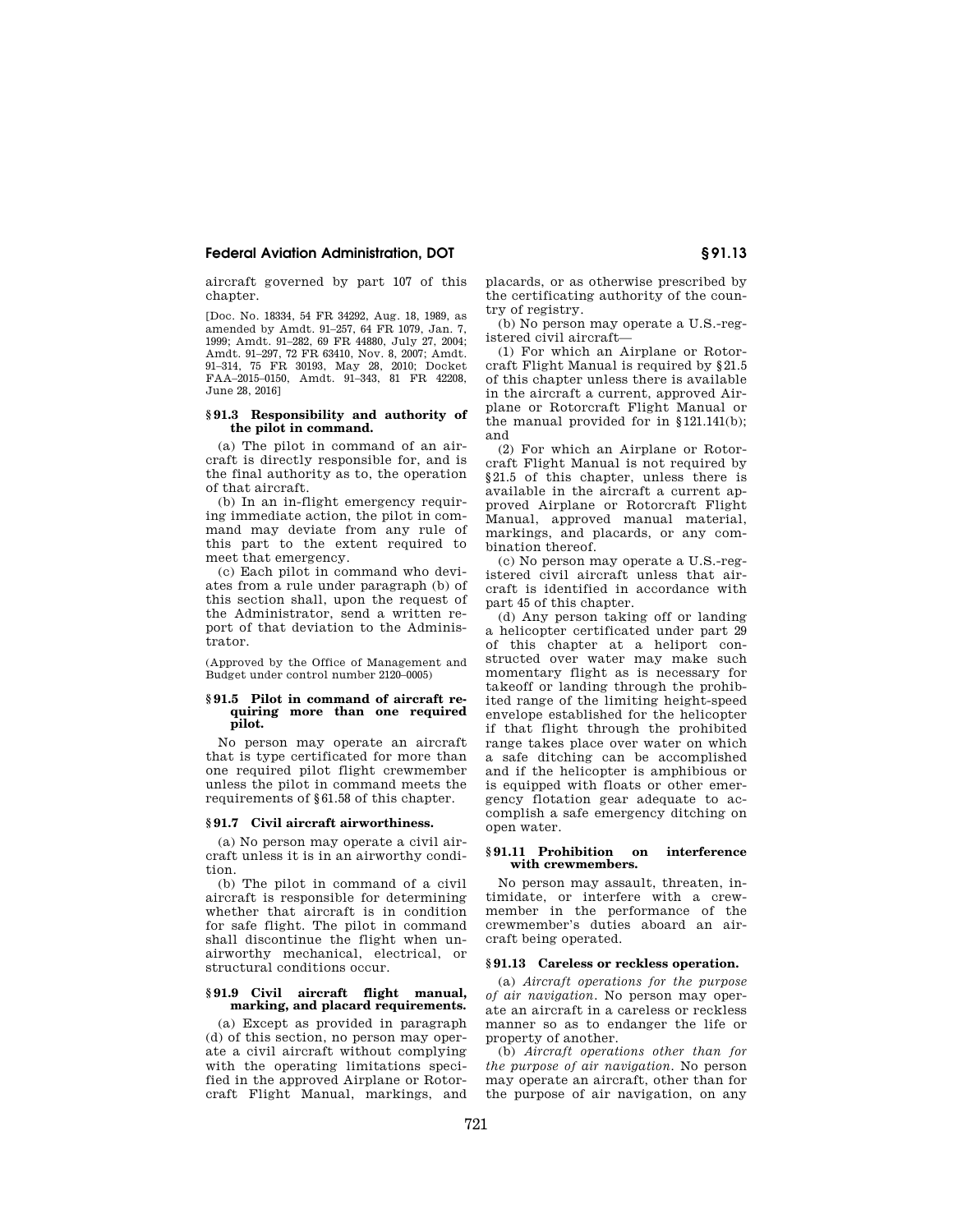aircraft governed by part 107 of this chapter.

[Doc. No. 18334, 54 FR 34292, Aug. 18, 1989, as amended by Amdt. 91–257, 64 FR 1079, Jan. 7, 1999; Amdt. 91–282, 69 FR 44880, July 27, 2004; Amdt. 91–297, 72 FR 63410, Nov. 8, 2007; Amdt. 91–314, 75 FR 30193, May 28, 2010; Docket FAA–2015–0150, Amdt. 91–343, 81 FR 42208, June 28, 2016]

### **§ 91.3 Responsibility and authority of the pilot in command.**

(a) The pilot in command of an aircraft is directly responsible for, and is the final authority as to, the operation of that aircraft.

(b) In an in-flight emergency requiring immediate action, the pilot in command may deviate from any rule of this part to the extent required to meet that emergency.

(c) Each pilot in command who deviates from a rule under paragraph (b) of this section shall, upon the request of the Administrator, send a written report of that deviation to the Administrator.

(Approved by the Office of Management and Budget under control number 2120–0005)

### **§ 91.5 Pilot in command of aircraft requiring more than one required pilot.**

No person may operate an aircraft that is type certificated for more than one required pilot flight crewmember unless the pilot in command meets the requirements of §61.58 of this chapter.

#### **§ 91.7 Civil aircraft airworthiness.**

(a) No person may operate a civil aircraft unless it is in an airworthy condition.

(b) The pilot in command of a civil aircraft is responsible for determining whether that aircraft is in condition for safe flight. The pilot in command shall discontinue the flight when unairworthy mechanical, electrical, or structural conditions occur.

## **§ 91.9 Civil aircraft flight manual, marking, and placard requirements.**

(a) Except as provided in paragraph (d) of this section, no person may operate a civil aircraft without complying with the operating limitations specified in the approved Airplane or Rotorcraft Flight Manual, markings, and placards, or as otherwise prescribed by the certificating authority of the country of registry.

(b) No person may operate a U.S.-registered civil aircraft—

(1) For which an Airplane or Rotorcraft Flight Manual is required by §21.5 of this chapter unless there is available in the aircraft a current, approved Airplane or Rotorcraft Flight Manual or the manual provided for in §121.141(b); and

(2) For which an Airplane or Rotorcraft Flight Manual is not required by §21.5 of this chapter, unless there is available in the aircraft a current approved Airplane or Rotorcraft Flight Manual, approved manual material, markings, and placards, or any combination thereof.

(c) No person may operate a U.S.-registered civil aircraft unless that aircraft is identified in accordance with part 45 of this chapter.

(d) Any person taking off or landing a helicopter certificated under part 29 of this chapter at a heliport constructed over water may make such momentary flight as is necessary for takeoff or landing through the prohibited range of the limiting height-speed envelope established for the helicopter if that flight through the prohibited range takes place over water on which a safe ditching can be accomplished and if the helicopter is amphibious or is equipped with floats or other emergency flotation gear adequate to accomplish a safe emergency ditching on open water.

## **§ 91.11 Prohibition on interference with crewmembers.**

No person may assault, threaten, intimidate, or interfere with a crewmember in the performance of the crewmember's duties aboard an aircraft being operated.

# **§ 91.13 Careless or reckless operation.**

(a) *Aircraft operations for the purpose of air navigation.* No person may operate an aircraft in a careless or reckless manner so as to endanger the life or property of another.

(b) *Aircraft operations other than for the purpose of air navigation.* No person may operate an aircraft, other than for the purpose of air navigation, on any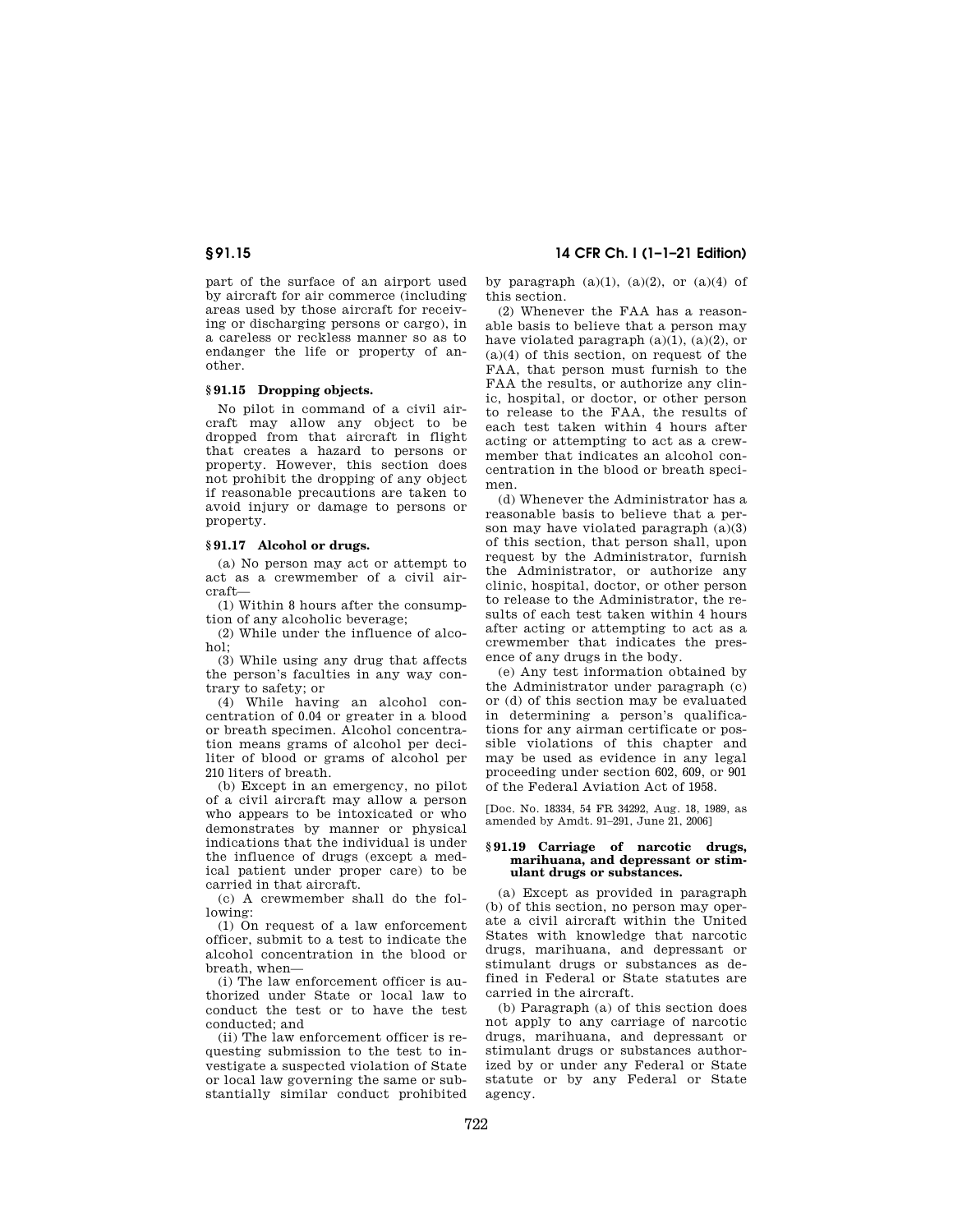part of the surface of an airport used by aircraft for air commerce (including areas used by those aircraft for receiving or discharging persons or cargo), in a careless or reckless manner so as to endanger the life or property of another.

## **§ 91.15 Dropping objects.**

No pilot in command of a civil aircraft may allow any object to be dropped from that aircraft in flight that creates a hazard to persons or property. However, this section does not prohibit the dropping of any object if reasonable precautions are taken to avoid injury or damage to persons or property.

## **§ 91.17 Alcohol or drugs.**

(a) No person may act or attempt to act as a crewmember of a civil aircraft—

(1) Within 8 hours after the consumption of any alcoholic beverage;

(2) While under the influence of alco $hol$ 

(3) While using any drug that affects the person's faculties in any way contrary to safety; or

(4) While having an alcohol concentration of 0.04 or greater in a blood or breath specimen. Alcohol concentration means grams of alcohol per deciliter of blood or grams of alcohol per 210 liters of breath.

(b) Except in an emergency, no pilot of a civil aircraft may allow a person who appears to be intoxicated or who demonstrates by manner or physical indications that the individual is under the influence of drugs (except a medical patient under proper care) to be carried in that aircraft.

(c) A crewmember shall do the following:

(1) On request of a law enforcement officer, submit to a test to indicate the alcohol concentration in the blood or breath, when—

(i) The law enforcement officer is authorized under State or local law to conduct the test or to have the test conducted; and

(ii) The law enforcement officer is requesting submission to the test to investigate a suspected violation of State or local law governing the same or substantially similar conduct prohibited

**§ 91.15 14 CFR Ch. I (1–1–21 Edition)** 

by paragraph  $(a)(1)$ ,  $(a)(2)$ , or  $(a)(4)$  of this section.

(2) Whenever the FAA has a reasonable basis to believe that a person may have violated paragraph  $(a)(1)$ ,  $(a)(2)$ , or (a)(4) of this section, on request of the FAA, that person must furnish to the FAA the results, or authorize any clinic, hospital, or doctor, or other person to release to the FAA, the results of each test taken within 4 hours after acting or attempting to act as a crewmember that indicates an alcohol concentration in the blood or breath specimen.

(d) Whenever the Administrator has a reasonable basis to believe that a person may have violated paragraph (a)(3) of this section, that person shall, upon request by the Administrator, furnish the Administrator, or authorize any clinic, hospital, doctor, or other person to release to the Administrator, the results of each test taken within 4 hours after acting or attempting to act as a crewmember that indicates the presence of any drugs in the body.

(e) Any test information obtained by the Administrator under paragraph (c) or (d) of this section may be evaluated in determining a person's qualifications for any airman certificate or possible violations of this chapter and may be used as evidence in any legal proceeding under section 602, 609, or 901 of the Federal Aviation Act of 1958.

[Doc. No. 18334, 54 FR 34292, Aug. 18, 1989, as amended by Amdt. 91–291, June 21, 2006]

### **§ 91.19 Carriage of narcotic drugs, marihuana, and depressant or stimulant drugs or substances.**

(a) Except as provided in paragraph (b) of this section, no person may operate a civil aircraft within the United States with knowledge that narcotic drugs, marihuana, and depressant or stimulant drugs or substances as defined in Federal or State statutes are carried in the aircraft.

(b) Paragraph (a) of this section does not apply to any carriage of narcotic drugs, marihuana, and depressant or stimulant drugs or substances authorized by or under any Federal or State statute or by any Federal or State agency.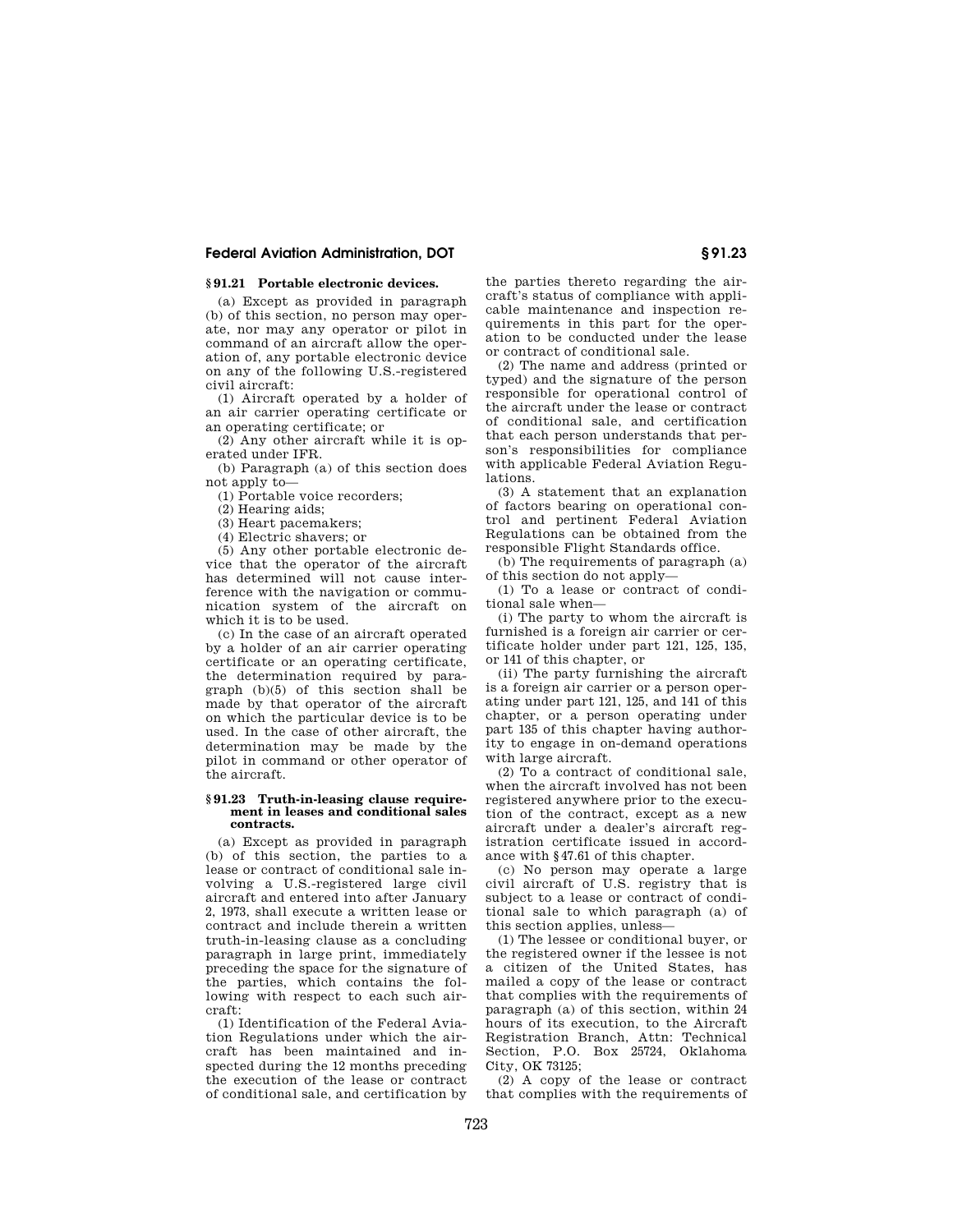## **§ 91.21 Portable electronic devices.**

(a) Except as provided in paragraph (b) of this section, no person may operate, nor may any operator or pilot in command of an aircraft allow the operation of, any portable electronic device on any of the following U.S.-registered civil aircraft:

(1) Aircraft operated by a holder of an air carrier operating certificate or an operating certificate; or

(2) Any other aircraft while it is operated under IFR.

(b) Paragraph (a) of this section does not apply to—

(1) Portable voice recorders;

(2) Hearing aids;

- (3) Heart pacemakers;
- (4) Electric shavers; or

(5) Any other portable electronic device that the operator of the aircraft has determined will not cause interference with the navigation or communication system of the aircraft on which it is to be used.

(c) In the case of an aircraft operated by a holder of an air carrier operating certificate or an operating certificate, the determination required by paragraph (b)(5) of this section shall be made by that operator of the aircraft on which the particular device is to be used. In the case of other aircraft, the determination may be made by the pilot in command or other operator of the aircraft.

#### **§ 91.23 Truth-in-leasing clause requirement in leases and conditional sales contracts.**

(a) Except as provided in paragraph (b) of this section, the parties to a lease or contract of conditional sale involving a U.S.-registered large civil aircraft and entered into after January 2, 1973, shall execute a written lease or contract and include therein a written truth-in-leasing clause as a concluding paragraph in large print, immediately preceding the space for the signature of the parties, which contains the following with respect to each such aircraft:

(1) Identification of the Federal Aviation Regulations under which the aircraft has been maintained and inspected during the 12 months preceding the execution of the lease or contract of conditional sale, and certification by the parties thereto regarding the aircraft's status of compliance with applicable maintenance and inspection requirements in this part for the operation to be conducted under the lease or contract of conditional sale.

(2) The name and address (printed or typed) and the signature of the person responsible for operational control of the aircraft under the lease or contract of conditional sale, and certification that each person understands that person's responsibilities for compliance with applicable Federal Aviation Regulations.

(3) A statement that an explanation of factors bearing on operational control and pertinent Federal Aviation Regulations can be obtained from the responsible Flight Standards office.

(b) The requirements of paragraph (a) of this section do not apply—

(1) To a lease or contract of conditional sale when—

(i) The party to whom the aircraft is furnished is a foreign air carrier or certificate holder under part 121, 125, 135, or 141 of this chapter, or

(ii) The party furnishing the aircraft is a foreign air carrier or a person operating under part 121, 125, and 141 of this chapter, or a person operating under part 135 of this chapter having authority to engage in on-demand operations with large aircraft.

(2) To a contract of conditional sale, when the aircraft involved has not been registered anywhere prior to the execution of the contract, except as a new aircraft under a dealer's aircraft registration certificate issued in accordance with §47.61 of this chapter.

(c) No person may operate a large civil aircraft of U.S. registry that is subject to a lease or contract of conditional sale to which paragraph (a) of this section applies, unless—

(1) The lessee or conditional buyer, or the registered owner if the lessee is not a citizen of the United States, has mailed a copy of the lease or contract that complies with the requirements of paragraph (a) of this section, within 24 hours of its execution, to the Aircraft Registration Branch, Attn: Technical Section, P.O. Box 25724, Oklahoma City, OK 73125;

(2) A copy of the lease or contract that complies with the requirements of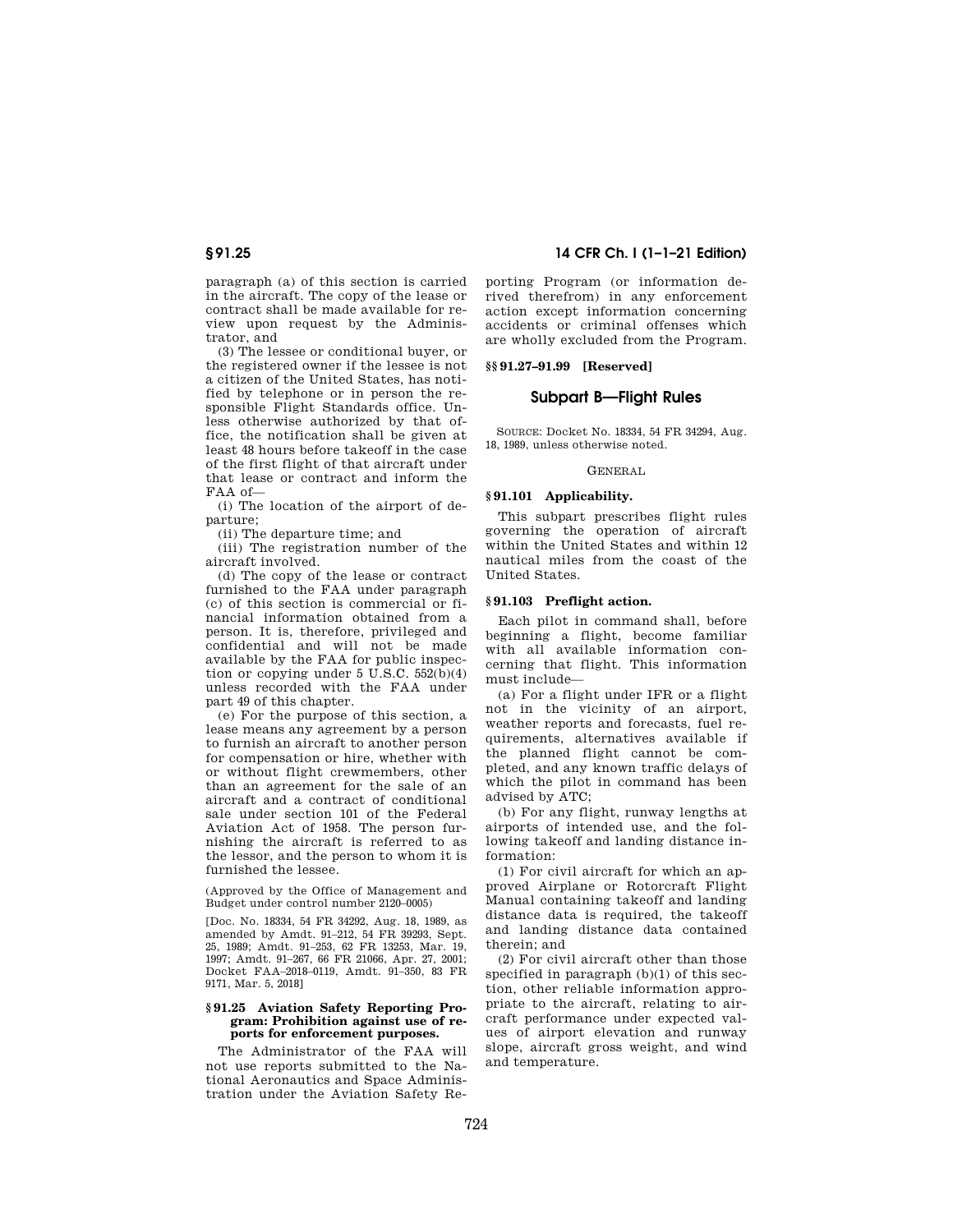paragraph (a) of this section is carried in the aircraft. The copy of the lease or contract shall be made available for review upon request by the Administrator, and

(3) The lessee or conditional buyer, or the registered owner if the lessee is not a citizen of the United States, has notified by telephone or in person the responsible Flight Standards office. Unless otherwise authorized by that office, the notification shall be given at least 48 hours before takeoff in the case of the first flight of that aircraft under that lease or contract and inform the FAA of—

(i) The location of the airport of departure;

(ii) The departure time; and

(iii) The registration number of the aircraft involved.

(d) The copy of the lease or contract furnished to the FAA under paragraph (c) of this section is commercial or financial information obtained from a person. It is, therefore, privileged and confidential and will not be made available by the FAA for public inspection or copying under  $5 \overline{U}$ .S.C.  $552(b)(4)$ unless recorded with the FAA under part 49 of this chapter.

(e) For the purpose of this section, a lease means any agreement by a person to furnish an aircraft to another person for compensation or hire, whether with or without flight crewmembers, other than an agreement for the sale of an aircraft and a contract of conditional sale under section 101 of the Federal Aviation Act of 1958. The person furnishing the aircraft is referred to as the lessor, and the person to whom it is furnished the lessee.

(Approved by the Office of Management and Budget under control number 2120–0005)

[Doc. No. 18334, 54 FR 34292, Aug. 18, 1989, as amended by Amdt. 91–212, 54 FR 39293, Sept. 25, 1989; Amdt. 91–253, 62 FR 13253, Mar. 19, 1997; Amdt. 91–267, 66 FR 21066, Apr. 27, 2001; Docket FAA–2018–0119, Amdt. 91–350, 83 FR 9171, Mar. 5, 2018]

#### **§ 91.25 Aviation Safety Reporting Program: Prohibition against use of reports for enforcement purposes.**

The Administrator of the FAA will not use reports submitted to the National Aeronautics and Space Administration under the Aviation Safety Re-

**§ 91.25 14 CFR Ch. I (1–1–21 Edition)** 

porting Program (or information derived therefrom) in any enforcement action except information concerning accidents or criminal offenses which are wholly excluded from the Program.

# **§§ 91.27–91.99 [Reserved]**

# **Subpart B—Flight Rules**

SOURCE: Docket No. 18334, 54 FR 34294, Aug. 18, 1989, unless otherwise noted.

#### GENERAL

# **§ 91.101 Applicability.**

This subpart prescribes flight rules governing the operation of aircraft within the United States and within 12 nautical miles from the coast of the United States.

### **§ 91.103 Preflight action.**

Each pilot in command shall, before beginning a flight, become familiar with all available information concerning that flight. This information must include—

(a) For a flight under IFR or a flight not in the vicinity of an airport, weather reports and forecasts, fuel requirements, alternatives available if the planned flight cannot be completed, and any known traffic delays of which the pilot in command has been advised by ATC;

(b) For any flight, runway lengths at airports of intended use, and the following takeoff and landing distance information:

(1) For civil aircraft for which an approved Airplane or Rotorcraft Flight Manual containing takeoff and landing distance data is required, the takeoff and landing distance data contained therein; and

(2) For civil aircraft other than those specified in paragraph (b)(1) of this section, other reliable information appropriate to the aircraft, relating to aircraft performance under expected values of airport elevation and runway slope, aircraft gross weight, and wind and temperature.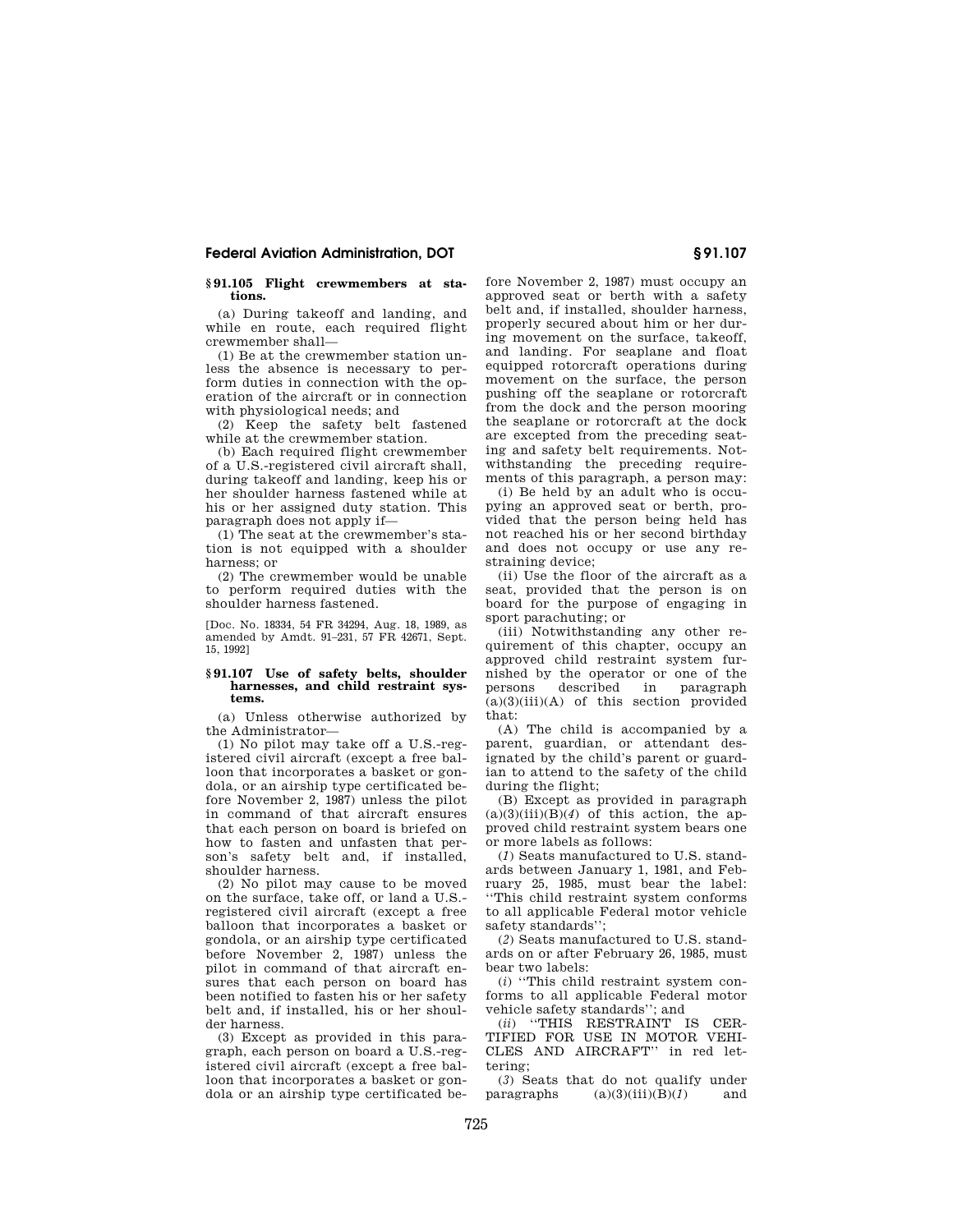## **§ 91.105 Flight crewmembers at stations.**

(a) During takeoff and landing, and while en route, each required flight crewmember shall—

(1) Be at the crewmember station unless the absence is necessary to perform duties in connection with the operation of the aircraft or in connection with physiological needs; and

(2) Keep the safety belt fastened while at the crewmember station.

(b) Each required flight crewmember of a U.S.-registered civil aircraft shall, during takeoff and landing, keep his or her shoulder harness fastened while at his or her assigned duty station. This paragraph does not apply if—

(1) The seat at the crewmember's station is not equipped with a shoulder harness; or

(2) The crewmember would be unable to perform required duties with the shoulder harness fastened.

[Doc. No. 18334, 54 FR 34294, Aug. 18, 1989, as amended by Amdt. 91–231, 57 FR 42671, Sept. 15, 1992]

#### **§ 91.107 Use of safety belts, shoulder harnesses, and child restraint systems.**

(a) Unless otherwise authorized by the Administrator—

(1) No pilot may take off a U.S.-registered civil aircraft (except a free balloon that incorporates a basket or gondola, or an airship type certificated before November 2, 1987) unless the pilot in command of that aircraft ensures that each person on board is briefed on how to fasten and unfasten that person's safety belt and, if installed, shoulder harness.

(2) No pilot may cause to be moved on the surface, take off, or land a U.S. registered civil aircraft (except a free balloon that incorporates a basket or gondola, or an airship type certificated before November 2, 1987) unless the pilot in command of that aircraft ensures that each person on board has been notified to fasten his or her safety belt and, if installed, his or her shoulder harness.

(3) Except as provided in this paragraph, each person on board a U.S.-registered civil aircraft (except a free balloon that incorporates a basket or gondola or an airship type certificated before November 2, 1987) must occupy an approved seat or berth with a safety belt and, if installed, shoulder harness, properly secured about him or her during movement on the surface, takeoff, and landing. For seaplane and float equipped rotorcraft operations during movement on the surface, the person pushing off the seaplane or rotorcraft from the dock and the person mooring the seaplane or rotorcraft at the dock are excepted from the preceding seating and safety belt requirements. Notwithstanding the preceding requirements of this paragraph, a person may:

(i) Be held by an adult who is occupying an approved seat or berth, provided that the person being held has not reached his or her second birthday and does not occupy or use any restraining device;

(ii) Use the floor of the aircraft as a seat, provided that the person is on board for the purpose of engaging in sport parachuting; or

(iii) Notwithstanding any other requirement of this chapter, occupy an approved child restraint system furnished by the operator or one of the persons described in paragraph  $(a)(3)(iii)(A)$  of this section provided that:

(A) The child is accompanied by a parent, guardian, or attendant designated by the child's parent or guardian to attend to the safety of the child during the flight;

(B) Except as provided in paragraph  $(a)(3)(iii)(B)(4)$  of this action, the approved child restraint system bears one or more labels as follows:

(*1*) Seats manufactured to U.S. standards between January 1, 1981, and February 25, 1985, must bear the label: ''This child restraint system conforms to all applicable Federal motor vehicle safety standards''

(*2*) Seats manufactured to U.S. standards on or after February 26, 1985, must bear two labels:

(*i*) ''This child restraint system conforms to all applicable Federal motor vehicle safety standards''; and

(*ii*) ''THIS RESTRAINT IS CER-TIFIED FOR USE IN MOTOR VEHI-CLES AND AIRCRAFT'' in red lettering;

(3) Seats that do not qualify under<br>paragraphs  $(a)(3)(iii)(B)(I)$  and  $(a)(3)(iii)(B)(I)$  and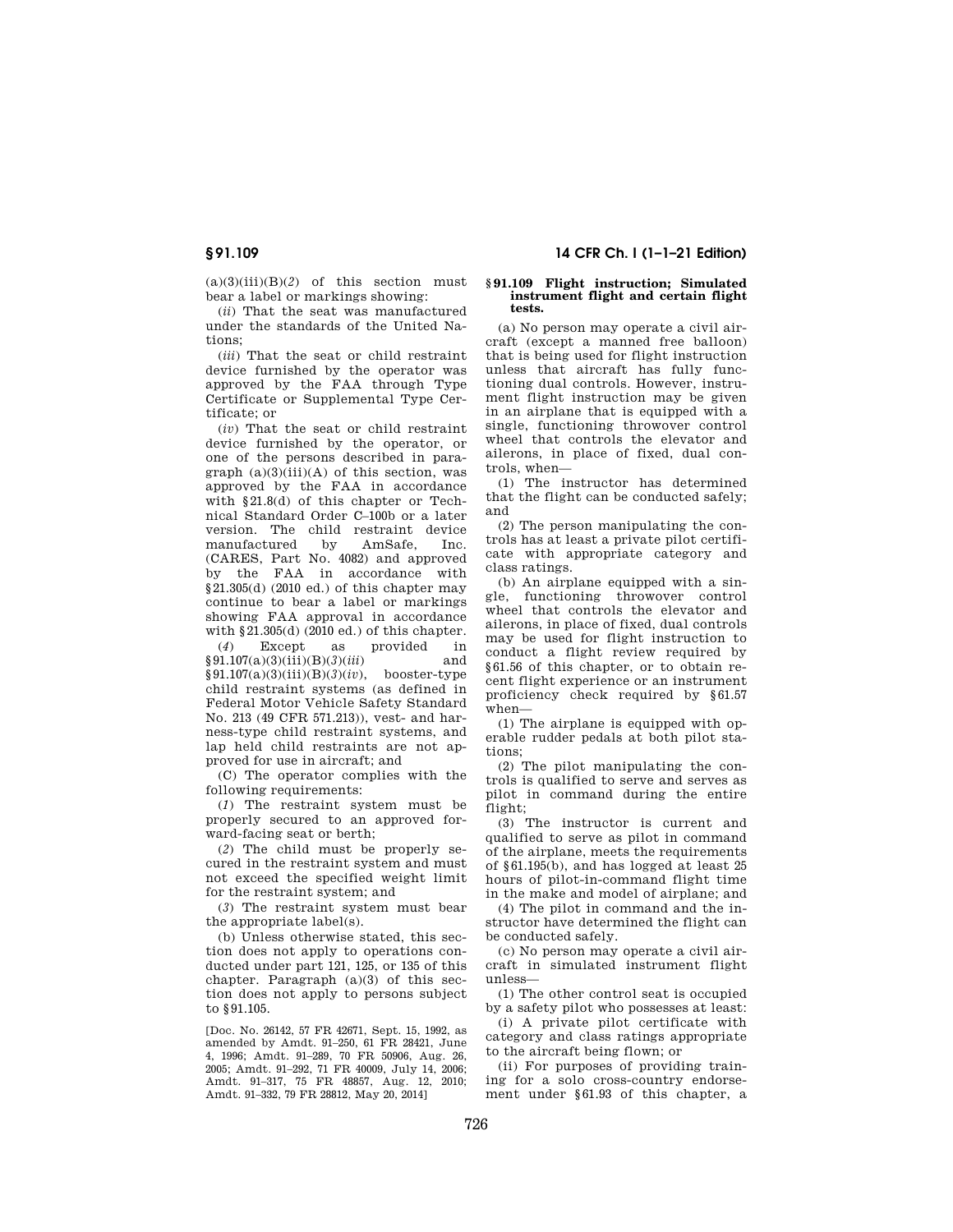$(a)(3)(iii)(B)(2)$  of this section must bear a label or markings showing:

(*ii*) That the seat was manufactured under the standards of the United Nations;

(*iii*) That the seat or child restraint device furnished by the operator was approved by the FAA through Type Certificate or Supplemental Type Certificate; or

(*iv*) That the seat or child restraint device furnished by the operator, or one of the persons described in paragraph  $(a)(3)(iii)(A)$  of this section, was approved by the FAA in accordance with §21.8(d) of this chapter or Technical Standard Order C–100b or a later version. The child restraint device manufactured by AmSafe, Inc. (CARES, Part No. 4082) and approved by the FAA in accordance with §21.305(d) (2010 ed.) of this chapter may continue to bear a label or markings showing FAA approval in accordance with §21.305(d) (2010 ed.) of this chapter.

(*4*) Except as provided in §91.107(a)(3)(iii)(B)(*3*)(*iii*) and §91.107(a)(3)(iii)(B)(*3*)(*iv*), booster-type child restraint systems (as defined in Federal Motor Vehicle Safety Standard No. 213 (49 CFR 571.213)), vest- and harness-type child restraint systems, and lap held child restraints are not approved for use in aircraft; and

(C) The operator complies with the following requirements:

(*1*) The restraint system must be properly secured to an approved forward-facing seat or berth;

(*2*) The child must be properly secured in the restraint system and must not exceed the specified weight limit for the restraint system; and

(*3*) The restraint system must bear the appropriate label(s).

(b) Unless otherwise stated, this section does not apply to operations conducted under part 121, 125, or 135 of this chapter. Paragraph (a)(3) of this section does not apply to persons subject to §91.105.

[Doc. No. 26142, 57 FR 42671, Sept. 15, 1992, as amended by Amdt. 91–250, 61 FR 28421, June 4, 1996; Amdt. 91–289, 70 FR 50906, Aug. 26, 2005; Amdt. 91–292, 71 FR 40009, July 14, 2006; Amdt. 91–317, 75 FR 48857, Aug. 12, 2010; Amdt. 91–332, 79 FR 28812, May 20, 2014]

# **§ 91.109 14 CFR Ch. I (1–1–21 Edition)**

#### **§ 91.109 Flight instruction; Simulated instrument flight and certain flight tests.**

(a) No person may operate a civil aircraft (except a manned free balloon) that is being used for flight instruction unless that aircraft has fully functioning dual controls. However, instrument flight instruction may be given in an airplane that is equipped with a single, functioning throwover control wheel that controls the elevator and ailerons, in place of fixed, dual controls, when—

(1) The instructor has determined that the flight can be conducted safely; and

(2) The person manipulating the controls has at least a private pilot certificate with appropriate category and class ratings.

(b) An airplane equipped with a single, functioning throwover control wheel that controls the elevator and ailerons, in place of fixed, dual controls may be used for flight instruction to conduct a flight review required by §61.56 of this chapter, or to obtain recent flight experience or an instrument proficiency check required by §61.57 when—

(1) The airplane is equipped with operable rudder pedals at both pilot stations;

(2) The pilot manipulating the controls is qualified to serve and serves as pilot in command during the entire flight;

(3) The instructor is current and qualified to serve as pilot in command of the airplane, meets the requirements of §61.195(b), and has logged at least 25 hours of pilot-in-command flight time in the make and model of airplane; and

(4) The pilot in command and the instructor have determined the flight can be conducted safely.

(c) No person may operate a civil aircraft in simulated instrument flight unless—

(1) The other control seat is occupied by a safety pilot who possesses at least:

(i) A private pilot certificate with category and class ratings appropriate to the aircraft being flown; or

(ii) For purposes of providing training for a solo cross-country endorsement under §61.93 of this chapter, a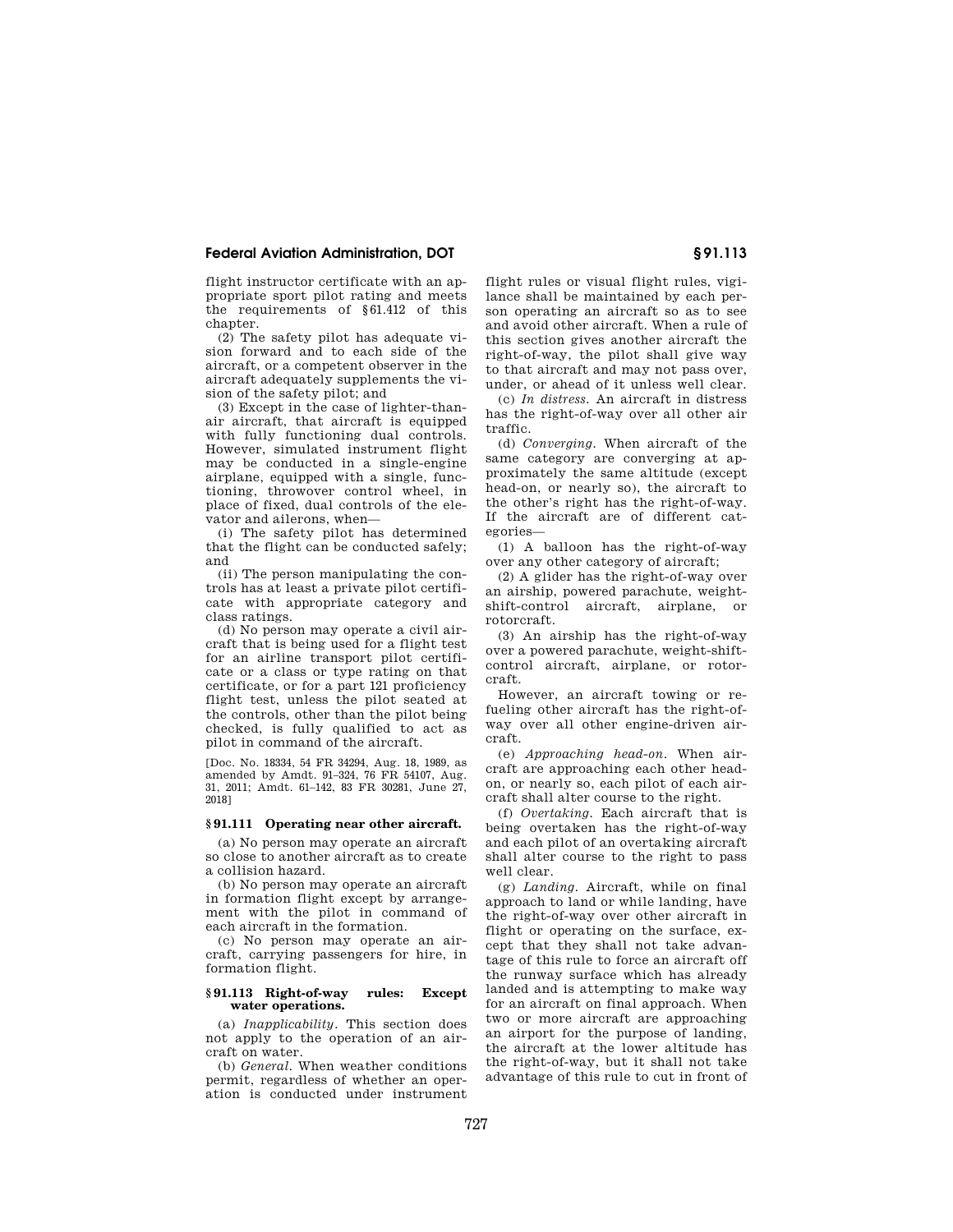flight instructor certificate with an appropriate sport pilot rating and meets the requirements of §61.412 of this chapter.

(2) The safety pilot has adequate vision forward and to each side of the aircraft, or a competent observer in the aircraft adequately supplements the vision of the safety pilot; and

(3) Except in the case of lighter-thanair aircraft, that aircraft is equipped with fully functioning dual controls. However, simulated instrument flight may be conducted in a single-engine airplane, equipped with a single, functioning, throwover control wheel, in place of fixed, dual controls of the elevator and ailerons, when—

(i) The safety pilot has determined that the flight can be conducted safely; and

(ii) The person manipulating the controls has at least a private pilot certificate with appropriate category and class ratings.

(d) No person may operate a civil aircraft that is being used for a flight test for an airline transport pilot certificate or a class or type rating on that certificate, or for a part 121 proficiency flight test, unless the pilot seated at the controls, other than the pilot being checked, is fully qualified to act as pilot in command of the aircraft.

[Doc. No. 18334, 54 FR 34294, Aug. 18, 1989, as amended by Amdt. 91–324, 76 FR 54107, Aug. 31, 2011; Amdt. 61–142, 83 FR 30281, June 27, 2018]

#### **§ 91.111 Operating near other aircraft.**

(a) No person may operate an aircraft so close to another aircraft as to create a collision hazard.

(b) No person may operate an aircraft in formation flight except by arrangement with the pilot in command of each aircraft in the formation.

(c) No person may operate an aircraft, carrying passengers for hire, in formation flight.

## **§ 91.113 Right-of-way rules: Except water operations.**

(a) *Inapplicability.* This section does not apply to the operation of an aircraft on water.

(b) *General.* When weather conditions permit, regardless of whether an operation is conducted under instrument flight rules or visual flight rules, vigilance shall be maintained by each person operating an aircraft so as to see and avoid other aircraft. When a rule of this section gives another aircraft the right-of-way, the pilot shall give way to that aircraft and may not pass over, under, or ahead of it unless well clear.

(c) *In distress.* An aircraft in distress has the right-of-way over all other air traffic.

(d) *Converging.* When aircraft of the same category are converging at approximately the same altitude (except head-on, or nearly so), the aircraft to the other's right has the right-of-way. If the aircraft are of different categories—

(1) A balloon has the right-of-way over any other category of aircraft;

(2) A glider has the right-of-way over an airship, powered parachute, weightshift-control aircraft, airplane, or rotorcraft.

(3) An airship has the right-of-way over a powered parachute, weight-shiftcontrol aircraft, airplane, or rotorcraft.

However, an aircraft towing or refueling other aircraft has the right-ofway over all other engine-driven aircraft.

(e) *Approaching head-on.* When aircraft are approaching each other headon, or nearly so, each pilot of each aircraft shall alter course to the right.

(f) *Overtaking.* Each aircraft that is being overtaken has the right-of-way and each pilot of an overtaking aircraft shall alter course to the right to pass well clear.

(g) *Landing.* Aircraft, while on final approach to land or while landing, have the right-of-way over other aircraft in flight or operating on the surface, except that they shall not take advantage of this rule to force an aircraft off the runway surface which has already landed and is attempting to make way for an aircraft on final approach. When two or more aircraft are approaching an airport for the purpose of landing, the aircraft at the lower altitude has the right-of-way, but it shall not take advantage of this rule to cut in front of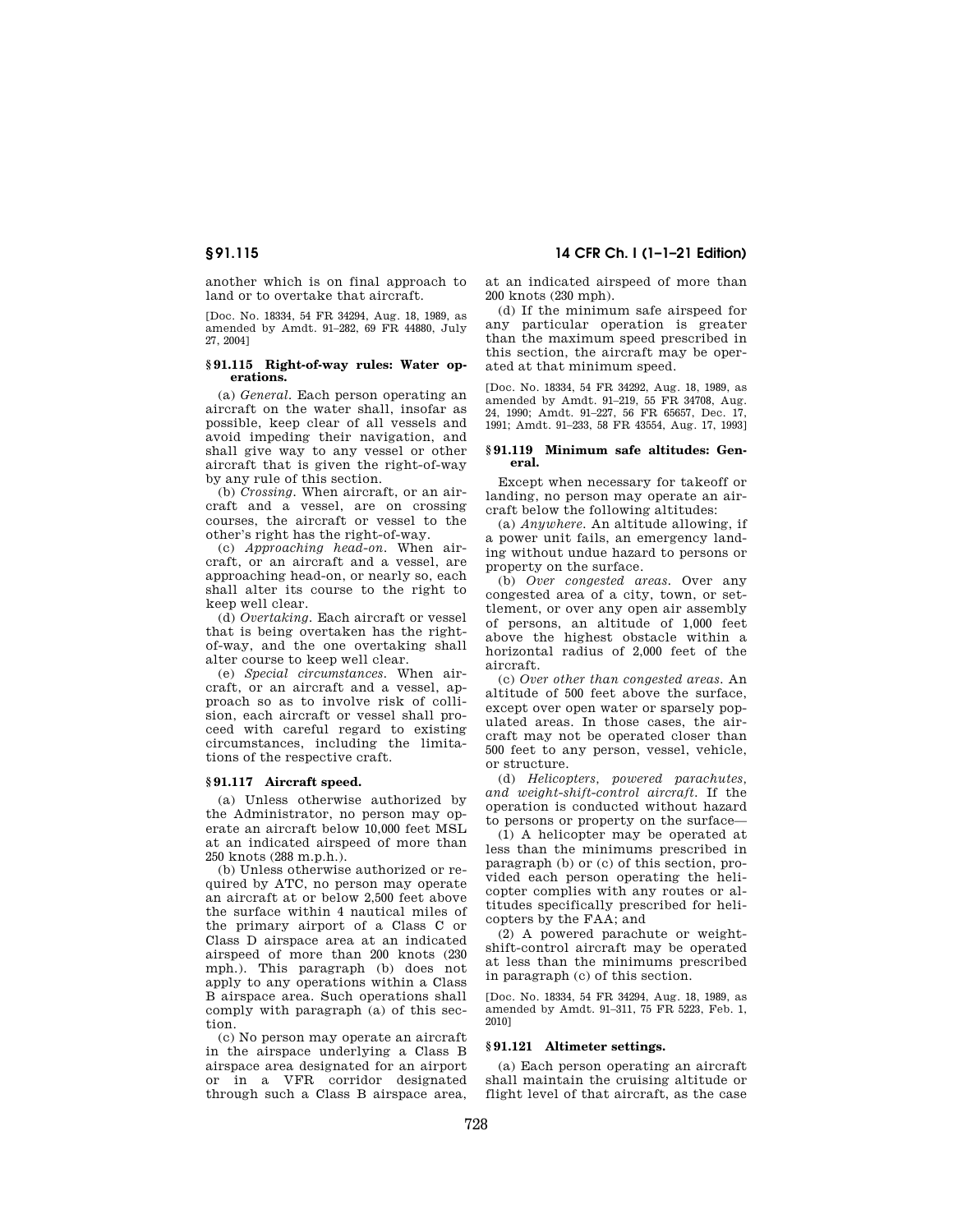another which is on final approach to land or to overtake that aircraft.

[Doc. No. 18334, 54 FR 34294, Aug. 18, 1989, as amended by Amdt. 91–282, 69 FR 44880, July 27, 2004]

## **§ 91.115 Right-of-way rules: Water operations.**

(a) *General.* Each person operating an aircraft on the water shall, insofar as possible, keep clear of all vessels and avoid impeding their navigation, and shall give way to any vessel or other aircraft that is given the right-of-way by any rule of this section.

(b) *Crossing.* When aircraft, or an aircraft and a vessel, are on crossing courses, the aircraft or vessel to the other's right has the right-of-way.

(c) *Approaching head-on.* When aircraft, or an aircraft and a vessel, are approaching head-on, or nearly so, each shall alter its course to the right to keep well clear.

(d) *Overtaking.* Each aircraft or vessel that is being overtaken has the rightof-way, and the one overtaking shall alter course to keep well clear.

(e) *Special circumstances.* When aircraft, or an aircraft and a vessel, approach so as to involve risk of collision, each aircraft or vessel shall proceed with careful regard to existing circumstances, including the limitations of the respective craft.

### **§ 91.117 Aircraft speed.**

(a) Unless otherwise authorized by the Administrator, no person may operate an aircraft below 10,000 feet MSL at an indicated airspeed of more than 250 knots (288 m.p.h.).

(b) Unless otherwise authorized or required by ATC, no person may operate an aircraft at or below 2,500 feet above the surface within 4 nautical miles of the primary airport of a Class C or Class D airspace area at an indicated airspeed of more than 200 knots (230 mph.). This paragraph (b) does not apply to any operations within a Class B airspace area. Such operations shall comply with paragraph (a) of this section.

(c) No person may operate an aircraft in the airspace underlying a Class B airspace area designated for an airport or in a VFR corridor designated through such a Class B airspace area, at an indicated airspeed of more than 200 knots (230 mph).

(d) If the minimum safe airspeed for any particular operation is greater than the maximum speed prescribed in this section, the aircraft may be operated at that minimum speed.

[Doc. No. 18334, 54 FR 34292, Aug. 18, 1989, as amended by Amdt. 91–219, 55 FR 34708, Aug. 24, 1990; Amdt. 91–227, 56 FR 65657, Dec. 17, 1991; Amdt. 91–233, 58 FR 43554, Aug. 17, 1993]

## **§ 91.119 Minimum safe altitudes: General.**

Except when necessary for takeoff or landing, no person may operate an aircraft below the following altitudes:

(a) *Anywhere.* An altitude allowing, if a power unit fails, an emergency landing without undue hazard to persons or property on the surface.

(b) *Over congested areas.* Over any congested area of a city, town, or settlement, or over any open air assembly of persons, an altitude of 1,000 feet above the highest obstacle within a horizontal radius of 2,000 feet of the aircraft.

(c) *Over other than congested areas.* An altitude of 500 feet above the surface, except over open water or sparsely populated areas. In those cases, the aircraft may not be operated closer than 500 feet to any person, vessel, vehicle, or structure.

(d) *Helicopters, powered parachutes, and weight-shift-control aircraft.* If the operation is conducted without hazard to persons or property on the surface—

(1) A helicopter may be operated at less than the minimums prescribed in paragraph (b) or (c) of this section, provided each person operating the helicopter complies with any routes or altitudes specifically prescribed for helicopters by the FAA; and

(2) A powered parachute or weightshift-control aircraft may be operated at less than the minimums prescribed in paragraph (c) of this section.

[Doc. No. 18334, 54 FR 34294, Aug. 18, 1989, as amended by Amdt. 91–311, 75 FR 5223, Feb. 1, 2010]

### **§ 91.121 Altimeter settings.**

(a) Each person operating an aircraft shall maintain the cruising altitude or flight level of that aircraft, as the case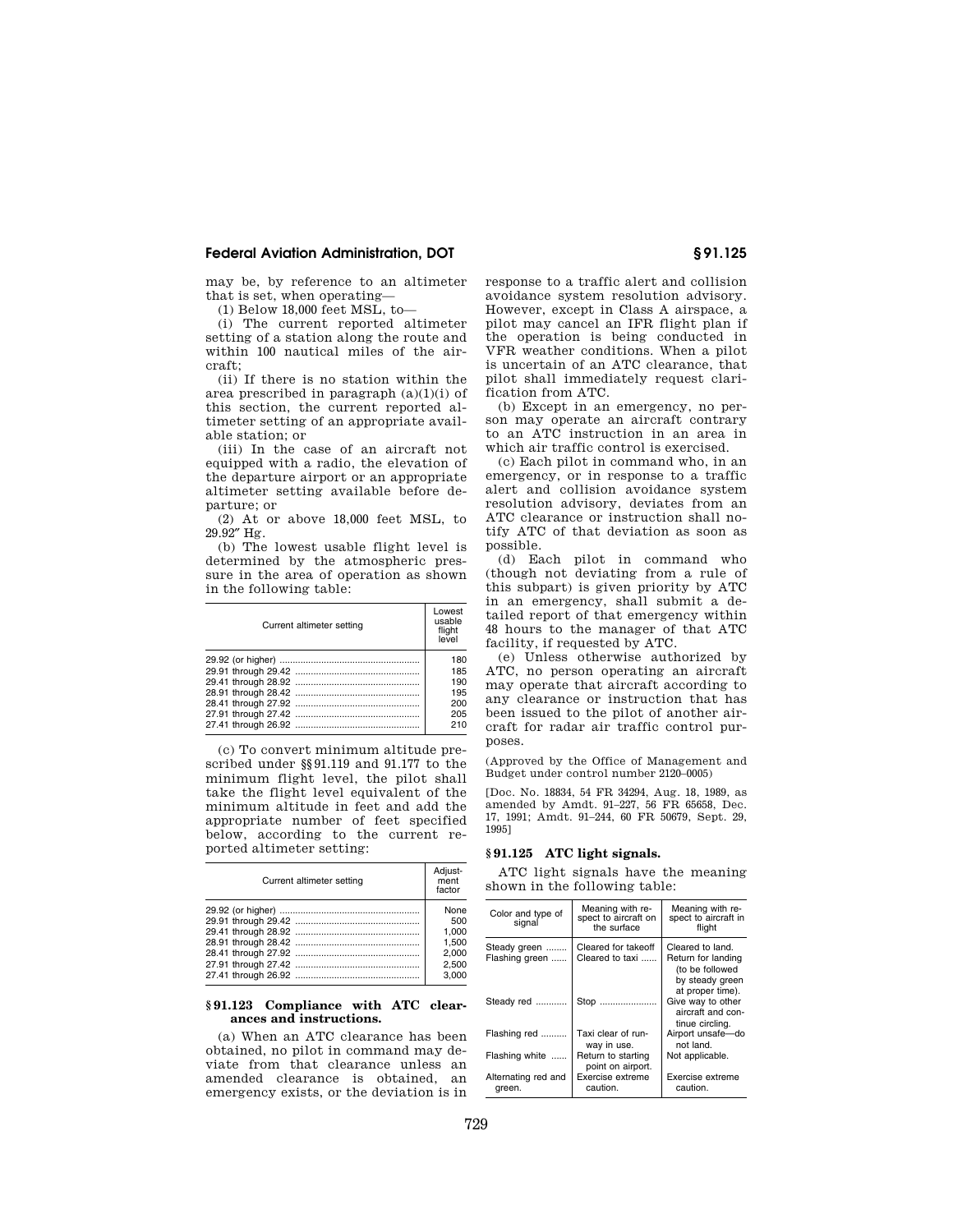may be, by reference to an altimeter that is set, when operating—

(1) Below 18,000 feet MSL, to—

(i) The current reported altimeter setting of a station along the route and within 100 nautical miles of the aircraft;

(ii) If there is no station within the area prescribed in paragraph (a)(1)(i) of this section, the current reported altimeter setting of an appropriate available station; or

(iii) In the case of an aircraft not equipped with a radio, the elevation of the departure airport or an appropriate altimeter setting available before departure; or

(2) At or above 18,000 feet MSL, to 29.92″ Hg.

(b) The lowest usable flight level is determined by the atmospheric pressure in the area of operation as shown in the following table:

| Current altimeter setting | Lowest<br>usable<br>flight<br>level |
|---------------------------|-------------------------------------|
|                           | 180                                 |
|                           | 185                                 |
|                           | 190                                 |
|                           | 195                                 |
|                           | 200                                 |
|                           | 205                                 |
|                           | 210                                 |
|                           |                                     |

(c) To convert minimum altitude prescribed under §§91.119 and 91.177 to the minimum flight level, the pilot shall take the flight level equivalent of the minimum altitude in feet and add the appropriate number of feet specified below, according to the current reported altimeter setting:

| Current altimeter setting | Adjust-<br>ment<br>factor |
|---------------------------|---------------------------|
|                           | None                      |
|                           | 500                       |
|                           |                           |
|                           | 1.000                     |
|                           | 1.500                     |
|                           | 2.000                     |
|                           | 2.500                     |
|                           | 3.000                     |

### **§ 91.123 Compliance with ATC clearances and instructions.**

(a) When an ATC clearance has been obtained, no pilot in command may deviate from that clearance unless an amended clearance is obtained, an emergency exists, or the deviation is in response to a traffic alert and collision avoidance system resolution advisory. However, except in Class A airspace, a pilot may cancel an IFR flight plan if the operation is being conducted in VFR weather conditions. When a pilot is uncertain of an ATC clearance, that pilot shall immediately request clarification from ATC.

(b) Except in an emergency, no person may operate an aircraft contrary to an ATC instruction in an area in which air traffic control is exercised.

(c) Each pilot in command who, in an emergency, or in response to a traffic alert and collision avoidance system resolution advisory, deviates from an ATC clearance or instruction shall notify ATC of that deviation as soon as possible.

(d) Each pilot in command who (though not deviating from a rule of this subpart) is given priority by ATC in an emergency, shall submit a detailed report of that emergency within 48 hours to the manager of that ATC facility, if requested by ATC.

(e) Unless otherwise authorized by ATC, no person operating an aircraft may operate that aircraft according to any clearance or instruction that has been issued to the pilot of another aircraft for radar air traffic control purposes.

(Approved by the Office of Management and Budget under control number 2120–0005)

[Doc. No. 18834, 54 FR 34294, Aug. 18, 1989, as amended by Amdt. 91–227, 56 FR 65658, Dec. 17, 1991; Amdt. 91–244, 60 FR 50679, Sept. 29, 1995]

## **§ 91.125 ATC light signals.**

ATC light signals have the meaning shown in the following table:

| Color and type of<br>signal    | Meaning with re-<br>spect to aircraft on<br>the surface | Meaning with re-<br>spect to aircraft in<br>flight                                               |
|--------------------------------|---------------------------------------------------------|--------------------------------------------------------------------------------------------------|
| Steady green<br>Flashing green | Cleared for takeoff<br>Cleared to taxi                  | Cleared to land.<br>Return for landing<br>(to be followed<br>by steady green<br>at proper time). |
| Steady red                     | Stop                                                    | Give way to other<br>aircraft and con-<br>tinue circling.                                        |
| Flashing red                   | Taxi clear of run-<br>way in use.                       | Airport unsafe-do<br>not land.                                                                   |
| Flashing white                 | Return to starting<br>point on airport.                 | Not applicable.                                                                                  |
| Alternating red and<br>green.  | Exercise extreme<br>caution.                            | Exercise extreme<br>caution.                                                                     |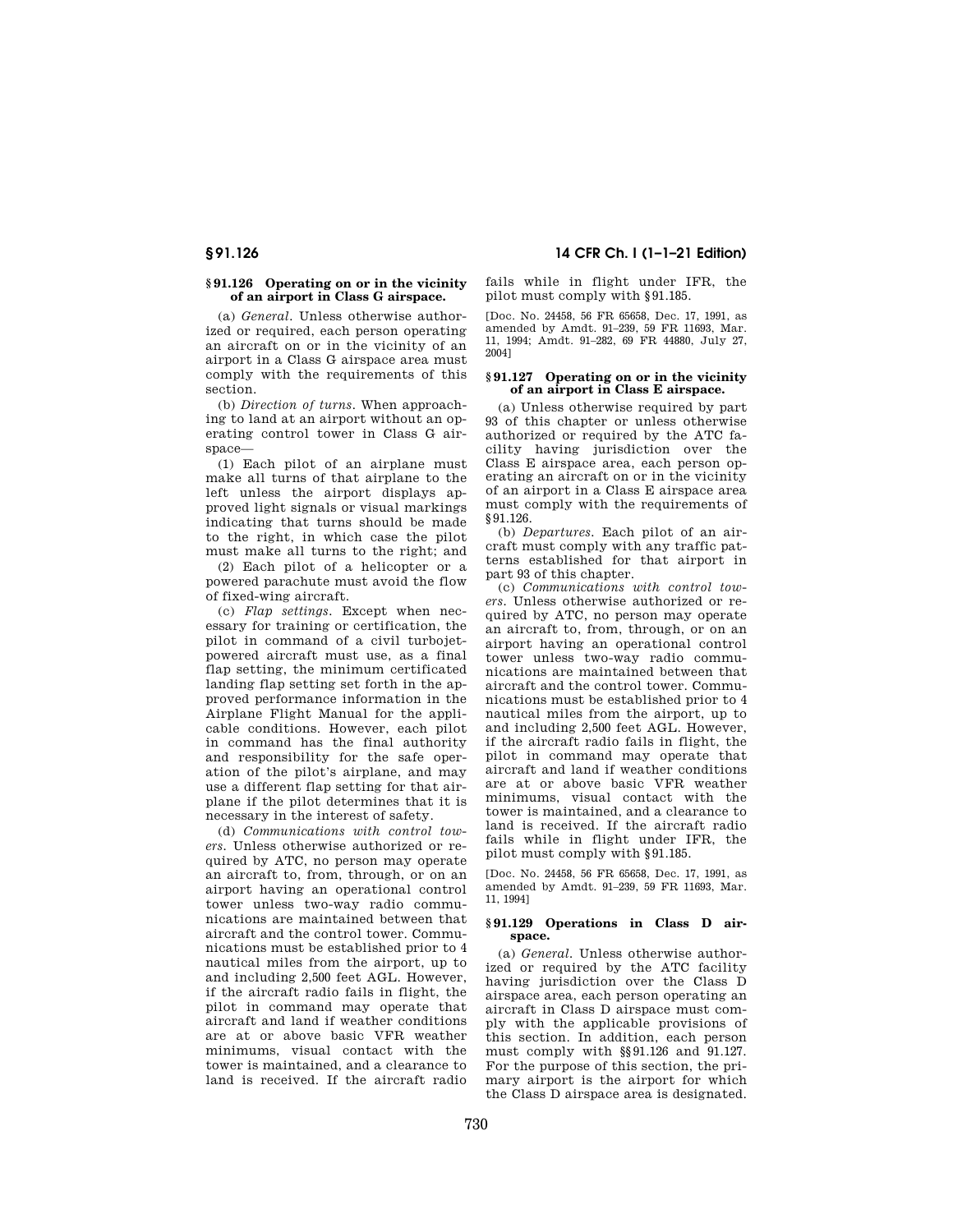# **§ 91.126 Operating on or in the vicinity of an airport in Class G airspace.**

(a) *General.* Unless otherwise authorized or required, each person operating an aircraft on or in the vicinity of an airport in a Class G airspace area must comply with the requirements of this section.

(b) *Direction of turns.* When approaching to land at an airport without an operating control tower in Class G airspace—

(1) Each pilot of an airplane must make all turns of that airplane to the left unless the airport displays approved light signals or visual markings indicating that turns should be made to the right, in which case the pilot must make all turns to the right; and

(2) Each pilot of a helicopter or a powered parachute must avoid the flow of fixed-wing aircraft.

(c) *Flap settings.* Except when necessary for training or certification, the pilot in command of a civil turbojetpowered aircraft must use, as a final flap setting, the minimum certificated landing flap setting set forth in the approved performance information in the Airplane Flight Manual for the applicable conditions. However, each pilot in command has the final authority and responsibility for the safe operation of the pilot's airplane, and may use a different flap setting for that airplane if the pilot determines that it is necessary in the interest of safety.

(d) *Communications with control towers.* Unless otherwise authorized or required by ATC, no person may operate an aircraft to, from, through, or on an airport having an operational control tower unless two-way radio communications are maintained between that aircraft and the control tower. Communications must be established prior to 4 nautical miles from the airport, up to and including 2,500 feet AGL. However, if the aircraft radio fails in flight, the pilot in command may operate that aircraft and land if weather conditions are at or above basic VFR weather minimums, visual contact with the tower is maintained, and a clearance to land is received. If the aircraft radio

# **§ 91.126 14 CFR Ch. I (1–1–21 Edition)**

fails while in flight under IFR, the pilot must comply with §91.185.

[Doc. No. 24458, 56 FR 65658, Dec. 17, 1991, as amended by Amdt. 91–239, 59 FR 11693, Mar. 11, 1994; Amdt. 91–282, 69 FR 44880, July 27, 2004]

### **§ 91.127 Operating on or in the vicinity of an airport in Class E airspace.**

(a) Unless otherwise required by part 93 of this chapter or unless otherwise authorized or required by the ATC facility having jurisdiction over the Class E airspace area, each person operating an aircraft on or in the vicinity of an airport in a Class E airspace area must comply with the requirements of §91.126.

(b) *Departures.* Each pilot of an aircraft must comply with any traffic patterns established for that airport in part 93 of this chapter.

(c) *Communications with control towers.* Unless otherwise authorized or required by ATC, no person may operate an aircraft to, from, through, or on an airport having an operational control tower unless two-way radio communications are maintained between that aircraft and the control tower. Communications must be established prior to 4 nautical miles from the airport, up to and including 2,500 feet AGL. However, if the aircraft radio fails in flight, the pilot in command may operate that aircraft and land if weather conditions are at or above basic VFR weather minimums, visual contact with the tower is maintained, and a clearance to land is received. If the aircraft radio fails while in flight under IFR, the pilot must comply with §91.185.

[Doc. No. 24458, 56 FR 65658, Dec. 17, 1991, as amended by Amdt. 91–239, 59 FR 11693, Mar. 11, 1994]

#### **§ 91.129 Operations in Class D airspace.**

(a) *General.* Unless otherwise authorized or required by the ATC facility having jurisdiction over the Class D airspace area, each person operating an aircraft in Class D airspace must comply with the applicable provisions of this section. In addition, each person must comply with §§91.126 and 91.127. For the purpose of this section, the primary airport is the airport for which the Class D airspace area is designated.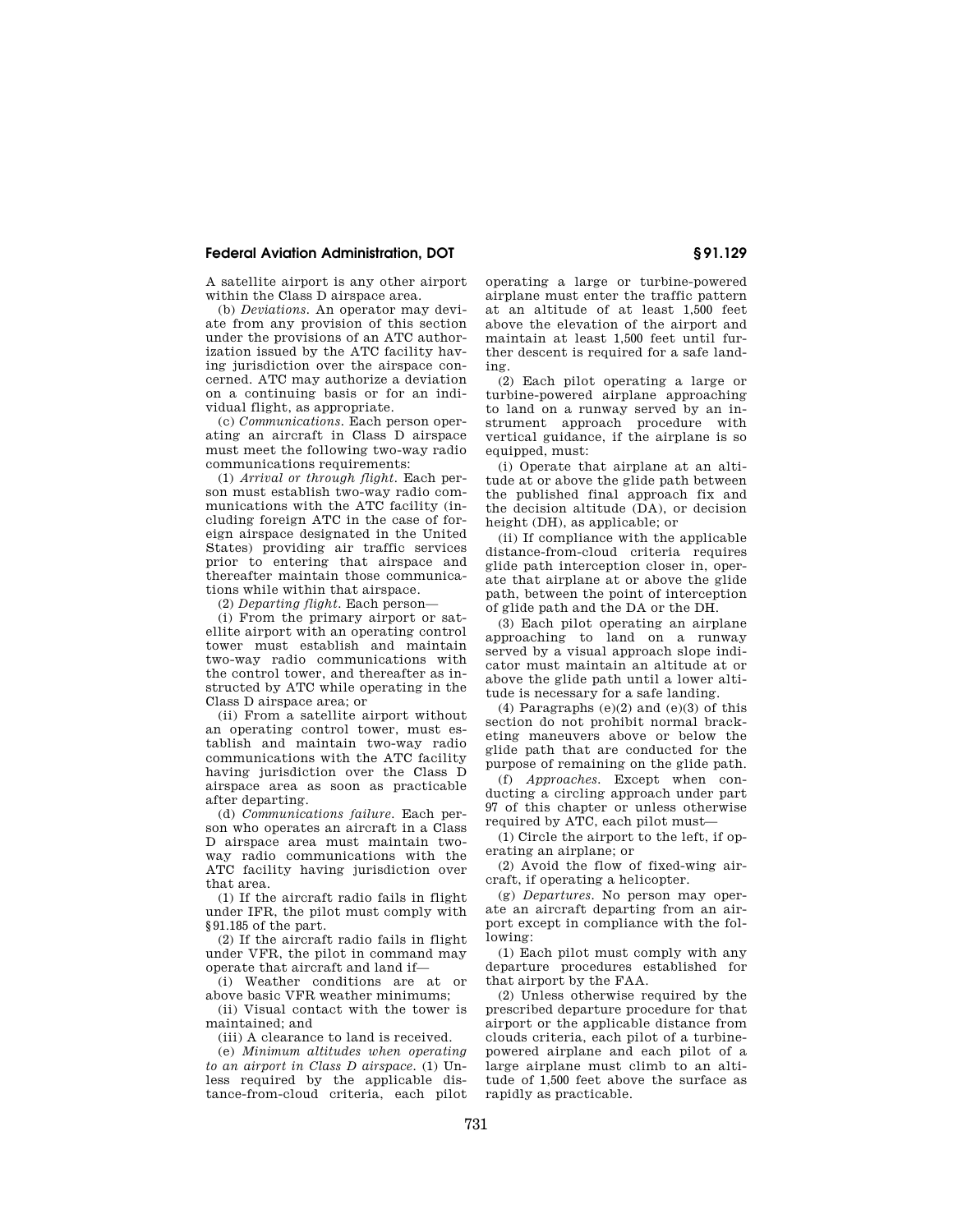A satellite airport is any other airport within the Class D airspace area.

(b) *Deviations.* An operator may deviate from any provision of this section under the provisions of an ATC authorization issued by the ATC facility having jurisdiction over the airspace concerned. ATC may authorize a deviation on a continuing basis or for an individual flight, as appropriate.

(c) *Communications.* Each person operating an aircraft in Class D airspace must meet the following two-way radio communications requirements:

(1) *Arrival or through flight.* Each person must establish two-way radio communications with the ATC facility (including foreign ATC in the case of foreign airspace designated in the United States) providing air traffic services prior to entering that airspace and thereafter maintain those communications while within that airspace.

(2) *Departing flight.* Each person—

(i) From the primary airport or satellite airport with an operating control tower must establish and maintain two-way radio communications with the control tower, and thereafter as instructed by ATC while operating in the Class D airspace area; or

(ii) From a satellite airport without an operating control tower, must establish and maintain two-way radio communications with the ATC facility having jurisdiction over the Class D airspace area as soon as practicable after departing.

(d) *Communications failure.* Each person who operates an aircraft in a Class D airspace area must maintain twoway radio communications with the ATC facility having jurisdiction over that area.

(1) If the aircraft radio fails in flight under IFR, the pilot must comply with §91.185 of the part.

(2) If the aircraft radio fails in flight under VFR, the pilot in command may operate that aircraft and land if—

(i) Weather conditions are at or above basic VFR weather minimums;

(ii) Visual contact with the tower is maintained; and

(iii) A clearance to land is received.

(e) *Minimum altitudes when operating to an airport in Class D airspace.* (1) Unless required by the applicable distance-from-cloud criteria, each pilot

operating a large or turbine-powered airplane must enter the traffic pattern at an altitude of at least 1,500 feet above the elevation of the airport and maintain at least 1,500 feet until further descent is required for a safe landing.

(2) Each pilot operating a large or turbine-powered airplane approaching to land on a runway served by an instrument approach procedure with vertical guidance, if the airplane is so equipped, must:

(i) Operate that airplane at an altitude at or above the glide path between the published final approach fix and the decision altitude (DA), or decision height (DH), as applicable; or

(ii) If compliance with the applicable distance-from-cloud criteria requires glide path interception closer in, operate that airplane at or above the glide path, between the point of interception of glide path and the DA or the DH.

(3) Each pilot operating an airplane approaching to land on a runway served by a visual approach slope indicator must maintain an altitude at or above the glide path until a lower altitude is necessary for a safe landing.

(4) Paragraphs (e)(2) and (e)(3) of this section do not prohibit normal bracketing maneuvers above or below the glide path that are conducted for the purpose of remaining on the glide path.

(f) *Approaches.* Except when conducting a circling approach under part 97 of this chapter or unless otherwise required by ATC, each pilot must—

(1) Circle the airport to the left, if operating an airplane; or

(2) Avoid the flow of fixed-wing aircraft, if operating a helicopter.

(g) *Departures.* No person may operate an aircraft departing from an airport except in compliance with the following:

(1) Each pilot must comply with any departure procedures established for that airport by the FAA.

(2) Unless otherwise required by the prescribed departure procedure for that airport or the applicable distance from clouds criteria, each pilot of a turbinepowered airplane and each pilot of a large airplane must climb to an altitude of 1,500 feet above the surface as rapidly as practicable.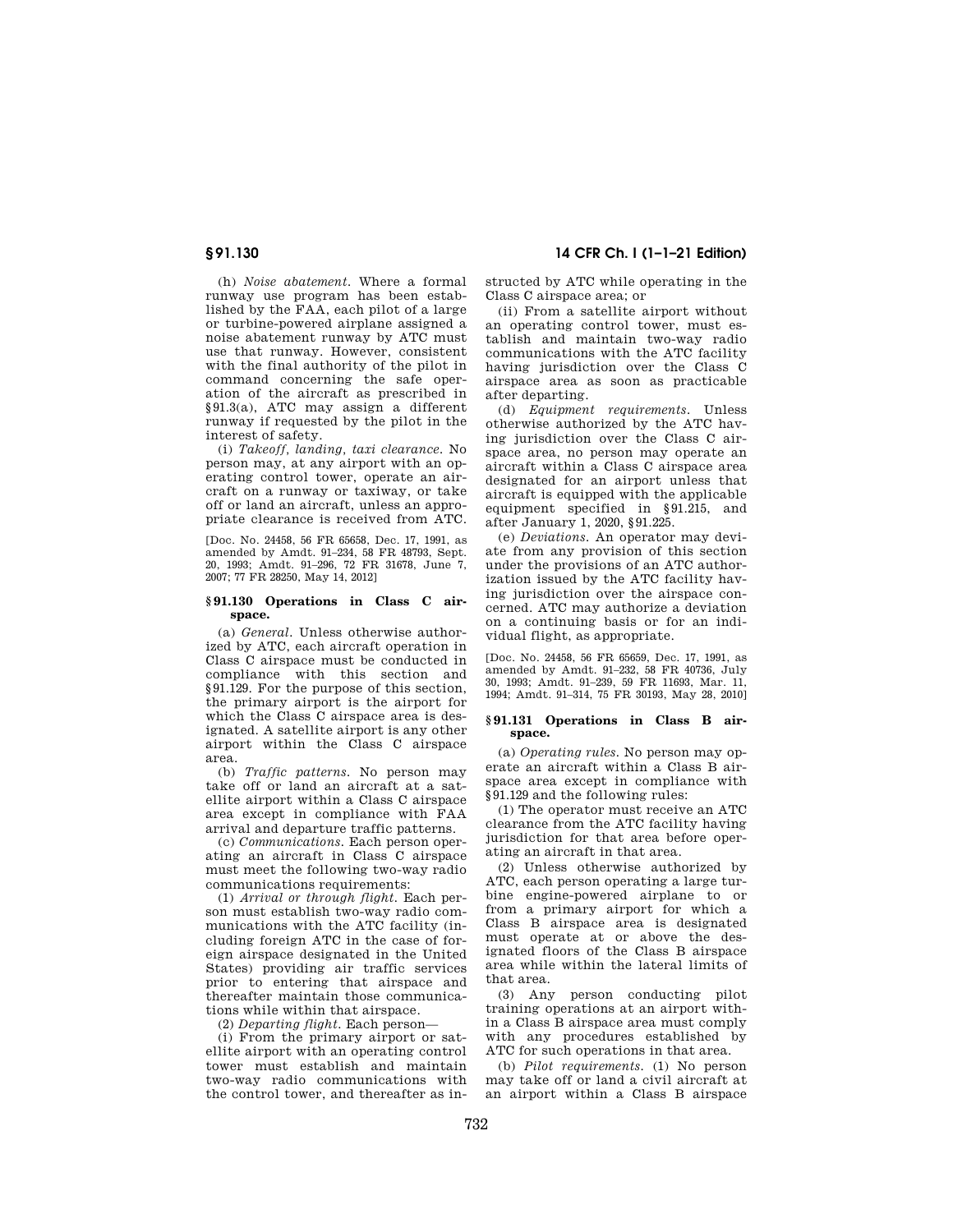(h) *Noise abatement.* Where a formal runway use program has been established by the FAA, each pilot of a large or turbine-powered airplane assigned a noise abatement runway by ATC must use that runway. However, consistent with the final authority of the pilot in command concerning the safe operation of the aircraft as prescribed in §91.3(a), ATC may assign a different runway if requested by the pilot in the interest of safety.

(i) *Takeoff, landing, taxi clearance.* No person may, at any airport with an operating control tower, operate an aircraft on a runway or taxiway, or take off or land an aircraft, unless an appropriate clearance is received from ATC.

[Doc. No. 24458, 56 FR 65658, Dec. 17, 1991, as amended by Amdt. 91–234, 58 FR 48793, Sept. 20, 1993; Amdt. 91–296, 72 FR 31678, June 7, 2007; 77 FR 28250, May 14, 2012]

# **§ 91.130 Operations in Class C airspace.**

(a) *General.* Unless otherwise authorized by ATC, each aircraft operation in Class C airspace must be conducted in compliance with this section and §91.129. For the purpose of this section, the primary airport is the airport for which the Class C airspace area is designated. A satellite airport is any other airport within the Class C airspace area.

(b) *Traffic patterns.* No person may take off or land an aircraft at a satellite airport within a Class C airspace area except in compliance with FAA arrival and departure traffic patterns.

(c) *Communications.* Each person operating an aircraft in Class C airspace must meet the following two-way radio communications requirements:

(1) *Arrival or through flight.* Each person must establish two-way radio communications with the ATC facility (including foreign ATC in the case of foreign airspace designated in the United States) providing air traffic services prior to entering that airspace and thereafter maintain those communications while within that airspace.

(2) *Departing flight.* Each person—

(i) From the primary airport or satellite airport with an operating control tower must establish and maintain two-way radio communications with the control tower, and thereafter as in-

# **§ 91.130 14 CFR Ch. I (1–1–21 Edition)**

structed by ATC while operating in the Class C airspace area; or

(ii) From a satellite airport without an operating control tower, must establish and maintain two-way radio communications with the ATC facility having jurisdiction over the Class  $\tilde{C}$ airspace area as soon as practicable after departing.

(d) *Equipment requirements.* Unless otherwise authorized by the ATC having jurisdiction over the Class C airspace area, no person may operate an aircraft within a Class C airspace area designated for an airport unless that aircraft is equipped with the applicable equipment specified in §91.215, and after January 1, 2020, §91.225.

(e) *Deviations.* An operator may deviate from any provision of this section under the provisions of an ATC authorization issued by the ATC facility having jurisdiction over the airspace concerned. ATC may authorize a deviation on a continuing basis or for an individual flight, as appropriate.

[Doc. No. 24458, 56 FR 65659, Dec. 17, 1991, as amended by Amdt. 91–232, 58 FR 40736, July 30, 1993; Amdt. 91–239, 59 FR 11693, Mar. 11, 1994; Amdt. 91–314, 75 FR 30193, May 28, 2010]

## **§ 91.131 Operations in Class B airspace.**

(a) *Operating rules.* No person may operate an aircraft within a Class B airspace area except in compliance with §91.129 and the following rules:

(1) The operator must receive an ATC clearance from the ATC facility having jurisdiction for that area before operating an aircraft in that area.

(2) Unless otherwise authorized by ATC, each person operating a large turbine engine-powered airplane to or from a primary airport for which a Class B airspace area is designated must operate at or above the designated floors of the Class B airspace area while within the lateral limits of that area.

(3) Any person conducting pilot training operations at an airport within a Class B airspace area must comply with any procedures established by ATC for such operations in that area.

(b) *Pilot requirements.* (1) No person may take off or land a civil aircraft at an airport within a Class B airspace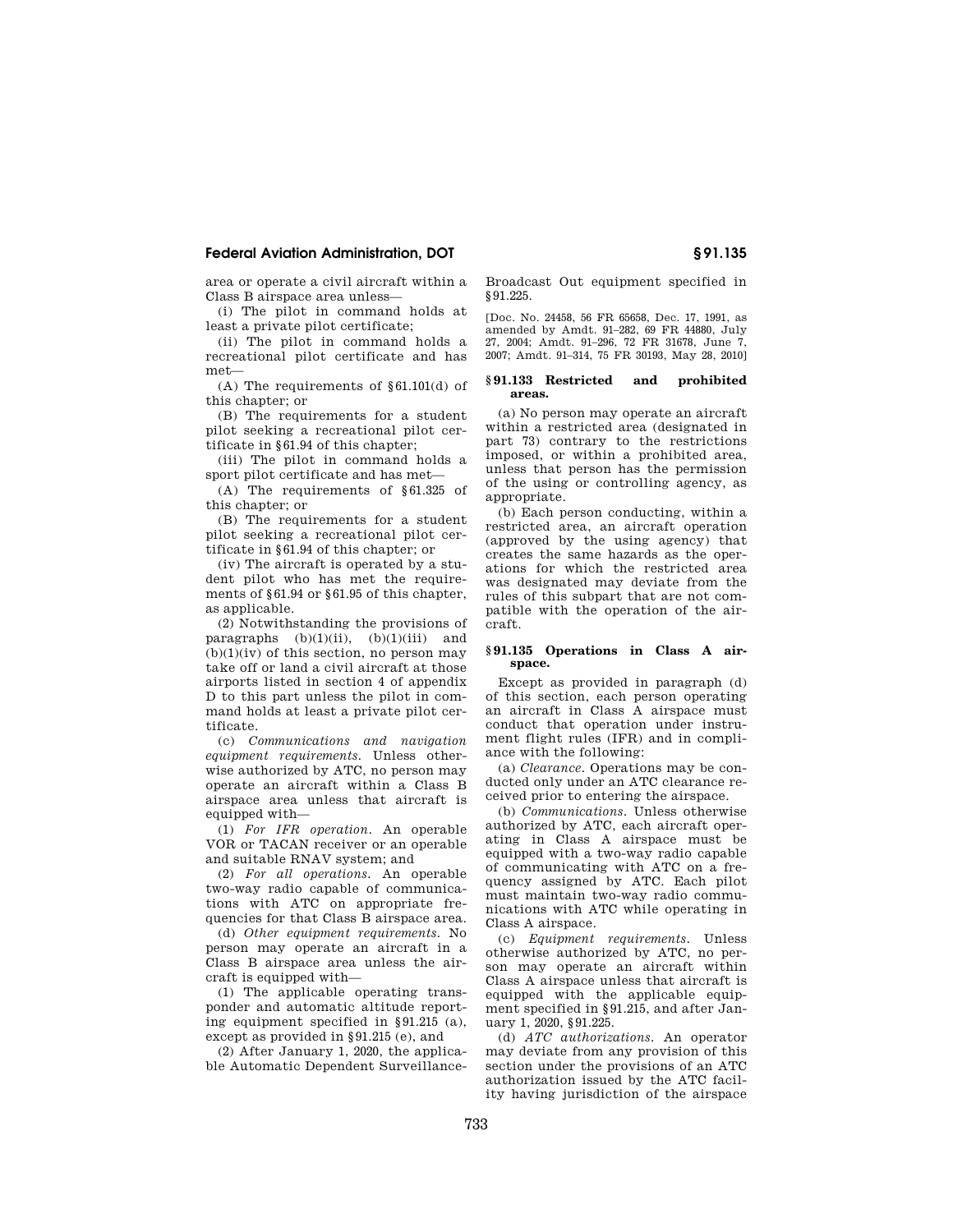area or operate a civil aircraft within a Class B airspace area unless—

(i) The pilot in command holds at least a private pilot certificate;

(ii) The pilot in command holds a recreational pilot certificate and has met—

(A) The requirements of §61.101(d) of this chapter; or

(B) The requirements for a student pilot seeking a recreational pilot certificate in §61.94 of this chapter;

(iii) The pilot in command holds a sport pilot certificate and has met—

(A) The requirements of §61.325 of this chapter; or

(B) The requirements for a student pilot seeking a recreational pilot certificate in §61.94 of this chapter; or

(iv) The aircraft is operated by a student pilot who has met the requirements of §61.94 or §61.95 of this chapter, as applicable.

(2) Notwithstanding the provisions of paragraphs  $(b)(1)(ii)$ ,  $(b)(1)(iii)$  and  $(b)(1)(iv)$  of this section, no person may take off or land a civil aircraft at those airports listed in section 4 of appendix D to this part unless the pilot in command holds at least a private pilot certificate.

(c) *Communications and navigation equipment requirements.* Unless otherwise authorized by ATC, no person may operate an aircraft within a Class B airspace area unless that aircraft is equipped with—

(1) *For IFR operation.* An operable VOR or TACAN receiver or an operable and suitable RNAV system; and

(2) *For all operations.* An operable two-way radio capable of communications with ATC on appropriate frequencies for that Class B airspace area.

(d) *Other equipment requirements.* No person may operate an aircraft in a Class B airspace area unless the aircraft is equipped with—

(1) The applicable operating transponder and automatic altitude reporting equipment specified in §91.215 (a), except as provided in §91.215 (e), and

(2) After January 1, 2020, the applicable Automatic Dependent SurveillanceBroadcast Out equipment specified in §91.225.

[Doc. No. 24458, 56 FR 65658, Dec. 17, 1991, as amended by Amdt. 91–282, 69 FR 44880, July 27, 2004; Amdt. 91–296, 72 FR 31678, June 7, 2007; Amdt. 91–314, 75 FR 30193, May 28, 2010]

#### **§ 91.133 Restricted and prohibited areas.**

(a) No person may operate an aircraft within a restricted area (designated in part 73) contrary to the restrictions imposed, or within a prohibited area, unless that person has the permission of the using or controlling agency, as appropriate.

(b) Each person conducting, within a restricted area, an aircraft operation (approved by the using agency) that creates the same hazards as the operations for which the restricted area was designated may deviate from the rules of this subpart that are not compatible with the operation of the aircraft.

# **§ 91.135 Operations in Class A airspace.**

Except as provided in paragraph (d) of this section, each person operating an aircraft in Class A airspace must conduct that operation under instrument flight rules (IFR) and in compliance with the following:

(a) *Clearance.* Operations may be conducted only under an ATC clearance received prior to entering the airspace.

(b) *Communications.* Unless otherwise authorized by ATC, each aircraft operating in Class A airspace must be equipped with a two-way radio capable of communicating with ATC on a frequency assigned by ATC. Each pilot must maintain two-way radio communications with ATC while operating in Class A airspace.

(c) *Equipment requirements.* Unless otherwise authorized by ATC, no person may operate an aircraft within Class A airspace unless that aircraft is equipped with the applicable equipment specified in §91.215, and after January 1, 2020, §91.225.

(d) *ATC authorizations.* An operator may deviate from any provision of this section under the provisions of an ATC authorization issued by the ATC facility having jurisdiction of the airspace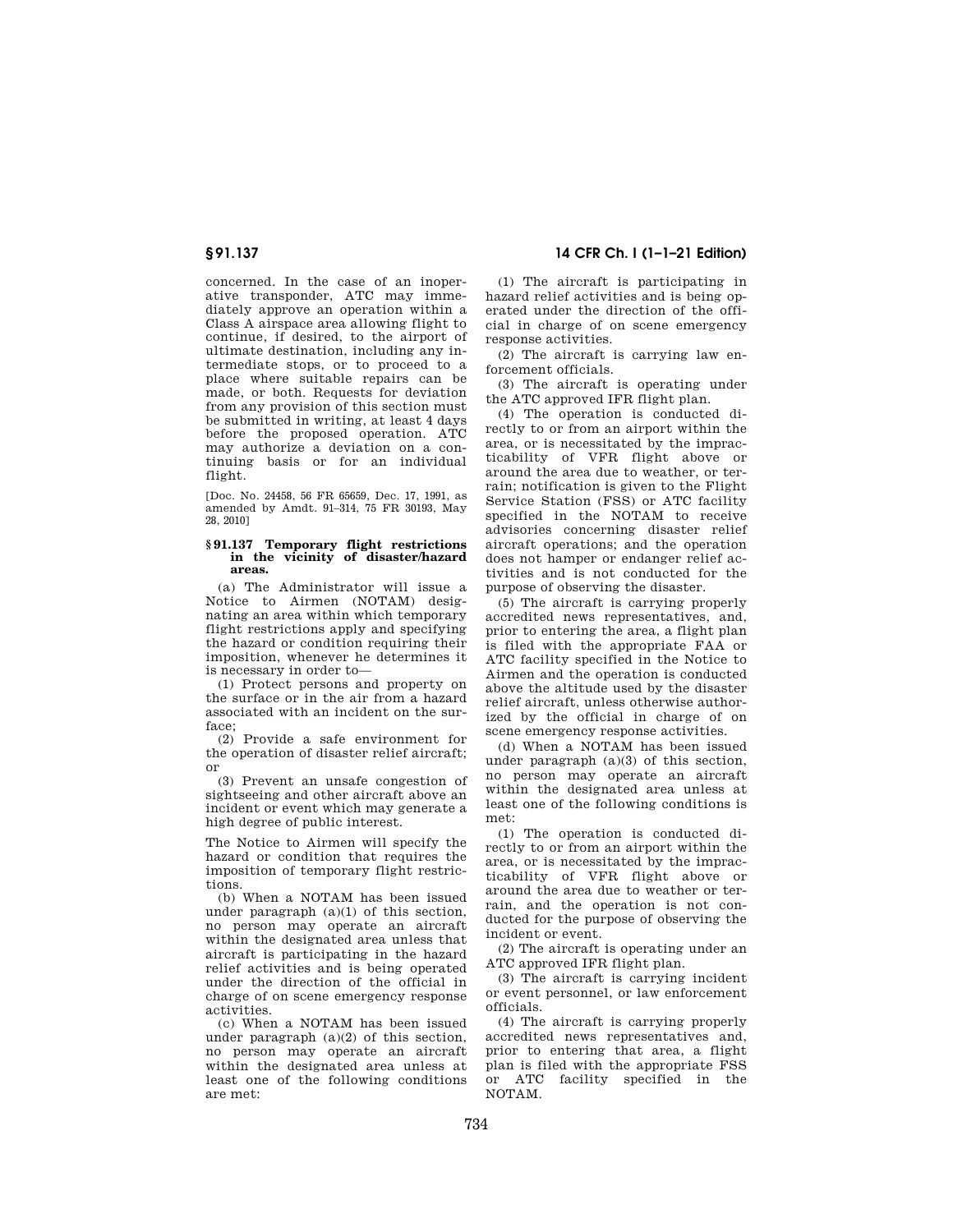# **§ 91.137 14 CFR Ch. I (1–1–21 Edition)**

concerned. In the case of an inoperative transponder, ATC may immediately approve an operation within a Class A airspace area allowing flight to continue, if desired, to the airport of ultimate destination, including any intermediate stops, or to proceed to a place where suitable repairs can be made, or both. Requests for deviation from any provision of this section must be submitted in writing, at least 4 days before the proposed operation. ATC may authorize a deviation on a continuing basis or for an individual flight.

[Doc. No. 24458, 56 FR 65659, Dec. 17, 1991, as amended by Amdt. 91–314, 75 FR 30193, May 28, 2010]

# **§ 91.137 Temporary flight restrictions in the vicinity of disaster/hazard areas.**

(a) The Administrator will issue a Notice to Airmen (NOTAM) designating an area within which temporary flight restrictions apply and specifying the hazard or condition requiring their imposition, whenever he determines it is necessary in order to—

(1) Protect persons and property on the surface or in the air from a hazard associated with an incident on the surface;

(2) Provide a safe environment for the operation of disaster relief aircraft; or

(3) Prevent an unsafe congestion of sightseeing and other aircraft above an incident or event which may generate a high degree of public interest.

The Notice to Airmen will specify the hazard or condition that requires the imposition of temporary flight restrictions.

(b) When a NOTAM has been issued under paragraph (a)(1) of this section, no person may operate an aircraft within the designated area unless that aircraft is participating in the hazard relief activities and is being operated under the direction of the official in charge of on scene emergency response activities.

(c) When a NOTAM has been issued under paragraph  $(a)(2)$  of this section, no person may operate an aircraft within the designated area unless at least one of the following conditions are met:

(1) The aircraft is participating in hazard relief activities and is being operated under the direction of the official in charge of on scene emergency response activities.

(2) The aircraft is carrying law enforcement officials.

(3) The aircraft is operating under the ATC approved IFR flight plan.

(4) The operation is conducted directly to or from an airport within the area, or is necessitated by the impracticability of VFR flight above or around the area due to weather, or terrain; notification is given to the Flight Service Station (FSS) or ATC facility specified in the NOTAM to receive advisories concerning disaster relief aircraft operations; and the operation does not hamper or endanger relief activities and is not conducted for the purpose of observing the disaster.

(5) The aircraft is carrying properly accredited news representatives, and, prior to entering the area, a flight plan is filed with the appropriate FAA or ATC facility specified in the Notice to Airmen and the operation is conducted above the altitude used by the disaster relief aircraft, unless otherwise authorized by the official in charge of on scene emergency response activities.

(d) When a NOTAM has been issued under paragraph  $(a)(3)$  of this section, no person may operate an aircraft within the designated area unless at least one of the following conditions is met:

(1) The operation is conducted directly to or from an airport within the area, or is necessitated by the impracticability of VFR flight above or around the area due to weather or terrain, and the operation is not conducted for the purpose of observing the incident or event.

(2) The aircraft is operating under an ATC approved IFR flight plan.

(3) The aircraft is carrying incident or event personnel, or law enforcement officials.

(4) The aircraft is carrying properly accredited news representatives and, prior to entering that area, a flight plan is filed with the appropriate FSS or ATC facility specified in the NOTAM.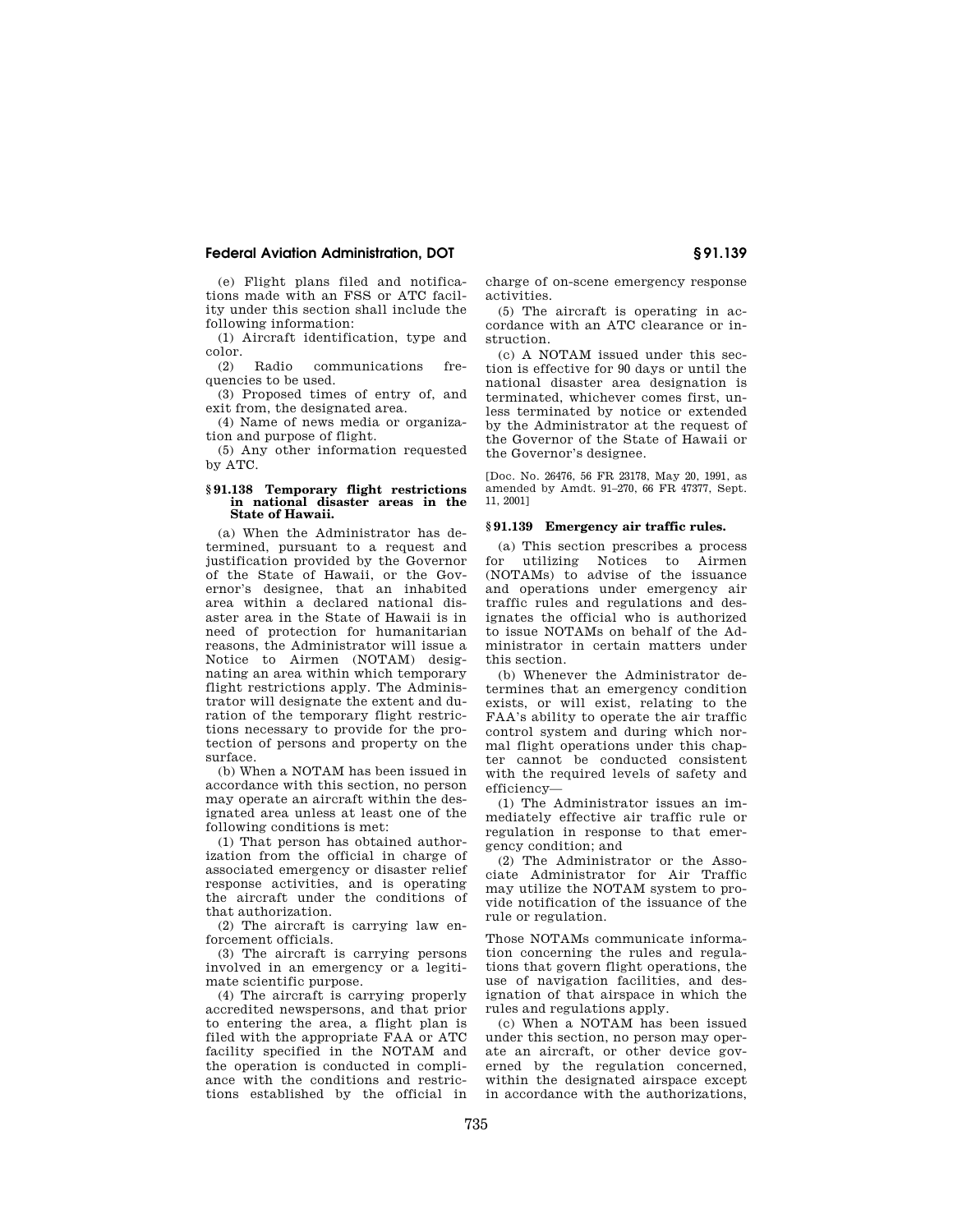(e) Flight plans filed and notifications made with an FSS or ATC facility under this section shall include the following information:

(1) Aircraft identification, type and color.

(2) Radio communications frequencies to be used.

(3) Proposed times of entry of, and exit from, the designated area.

(4) Name of news media or organization and purpose of flight.

(5) Any other information requested by ATC.

## **§ 91.138 Temporary flight restrictions in national disaster areas in the State of Hawaii.**

(a) When the Administrator has determined, pursuant to a request and justification provided by the Governor of the State of Hawaii, or the Governor's designee, that an inhabited area within a declared national disaster area in the State of Hawaii is in need of protection for humanitarian reasons, the Administrator will issue a Notice to Airmen (NOTAM) designating an area within which temporary flight restrictions apply. The Administrator will designate the extent and duration of the temporary flight restrictions necessary to provide for the protection of persons and property on the surface.

(b) When a NOTAM has been issued in accordance with this section, no person may operate an aircraft within the designated area unless at least one of the following conditions is met:

(1) That person has obtained authorization from the official in charge of associated emergency or disaster relief response activities, and is operating the aircraft under the conditions of that authorization.

(2) The aircraft is carrying law enforcement officials.

(3) The aircraft is carrying persons involved in an emergency or a legitimate scientific purpose.

(4) The aircraft is carrying properly accredited newspersons, and that prior to entering the area, a flight plan is filed with the appropriate FAA or ATC facility specified in the NOTAM and the operation is conducted in compliance with the conditions and restrictions established by the official in charge of on-scene emergency response activities.

(5) The aircraft is operating in accordance with an ATC clearance or instruction.

(c) A NOTAM issued under this section is effective for 90 days or until the national disaster area designation is terminated, whichever comes first, unless terminated by notice or extended by the Administrator at the request of the Governor of the State of Hawaii or the Governor's designee.

[Doc. No. 26476, 56 FR 23178, May 20, 1991, as amended by Amdt. 91–270, 66 FR 47377, Sept. 11, 2001]

# **§ 91.139 Emergency air traffic rules.**

(a) This section prescribes a process for utilizing Notices to Airmen (NOTAMs) to advise of the issuance and operations under emergency air traffic rules and regulations and designates the official who is authorized to issue NOTAMs on behalf of the Administrator in certain matters under this section.

(b) Whenever the Administrator determines that an emergency condition exists, or will exist, relating to the FAA's ability to operate the air traffic control system and during which normal flight operations under this chapter cannot be conducted consistent with the required levels of safety and efficiency—

(1) The Administrator issues an immediately effective air traffic rule or regulation in response to that emergency condition; and

(2) The Administrator or the Associate Administrator for Air Traffic may utilize the NOTAM system to provide notification of the issuance of the rule or regulation.

Those NOTAMs communicate information concerning the rules and regulations that govern flight operations, the use of navigation facilities, and designation of that airspace in which the rules and regulations apply.

(c) When a NOTAM has been issued under this section, no person may operate an aircraft, or other device governed by the regulation concerned, within the designated airspace except in accordance with the authorizations,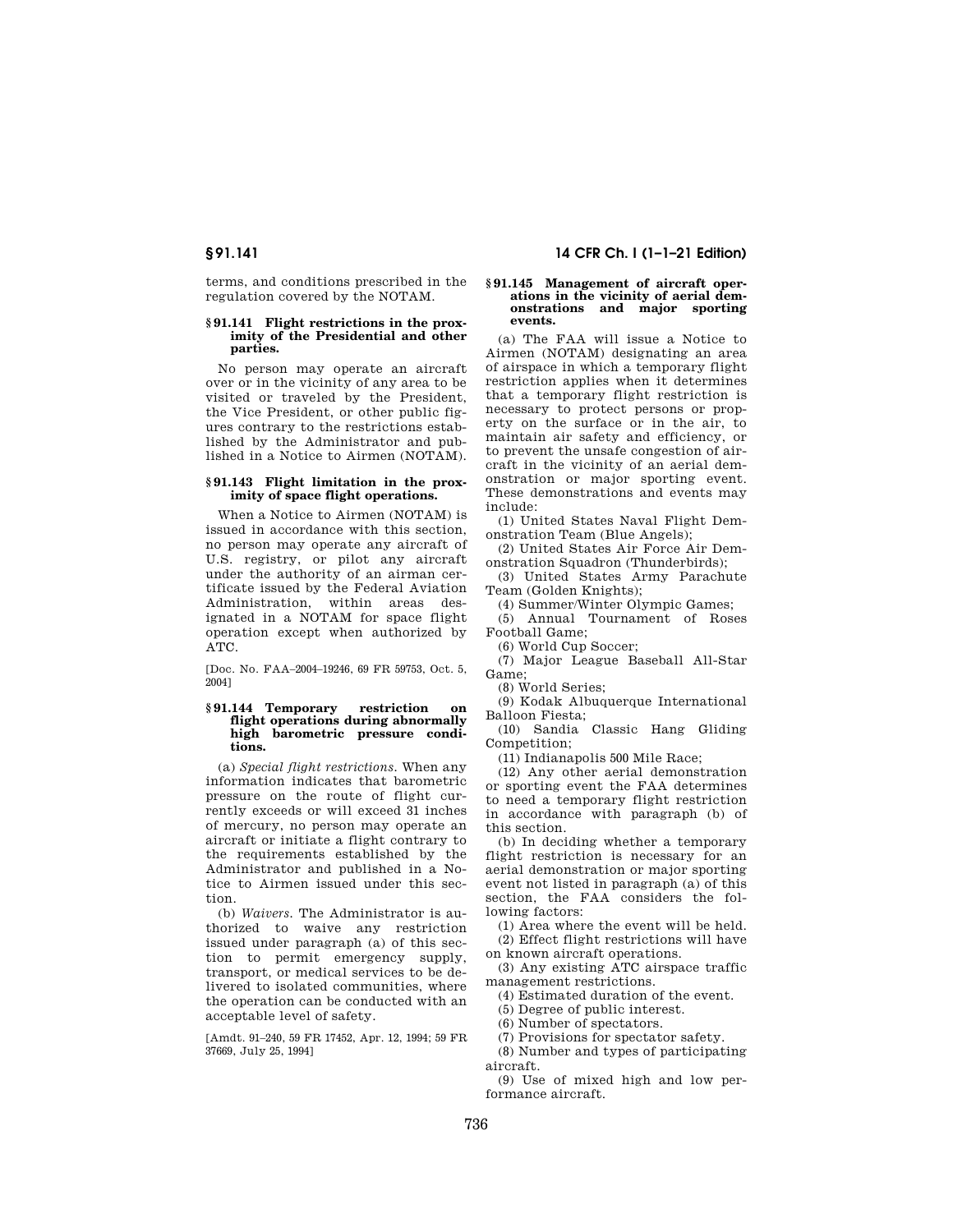terms, and conditions prescribed in the regulation covered by the NOTAM.

# **§ 91.141 Flight restrictions in the proximity of the Presidential and other parties.**

No person may operate an aircraft over or in the vicinity of any area to be visited or traveled by the President, the Vice President, or other public figures contrary to the restrictions established by the Administrator and published in a Notice to Airmen (NOTAM).

## **§ 91.143 Flight limitation in the proximity of space flight operations.**

When a Notice to Airmen (NOTAM) is issued in accordance with this section, no person may operate any aircraft of U.S. registry, or pilot any aircraft under the authority of an airman certificate issued by the Federal Aviation Administration, within areas designated in a NOTAM for space flight operation except when authorized by ATC.

[Doc. No. FAA–2004–19246, 69 FR 59753, Oct. 5, 2004]

### **§ 91.144 Temporary restriction on flight operations during abnormally high barometric pressure conditions.**

(a) *Special flight restrictions.* When any information indicates that barometric pressure on the route of flight currently exceeds or will exceed 31 inches of mercury, no person may operate an aircraft or initiate a flight contrary to the requirements established by the Administrator and published in a Notice to Airmen issued under this section.

(b) *Waivers.* The Administrator is authorized to waive any restriction issued under paragraph (a) of this section to permit emergency supply, transport, or medical services to be delivered to isolated communities, where the operation can be conducted with an acceptable level of safety.

[Amdt. 91–240, 59 FR 17452, Apr. 12, 1994; 59 FR 37669, July 25, 1994]

# **§ 91.141 14 CFR Ch. I (1–1–21 Edition)**

#### **§ 91.145 Management of aircraft operations in the vicinity of aerial demonstrations and major sporting events.**

(a) The FAA will issue a Notice to Airmen (NOTAM) designating an area of airspace in which a temporary flight restriction applies when it determines that a temporary flight restriction is necessary to protect persons or property on the surface or in the air, to maintain air safety and efficiency, or to prevent the unsafe congestion of aircraft in the vicinity of an aerial demonstration or major sporting event. These demonstrations and events may include:

(1) United States Naval Flight Demonstration Team (Blue Angels);

(2) United States Air Force Air Demonstration Squadron (Thunderbirds);

(3) United States Army Parachute Team (Golden Knights);

(4) Summer/Winter Olympic Games;

(5) Annual Tournament of Roses

Football Game;

(6) World Cup Soccer;

(7) Major League Baseball All-Star Game;

(8) World Series;

(9) Kodak Albuquerque International Balloon Fiesta;

(10) Sandia Classic Hang Gliding Competition;

(11) Indianapolis 500 Mile Race;

(12) Any other aerial demonstration or sporting event the FAA determines to need a temporary flight restriction in accordance with paragraph (b) of this section.

(b) In deciding whether a temporary flight restriction is necessary for an aerial demonstration or major sporting event not listed in paragraph (a) of this section, the FAA considers the following factors:

(1) Area where the event will be held. (2) Effect flight restrictions will have on known aircraft operations.

(3) Any existing ATC airspace traffic management restrictions.

(4) Estimated duration of the event.

(5) Degree of public interest.

(6) Number of spectators.

(7) Provisions for spectator safety.

(8) Number and types of participating aircraft.

(9) Use of mixed high and low performance aircraft.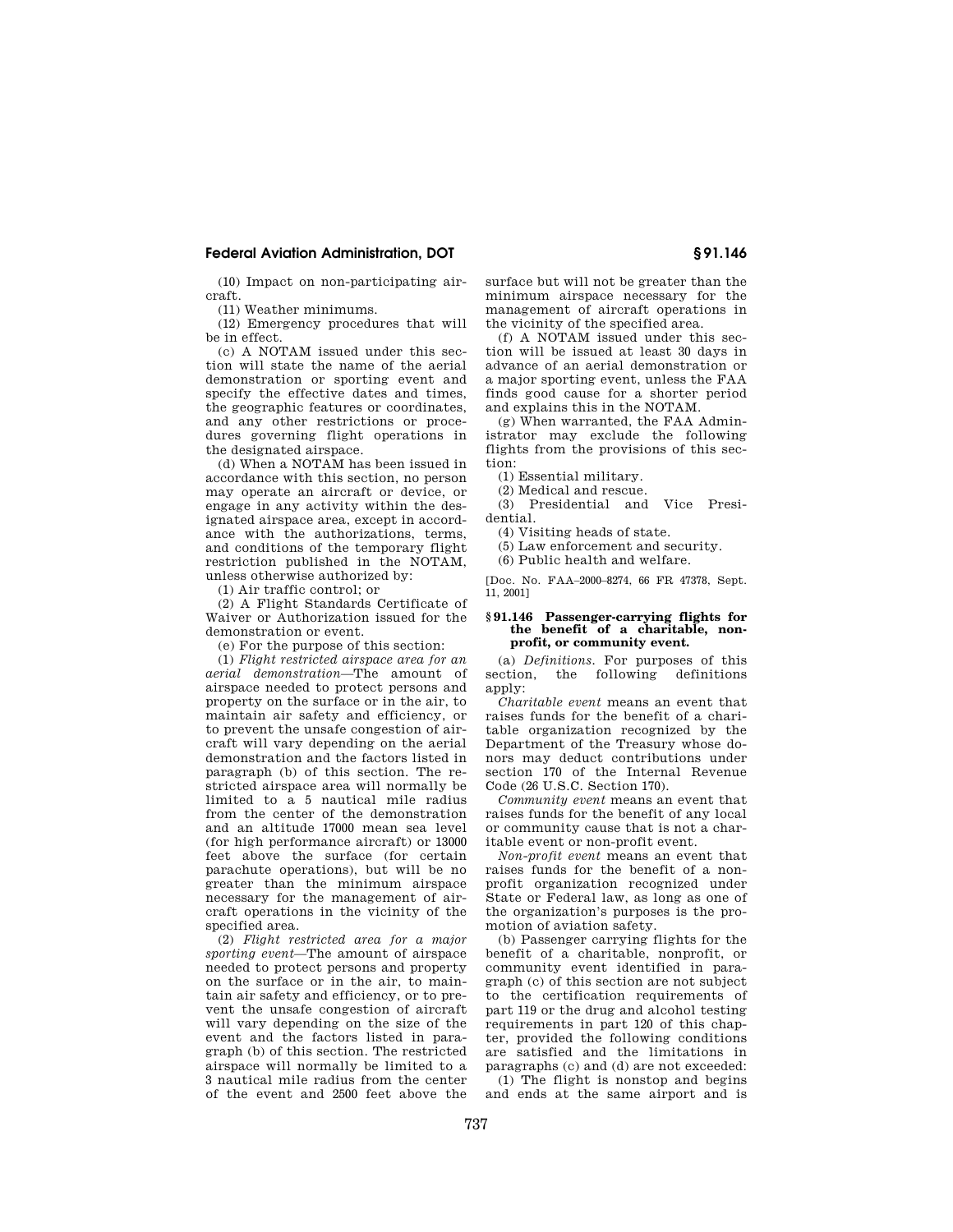(10) Impact on non-participating aircraft.

(11) Weather minimums.

(12) Emergency procedures that will be in effect.

(c) A NOTAM issued under this section will state the name of the aerial demonstration or sporting event and specify the effective dates and times, the geographic features or coordinates, and any other restrictions or procedures governing flight operations in the designated airspace.

(d) When a NOTAM has been issued in accordance with this section, no person may operate an aircraft or device, or engage in any activity within the designated airspace area, except in accordance with the authorizations, terms, and conditions of the temporary flight restriction published in the NOTAM, unless otherwise authorized by:

(1) Air traffic control; or

(2) A Flight Standards Certificate of Waiver or Authorization issued for the demonstration or event.

(e) For the purpose of this section:

(1) *Flight restricted airspace area for an aerial demonstration—*The amount of airspace needed to protect persons and property on the surface or in the air, to maintain air safety and efficiency, or to prevent the unsafe congestion of aircraft will vary depending on the aerial demonstration and the factors listed in paragraph (b) of this section. The restricted airspace area will normally be limited to a 5 nautical mile radius from the center of the demonstration and an altitude 17000 mean sea level (for high performance aircraft) or 13000 feet above the surface (for certain parachute operations), but will be no greater than the minimum airspace necessary for the management of aircraft operations in the vicinity of the specified area.

(2) *Flight restricted area for a major sporting event—*The amount of airspace needed to protect persons and property on the surface or in the air, to maintain air safety and efficiency, or to prevent the unsafe congestion of aircraft will vary depending on the size of the event and the factors listed in paragraph (b) of this section. The restricted airspace will normally be limited to a 3 nautical mile radius from the center of the event and 2500 feet above the surface but will not be greater than the minimum airspace necessary for the management of aircraft operations in the vicinity of the specified area.

(f) A NOTAM issued under this section will be issued at least 30 days in advance of an aerial demonstration or a major sporting event, unless the FAA finds good cause for a shorter period and explains this in the NOTAM.

(g) When warranted, the FAA Administrator may exclude the following flights from the provisions of this section:

(1) Essential military.

(2) Medical and rescue.

(3) Presidential and Vice Presidential.

(4) Visiting heads of state.

(5) Law enforcement and security.

(6) Public health and welfare.

[Doc. No. FAA–2000–8274, 66 FR 47378, Sept. 11, 2001]

#### **§ 91.146 Passenger-carrying flights for the benefit of a charitable, nonprofit, or community event.**

(a) *Definitions.* For purposes of this section, the following definitions apply:

*Charitable event* means an event that raises funds for the benefit of a charitable organization recognized by the Department of the Treasury whose donors may deduct contributions under section 170 of the Internal Revenue Code (26 U.S.C. Section 170).

*Community event* means an event that raises funds for the benefit of any local or community cause that is not a charitable event or non-profit event.

*Non-profit event* means an event that raises funds for the benefit of a nonprofit organization recognized under State or Federal law, as long as one of the organization's purposes is the promotion of aviation safety.

(b) Passenger carrying flights for the benefit of a charitable, nonprofit, or community event identified in paragraph (c) of this section are not subject to the certification requirements of part 119 or the drug and alcohol testing requirements in part 120 of this chapter, provided the following conditions are satisfied and the limitations in paragraphs (c) and (d) are not exceeded:

(1) The flight is nonstop and begins and ends at the same airport and is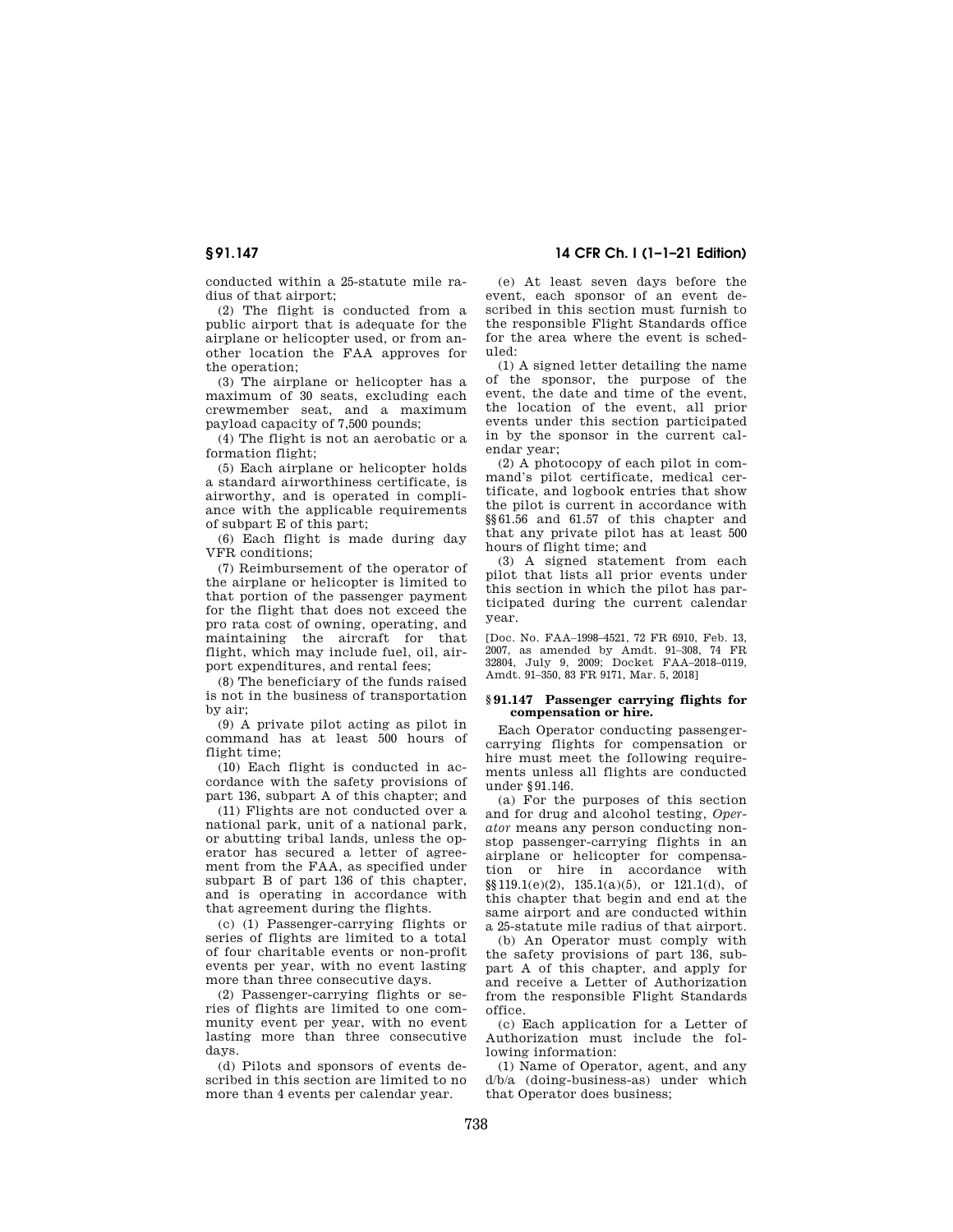conducted within a 25-statute mile radius of that airport;

(2) The flight is conducted from a public airport that is adequate for the airplane or helicopter used, or from another location the FAA approves for the operation;

(3) The airplane or helicopter has a maximum of 30 seats, excluding each crewmember seat, and a maximum payload capacity of 7,500 pounds;

(4) The flight is not an aerobatic or a formation flight;

(5) Each airplane or helicopter holds a standard airworthiness certificate, is airworthy, and is operated in compliance with the applicable requirements of subpart E of this part;

(6) Each flight is made during day VFR conditions;

(7) Reimbursement of the operator of the airplane or helicopter is limited to that portion of the passenger payment for the flight that does not exceed the pro rata cost of owning, operating, and maintaining the aircraft for that flight, which may include fuel, oil, airport expenditures, and rental fees;

(8) The beneficiary of the funds raised is not in the business of transportation by air;

(9) A private pilot acting as pilot in command has at least 500 hours of flight time;

(10) Each flight is conducted in accordance with the safety provisions of part 136, subpart A of this chapter; and

(11) Flights are not conducted over a national park, unit of a national park, or abutting tribal lands, unless the operator has secured a letter of agreement from the FAA, as specified under subpart B of part 136 of this chapter, and is operating in accordance with that agreement during the flights.

(c) (1) Passenger-carrying flights or series of flights are limited to a total of four charitable events or non-profit events per year, with no event lasting more than three consecutive days.

(2) Passenger-carrying flights or series of flights are limited to one community event per year, with no event lasting more than three consecutive days.

(d) Pilots and sponsors of events described in this section are limited to no more than 4 events per calendar year.

**§ 91.147 14 CFR Ch. I (1–1–21 Edition)** 

(e) At least seven days before the event, each sponsor of an event described in this section must furnish to the responsible Flight Standards office for the area where the event is scheduled:

(1) A signed letter detailing the name of the sponsor, the purpose of the event, the date and time of the event, the location of the event, all prior events under this section participated in by the sponsor in the current calendar year;

(2) A photocopy of each pilot in command's pilot certificate, medical certificate, and logbook entries that show the pilot is current in accordance with §§61.56 and 61.57 of this chapter and that any private pilot has at least 500 hours of flight time; and

(3) A signed statement from each pilot that lists all prior events under this section in which the pilot has participated during the current calendar year.

[Doc. No. FAA–1998–4521, 72 FR 6910, Feb. 13, 2007, as amended by Amdt. 91–308, 74 FR 32804, July 9, 2009; Docket FAA–2018–0119, Amdt. 91–350, 83 FR 9171, Mar. 5, 2018]

### **§ 91.147 Passenger carrying flights for compensation or hire.**

Each Operator conducting passengercarrying flights for compensation or hire must meet the following requirements unless all flights are conducted under §91.146.

(a) For the purposes of this section and for drug and alcohol testing, *Operator* means any person conducting nonstop passenger-carrying flights in an airplane or helicopter for compensation or hire in accordance with  $\S$ [19.1(e)(2), 135.1(a)(5), or 121.1(d), of this chapter that begin and end at the same airport and are conducted within a 25-statute mile radius of that airport.

(b) An Operator must comply with the safety provisions of part 136, subpart A of this chapter, and apply for and receive a Letter of Authorization from the responsible Flight Standards office.

(c) Each application for a Letter of Authorization must include the following information:

(1) Name of Operator, agent, and any d/b/a (doing-business-as) under which that Operator does business;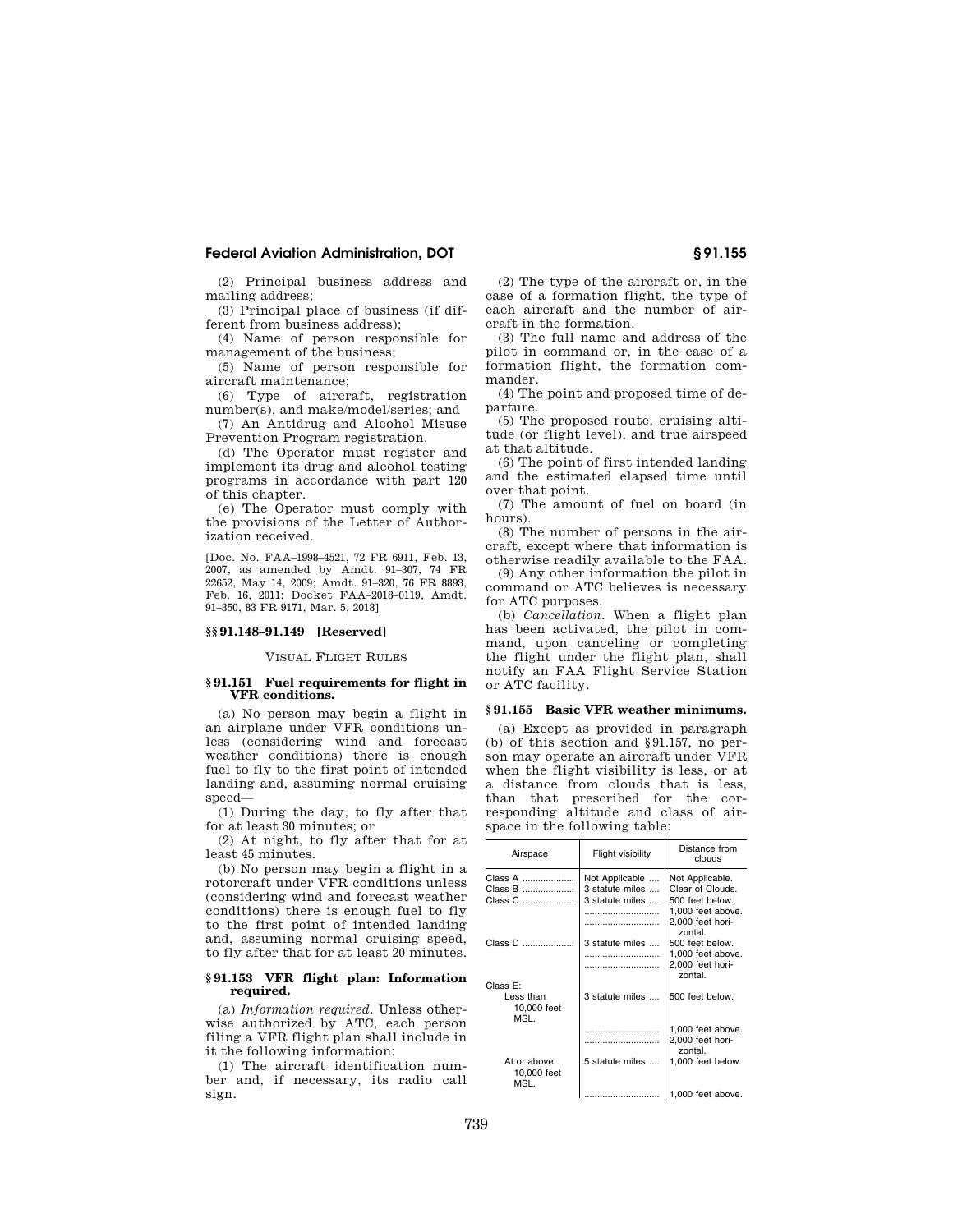(2) Principal business address and mailing address;

(3) Principal place of business (if different from business address);

(4) Name of person responsible for management of the business;

(5) Name of person responsible for aircraft maintenance;

(6) Type of aircraft, registration number(s), and make/model/series; and (7) An Antidrug and Alcohol Misuse

Prevention Program registration.

(d) The Operator must register and implement its drug and alcohol testing programs in accordance with part 120 of this chapter.

(e) The Operator must comply with the provisions of the Letter of Authorization received.

[Doc. No. FAA–1998–4521, 72 FR 6911, Feb. 13, 2007, as amended by Amdt. 91–307, 74 FR 22652, May 14, 2009; Amdt. 91–320, 76 FR 8893, Feb. 16, 2011; Docket FAA–2018–0119, Amdt. 91–350, 83 FR 9171, Mar. 5, 2018]

#### **§§ 91.148–91.149 [Reserved]**

# VISUAL FLIGHT RULES

#### **§ 91.151 Fuel requirements for flight in VFR conditions.**

(a) No person may begin a flight in an airplane under VFR conditions unless (considering wind and forecast weather conditions) there is enough fuel to fly to the first point of intended landing and, assuming normal cruising speed—

(1) During the day, to fly after that for at least 30 minutes; or

(2) At night, to fly after that for at least 45 minutes.

(b) No person may begin a flight in a rotorcraft under VFR conditions unless (considering wind and forecast weather conditions) there is enough fuel to fly to the first point of intended landing and, assuming normal cruising speed, to fly after that for at least 20 minutes.

### **§ 91.153 VFR flight plan: Information required.**

(a) *Information required.* Unless otherwise authorized by ATC, each person filing a VFR flight plan shall include in it the following information:

(1) The aircraft identification number and, if necessary, its radio call sign.

(2) The type of the aircraft or, in the case of a formation flight, the type of each aircraft and the number of aircraft in the formation.

(3) The full name and address of the pilot in command or, in the case of a formation flight, the formation commander.

(4) The point and proposed time of departure.

(5) The proposed route, cruising altitude (or flight level), and true airspeed at that altitude.

(6) The point of first intended landing and the estimated elapsed time until over that point.

(7) The amount of fuel on board (in hours).

(8) The number of persons in the aircraft, except where that information is otherwise readily available to the FAA.

(9) Any other information the pilot in command or ATC believes is necessary for ATC purposes.

(b) *Cancellation.* When a flight plan has been activated, the pilot in command, upon canceling or completing the flight under the flight plan, shall notify an FAA Flight Service Station or ATC facility.

## **§ 91.155 Basic VFR weather minimums.**

(a) Except as provided in paragraph (b) of this section and §91.157, no person may operate an aircraft under VFR when the flight visibility is less, or at a distance from clouds that is less, than that prescribed for the corresponding altitude and class of airspace in the following table:

| Airspace                                     | Flight visibility                                        | Distance from<br>clouds                                                                         |
|----------------------------------------------|----------------------------------------------------------|-------------------------------------------------------------------------------------------------|
| Class A<br>Class B<br>Class C                | Not Applicable<br>3 statute miles<br>3 statute miles<br> | Not Applicable.<br>Clear of Clouds.<br>500 feet below.<br>1,000 feet above.<br>2,000 feet hori- |
| Class D                                      | 3 statute miles                                          | zontal.<br>500 feet below.<br>1,000 feet above.<br>2,000 feet hori-<br>zontal.                  |
| Class E:<br>Less than<br>10,000 feet<br>MSL. | 3 statute miles                                          | 500 feet below.                                                                                 |
|                                              |                                                          | 1,000 feet above.<br>2,000 feet hori-<br>zontal.                                                |
| At or above<br>10,000 feet<br>MSL            | 5 statute miles                                          | 1,000 feet below.                                                                               |
|                                              |                                                          | 1,000 feet above.                                                                               |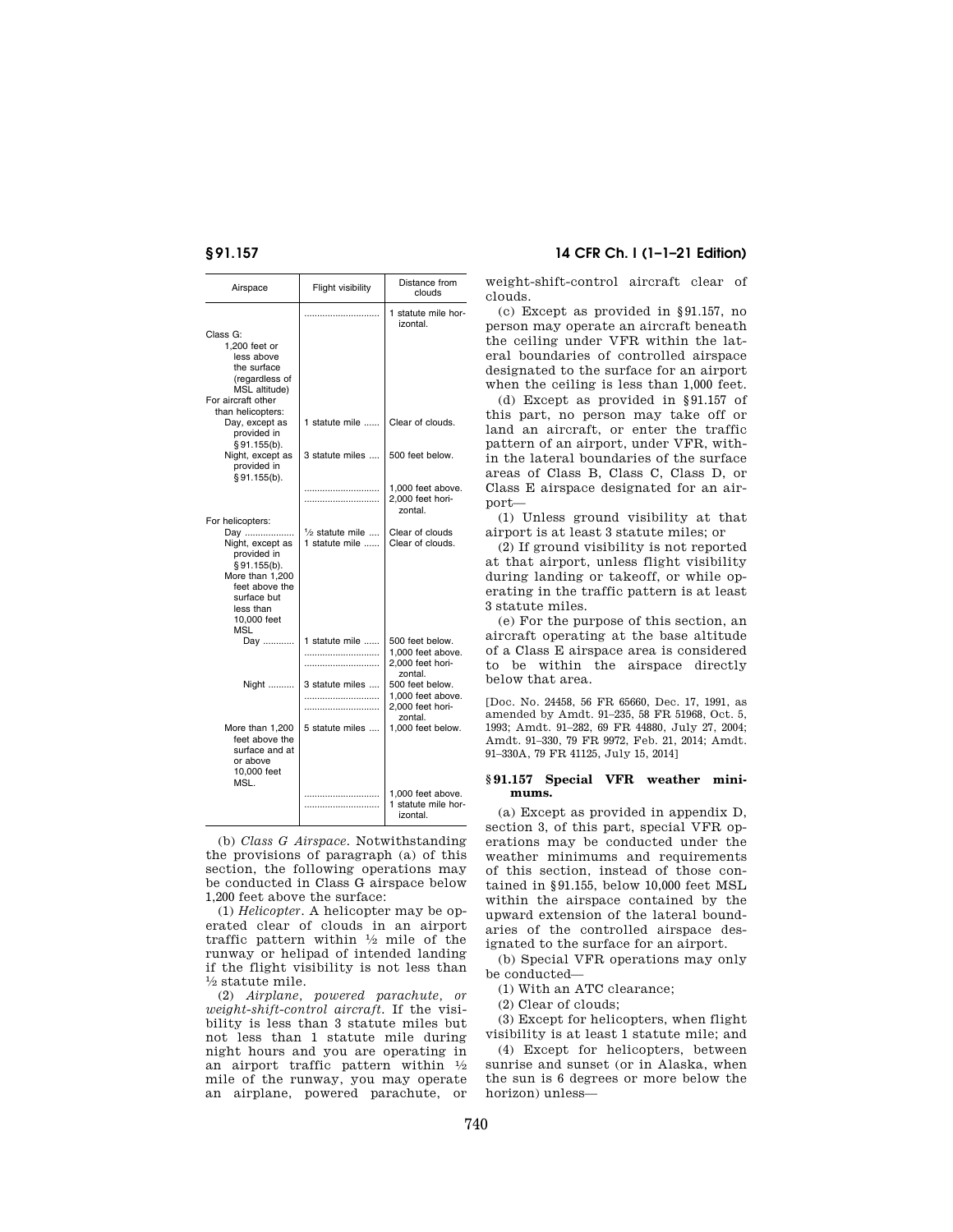| Airspace                            | Flight visibility          | Distance from<br>clouds                  |
|-------------------------------------|----------------------------|------------------------------------------|
|                                     |                            | 1 statute mile hor-<br>izontal.          |
| Class G:                            |                            |                                          |
| 1,200 feet or                       |                            |                                          |
| less above                          |                            |                                          |
| the surface                         |                            |                                          |
| (regardless of                      |                            |                                          |
| MSL altitude)                       |                            |                                          |
| For aircraft other                  |                            |                                          |
| than helicopters:<br>Day, except as | 1 statute mile             | Clear of clouds.                         |
| provided in                         |                            |                                          |
| §91.155(b).                         |                            |                                          |
| Night, except as                    | 3 statute miles            | 500 feet below.                          |
| provided in                         |                            |                                          |
| §91.155(b).                         |                            |                                          |
|                                     |                            | 1,000 feet above.                        |
|                                     |                            | 2.000 feet hori-                         |
|                                     |                            | zontal.                                  |
| For helicopters:<br>Day             | $\frac{1}{2}$ statute mile | Clear of clouds                          |
| Night, except as                    | 1 statute mile             | Clear of clouds.                         |
| provided in                         |                            |                                          |
| §91.155(b).                         |                            |                                          |
| More than 1,200                     |                            |                                          |
| feet above the                      |                            |                                          |
| surface but                         |                            |                                          |
| less than                           |                            |                                          |
| 10,000 feet<br><b>MSL</b>           |                            |                                          |
| Day                                 | 1 statute mile             | 500 feet below.                          |
|                                     |                            | 1,000 feet above.                        |
|                                     |                            | 2,000 feet hori-                         |
|                                     |                            | zontal.                                  |
| Night                               | 3 statute miles            | 500 feet below.                          |
|                                     |                            | 1,000 feet above.<br>2.000 feet hori-    |
|                                     |                            | zontal.                                  |
| More than 1,200                     | 5 statute miles            | 1,000 feet below.                        |
| feet above the                      |                            |                                          |
| surface and at                      |                            |                                          |
| or above                            |                            |                                          |
| 10,000 feet                         |                            |                                          |
| MSL.                                |                            |                                          |
|                                     |                            | 1.000 feet above.<br>1 statute mile hor- |
|                                     |                            | izontal.                                 |

(b) *Class G Airspace.* Notwithstanding the provisions of paragraph (a) of this section, the following operations may be conducted in Class G airspace below 1,200 feet above the surface:

(1) *Helicopter.* A helicopter may be operated clear of clouds in an airport traffic pattern within 1⁄2 mile of the runway or helipad of intended landing if the flight visibility is not less than 1⁄2 statute mile.

(2) *Airplane, powered parachute, or weight-shift-control aircraft.* If the visibility is less than 3 statute miles but not less than 1 statute mile during night hours and you are operating in an airport traffic pattern within  $\frac{1}{2}$ mile of the runway, you may operate an airplane, powered parachute, or

# **§ 91.157 14 CFR Ch. I (1–1–21 Edition)**

weight-shift-control aircraft clear of clouds.

(c) Except as provided in §91.157, no person may operate an aircraft beneath the ceiling under VFR within the lateral boundaries of controlled airspace designated to the surface for an airport when the ceiling is less than 1,000 feet.

(d) Except as provided in §91.157 of this part, no person may take off or land an aircraft, or enter the traffic pattern of an airport, under VFR, within the lateral boundaries of the surface areas of Class B, Class C, Class D, or Class E airspace designated for an airport—

(1) Unless ground visibility at that airport is at least 3 statute miles; or

(2) If ground visibility is not reported at that airport, unless flight visibility during landing or takeoff, or while operating in the traffic pattern is at least 3 statute miles.

(e) For the purpose of this section, an aircraft operating at the base altitude of a Class E airspace area is considered to be within the airspace directly below that area.

[Doc. No. 24458, 56 FR 65660, Dec. 17, 1991, as amended by Amdt. 91–235, 58 FR 51968, Oct. 5, 1993; Amdt. 91–282, 69 FR 44880, July 27, 2004; Amdt. 91–330, 79 FR 9972, Feb. 21, 2014; Amdt. 91–330A, 79 FR 41125, July 15, 2014]

## **§ 91.157 Special VFR weather minimums.**

(a) Except as provided in appendix D, section 3, of this part, special VFR operations may be conducted under the weather minimums and requirements of this section, instead of those contained in §91.155, below 10,000 feet MSL within the airspace contained by the upward extension of the lateral boundaries of the controlled airspace designated to the surface for an airport.

(b) Special VFR operations may only be conducted—

(1) With an ATC clearance;

(2) Clear of clouds;

(3) Except for helicopters, when flight visibility is at least 1 statute mile; and

(4) Except for helicopters, between sunrise and sunset (or in Alaska, when the sun is 6 degrees or more below the horizon) unless—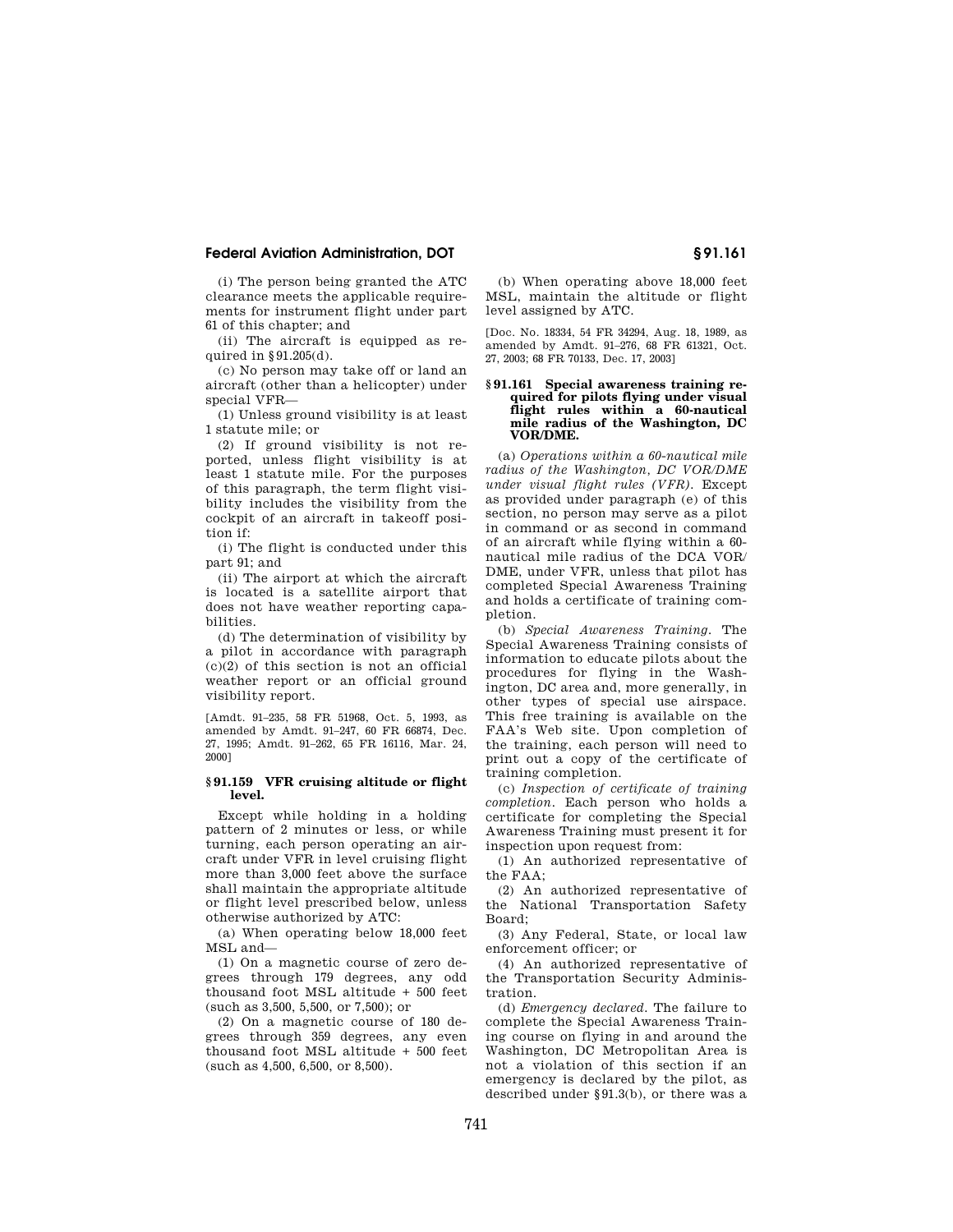(i) The person being granted the ATC clearance meets the applicable requirements for instrument flight under part 61 of this chapter; and

(ii) The aircraft is equipped as required in §91.205(d).

(c) No person may take off or land an aircraft (other than a helicopter) under special VFR—

(1) Unless ground visibility is at least 1 statute mile; or

(2) If ground visibility is not reported, unless flight visibility is at least 1 statute mile. For the purposes of this paragraph, the term flight visibility includes the visibility from the cockpit of an aircraft in takeoff position if:

(i) The flight is conducted under this part 91; and

(ii) The airport at which the aircraft is located is a satellite airport that does not have weather reporting capabilities.

(d) The determination of visibility by a pilot in accordance with paragraph  $(c)(2)$  of this section is not an official weather report or an official ground visibility report.

[Amdt. 91–235, 58 FR 51968, Oct. 5, 1993, as amended by Amdt. 91–247, 60 FR 66874, Dec. 27, 1995; Amdt. 91–262, 65 FR 16116, Mar. 24, 2000]

# **§ 91.159 VFR cruising altitude or flight level.**

Except while holding in a holding pattern of 2 minutes or less, or while turning, each person operating an aircraft under VFR in level cruising flight more than 3,000 feet above the surface shall maintain the appropriate altitude or flight level prescribed below, unless otherwise authorized by ATC:

(a) When operating below 18,000 feet MSL and—

(1) On a magnetic course of zero degrees through 179 degrees, any odd thousand foot MSL altitude + 500 feet (such as 3,500, 5,500, or 7,500); or

(2) On a magnetic course of 180 degrees through 359 degrees, any even thousand foot MSL altitude + 500 feet (such as 4,500, 6,500, or 8,500).

(b) When operating above 18,000 feet MSL, maintain the altitude or flight level assigned by ATC.

[Doc. No. 18334, 54 FR 34294, Aug. 18, 1989, as amended by Amdt. 91–276, 68 FR 61321, Oct. 27, 2003; 68 FR 70133, Dec. 17, 2003]

### **§ 91.161 Special awareness training required for pilots flying under visual flight rules within a 60-nautical mile radius of the Washington, DC VOR/DME.**

(a) *Operations within a 60-nautical mile radius of the Washington, DC VOR/DME under visual flight rules (VFR).* Except as provided under paragraph (e) of this section, no person may serve as a pilot in command or as second in command of an aircraft while flying within a 60 nautical mile radius of the DCA VOR/ DME, under VFR, unless that pilot has completed Special Awareness Training and holds a certificate of training completion.

(b) *Special Awareness Training.* The Special Awareness Training consists of information to educate pilots about the procedures for flying in the Washington, DC area and, more generally, in other types of special use airspace. This free training is available on the FAA's Web site. Upon completion of the training, each person will need to print out a copy of the certificate of training completion.

(c) *Inspection of certificate of training completion.* Each person who holds a certificate for completing the Special Awareness Training must present it for inspection upon request from:

(1) An authorized representative of the FAA;

(2) An authorized representative of the National Transportation Safety Board;

(3) Any Federal, State, or local law enforcement officer; or

(4) An authorized representative of the Transportation Security Administration.

(d) *Emergency declared.* The failure to complete the Special Awareness Training course on flying in and around the Washington, DC Metropolitan Area is not a violation of this section if an emergency is declared by the pilot, as described under §91.3(b), or there was a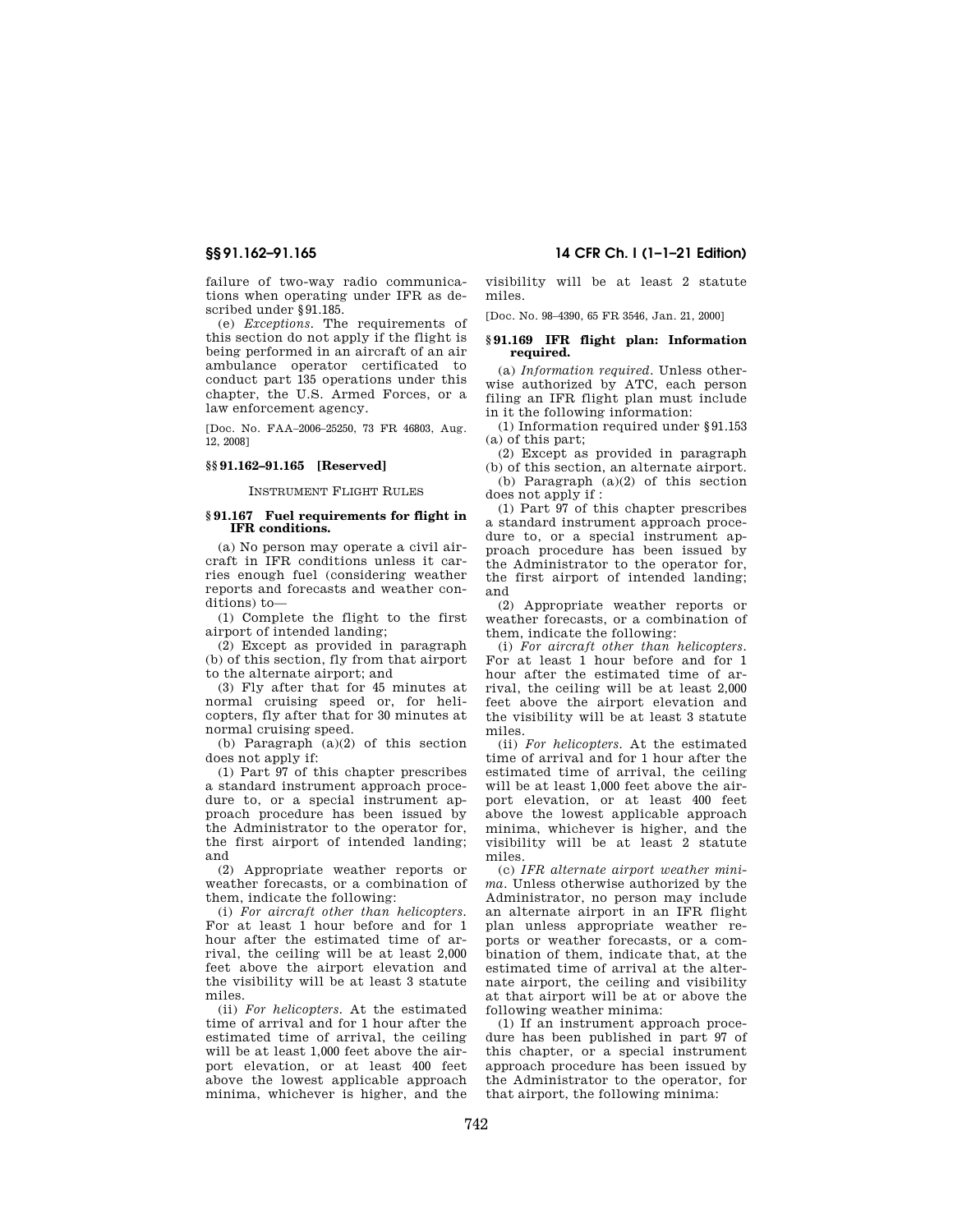failure of two-way radio communications when operating under IFR as described under §91.185.

(e) *Exceptions.* The requirements of this section do not apply if the flight is being performed in an aircraft of an air ambulance operator certificated to conduct part 135 operations under this chapter, the U.S. Armed Forces, or a law enforcement agency.

[Doc. No. FAA–2006–25250, 73 FR 46803, Aug. 12, 2008]

#### **§§ 91.162–91.165 [Reserved]**

#### INSTRUMENT FLIGHT RULES

#### **§ 91.167 Fuel requirements for flight in IFR conditions.**

(a) No person may operate a civil aircraft in IFR conditions unless it carries enough fuel (considering weather reports and forecasts and weather conditions) to—

(1) Complete the flight to the first airport of intended landing;

(2) Except as provided in paragraph (b) of this section, fly from that airport to the alternate airport; and

(3) Fly after that for 45 minutes at normal cruising speed or, for helicopters, fly after that for 30 minutes at normal cruising speed.

(b) Paragraph (a)(2) of this section does not apply if:

(1) Part 97 of this chapter prescribes a standard instrument approach procedure to, or a special instrument approach procedure has been issued by the Administrator to the operator for, the first airport of intended landing; and

(2) Appropriate weather reports or weather forecasts, or a combination of them, indicate the following:

(i) *For aircraft other than helicopters.*  For at least 1 hour before and for 1 hour after the estimated time of arrival, the ceiling will be at least 2,000 feet above the airport elevation and the visibility will be at least 3 statute miles.

(ii) *For helicopters.* At the estimated time of arrival and for 1 hour after the estimated time of arrival, the ceiling will be at least 1,000 feet above the airport elevation, or at least 400 feet above the lowest applicable approach minima, whichever is higher, and the

# **§§ 91.162–91.165 14 CFR Ch. I (1–1–21 Edition)**

visibility will be at least 2 statute miles.

[Doc. No. 98–4390, 65 FR 3546, Jan. 21, 2000]

### **§ 91.169 IFR flight plan: Information required.**

(a) *Information required.* Unless otherwise authorized by ATC, each person filing an IFR flight plan must include in it the following information:

(1) Information required under §91.153 (a) of this part;

(2) Except as provided in paragraph (b) of this section, an alternate airport.

(b) Paragraph (a)(2) of this section does not apply if :

(1) Part 97 of this chapter prescribes a standard instrument approach procedure to, or a special instrument approach procedure has been issued by the Administrator to the operator for, the first airport of intended landing; and

(2) Appropriate weather reports or weather forecasts, or a combination of them, indicate the following:

(i) *For aircraft other than helicopters.*  For at least 1 hour before and for 1 hour after the estimated time of arrival, the ceiling will be at least 2,000 feet above the airport elevation and the visibility will be at least 3 statute miles.

(ii) *For helicopters.* At the estimated time of arrival and for 1 hour after the estimated time of arrival, the ceiling will be at least 1,000 feet above the airport elevation, or at least 400 feet above the lowest applicable approach minima, whichever is higher, and the visibility will be at least 2 statute miles.

(c) *IFR alternate airport weather minima.* Unless otherwise authorized by the Administrator, no person may include an alternate airport in an IFR flight plan unless appropriate weather reports or weather forecasts, or a combination of them, indicate that, at the estimated time of arrival at the alternate airport, the ceiling and visibility at that airport will be at or above the following weather minima:

(1) If an instrument approach procedure has been published in part 97 of this chapter, or a special instrument approach procedure has been issued by the Administrator to the operator, for that airport, the following minima: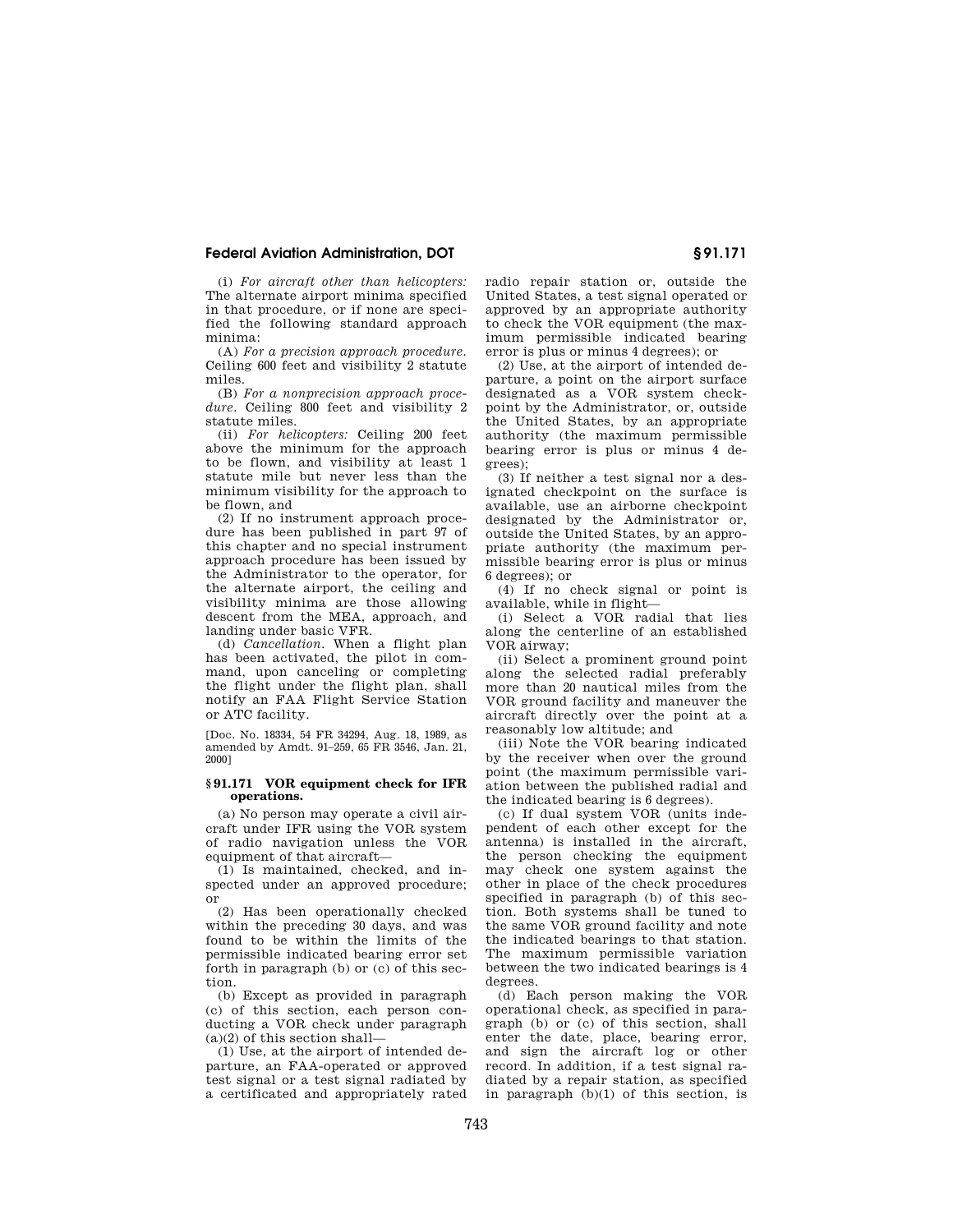(i) *For aircraft other than helicopters:*  The alternate airport minima specified in that procedure, or if none are specified the following standard approach minima:

(A) *For a precision approach procedure.*  Ceiling 600 feet and visibility 2 statute miles.

(B) *For a nonprecision approach procedure.* Ceiling 800 feet and visibility 2 statute miles.

(ii) *For helicopters:* Ceiling 200 feet above the minimum for the approach to be flown, and visibility at least 1 statute mile but never less than the minimum visibility for the approach to be flown, and

(2) If no instrument approach procedure has been published in part 97 of this chapter and no special instrument approach procedure has been issued by the Administrator to the operator, for the alternate airport, the ceiling and visibility minima are those allowing descent from the MEA, approach, and landing under basic VFR.

(d) *Cancellation.* When a flight plan has been activated, the pilot in command, upon canceling or completing the flight under the flight plan, shall notify an FAA Flight Service Station or ATC facility.

[Doc. No. 18334, 54 FR 34294, Aug. 18, 1989, as amended by Amdt. 91–259, 65 FR 3546, Jan. 21, 2000]

### **§ 91.171 VOR equipment check for IFR operations.**

(a) No person may operate a civil aircraft under IFR using the VOR system of radio navigation unless the VOR equipment of that aircraft—

(1) Is maintained, checked, and inspected under an approved procedure; or

(2) Has been operationally checked within the preceding 30 days, and was found to be within the limits of the permissible indicated bearing error set forth in paragraph (b) or (c) of this section.

(b) Except as provided in paragraph (c) of this section, each person conducting a VOR check under paragraph  $(a)(2)$  of this section shall-

(1) Use, at the airport of intended departure, an FAA-operated or approved test signal or a test signal radiated by a certificated and appropriately rated radio repair station or, outside the United States, a test signal operated or approved by an appropriate authority to check the VOR equipment (the maximum permissible indicated bearing error is plus or minus 4 degrees); or

(2) Use, at the airport of intended departure, a point on the airport surface designated as a VOR system checkpoint by the Administrator, or, outside the United States, by an appropriate authority (the maximum permissible bearing error is plus or minus 4 degrees);

(3) If neither a test signal nor a designated checkpoint on the surface is available, use an airborne checkpoint designated by the Administrator or, outside the United States, by an appropriate authority (the maximum permissible bearing error is plus or minus 6 degrees); or

(4) If no check signal or point is available, while in flight—

(i) Select a VOR radial that lies along the centerline of an established VOR airway;

(ii) Select a prominent ground point along the selected radial preferably more than 20 nautical miles from the VOR ground facility and maneuver the aircraft directly over the point at a reasonably low altitude; and

(iii) Note the VOR bearing indicated by the receiver when over the ground point (the maximum permissible variation between the published radial and the indicated bearing is 6 degrees).

(c) If dual system VOR (units independent of each other except for the antenna) is installed in the aircraft, the person checking the equipment may check one system against the other in place of the check procedures specified in paragraph (b) of this section. Both systems shall be tuned to the same VOR ground facility and note the indicated bearings to that station. The maximum permissible variation between the two indicated bearings is 4 degrees.

(d) Each person making the VOR operational check, as specified in paragraph (b) or (c) of this section, shall enter the date, place, bearing error, and sign the aircraft log or other record. In addition, if a test signal radiated by a repair station, as specified in paragraph (b)(1) of this section, is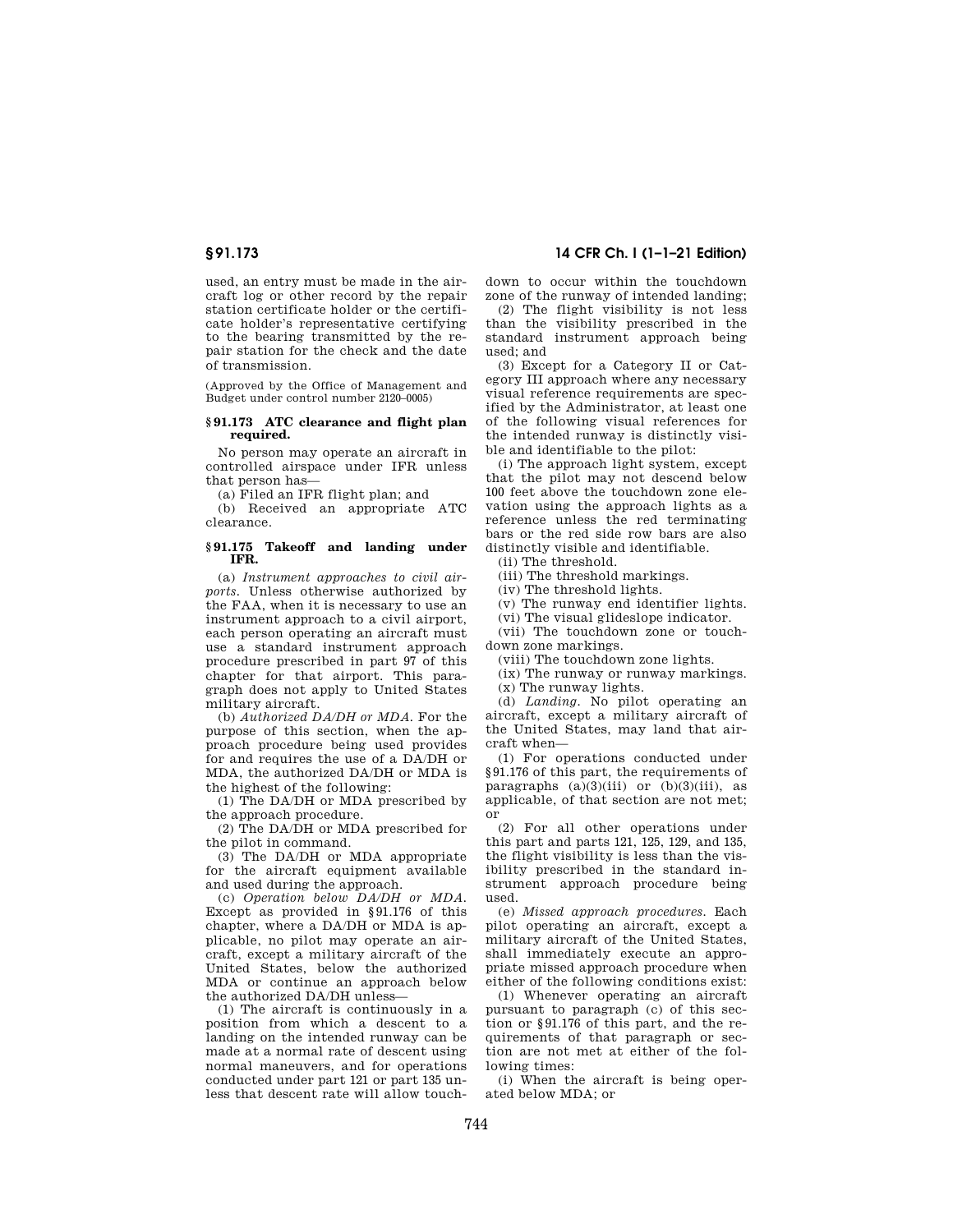used, an entry must be made in the aircraft log or other record by the repair station certificate holder or the certificate holder's representative certifying to the bearing transmitted by the repair station for the check and the date of transmission.

(Approved by the Office of Management and Budget under control number 2120–0005)

## **§ 91.173 ATC clearance and flight plan required.**

No person may operate an aircraft in controlled airspace under IFR unless that person has—

(a) Filed an IFR flight plan; and

(b) Received an appropriate ATC clearance.

## **§ 91.175 Takeoff and landing under IFR.**

(a) *Instrument approaches to civil airports.* Unless otherwise authorized by the FAA, when it is necessary to use an instrument approach to a civil airport, each person operating an aircraft must use a standard instrument approach procedure prescribed in part 97 of this chapter for that airport. This paragraph does not apply to United States military aircraft.

(b) *Authorized DA/DH or MDA.* For the purpose of this section, when the approach procedure being used provides for and requires the use of a DA/DH or MDA, the authorized DA/DH or MDA is the highest of the following:

(1) The DA/DH or MDA prescribed by the approach procedure.

(2) The DA/DH or MDA prescribed for the pilot in command.

(3) The DA/DH or MDA appropriate for the aircraft equipment available and used during the approach.

(c) *Operation below DA/DH or MDA.*  Except as provided in §91.176 of this chapter, where a DA/DH or MDA is applicable, no pilot may operate an aircraft, except a military aircraft of the United States, below the authorized MDA or continue an approach below the authorized DA/DH unless—

(1) The aircraft is continuously in a position from which a descent to a landing on the intended runway can be made at a normal rate of descent using normal maneuvers, and for operations conducted under part 121 or part 135 unless that descent rate will allow touch-

# **§ 91.173 14 CFR Ch. I (1–1–21 Edition)**

down to occur within the touchdown zone of the runway of intended landing;

(2) The flight visibility is not less than the visibility prescribed in the standard instrument approach being used; and

(3) Except for a Category II or Category III approach where any necessary visual reference requirements are specified by the Administrator, at least one of the following visual references for the intended runway is distinctly visible and identifiable to the pilot:

(i) The approach light system, except that the pilot may not descend below 100 feet above the touchdown zone elevation using the approach lights as a reference unless the red terminating bars or the red side row bars are also distinctly visible and identifiable.

(ii) The threshold.

(iii) The threshold markings.

(iv) The threshold lights.

(v) The runway end identifier lights.

(vi) The visual glideslope indicator.

(vii) The touchdown zone or touchdown zone markings.

(viii) The touchdown zone lights.

(ix) The runway or runway markings.

(x) The runway lights.

(d) *Landing.* No pilot operating an aircraft, except a military aircraft of the United States, may land that aircraft when—

(1) For operations conducted under §91.176 of this part, the requirements of paragraphs  $(a)(3)(iii)$  or  $(b)(3)(iii)$ , as applicable, of that section are not met; or

(2) For all other operations under this part and parts 121, 125, 129, and 135, the flight visibility is less than the visibility prescribed in the standard instrument approach procedure being used.

(e) *Missed approach procedures.* Each pilot operating an aircraft, except a military aircraft of the United States, shall immediately execute an appropriate missed approach procedure when either of the following conditions exist:

(1) Whenever operating an aircraft pursuant to paragraph (c) of this section or §91.176 of this part, and the requirements of that paragraph or section are not met at either of the following times:

(i) When the aircraft is being operated below MDA; or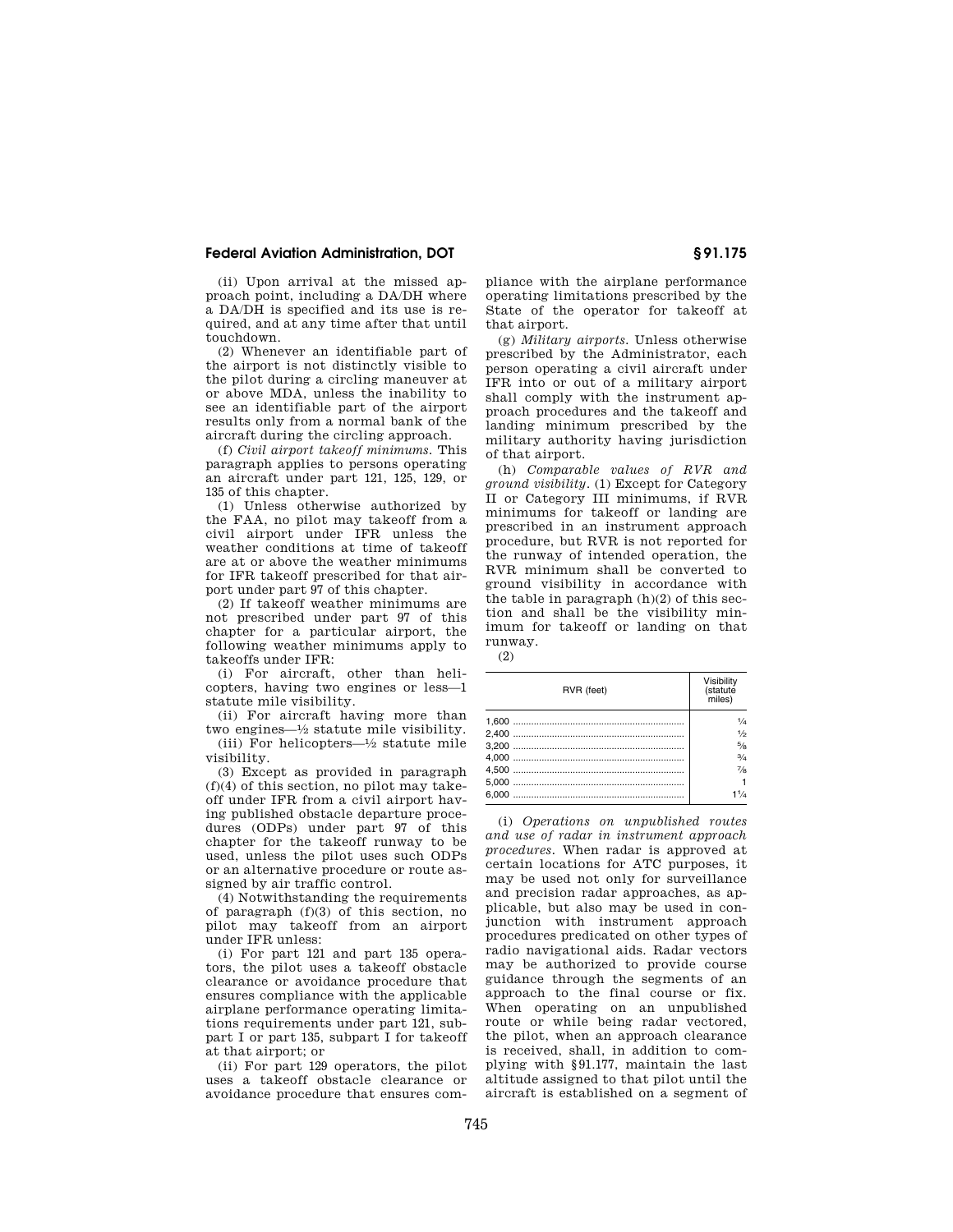(ii) Upon arrival at the missed approach point, including a DA/DH where a DA/DH is specified and its use is required, and at any time after that until touchdown.

(2) Whenever an identifiable part of the airport is not distinctly visible to the pilot during a circling maneuver at or above MDA, unless the inability to see an identifiable part of the airport results only from a normal bank of the aircraft during the circling approach.

(f) *Civil airport takeoff minimums.* This paragraph applies to persons operating an aircraft under part 121, 125, 129, or 135 of this chapter.

(1) Unless otherwise authorized by the FAA, no pilot may takeoff from a civil airport under IFR unless the weather conditions at time of takeoff are at or above the weather minimums for IFR takeoff prescribed for that airport under part 97 of this chapter.

(2) If takeoff weather minimums are not prescribed under part 97 of this chapter for a particular airport, the following weather minimums apply to takeoffs under IFR:

(i) For aircraft, other than helicopters, having two engines or less—1 statute mile visibility.

(ii) For aircraft having more than two engines—1⁄2 statute mile visibility. (iii) For helicopters— $\frac{1}{2}$  statute mile

visibility. (3) Except as provided in paragraph

 $(f)(4)$  of this section, no pilot may takeoff under IFR from a civil airport having published obstacle departure procedures (ODPs) under part 97 of this chapter for the takeoff runway to be used, unless the pilot uses such ODPs or an alternative procedure or route assigned by air traffic control.

(4) Notwithstanding the requirements of paragraph (f)(3) of this section, no pilot may takeoff from an airport under IFR unless:

(i) For part 121 and part 135 operators, the pilot uses a takeoff obstacle clearance or avoidance procedure that ensures compliance with the applicable airplane performance operating limitations requirements under part 121, subpart I or part 135, subpart I for takeoff at that airport; or

(ii) For part 129 operators, the pilot uses a takeoff obstacle clearance or avoidance procedure that ensures compliance with the airplane performance operating limitations prescribed by the State of the operator for takeoff at that airport.

(g) *Military airports.* Unless otherwise prescribed by the Administrator, each person operating a civil aircraft under IFR into or out of a military airport shall comply with the instrument approach procedures and the takeoff and landing minimum prescribed by the military authority having jurisdiction of that airport.

(h) *Comparable values of RVR and ground visibility.* (1) Except for Category II or Category III minimums, if RVR minimums for takeoff or landing are prescribed in an instrument approach procedure, but RVR is not reported for the runway of intended operation, the RVR minimum shall be converted to ground visibility in accordance with the table in paragraph  $(h)(2)$  of this section and shall be the visibility minimum for takeoff or landing on that runway.

(2)

| RVR (feet) | Visibility<br>(statute<br>miles) |
|------------|----------------------------------|
|            | $\frac{1}{4}$                    |
|            | 1/2                              |
|            | 5/8                              |
|            | $^{3/4}$                         |
|            | $^{7}/8$                         |
|            |                                  |
|            | 11/a                             |
|            |                                  |

(i) *Operations on unpublished routes and use of radar in instrument approach procedures.* When radar is approved at certain locations for ATC purposes, it may be used not only for surveillance and precision radar approaches, as applicable, but also may be used in conjunction with instrument approach procedures predicated on other types of radio navigational aids. Radar vectors may be authorized to provide course guidance through the segments of an approach to the final course or fix. When operating on an unpublished route or while being radar vectored, the pilot, when an approach clearance is received, shall, in addition to complying with §91.177, maintain the last altitude assigned to that pilot until the aircraft is established on a segment of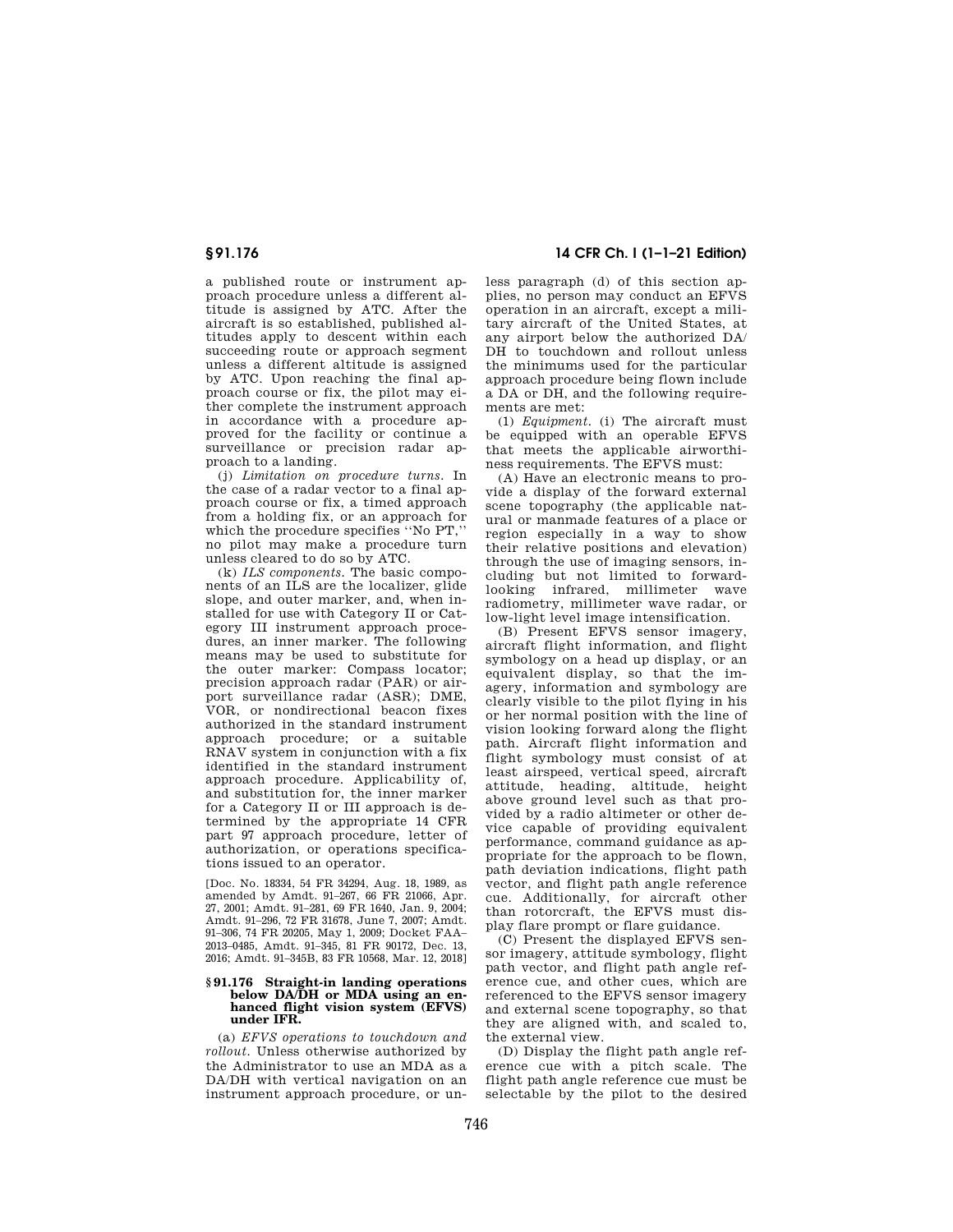a published route or instrument approach procedure unless a different altitude is assigned by ATC. After the aircraft is so established, published altitudes apply to descent within each succeeding route or approach segment unless a different altitude is assigned by ATC. Upon reaching the final approach course or fix, the pilot may either complete the instrument approach in accordance with a procedure approved for the facility or continue a surveillance or precision radar approach to a landing.

(j) *Limitation on procedure turns.* In the case of a radar vector to a final approach course or fix, a timed approach from a holding fix, or an approach for which the procedure specifies ''No PT,'' no pilot may make a procedure turn unless cleared to do so by ATC.

(k) *ILS components.* The basic components of an ILS are the localizer, glide slope, and outer marker, and, when installed for use with Category II or Category III instrument approach procedures, an inner marker. The following means may be used to substitute for the outer marker: Compass locator; precision approach radar (PAR) or airport surveillance radar (ASR); DME, VOR, or nondirectional beacon fixes authorized in the standard instrument approach procedure; or a suitable RNAV system in conjunction with a fix identified in the standard instrument approach procedure. Applicability of, and substitution for, the inner marker for a Category II or III approach is determined by the appropriate 14 CFR part 97 approach procedure, letter of authorization, or operations specifications issued to an operator.

[Doc. No. 18334, 54 FR 34294, Aug. 18, 1989, as amended by Amdt. 91–267, 66 FR 21066, Apr. 27, 2001; Amdt. 91–281, 69 FR 1640, Jan. 9, 2004; Amdt. 91–296, 72 FR 31678, June 7, 2007; Amdt. 91–306, 74 FR 20205, May 1, 2009; Docket FAA– 2013–0485, Amdt. 91–345, 81 FR 90172, Dec. 13, 2016; Amdt. 91–345B, 83 FR 10568, Mar. 12, 2018]

### **§ 91.176 Straight-in landing operations below DA/DH or MDA using an enhanced flight vision system (EFVS) under IFR.**

(a) *EFVS operations to touchdown and rollout.* Unless otherwise authorized by the Administrator to use an MDA as a DA/DH with vertical navigation on an instrument approach procedure, or un-

# **§ 91.176 14 CFR Ch. I (1–1–21 Edition)**

less paragraph (d) of this section applies, no person may conduct an EFVS operation in an aircraft, except a military aircraft of the United States, at any airport below the authorized DA/ DH to touchdown and rollout unless the minimums used for the particular approach procedure being flown include a DA or DH, and the following requirements are met:

(1) *Equipment.* (i) The aircraft must be equipped with an operable EFVS that meets the applicable airworthiness requirements. The EFVS must:

(A) Have an electronic means to provide a display of the forward external scene topography (the applicable natural or manmade features of a place or region especially in a way to show their relative positions and elevation) through the use of imaging sensors, including but not limited to forwardlooking infrared, millimeter wave radiometry, millimeter wave radar, or low-light level image intensification.

(B) Present EFVS sensor imagery, aircraft flight information, and flight symbology on a head up display, or an equivalent display, so that the imagery, information and symbology are clearly visible to the pilot flying in his or her normal position with the line of vision looking forward along the flight path. Aircraft flight information and flight symbology must consist of at least airspeed, vertical speed, aircraft attitude, heading, altitude, height above ground level such as that provided by a radio altimeter or other device capable of providing equivalent performance, command guidance as appropriate for the approach to be flown, path deviation indications, flight path vector, and flight path angle reference cue. Additionally, for aircraft other than rotorcraft, the EFVS must display flare prompt or flare guidance.

(C) Present the displayed EFVS sensor imagery, attitude symbology, flight path vector, and flight path angle reference cue, and other cues, which are referenced to the EFVS sensor imagery and external scene topography, so that they are aligned with, and scaled to, the external view.

(D) Display the flight path angle reference cue with a pitch scale. The flight path angle reference cue must be selectable by the pilot to the desired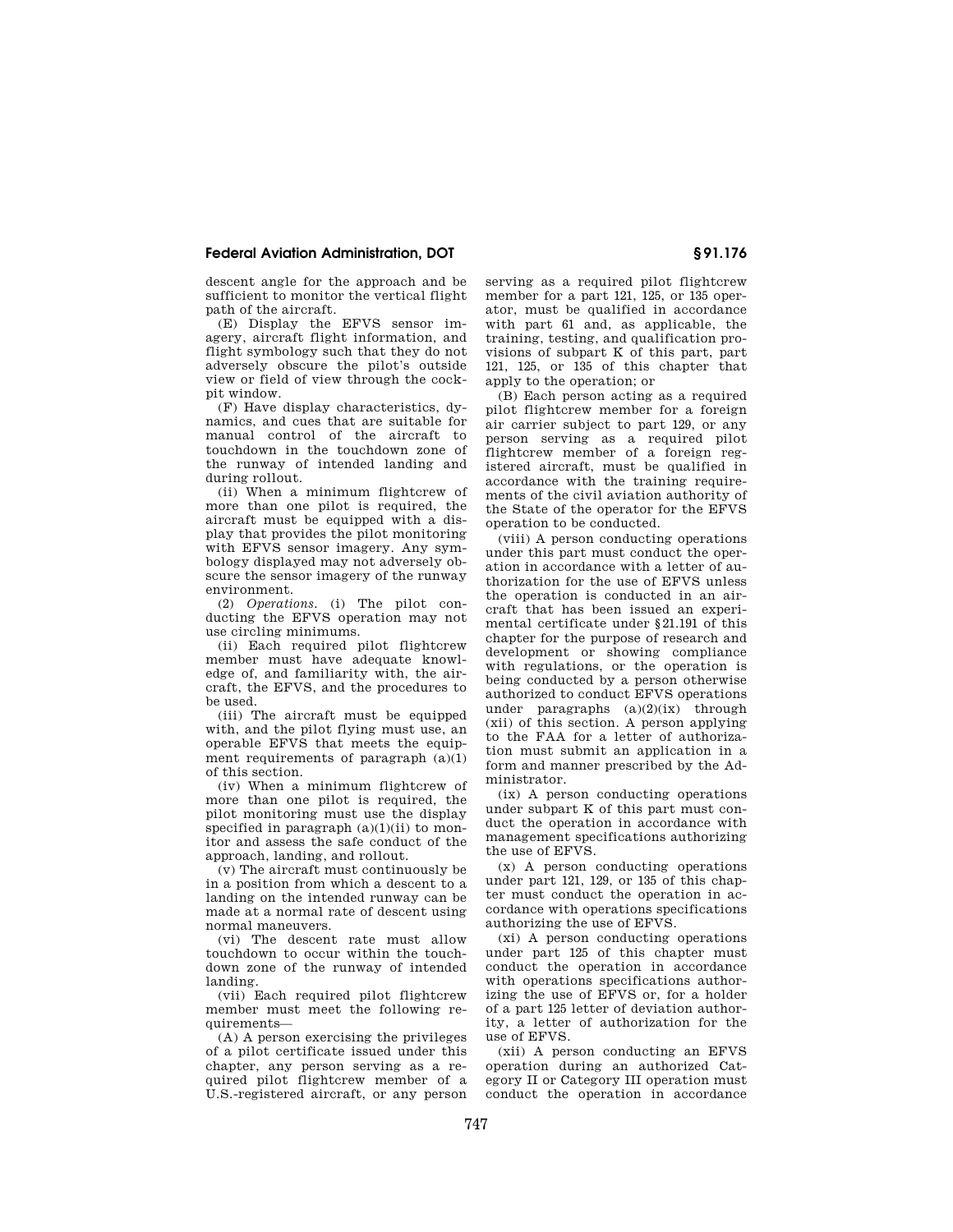descent angle for the approach and be sufficient to monitor the vertical flight path of the aircraft.

(E) Display the EFVS sensor imagery, aircraft flight information, and flight symbology such that they do not adversely obscure the pilot's outside view or field of view through the cockpit window.

(F) Have display characteristics, dynamics, and cues that are suitable for manual control of the aircraft to touchdown in the touchdown zone of the runway of intended landing and during rollout.

(ii) When a minimum flightcrew of more than one pilot is required, the aircraft must be equipped with a display that provides the pilot monitoring with EFVS sensor imagery. Any symbology displayed may not adversely obscure the sensor imagery of the runway environment.

(2) *Operations.* (i) The pilot conducting the EFVS operation may not use circling minimums.

(ii) Each required pilot flightcrew member must have adequate knowledge of, and familiarity with, the aircraft, the EFVS, and the procedures to be used.

(iii) The aircraft must be equipped with, and the pilot flying must use, an operable EFVS that meets the equipment requirements of paragraph  $(a)(1)$ of this section.

(iv) When a minimum flightcrew of more than one pilot is required, the pilot monitoring must use the display specified in paragraph  $(a)(1)(ii)$  to monitor and assess the safe conduct of the approach, landing, and rollout.

(v) The aircraft must continuously be in a position from which a descent to a landing on the intended runway can be made at a normal rate of descent using normal maneuvers.

(vi) The descent rate must allow touchdown to occur within the touchdown zone of the runway of intended landing.

(vii) Each required pilot flightcrew member must meet the following requirements—

(A) A person exercising the privileges of a pilot certificate issued under this chapter, any person serving as a required pilot flightcrew member of a U.S.-registered aircraft, or any person serving as a required pilot flightcrew member for a part 121, 125, or 135 operator, must be qualified in accordance with part 61 and, as applicable, the training, testing, and qualification provisions of subpart K of this part, part 121, 125, or 135 of this chapter that apply to the operation; or

(B) Each person acting as a required pilot flightcrew member for a foreign air carrier subject to part 129, or any person serving as a required pilot flightcrew member of a foreign registered aircraft, must be qualified in accordance with the training requirements of the civil aviation authority of the State of the operator for the EFVS operation to be conducted.

(viii) A person conducting operations under this part must conduct the operation in accordance with a letter of authorization for the use of EFVS unless the operation is conducted in an aircraft that has been issued an experimental certificate under §21.191 of this chapter for the purpose of research and development or showing compliance with regulations, or the operation is being conducted by a person otherwise authorized to conduct EFVS operations under paragraphs (a)(2)(ix) through (xii) of this section. A person applying to the FAA for a letter of authorization must submit an application in a form and manner prescribed by the Administrator.

(ix) A person conducting operations under subpart K of this part must conduct the operation in accordance with management specifications authorizing the use of EFVS.

(x) A person conducting operations under part 121, 129, or 135 of this chapter must conduct the operation in accordance with operations specifications authorizing the use of EFVS.

(xi) A person conducting operations under part 125 of this chapter must conduct the operation in accordance with operations specifications authorizing the use of EFVS or, for a holder of a part 125 letter of deviation authority, a letter of authorization for the use of EFVS.

(xii) A person conducting an EFVS operation during an authorized Category II or Category III operation must conduct the operation in accordance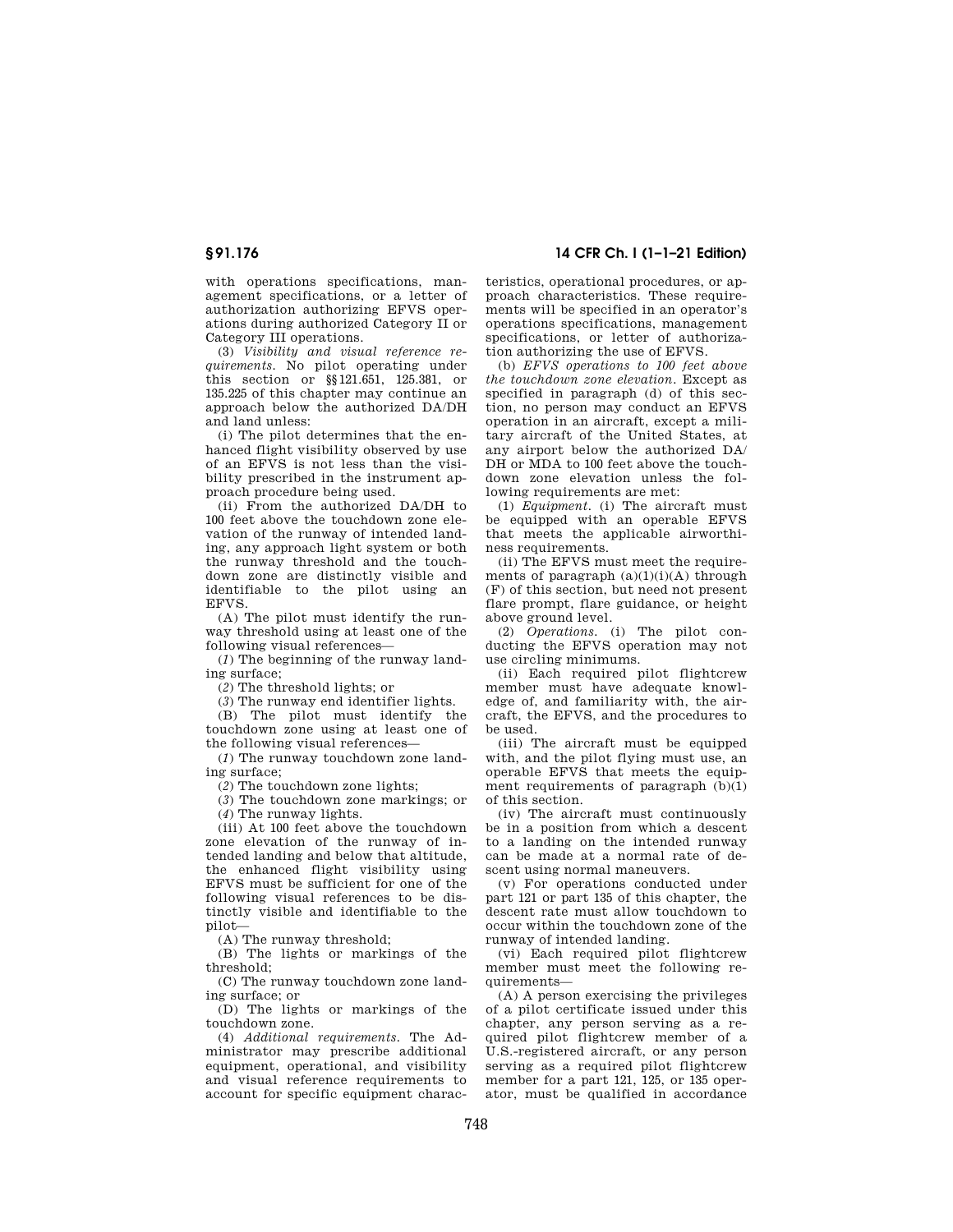with operations specifications, management specifications, or a letter of authorization authorizing EFVS operations during authorized Category II or Category III operations.

(3) *Visibility and visual reference requirements.* No pilot operating under this section or §§121.651, 125.381, or 135.225 of this chapter may continue an approach below the authorized DA/DH and land unless:

(i) The pilot determines that the enhanced flight visibility observed by use of an EFVS is not less than the visibility prescribed in the instrument approach procedure being used.

(ii) From the authorized DA/DH to 100 feet above the touchdown zone elevation of the runway of intended landing, any approach light system or both the runway threshold and the touchdown zone are distinctly visible and identifiable to the pilot using an EFVS.

(A) The pilot must identify the runway threshold using at least one of the following visual references—

(*1*) The beginning of the runway landing surface;

(*2*) The threshold lights; or

(*3*) The runway end identifier lights.

(B) The pilot must identify the touchdown zone using at least one of the following visual references—

(*1*) The runway touchdown zone landing surface;

(*2*) The touchdown zone lights;

(*3*) The touchdown zone markings; or

(*4*) The runway lights.

(iii) At 100 feet above the touchdown zone elevation of the runway of intended landing and below that altitude, the enhanced flight visibility using EFVS must be sufficient for one of the following visual references to be distinctly visible and identifiable to the pilot—

(A) The runway threshold;

(B) The lights or markings of the threshold;

(C) The runway touchdown zone landing surface; or

(D) The lights or markings of the touchdown zone.

(4) *Additional requirements.* The Administrator may prescribe additional equipment, operational, and visibility and visual reference requirements to account for specific equipment charac-

# **§ 91.176 14 CFR Ch. I (1–1–21 Edition)**

teristics, operational procedures, or approach characteristics. These requirements will be specified in an operator's operations specifications, management specifications, or letter of authorization authorizing the use of EFVS.

(b) *EFVS operations to 100 feet above the touchdown zone elevation.* Except as specified in paragraph (d) of this section, no person may conduct an EFVS operation in an aircraft, except a military aircraft of the United States, at any airport below the authorized DA/ DH or MDA to 100 feet above the touchdown zone elevation unless the following requirements are met:

(1) *Equipment.* (i) The aircraft must be equipped with an operable EFVS that meets the applicable airworthiness requirements.

(ii) The EFVS must meet the requirements of paragraph  $(a)(1)(i)(A)$  through (F) of this section, but need not present flare prompt, flare guidance, or height above ground level.

(2) *Operations.* (i) The pilot conducting the EFVS operation may not use circling minimums.

(ii) Each required pilot flightcrew member must have adequate knowledge of, and familiarity with, the aircraft, the EFVS, and the procedures to be used.

(iii) The aircraft must be equipped with, and the pilot flying must use, an operable EFVS that meets the equipment requirements of paragraph (b)(1) of this section.

(iv) The aircraft must continuously be in a position from which a descent to a landing on the intended runway can be made at a normal rate of descent using normal maneuvers.

(v) For operations conducted under part 121 or part 135 of this chapter, the descent rate must allow touchdown to occur within the touchdown zone of the runway of intended landing.

(vi) Each required pilot flightcrew member must meet the following requirements—

(A) A person exercising the privileges of a pilot certificate issued under this chapter, any person serving as a required pilot flightcrew member of a U.S.-registered aircraft, or any person serving as a required pilot flightcrew member for a part 121, 125, or 135 operator, must be qualified in accordance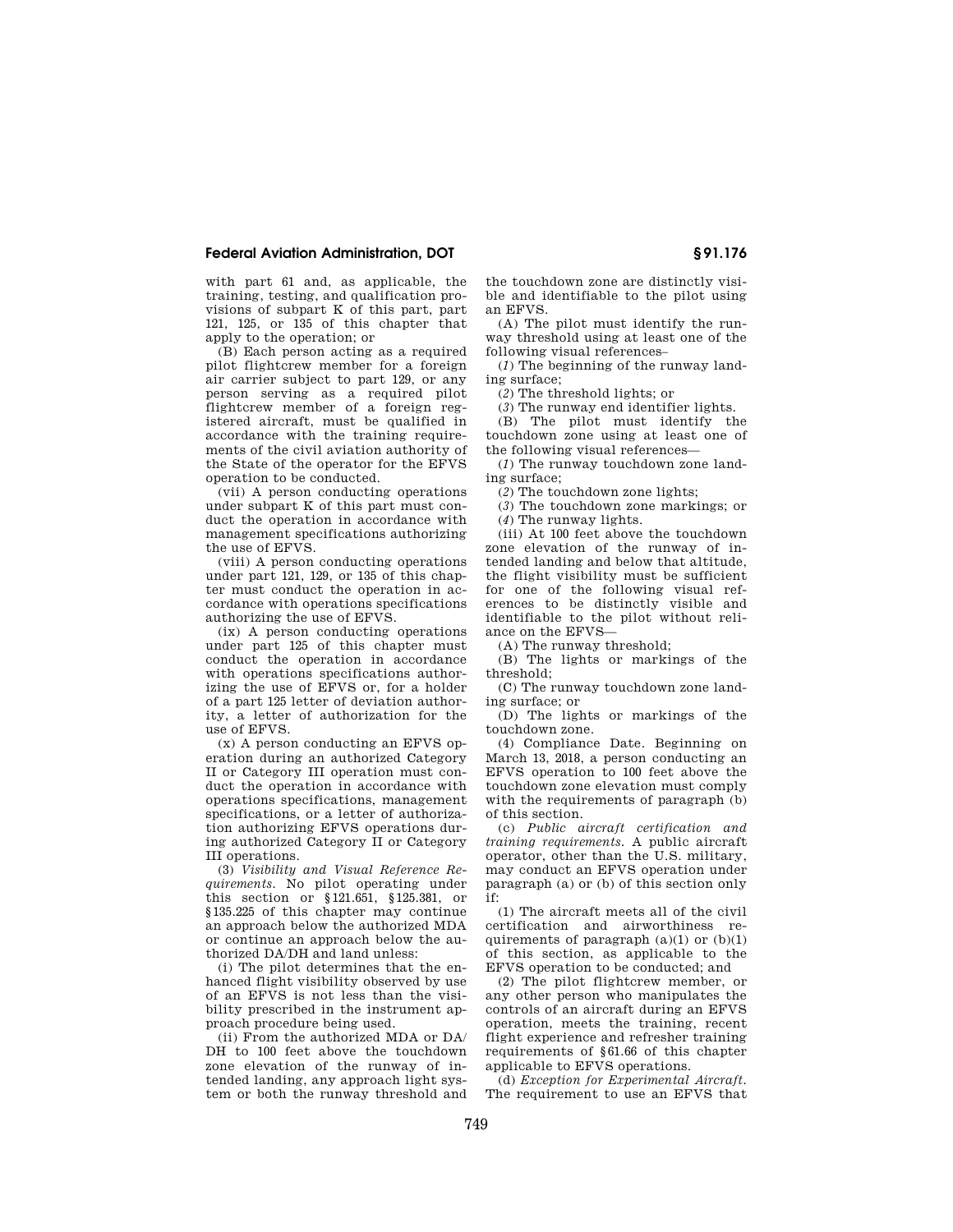with part 61 and, as applicable, the training, testing, and qualification provisions of subpart K of this part, part 121, 125, or 135 of this chapter that apply to the operation; or

(B) Each person acting as a required pilot flightcrew member for a foreign air carrier subject to part 129, or any person serving as a required pilot flightcrew member of a foreign registered aircraft, must be qualified in accordance with the training requirements of the civil aviation authority of the State of the operator for the EFVS operation to be conducted.

(vii) A person conducting operations under subpart K of this part must conduct the operation in accordance with management specifications authorizing the use of EFVS.

(viii) A person conducting operations under part 121, 129, or 135 of this chapter must conduct the operation in accordance with operations specifications authorizing the use of EFVS.

(ix) A person conducting operations under part 125 of this chapter must conduct the operation in accordance with operations specifications authorizing the use of EFVS or, for a holder of a part 125 letter of deviation authority, a letter of authorization for the use of EFVS.

(x) A person conducting an EFVS operation during an authorized Category II or Category III operation must conduct the operation in accordance with operations specifications, management specifications, or a letter of authorization authorizing EFVS operations during authorized Category II or Category III operations.

(3) *Visibility and Visual Reference Requirements.* No pilot operating under this section or §121.651, §125.381, or §135.225 of this chapter may continue an approach below the authorized MDA or continue an approach below the authorized DA/DH and land unless:

(i) The pilot determines that the enhanced flight visibility observed by use of an EFVS is not less than the visibility prescribed in the instrument approach procedure being used.

(ii) From the authorized MDA or DA/ DH to 100 feet above the touchdown zone elevation of the runway of intended landing, any approach light system or both the runway threshold and

the touchdown zone are distinctly visible and identifiable to the pilot using an EFVS.

(A) The pilot must identify the runway threshold using at least one of the following visual references–

(*1*) The beginning of the runway landing surface;

(*2*) The threshold lights; or

(*3*) The runway end identifier lights.

(B) The pilot must identify the touchdown zone using at least one of the following visual references—

(*1*) The runway touchdown zone landing surface;

(*2*) The touchdown zone lights;

(*3*) The touchdown zone markings; or (*4*) The runway lights.

(iii) At 100 feet above the touchdown zone elevation of the runway of intended landing and below that altitude, the flight visibility must be sufficient for one of the following visual references to be distinctly visible and identifiable to the pilot without reliance on the EFVS—

(A) The runway threshold;

(B) The lights or markings of the threshold;

(C) The runway touchdown zone landing surface; or

(D) The lights or markings of the touchdown zone.

(4) Compliance Date. Beginning on March 13, 2018, a person conducting an EFVS operation to 100 feet above the touchdown zone elevation must comply with the requirements of paragraph (b) of this section.

(c) *Public aircraft certification and training requirements.* A public aircraft operator, other than the U.S. military, may conduct an EFVS operation under paragraph (a) or (b) of this section only if:

(1) The aircraft meets all of the civil certification and airworthiness requirements of paragraph  $(a)(1)$  or  $(b)(1)$ of this section, as applicable to the EFVS operation to be conducted; and

(2) The pilot flightcrew member, or any other person who manipulates the controls of an aircraft during an EFVS operation, meets the training, recent flight experience and refresher training requirements of §61.66 of this chapter applicable to EFVS operations.

(d) *Exception for Experimental Aircraft.*  The requirement to use an EFVS that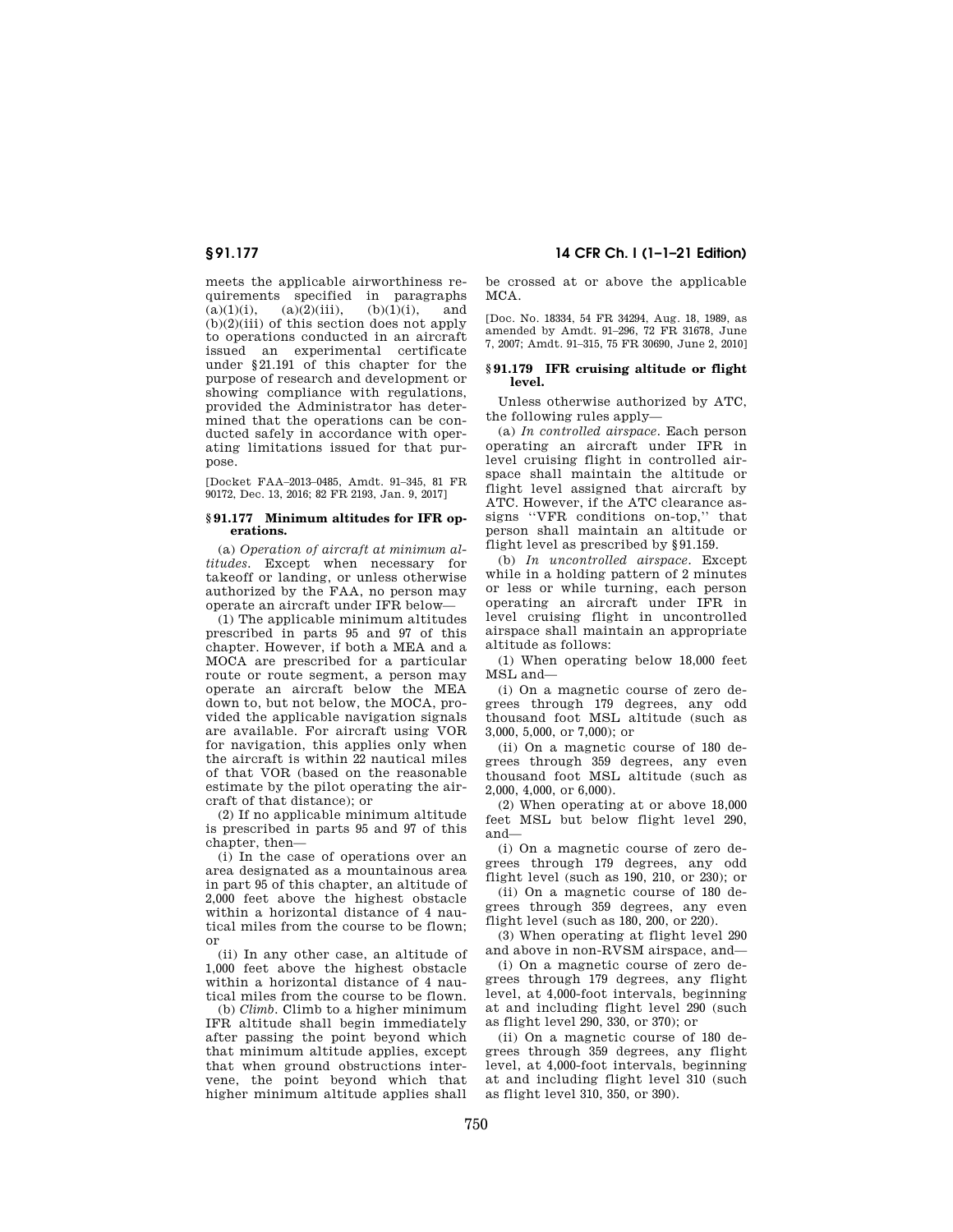# **§ 91.177 14 CFR Ch. I (1–1–21 Edition)**

meets the applicable airworthiness requirements specified in paragraphs  $(a)(1)(i), (a)(2)(iii), (b)(1)(i), and$  $(b)(2)(iii)$  of this section does not apply to operations conducted in an aircraft issued an experimental certificate under §21.191 of this chapter for the purpose of research and development or showing compliance with regulations, provided the Administrator has determined that the operations can be conducted safely in accordance with operating limitations issued for that purpose.

[Docket FAA–2013–0485, Amdt. 91–345, 81 FR 90172, Dec. 13, 2016; 82 FR 2193, Jan. 9, 2017]

#### **§ 91.177 Minimum altitudes for IFR operations.**

(a) *Operation of aircraft at minimum altitudes.* Except when necessary for takeoff or landing, or unless otherwise authorized by the FAA, no person may operate an aircraft under IFR below—

(1) The applicable minimum altitudes prescribed in parts 95 and 97 of this chapter. However, if both a MEA and a MOCA are prescribed for a particular route or route segment, a person may operate an aircraft below the MEA down to, but not below, the MOCA, provided the applicable navigation signals are available. For aircraft using VOR for navigation, this applies only when the aircraft is within 22 nautical miles of that VOR (based on the reasonable estimate by the pilot operating the aircraft of that distance); or

(2) If no applicable minimum altitude is prescribed in parts 95 and 97 of this chapter, then—

(i) In the case of operations over an area designated as a mountainous area in part 95 of this chapter, an altitude of 2,000 feet above the highest obstacle within a horizontal distance of 4 nautical miles from the course to be flown; or

(ii) In any other case, an altitude of 1,000 feet above the highest obstacle within a horizontal distance of 4 nautical miles from the course to be flown.

(b) *Climb.* Climb to a higher minimum IFR altitude shall begin immediately after passing the point beyond which that minimum altitude applies, except that when ground obstructions intervene, the point beyond which that higher minimum altitude applies shall be crossed at or above the applicable MCA.

[Doc. No. 18334, 54 FR 34294, Aug. 18, 1989, as amended by Amdt. 91–296, 72 FR 31678, June 7, 2007; Amdt. 91–315, 75 FR 30690, June 2, 2010]

#### **§ 91.179 IFR cruising altitude or flight level.**

Unless otherwise authorized by ATC, the following rules apply—

(a) *In controlled airspace.* Each person operating an aircraft under IFR in level cruising flight in controlled airspace shall maintain the altitude or flight level assigned that aircraft by ATC. However, if the ATC clearance assigns ''VFR conditions on-top,'' that person shall maintain an altitude or flight level as prescribed by §91.159.

(b) *In uncontrolled airspace.* Except while in a holding pattern of 2 minutes or less or while turning, each person operating an aircraft under IFR in level cruising flight in uncontrolled airspace shall maintain an appropriate altitude as follows:

(1) When operating below 18,000 feet MSL and—

(i) On a magnetic course of zero degrees through 179 degrees, any odd thousand foot MSL altitude (such as 3,000, 5,000, or 7,000); or

(ii) On a magnetic course of 180 degrees through 359 degrees, any even thousand foot MSL altitude (such as 2,000, 4,000, or 6,000).

(2) When operating at or above 18,000 feet MSL but below flight level 290, and—

(i) On a magnetic course of zero degrees through 179 degrees, any odd flight level (such as 190, 210, or 230); or

(ii) On a magnetic course of 180 degrees through 359 degrees, any even flight level (such as 180, 200, or 220).

(3) When operating at flight level 290 and above in non-RVSM airspace, and—

(i) On a magnetic course of zero degrees through 179 degrees, any flight level, at 4,000-foot intervals, beginning at and including flight level 290 (such as flight level 290, 330, or 370); or

(ii) On a magnetic course of 180 degrees through 359 degrees, any flight level, at 4,000-foot intervals, beginning at and including flight level 310 (such as flight level 310, 350, or 390).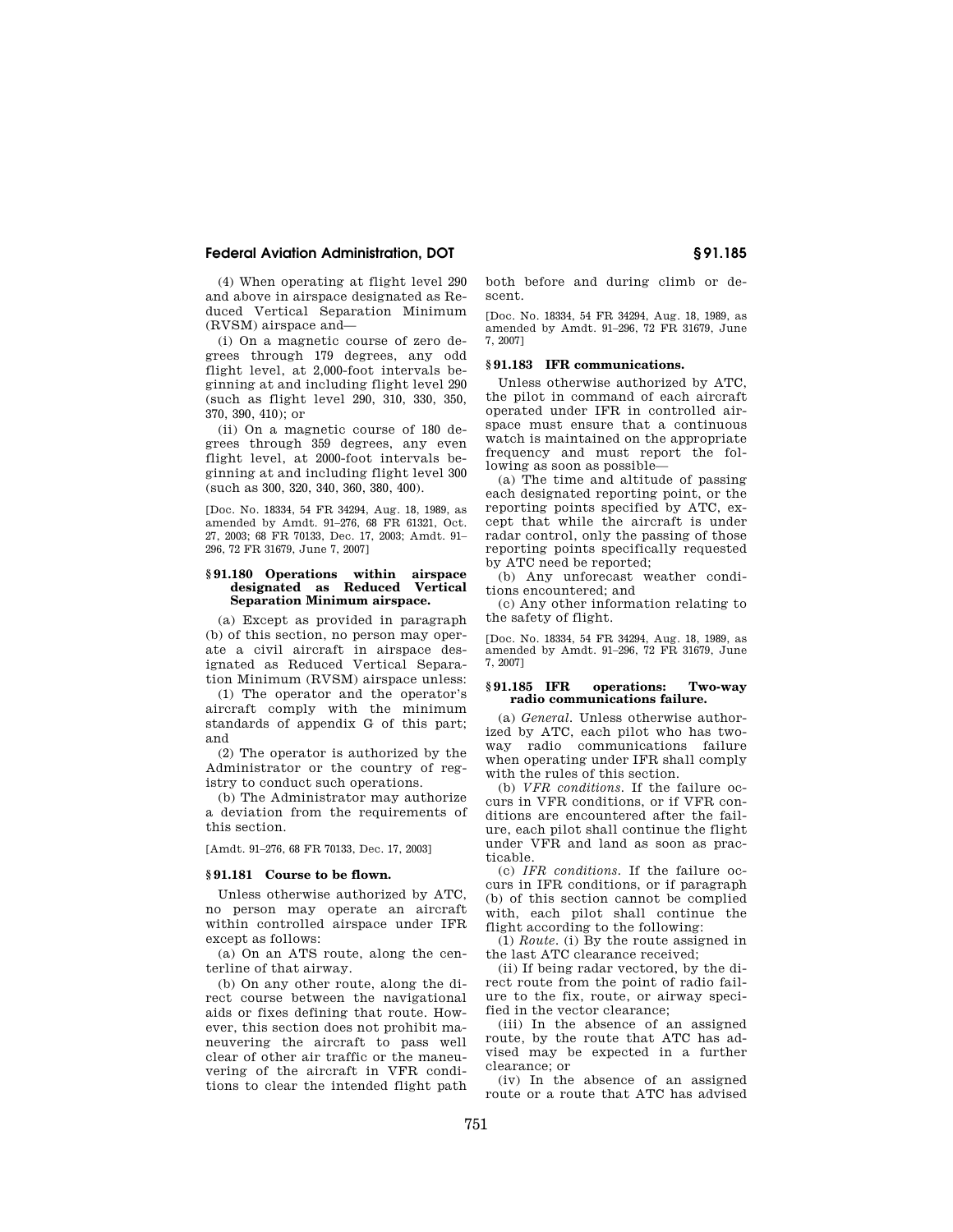(4) When operating at flight level 290 and above in airspace designated as Reduced Vertical Separation Minimum (RVSM) airspace and—

(i) On a magnetic course of zero degrees through 179 degrees, any odd flight level, at 2,000-foot intervals beginning at and including flight level 290 (such as flight level 290, 310, 330, 350, 370, 390, 410); or

(ii) On a magnetic course of 180 degrees through 359 degrees, any even flight level, at 2000-foot intervals beginning at and including flight level 300 (such as 300, 320, 340, 360, 380, 400).

[Doc. No. 18334, 54 FR 34294, Aug. 18, 1989, as amended by Amdt. 91–276, 68 FR 61321, Oct. 27, 2003; 68 FR 70133, Dec. 17, 2003; Amdt. 91– 296, 72 FR 31679, June 7, 2007]

#### **§ 91.180 Operations within airspace designated as Reduced Vertical Separation Minimum airspace.**

(a) Except as provided in paragraph (b) of this section, no person may operate a civil aircraft in airspace designated as Reduced Vertical Separation Minimum (RVSM) airspace unless:

(1) The operator and the operator's aircraft comply with the minimum standards of appendix G of this part; and

(2) The operator is authorized by the Administrator or the country of registry to conduct such operations.

(b) The Administrator may authorize a deviation from the requirements of this section.

[Amdt. 91–276, 68 FR 70133, Dec. 17, 2003]

## **§ 91.181 Course to be flown.**

Unless otherwise authorized by ATC, no person may operate an aircraft within controlled airspace under IFR except as follows:

(a) On an ATS route, along the centerline of that airway.

(b) On any other route, along the direct course between the navigational aids or fixes defining that route. However, this section does not prohibit maneuvering the aircraft to pass well clear of other air traffic or the maneuvering of the aircraft in VFR conditions to clear the intended flight path both before and during climb or descent.

[Doc. No. 18334, 54 FR 34294, Aug. 18, 1989, as amended by Amdt. 91–296, 72 FR 31679, June 7, 2007]

#### **§ 91.183 IFR communications.**

Unless otherwise authorized by ATC, the pilot in command of each aircraft operated under IFR in controlled airspace must ensure that a continuous watch is maintained on the appropriate frequency and must report the following as soon as possible—

(a) The time and altitude of passing each designated reporting point, or the reporting points specified by ATC, except that while the aircraft is under radar control, only the passing of those reporting points specifically requested by ATC need be reported;

(b) Any unforecast weather conditions encountered; and

(c) Any other information relating to the safety of flight.

[Doc. No. 18334, 54 FR 34294, Aug. 18, 1989, as amended by Amdt. 91–296, 72 FR 31679, June 7, 2007]

#### **§ 91.185 IFR operations: Two-way radio communications failure.**

(a) *General.* Unless otherwise authorized by ATC, each pilot who has twoway radio communications failure when operating under IFR shall comply with the rules of this section.

(b) *VFR conditions.* If the failure occurs in VFR conditions, or if VFR conditions are encountered after the failure, each pilot shall continue the flight under VFR and land as soon as practicable.

(c) *IFR conditions.* If the failure occurs in IFR conditions, or if paragraph (b) of this section cannot be complied with, each pilot shall continue the flight according to the following:

(1) *Route.* (i) By the route assigned in the last ATC clearance received;

(ii) If being radar vectored, by the direct route from the point of radio failure to the fix, route, or airway specified in the vector clearance;

(iii) In the absence of an assigned route, by the route that ATC has advised may be expected in a further clearance; or

(iv) In the absence of an assigned route or a route that ATC has advised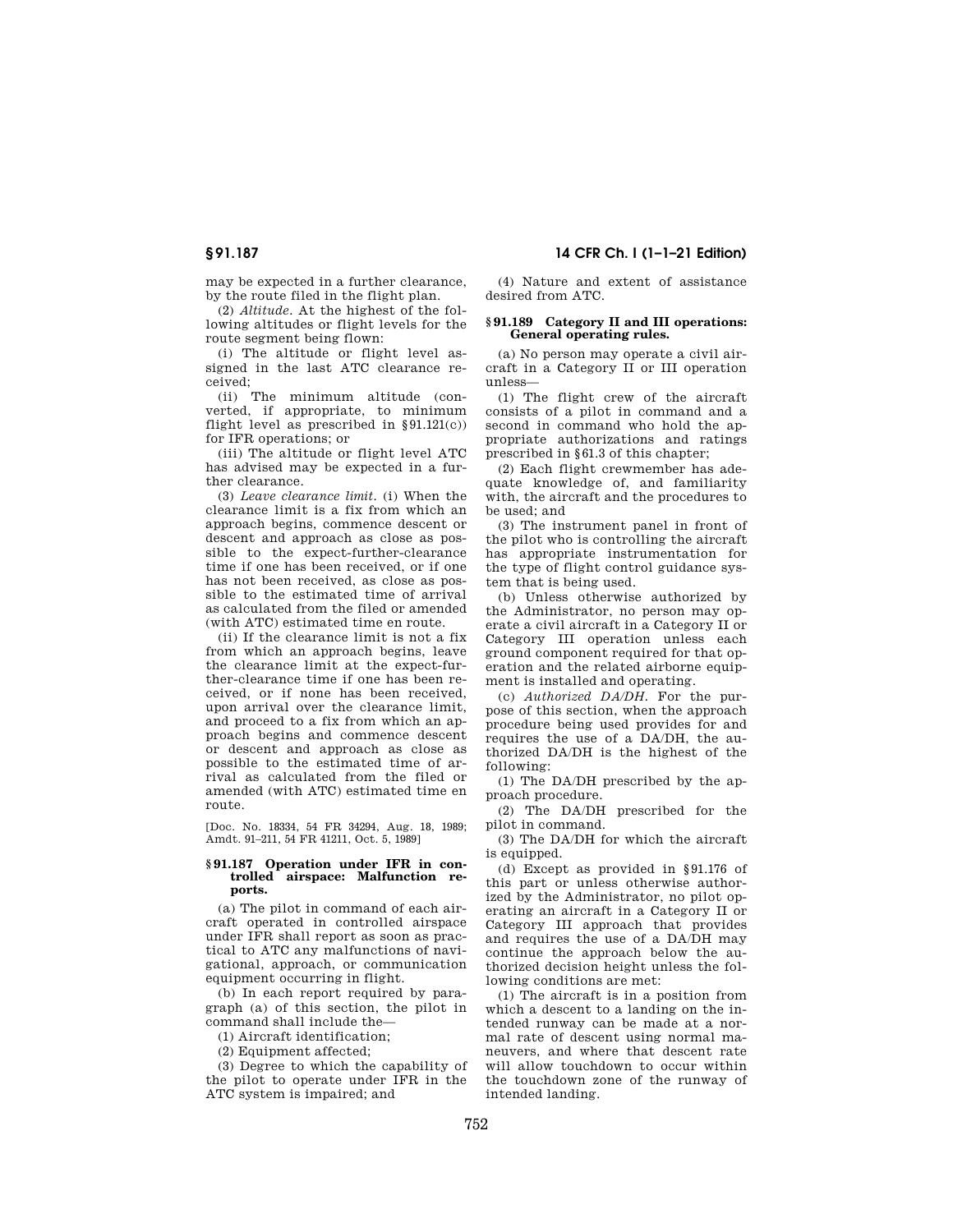may be expected in a further clearance, by the route filed in the flight plan.

(2) *Altitude.* At the highest of the following altitudes or flight levels for the route segment being flown:

(i) The altitude or flight level assigned in the last ATC clearance received;

(ii) The minimum altitude (converted, if appropriate, to minimum flight level as prescribed in §91.121(c)) for IFR operations; or

(iii) The altitude or flight level ATC has advised may be expected in a further clearance.

(3) *Leave clearance limit.* (i) When the clearance limit is a fix from which an approach begins, commence descent or descent and approach as close as possible to the expect-further-clearance time if one has been received, or if one has not been received, as close as possible to the estimated time of arrival as calculated from the filed or amended (with ATC) estimated time en route.

(ii) If the clearance limit is not a fix from which an approach begins, leave the clearance limit at the expect-further-clearance time if one has been received, or if none has been received, upon arrival over the clearance limit, and proceed to a fix from which an approach begins and commence descent or descent and approach as close as possible to the estimated time of arrival as calculated from the filed or amended (with ATC) estimated time en route.

[Doc. No. 18334, 54 FR 34294, Aug. 18, 1989; Amdt. 91–211, 54 FR 41211, Oct. 5, 1989]

#### **§ 91.187 Operation under IFR in controlled airspace: Malfunction reports.**

(a) The pilot in command of each aircraft operated in controlled airspace under IFR shall report as soon as practical to ATC any malfunctions of navigational, approach, or communication equipment occurring in flight.

(b) In each report required by paragraph (a) of this section, the pilot in command shall include the—

(1) Aircraft identification;

(2) Equipment affected;

(3) Degree to which the capability of the pilot to operate under IFR in the ATC system is impaired; and

**§ 91.187 14 CFR Ch. I (1–1–21 Edition)** 

(4) Nature and extent of assistance desired from ATC.

## **§ 91.189 Category II and III operations: General operating rules.**

(a) No person may operate a civil aircraft in a Category II or III operation unless—

(1) The flight crew of the aircraft consists of a pilot in command and a second in command who hold the appropriate authorizations and ratings prescribed in §61.3 of this chapter;

(2) Each flight crewmember has adequate knowledge of, and familiarity with, the aircraft and the procedures to be used; and

(3) The instrument panel in front of the pilot who is controlling the aircraft has appropriate instrumentation for the type of flight control guidance system that is being used.

(b) Unless otherwise authorized by the Administrator, no person may operate a civil aircraft in a Category II or Category III operation unless each ground component required for that operation and the related airborne equipment is installed and operating.

(c) *Authorized DA/DH.* For the purpose of this section, when the approach procedure being used provides for and requires the use of a DA/DH, the authorized DA/DH is the highest of the following:

(1) The DA/DH prescribed by the approach procedure.

(2) The DA/DH prescribed for the pilot in command.

(3) The DA/DH for which the aircraft is equipped.

(d) Except as provided in §91.176 of this part or unless otherwise authorized by the Administrator, no pilot operating an aircraft in a Category II or Category III approach that provides and requires the use of a DA/DH may continue the approach below the authorized decision height unless the following conditions are met:

(1) The aircraft is in a position from which a descent to a landing on the intended runway can be made at a normal rate of descent using normal maneuvers, and where that descent rate will allow touchdown to occur within the touchdown zone of the runway of intended landing.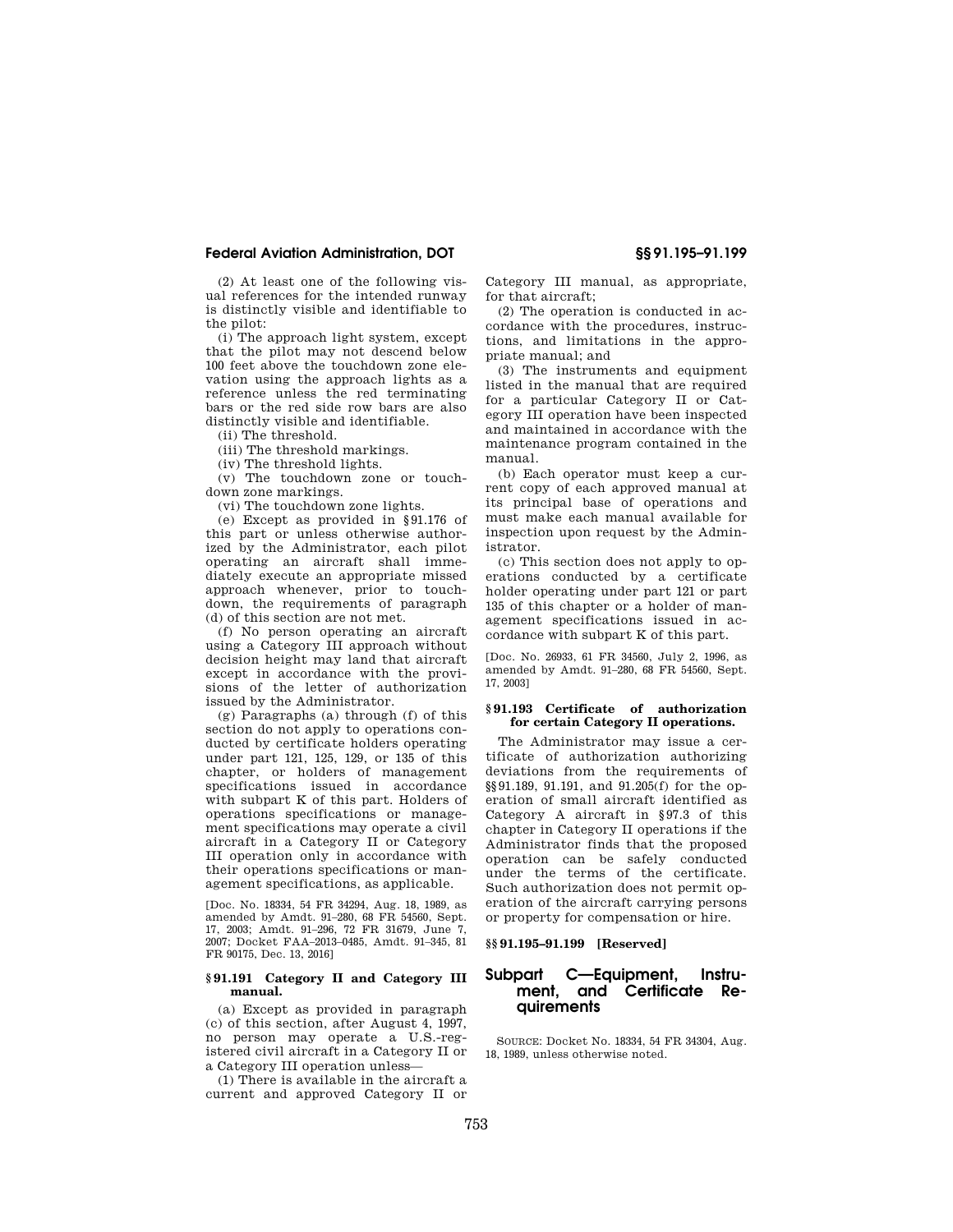(2) At least one of the following visual references for the intended runway is distinctly visible and identifiable to the pilot:

(i) The approach light system, except that the pilot may not descend below 100 feet above the touchdown zone elevation using the approach lights as a reference unless the red terminating bars or the red side row bars are also distinctly visible and identifiable.

(ii) The threshold.

(iii) The threshold markings.

(iv) The threshold lights.

(v) The touchdown zone or touchdown zone markings.

(vi) The touchdown zone lights.

(e) Except as provided in §91.176 of this part or unless otherwise authorized by the Administrator, each pilot operating an aircraft shall immediately execute an appropriate missed approach whenever, prior to touchdown, the requirements of paragraph (d) of this section are not met.

(f) No person operating an aircraft using a Category III approach without decision height may land that aircraft except in accordance with the provisions of the letter of authorization issued by the Administrator.

(g) Paragraphs (a) through (f) of this section do not apply to operations conducted by certificate holders operating under part 121, 125, 129, or 135 of this chapter, or holders of management specifications issued in accordance with subpart K of this part. Holders of operations specifications or management specifications may operate a civil aircraft in a Category II or Category III operation only in accordance with their operations specifications or management specifications, as applicable.

[Doc. No. 18334, 54 FR 34294, Aug. 18, 1989, as amended by Amdt. 91–280, 68 FR 54560, Sept. 17, 2003; Amdt. 91–296, 72 FR 31679, June 7, 2007; Docket FAA–2013–0485, Amdt. 91–345, 81 FR 90175, Dec. 13, 2016]

#### **§ 91.191 Category II and Category III manual.**

(a) Except as provided in paragraph (c) of this section, after August 4, 1997, no person may operate a U.S.-registered civil aircraft in a Category II or a Category III operation unless—

(1) There is available in the aircraft a current and approved Category II or Category III manual, as appropriate, for that aircraft;

(2) The operation is conducted in accordance with the procedures, instructions, and limitations in the appropriate manual; and

(3) The instruments and equipment listed in the manual that are required for a particular Category II or Category III operation have been inspected and maintained in accordance with the maintenance program contained in the manual.

(b) Each operator must keep a current copy of each approved manual at its principal base of operations and must make each manual available for inspection upon request by the Administrator.

(c) This section does not apply to operations conducted by a certificate holder operating under part 121 or part 135 of this chapter or a holder of management specifications issued in accordance with subpart K of this part.

[Doc. No. 26933, 61 FR 34560, July 2, 1996, as amended by Amdt. 91–280, 68 FR 54560, Sept. 17, 2003]

## **§ 91.193 Certificate of authorization for certain Category II operations.**

The Administrator may issue a certificate of authorization authorizing deviations from the requirements of §§91.189, 91.191, and 91.205(f) for the operation of small aircraft identified as Category A aircraft in §97.3 of this chapter in Category II operations if the Administrator finds that the proposed operation can be safely conducted under the terms of the certificate. Such authorization does not permit operation of the aircraft carrying persons or property for compensation or hire.

## **§§ 91.195–91.199 [Reserved]**

# **Subpart C—Equipment, Instrument, and Certificate Requirements**

SOURCE: Docket No. 18334, 54 FR 34304, Aug. 18, 1989, unless otherwise noted.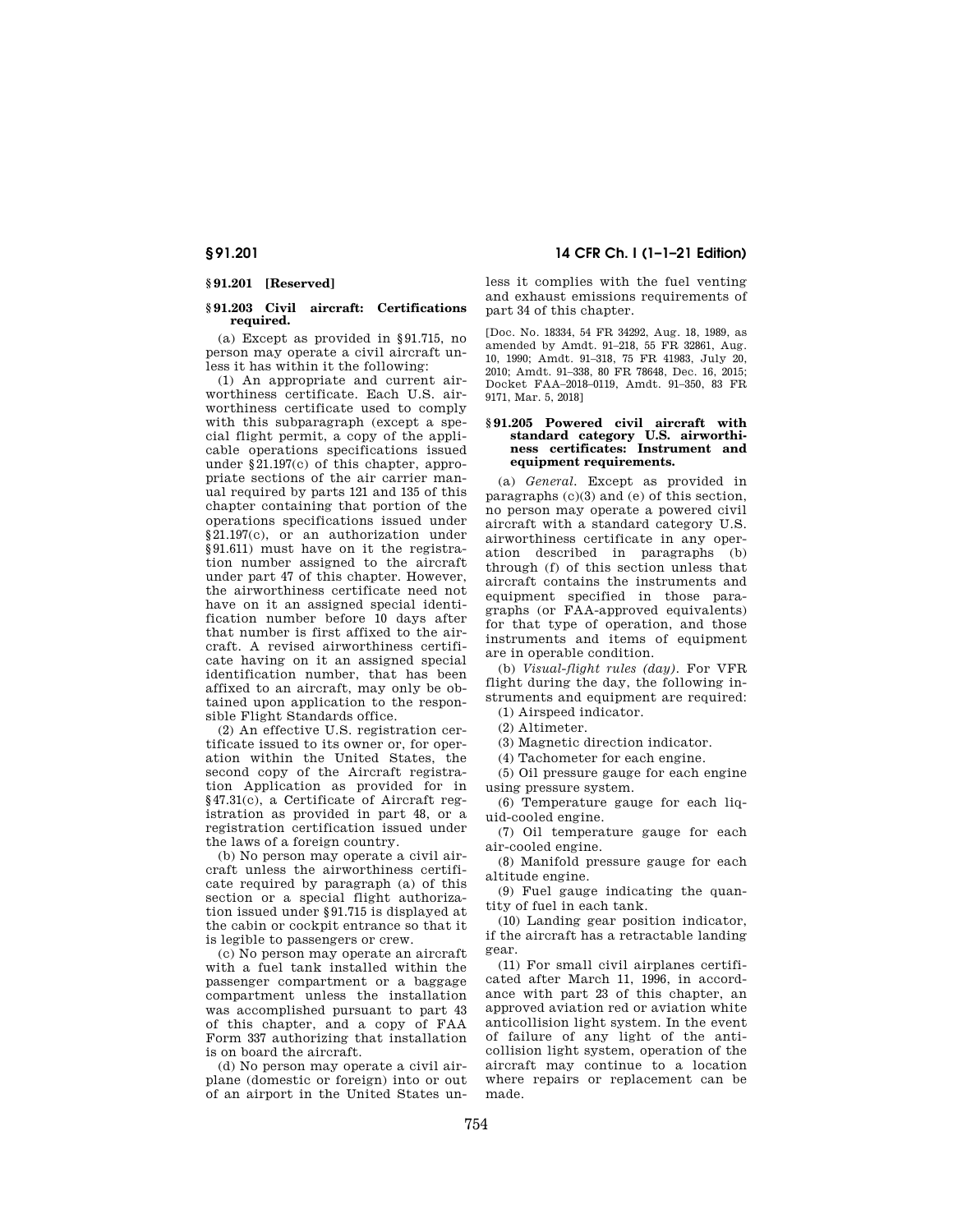## **§ 91.201 [Reserved]**

#### **§ 91.203 Civil aircraft: Certifications required.**

(a) Except as provided in §91.715, no person may operate a civil aircraft unless it has within it the following:

(1) An appropriate and current airworthiness certificate. Each U.S. airworthiness certificate used to comply with this subparagraph (except a special flight permit, a copy of the applicable operations specifications issued under §21.197(c) of this chapter, appropriate sections of the air carrier manual required by parts 121 and 135 of this chapter containing that portion of the operations specifications issued under §21.197(c), or an authorization under §91.611) must have on it the registration number assigned to the aircraft under part 47 of this chapter. However, the airworthiness certificate need not have on it an assigned special identification number before 10 days after that number is first affixed to the aircraft. A revised airworthiness certificate having on it an assigned special identification number, that has been affixed to an aircraft, may only be obtained upon application to the responsible Flight Standards office.

(2) An effective U.S. registration certificate issued to its owner or, for operation within the United States, the second copy of the Aircraft registration Application as provided for in §47.31(c), a Certificate of Aircraft registration as provided in part 48, or a registration certification issued under the laws of a foreign country.

(b) No person may operate a civil aircraft unless the airworthiness certificate required by paragraph (a) of this section or a special flight authorization issued under §91.715 is displayed at the cabin or cockpit entrance so that it is legible to passengers or crew.

(c) No person may operate an aircraft with a fuel tank installed within the passenger compartment or a baggage compartment unless the installation was accomplished pursuant to part 43 of this chapter, and a copy of FAA Form 337 authorizing that installation is on board the aircraft.

(d) No person may operate a civil airplane (domestic or foreign) into or out of an airport in the United States un-

**§ 91.201 14 CFR Ch. I (1–1–21 Edition)** 

less it complies with the fuel venting and exhaust emissions requirements of part 34 of this chapter.

[Doc. No. 18334, 54 FR 34292, Aug. 18, 1989, as amended by Amdt. 91–218, 55 FR 32861, Aug. 10, 1990; Amdt. 91–318, 75 FR 41983, July 20, 2010; Amdt. 91–338, 80 FR 78648, Dec. 16, 2015; Docket FAA–2018–0119, Amdt. 91–350, 83 FR 9171, Mar. 5, 2018]

#### **§ 91.205 Powered civil aircraft with standard category U.S. airworthiness certificates: Instrument and equipment requirements.**

(a) *General.* Except as provided in paragraphs (c)(3) and (e) of this section, no person may operate a powered civil aircraft with a standard category U.S. airworthiness certificate in any operation described in paragraphs (b) through (f) of this section unless that aircraft contains the instruments and equipment specified in those paragraphs (or FAA-approved equivalents) for that type of operation, and those instruments and items of equipment are in operable condition.

(b) *Visual-flight rules (day).* For VFR flight during the day, the following instruments and equipment are required:

(1) Airspeed indicator.

(2) Altimeter.

(3) Magnetic direction indicator.

(4) Tachometer for each engine.

(5) Oil pressure gauge for each engine using pressure system.

(6) Temperature gauge for each liquid-cooled engine.

(7) Oil temperature gauge for each air-cooled engine.

(8) Manifold pressure gauge for each altitude engine.

(9) Fuel gauge indicating the quantity of fuel in each tank.

(10) Landing gear position indicator, if the aircraft has a retractable landing gear.

(11) For small civil airplanes certificated after March 11, 1996, in accordance with part 23 of this chapter, an approved aviation red or aviation white anticollision light system. In the event of failure of any light of the anticollision light system, operation of the aircraft may continue to a location where repairs or replacement can be made.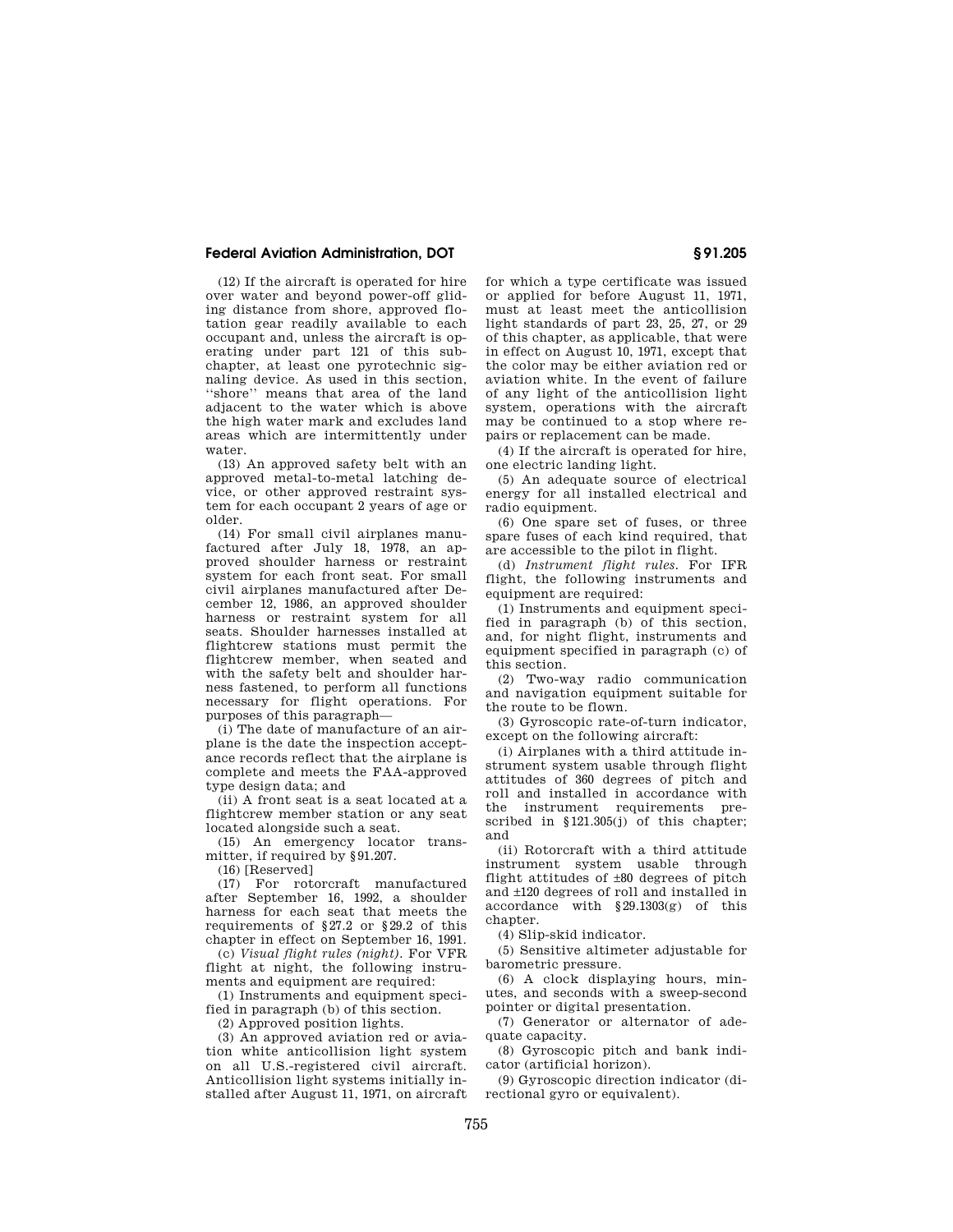(12) If the aircraft is operated for hire over water and beyond power-off gliding distance from shore, approved flotation gear readily available to each occupant and, unless the aircraft is operating under part 121 of this subchapter, at least one pyrotechnic signaling device. As used in this section, ''shore'' means that area of the land adjacent to the water which is above the high water mark and excludes land areas which are intermittently under water.

(13) An approved safety belt with an approved metal-to-metal latching device, or other approved restraint system for each occupant 2 years of age or older.

(14) For small civil airplanes manufactured after July 18, 1978, an approved shoulder harness or restraint system for each front seat. For small civil airplanes manufactured after December 12, 1986, an approved shoulder harness or restraint system for all seats. Shoulder harnesses installed at flightcrew stations must permit the flightcrew member, when seated and with the safety belt and shoulder harness fastened, to perform all functions necessary for flight operations. For purposes of this paragraph—

(i) The date of manufacture of an airplane is the date the inspection acceptance records reflect that the airplane is complete and meets the FAA-approved type design data; and

(ii) A front seat is a seat located at a flightcrew member station or any seat located alongside such a seat.

(15) An emergency locator transmitter, if required by §91.207.

(16) [Reserved]

(17) For rotorcraft manufactured after September 16, 1992, a shoulder harness for each seat that meets the requirements of §27.2 or §29.2 of this chapter in effect on September 16, 1991.

(c) *Visual flight rules (night).* For VFR flight at night, the following instruments and equipment are required:

(1) Instruments and equipment specified in paragraph (b) of this section.

(2) Approved position lights.

(3) An approved aviation red or aviation white anticollision light system on all U.S.-registered civil aircraft. Anticollision light systems initially installed after August 11, 1971, on aircraft for which a type certificate was issued or applied for before August 11, 1971, must at least meet the anticollision light standards of part 23, 25, 27, or 29 of this chapter, as applicable, that were in effect on August 10, 1971, except that the color may be either aviation red or aviation white. In the event of failure of any light of the anticollision light system, operations with the aircraft may be continued to a stop where repairs or replacement can be made.

(4) If the aircraft is operated for hire, one electric landing light.

(5) An adequate source of electrical energy for all installed electrical and radio equipment.

(6) One spare set of fuses, or three spare fuses of each kind required, that are accessible to the pilot in flight.

(d) *Instrument flight rules.* For IFR flight, the following instruments and equipment are required:

(1) Instruments and equipment specified in paragraph (b) of this section, and, for night flight, instruments and equipment specified in paragraph (c) of this section.

(2) Two-way radio communication and navigation equipment suitable for the route to be flown.

(3) Gyroscopic rate-of-turn indicator, except on the following aircraft:

(i) Airplanes with a third attitude instrument system usable through flight attitudes of 360 degrees of pitch and roll and installed in accordance with the instrument requirements prescribed in §121.305(j) of this chapter; and

(ii) Rotorcraft with a third attitude instrument system usable through flight attitudes of ±80 degrees of pitch and ±120 degrees of roll and installed in accordance with §29.1303(g) of this chapter.

(4) Slip-skid indicator.

(5) Sensitive altimeter adjustable for barometric pressure.

(6) A clock displaying hours, minutes, and seconds with a sweep-second pointer or digital presentation.

(7) Generator or alternator of adequate capacity.

(8) Gyroscopic pitch and bank indicator (artificial horizon).

(9) Gyroscopic direction indicator (directional gyro or equivalent).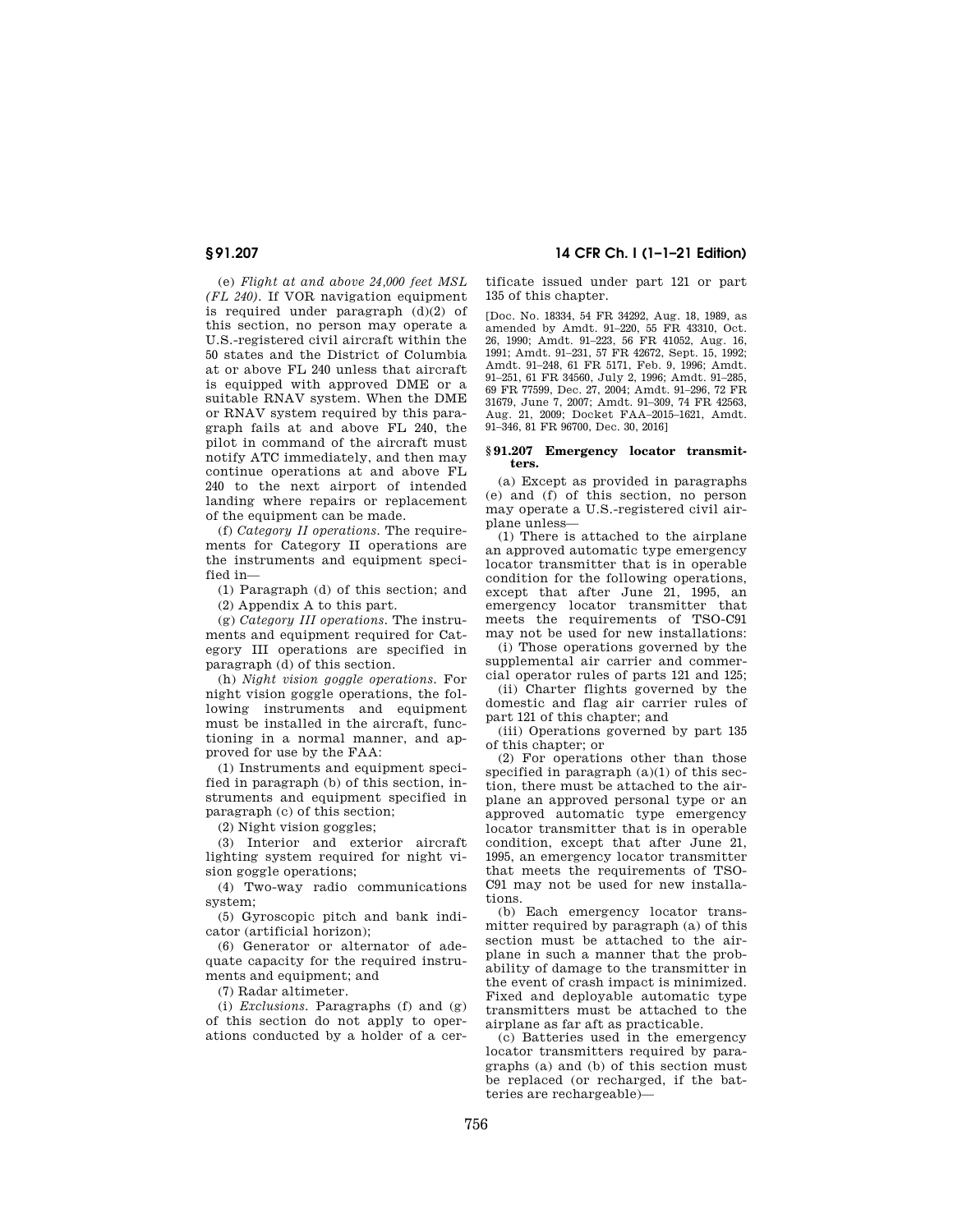(e) *Flight at and above 24,000 feet MSL (FL 240).* If VOR navigation equipment is required under paragraph (d)(2) of this section, no person may operate a U.S.-registered civil aircraft within the 50 states and the District of Columbia at or above FL 240 unless that aircraft is equipped with approved DME or a suitable RNAV system. When the DME or RNAV system required by this paragraph fails at and above FL 240, the pilot in command of the aircraft must notify ATC immediately, and then may continue operations at and above FL 240 to the next airport of intended landing where repairs or replacement of the equipment can be made.

(f) *Category II operations.* The requirements for Category II operations are the instruments and equipment specified in—

(1) Paragraph (d) of this section; and

(2) Appendix A to this part.

(g) *Category III operations.* The instruments and equipment required for Category III operations are specified in paragraph (d) of this section.

(h) *Night vision goggle operations.* For night vision goggle operations, the following instruments and equipment must be installed in the aircraft, functioning in a normal manner, and approved for use by the FAA:

(1) Instruments and equipment specified in paragraph (b) of this section, instruments and equipment specified in paragraph (c) of this section;

(2) Night vision goggles;

(3) Interior and exterior aircraft lighting system required for night vision goggle operations;

(4) Two-way radio communications system;

(5) Gyroscopic pitch and bank indicator (artificial horizon);

(6) Generator or alternator of adequate capacity for the required instruments and equipment; and

(7) Radar altimeter.

(i) *Exclusions.* Paragraphs (f) and (g) of this section do not apply to operations conducted by a holder of a cer-

**§ 91.207 14 CFR Ch. I (1–1–21 Edition)** 

tificate issued under part 121 or part 135 of this chapter.

[Doc. No. 18334, 54 FR 34292, Aug. 18, 1989, as amended by Amdt. 91–220, 55 FR 43310, Oct. 26, 1990; Amdt. 91–223, 56 FR 41052, Aug. 16, 1991; Amdt. 91–231, 57 FR 42672, Sept. 15, 1992; Amdt. 91–248, 61 FR 5171, Feb. 9, 1996; Amdt. 91–251, 61 FR 34560, July 2, 1996; Amdt. 91–285, 69 FR 77599, Dec. 27, 2004; Amdt. 91–296, 72 FR 31679, June 7, 2007; Amdt. 91–309, 74 FR 42563, Aug. 21, 2009; Docket FAA–2015–1621, Amdt. 91–346, 81 FR 96700, Dec. 30, 2016]

## **§ 91.207 Emergency locator transmitters.**

(a) Except as provided in paragraphs (e) and (f) of this section, no person may operate a U.S.-registered civil airplane unless—

(1) There is attached to the airplane an approved automatic type emergency locator transmitter that is in operable condition for the following operations, except that after June 21, 1995, an emergency locator transmitter that meets the requirements of TSO-C91 may not be used for new installations:

(i) Those operations governed by the supplemental air carrier and commercial operator rules of parts 121 and 125;

(ii) Charter flights governed by the domestic and flag air carrier rules of part 121 of this chapter; and

(iii) Operations governed by part 135 of this chapter; or

(2) For operations other than those specified in paragraph  $(a)(1)$  of this section, there must be attached to the airplane an approved personal type or an approved automatic type emergency locator transmitter that is in operable condition, except that after June 21, 1995, an emergency locator transmitter that meets the requirements of TSO-C91 may not be used for new installations.

(b) Each emergency locator transmitter required by paragraph (a) of this section must be attached to the airplane in such a manner that the probability of damage to the transmitter in the event of crash impact is minimized. Fixed and deployable automatic type transmitters must be attached to the airplane as far aft as practicable.

(c) Batteries used in the emergency locator transmitters required by paragraphs (a) and (b) of this section must be replaced (or recharged, if the batteries are rechargeable)—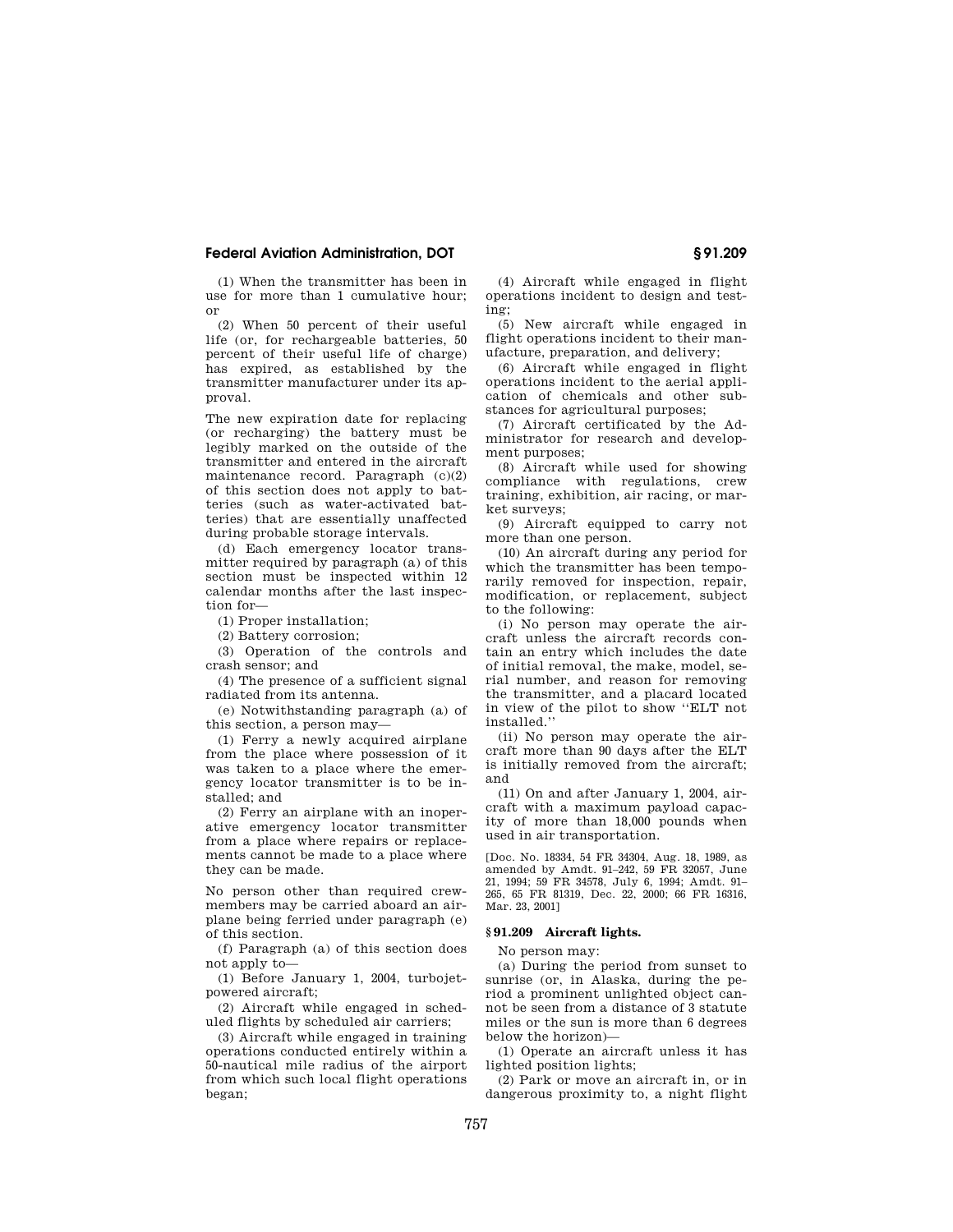(1) When the transmitter has been in use for more than 1 cumulative hour; or

(2) When 50 percent of their useful life (or, for rechargeable batteries, 50 percent of their useful life of charge) has expired, as established by the transmitter manufacturer under its approval.

The new expiration date for replacing (or recharging) the battery must be legibly marked on the outside of the transmitter and entered in the aircraft maintenance record. Paragraph (c)(2) of this section does not apply to batteries (such as water-activated batteries) that are essentially unaffected during probable storage intervals.

(d) Each emergency locator transmitter required by paragraph (a) of this section must be inspected within 12 calendar months after the last inspection for—

(1) Proper installation;

(2) Battery corrosion;

(3) Operation of the controls and crash sensor; and

(4) The presence of a sufficient signal radiated from its antenna.

(e) Notwithstanding paragraph (a) of this section, a person may—

(1) Ferry a newly acquired airplane from the place where possession of it was taken to a place where the emergency locator transmitter is to be installed; and

(2) Ferry an airplane with an inoperative emergency locator transmitter from a place where repairs or replacements cannot be made to a place where they can be made.

No person other than required crewmembers may be carried aboard an airplane being ferried under paragraph (e) of this section.

(f) Paragraph (a) of this section does not apply to—

(1) Before January 1, 2004, turbojetpowered aircraft;

(2) Aircraft while engaged in scheduled flights by scheduled air carriers;

(3) Aircraft while engaged in training operations conducted entirely within a 50-nautical mile radius of the airport from which such local flight operations began;

(4) Aircraft while engaged in flight operations incident to design and testing;

(5) New aircraft while engaged in flight operations incident to their manufacture, preparation, and delivery;

(6) Aircraft while engaged in flight operations incident to the aerial application of chemicals and other substances for agricultural purposes;

(7) Aircraft certificated by the Administrator for research and development purposes;

(8) Aircraft while used for showing compliance with regulations, crew training, exhibition, air racing, or market surveys;

(9) Aircraft equipped to carry not more than one person.

(10) An aircraft during any period for which the transmitter has been temporarily removed for inspection, repair, modification, or replacement, subject to the following:

(i) No person may operate the aircraft unless the aircraft records contain an entry which includes the date of initial removal, the make, model, serial number, and reason for removing the transmitter, and a placard located in view of the pilot to show ''ELT not installed.''

(ii) No person may operate the aircraft more than 90 days after the ELT is initially removed from the aircraft; and

(11) On and after January 1, 2004, aircraft with a maximum payload capacity of more than 18,000 pounds when used in air transportation.

[Doc. No. 18334, 54 FR 34304, Aug. 18, 1989, as amended by Amdt. 91–242, 59 FR 32057, June 21, 1994; 59 FR 34578, July 6, 1994; Amdt. 91– 265, 65 FR 81319, Dec. 22, 2000; 66 FR 16316, Mar. 23, 2001]

#### **§ 91.209 Aircraft lights.**

No person may:

(a) During the period from sunset to sunrise (or, in Alaska, during the period a prominent unlighted object cannot be seen from a distance of 3 statute miles or the sun is more than 6 degrees below the horizon)—

(1) Operate an aircraft unless it has lighted position lights;

(2) Park or move an aircraft in, or in dangerous proximity to, a night flight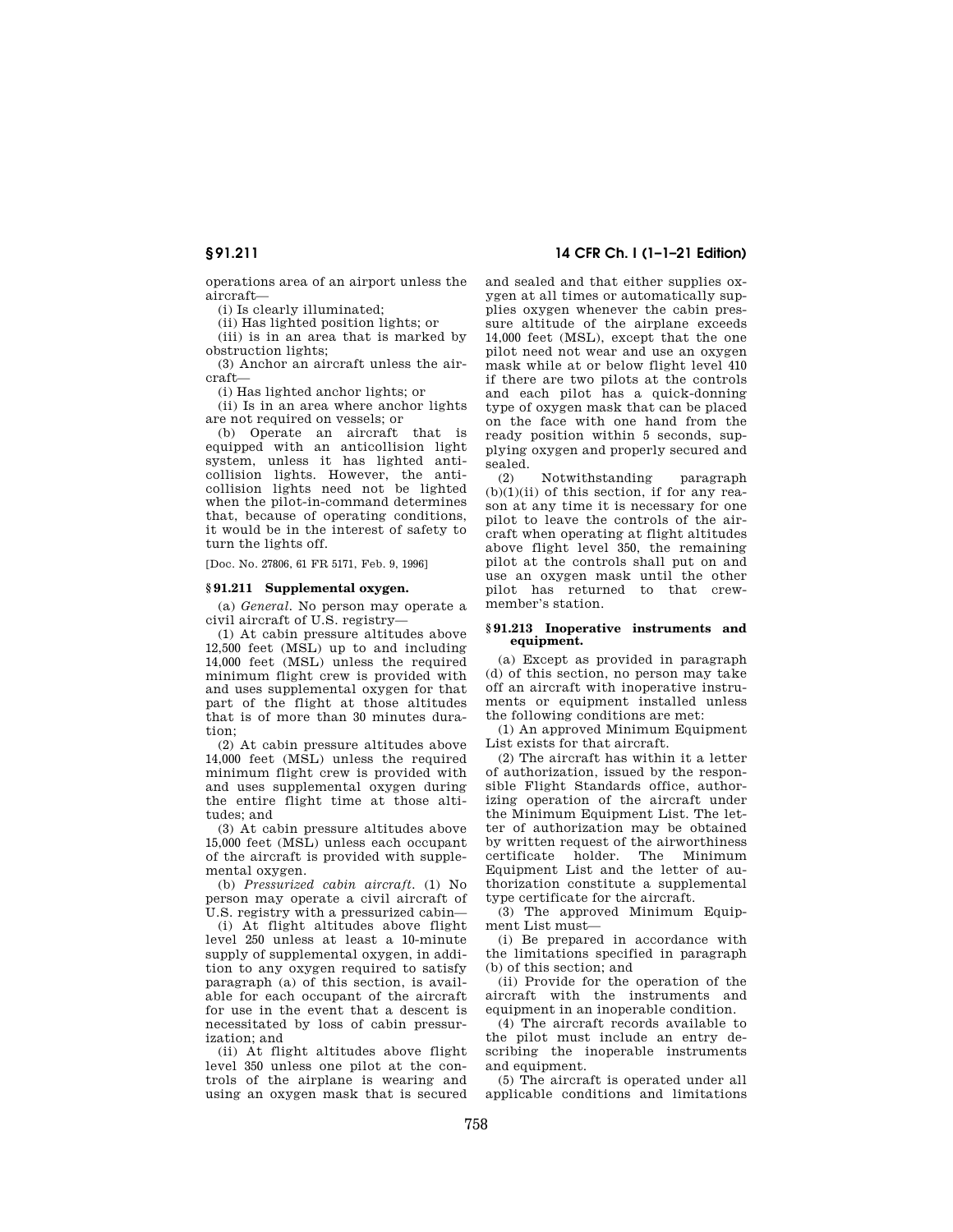operations area of an airport unless the aircraft—

(i) Is clearly illuminated;

(ii) Has lighted position lights; or

(iii) is in an area that is marked by obstruction lights;

(3) Anchor an aircraft unless the aircraft—

(i) Has lighted anchor lights; or

(ii) Is in an area where anchor lights are not required on vessels; or

(b) Operate an aircraft that is equipped with an anticollision light system, unless it has lighted anticollision lights. However, the anticollision lights need not be lighted when the pilot-in-command determines that, because of operating conditions, it would be in the interest of safety to turn the lights off.

[Doc. No. 27806, 61 FR 5171, Feb. 9, 1996]

## **§ 91.211 Supplemental oxygen.**

(a) *General.* No person may operate a civil aircraft of U.S. registry—

(1) At cabin pressure altitudes above 12,500 feet (MSL) up to and including 14,000 feet (MSL) unless the required minimum flight crew is provided with and uses supplemental oxygen for that part of the flight at those altitudes that is of more than 30 minutes duration;

(2) At cabin pressure altitudes above 14,000 feet (MSL) unless the required minimum flight crew is provided with and uses supplemental oxygen during the entire flight time at those altitudes; and

(3) At cabin pressure altitudes above 15,000 feet (MSL) unless each occupant of the aircraft is provided with supplemental oxygen.

(b) *Pressurized cabin aircraft.* (1) No person may operate a civil aircraft of U.S. registry with a pressurized cabin—

(i) At flight altitudes above flight level 250 unless at least a 10-minute supply of supplemental oxygen, in addition to any oxygen required to satisfy paragraph (a) of this section, is available for each occupant of the aircraft for use in the event that a descent is necessitated by loss of cabin pressurization; and

(ii) At flight altitudes above flight level 350 unless one pilot at the controls of the airplane is wearing and using an oxygen mask that is secured

# **§ 91.211 14 CFR Ch. I (1–1–21 Edition)**

and sealed and that either supplies oxygen at all times or automatically supplies oxygen whenever the cabin pressure altitude of the airplane exceeds 14,000 feet (MSL), except that the one pilot need not wear and use an oxygen mask while at or below flight level 410 if there are two pilots at the controls and each pilot has a quick-donning type of oxygen mask that can be placed on the face with one hand from the ready position within 5 seconds, supplying oxygen and properly secured and sealed.<br> $(2)$ 

Notwithstanding paragraph  $(b)(1)(ii)$  of this section, if for any reason at any time it is necessary for one pilot to leave the controls of the aircraft when operating at flight altitudes above flight level 350, the remaining pilot at the controls shall put on and use an oxygen mask until the other pilot has returned to that crewmember's station.

#### **§ 91.213 Inoperative instruments and equipment.**

(a) Except as provided in paragraph (d) of this section, no person may take off an aircraft with inoperative instruments or equipment installed unless the following conditions are met:

(1) An approved Minimum Equipment List exists for that aircraft.

(2) The aircraft has within it a letter of authorization, issued by the responsible Flight Standards office, authorizing operation of the aircraft under the Minimum Equipment List. The letter of authorization may be obtained by written request of the airworthiness certificate holder. The Minimum Equipment List and the letter of authorization constitute a supplemental type certificate for the aircraft.

(3) The approved Minimum Equipment List must—

(i) Be prepared in accordance with the limitations specified in paragraph (b) of this section; and

(ii) Provide for the operation of the aircraft with the instruments and equipment in an inoperable condition.

(4) The aircraft records available to the pilot must include an entry describing the inoperable instruments and equipment.

(5) The aircraft is operated under all applicable conditions and limitations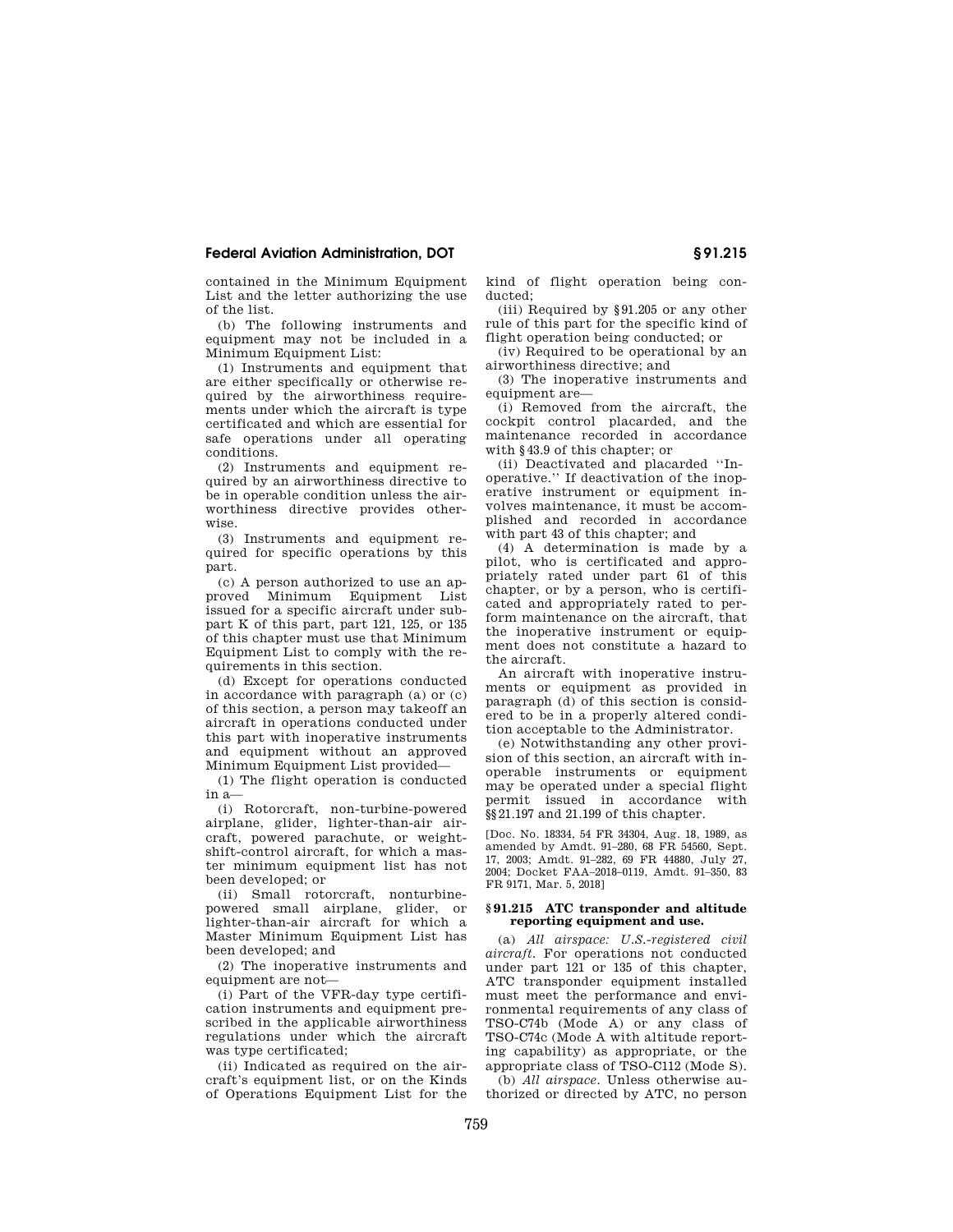contained in the Minimum Equipment List and the letter authorizing the use of the list.

(b) The following instruments and equipment may not be included in a Minimum Equipment List:

(1) Instruments and equipment that are either specifically or otherwise required by the airworthiness requirements under which the aircraft is type certificated and which are essential for safe operations under all operating conditions.

(2) Instruments and equipment required by an airworthiness directive to be in operable condition unless the airworthiness directive provides otherwise.

(3) Instruments and equipment required for specific operations by this part.

(c) A person authorized to use an approved Minimum Equipment List issued for a specific aircraft under subpart K of this part, part 121, 125, or 135 of this chapter must use that Minimum Equipment List to comply with the requirements in this section.

(d) Except for operations conducted in accordance with paragraph (a) or (c) of this section, a person may takeoff an aircraft in operations conducted under this part with inoperative instruments and equipment without an approved Minimum Equipment List provided—

(1) The flight operation is conducted in a—

(i) Rotorcraft, non-turbine-powered airplane, glider, lighter-than-air aircraft, powered parachute, or weightshift-control aircraft, for which a master minimum equipment list has not been developed; or

(ii) Small rotorcraft, nonturbinepowered small airplane, glider, or lighter-than-air aircraft for which a Master Minimum Equipment List has been developed; and

(2) The inoperative instruments and equipment are not—

(i) Part of the VFR-day type certification instruments and equipment prescribed in the applicable airworthiness regulations under which the aircraft was type certificated;

(ii) Indicated as required on the aircraft's equipment list, or on the Kinds of Operations Equipment List for the kind of flight operation being conducted;

(iii) Required by §91.205 or any other rule of this part for the specific kind of flight operation being conducted; or

(iv) Required to be operational by an airworthiness directive; and

(3) The inoperative instruments and equipment are—

(i) Removed from the aircraft, the cockpit control placarded, and the maintenance recorded in accordance with §43.9 of this chapter; or

(ii) Deactivated and placarded ''Inoperative.'' If deactivation of the inoperative instrument or equipment involves maintenance, it must be accomplished and recorded in accordance with part 43 of this chapter; and

(4) A determination is made by a pilot, who is certificated and appropriately rated under part 61 of this chapter, or by a person, who is certificated and appropriately rated to perform maintenance on the aircraft, that the inoperative instrument or equipment does not constitute a hazard to the aircraft.

An aircraft with inoperative instruments or equipment as provided in paragraph (d) of this section is considered to be in a properly altered condition acceptable to the Administrator.

(e) Notwithstanding any other provision of this section, an aircraft with inoperable instruments or equipment may be operated under a special flight permit issued in accordance with §§21.197 and 21.199 of this chapter.

[Doc. No. 18334, 54 FR 34304, Aug. 18, 1989, as amended by Amdt. 91–280, 68 FR 54560, Sept. 17, 2003; Amdt. 91–282, 69 FR 44880, July 27, 2004; Docket FAA–2018–0119, Amdt. 91–350, 83 FR 9171, Mar. 5, 2018]

## **§ 91.215 ATC transponder and altitude reporting equipment and use.**

(a) *All airspace: U.S.-registered civil aircraft.* For operations not conducted under part 121 or 135 of this chapter, ATC transponder equipment installed must meet the performance and environmental requirements of any class of TSO-C74b (Mode A) or any class of TSO-C74c (Mode A with altitude reporting capability) as appropriate, or the appropriate class of TSO-C112 (Mode S).

(b) *All airspace.* Unless otherwise authorized or directed by ATC, no person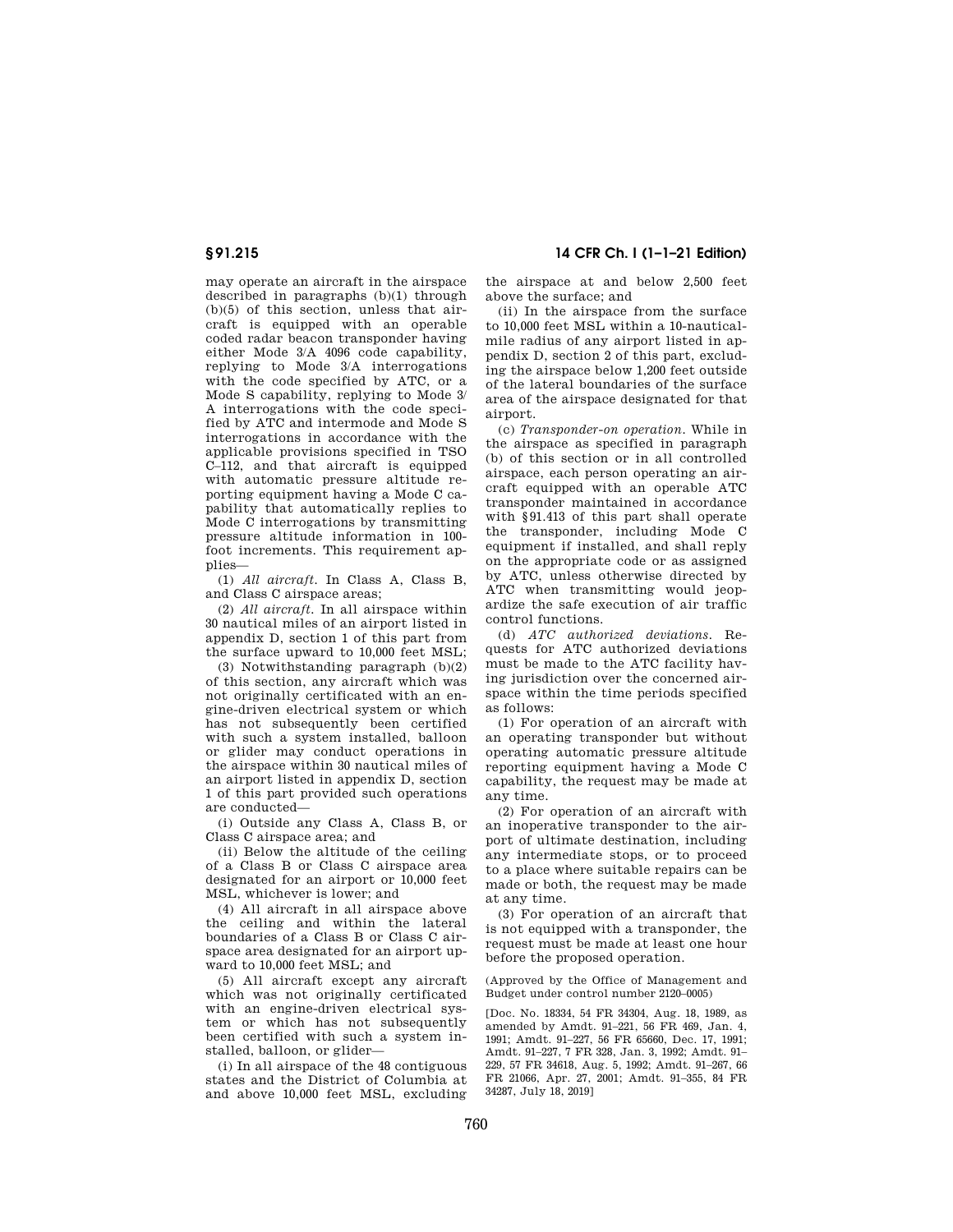may operate an aircraft in the airspace described in paragraphs (b)(1) through  $(b)(5)$  of this section, unless that aircraft is equipped with an operable coded radar beacon transponder having either Mode 3/A 4096 code capability, replying to Mode 3/A interrogations with the code specified by ATC, or a Mode S capability, replying to Mode 3/ A interrogations with the code specified by ATC and intermode and Mode S interrogations in accordance with the applicable provisions specified in TSO C–112, and that aircraft is equipped with automatic pressure altitude reporting equipment having a Mode C capability that automatically replies to Mode C interrogations by transmitting pressure altitude information in 100 foot increments. This requirement applies—

(1) *All aircraft.* In Class A, Class B, and Class C airspace areas;

(2) *All aircraft.* In all airspace within 30 nautical miles of an airport listed in appendix D, section 1 of this part from the surface upward to 10,000 feet MSL;

(3) Notwithstanding paragraph (b)(2) of this section, any aircraft which was not originally certificated with an engine-driven electrical system or which has not subsequently been certified with such a system installed, balloon or glider may conduct operations in the airspace within 30 nautical miles of an airport listed in appendix D, section 1 of this part provided such operations are conducted—

(i) Outside any Class A, Class B, or Class C airspace area; and

(ii) Below the altitude of the ceiling of a Class B or Class C airspace area designated for an airport or  $10,000$  feet MSL, whichever is lower; and

(4) All aircraft in all airspace above the ceiling and within the lateral boundaries of a Class B or Class C airspace area designated for an airport upward to 10,000 feet MSL; and

(5) All aircraft except any aircraft which was not originally certificated with an engine-driven electrical system or which has not subsequently been certified with such a system installed, balloon, or glider—

(i) In all airspace of the 48 contiguous states and the District of Columbia at and above 10,000 feet MSL, excluding

**§ 91.215 14 CFR Ch. I (1–1–21 Edition)** 

the airspace at and below 2,500 feet above the surface; and

(ii) In the airspace from the surface to 10,000 feet MSL within a 10-nauticalmile radius of any airport listed in appendix D, section 2 of this part, excluding the airspace below 1,200 feet outside of the lateral boundaries of the surface area of the airspace designated for that airport.

(c) *Transponder-on operation.* While in the airspace as specified in paragraph (b) of this section or in all controlled airspace, each person operating an aircraft equipped with an operable ATC transponder maintained in accordance with §91.413 of this part shall operate the transponder, including Mode C equipment if installed, and shall reply on the appropriate code or as assigned by ATC, unless otherwise directed by ATC when transmitting would jeopardize the safe execution of air traffic control functions.

(d) *ATC authorized deviations.* Requests for ATC authorized deviations must be made to the ATC facility having jurisdiction over the concerned airspace within the time periods specified as follows:

(1) For operation of an aircraft with an operating transponder but without operating automatic pressure altitude reporting equipment having a Mode C capability, the request may be made at any time.

(2) For operation of an aircraft with an inoperative transponder to the airport of ultimate destination, including any intermediate stops, or to proceed to a place where suitable repairs can be made or both, the request may be made at any time.

(3) For operation of an aircraft that is not equipped with a transponder, the request must be made at least one hour before the proposed operation.

(Approved by the Office of Management and Budget under control number 2120–0005)

[Doc. No. 18334, 54 FR 34304, Aug. 18, 1989, as amended by Amdt. 91–221, 56 FR 469, Jan. 4, 1991; Amdt. 91–227, 56 FR 65660, Dec. 17, 1991; Amdt. 91–227, 7 FR 328, Jan. 3, 1992; Amdt. 91– 229, 57 FR 34618, Aug. 5, 1992; Amdt. 91–267, 66 FR 21066, Apr. 27, 2001; Amdt. 91–355, 84 FR 34287, July 18, 2019]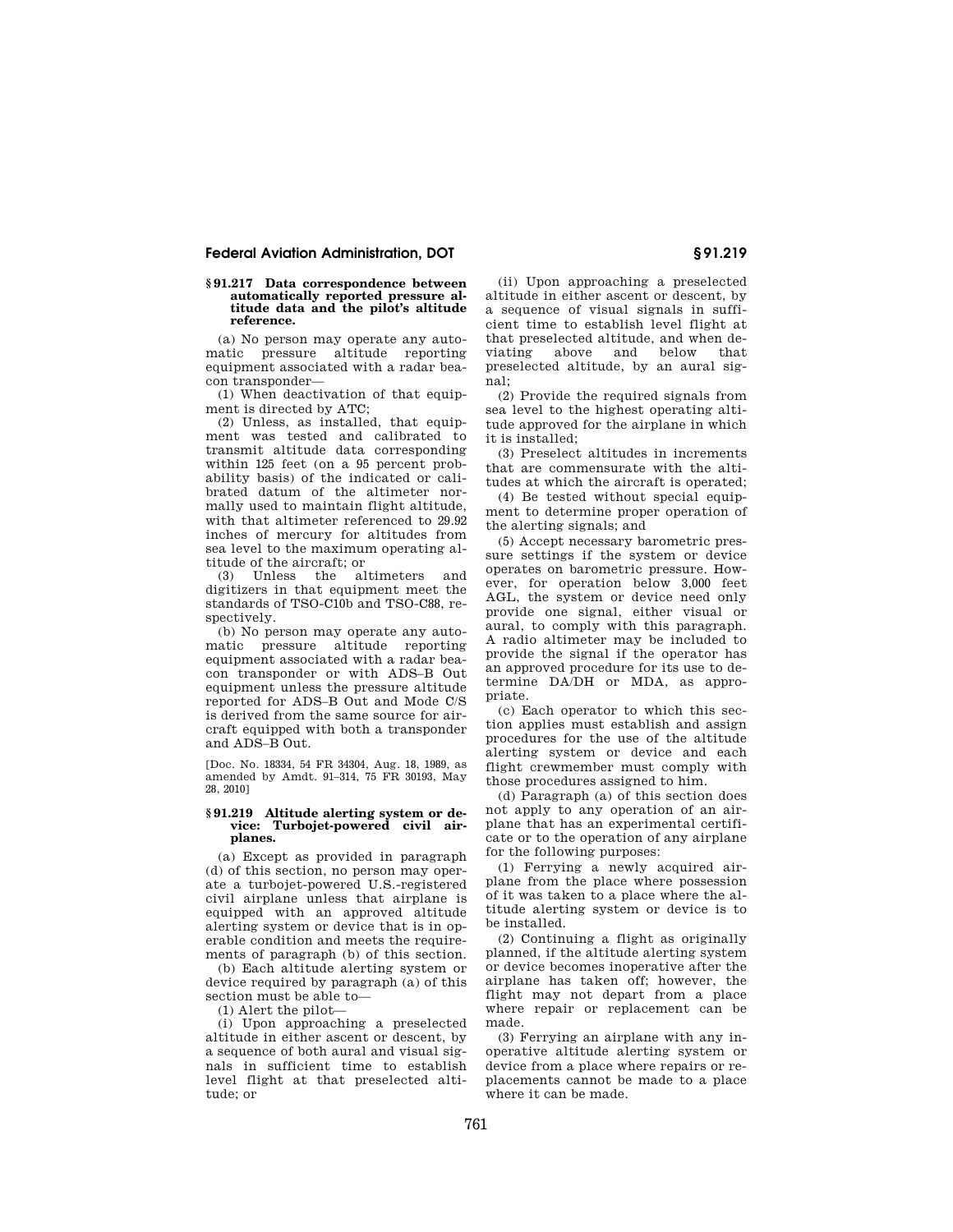#### **§ 91.217 Data correspondence between automatically reported pressure altitude data and the pilot's altitude reference.**

(a) No person may operate any automatic pressure altitude reporting equipment associated with a radar beacon transponder—

(1) When deactivation of that equipment is directed by ATC;

(2) Unless, as installed, that equipment was tested and calibrated to transmit altitude data corresponding within 125 feet (on a 95 percent probability basis) of the indicated or calibrated datum of the altimeter normally used to maintain flight altitude, with that altimeter referenced to 29.92 inches of mercury for altitudes from sea level to the maximum operating altitude of the aircraft; or

(3) Unless the altimeters and digitizers in that equipment meet the standards of TSO-C10b and TSO-C88, respectively.

(b) No person may operate any automatic pressure altitude reporting equipment associated with a radar beacon transponder or with ADS–B Out equipment unless the pressure altitude reported for ADS–B Out and Mode C/S is derived from the same source for aircraft equipped with both a transponder and ADS–B Out.

[Doc. No. 18334, 54 FR 34304, Aug. 18, 1989, as amended by Amdt. 91–314, 75 FR 30193, May 28, 2010]

## **§ 91.219 Altitude alerting system or device: Turbojet-powered civil airplanes.**

(a) Except as provided in paragraph (d) of this section, no person may operate a turbojet-powered U.S.-registered civil airplane unless that airplane is equipped with an approved altitude alerting system or device that is in operable condition and meets the requirements of paragraph (b) of this section.

(b) Each altitude alerting system or device required by paragraph (a) of this section must be able to—

(1) Alert the pilot—

(i) Upon approaching a preselected altitude in either ascent or descent, by a sequence of both aural and visual signals in sufficient time to establish level flight at that preselected altitude; or

(ii) Upon approaching a preselected altitude in either ascent or descent, by a sequence of visual signals in sufficient time to establish level flight at that preselected altitude, and when deviating above and below that preselected altitude, by an aural signal;

(2) Provide the required signals from sea level to the highest operating altitude approved for the airplane in which it is installed;

(3) Preselect altitudes in increments that are commensurate with the altitudes at which the aircraft is operated;

(4) Be tested without special equipment to determine proper operation of the alerting signals; and

(5) Accept necessary barometric pressure settings if the system or device operates on barometric pressure. However, for operation below 3,000 feet AGL, the system or device need only provide one signal, either visual or aural, to comply with this paragraph. A radio altimeter may be included to provide the signal if the operator has an approved procedure for its use to determine DA/DH or MDA, as appropriate.

(c) Each operator to which this section applies must establish and assign procedures for the use of the altitude alerting system or device and each flight crewmember must comply with those procedures assigned to him.

(d) Paragraph (a) of this section does not apply to any operation of an airplane that has an experimental certificate or to the operation of any airplane for the following purposes:

(1) Ferrying a newly acquired airplane from the place where possession of it was taken to a place where the altitude alerting system or device is to be installed.

(2) Continuing a flight as originally planned, if the altitude alerting system or device becomes inoperative after the airplane has taken off; however, the flight may not depart from a place where repair or replacement can be made.

(3) Ferrying an airplane with any inoperative altitude alerting system or device from a place where repairs or replacements cannot be made to a place .<br>where it can be made.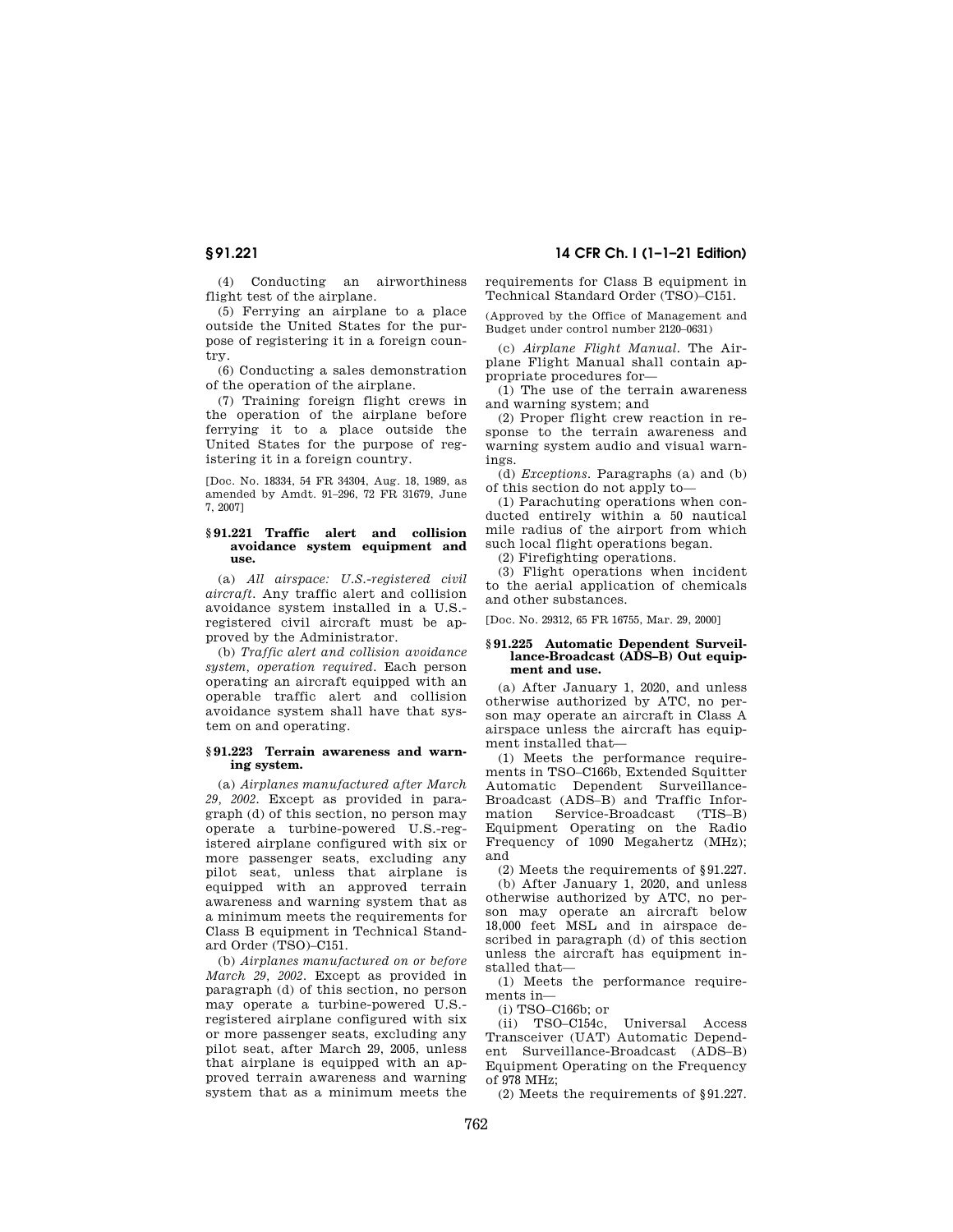**§ 91.221 14 CFR Ch. I (1–1–21 Edition)** 

(4) Conducting an airworthiness flight test of the airplane.

(5) Ferrying an airplane to a place outside the United States for the purpose of registering it in a foreign country.

(6) Conducting a sales demonstration of the operation of the airplane.

(7) Training foreign flight crews in the operation of the airplane before ferrying it to a place outside the United States for the purpose of registering it in a foreign country.

[Doc. No. 18334, 54 FR 34304, Aug. 18, 1989, as amended by Amdt. 91–296, 72 FR 31679, June 7, 2007]

## **§ 91.221 Traffic alert and collision avoidance system equipment and use.**

(a) *All airspace: U.S.-registered civil aircraft.* Any traffic alert and collision avoidance system installed in a U.S. registered civil aircraft must be approved by the Administrator.

(b) *Traffic alert and collision avoidance system, operation required.* Each person operating an aircraft equipped with an operable traffic alert and collision avoidance system shall have that system on and operating.

#### **§ 91.223 Terrain awareness and warning system.**

(a) *Airplanes manufactured after March 29, 2002.* Except as provided in paragraph (d) of this section, no person may operate a turbine-powered U.S.-registered airplane configured with six or more passenger seats, excluding any pilot seat, unless that airplane is equipped with an approved terrain awareness and warning system that as a minimum meets the requirements for Class B equipment in Technical Standard Order (TSO)–C151.

(b) *Airplanes manufactured on or before March 29, 2002.* Except as provided in paragraph (d) of this section, no person may operate a turbine-powered U.S. registered airplane configured with six or more passenger seats, excluding any pilot seat, after March 29, 2005, unless that airplane is equipped with an approved terrain awareness and warning system that as a minimum meets the

requirements for Class B equipment in Technical Standard Order (TSO)–C151.

(Approved by the Office of Management and Budget under control number 2120–0631)

(c) *Airplane Flight Manual.* The Airplane Flight Manual shall contain appropriate procedures for—

(1) The use of the terrain awareness and warning system; and

(2) Proper flight crew reaction in response to the terrain awareness and warning system audio and visual warnings.

(d) *Exceptions.* Paragraphs (a) and (b) of this section do not apply to—

(1) Parachuting operations when conducted entirely within a 50 nautical mile radius of the airport from which such local flight operations began.

(2) Firefighting operations.

(3) Flight operations when incident to the aerial application of chemicals and other substances.

[Doc. No. 29312, 65 FR 16755, Mar. 29, 2000]

#### **§ 91.225 Automatic Dependent Surveillance-Broadcast (ADS–B) Out equipment and use.**

(a) After January 1, 2020, and unless otherwise authorized by ATC, no person may operate an aircraft in Class A airspace unless the aircraft has equipment installed that—

(1) Meets the performance requirements in TSO–C166b, Extended Squitter Automatic Dependent Surveillance-Broadcast (ADS–B) and Traffic Infor-Service-Broadcast Equipment Operating on the Radio Frequency of 1090 Megahertz (MHz); and

(2) Meets the requirements of §91.227.

(b) After January 1, 2020, and unless otherwise authorized by ATC, no person may operate an aircraft below 18,000 feet MSL and in airspace described in paragraph (d) of this section unless the aircraft has equipment installed that—

(1) Meets the performance requirements in—

(i) TSO–C166b; or<br>(ii) TSO–C154c.

Universal Access Transceiver (UAT) Automatic Dependent Surveillance-Broadcast (ADS–B) Equipment Operating on the Frequency of 978 MHz;

(2) Meets the requirements of §91.227.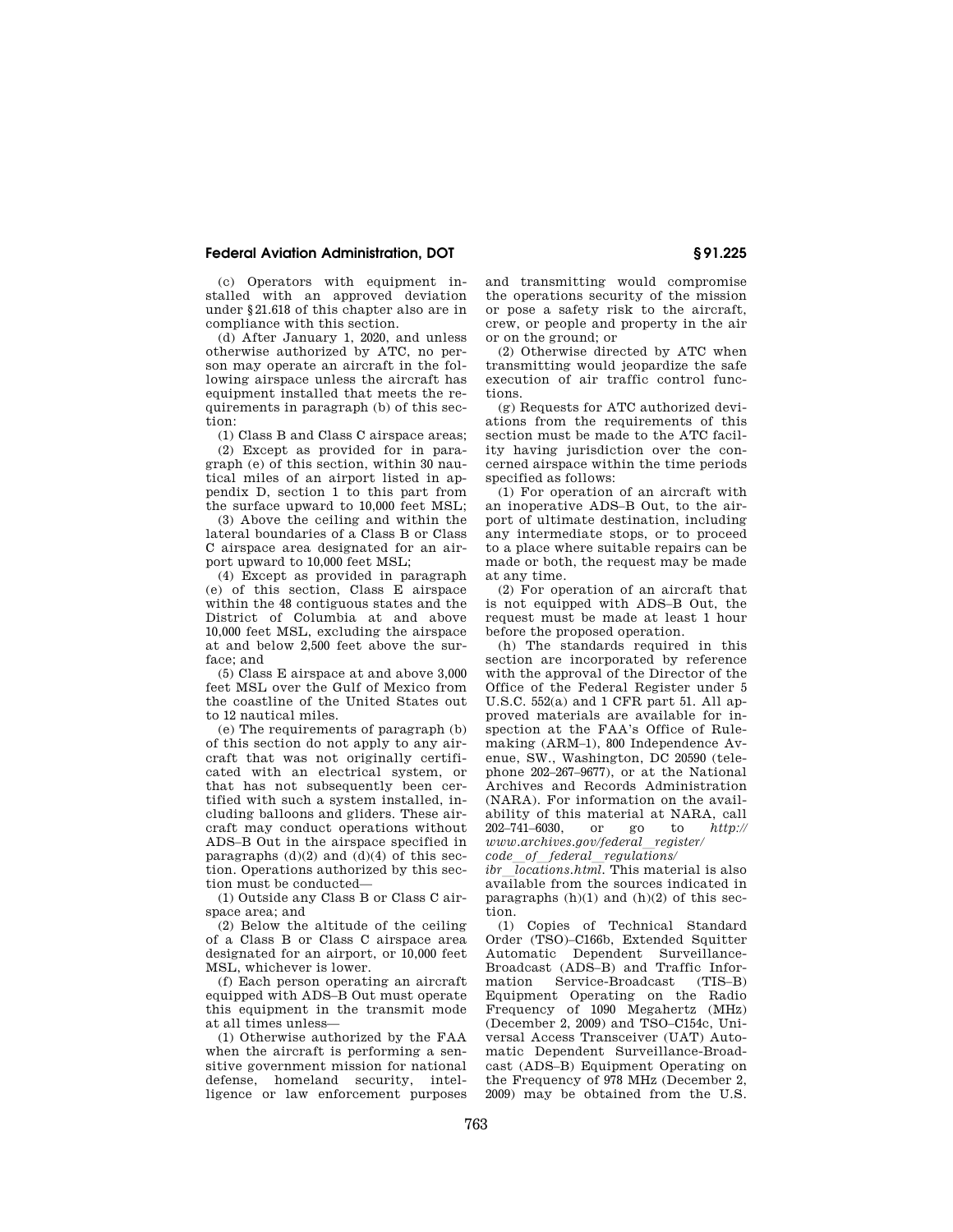(c) Operators with equipment installed with an approved deviation under §21.618 of this chapter also are in compliance with this section.

(d) After January 1, 2020, and unless otherwise authorized by ATC, no person may operate an aircraft in the following airspace unless the aircraft has equipment installed that meets the requirements in paragraph (b) of this section:

(1) Class B and Class C airspace areas;

(2) Except as provided for in paragraph (e) of this section, within 30 nautical miles of an airport listed in appendix D, section 1 to this part from the surface upward to 10,000 feet MSL:

(3) Above the ceiling and within the lateral boundaries of a Class B or Class C airspace area designated for an airport upward to 10,000 feet MSL;

(4) Except as provided in paragraph (e) of this section, Class E airspace within the 48 contiguous states and the District of Columbia at and above 10,000 feet MSL, excluding the airspace at and below 2,500 feet above the surface; and

(5) Class E airspace at and above 3,000 feet MSL over the Gulf of Mexico from the coastline of the United States out to 12 nautical miles.

(e) The requirements of paragraph (b) of this section do not apply to any aircraft that was not originally certificated with an electrical system, or that has not subsequently been certified with such a system installed, including balloons and gliders. These aircraft may conduct operations without ADS–B Out in the airspace specified in paragraphs  $(d)(2)$  and  $(d)(4)$  of this section. Operations authorized by this section must be conducted—

(1) Outside any Class B or Class C airspace area; and

(2) Below the altitude of the ceiling of a Class B or Class C airspace area designated for an airport, or 10,000 feet MSL, whichever is lower.

(f) Each person operating an aircraft equipped with ADS–B Out must operate this equipment in the transmit mode at all times unless—

(1) Otherwise authorized by the FAA when the aircraft is performing a sensitive government mission for national defense, homeland security, intelligence or law enforcement purposes and transmitting would compromise the operations security of the mission or pose a safety risk to the aircraft, crew, or people and property in the air or on the ground; or

(2) Otherwise directed by ATC when transmitting would jeopardize the safe execution of air traffic control functions.

(g) Requests for ATC authorized deviations from the requirements of this section must be made to the ATC facility having jurisdiction over the concerned airspace within the time periods specified as follows:

(1) For operation of an aircraft with an inoperative ADS–B Out, to the airport of ultimate destination, including any intermediate stops, or to proceed to a place where suitable repairs can be made or both, the request may be made at any time.

(2) For operation of an aircraft that is not equipped with ADS–B Out, the request must be made at least 1 hour before the proposed operation.

(h) The standards required in this section are incorporated by reference with the approval of the Director of the Office of the Federal Register under 5 U.S.C. 552(a) and 1 CFR part 51. All approved materials are available for inspection at the FAA's Office of Rulemaking (ARM–1), 800 Independence Avenue, SW., Washington, DC 20590 (telephone 202–267–9677), or at the National Archives and Records Administration (NARA). For information on the availability of this material at NARA, call 202–741–6030, or go to *http:// www.archives.gov/federal*l*register/* 

*code*l*of*l*federal*l*regulations/* 

*ibr*  $\overline{locations.html}$ . This material is also available from the sources indicated in paragraphs  $(h)(1)$  and  $(h)(2)$  of this section.

(1) Copies of Technical Standard Order (TSO)–C166b, Extended Squitter Automatic Dependent Surveillance-Broadcast (ADS–B) and Traffic Information Service-Broadcast (TIS–B) Equipment Operating on the Radio Frequency of 1090 Megahertz (MHz) (December 2, 2009) and TSO–C154c, Universal Access Transceiver (UAT) Automatic Dependent Surveillance-Broadcast (ADS–B) Equipment Operating on the Frequency of 978 MHz (December 2, 2009) may be obtained from the U.S.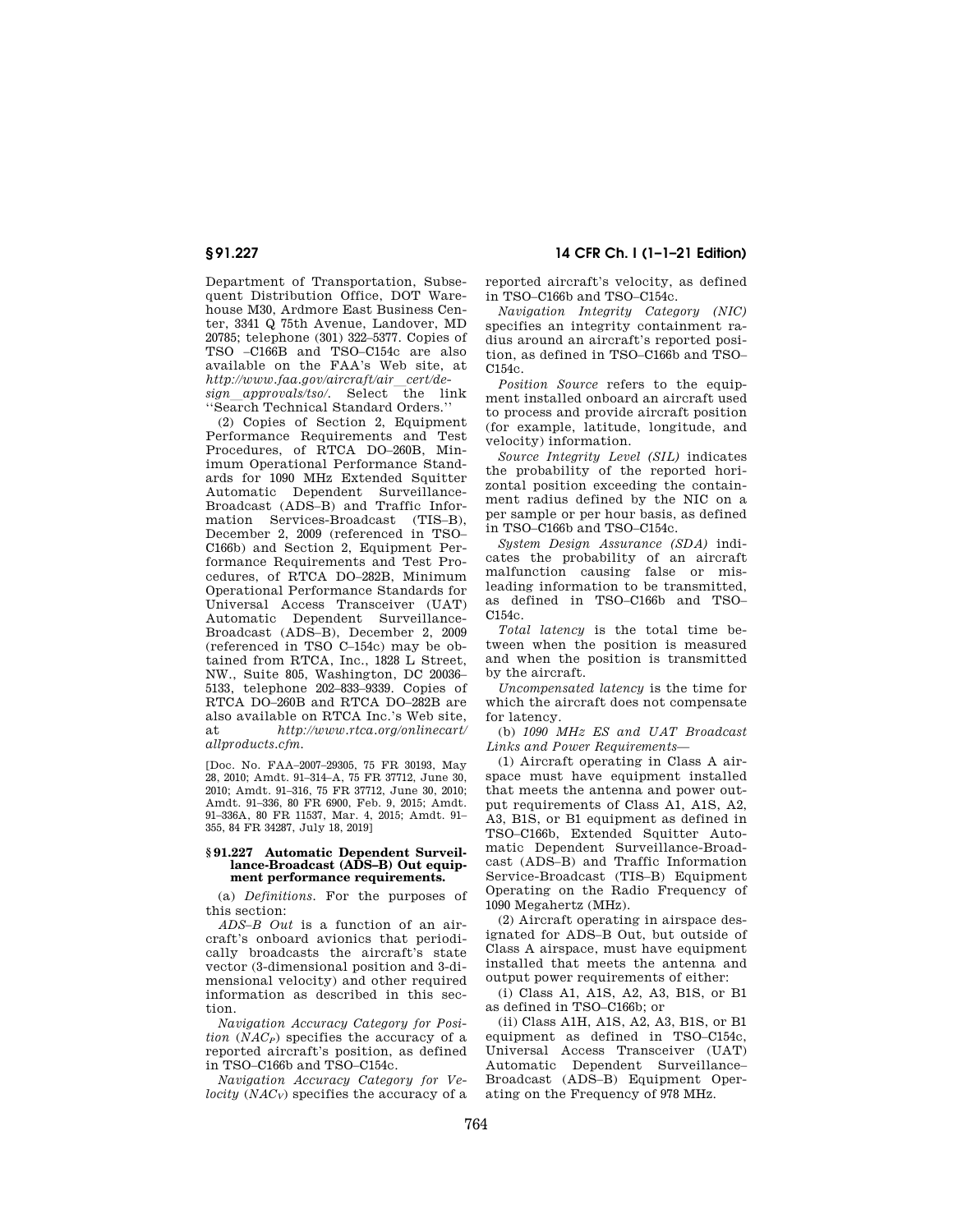Department of Transportation, Subsequent Distribution Office, DOT Warehouse M30, Ardmore East Business Center, 3341 Q 75th Avenue, Landover, MD 20785; telephone (301) 322–5377. Copies of TSO –C166B and TSO–C154c are also available on the FAA's Web site, at *http://www.faa.gov/aircraft/air*l*cert/design\_approvals/tso/.* Select the link<br>"Search Technical Standard Orders" ''Search Technical Standard Orders.''

(2) Copies of Section 2, Equipment Performance Requirements and Test Procedures, of RTCA DO–260B, Minimum Operational Performance Standards for 1090 MHz Extended Squitter Automatic Dependent Surveillance-Broadcast (ADS–B) and Traffic Information Services-Broadcast (TIS–B), December 2, 2009 (referenced in TSO– C166b) and Section 2, Equipment Performance Requirements and Test Procedures, of RTCA DO–282B, Minimum Operational Performance Standards for Universal Access Transceiver (UAT) Automatic Dependent Surveillance-Broadcast (ADS–B), December 2, 2009 (referenced in TSO C–154c) may be obtained from RTCA, Inc., 1828 L Street, NW., Suite 805, Washington, DC 20036– 5133, telephone 202–833–9339. Copies of RTCA DO–260B and RTCA DO–282B are also available on RTCA Inc.'s Web site, at *http://www.rtca.org/onlinecart/ allproducts.cfm.* 

[Doc. No. FAA–2007–29305, 75 FR 30193, May 28, 2010; Amdt. 91–314–A, 75 FR 37712, June 30, 2010; Amdt. 91–316, 75 FR 37712, June 30, 2010; Amdt. 91–336, 80 FR 6900, Feb. 9, 2015; Amdt. 91–336A, 80 FR 11537, Mar. 4, 2015; Amdt. 91– 355, 84 FR 34287, July 18, 2019]

#### **§ 91.227 Automatic Dependent Surveillance-Broadcast (ADS–B) Out equipment performance requirements.**

(a) *Definitions.* For the purposes of this section:

*ADS–B Out* is a function of an aircraft's onboard avionics that periodically broadcasts the aircraft's state vector (3-dimensional position and 3-dimensional velocity) and other required information as described in this section.

*Navigation Accuracy Category for Position*  $(NAC_P)$  specifies the accuracy of a reported aircraft's position, as defined in TSO–C166b and TSO–C154c.

*Navigation Accuracy Category for Velocity*  $(NAC_V)$  specifies the accuracy of a

**§ 91.227 14 CFR Ch. I (1–1–21 Edition)** 

reported aircraft's velocity, as defined in TSO–C166b and TSO–C154c.

*Navigation Integrity Category (NIC)*  specifies an integrity containment radius around an aircraft's reported position, as defined in TSO–C166b and TSO– C154c.

*Position Source* refers to the equipment installed onboard an aircraft used to process and provide aircraft position (for example, latitude, longitude, and velocity) information.

*Source Integrity Level (SIL)* indicates the probability of the reported horizontal position exceeding the containment radius defined by the NIC on a per sample or per hour basis, as defined in TSO–C166b and TSO–C154c.

*System Design Assurance (SDA)* indicates the probability of an aircraft malfunction causing false or misleading information to be transmitted, as defined in TSO–C166b and TSO– C154c.

*Total latency* is the total time between when the position is measured and when the position is transmitted by the aircraft.

*Uncompensated latency* is the time for which the aircraft does not compensate for latency.

(b) *1090 MHz ES and UAT Broadcast Links and Power Requirements*—

(1) Aircraft operating in Class A airspace must have equipment installed that meets the antenna and power output requirements of Class A1, A1S, A2, A3, B1S, or B1 equipment as defined in TSO–C166b, Extended Squitter Automatic Dependent Surveillance-Broadcast (ADS–B) and Traffic Information Service-Broadcast (TIS–B) Equipment Operating on the Radio Frequency of 1090 Megahertz (MHz).

(2) Aircraft operating in airspace designated for ADS–B Out, but outside of Class A airspace, must have equipment installed that meets the antenna and output power requirements of either:

(i) Class A1, A1S, A2, A3, B1S, or B1 as defined in TSO–C166b; or

(ii) Class A1H, A1S, A2, A3, B1S, or B1 equipment as defined in TSO–C154c, Universal Access Transceiver (UAT) Automatic Dependent Surveillance– Broadcast (ADS–B) Equipment Operating on the Frequency of 978 MHz.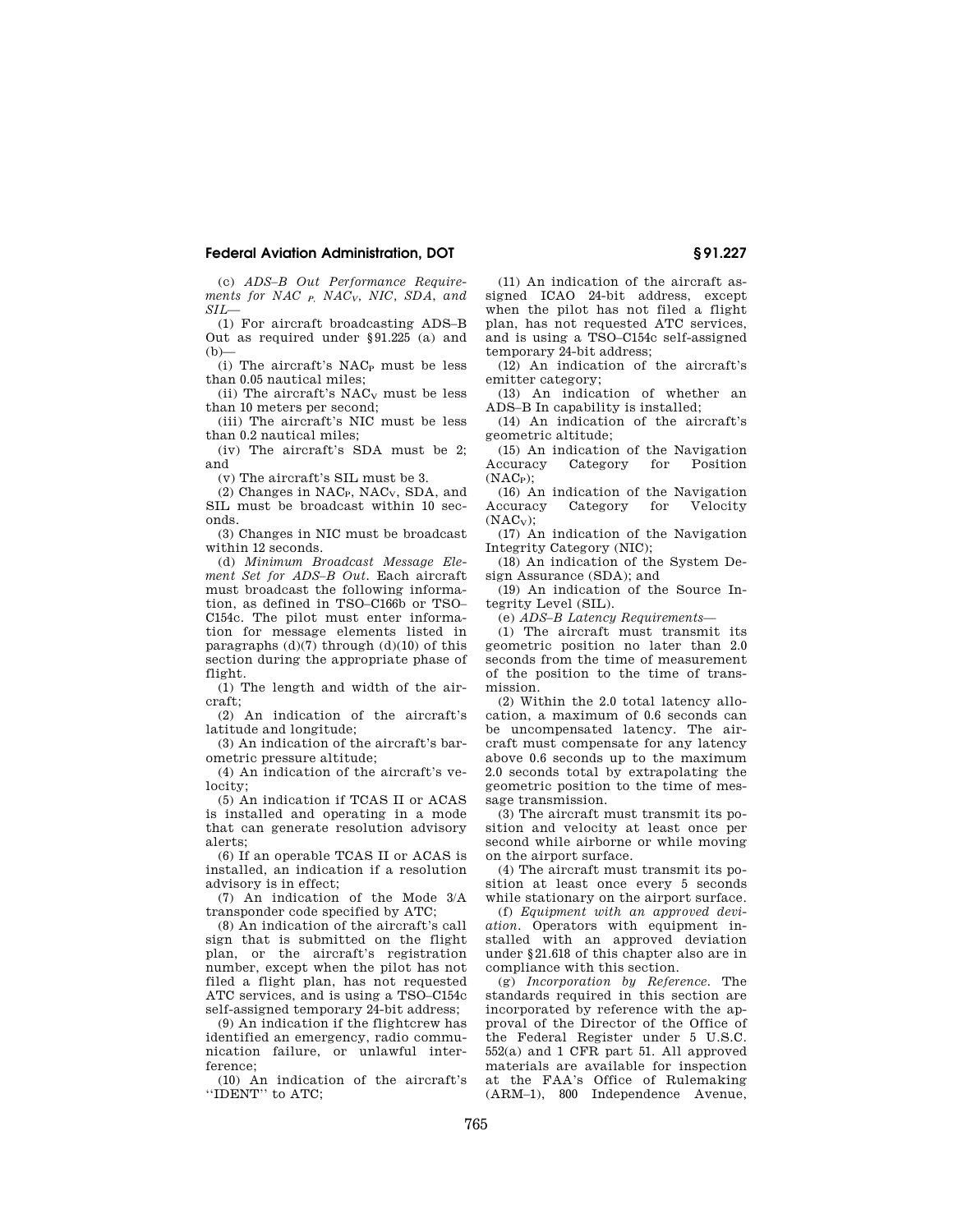(c) *ADS–B Out Performance Requirements for NAC P, NACV, NIC, SDA*, *and SIL*—

(1) For aircraft broadcasting ADS–B Out as required under §91.225 (a) and  $(b)$ 

(i) The aircraft's NAC<sub>P</sub> must be less than 0.05 nautical miles;

(ii) The aircraft's  $NAC_V$  must be less than 10 meters per second;

(iii) The aircraft's NIC must be less than 0.2 nautical miles;

(iv) The aircraft's SDA must be 2; and

(v) The aircraft's SIL must be 3.

(2) Changes in NACP, NACV, SDA, and SIL must be broadcast within 10 seconds.

(3) Changes in NIC must be broadcast within 12 seconds.

(d) *Minimum Broadcast Message Element Set for ADS–B Out.* Each aircraft must broadcast the following information, as defined in TSO–C166b or TSO– C154c. The pilot must enter information for message elements listed in paragraphs  $(d)(7)$  through  $(d)(10)$  of this section during the appropriate phase of flight.

(1) The length and width of the aircraft;

(2) An indication of the aircraft's latitude and longitude;

(3) An indication of the aircraft's barometric pressure altitude;

(4) An indication of the aircraft's velocity;

(5) An indication if TCAS II or ACAS is installed and operating in a mode that can generate resolution advisory alerts;

(6) If an operable TCAS II or ACAS is installed, an indication if a resolution advisory is in effect;

(7) An indication of the Mode 3/A transponder code specified by ATC;

(8) An indication of the aircraft's call sign that is submitted on the flight plan, or the aircraft's registration number, except when the pilot has not filed a flight plan, has not requested ATC services, and is using a TSO–C154c self-assigned temporary 24-bit address;

(9) An indication if the flightcrew has identified an emergency, radio communication failure, or unlawful interference;

(10) An indication of the aircraft's ''IDENT'' to ATC;

(11) An indication of the aircraft assigned ICAO 24-bit address, except when the pilot has not filed a flight plan, has not requested ATC services, and is using a TSO–C154c self-assigned temporary 24-bit address;

(12) An indication of the aircraft's emitter category;

(13) An indication of whether an ADS–B In capability is installed;

(14) An indication of the aircraft's geometric altitude;

(15) An indication of the Navigation Accuracy Category for  $(NAC_P);$ 

(16) An indication of the Navigation Category for  $(NAC_V);$ 

(17) An indication of the Navigation Integrity Category (NIC);

(18) An indication of the System Design Assurance (SDA); and

(19) An indication of the Source Integrity Level (SIL).

(e) *ADS–B Latency Requirements*—

(1) The aircraft must transmit its geometric position no later than 2.0 seconds from the time of measurement of the position to the time of transmission.

(2) Within the 2.0 total latency allocation, a maximum of 0.6 seconds can be uncompensated latency. The aircraft must compensate for any latency above 0.6 seconds up to the maximum 2.0 seconds total by extrapolating the geometric position to the time of message transmission.

(3) The aircraft must transmit its position and velocity at least once per second while airborne or while moving on the airport surface.

(4) The aircraft must transmit its position at least once every 5 seconds while stationary on the airport surface.

(f) *Equipment with an approved deviation.* Operators with equipment installed with an approved deviation under §21.618 of this chapter also are in compliance with this section.

(g) *Incorporation by Reference.* The standards required in this section are incorporated by reference with the approval of the Director of the Office of the Federal Register under 5 U.S.C. 552(a) and 1 CFR part 51. All approved materials are available for inspection at the FAA's Office of Rulemaking (ARM–1), 800 Independence Avenue,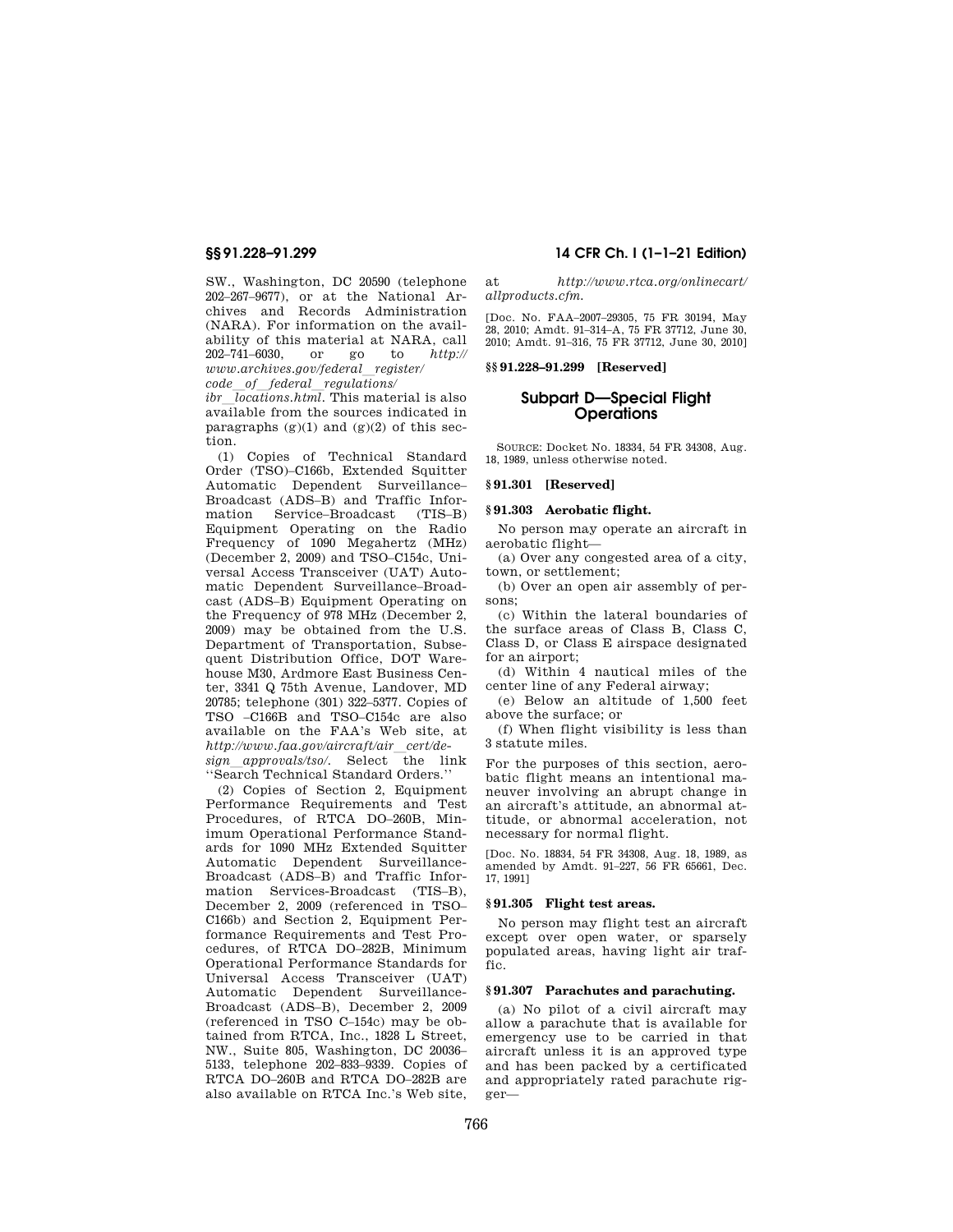SW., Washington, DC 20590 (telephone 202–267–9677), or at the National Archives and Records Administration (NARA). For information on the avail-% ability of this material at NARA, call 202–741–6030, or go to  $http://www$ 202–741–6030, or go to *http:// www.archives.gov/federal*l*register/ code*l*of*l*federal*l*regulations/* 

*ibr locations.html*. This material is also available from the sources indicated in paragraphs  $(g)(1)$  and  $(g)(2)$  of this section.

(1) Copies of Technical Standard Order (TSO)–C166b, Extended Squitter Automatic Dependent Surveillance– Broadcast (ADS–B) and Traffic Information Service–Broadcast (TIS–B) Equipment Operating on the Radio Frequency of 1090 Megahertz (MHz) (December 2, 2009) and TSO–C154c, Universal Access Transceiver (UAT) Automatic Dependent Surveillance–Broadcast (ADS–B) Equipment Operating on the Frequency of 978 MHz (December 2, 2009) may be obtained from the U.S. Department of Transportation, Subsequent Distribution Office, DOT Warehouse M30, Ardmore East Business Center, 3341 Q 75th Avenue, Landover, MD 20785; telephone (301) 322–5377. Copies of TSO –C166B and TSO–C154c are also available on the FAA's Web site, at *http://www.faa.gov/aircraft/air*l*cert/design approvals/tso/.* Select the link ''Search Technical Standard Orders.''

(2) Copies of Section 2, Equipment Performance Requirements and Test Procedures, of RTCA DO–260B, Minimum Operational Performance Standards for 1090 MHz Extended Squitter Automatic Dependent Surveillance-Broadcast (ADS–B) and Traffic Information Services-Broadcast (TIS–B), December 2, 2009 (referenced in TSO– C166b) and Section 2, Equipment Performance Requirements and Test Procedures, of RTCA DO–282B, Minimum Operational Performance Standards for Universal Access Transceiver (UAT) Automatic Dependent Surveillance-Broadcast (ADS–B), December 2, 2009 (referenced in TSO C–154c) may be obtained from RTCA, Inc., 1828 L Street, NW., Suite 805, Washington, DC 20036– 5133, telephone 202–833–9339. Copies of RTCA DO–260B and RTCA DO–282B are also available on RTCA Inc.'s Web site,

**§§ 91.228–91.299 14 CFR Ch. I (1–1–21 Edition)** 

at *http://www.rtca.org/onlinecart/ allproducts.cfm.* 

[Doc. No. FAA–2007–29305, 75 FR 30194, May 28, 2010; Amdt. 91–314–A, 75 FR 37712, June 30, 2010; Amdt. 91–316, 75 FR 37712, June 30, 2010]

# **§§ 91.228–91.299 [Reserved]**

# **Subpart D—Special Flight Operations**

SOURCE: Docket No. 18334, 54 FR 34308, Aug. 18, 1989, unless otherwise noted.

## **§ 91.301 [Reserved]**

## **§ 91.303 Aerobatic flight.**

No person may operate an aircraft in aerobatic flight—

(a) Over any congested area of a city, town, or settlement;

(b) Over an open air assembly of persons;

(c) Within the lateral boundaries of the surface areas of Class B, Class C, Class D, or Class E airspace designated for an airport;

(d) Within 4 nautical miles of the center line of any Federal airway;

(e) Below an altitude of 1,500 feet above the surface; or

(f) When flight visibility is less than 3 statute miles.

For the purposes of this section, aerobatic flight means an intentional maneuver involving an abrupt change in an aircraft's attitude, an abnormal attitude, or abnormal acceleration, not necessary for normal flight.

[Doc. No. 18834, 54 FR 34308, Aug. 18, 1989, as amended by Amdt. 91–227, 56 FR 65661, Dec. 17, 1991]

## **§ 91.305 Flight test areas.**

No person may flight test an aircraft except over open water, or sparsely populated areas, having light air traffic.

## **§ 91.307 Parachutes and parachuting.**

(a) No pilot of a civil aircraft may allow a parachute that is available for emergency use to be carried in that aircraft unless it is an approved type and has been packed by a certificated and appropriately rated parachute rigger—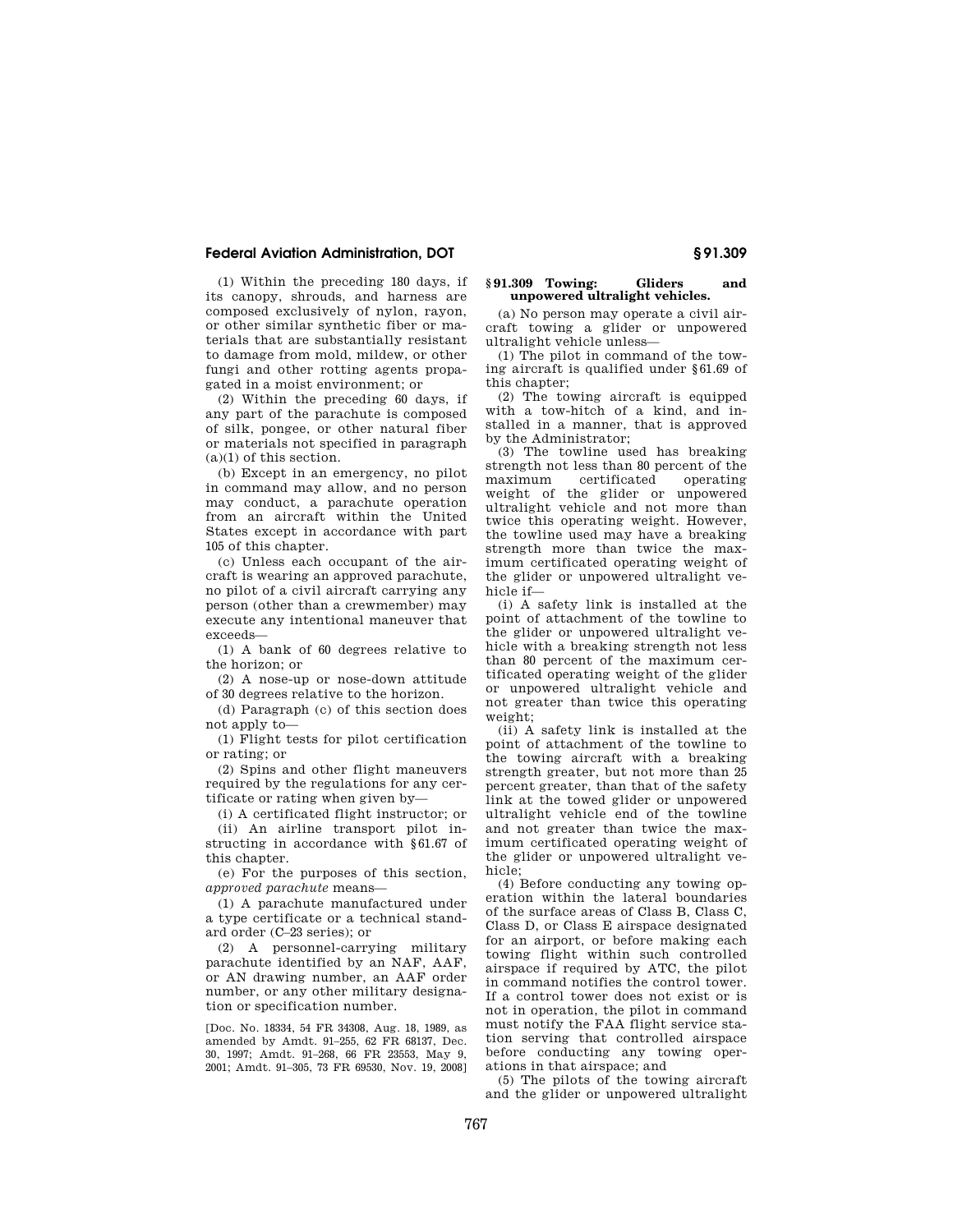(1) Within the preceding 180 days, if its canopy, shrouds, and harness are composed exclusively of nylon, rayon, or other similar synthetic fiber or materials that are substantially resistant to damage from mold, mildew, or other fungi and other rotting agents propagated in a moist environment; or

(2) Within the preceding 60 days, if any part of the parachute is composed of silk, pongee, or other natural fiber or materials not specified in paragraph (a)(1) of this section.

(b) Except in an emergency, no pilot in command may allow, and no person may conduct, a parachute operation from an aircraft within the United States except in accordance with part 105 of this chapter.

(c) Unless each occupant of the aircraft is wearing an approved parachute, no pilot of a civil aircraft carrying any person (other than a crewmember) may execute any intentional maneuver that exceeds—

(1) A bank of 60 degrees relative to the horizon; or

(2) A nose-up or nose-down attitude of 30 degrees relative to the horizon.

(d) Paragraph (c) of this section does not apply to—

(1) Flight tests for pilot certification or rating; or

(2) Spins and other flight maneuvers required by the regulations for any certificate or rating when given by—

(i) A certificated flight instructor; or

(ii) An airline transport pilot instructing in accordance with §61.67 of this chapter.

(e) For the purposes of this section, *approved parachute* means—

(1) A parachute manufactured under a type certificate or a technical standard order (C–23 series); or

(2) A personnel-carrying military parachute identified by an NAF, AAF, or AN drawing number, an AAF order number, or any other military designation or specification number.

[Doc. No. 18334, 54 FR 34308, Aug. 18, 1989, as amended by Amdt. 91–255, 62 FR 68137, Dec. 30, 1997; Amdt. 91–268, 66 FR 23553, May 9, 2001; Amdt. 91–305, 73 FR 69530, Nov. 19, 2008]

## **§ 91.309 Towing: Gliders and unpowered ultralight vehicles.**

(a) No person may operate a civil aircraft towing a glider or unpowered ultralight vehicle unless—

(1) The pilot in command of the towing aircraft is qualified under §61.69 of this chapter:

(2) The towing aircraft is equipped with a tow-hitch of a kind, and installed in a manner, that is approved by the Administrator;

(3) The towline used has breaking strength not less than 80 percent of the maximum certificated operating weight of the glider or unpowered ultralight vehicle and not more than twice this operating weight. However, the towline used may have a breaking strength more than twice the maximum certificated operating weight of the glider or unpowered ultralight vehicle if—

(i) A safety link is installed at the point of attachment of the towline to the glider or unpowered ultralight vehicle with a breaking strength not less than 80 percent of the maximum certificated operating weight of the glider or unpowered ultralight vehicle and not greater than twice this operating weight;

(ii) A safety link is installed at the point of attachment of the towline to the towing aircraft with a breaking strength greater, but not more than 25 percent greater, than that of the safety link at the towed glider or unpowered ultralight vehicle end of the towline and not greater than twice the maximum certificated operating weight of the glider or unpowered ultralight vehicle;

(4) Before conducting any towing operation within the lateral boundaries of the surface areas of Class B, Class C, Class D, or Class E airspace designated for an airport, or before making each towing flight within such controlled airspace if required by ATC, the pilot in command notifies the control tower. If a control tower does not exist or is not in operation, the pilot in command must notify the FAA flight service station serving that controlled airspace before conducting any towing operations in that airspace; and

(5) The pilots of the towing aircraft and the glider or unpowered ultralight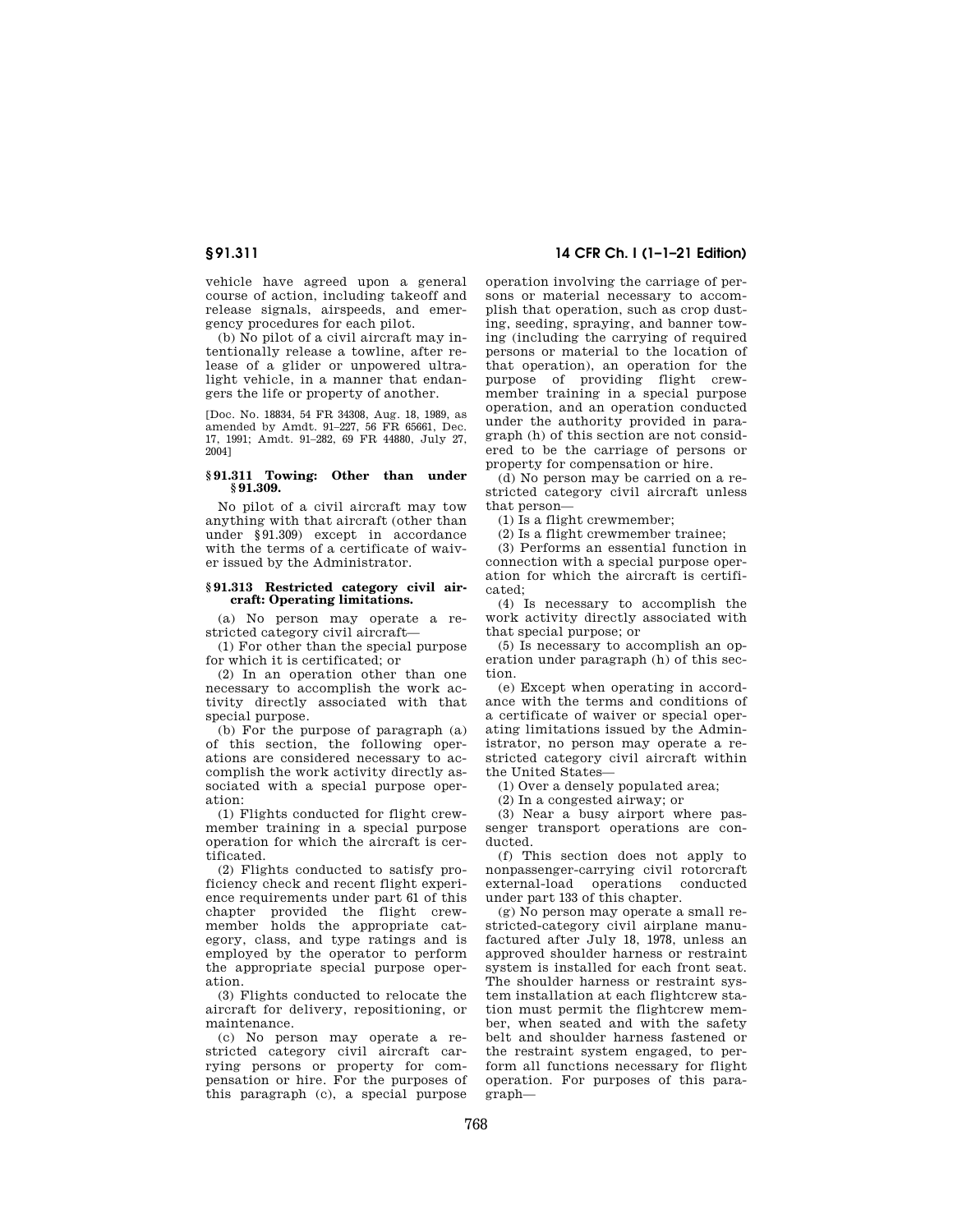vehicle have agreed upon a general course of action, including takeoff and release signals, airspeeds, and emergency procedures for each pilot.

(b) No pilot of a civil aircraft may intentionally release a towline, after release of a glider or unpowered ultralight vehicle, in a manner that endangers the life or property of another.

[Doc. No. 18834, 54 FR 34308, Aug. 18, 1989, as amended by Amdt. 91–227, 56 FR 65661, Dec. 17, 1991; Amdt. 91–282, 69 FR 44880, July 27, 2004]

#### **§ 91.311 Towing: Other than under § 91.309.**

No pilot of a civil aircraft may tow anything with that aircraft (other than under §91.309) except in accordance with the terms of a certificate of waiver issued by the Administrator.

## **§ 91.313 Restricted category civil aircraft: Operating limitations.**

(a) No person may operate a restricted category civil aircraft—

(1) For other than the special purpose for which it is certificated; or

(2) In an operation other than one necessary to accomplish the work activity directly associated with that special purpose.

(b) For the purpose of paragraph (a) of this section, the following operations are considered necessary to accomplish the work activity directly associated with a special purpose operation:

(1) Flights conducted for flight crewmember training in a special purpose operation for which the aircraft is certificated.

(2) Flights conducted to satisfy proficiency check and recent flight experience requirements under part 61 of this chapter provided the flight crewmember holds the appropriate category, class, and type ratings and is employed by the operator to perform the appropriate special purpose operation.

(3) Flights conducted to relocate the aircraft for delivery, repositioning, or maintenance.

(c) No person may operate a restricted category civil aircraft carrying persons or property for compensation or hire. For the purposes of this paragraph (c), a special purpose

# **§ 91.311 14 CFR Ch. I (1–1–21 Edition)**

operation involving the carriage of persons or material necessary to accomplish that operation, such as crop dusting, seeding, spraying, and banner towing (including the carrying of required persons or material to the location of that operation), an operation for the purpose of providing flight crewmember training in a special purpose operation, and an operation conducted under the authority provided in paragraph (h) of this section are not considered to be the carriage of persons or property for compensation or hire.

(d) No person may be carried on a restricted category civil aircraft unless that person—

(1) Is a flight crewmember;

(2) Is a flight crewmember trainee; (3) Performs an essential function in connection with a special purpose operation for which the aircraft is certificated;

(4) Is necessary to accomplish the work activity directly associated with that special purpose; or

(5) Is necessary to accomplish an operation under paragraph (h) of this section.

(e) Except when operating in accordance with the terms and conditions of a certificate of waiver or special operating limitations issued by the Administrator, no person may operate a restricted category civil aircraft within the United States—

(1) Over a densely populated area;

(2) In a congested airway; or

(3) Near a busy airport where passenger transport operations are conducted.

(f) This section does not apply to nonpassenger-carrying civil rotorcraft external-load operations conducted under part 133 of this chapter.

(g) No person may operate a small restricted-category civil airplane manufactured after July 18, 1978, unless an approved shoulder harness or restraint system is installed for each front seat. The shoulder harness or restraint system installation at each flightcrew station must permit the flightcrew member, when seated and with the safety belt and shoulder harness fastened or the restraint system engaged, to perform all functions necessary for flight operation. For purposes of this para $granh$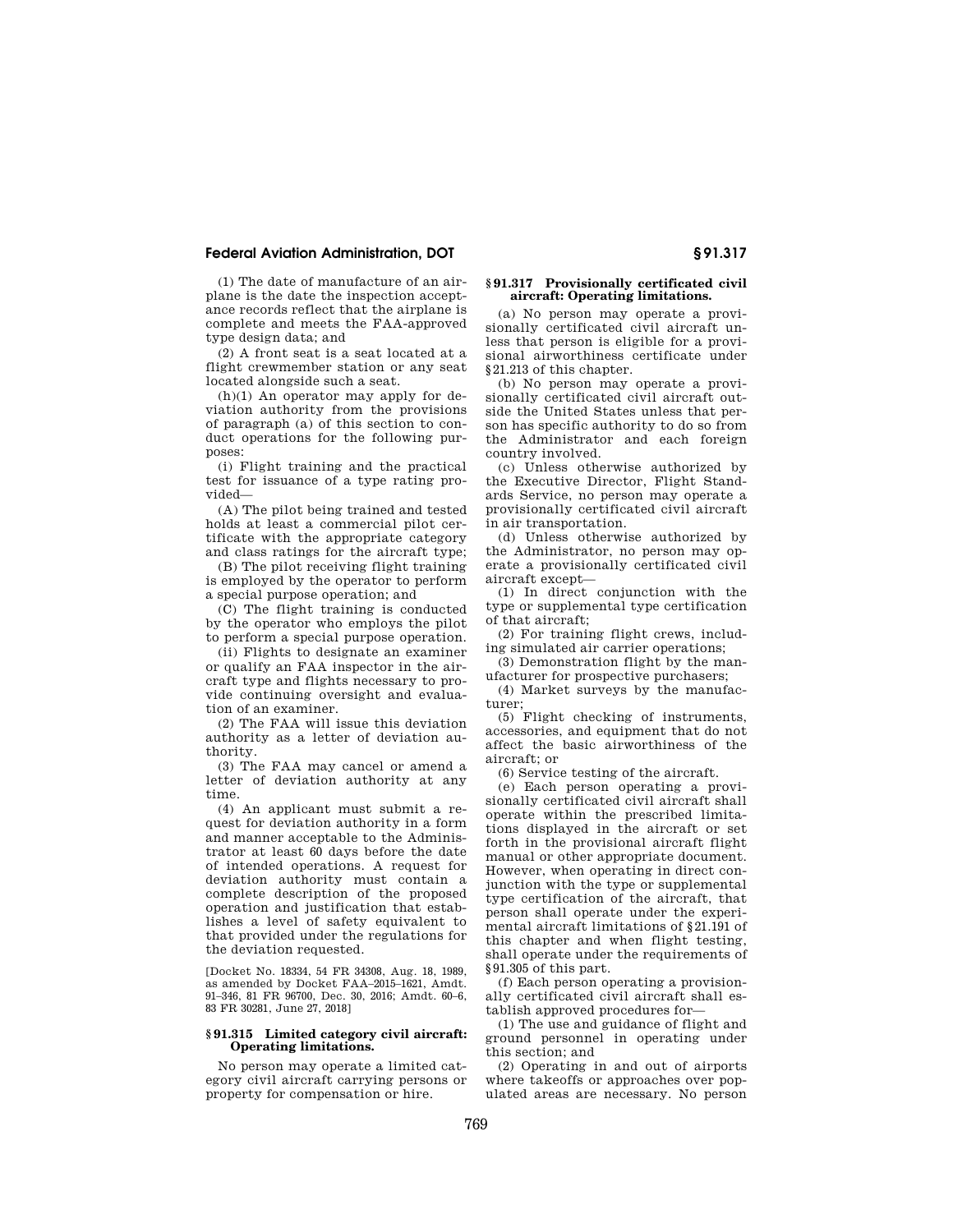(1) The date of manufacture of an airplane is the date the inspection acceptance records reflect that the airplane is complete and meets the FAA-approved type design data; and

(2) A front seat is a seat located at a flight crewmember station or any seat located alongside such a seat.

(h)(1) An operator may apply for deviation authority from the provisions of paragraph (a) of this section to conduct operations for the following purposes:

(i) Flight training and the practical test for issuance of a type rating provided—

(A) The pilot being trained and tested holds at least a commercial pilot certificate with the appropriate category and class ratings for the aircraft type;

(B) The pilot receiving flight training is employed by the operator to perform a special purpose operation; and

(C) The flight training is conducted by the operator who employs the pilot to perform a special purpose operation.

(ii) Flights to designate an examiner or qualify an FAA inspector in the aircraft type and flights necessary to provide continuing oversight and evaluation of an examiner.

(2) The FAA will issue this deviation authority as a letter of deviation authority.

(3) The FAA may cancel or amend a letter of deviation authority at any time.

(4) An applicant must submit a request for deviation authority in a form and manner acceptable to the Administrator at least 60 days before the date of intended operations. A request for deviation authority must contain a complete description of the proposed operation and justification that establishes a level of safety equivalent to that provided under the regulations for the deviation requested.

[Docket No. 18334, 54 FR 34308, Aug. 18, 1989, as amended by Docket FAA–2015–1621, Amdt. 91–346, 81 FR 96700, Dec. 30, 2016; Amdt. 60–6, 83 FR 30281, June 27, 2018]

## **§ 91.315 Limited category civil aircraft: Operating limitations.**

No person may operate a limited category civil aircraft carrying persons or property for compensation or hire.

## **§ 91.317 Provisionally certificated civil aircraft: Operating limitations.**

(a) No person may operate a provisionally certificated civil aircraft unless that person is eligible for a provisional airworthiness certificate under §21.213 of this chapter.

(b) No person may operate a provisionally certificated civil aircraft outside the United States unless that person has specific authority to do so from the Administrator and each foreign country involved.

(c) Unless otherwise authorized by the Executive Director, Flight Standards Service, no person may operate a provisionally certificated civil aircraft in air transportation.

(d) Unless otherwise authorized by the Administrator, no person may operate a provisionally certificated civil aircraft except—

(1) In direct conjunction with the type or supplemental type certification of that aircraft;

(2) For training flight crews, including simulated air carrier operations;

(3) Demonstration flight by the manufacturer for prospective purchasers;

(4) Market surveys by the manufacturer;

(5) Flight checking of instruments, accessories, and equipment that do not affect the basic airworthiness of the aircraft; or

(6) Service testing of the aircraft.

(e) Each person operating a provisionally certificated civil aircraft shall operate within the prescribed limitations displayed in the aircraft or set forth in the provisional aircraft flight manual or other appropriate document. However, when operating in direct conjunction with the type or supplemental type certification of the aircraft, that person shall operate under the experimental aircraft limitations of §21.191 of this chapter and when flight testing, shall operate under the requirements of §91.305 of this part.

(f) Each person operating a provisionally certificated civil aircraft shall establish approved procedures for—

(1) The use and guidance of flight and ground personnel in operating under this section; and

(2) Operating in and out of airports where takeoffs or approaches over populated areas are necessary. No person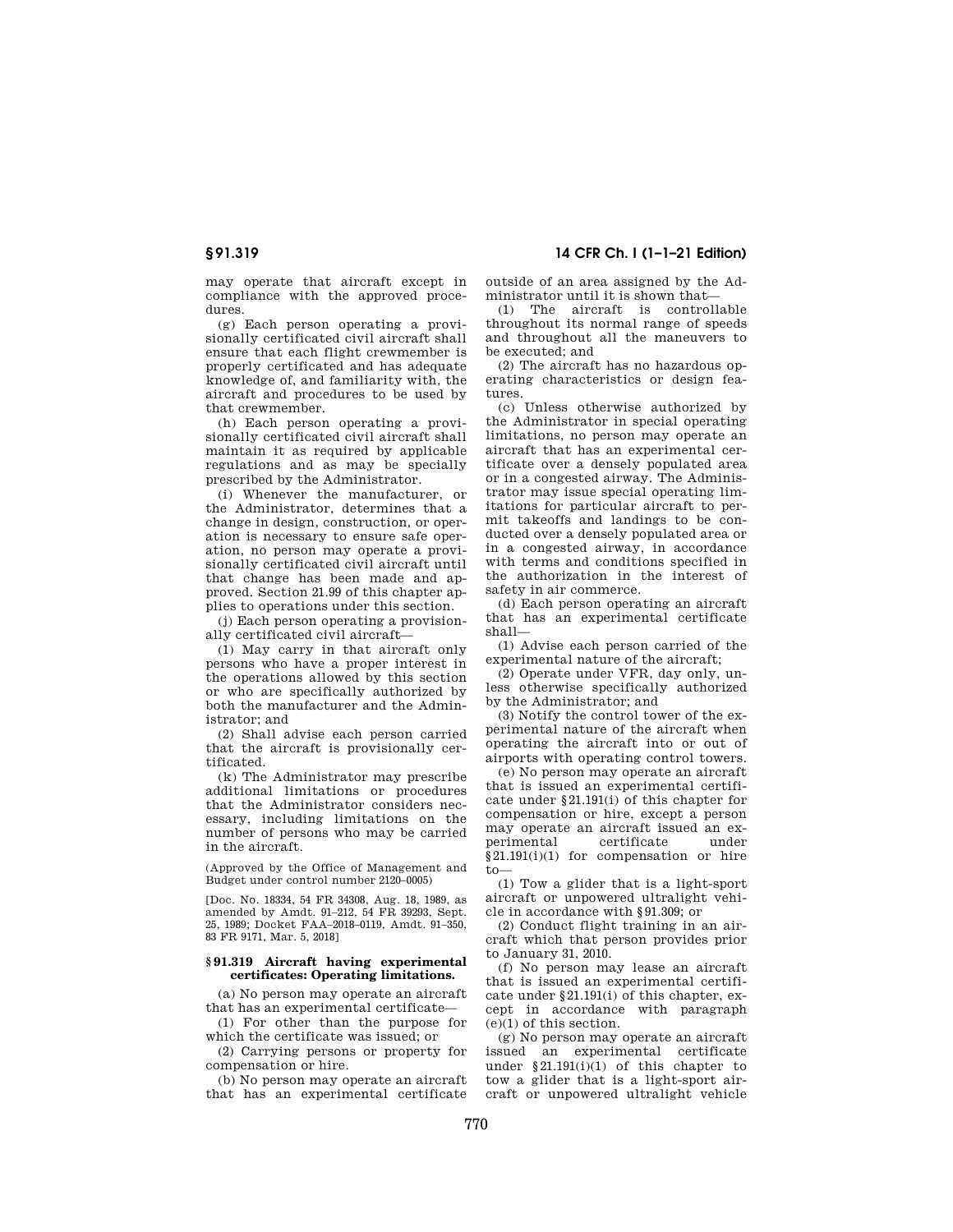may operate that aircraft except in compliance with the approved procedures.

(g) Each person operating a provisionally certificated civil aircraft shall ensure that each flight crewmember is properly certificated and has adequate knowledge of, and familiarity with, the aircraft and procedures to be used by that crewmember.

(h) Each person operating a provisionally certificated civil aircraft shall maintain it as required by applicable regulations and as may be specially prescribed by the Administrator.

(i) Whenever the manufacturer, or the Administrator, determines that a change in design, construction, or operation is necessary to ensure safe operation, no person may operate a provisionally certificated civil aircraft until that change has been made and approved. Section 21.99 of this chapter applies to operations under this section.

(j) Each person operating a provisionally certificated civil aircraft—

(1) May carry in that aircraft only persons who have a proper interest in the operations allowed by this section or who are specifically authorized by both the manufacturer and the Administrator; and

(2) Shall advise each person carried that the aircraft is provisionally certificated.

(k) The Administrator may prescribe additional limitations or procedures that the Administrator considers necessary, including limitations on the number of persons who may be carried in the aircraft.

(Approved by the Office of Management and Budget under control number 2120–0005)

[Doc. No. 18334, 54 FR 34308, Aug. 18, 1989, as amended by Amdt. 91–212, 54 FR 39293, Sept. 25, 1989; Docket FAA–2018–0119, Amdt. 91–350, 83 FR 9171, Mar. 5, 2018]

#### **§ 91.319 Aircraft having experimental certificates: Operating limitations.**

(a) No person may operate an aircraft that has an experimental certificate—

(1) For other than the purpose for which the certificate was issued; or

(2) Carrying persons or property for compensation or hire.

(b) No person may operate an aircraft that has an experimental certificate

**§ 91.319 14 CFR Ch. I (1–1–21 Edition)** 

outside of an area assigned by the Administrator until it is shown that—

(1) The aircraft is controllable throughout its normal range of speeds and throughout all the maneuvers to be executed; and

(2) The aircraft has no hazardous operating characteristics or design features.

(c) Unless otherwise authorized by the Administrator in special operating limitations, no person may operate an aircraft that has an experimental certificate over a densely populated area or in a congested airway. The Administrator may issue special operating limitations for particular aircraft to permit takeoffs and landings to be conducted over a densely populated area or in a congested airway, in accordance with terms and conditions specified in the authorization in the interest of safety in air commerce.

(d) Each person operating an aircraft that has an experimental certificate shall—

(1) Advise each person carried of the experimental nature of the aircraft;

(2) Operate under VFR, day only, unless otherwise specifically authorized by the Administrator; and

(3) Notify the control tower of the experimental nature of the aircraft when operating the aircraft into or out of airports with operating control towers.

(e) No person may operate an aircraft that is issued an experimental certificate under §21.191(i) of this chapter for compensation or hire, except a person may operate an aircraft issued an experimental certificate under  $§21.191(i)(1)$  for compensation or hire to—

(1) Tow a glider that is a light-sport aircraft or unpowered ultralight vehicle in accordance with §91.309; or

(2) Conduct flight training in an aircraft which that person provides prior to January 31, 2010.

(f) No person may lease an aircraft that is issued an experimental certificate under §21.191(i) of this chapter, except in accordance with paragraph (e)(1) of this section.

(g) No person may operate an aircraft issued an experimental certificate under  $§21.191(i)(1)$  of this chapter to tow a glider that is a light-sport aircraft or unpowered ultralight vehicle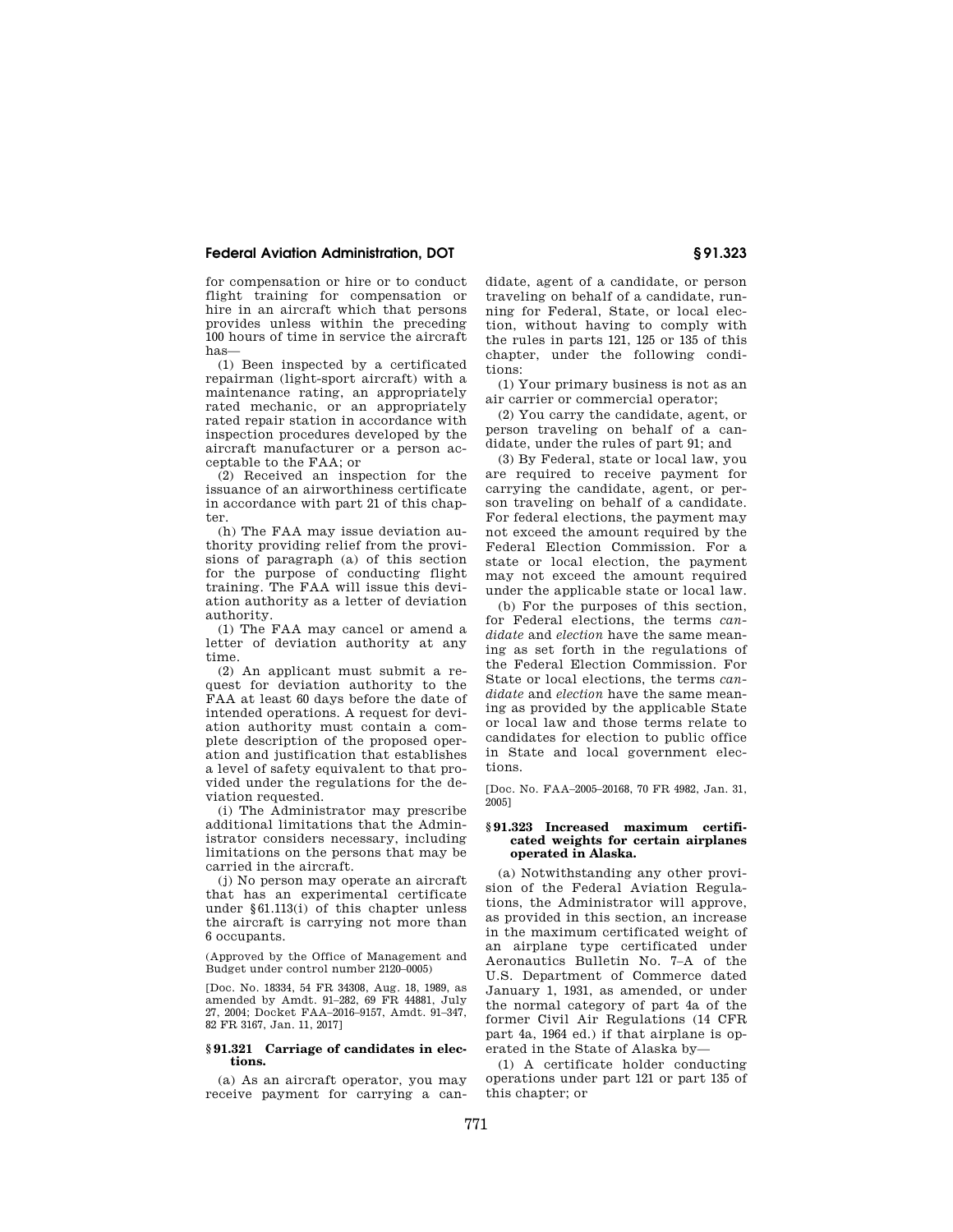for compensation or hire or to conduct flight training for compensation or hire in an aircraft which that persons provides unless within the preceding 100 hours of time in service the aircraft has—

(1) Been inspected by a certificated repairman (light-sport aircraft) with a maintenance rating, an appropriately rated mechanic, or an appropriately rated repair station in accordance with inspection procedures developed by the aircraft manufacturer or a person acceptable to the FAA; or

(2) Received an inspection for the issuance of an airworthiness certificate in accordance with part 21 of this chapter.

(h) The FAA may issue deviation authority providing relief from the provisions of paragraph (a) of this section for the purpose of conducting flight training. The FAA will issue this deviation authority as a letter of deviation authority.

(1) The FAA may cancel or amend a letter of deviation authority at any time.

(2) An applicant must submit a request for deviation authority to the FAA at least 60 days before the date of intended operations. A request for deviation authority must contain a complete description of the proposed operation and justification that establishes a level of safety equivalent to that provided under the regulations for the deviation requested.

(i) The Administrator may prescribe additional limitations that the Administrator considers necessary, including limitations on the persons that may be carried in the aircraft.

(j) No person may operate an aircraft that has an experimental certificate under §61.113(i) of this chapter unless the aircraft is carrying not more than 6 occupants.

(Approved by the Office of Management and Budget under control number 2120–0005)

[Doc. No. 18334, 54 FR 34308, Aug. 18, 1989, as amended by Amdt. 91–282, 69 FR 44881, July 27, 2004; Docket FAA–2016–9157, Amdt. 91–347, 82 FR 3167, Jan. 11, 2017]

## **§ 91.321 Carriage of candidates in elections.**

(a) As an aircraft operator, you may receive payment for carrying a candidate, agent of a candidate, or person traveling on behalf of a candidate, running for Federal, State, or local election, without having to comply with the rules in parts 121, 125 or 135 of this chapter, under the following conditions:

(1) Your primary business is not as an air carrier or commercial operator;

(2) You carry the candidate, agent, or person traveling on behalf of a candidate, under the rules of part 91; and

(3) By Federal, state or local law, you are required to receive payment for carrying the candidate, agent, or person traveling on behalf of a candidate. For federal elections, the payment may not exceed the amount required by the Federal Election Commission. For a state or local election, the payment may not exceed the amount required under the applicable state or local law.

(b) For the purposes of this section, for Federal elections, the terms *candidate* and *election* have the same meaning as set forth in the regulations of the Federal Election Commission. For State or local elections, the terms *candidate* and *election* have the same meaning as provided by the applicable State or local law and those terms relate to candidates for election to public office in State and local government elections.

[Doc. No. FAA–2005–20168, 70 FR 4982, Jan. 31, 2005]

## **§ 91.323 Increased maximum certificated weights for certain airplanes operated in Alaska.**

(a) Notwithstanding any other provision of the Federal Aviation Regulations, the Administrator will approve, as provided in this section, an increase in the maximum certificated weight of an airplane type certificated under Aeronautics Bulletin No. 7–A of the U.S. Department of Commerce dated January 1, 1931, as amended, or under the normal category of part 4a of the former Civil Air Regulations (14 CFR part 4a, 1964 ed.) if that airplane is operated in the State of Alaska by—

(1) A certificate holder conducting operations under part 121 or part 135 of this chapter; or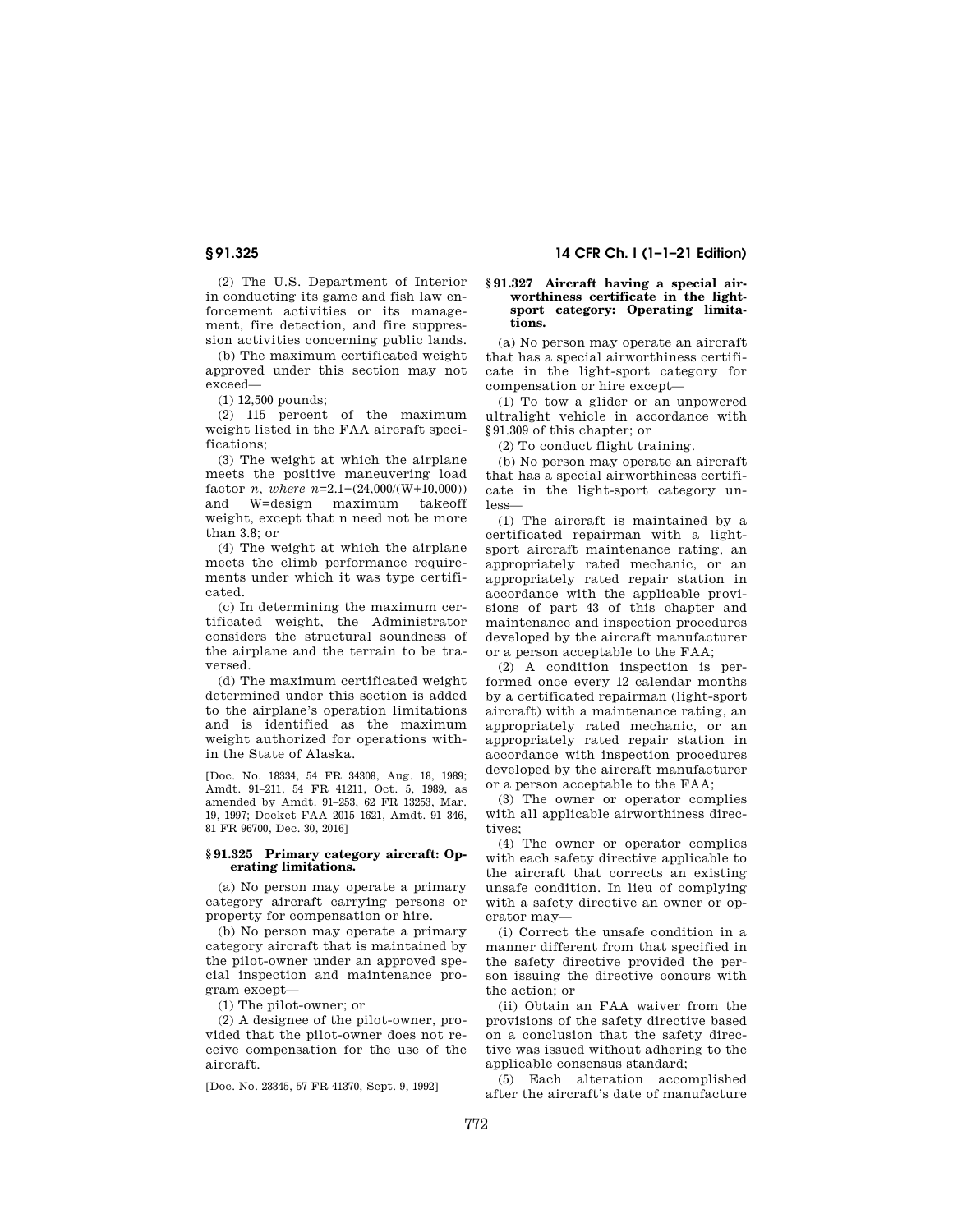(2) The U.S. Department of Interior in conducting its game and fish law enforcement activities or its management, fire detection, and fire suppression activities concerning public lands.

(b) The maximum certificated weight approved under this section may not exceed—

(1) 12,500 pounds;

(2) 115 percent of the maximum weight listed in the FAA aircraft specifications;

(3) The weight at which the airplane meets the positive maneuvering load factor *n, where n*=2.1+(24,000/(W+10,000)) and W=design maximum takeoff weight, except that n need not be more than 3.8; or

(4) The weight at which the airplane meets the climb performance requirements under which it was type certificated.

(c) In determining the maximum certificated weight, the Administrator considers the structural soundness of the airplane and the terrain to be traversed.

(d) The maximum certificated weight determined under this section is added to the airplane's operation limitations and is identified as the maximum weight authorized for operations within the State of Alaska.

[Doc. No. 18334, 54 FR 34308, Aug. 18, 1989; Amdt. 91–211, 54 FR 41211, Oct. 5, 1989, as amended by Amdt. 91–253, 62 FR 13253, Mar. 19, 1997; Docket FAA–2015–1621, Amdt. 91–346, 81 FR 96700, Dec. 30, 2016]

## **§ 91.325 Primary category aircraft: Operating limitations.**

(a) No person may operate a primary category aircraft carrying persons or property for compensation or hire.

(b) No person may operate a primary category aircraft that is maintained by the pilot-owner under an approved special inspection and maintenance program except—

(1) The pilot-owner; or

(2) A designee of the pilot-owner, provided that the pilot-owner does not receive compensation for the use of the aircraft.

[Doc. No. 23345, 57 FR 41370, Sept. 9, 1992]

# **§ 91.325 14 CFR Ch. I (1–1–21 Edition)**

#### **§ 91.327 Aircraft having a special airworthiness certificate in the lightsport category: Operating limitations.**

(a) No person may operate an aircraft that has a special airworthiness certificate in the light-sport category for compensation or hire except—

(1) To tow a glider or an unpowered ultralight vehicle in accordance with §91.309 of this chapter; or

(2) To conduct flight training.

(b) No person may operate an aircraft that has a special airworthiness certificate in the light-sport category unless—

(1) The aircraft is maintained by a certificated repairman with a lightsport aircraft maintenance rating, an appropriately rated mechanic, or an appropriately rated repair station in accordance with the applicable provisions of part 43 of this chapter and maintenance and inspection procedures developed by the aircraft manufacturer or a person acceptable to the FAA;

(2) A condition inspection is performed once every 12 calendar months by a certificated repairman (light-sport aircraft) with a maintenance rating, an appropriately rated mechanic, or an appropriately rated repair station in accordance with inspection procedures developed by the aircraft manufacturer or a person acceptable to the FAA;

(3) The owner or operator complies with all applicable airworthiness directives;

(4) The owner or operator complies with each safety directive applicable to the aircraft that corrects an existing unsafe condition. In lieu of complying with a safety directive an owner or operator may—

(i) Correct the unsafe condition in a manner different from that specified in the safety directive provided the person issuing the directive concurs with the action; or

(ii) Obtain an FAA waiver from the provisions of the safety directive based on a conclusion that the safety directive was issued without adhering to the applicable consensus standard;

(5) Each alteration accomplished after the aircraft's date of manufacture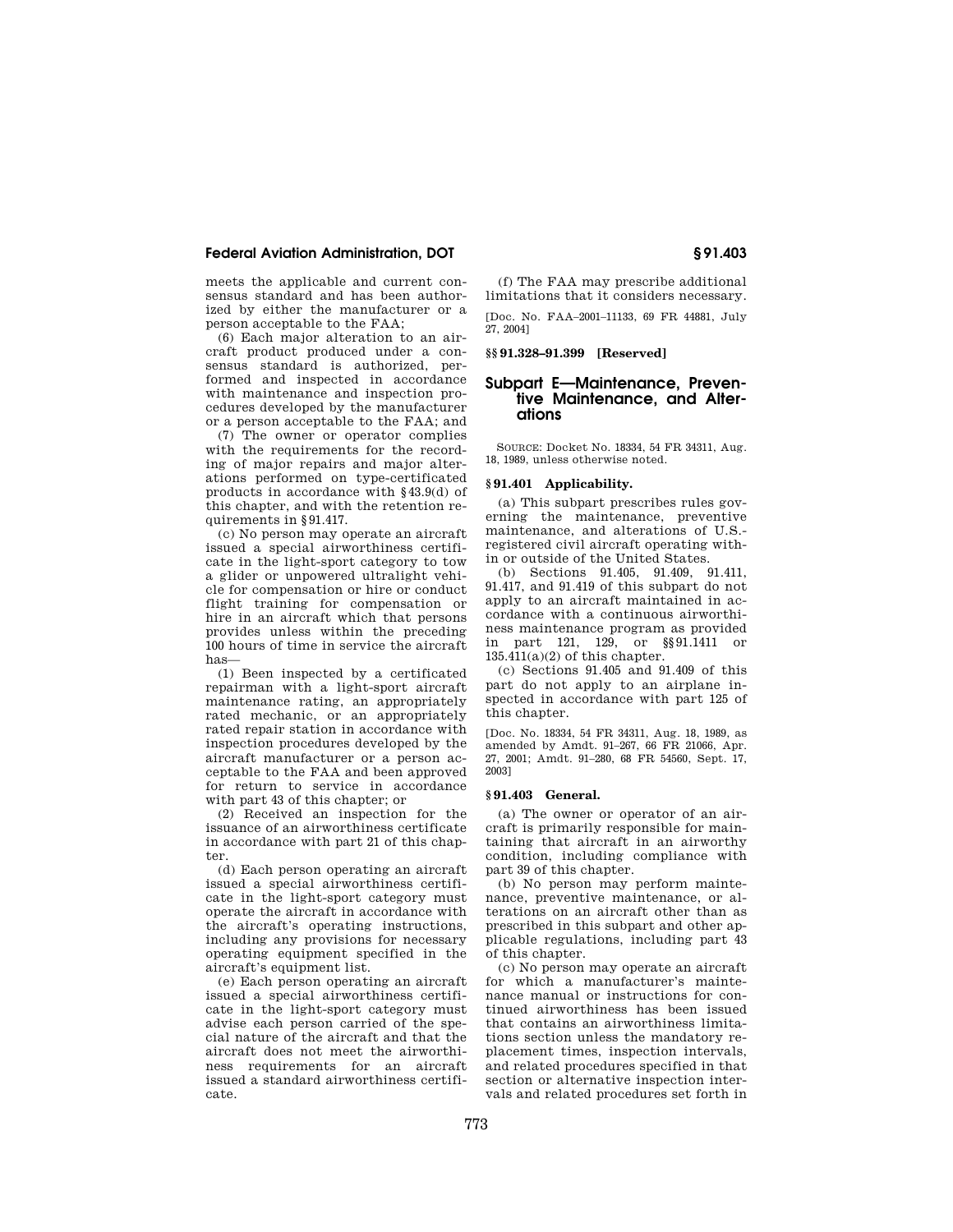meets the applicable and current consensus standard and has been authorized by either the manufacturer or a person acceptable to the FAA;

(6) Each major alteration to an aircraft product produced under a consensus standard is authorized, performed and inspected in accordance with maintenance and inspection procedures developed by the manufacturer or a person acceptable to the FAA; and

(7) The owner or operator complies with the requirements for the recording of major repairs and major alterations performed on type-certificated products in accordance with §43.9(d) of this chapter, and with the retention requirements in §91.417.

(c) No person may operate an aircraft issued a special airworthiness certificate in the light-sport category to tow a glider or unpowered ultralight vehicle for compensation or hire or conduct flight training for compensation or hire in an aircraft which that persons provides unless within the preceding 100 hours of time in service the aircraft has—

(1) Been inspected by a certificated repairman with a light-sport aircraft maintenance rating, an appropriately rated mechanic, or an appropriately rated repair station in accordance with inspection procedures developed by the aircraft manufacturer or a person acceptable to the FAA and been approved for return to service in accordance with part 43 of this chapter; or

(2) Received an inspection for the issuance of an airworthiness certificate in accordance with part 21 of this chapter.

(d) Each person operating an aircraft issued a special airworthiness certificate in the light-sport category must operate the aircraft in accordance with the aircraft's operating instructions, including any provisions for necessary operating equipment specified in the aircraft's equipment list.

(e) Each person operating an aircraft issued a special airworthiness certificate in the light-sport category must advise each person carried of the special nature of the aircraft and that the aircraft does not meet the airworthiness requirements for an aircraft issued a standard airworthiness certificate.

(f) The FAA may prescribe additional limitations that it considers necessary.

[Doc. No. FAA–2001–11133, 69 FR 44881, July 27, 2004]

## **§§ 91.328–91.399 [Reserved]**

# **Subpart E—Maintenance, Preventive Maintenance, and Alterations**

SOURCE: Docket No. 18334, 54 FR 34311, Aug. 18, 1989, unless otherwise noted.

## **§ 91.401 Applicability.**

(a) This subpart prescribes rules governing the maintenance, preventive maintenance, and alterations of U.S. registered civil aircraft operating within or outside of the United States.

(b) Sections 91.405, 91.409, 91.411, 91.417, and 91.419 of this subpart do not apply to an aircraft maintained in accordance with a continuous airworthiness maintenance program as provided in part 121, 129, or §§91.1411 or  $135.411(a)(2)$  of this chapter.

(c) Sections 91.405 and 91.409 of this part do not apply to an airplane inspected in accordance with part 125 of this chapter.

[Doc. No. 18334, 54 FR 34311, Aug. 18, 1989, as amended by Amdt. 91–267, 66 FR 21066, Apr. 27, 2001; Amdt. 91–280, 68 FR 54560, Sept. 17, 2003]

## **§ 91.403 General.**

(a) The owner or operator of an aircraft is primarily responsible for maintaining that aircraft in an airworthy condition, including compliance with part 39 of this chapter.

(b) No person may perform maintenance, preventive maintenance, or alterations on an aircraft other than as prescribed in this subpart and other applicable regulations, including part 43 of this chapter.

(c) No person may operate an aircraft for which a manufacturer's maintenance manual or instructions for continued airworthiness has been issued that contains an airworthiness limitations section unless the mandatory replacement times, inspection intervals, and related procedures specified in that section or alternative inspection intervals and related procedures set forth in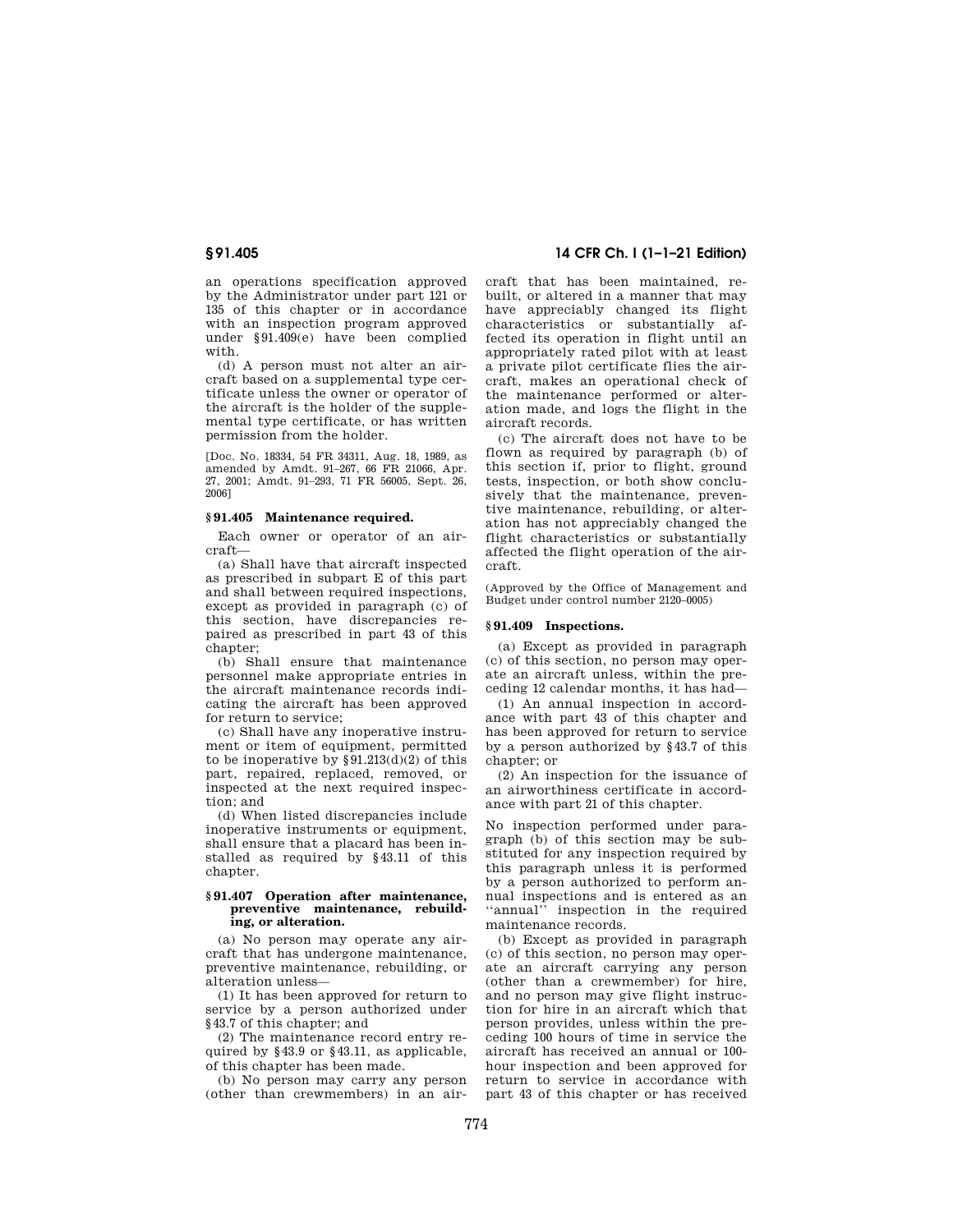an operations specification approved by the Administrator under part 121 or 135 of this chapter or in accordance with an inspection program approved under §91.409(e) have been complied with.

(d) A person must not alter an aircraft based on a supplemental type certificate unless the owner or operator of the aircraft is the holder of the supplemental type certificate, or has written permission from the holder.

[Doc. No. 18334, 54 FR 34311, Aug. 18, 1989, as amended by Amdt. 91–267, 66 FR 21066, Apr. 27, 2001; Amdt. 91–293, 71 FR 56005, Sept. 26, 2006]

# **§ 91.405 Maintenance required.**

Each owner or operator of an aircraft—

(a) Shall have that aircraft inspected as prescribed in subpart E of this part and shall between required inspections, except as provided in paragraph (c) of this section, have discrepancies repaired as prescribed in part 43 of this chapter;

(b) Shall ensure that maintenance personnel make appropriate entries in the aircraft maintenance records indicating the aircraft has been approved for return to service;

(c) Shall have any inoperative instrument or item of equipment, permitted to be inoperative by  $\S 91.213(d)(2)$  of this part, repaired, replaced, removed, or inspected at the next required inspection; and

(d) When listed discrepancies include inoperative instruments or equipment, shall ensure that a placard has been installed as required by §43.11 of this chapter.

## **§ 91.407 Operation after maintenance, preventive maintenance, rebuilding, or alteration.**

(a) No person may operate any aircraft that has undergone maintenance, preventive maintenance, rebuilding, or alteration unless—

(1) It has been approved for return to service by a person authorized under §43.7 of this chapter; and

(2) The maintenance record entry required by §43.9 or §43.11, as applicable, of this chapter has been made.

(b) No person may carry any person (other than crewmembers) in an air-

# **§ 91.405 14 CFR Ch. I (1–1–21 Edition)**

craft that has been maintained, rebuilt, or altered in a manner that may have appreciably changed its flight characteristics or substantially affected its operation in flight until an appropriately rated pilot with at least a private pilot certificate flies the aircraft, makes an operational check of the maintenance performed or alteration made, and logs the flight in the aircraft records.

(c) The aircraft does not have to be flown as required by paragraph (b) of this section if, prior to flight, ground tests, inspection, or both show conclusively that the maintenance, preventive maintenance, rebuilding, or alteration has not appreciably changed the flight characteristics or substantially affected the flight operation of the aircraft.

(Approved by the Office of Management and Budget under control number 2120–0005)

#### **§ 91.409 Inspections.**

(a) Except as provided in paragraph (c) of this section, no person may operate an aircraft unless, within the preceding 12 calendar months, it has had—

(1) An annual inspection in accordance with part 43 of this chapter and has been approved for return to service by a person authorized by §43.7 of this chapter; or

(2) An inspection for the issuance of an airworthiness certificate in accordance with part 21 of this chapter.

No inspection performed under paragraph (b) of this section may be substituted for any inspection required by this paragraph unless it is performed by a person authorized to perform annual inspections and is entered as an ''annual'' inspection in the required maintenance records.

(b) Except as provided in paragraph (c) of this section, no person may operate an aircraft carrying any person (other than a crewmember) for hire, and no person may give flight instruction for hire in an aircraft which that person provides, unless within the preceding 100 hours of time in service the aircraft has received an annual or 100 hour inspection and been approved for return to service in accordance with part 43 of this chapter or has received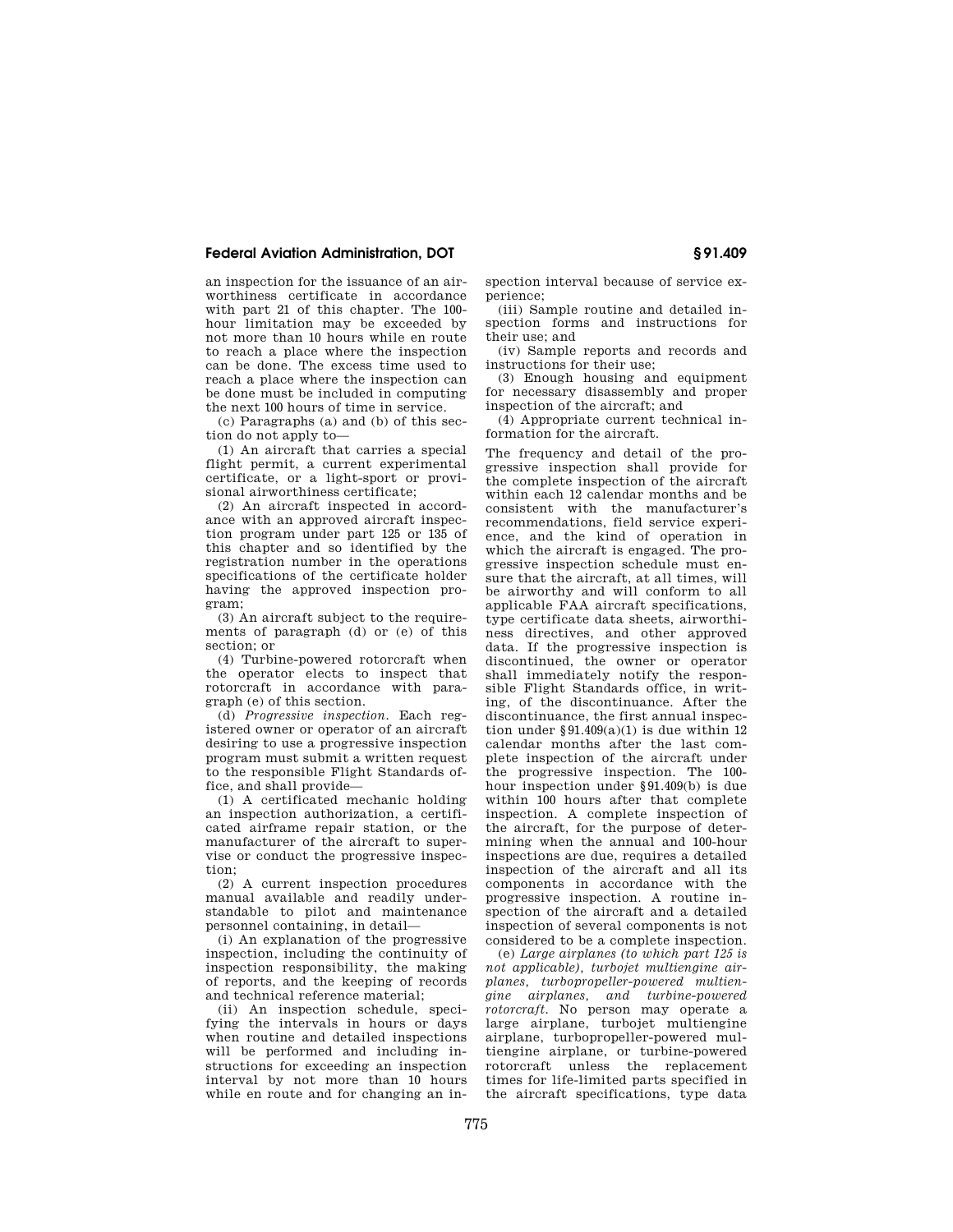an inspection for the issuance of an airworthiness certificate in accordance with part 21 of this chapter. The 100 hour limitation may be exceeded by not more than 10 hours while en route to reach a place where the inspection can be done. The excess time used to reach a place where the inspection can be done must be included in computing the next 100 hours of time in service.

(c) Paragraphs (a) and (b) of this section do not apply to—

(1) An aircraft that carries a special flight permit, a current experimental certificate, or a light-sport or provisional airworthiness certificate;

(2) An aircraft inspected in accordance with an approved aircraft inspection program under part 125 or 135 of this chapter and so identified by the registration number in the operations specifications of the certificate holder having the approved inspection program;

(3) An aircraft subject to the requirements of paragraph (d) or (e) of this section; or

(4) Turbine-powered rotorcraft when the operator elects to inspect that rotorcraft in accordance with paragraph (e) of this section.

(d) *Progressive inspection.* Each registered owner or operator of an aircraft desiring to use a progressive inspection program must submit a written request to the responsible Flight Standards office, and shall provide—

(1) A certificated mechanic holding an inspection authorization, a certificated airframe repair station, or the manufacturer of the aircraft to supervise or conduct the progressive inspection;

(2) A current inspection procedures manual available and readily understandable to pilot and maintenance personnel containing, in detail—

(i) An explanation of the progressive inspection, including the continuity of inspection responsibility, the making of reports, and the keeping of records and technical reference material;

(ii) An inspection schedule, specifying the intervals in hours or days when routine and detailed inspections will be performed and including instructions for exceeding an inspection interval by not more than 10 hours while en route and for changing an inspection interval because of service experience;

(iii) Sample routine and detailed inspection forms and instructions for their use; and

(iv) Sample reports and records and instructions for their use;

(3) Enough housing and equipment for necessary disassembly and proper inspection of the aircraft; and

(4) Appropriate current technical information for the aircraft.

The frequency and detail of the progressive inspection shall provide for the complete inspection of the aircraft within each 12 calendar months and be consistent with the manufacturer's recommendations, field service experience, and the kind of operation in which the aircraft is engaged. The progressive inspection schedule must ensure that the aircraft, at all times, will be airworthy and will conform to all applicable FAA aircraft specifications, type certificate data sheets, airworthiness directives, and other approved data. If the progressive inspection is discontinued, the owner or operator shall immediately notify the responsible Flight Standards office, in writing, of the discontinuance. After the discontinuance, the first annual inspection under  $§91.409(a)(1)$  is due within 12 calendar months after the last complete inspection of the aircraft under the progressive inspection. The 100 hour inspection under §91.409(b) is due within 100 hours after that complete inspection. A complete inspection of the aircraft, for the purpose of determining when the annual and 100-hour inspections are due, requires a detailed inspection of the aircraft and all its components in accordance with the progressive inspection. A routine inspection of the aircraft and a detailed inspection of several components is not considered to be a complete inspection.

(e) *Large airplanes (to which part 125 is not applicable), turbojet multiengine airplanes, turbopropeller-powered multiengine airplanes, and turbine-powered rotorcraft.* No person may operate a large airplane, turbojet multiengine airplane, turbopropeller-powered multiengine airplane, or turbine-powered rotorcraft unless the replacement times for life-limited parts specified in the aircraft specifications, type data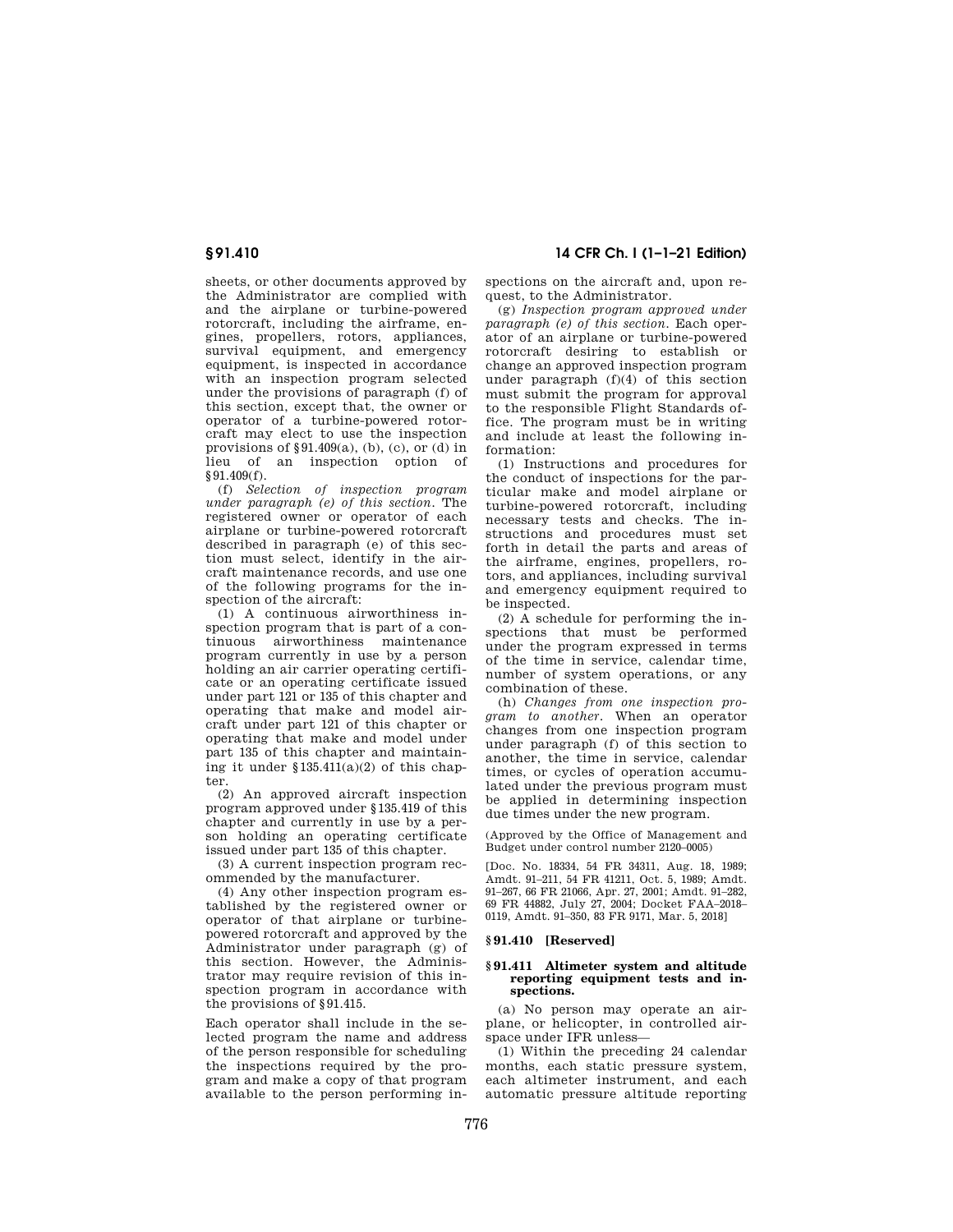sheets, or other documents approved by the Administrator are complied with and the airplane or turbine-powered rotorcraft, including the airframe, engines, propellers, rotors, appliances, survival equipment, and emergency equipment, is inspected in accordance with an inspection program selected under the provisions of paragraph (f) of this section, except that, the owner or operator of a turbine-powered rotorcraft may elect to use the inspection provisions of  $§91.409(a)$ , (b), (c), or (d) in lieu of an inspection option of §91.409(f).

(f) *Selection of inspection program under paragraph (e) of this section.* The registered owner or operator of each airplane or turbine-powered rotorcraft described in paragraph (e) of this section must select, identify in the aircraft maintenance records, and use one of the following programs for the inspection of the aircraft:

(1) A continuous airworthiness inspection program that is part of a continuous airworthiness maintenance program currently in use by a person holding an air carrier operating certificate or an operating certificate issued under part 121 or 135 of this chapter and operating that make and model aircraft under part 121 of this chapter or operating that make and model under part 135 of this chapter and maintaining it under  $$135.411(a)(2)$  of this chapter.

(2) An approved aircraft inspection program approved under §135.419 of this chapter and currently in use by a person holding an operating certificate issued under part 135 of this chapter.

(3) A current inspection program recommended by the manufacturer.

(4) Any other inspection program established by the registered owner or operator of that airplane or turbinepowered rotorcraft and approved by the Administrator under paragraph (g) of this section. However, the Administrator may require revision of this inspection program in accordance with the provisions of §91.415.

Each operator shall include in the selected program the name and address of the person responsible for scheduling the inspections required by the program and make a copy of that program available to the person performing in-

**§ 91.410 14 CFR Ch. I (1–1–21 Edition)** 

spections on the aircraft and, upon request, to the Administrator.

(g) *Inspection program approved under paragraph (e) of this section.* Each operator of an airplane or turbine-powered rotorcraft desiring to establish or change an approved inspection program under paragraph (f)(4) of this section must submit the program for approval to the responsible Flight Standards office. The program must be in writing and include at least the following information:

(1) Instructions and procedures for the conduct of inspections for the particular make and model airplane or turbine-powered rotorcraft, including necessary tests and checks. The instructions and procedures must set forth in detail the parts and areas of the airframe, engines, propellers, rotors, and appliances, including survival and emergency equipment required to be inspected.

(2) A schedule for performing the inspections that must be performed under the program expressed in terms of the time in service, calendar time, number of system operations, or any combination of these.

(h) *Changes from one inspection program to another.* When an operator changes from one inspection program under paragraph (f) of this section to another, the time in service, calendar times, or cycles of operation accumulated under the previous program must be applied in determining inspection due times under the new program.

(Approved by the Office of Management and Budget under control number 2120–0005)

[Doc. No. 18334, 54 FR 34311, Aug. 18, 1989; Amdt. 91–211, 54 FR 41211, Oct. 5, 1989; Amdt. 91–267, 66 FR 21066, Apr. 27, 2001; Amdt. 91–282, 69 FR 44882, July 27, 2004; Docket FAA–2018– 0119, Amdt. 91–350, 83 FR 9171, Mar. 5, 2018]

## **§ 91.410 [Reserved]**

#### **§ 91.411 Altimeter system and altitude reporting equipment tests and inspections.**

(a) No person may operate an airplane, or helicopter, in controlled airspace under IFR unless—

(1) Within the preceding 24 calendar months, each static pressure system, each altimeter instrument, and each automatic pressure altitude reporting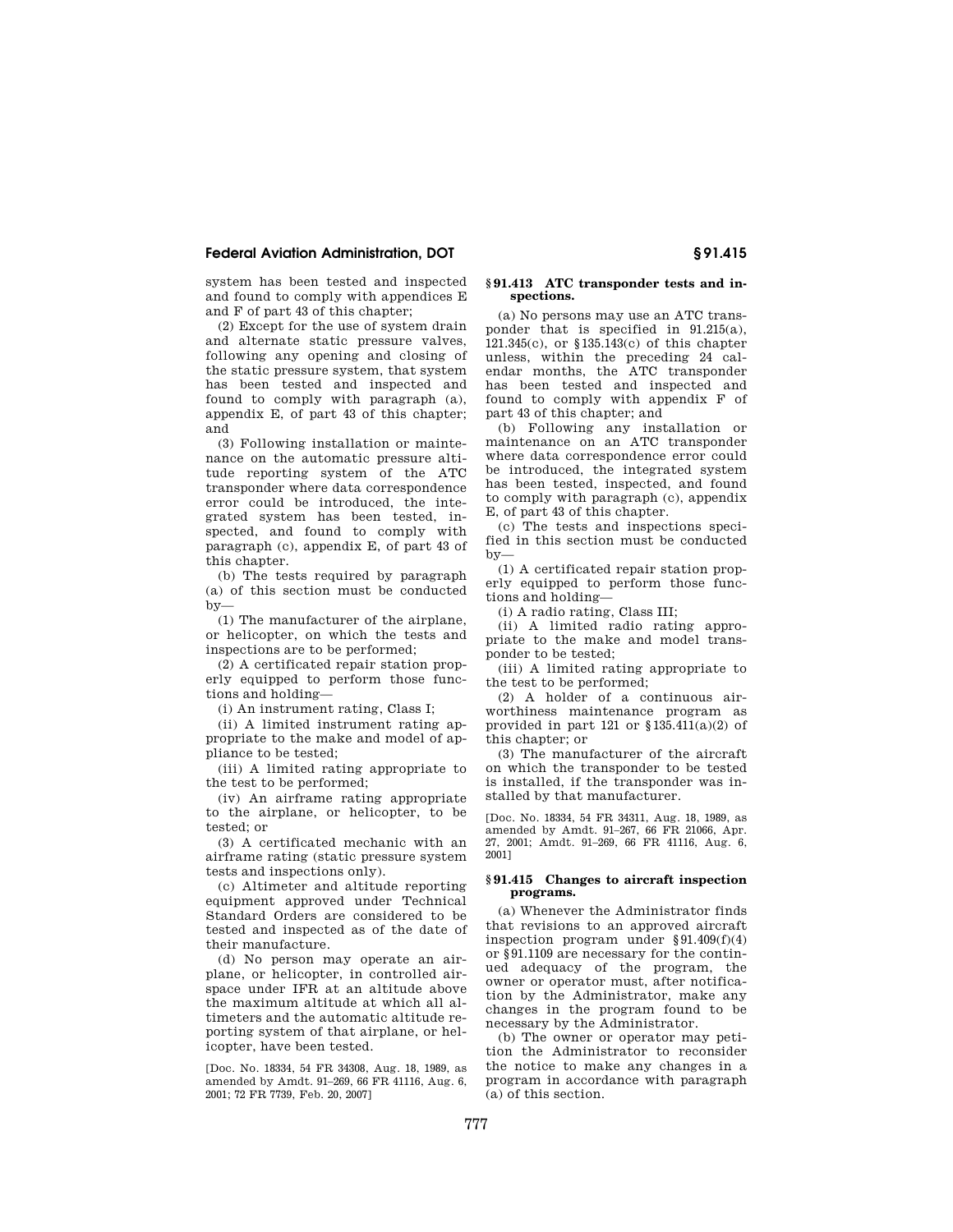system has been tested and inspected and found to comply with appendices E and F of part 43 of this chapter;

(2) Except for the use of system drain and alternate static pressure valves, following any opening and closing of the static pressure system, that system has been tested and inspected and found to comply with paragraph (a), appendix E, of part 43 of this chapter; and

(3) Following installation or maintenance on the automatic pressure altitude reporting system of the ATC transponder where data correspondence error could be introduced, the integrated system has been tested, inspected, and found to comply with paragraph (c), appendix E, of part 43 of this chapter.

(b) The tests required by paragraph (a) of this section must be conducted  $bv$ 

(1) The manufacturer of the airplane, or helicopter, on which the tests and inspections are to be performed;

(2) A certificated repair station properly equipped to perform those functions and holding—

(i) An instrument rating, Class I;

(ii) A limited instrument rating appropriate to the make and model of appliance to be tested;

(iii) A limited rating appropriate to the test to be performed;

(iv) An airframe rating appropriate to the airplane, or helicopter, to be tested; or

(3) A certificated mechanic with an airframe rating (static pressure system tests and inspections only).

(c) Altimeter and altitude reporting equipment approved under Technical Standard Orders are considered to be tested and inspected as of the date of their manufacture.

(d) No person may operate an airplane, or helicopter, in controlled airspace under IFR at an altitude above the maximum altitude at which all altimeters and the automatic altitude reporting system of that airplane, or helicopter, have been tested.

[Doc. No. 18334, 54 FR 34308, Aug. 18, 1989, as amended by Amdt. 91–269, 66 FR 41116, Aug. 6, 2001; 72 FR 7739, Feb. 20, 2007]

#### **§ 91.413 ATC transponder tests and inspections.**

(a) No persons may use an ATC transponder that is specified in 91.215(a), 121.345(c), or §135.143(c) of this chapter unless, within the preceding 24 calendar months, the ATC transponder has been tested and inspected and found to comply with appendix F of part 43 of this chapter; and

(b) Following any installation or maintenance on an ATC transponder where data correspondence error could be introduced, the integrated system has been tested, inspected, and found to comply with paragraph (c), appendix E, of part 43 of this chapter.

(c) The tests and inspections specified in this section must be conducted by—

(1) A certificated repair station properly equipped to perform those functions and holding—

(i) A radio rating, Class III;

(ii) A limited radio rating appropriate to the make and model transponder to be tested;

(iii) A limited rating appropriate to the test to be performed;

(2) A holder of a continuous airworthiness maintenance program as provided in part 121 or  $$135.411(a)(2)$  of this chapter; or

(3) The manufacturer of the aircraft on which the transponder to be tested is installed, if the transponder was installed by that manufacturer.

[Doc. No. 18334, 54 FR 34311, Aug. 18, 1989, as amended by Amdt. 91–267, 66 FR 21066, Apr. 27, 2001; Amdt. 91–269, 66 FR 41116, Aug. 6, 2001]

## **§ 91.415 Changes to aircraft inspection programs.**

(a) Whenever the Administrator finds that revisions to an approved aircraft inspection program under §91.409(f)(4) or §91.1109 are necessary for the continued adequacy of the program, the owner or operator must, after notification by the Administrator, make any changes in the program found to be necessary by the Administrator.

(b) The owner or operator may petition the Administrator to reconsider the notice to make any changes in a program in accordance with paragraph (a) of this section.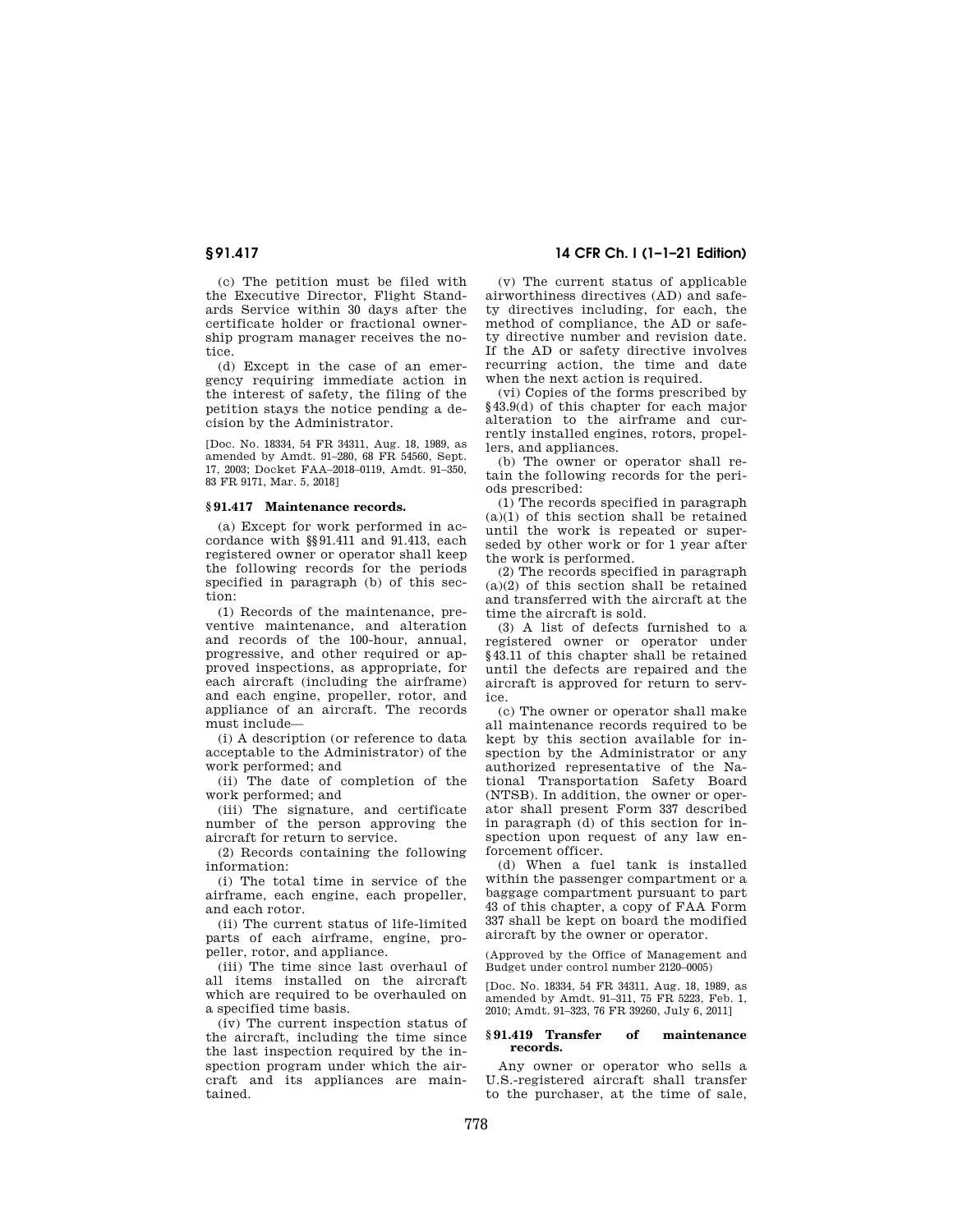(c) The petition must be filed with the Executive Director, Flight Standards Service within 30 days after the certificate holder or fractional ownership program manager receives the notice.

(d) Except in the case of an emergency requiring immediate action in the interest of safety, the filing of the petition stays the notice pending a decision by the Administrator.

[Doc. No. 18334, 54 FR 34311, Aug. 18, 1989, as amended by Amdt. 91–280, 68 FR 54560, Sept. 17, 2003; Docket FAA–2018–0119, Amdt. 91–350, 83 FR 9171, Mar. 5, 2018]

## **§ 91.417 Maintenance records.**

(a) Except for work performed in accordance with §§91.411 and 91.413, each registered owner or operator shall keep the following records for the periods specified in paragraph (b) of this section:

(1) Records of the maintenance, preventive maintenance, and alteration and records of the 100-hour, annual, progressive, and other required or approved inspections, as appropriate, for each aircraft (including the airframe) and each engine, propeller, rotor, and appliance of an aircraft. The records must include—

(i) A description (or reference to data acceptable to the Administrator) of the work performed; and

(ii) The date of completion of the work performed; and

(iii) The signature, and certificate number of the person approving the aircraft for return to service.

(2) Records containing the following information:

(i) The total time in service of the airframe, each engine, each propeller, and each rotor.

(ii) The current status of life-limited parts of each airframe, engine, propeller, rotor, and appliance.

(iii) The time since last overhaul of all items installed on the aircraft which are required to be overhauled on a specified time basis.

(iv) The current inspection status of the aircraft, including the time since the last inspection required by the inspection program under which the aircraft and its appliances are maintained.

# **§ 91.417 14 CFR Ch. I (1–1–21 Edition)**

(v) The current status of applicable airworthiness directives (AD) and safety directives including, for each, the method of compliance, the AD or safety directive number and revision date. If the AD or safety directive involves recurring action, the time and date when the next action is required.

(vi) Copies of the forms prescribed by §43.9(d) of this chapter for each major alteration to the airframe and currently installed engines, rotors, propellers, and appliances.

(b) The owner or operator shall retain the following records for the periods prescribed:

(1) The records specified in paragraph (a)(1) of this section shall be retained until the work is repeated or superseded by other work or for 1 year after the work is performed.

(2) The records specified in paragraph (a)(2) of this section shall be retained and transferred with the aircraft at the time the aircraft is sold.

(3) A list of defects furnished to a registered owner or operator under §43.11 of this chapter shall be retained until the defects are repaired and the aircraft is approved for return to service.

(c) The owner or operator shall make all maintenance records required to be kept by this section available for inspection by the Administrator or any authorized representative of the National Transportation Safety Board (NTSB). In addition, the owner or operator shall present Form 337 described in paragraph (d) of this section for inspection upon request of any law enforcement officer.

(d) When a fuel tank is installed within the passenger compartment or a baggage compartment pursuant to part 43 of this chapter, a copy of FAA Form 337 shall be kept on board the modified aircraft by the owner or operator.

(Approved by the Office of Management and Budget under control number 2120–0005)

[Doc. No. 18334, 54 FR 34311, Aug. 18, 1989, as amended by Amdt. 91–311, 75 FR 5223, Feb. 1, 2010; Amdt. 91–323, 76 FR 39260, July 6, 2011]

#### **§ 91.419 Transfer of maintenance records.**

Any owner or operator who sells a U.S.-registered aircraft shall transfer to the purchaser, at the time of sale,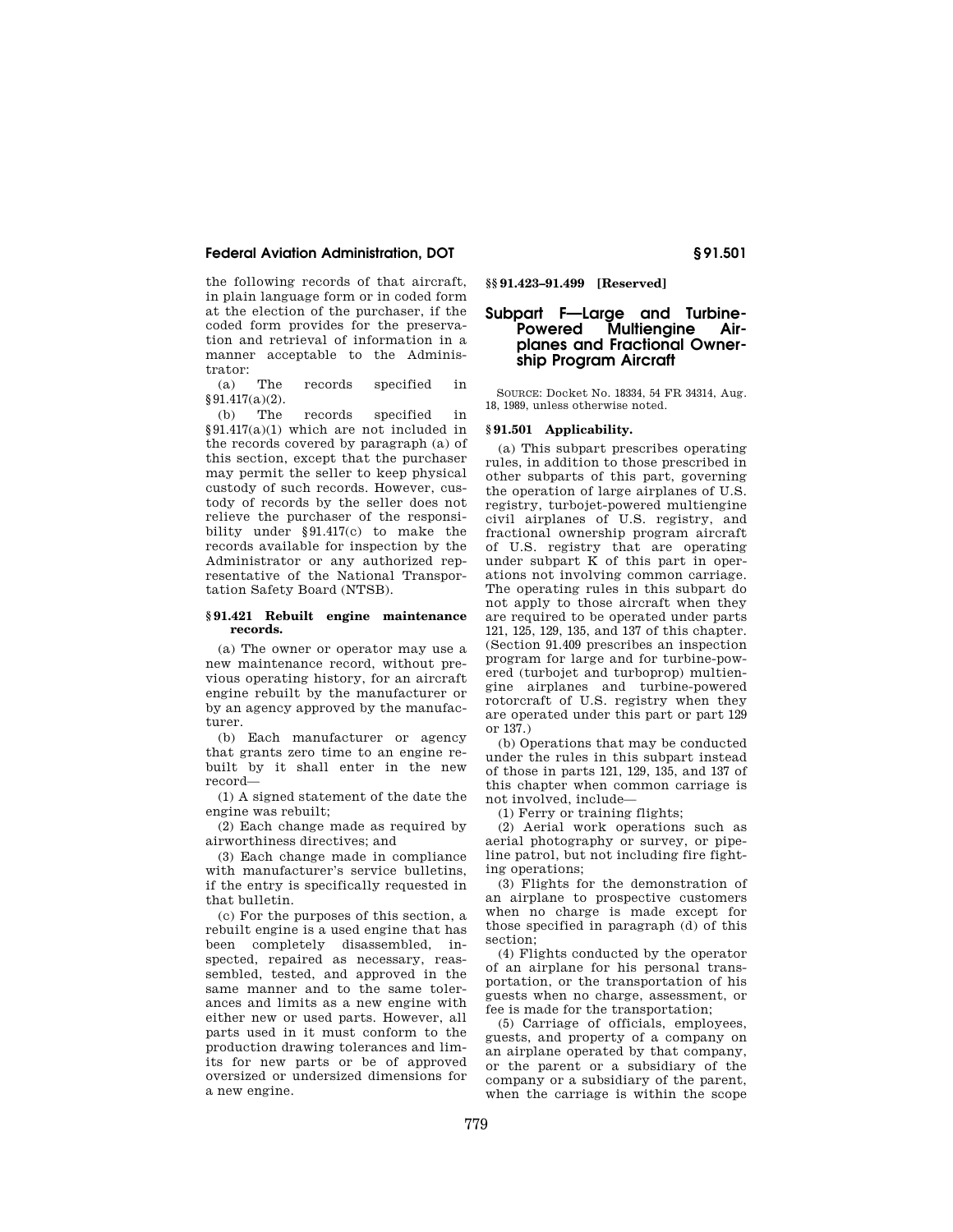the following records of that aircraft, in plain language form or in coded form at the election of the purchaser, if the coded form provides for the preservation and retrieval of information in a manner acceptable to the Administrator:

(a) The records specified in §91.417(a)(2).

(b) The records specified in §91.417(a)(1) which are not included in the records covered by paragraph (a) of this section, except that the purchaser may permit the seller to keep physical custody of such records. However, custody of records by the seller does not relieve the purchaser of the responsibility under §91.417(c) to make the records available for inspection by the Administrator or any authorized representative of the National Transportation Safety Board (NTSB).

#### **§ 91.421 Rebuilt engine maintenance records.**

(a) The owner or operator may use a new maintenance record, without previous operating history, for an aircraft engine rebuilt by the manufacturer or by an agency approved by the manufacturer.

(b) Each manufacturer or agency that grants zero time to an engine rebuilt by it shall enter in the new record—

(1) A signed statement of the date the engine was rebuilt;

(2) Each change made as required by airworthiness directives; and

(3) Each change made in compliance with manufacturer's service bulletins, if the entry is specifically requested in that bulletin.

(c) For the purposes of this section, a rebuilt engine is a used engine that has been completely disassembled, inspected, repaired as necessary, reassembled, tested, and approved in the same manner and to the same tolerances and limits as a new engine with either new or used parts. However, all parts used in it must conform to the production drawing tolerances and limits for new parts or be of approved oversized or undersized dimensions for a new engine.

**§§ 91.423–91.499 [Reserved]** 

# **Subpart F—Large and Turbine-Multiengine Airplanes and Fractional Ownership Program Aircraft**

SOURCE: Docket No. 18334, 54 FR 34314, Aug. 18, 1989, unless otherwise noted.

#### **§ 91.501 Applicability.**

(a) This subpart prescribes operating rules, in addition to those prescribed in other subparts of this part, governing the operation of large airplanes of U.S. registry, turbojet-powered multiengine civil airplanes of U.S. registry, and fractional ownership program aircraft of U.S. registry that are operating under subpart K of this part in operations not involving common carriage. The operating rules in this subpart do not apply to those aircraft when they are required to be operated under parts 121, 125, 129, 135, and 137 of this chapter. (Section 91.409 prescribes an inspection program for large and for turbine-powered (turbojet and turboprop) multiengine airplanes and turbine-powered rotorcraft of U.S. registry when they are operated under this part or part 129 or 137.)

(b) Operations that may be conducted under the rules in this subpart instead of those in parts 121, 129, 135, and 137 of this chapter when common carriage is not involved, include—

(1) Ferry or training flights;

(2) Aerial work operations such as aerial photography or survey, or pipeline patrol, but not including fire fighting operations;

(3) Flights for the demonstration of an airplane to prospective customers when no charge is made except for those specified in paragraph (d) of this section;

(4) Flights conducted by the operator of an airplane for his personal transportation, or the transportation of his guests when no charge, assessment, or fee is made for the transportation;

(5) Carriage of officials, employees, guests, and property of a company on an airplane operated by that company, or the parent or a subsidiary of the company or a subsidiary of the parent, when the carriage is within the scope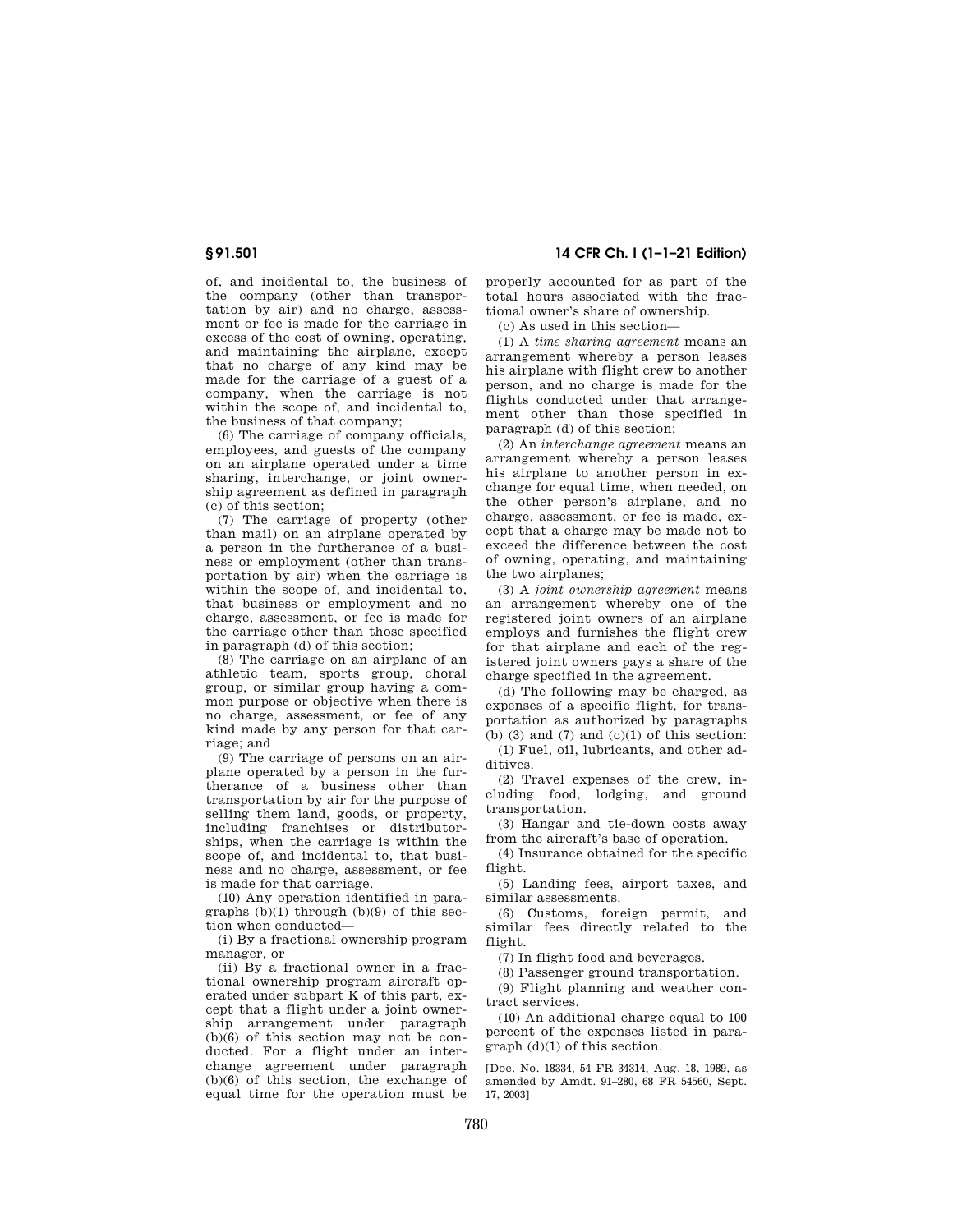of, and incidental to, the business of the company (other than transportation by air) and no charge, assessment or fee is made for the carriage in excess of the cost of owning, operating, and maintaining the airplane, except that no charge of any kind may be made for the carriage of a guest of a company, when the carriage is not within the scope of, and incidental to, the business of that company;

(6) The carriage of company officials, employees, and guests of the company on an airplane operated under a time sharing, interchange, or joint ownership agreement as defined in paragraph (c) of this section;

(7) The carriage of property (other than mail) on an airplane operated by a person in the furtherance of a business or employment (other than transportation by air) when the carriage is within the scope of, and incidental to, that business or employment and no charge, assessment, or fee is made for the carriage other than those specified in paragraph (d) of this section;

(8) The carriage on an airplane of an athletic team, sports group, choral group, or similar group having a common purpose or objective when there is no charge, assessment, or fee of any kind made by any person for that carriage; and

(9) The carriage of persons on an airplane operated by a person in the furtherance of a business other than transportation by air for the purpose of selling them land, goods, or property, including franchises or distributorships, when the carriage is within the scope of, and incidental to, that business and no charge, assessment, or fee is made for that carriage.

(10) Any operation identified in paragraphs  $(b)(1)$  through  $(b)(9)$  of this section when conducted—

(i) By a fractional ownership program manager, or

(ii) By a fractional owner in a fractional ownership program aircraft operated under subpart K of this part, except that a flight under a joint ownership arrangement under paragraph (b)(6) of this section may not be conducted. For a flight under an interchange agreement under paragraph (b)(6) of this section, the exchange of equal time for the operation must be

# **§ 91.501 14 CFR Ch. I (1–1–21 Edition)**

properly accounted for as part of the total hours associated with the fractional owner's share of ownership.

(c) As used in this section—

(1) A *time sharing agreement* means an arrangement whereby a person leases his airplane with flight crew to another person, and no charge is made for the flights conducted under that arrangement other than those specified in paragraph (d) of this section;

(2) An *interchange agreement* means an arrangement whereby a person leases his airplane to another person in exchange for equal time, when needed, on the other person's airplane, and no charge, assessment, or fee is made, except that a charge may be made not to exceed the difference between the cost of owning, operating, and maintaining the two airplanes;

(3) A *joint ownership agreement* means an arrangement whereby one of the registered joint owners of an airplane employs and furnishes the flight crew for that airplane and each of the registered joint owners pays a share of the charge specified in the agreement.

(d) The following may be charged, as expenses of a specific flight, for transportation as authorized by paragraphs (b)  $(3)$  and  $(7)$  and  $(c)(1)$  of this section:

(1) Fuel, oil, lubricants, and other additives.

(2) Travel expenses of the crew, including food, lodging, and ground transportation.

(3) Hangar and tie-down costs away from the aircraft's base of operation.

(4) Insurance obtained for the specific flight.

(5) Landing fees, airport taxes, and similar assessments.

(6) Customs, foreign permit, and similar fees directly related to the flight.

(7) In flight food and beverages.

(8) Passenger ground transportation.

(9) Flight planning and weather contract services.

(10) An additional charge equal to 100 percent of the expenses listed in paragraph (d)(1) of this section.

[Doc. No. 18334, 54 FR 34314, Aug. 18, 1989, as amended by Amdt. 91–280, 68 FR 54560, Sept. 17, 2003]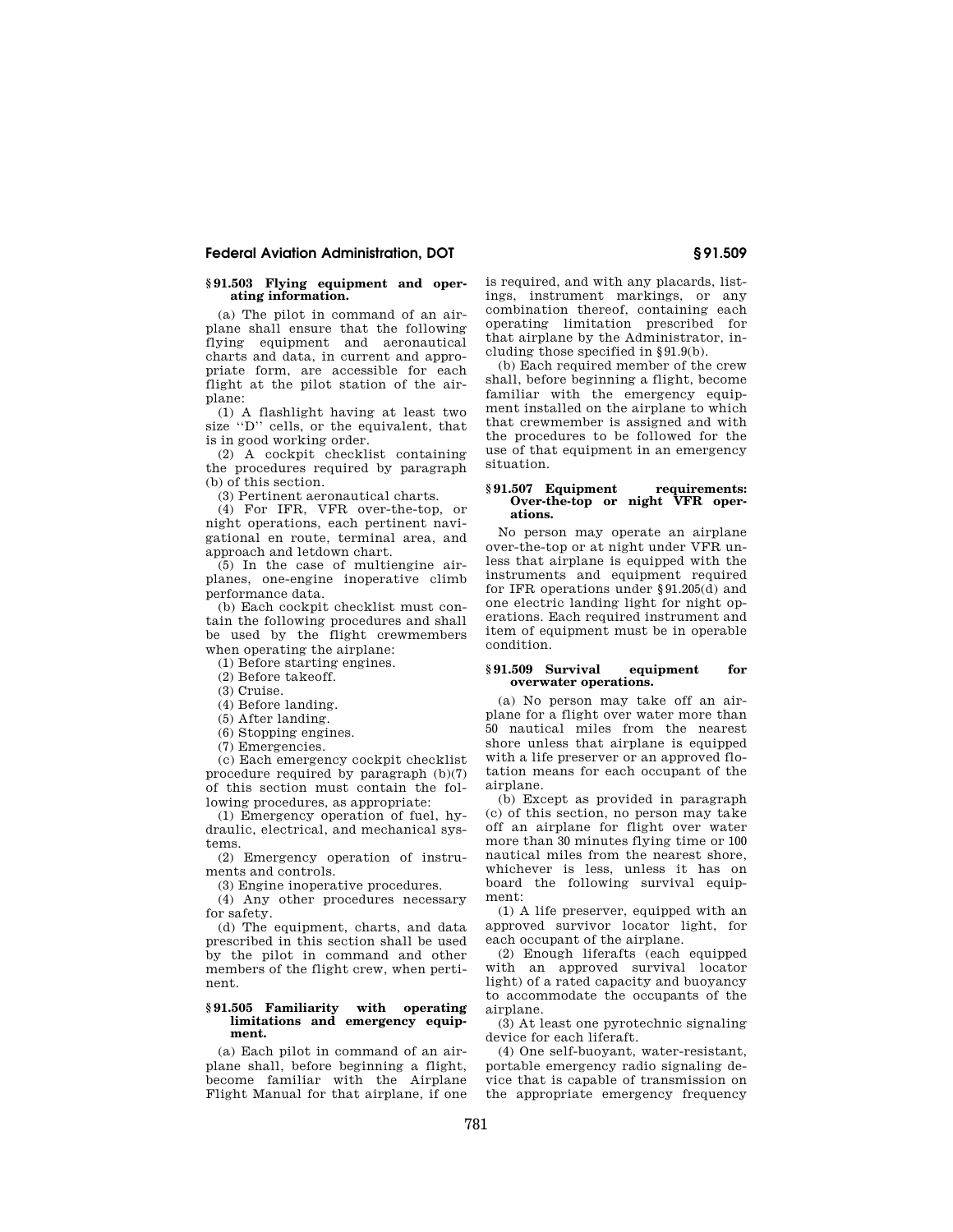## **§ 91.503 Flying equipment and operating information.**

(a) The pilot in command of an airplane shall ensure that the following flying equipment and aeronautical charts and data, in current and appropriate form, are accessible for each flight at the pilot station of the airplane:

(1) A flashlight having at least two size ''D'' cells, or the equivalent, that is in good working order.

(2) A cockpit checklist containing the procedures required by paragraph (b) of this section.

(3) Pertinent aeronautical charts.

(4) For IFR, VFR over-the-top, or night operations, each pertinent navigational en route, terminal area, and approach and letdown chart.

(5) In the case of multiengine airplanes, one-engine inoperative climb performance data.

(b) Each cockpit checklist must contain the following procedures and shall be used by the flight crewmembers when operating the airplane:

(1) Before starting engines.

(2) Before takeoff.

(3) Cruise.

(4) Before landing.

(5) After landing.

(6) Stopping engines.

(7) Emergencies.

(c) Each emergency cockpit checklist procedure required by paragraph (b)(7) of this section must contain the following procedures, as appropriate:

(1) Emergency operation of fuel, hydraulic, electrical, and mechanical systems.

(2) Emergency operation of instruments and controls.

(3) Engine inoperative procedures.

(4) Any other procedures necessary for safety.

(d) The equipment, charts, and data prescribed in this section shall be used by the pilot in command and other members of the flight crew, when pertinent.

## **§ 91.505 Familiarity with operating limitations and emergency equipment.**

(a) Each pilot in command of an airplane shall, before beginning a flight, become familiar with the Airplane Flight Manual for that airplane, if one is required, and with any placards, listings, instrument markings, or any combination thereof, containing each operating limitation prescribed for that airplane by the Administrator, including those specified in §91.9(b).

(b) Each required member of the crew shall, before beginning a flight, become familiar with the emergency equipment installed on the airplane to which that crewmember is assigned and with the procedures to be followed for the use of that equipment in an emergency situation.

#### **§ 91.507 Equipment requirements: Over-the-top or night VFR operations.**

No person may operate an airplane over-the-top or at night under VFR unless that airplane is equipped with the instruments and equipment required for IFR operations under §91.205(d) and one electric landing light for night operations. Each required instrument and item of equipment must be in operable condition.

#### **§ 91.509 Survival equipment for overwater operations.**

(a) No person may take off an airplane for a flight over water more than 50 nautical miles from the nearest shore unless that airplane is equipped with a life preserver or an approved flotation means for each occupant of the airplane.

(b) Except as provided in paragraph (c) of this section, no person may take off an airplane for flight over water more than 30 minutes flying time or 100 nautical miles from the nearest shore, whichever is less, unless it has on board the following survival equipment:

(1) A life preserver, equipped with an approved survivor locator light, for each occupant of the airplane.

(2) Enough liferafts (each equipped with an approved survival locator light) of a rated capacity and buoyancy to accommodate the occupants of the airplane.

(3) At least one pyrotechnic signaling device for each liferaft.

(4) One self-buoyant, water-resistant, portable emergency radio signaling device that is capable of transmission on the appropriate emergency frequency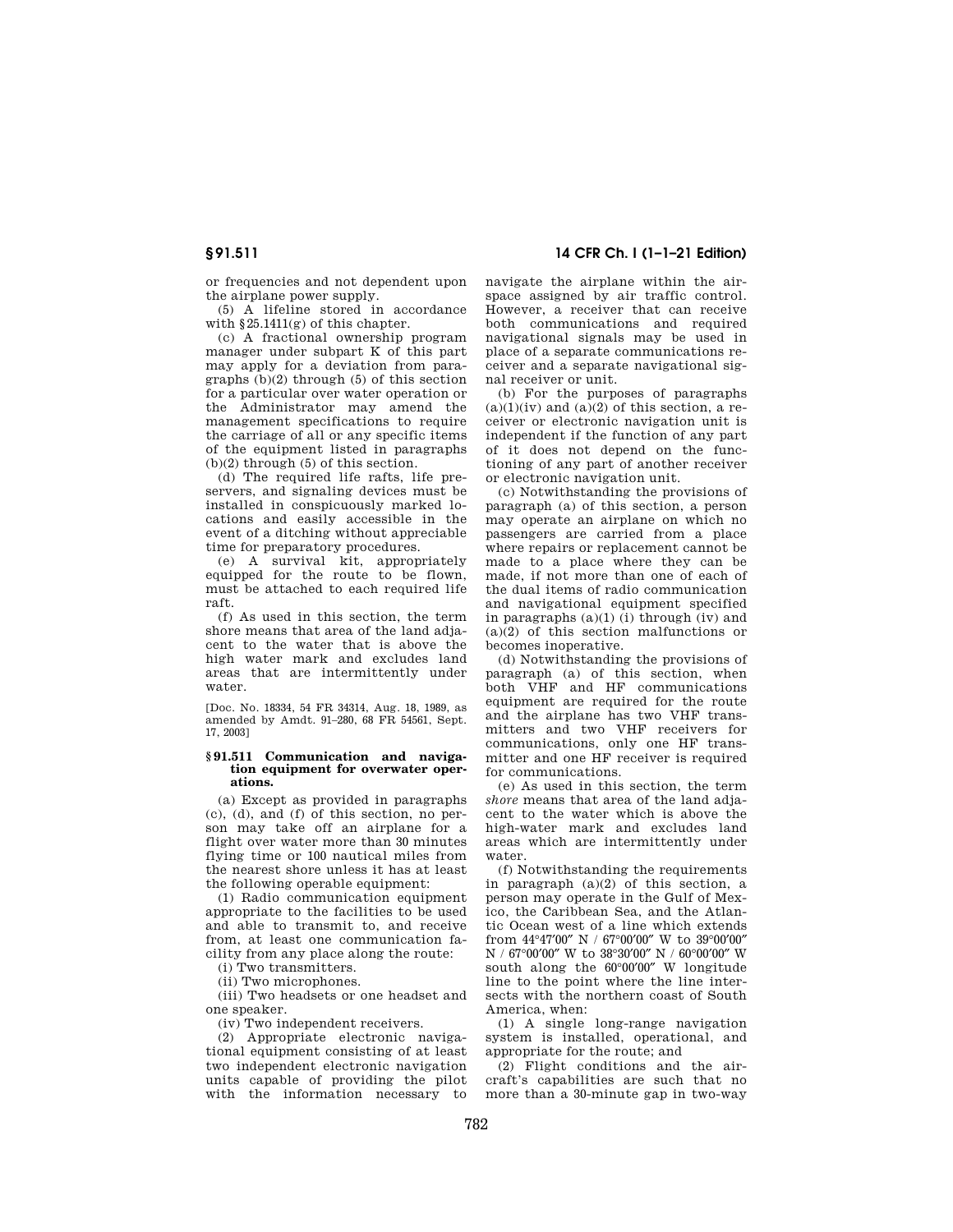or frequencies and not dependent upon the airplane power supply.

(5) A lifeline stored in accordance with §25.1411(g) of this chapter.

(c) A fractional ownership program manager under subpart K of this part may apply for a deviation from paragraphs (b)(2) through (5) of this section for a particular over water operation or the Administrator may amend the management specifications to require the carriage of all or any specific items of the equipment listed in paragraphs (b)(2) through (5) of this section.

(d) The required life rafts, life preservers, and signaling devices must be installed in conspicuously marked locations and easily accessible in the event of a ditching without appreciable time for preparatory procedures.

(e) A survival kit, appropriately equipped for the route to be flown, must be attached to each required life raft.

(f) As used in this section, the term shore means that area of the land adjacent to the water that is above the high water mark and excludes land areas that are intermittently under water.

[Doc. No. 18334, 54 FR 34314, Aug. 18, 1989, as amended by Amdt. 91–280, 68 FR 54561, Sept. 17, 2003]

#### **§ 91.511 Communication and navigation equipment for overwater operations.**

(a) Except as provided in paragraphs (c), (d), and (f) of this section, no person may take off an airplane for a flight over water more than 30 minutes flying time or 100 nautical miles from the nearest shore unless it has at least the following operable equipment:

(1) Radio communication equipment appropriate to the facilities to be used and able to transmit to, and receive from, at least one communication facility from any place along the route:

(i) Two transmitters.

(ii) Two microphones.

(iii) Two headsets or one headset and one speaker.

(iv) Two independent receivers.

(2) Appropriate electronic navigational equipment consisting of at least two independent electronic navigation units capable of providing the pilot with the information necessary to

# **§ 91.511 14 CFR Ch. I (1–1–21 Edition)**

navigate the airplane within the airspace assigned by air traffic control. However, a receiver that can receive both communications and required navigational signals may be used in place of a separate communications receiver and a separate navigational signal receiver or unit.

(b) For the purposes of paragraphs  $(a)(1)(iv)$  and  $(a)(2)$  of this section, a receiver or electronic navigation unit is independent if the function of any part of it does not depend on the functioning of any part of another receiver or electronic navigation unit.

(c) Notwithstanding the provisions of paragraph (a) of this section, a person may operate an airplane on which no passengers are carried from a place where repairs or replacement cannot be made to a place where they can be made, if not more than one of each of the dual items of radio communication and navigational equipment specified in paragraphs  $(a)(1)$  (i) through (iv) and  $(a)(2)$  of this section malfunctions or becomes inoperative.

(d) Notwithstanding the provisions of paragraph (a) of this section, when both VHF and HF communications equipment are required for the route and the airplane has two VHF transmitters and two VHF receivers for communications, only one HF transmitter and one HF receiver is required for communications.

(e) As used in this section, the term *shore* means that area of the land adjacent to the water which is above the high-water mark and excludes land areas which are intermittently under water.

(f) Notwithstanding the requirements in paragraph (a)(2) of this section, a person may operate in the Gulf of Mexico, the Caribbean Sea, and the Atlantic Ocean west of a line which extends from 44°47′00″ N / 67°00′00″ W to 39°00′00″ N / 67°00′00″ W to 38°30′00″ N / 60°00′00″ W south along the 60°00′00″ W longitude line to the point where the line intersects with the northern coast of South America, when:

(1) A single long-range navigation system is installed, operational, and appropriate for the route; and

(2) Flight conditions and the aircraft's capabilities are such that no more than a 30-minute gap in two-way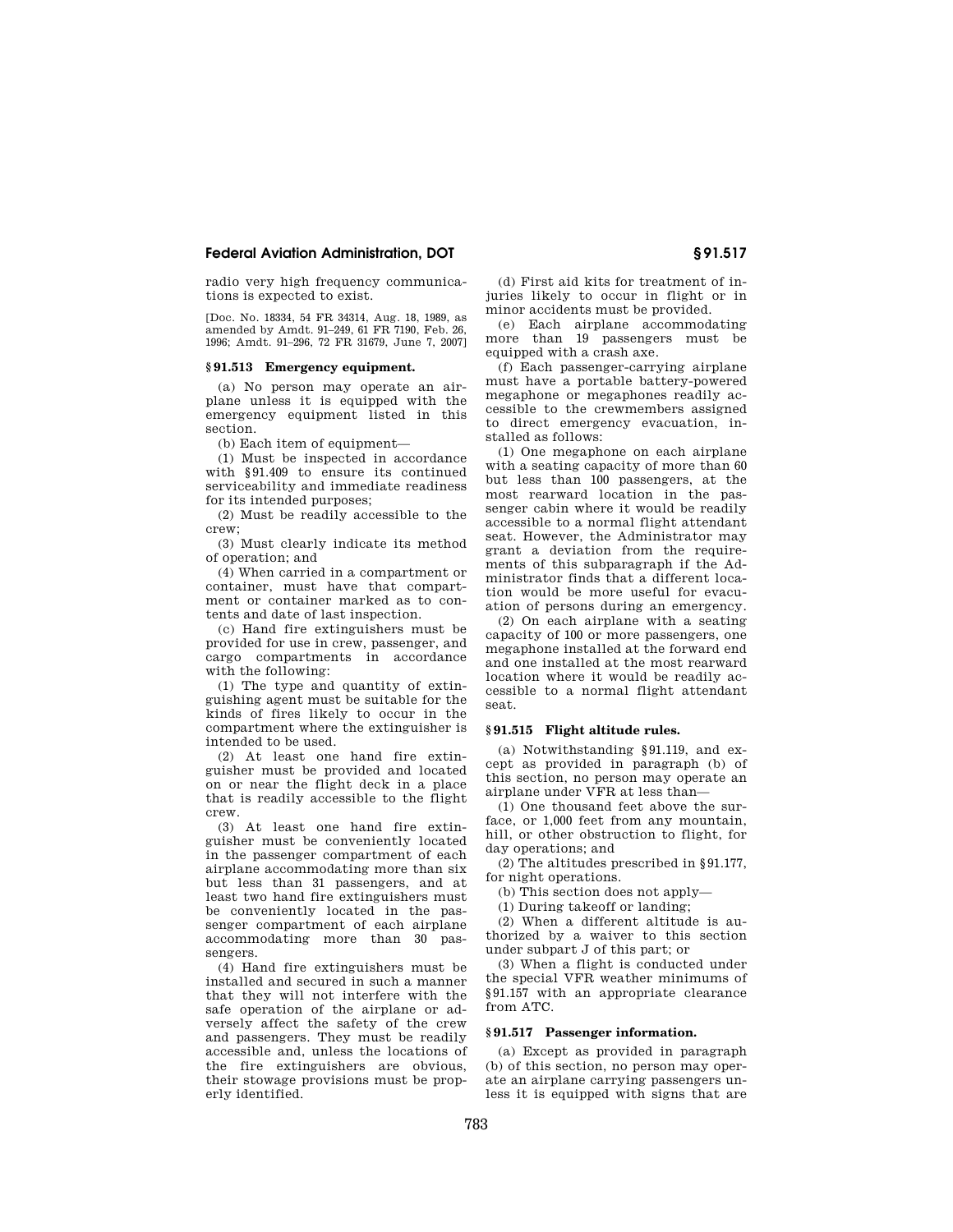radio very high frequency communications is expected to exist.

[Doc. No. 18334, 54 FR 34314, Aug. 18, 1989, as amended by Amdt. 91–249, 61 FR 7190, Feb. 26, 1996; Amdt. 91–296, 72 FR 31679, June 7, 2007]

#### **§ 91.513 Emergency equipment.**

(a) No person may operate an airplane unless it is equipped with the emergency equipment listed in this section.

(b) Each item of equipment—

(1) Must be inspected in accordance with §91.409 to ensure its continued serviceability and immediate readiness for its intended purposes;

(2) Must be readily accessible to the crew;

(3) Must clearly indicate its method of operation; and

(4) When carried in a compartment or container, must have that compartment or container marked as to contents and date of last inspection.

(c) Hand fire extinguishers must be provided for use in crew, passenger, and cargo compartments in accordance with the following:

(1) The type and quantity of extinguishing agent must be suitable for the kinds of fires likely to occur in the compartment where the extinguisher is intended to be used.

(2) At least one hand fire extinguisher must be provided and located on or near the flight deck in a place that is readily accessible to the flight crew.

(3) At least one hand fire extinguisher must be conveniently located in the passenger compartment of each airplane accommodating more than six but less than 31 passengers, and at least two hand fire extinguishers must be conveniently located in the passenger compartment of each airplane accommodating more than 30 passengers.

(4) Hand fire extinguishers must be installed and secured in such a manner that they will not interfere with the safe operation of the airplane or adversely affect the safety of the crew and passengers. They must be readily accessible and, unless the locations of the fire extinguishers are obvious, their stowage provisions must be properly identified.

(d) First aid kits for treatment of injuries likely to occur in flight or in minor accidents must be provided.

(e) Each airplane accommodating more than 19 passengers must be equipped with a crash axe.

(f) Each passenger-carrying airplane must have a portable battery-powered megaphone or megaphones readily accessible to the crewmembers assigned to direct emergency evacuation, installed as follows:

(1) One megaphone on each airplane with a seating capacity of more than 60 but less than 100 passengers, at the most rearward location in the passenger cabin where it would be readily accessible to a normal flight attendant seat. However, the Administrator may grant a deviation from the requirements of this subparagraph if the Administrator finds that a different location would be more useful for evacuation of persons during an emergency.

(2) On each airplane with a seating capacity of 100 or more passengers, one megaphone installed at the forward end and one installed at the most rearward location where it would be readily accessible to a normal flight attendant seat.

#### **§ 91.515 Flight altitude rules.**

(a) Notwithstanding §91.119, and except as provided in paragraph (b) of this section, no person may operate an airplane under VFR at less than—

(1) One thousand feet above the surface, or 1,000 feet from any mountain, hill, or other obstruction to flight, for day operations; and

(2) The altitudes prescribed in §91.177, for night operations.

(b) This section does not apply—

(1) During takeoff or landing;

(2) When a different altitude is authorized by a waiver to this section under subpart J of this part; or

(3) When a flight is conducted under the special VFR weather minimums of §91.157 with an appropriate clearance from ATC.

## **§ 91.517 Passenger information.**

(a) Except as provided in paragraph (b) of this section, no person may operate an airplane carrying passengers unless it is equipped with signs that are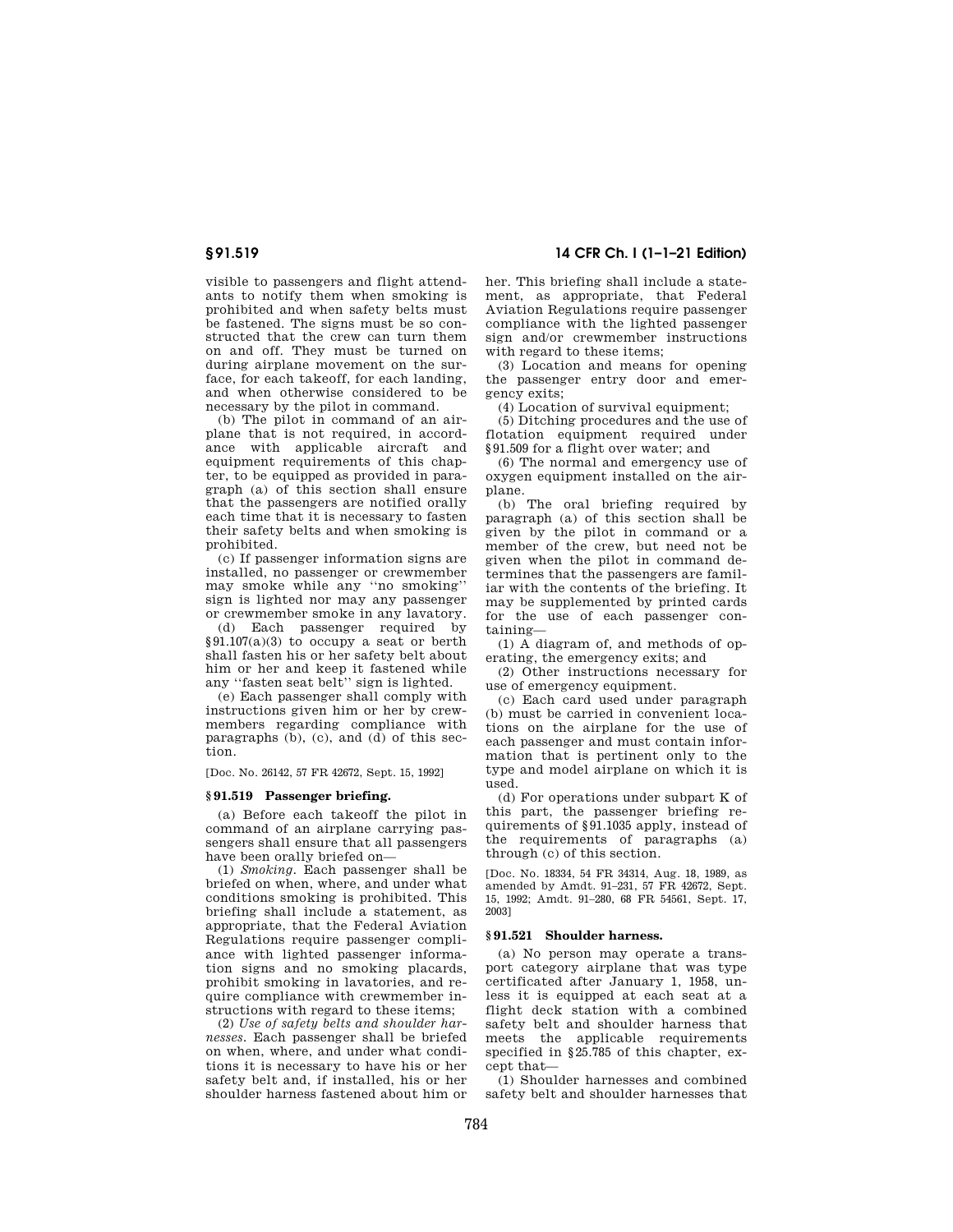# **§ 91.519 14 CFR Ch. I (1–1–21 Edition)**

visible to passengers and flight attendants to notify them when smoking is prohibited and when safety belts must be fastened. The signs must be so constructed that the crew can turn them on and off. They must be turned on during airplane movement on the surface, for each takeoff, for each landing, and when otherwise considered to be necessary by the pilot in command.

(b) The pilot in command of an airplane that is not required, in accordance with applicable aircraft and equipment requirements of this chapter, to be equipped as provided in paragraph (a) of this section shall ensure that the passengers are notified orally each time that it is necessary to fasten their safety belts and when smoking is prohibited.

(c) If passenger information signs are installed, no passenger or crewmember may smoke while any ''no smoking'' sign is lighted nor may any passenger or crewmember smoke in any lavatory.

(d) Each passenger required by  $§91.107(a)(3)$  to occupy a seat or berth shall fasten his or her safety belt about him or her and keep it fastened while any ''fasten seat belt'' sign is lighted.

(e) Each passenger shall comply with instructions given him or her by crewmembers regarding compliance with paragraphs (b), (c), and (d) of this section.

[Doc. No. 26142, 57 FR 42672, Sept. 15, 1992]

# **§ 91.519 Passenger briefing.**

(a) Before each takeoff the pilot in command of an airplane carrying passengers shall ensure that all passengers have been orally briefed on—

(1) *Smoking.* Each passenger shall be briefed on when, where, and under what conditions smoking is prohibited. This briefing shall include a statement, as appropriate, that the Federal Aviation Regulations require passenger compliance with lighted passenger information signs and no smoking placards, prohibit smoking in lavatories, and require compliance with crewmember instructions with regard to these items;

(2) *Use of safety belts and shoulder harnesses.* Each passenger shall be briefed on when, where, and under what conditions it is necessary to have his or her safety belt and, if installed, his or her shoulder harness fastened about him or her. This briefing shall include a statement, as appropriate, that Federal Aviation Regulations require passenger compliance with the lighted passenger sign and/or crewmember instructions with regard to these items;

(3) Location and means for opening the passenger entry door and emergency exits;

(4) Location of survival equipment;

(5) Ditching procedures and the use of flotation equipment required under §91.509 for a flight over water; and

(6) The normal and emergency use of oxygen equipment installed on the airplane.

(b) The oral briefing required by paragraph (a) of this section shall be given by the pilot in command or a member of the crew, but need not be given when the pilot in command determines that the passengers are familiar with the contents of the briefing. It may be supplemented by printed cards for the use of each passenger containing—

(1) A diagram of, and methods of operating, the emergency exits; and

(2) Other instructions necessary for use of emergency equipment.

(c) Each card used under paragraph (b) must be carried in convenient locations on the airplane for the use of each passenger and must contain information that is pertinent only to the type and model airplane on which it is used.

(d) For operations under subpart K of this part, the passenger briefing requirements of §91.1035 apply, instead of the requirements of paragraphs (a) through (c) of this section.

[Doc. No. 18334, 54 FR 34314, Aug. 18, 1989, as amended by Amdt. 91–231, 57 FR 42672, Sept. 15, 1992; Amdt. 91–280, 68 FR 54561, Sept. 17, 2003]

# **§ 91.521 Shoulder harness.**

(a) No person may operate a transport category airplane that was type certificated after January 1, 1958, unless it is equipped at each seat at a flight deck station with a combined safety belt and shoulder harness that meets the applicable requirements specified in §25.785 of this chapter, except that—

(1) Shoulder harnesses and combined safety belt and shoulder harnesses that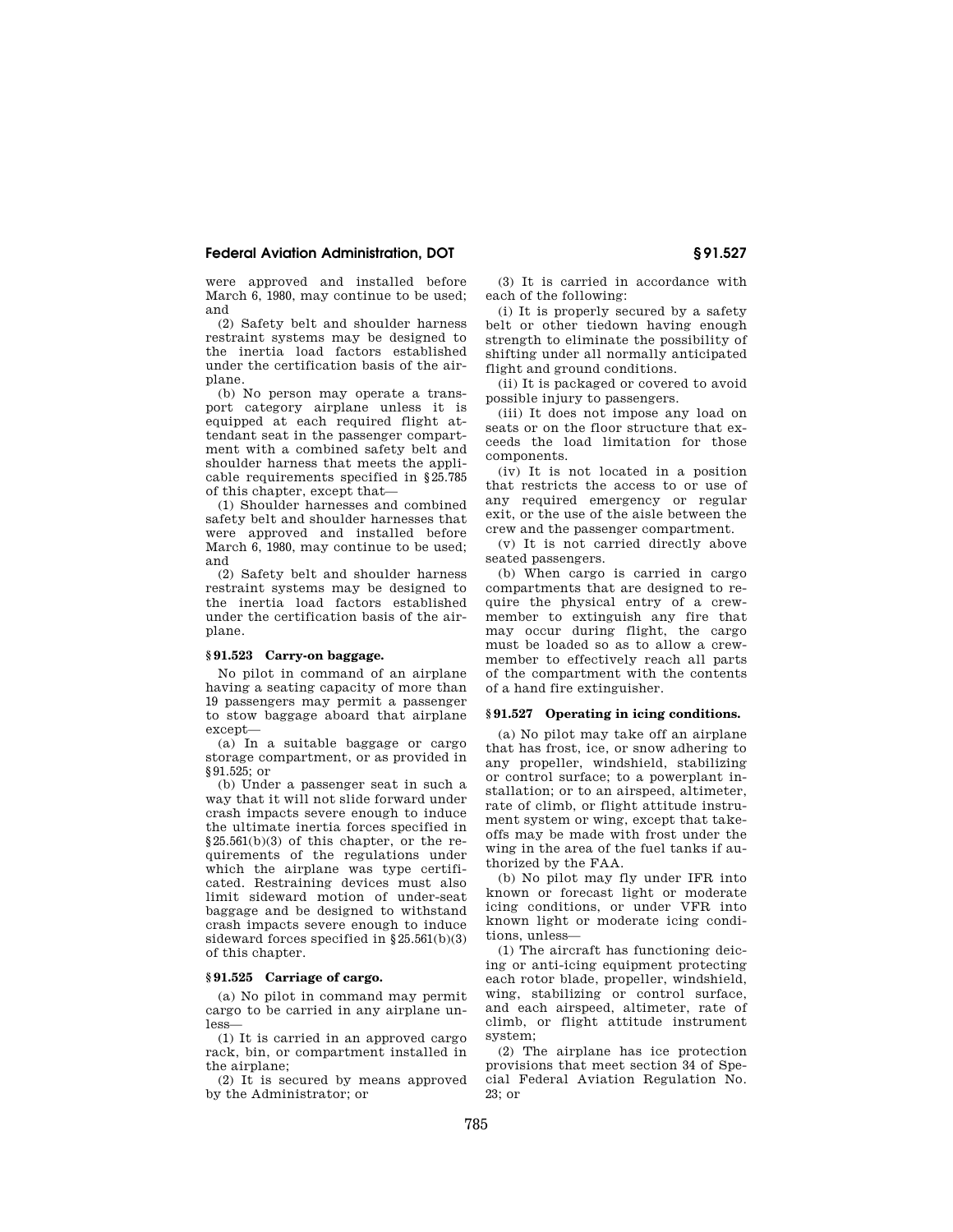were approved and installed before March 6, 1980, may continue to be used; and

(2) Safety belt and shoulder harness restraint systems may be designed to the inertia load factors established under the certification basis of the airplane.

(b) No person may operate a transport category airplane unless it is equipped at each required flight attendant seat in the passenger compartment with a combined safety belt and shoulder harness that meets the applicable requirements specified in §25.785 of this chapter, except that—

(1) Shoulder harnesses and combined safety belt and shoulder harnesses that were approved and installed before March 6, 1980, may continue to be used; and

(2) Safety belt and shoulder harness restraint systems may be designed to the inertia load factors established under the certification basis of the airplane.

## **§ 91.523 Carry-on baggage.**

No pilot in command of an airplane having a seating capacity of more than 19 passengers may permit a passenger to stow baggage aboard that airplane except—

(a) In a suitable baggage or cargo storage compartment, or as provided in §91.525; or

(b) Under a passenger seat in such a way that it will not slide forward under crash impacts severe enough to induce the ultimate inertia forces specified in  $§25.561(b)(3)$  of this chapter, or the requirements of the regulations under which the airplane was type certificated. Restraining devices must also limit sideward motion of under-seat baggage and be designed to withstand crash impacts severe enough to induce sideward forces specified in §25.561(b)(3) of this chapter.

## **§ 91.525 Carriage of cargo.**

(a) No pilot in command may permit cargo to be carried in any airplane unless—

(1) It is carried in an approved cargo rack, bin, or compartment installed in the airplane;

(2) It is secured by means approved by the Administrator; or

(3) It is carried in accordance with each of the following:

(i) It is properly secured by a safety belt or other tiedown having enough strength to eliminate the possibility of shifting under all normally anticipated flight and ground conditions.

(ii) It is packaged or covered to avoid possible injury to passengers.

(iii) It does not impose any load on seats or on the floor structure that exceeds the load limitation for those components.

(iv) It is not located in a position that restricts the access to or use of any required emergency or regular exit, or the use of the aisle between the crew and the passenger compartment.

(v) It is not carried directly above seated passengers.

(b) When cargo is carried in cargo compartments that are designed to require the physical entry of a crewmember to extinguish any fire that may occur during flight, the cargo must be loaded so as to allow a crewmember to effectively reach all parts of the compartment with the contents of a hand fire extinguisher.

#### **§ 91.527 Operating in icing conditions.**

(a) No pilot may take off an airplane that has frost, ice, or snow adhering to any propeller, windshield, stabilizing or control surface; to a powerplant installation; or to an airspeed, altimeter, rate of climb, or flight attitude instrument system or wing, except that takeoffs may be made with frost under the wing in the area of the fuel tanks if authorized by the FAA.

(b) No pilot may fly under IFR into known or forecast light or moderate icing conditions, or under VFR into known light or moderate icing conditions, unless—

(1) The aircraft has functioning deicing or anti-icing equipment protecting each rotor blade, propeller, windshield, wing, stabilizing or control surface, and each airspeed, altimeter, rate of climb, or flight attitude instrument system;

(2) The airplane has ice protection provisions that meet section 34 of Special Federal Aviation Regulation No. 23; or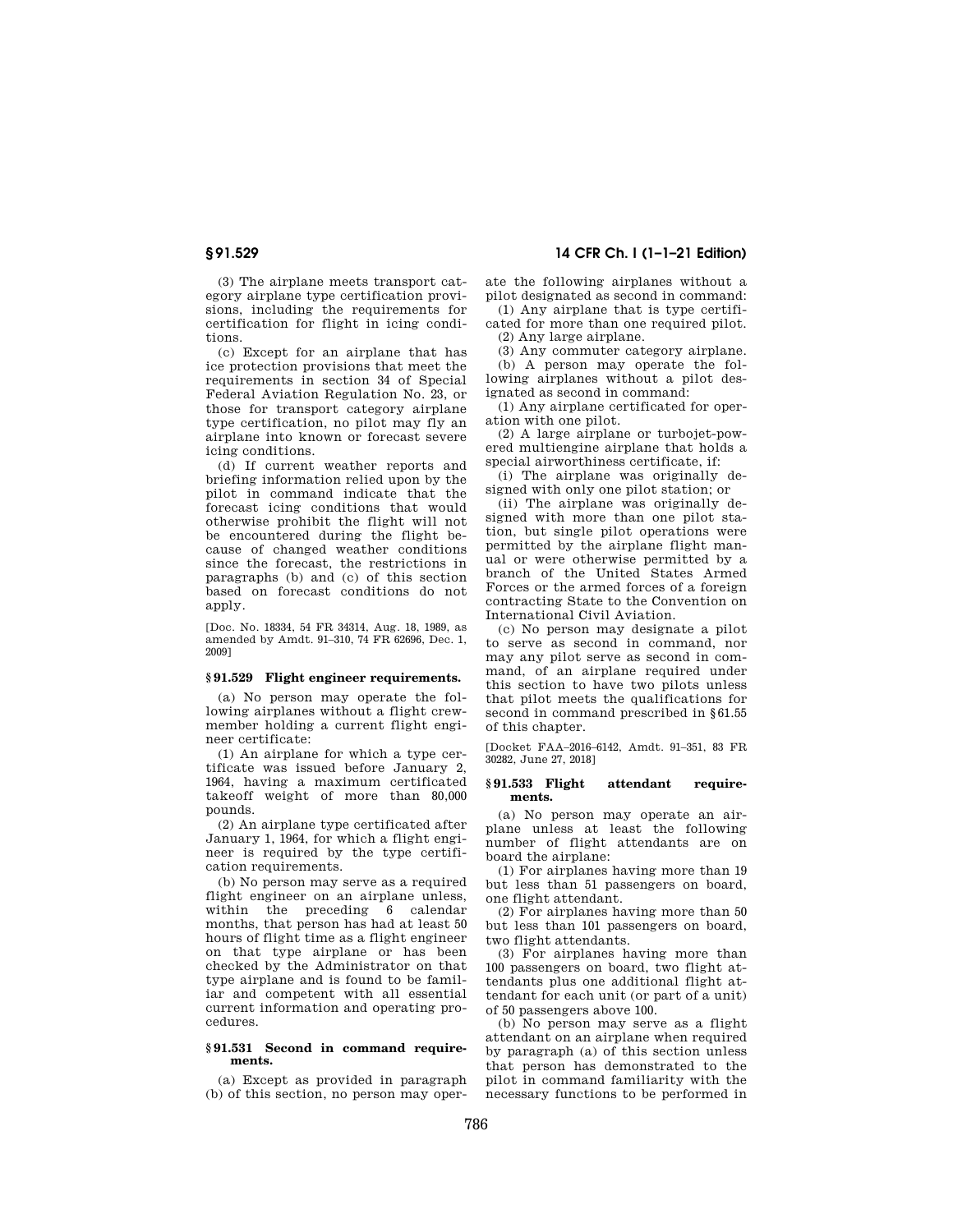(3) The airplane meets transport category airplane type certification provisions, including the requirements for certification for flight in icing conditions.

(c) Except for an airplane that has ice protection provisions that meet the requirements in section 34 of Special Federal Aviation Regulation No. 23, or those for transport category airplane type certification, no pilot may fly an airplane into known or forecast severe icing conditions.

(d) If current weather reports and briefing information relied upon by the pilot in command indicate that the forecast icing conditions that would otherwise prohibit the flight will not be encountered during the flight because of changed weather conditions since the forecast, the restrictions in paragraphs (b) and (c) of this section based on forecast conditions do not apply.

[Doc. No. 18334, 54 FR 34314, Aug. 18, 1989, as amended by Amdt. 91–310, 74 FR 62696, Dec. 1, 2009]

## **§ 91.529 Flight engineer requirements.**

(a) No person may operate the following airplanes without a flight crewmember holding a current flight engineer certificate:

(1) An airplane for which a type certificate was issued before January 2, 1964, having a maximum certificated takeoff weight of more than 80,000 pounds.

(2) An airplane type certificated after January 1, 1964, for which a flight engineer is required by the type certification requirements.

(b) No person may serve as a required flight engineer on an airplane unless, within the preceding 6 calendar months, that person has had at least 50 hours of flight time as a flight engineer on that type airplane or has been checked by the Administrator on that type airplane and is found to be familiar and competent with all essential current information and operating procedures.

### **§ 91.531 Second in command requirements.**

(a) Except as provided in paragraph (b) of this section, no person may oper-

# **§ 91.529 14 CFR Ch. I (1–1–21 Edition)**

ate the following airplanes without a pilot designated as second in command:

(1) Any airplane that is type certificated for more than one required pilot. (2) Any large airplane.

(3) Any commuter category airplane.

(b) A person may operate the following airplanes without a pilot designated as second in command:

(1) Any airplane certificated for operation with one pilot.

(2) A large airplane or turbojet-powered multiengine airplane that holds a special airworthiness certificate, if:

(i) The airplane was originally designed with only one pilot station; or

(ii) The airplane was originally designed with more than one pilot station, but single pilot operations were permitted by the airplane flight manual or were otherwise permitted by a branch of the United States Armed Forces or the armed forces of a foreign contracting State to the Convention on International Civil Aviation.

(c) No person may designate a pilot to serve as second in command, nor may any pilot serve as second in command, of an airplane required under this section to have two pilots unless that pilot meets the qualifications for second in command prescribed in §61.55 of this chapter.

[Docket FAA–2016–6142, Amdt. 91–351, 83 FR 30282, June 27, 2018]

## **§ 91.533 Flight attendant requirements.**

(a) No person may operate an airplane unless at least the following number of flight attendants are on board the airplane:

(1) For airplanes having more than 19 but less than 51 passengers on board, one flight attendant.

(2) For airplanes having more than 50 but less than 101 passengers on board, two flight attendants.

(3) For airplanes having more than 100 passengers on board, two flight attendants plus one additional flight attendant for each unit (or part of a unit) of 50 passengers above 100.

(b) No person may serve as a flight attendant on an airplane when required by paragraph (a) of this section unless that person has demonstrated to the pilot in command familiarity with the necessary functions to be performed in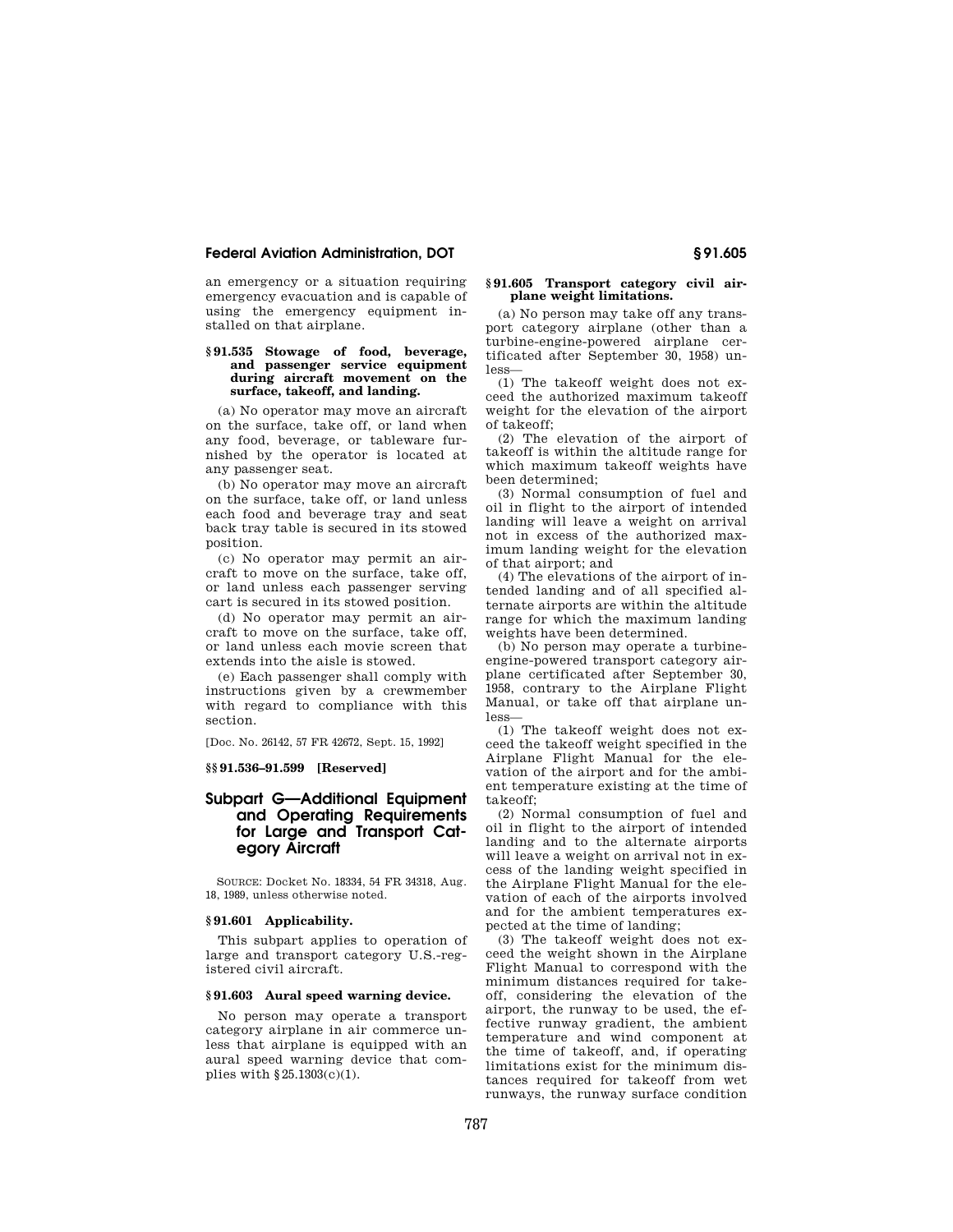an emergency or a situation requiring emergency evacuation and is capable of using the emergency equipment installed on that airplane.

## **§ 91.535 Stowage of food, beverage, and passenger service equipment during aircraft movement on the surface, takeoff, and landing.**

(a) No operator may move an aircraft on the surface, take off, or land when any food, beverage, or tableware furnished by the operator is located at any passenger seat.

(b) No operator may move an aircraft on the surface, take off, or land unless each food and beverage tray and seat back tray table is secured in its stowed position.

(c) No operator may permit an aircraft to move on the surface, take off, or land unless each passenger serving cart is secured in its stowed position.

(d) No operator may permit an aircraft to move on the surface, take off, or land unless each movie screen that extends into the aisle is stowed.

(e) Each passenger shall comply with instructions given by a crewmember with regard to compliance with this section.

[Doc. No. 26142, 57 FR 42672, Sept. 15, 1992]

# **§§ 91.536–91.599 [Reserved]**

# **Subpart G—Additional Equipment and Operating Requirements for Large and Transport Category Aircraft**

SOURCE: Docket No. 18334, 54 FR 34318, Aug. 18, 1989, unless otherwise noted.

## **§ 91.601 Applicability.**

This subpart applies to operation of large and transport category U.S.-registered civil aircraft.

#### **§ 91.603 Aural speed warning device.**

No person may operate a transport category airplane in air commerce unless that airplane is equipped with an aural speed warning device that complies with §25.1303(c)(1).

#### **§ 91.605 Transport category civil airplane weight limitations.**

(a) No person may take off any transport category airplane (other than a turbine-engine-powered airplane certificated after September 30, 1958) unless—

(1) The takeoff weight does not exceed the authorized maximum takeoff weight for the elevation of the airport of takeoff;

(2) The elevation of the airport of takeoff is within the altitude range for which maximum takeoff weights have been determined;

(3) Normal consumption of fuel and oil in flight to the airport of intended landing will leave a weight on arrival not in excess of the authorized maximum landing weight for the elevation of that airport; and

(4) The elevations of the airport of intended landing and of all specified alternate airports are within the altitude range for which the maximum landing weights have been determined.

(b) No person may operate a turbineengine-powered transport category airplane certificated after September 30, 1958, contrary to the Airplane Flight Manual, or take off that airplane unless—

(1) The takeoff weight does not exceed the takeoff weight specified in the Airplane Flight Manual for the elevation of the airport and for the ambient temperature existing at the time of takeoff;

(2) Normal consumption of fuel and oil in flight to the airport of intended landing and to the alternate airports will leave a weight on arrival not in excess of the landing weight specified in the Airplane Flight Manual for the elevation of each of the airports involved and for the ambient temperatures expected at the time of landing;

(3) The takeoff weight does not exceed the weight shown in the Airplane Flight Manual to correspond with the minimum distances required for takeoff, considering the elevation of the airport, the runway to be used, the effective runway gradient, the ambient temperature and wind component at the time of takeoff, and, if operating limitations exist for the minimum distances required for takeoff from wet runways, the runway surface condition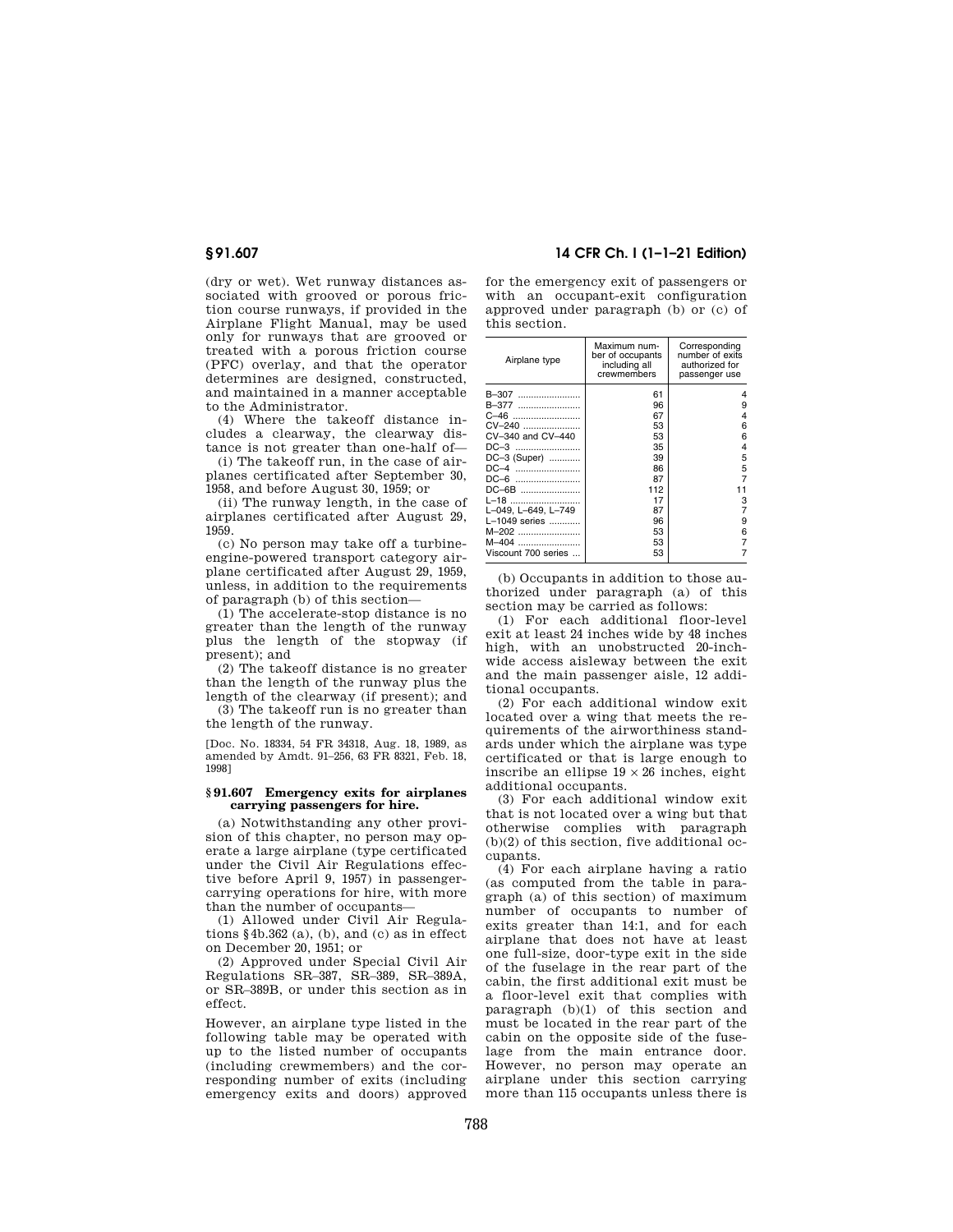(dry or wet). Wet runway distances associated with grooved or porous friction course runways, if provided in the Airplane Flight Manual, may be used only for runways that are grooved or treated with a porous friction course (PFC) overlay, and that the operator determines are designed, constructed, and maintained in a manner acceptable to the Administrator.

(4) Where the takeoff distance includes a clearway, the clearway distance is not greater than one-half of—

(i) The takeoff run, in the case of airplanes certificated after September 30, 1958, and before August 30, 1959; or

(ii) The runway length, in the case of airplanes certificated after August 29, 1959.

(c) No person may take off a turbineengine-powered transport category airplane certificated after August 29, 1959, unless, in addition to the requirements of paragraph (b) of this section—

(1) The accelerate-stop distance is no greater than the length of the runway plus the length of the stopway (if present); and

(2) The takeoff distance is no greater than the length of the runway plus the length of the clearway (if present); and

(3) The takeoff run is no greater than the length of the runway.

[Doc. No. 18334, 54 FR 34318, Aug. 18, 1989, as amended by Amdt. 91–256, 63 FR 8321, Feb. 18, 1998]

## **§ 91.607 Emergency exits for airplanes carrying passengers for hire.**

(a) Notwithstanding any other provision of this chapter, no person may operate a large airplane (type certificated under the Civil Air Regulations effective before April 9, 1957) in passengercarrying operations for hire, with more than the number of occupants—

(1) Allowed under Civil Air Regulations  $§4b.362$  (a), (b), and (c) as in effect on December 20, 1951; or

(2) Approved under Special Civil Air Regulations SR–387, SR–389, SR–389A, or SR–389B, or under this section as in effect.

However, an airplane type listed in the following table may be operated with up to the listed number of occupants (including crewmembers) and the corresponding number of exits (including emergency exits and doors) approved

# **§ 91.607 14 CFR Ch. I (1–1–21 Edition)**

for the emergency exit of passengers or with an occupant-exit configuration approved under paragraph (b) or (c) of this section.

| Airplane type       | Maximum num-<br>ber of occupants<br>including all<br>crewmembers | Corresponding<br>number of exits<br>authorized for<br>passenger use |
|---------------------|------------------------------------------------------------------|---------------------------------------------------------------------|
| B-307               | 61                                                               | 4                                                                   |
| B-377               | 96                                                               | 9                                                                   |
| C-46                | 67                                                               | 4                                                                   |
| CV-240              | 53                                                               | 6                                                                   |
| CV-340 and CV-440   | 53                                                               | 6                                                                   |
| DC-3                | 35                                                               | 4                                                                   |
| DC-3 (Super)        | 39                                                               | 5                                                                   |
| DC-4                | 86                                                               | 5                                                                   |
| DC-6                | 87                                                               |                                                                     |
| DC-6B               | 112                                                              | 11                                                                  |
| L-18                | 17                                                               | 3                                                                   |
| L-049, L-649, L-749 | 87                                                               |                                                                     |
| L-1049 series       | 96                                                               | 9                                                                   |
| M-202               | 53                                                               | հ                                                                   |
| M-404               | 53                                                               |                                                                     |
| Viscount 700 series | 53                                                               |                                                                     |

(b) Occupants in addition to those authorized under paragraph (a) of this section may be carried as follows:

(1) For each additional floor-level exit at least 24 inches wide by 48 inches high, with an unobstructed 20-inchwide access aisleway between the exit and the main passenger aisle, 12 additional occupants.

(2) For each additional window exit located over a wing that meets the requirements of the airworthiness standards under which the airplane was type certificated or that is large enough to inscribe an ellipse  $19 \times 26$  inches, eight additional occupants.

(3) For each additional window exit that is not located over a wing but that otherwise complies with paragraph (b)(2) of this section, five additional occupants.

(4) For each airplane having a ratio (as computed from the table in paragraph (a) of this section) of maximum number of occupants to number of exits greater than 14:1, and for each airplane that does not have at least one full-size, door-type exit in the side of the fuselage in the rear part of the cabin, the first additional exit must be a floor-level exit that complies with paragraph (b)(1) of this section and must be located in the rear part of the cabin on the opposite side of the fuselage from the main entrance door. However, no person may operate an airplane under this section carrying more than 115 occupants unless there is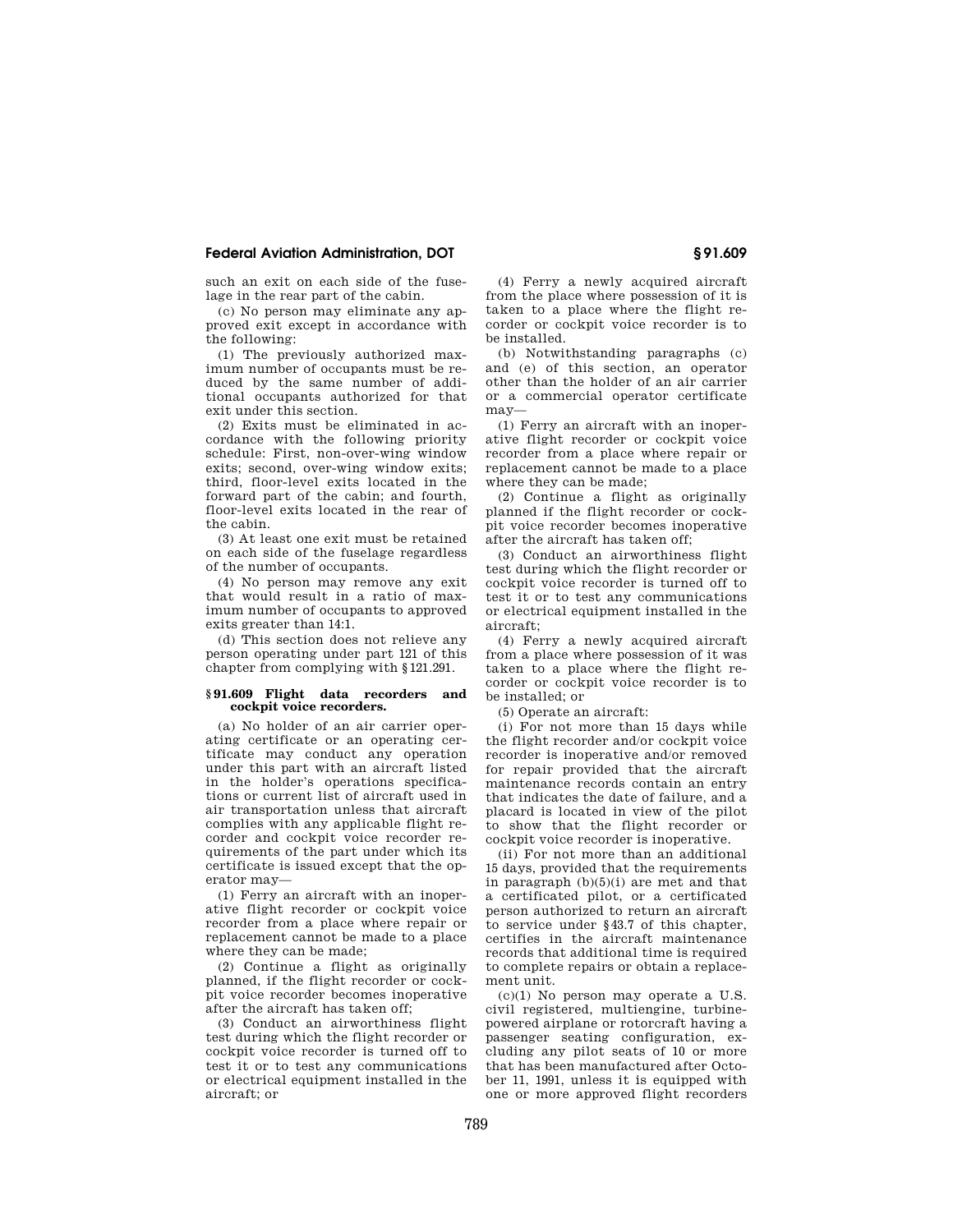such an exit on each side of the fuselage in the rear part of the cabin.

(c) No person may eliminate any approved exit except in accordance with the following:

(1) The previously authorized maximum number of occupants must be reduced by the same number of additional occupants authorized for that exit under this section.

(2) Exits must be eliminated in accordance with the following priority schedule: First, non-over-wing window exits; second, over-wing window exits; third, floor-level exits located in the forward part of the cabin; and fourth, floor-level exits located in the rear of the cabin.

(3) At least one exit must be retained on each side of the fuselage regardless of the number of occupants.

(4) No person may remove any exit that would result in a ratio of maximum number of occupants to approved exits greater than 14:1.

(d) This section does not relieve any person operating under part 121 of this chapter from complying with §121.291.

#### **§ 91.609 Flight data recorders and cockpit voice recorders.**

(a) No holder of an air carrier operating certificate or an operating certificate may conduct any operation under this part with an aircraft listed in the holder's operations specifications or current list of aircraft used in air transportation unless that aircraft complies with any applicable flight recorder and cockpit voice recorder requirements of the part under which its certificate is issued except that the operator may—

(1) Ferry an aircraft with an inoperative flight recorder or cockpit voice recorder from a place where repair or replacement cannot be made to a place where they can be made;

(2) Continue a flight as originally planned, if the flight recorder or cockpit voice recorder becomes inoperative after the aircraft has taken off;

(3) Conduct an airworthiness flight test during which the flight recorder or cockpit voice recorder is turned off to test it or to test any communications or electrical equipment installed in the aircraft; or

(4) Ferry a newly acquired aircraft from the place where possession of it is taken to a place where the flight recorder or cockpit voice recorder is to be installed.

(b) Notwithstanding paragraphs (c) and (e) of this section, an operator other than the holder of an air carrier or a commercial operator certificate may—

(1) Ferry an aircraft with an inoperative flight recorder or cockpit voice recorder from a place where repair or replacement cannot be made to a place where they can be made;

(2) Continue a flight as originally planned if the flight recorder or cockpit voice recorder becomes inoperative after the aircraft has taken off;

(3) Conduct an airworthiness flight test during which the flight recorder or cockpit voice recorder is turned off to test it or to test any communications or electrical equipment installed in the aircraft;

(4) Ferry a newly acquired aircraft from a place where possession of it was taken to a place where the flight recorder or cockpit voice recorder is to be installed; or

(5) Operate an aircraft:

(i) For not more than 15 days while the flight recorder and/or cockpit voice recorder is inoperative and/or removed for repair provided that the aircraft maintenance records contain an entry that indicates the date of failure, and a placard is located in view of the pilot to show that the flight recorder or cockpit voice recorder is inoperative.

(ii) For not more than an additional 15 days, provided that the requirements in paragraph (b)(5)(i) are met and that a certificated pilot, or a certificated person authorized to return an aircraft to service under §43.7 of this chapter, certifies in the aircraft maintenance records that additional time is required to complete repairs or obtain a replacement unit.

(c)(1) No person may operate a U.S. civil registered, multiengine, turbinepowered airplane or rotorcraft having a passenger seating configuration, excluding any pilot seats of 10 or more that has been manufactured after October 11, 1991, unless it is equipped with one or more approved flight recorders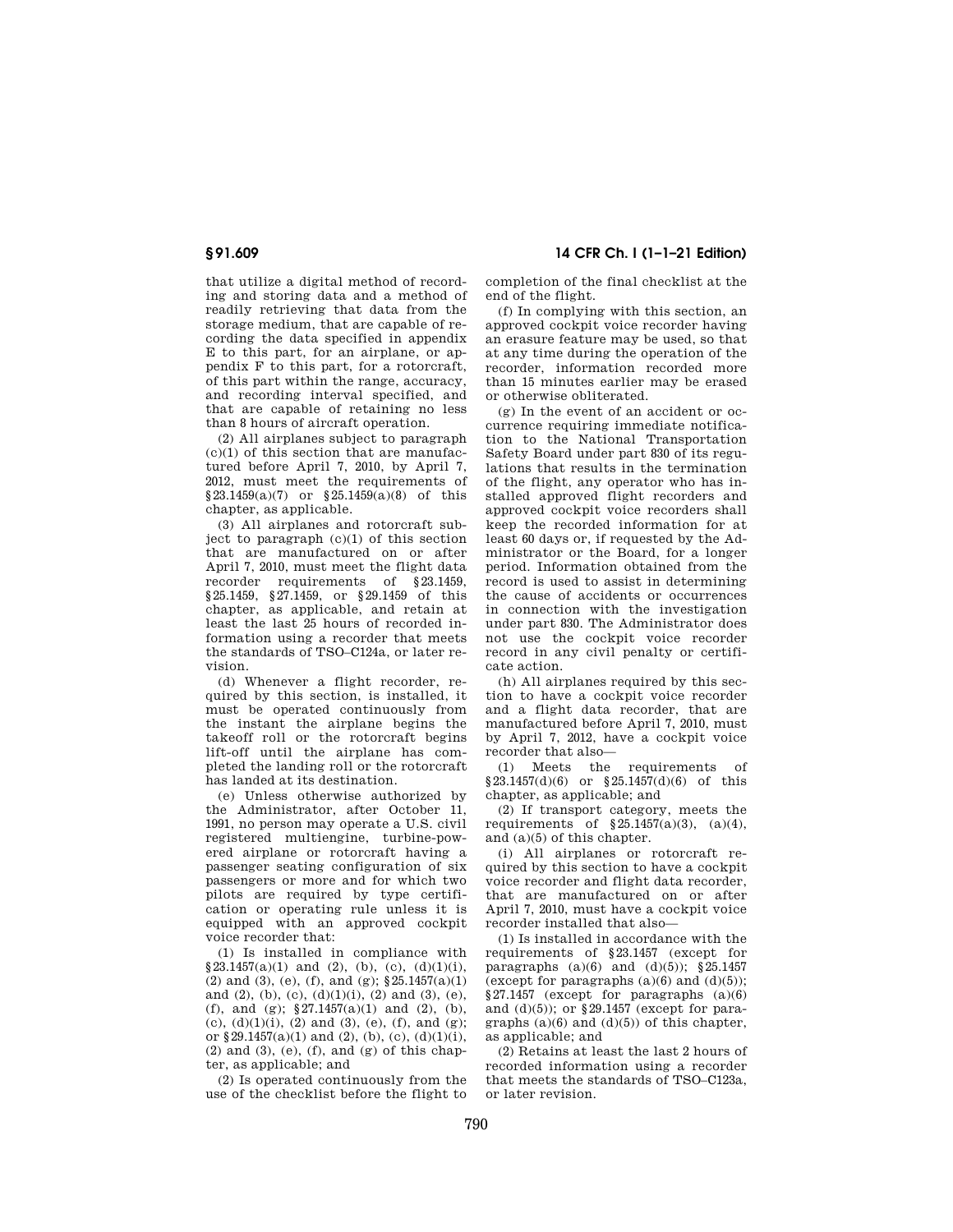that utilize a digital method of recording and storing data and a method of readily retrieving that data from the storage medium, that are capable of recording the data specified in appendix E to this part, for an airplane, or appendix F to this part, for a rotorcraft, of this part within the range, accuracy, and recording interval specified, and that are capable of retaining no less than 8 hours of aircraft operation.

(2) All airplanes subject to paragraph  $(c)(1)$  of this section that are manufactured before April 7, 2010, by April 7, 2012, must meet the requirements of  $$23.1459(a)(7)$  or  $$25.1459(a)(8)$  of this chapter, as applicable.

(3) All airplanes and rotorcraft subject to paragraph (c)(1) of this section that are manufactured on or after April 7, 2010, must meet the flight data recorder requirements of §23.1459, §25.1459, §27.1459, or §29.1459 of this chapter, as applicable, and retain at least the last 25 hours of recorded information using a recorder that meets the standards of TSO–C124a, or later revision.

(d) Whenever a flight recorder, required by this section, is installed, it must be operated continuously from the instant the airplane begins the takeoff roll or the rotorcraft begins lift-off until the airplane has completed the landing roll or the rotorcraft has landed at its destination.

(e) Unless otherwise authorized by the Administrator, after October 11, 1991, no person may operate a U.S. civil registered multiengine, turbine-powered airplane or rotorcraft having a passenger seating configuration of six passengers or more and for which two pilots are required by type certification or operating rule unless it is equipped with an approved cockpit voice recorder that:

(1) Is installed in compliance with  $§23.1457(a)(1)$  and (2), (b), (c), (d)(1)(i), (2) and (3), (e), (f), and (g); §25.1457(a)(1) and (2), (b), (c),  $(d)(1)(i)$ , (2) and (3), (e), (f), and (g); §27.1457(a)(1) and (2), (b), (c),  $(d)(1)(i)$ ,  $(2)$  and  $(3)$ ,  $(e)$ ,  $(f)$ , and  $(g)$ ; or  $§29.1457(a)(1)$  and  $(2)$ , (b), (c),  $(d)(1)(i)$ ,  $(2)$  and  $(3)$ ,  $(e)$ ,  $(f)$ , and  $(g)$  of this chapter, as applicable; and

(2) Is operated continuously from the use of the checklist before the flight to

**§ 91.609 14 CFR Ch. I (1–1–21 Edition)** 

completion of the final checklist at the end of the flight.

(f) In complying with this section, an approved cockpit voice recorder having an erasure feature may be used, so that at any time during the operation of the recorder, information recorded more than 15 minutes earlier may be erased or otherwise obliterated.

(g) In the event of an accident or occurrence requiring immediate notification to the National Transportation Safety Board under part 830 of its regulations that results in the termination of the flight, any operator who has installed approved flight recorders and approved cockpit voice recorders shall keep the recorded information for at least 60 days or, if requested by the Administrator or the Board, for a longer period. Information obtained from the record is used to assist in determining the cause of accidents or occurrences in connection with the investigation under part 830. The Administrator does not use the cockpit voice recorder record in any civil penalty or certificate action.

(h) All airplanes required by this section to have a cockpit voice recorder and a flight data recorder, that are manufactured before April 7, 2010, must by April 7, 2012, have a cockpit voice recorder that also—

(1) Meets the requirements of §23.1457(d)(6) or §25.1457(d)(6) of this chapter, as applicable; and

(2) If transport category, meets the requirements of  $\S 25.1457(a)(3)$ ,  $(a)(4)$ , and (a)(5) of this chapter.

(i) All airplanes or rotorcraft required by this section to have a cockpit voice recorder and flight data recorder, that are manufactured on or after April 7, 2010, must have a cockpit voice recorder installed that also—

(1) Is installed in accordance with the requirements of §23.1457 (except for paragraphs  $(a)(6)$  and  $(d)(5)$ ; §25.1457 (except for paragraphs  $(a)(6)$  and  $(d)(5)$ ); §27.1457 (except for paragraphs (a)(6) and  $(d)(5)$ ; or §29.1457 (except for paragraphs  $(a)(6)$  and  $(d)(5)$  of this chapter, as applicable; and

(2) Retains at least the last 2 hours of recorded information using a recorder that meets the standards of TSO–C123a, or later revision.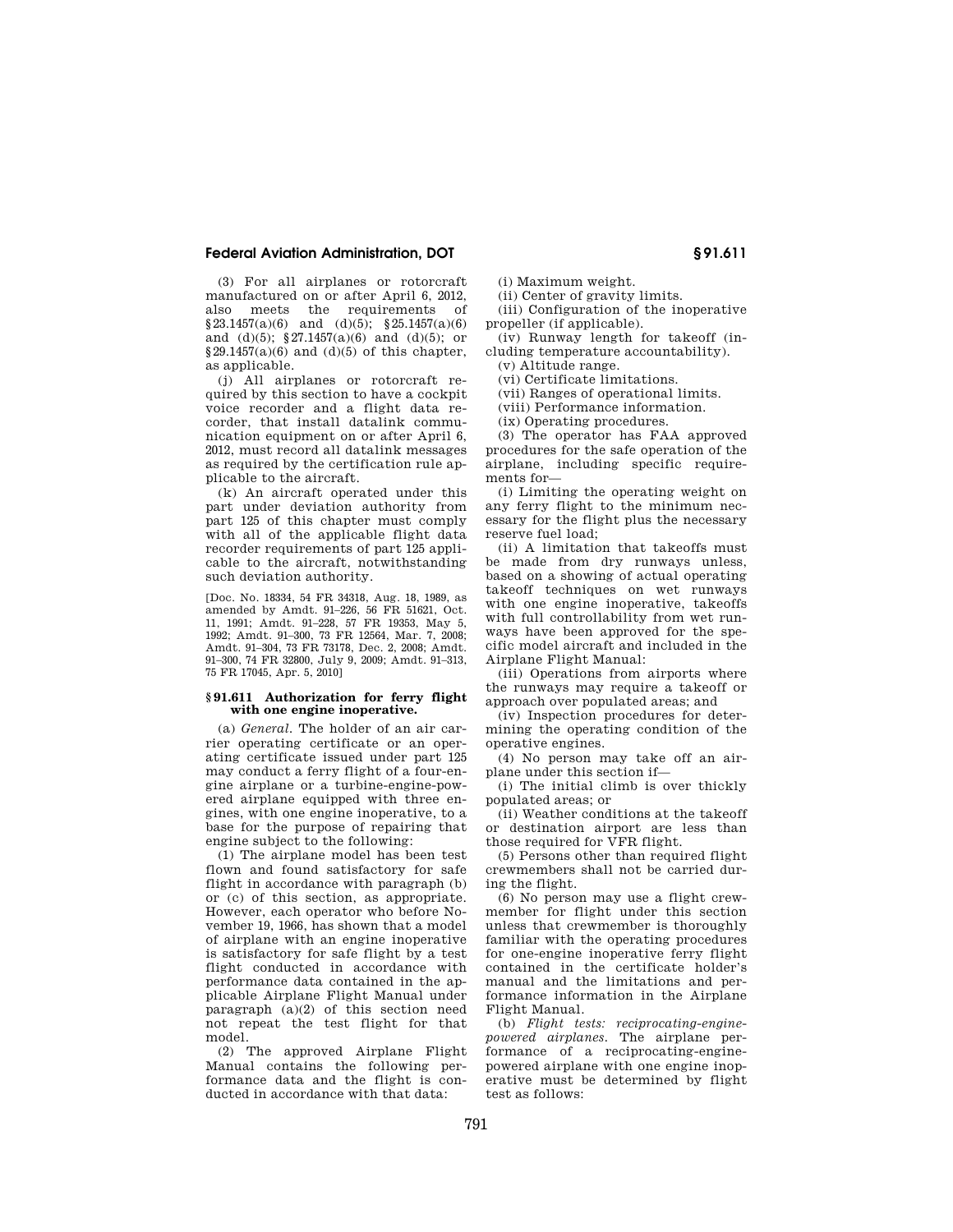(3) For all airplanes or rotorcraft manufactured on or after April 6, 2012, also meets the requirements of  $§23.1457(a)(6)$  and  $(d)(5)$ ;  $§25.1457(a)(6)$ and (d)(5); §27.1457(a)(6) and (d)(5); or  $§29.1457(a)(6)$  and (d)(5) of this chapter, as applicable.

(j) All airplanes or rotorcraft required by this section to have a cockpit voice recorder and a flight data recorder, that install datalink communication equipment on or after April 6, 2012, must record all datalink messages as required by the certification rule applicable to the aircraft.

(k) An aircraft operated under this part under deviation authority from part 125 of this chapter must comply with all of the applicable flight data recorder requirements of part 125 applicable to the aircraft, notwithstanding such deviation authority.

[Doc. No. 18334, 54 FR 34318, Aug. 18, 1989, as amended by Amdt. 91–226, 56 FR 51621, Oct. 11, 1991; Amdt. 91–228, 57 FR 19353, May 5, 1992; Amdt. 91–300, 73 FR 12564, Mar. 7, 2008; Amdt. 91–304, 73 FR 73178, Dec. 2, 2008; Amdt. 91–300, 74 FR 32800, July 9, 2009; Amdt. 91–313, 75 FR 17045, Apr. 5, 2010]

#### **§ 91.611 Authorization for ferry flight with one engine inoperative.**

(a) *General.* The holder of an air carrier operating certificate or an operating certificate issued under part 125 may conduct a ferry flight of a four-engine airplane or a turbine-engine-powered airplane equipped with three engines, with one engine inoperative, to a base for the purpose of repairing that engine subject to the following:

(1) The airplane model has been test flown and found satisfactory for safe flight in accordance with paragraph (b) or (c) of this section, as appropriate. However, each operator who before November 19, 1966, has shown that a model of airplane with an engine inoperative is satisfactory for safe flight by a test flight conducted in accordance with performance data contained in the applicable Airplane Flight Manual under paragraph (a)(2) of this section need not repeat the test flight for that model.

(2) The approved Airplane Flight Manual contains the following performance data and the flight is conducted in accordance with that data:

(i) Maximum weight.

(ii) Center of gravity limits.

(iii) Configuration of the inoperative propeller (if applicable).

(iv) Runway length for takeoff (including temperature accountability).

(v) Altitude range.

(vi) Certificate limitations.

(vii) Ranges of operational limits.

(viii) Performance information.

(ix) Operating procedures.

(3) The operator has FAA approved procedures for the safe operation of the airplane, including specific requirements for—

(i) Limiting the operating weight on any ferry flight to the minimum necessary for the flight plus the necessary reserve fuel load;

(ii) A limitation that takeoffs must be made from dry runways unless, based on a showing of actual operating takeoff techniques on wet runways with one engine inoperative, takeoffs with full controllability from wet runways have been approved for the specific model aircraft and included in the Airplane Flight Manual:

(iii) Operations from airports where the runways may require a takeoff or approach over populated areas; and

(iv) Inspection procedures for determining the operating condition of the operative engines.

(4) No person may take off an airplane under this section if—

(i) The initial climb is over thickly populated areas; or

(ii) Weather conditions at the takeoff or destination airport are less than those required for VFR flight.

(5) Persons other than required flight crewmembers shall not be carried during the flight.

(6) No person may use a flight crewmember for flight under this section unless that crewmember is thoroughly familiar with the operating procedures for one-engine inoperative ferry flight contained in the certificate holder's manual and the limitations and performance information in the Airplane Flight Manual.

(b) *Flight tests: reciprocating-enginepowered airplanes.* The airplane performance of a reciprocating-enginepowered airplane with one engine inoperative must be determined by flight test as follows: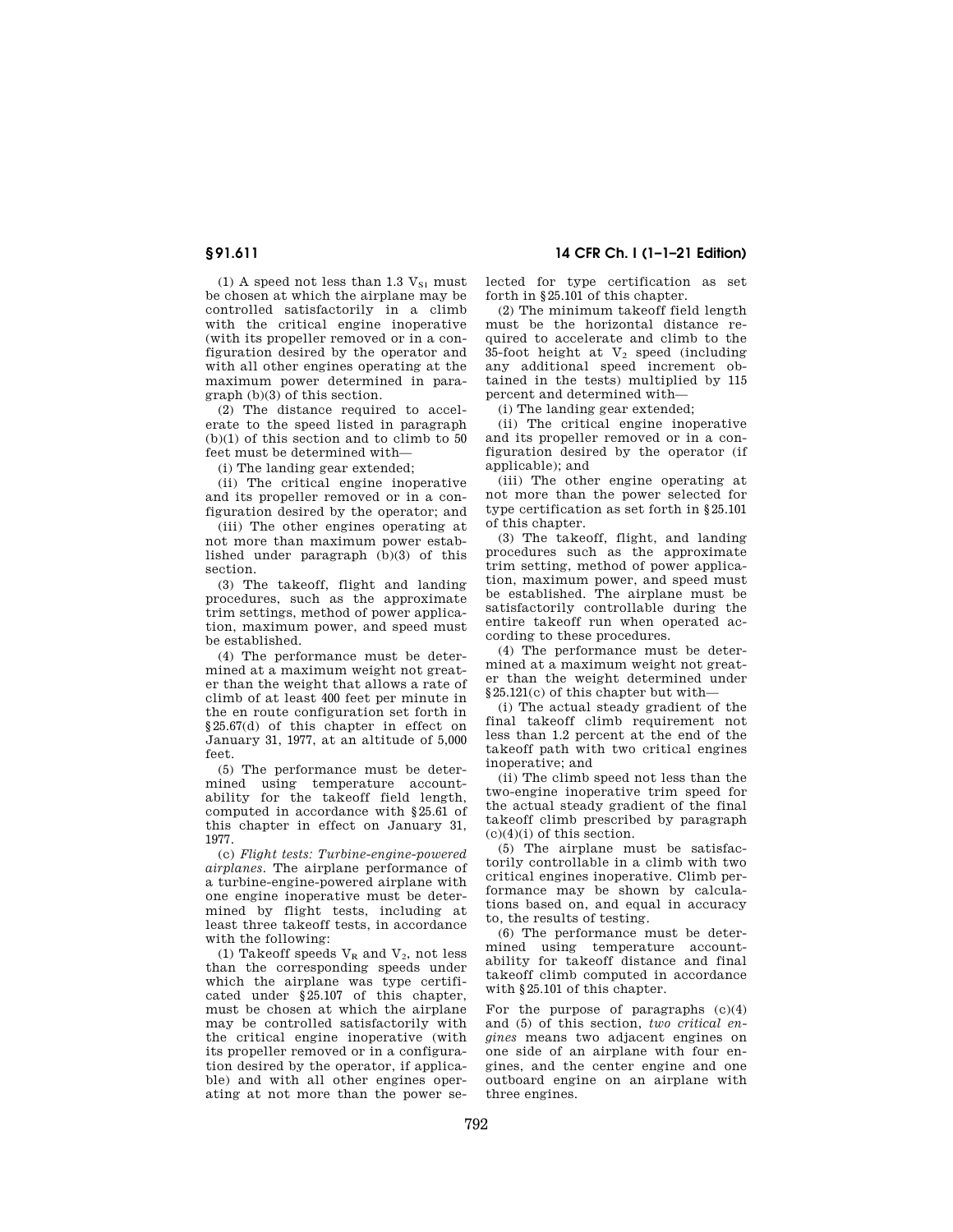(1) A speed not less than 1.3  $V_{S1}$  must be chosen at which the airplane may be controlled satisfactorily in a climb with the critical engine inoperative (with its propeller removed or in a configuration desired by the operator and with all other engines operating at the maximum power determined in paragraph (b)(3) of this section.

(2) The distance required to accelerate to the speed listed in paragraph (b)(1) of this section and to climb to 50 feet must be determined with—

(i) The landing gear extended;

(ii) The critical engine inoperative and its propeller removed or in a configuration desired by the operator; and

(iii) The other engines operating at not more than maximum power established under paragraph (b)(3) of this section.

(3) The takeoff, flight and landing procedures, such as the approximate trim settings, method of power application, maximum power, and speed must be established.

(4) The performance must be determined at a maximum weight not greater than the weight that allows a rate of climb of at least 400 feet per minute in the en route configuration set forth in §25.67(d) of this chapter in effect on January 31, 1977, at an altitude of 5,000 feet.

(5) The performance must be determined using temperature accountability for the takeoff field length, computed in accordance with §25.61 of this chapter in effect on January 31, 1977.

(c) *Flight tests: Turbine-engine-powered airplanes.* The airplane performance of a turbine-engine-powered airplane with one engine inoperative must be determined by flight tests, including at least three takeoff tests, in accordance with the following:

(1) Takeoff speeds  $V_R$  and  $V_2$ , not less than the corresponding speeds under which the airplane was type certificated under §25.107 of this chapter, must be chosen at which the airplane may be controlled satisfactorily with the critical engine inoperative (with its propeller removed or in a configuration desired by the operator, if applicable) and with all other engines operating at not more than the power se-

# **§ 91.611 14 CFR Ch. I (1–1–21 Edition)**

lected for type certification as set forth in §25.101 of this chapter.

(2) The minimum takeoff field length must be the horizontal distance required to accelerate and climb to the 35-foot height at  $V_2$  speed (including any additional speed increment obtained in the tests) multiplied by 115 percent and determined with—

(i) The landing gear extended;

(ii) The critical engine inoperative and its propeller removed or in a configuration desired by the operator (if applicable); and

(iii) The other engine operating at not more than the power selected for type certification as set forth in §25.101 of this chapter.

(3) The takeoff, flight, and landing procedures such as the approximate trim setting, method of power application, maximum power, and speed must be established. The airplane must be satisfactorily controllable during the entire takeoff run when operated according to these procedures.

(4) The performance must be determined at a maximum weight not greater than the weight determined under §25.121(c) of this chapter but with—

(i) The actual steady gradient of the final takeoff climb requirement not less than 1.2 percent at the end of the takeoff path with two critical engines inoperative; and

(ii) The climb speed not less than the two-engine inoperative trim speed for the actual steady gradient of the final takeoff climb prescribed by paragraph  $(c)(4)(i)$  of this section.

(5) The airplane must be satisfactorily controllable in a climb with two critical engines inoperative. Climb performance may be shown by calculations based on, and equal in accuracy to, the results of testing.

(6) The performance must be determined using temperature accountability for takeoff distance and final takeoff climb computed in accordance with §25.101 of this chapter.

For the purpose of paragraphs  $(c)(4)$ and (5) of this section, *two critical engines* means two adjacent engines on one side of an airplane with four engines, and the center engine and one outboard engine on an airplane with three engines.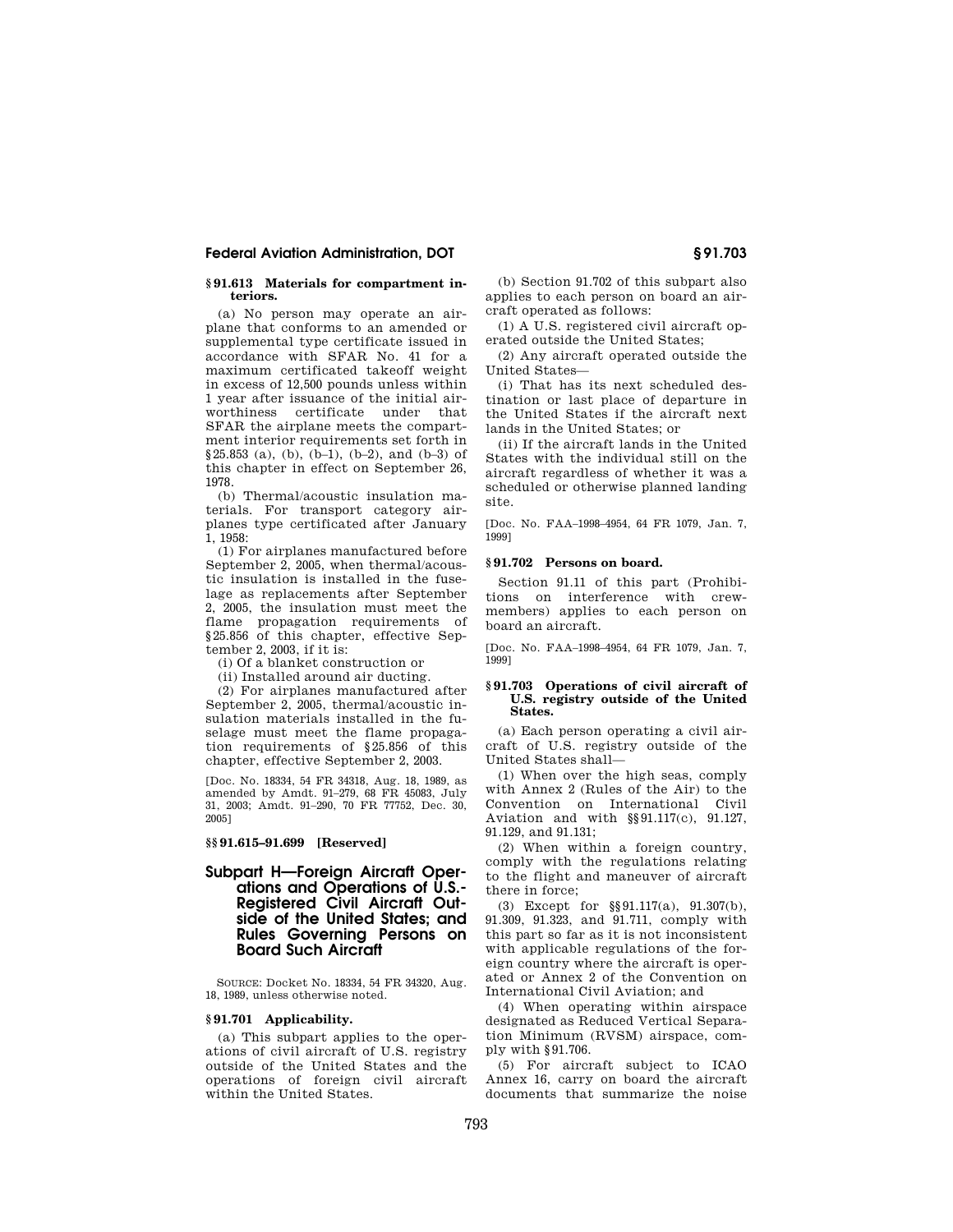## **§ 91.613 Materials for compartment interiors.**

(a) No person may operate an airplane that conforms to an amended or supplemental type certificate issued in accordance with SFAR No. 41 for a maximum certificated takeoff weight in excess of 12,500 pounds unless within 1 year after issuance of the initial airworthiness certificate under that SFAR the airplane meets the compartment interior requirements set forth in  $§25.853$  (a), (b), (b-1), (b-2), and (b-3) of this chapter in effect on September 26, 1978.

(b) Thermal/acoustic insulation materials. For transport category airplanes type certificated after January 1, 1958:

(1) For airplanes manufactured before September 2, 2005, when thermal/acoustic insulation is installed in the fuselage as replacements after September 2, 2005, the insulation must meet the flame propagation requirements of §25.856 of this chapter, effective September 2, 2003, if it is:

(i) Of a blanket construction or

(ii) Installed around air ducting.

(2) For airplanes manufactured after September 2, 2005, thermal/acoustic insulation materials installed in the fuselage must meet the flame propagation requirements of §25.856 of this chapter, effective September 2, 2003.

[Doc. No. 18334, 54 FR 34318, Aug. 18, 1989, as amended by Amdt. 91–279, 68 FR 45083, July 31, 2003; Amdt. 91–290, 70 FR 77752, Dec. 30, 2005]

# **§§ 91.615–91.699 [Reserved]**

# **Subpart H—Foreign Aircraft Operations and Operations of U.S.- Registered Civil Aircraft Outside of the United States; and Rules Governing Persons on Board Such Aircraft**

SOURCE: Docket No. 18334, 54 FR 34320, Aug. 18, 1989, unless otherwise noted.

# **§ 91.701 Applicability.**

(a) This subpart applies to the operations of civil aircraft of U.S. registry outside of the United States and the operations of foreign civil aircraft within the United States.

(b) Section 91.702 of this subpart also applies to each person on board an aircraft operated as follows:

(1) A U.S. registered civil aircraft operated outside the United States;

(2) Any aircraft operated outside the United States—

(i) That has its next scheduled destination or last place of departure in the United States if the aircraft next lands in the United States; or

(ii) If the aircraft lands in the United States with the individual still on the aircraft regardless of whether it was a scheduled or otherwise planned landing site.

[Doc. No. FAA–1998–4954, 64 FR 1079, Jan. 7, 1999]

## **§ 91.702 Persons on board.**

Section 91.11 of this part (Prohibitions on interference with crewmembers) applies to each person on board an aircraft.

[Doc. No. FAA–1998–4954, 64 FR 1079, Jan. 7, 1999]

#### **§ 91.703 Operations of civil aircraft of U.S. registry outside of the United States.**

(a) Each person operating a civil aircraft of U.S. registry outside of the United States shall—

(1) When over the high seas, comply with Annex 2 (Rules of the Air) to the Convention on International Civil Aviation and with §§91.117(c), 91.127, 91.129, and 91.131;

(2) When within a foreign country, comply with the regulations relating to the flight and maneuver of aircraft there in force;

(3) Except for §§91.117(a), 91.307(b), 91.309, 91.323, and 91.711, comply with this part so far as it is not inconsistent with applicable regulations of the foreign country where the aircraft is operated or Annex 2 of the Convention on International Civil Aviation; and

(4) When operating within airspace designated as Reduced Vertical Separation Minimum (RVSM) airspace, comply with §91.706.

(5) For aircraft subject to ICAO Annex 16, carry on board the aircraft documents that summarize the noise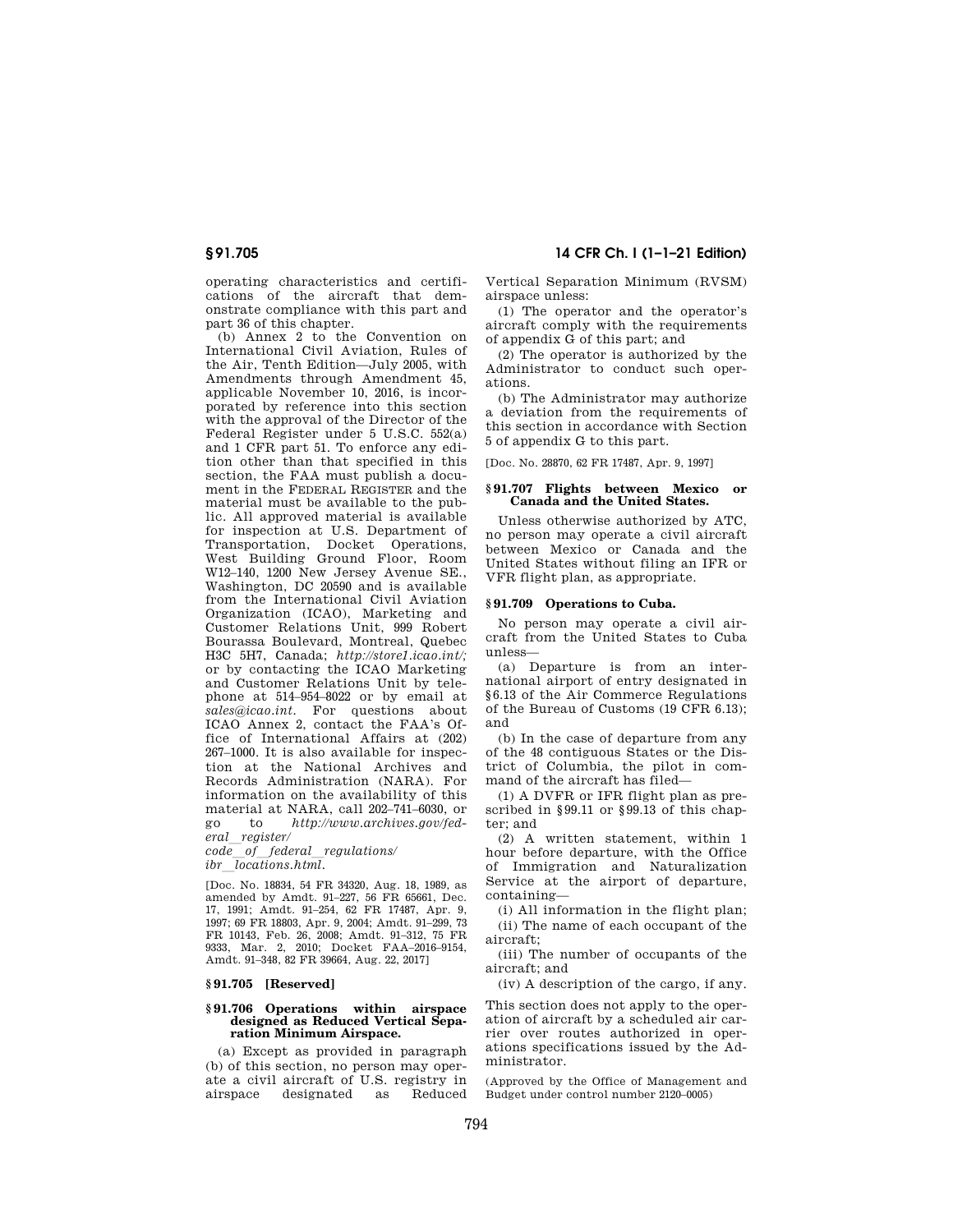operating characteristics and certifications of the aircraft that demonstrate compliance with this part and part 36 of this chapter.

(b) Annex 2 to the Convention on International Civil Aviation, Rules of the Air, Tenth Edition—July 2005, with Amendments through Amendment 45, applicable November 10, 2016, is incorporated by reference into this section with the approval of the Director of the Federal Register under 5 U.S.C. 552(a) and 1 CFR part 51. To enforce any edition other than that specified in this section, the FAA must publish a document in the FEDERAL REGISTER and the material must be available to the public. All approved material is available for inspection at U.S. Department of Transportation, Docket Operations, West Building Ground Floor, Room W12–140, 1200 New Jersey Avenue SE., Washington, DC 20590 and is available from the International Civil Aviation Organization (ICAO), Marketing and Customer Relations Unit, 999 Robert Bourassa Boulevard, Montreal, Quebec H3C 5H7, Canada; *http://store1.icao.int/;*  or by contacting the ICAO Marketing and Customer Relations Unit by telephone at 514–954–8022 or by email at *sales@icao.int.* For questions about ICAO Annex 2, contact the FAA's Office of International Affairs at (202) 267–1000. It is also available for inspection at the National Archives and Records Administration (NARA). For information on the availability of this material at NARA, call 202–741–6030, or go to *http://www.archives.gov/federal*l*register/* 

*code*l*of*l*federal*l*regulations/ ibr*l*locations.html.* 

[Doc. No. 18834, 54 FR 34320, Aug. 18, 1989, as amended by Amdt. 91–227, 56 FR 65661, Dec. 17, 1991; Amdt. 91–254, 62 FR 17487, Apr. 9, 1997; 69 FR 18803, Apr. 9, 2004; Amdt. 91–299, 73 FR 10143, Feb. 26, 2008; Amdt. 91–312, 75 FR 9333, Mar. 2, 2010; Docket FAA–2016–9154, Amdt. 91–348, 82 FR 39664, Aug. 22, 2017]

## **§ 91.705 [Reserved]**

#### **§ 91.706 Operations within airspace designed as Reduced Vertical Separation Minimum Airspace.**

(a) Except as provided in paragraph (b) of this section, no person may operate a civil aircraft of U.S. registry in designated as

**§ 91.705 14 CFR Ch. I (1–1–21 Edition)** 

Vertical Separation Minimum (RVSM) airspace unless:

(1) The operator and the operator's aircraft comply with the requirements of appendix G of this part; and

(2) The operator is authorized by the Administrator to conduct such operations.

(b) The Administrator may authorize a deviation from the requirements of this section in accordance with Section 5 of appendix G to this part.

[Doc. No. 28870, 62 FR 17487, Apr. 9, 1997]

## **§ 91.707 Flights between Mexico or Canada and the United States.**

Unless otherwise authorized by ATC, no person may operate a civil aircraft between Mexico or Canada and the United States without filing an IFR or VFR flight plan, as appropriate.

#### **§ 91.709 Operations to Cuba.**

No person may operate a civil aircraft from the United States to Cuba unless—

(a) Departure is from an international airport of entry designated in §6.13 of the Air Commerce Regulations of the Bureau of Customs (19 CFR 6.13); and

(b) In the case of departure from any of the 48 contiguous States or the District of Columbia, the pilot in command of the aircraft has filed—

(1) A DVFR or IFR flight plan as prescribed in §99.11 or §99.13 of this chapter; and

(2) A written statement, within 1 hour before departure, with the Office of Immigration and Naturalization Service at the airport of departure, containing—

(i) All information in the flight plan; (ii) The name of each occupant of the aircraft;

(iii) The number of occupants of the aircraft; and

(iv) A description of the cargo, if any.

This section does not apply to the operation of aircraft by a scheduled air carrier over routes authorized in operations specifications issued by the Administrator.

(Approved by the Office of Management and Budget under control number 2120–0005)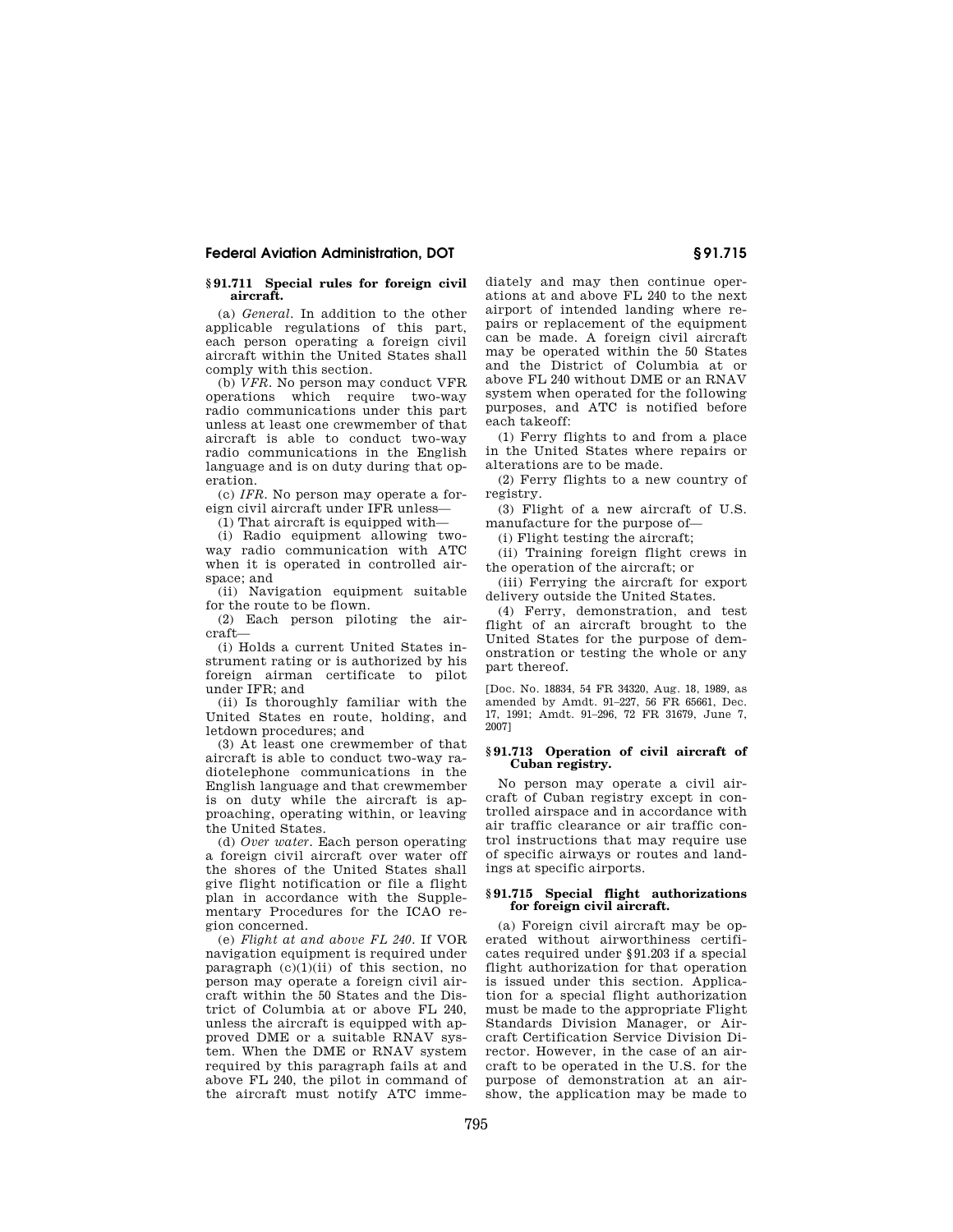### **§ 91.711 Special rules for foreign civil aircraft.**

(a) *General.* In addition to the other applicable regulations of this part, each person operating a foreign civil aircraft within the United States shall comply with this section.

(b) *VFR.* No person may conduct VFR operations which require two-way radio communications under this part unless at least one crewmember of that aircraft is able to conduct two-way radio communications in the English language and is on duty during that operation.

(c) *IFR.* No person may operate a foreign civil aircraft under IFR unless—

(1) That aircraft is equipped with—

(i) Radio equipment allowing twoway radio communication with ATC when it is operated in controlled airspace; and

(ii) Navigation equipment suitable for the route to be flown.

(2) Each person piloting the aircraft—

(i) Holds a current United States instrument rating or is authorized by his foreign airman certificate to pilot under IFR; and

(ii) Is thoroughly familiar with the United States en route, holding, and letdown procedures; and

(3) At least one crewmember of that aircraft is able to conduct two-way radiotelephone communications in the English language and that crewmember is on duty while the aircraft is approaching, operating within, or leaving the United States.

(d) *Over water.* Each person operating a foreign civil aircraft over water off the shores of the United States shall give flight notification or file a flight plan in accordance with the Supplementary Procedures for the ICAO region concerned.

(e) *Flight at and above FL 240.* If VOR navigation equipment is required under paragraph  $(c)(1)(ii)$  of this section, no person may operate a foreign civil aircraft within the 50 States and the District of Columbia at or above FL 240, unless the aircraft is equipped with approved DME or a suitable RNAV system. When the DME or RNAV system required by this paragraph fails at and above FL 240, the pilot in command of the aircraft must notify ATC imme-

diately and may then continue operations at and above FL 240 to the next airport of intended landing where repairs or replacement of the equipment can be made. A foreign civil aircraft may be operated within the 50 States and the District of Columbia at or above FL 240 without DME or an RNAV system when operated for the following purposes, and ATC is notified before each takeoff:

(1) Ferry flights to and from a place in the United States where repairs or alterations are to be made.

(2) Ferry flights to a new country of registry.

(3) Flight of a new aircraft of U.S. manufacture for the purpose of—

(i) Flight testing the aircraft;

(ii) Training foreign flight crews in the operation of the aircraft; or

(iii) Ferrying the aircraft for export delivery outside the United States.

(4) Ferry, demonstration, and test flight of an aircraft brought to the United States for the purpose of demonstration or testing the whole or any part thereof.

[Doc. No. 18834, 54 FR 34320, Aug. 18, 1989, as amended by Amdt. 91–227, 56 FR 65661, Dec. 17, 1991; Amdt. 91–296, 72 FR 31679, June 7, 2007]

## **§ 91.713 Operation of civil aircraft of Cuban registry.**

No person may operate a civil aircraft of Cuban registry except in controlled airspace and in accordance with air traffic clearance or air traffic control instructions that may require use of specific airways or routes and landings at specific airports.

#### **§ 91.715 Special flight authorizations for foreign civil aircraft.**

(a) Foreign civil aircraft may be operated without airworthiness certificates required under §91.203 if a special flight authorization for that operation is issued under this section. Application for a special flight authorization must be made to the appropriate Flight Standards Division Manager, or Aircraft Certification Service Division Director. However, in the case of an aircraft to be operated in the U.S. for the purpose of demonstration at an airshow, the application may be made to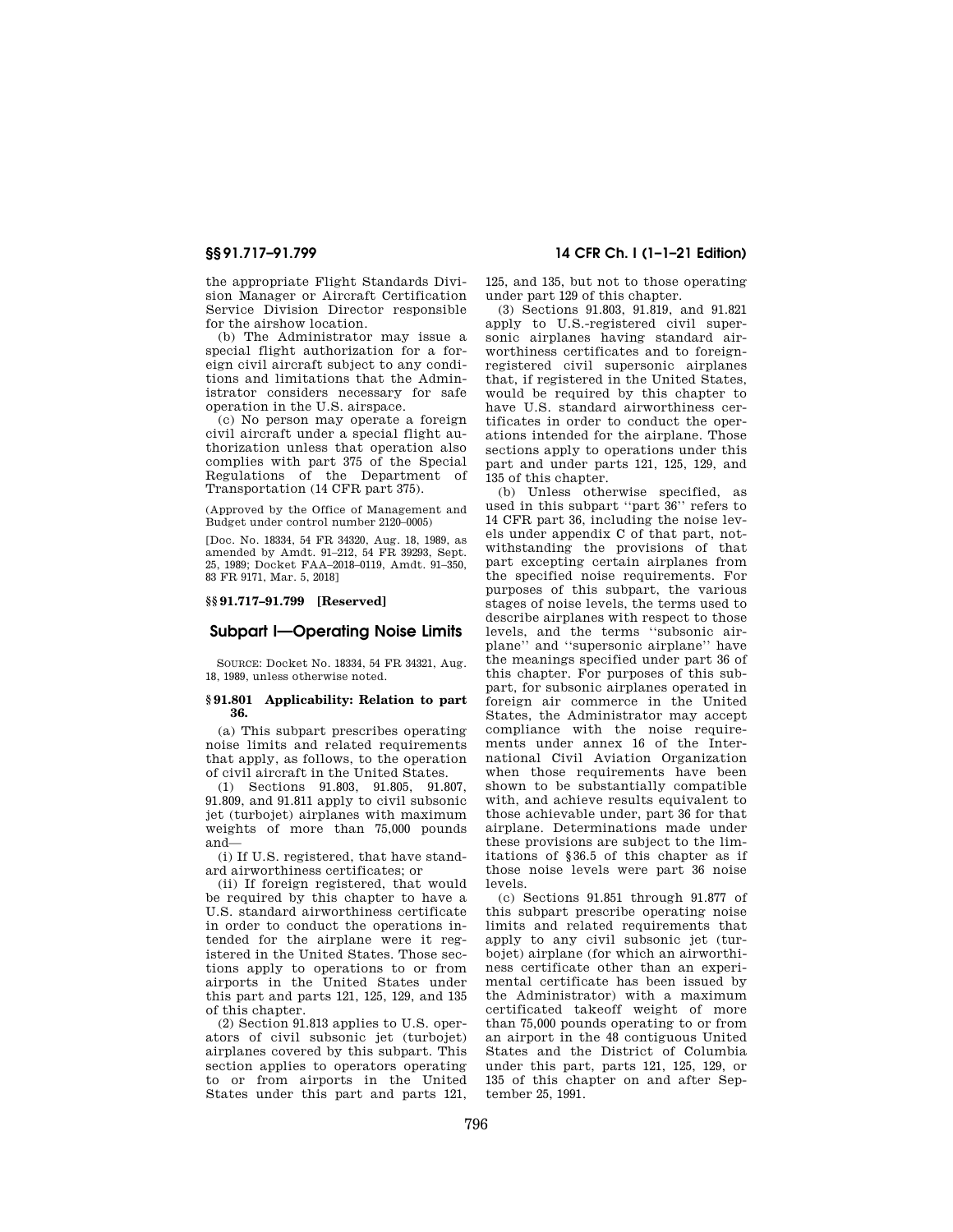the appropriate Flight Standards Division Manager or Aircraft Certification Service Division Director responsible for the airshow location.

(b) The Administrator may issue a special flight authorization for a foreign civil aircraft subject to any conditions and limitations that the Administrator considers necessary for safe operation in the U.S. airspace.

(c) No person may operate a foreign civil aircraft under a special flight authorization unless that operation also complies with part 375 of the Special Regulations of the Department of Transportation (14 CFR part 375).

(Approved by the Office of Management and Budget under control number 2120–0005)

[Doc. No. 18334, 54 FR 34320, Aug. 18, 1989, as amended by Amdt. 91–212, 54 FR 39293, Sept. 25, 1989; Docket FAA–2018–0119, Amdt. 91–350, 83 FR 9171, Mar. 5, 2018]

# **§§ 91.717–91.799 [Reserved]**

# **Subpart I—Operating Noise Limits**

SOURCE: Docket No. 18334, 54 FR 34321, Aug. 18, 1989, unless otherwise noted.

#### **§ 91.801 Applicability: Relation to part 36.**

(a) This subpart prescribes operating noise limits and related requirements that apply, as follows, to the operation of civil aircraft in the United States.

(1) Sections 91.803, 91.805, 91.807, 91.809, and 91.811 apply to civil subsonic jet (turbojet) airplanes with maximum weights of more than 75,000 pounds and—

(i) If U.S. registered, that have standard airworthiness certificates; or

(ii) If foreign registered, that would be required by this chapter to have a U.S. standard airworthiness certificate in order to conduct the operations intended for the airplane were it registered in the United States. Those sections apply to operations to or from airports in the United States under this part and parts 121, 125, 129, and 135 of this chapter.

(2) Section 91.813 applies to U.S. operators of civil subsonic jet (turbojet) airplanes covered by this subpart. This section applies to operators operating to or from airports in the United States under this part and parts 121,

**§§ 91.717–91.799 14 CFR Ch. I (1–1–21 Edition)** 

125, and 135, but not to those operating under part 129 of this chapter.

(3) Sections 91.803, 91.819, and 91.821 apply to U.S.-registered civil supersonic airplanes having standard airworthiness certificates and to foreignregistered civil supersonic airplanes that, if registered in the United States, would be required by this chapter to have U.S. standard airworthiness certificates in order to conduct the operations intended for the airplane. Those sections apply to operations under this part and under parts 121, 125, 129, and 135 of this chapter.

(b) Unless otherwise specified, as used in this subpart ''part 36'' refers to 14 CFR part 36, including the noise levels under appendix C of that part, notwithstanding the provisions of that part excepting certain airplanes from the specified noise requirements. For purposes of this subpart, the various stages of noise levels, the terms used to describe airplanes with respect to those levels, and the terms ''subsonic airplane'' and ''supersonic airplane'' have the meanings specified under part 36 of this chapter. For purposes of this subpart, for subsonic airplanes operated in foreign air commerce in the United States, the Administrator may accept compliance with the noise requirements under annex 16 of the International Civil Aviation Organization when those requirements have been shown to be substantially compatible with, and achieve results equivalent to those achievable under, part 36 for that airplane. Determinations made under these provisions are subject to the limitations of §36.5 of this chapter as if those noise levels were part 36 noise levels.

(c) Sections 91.851 through 91.877 of this subpart prescribe operating noise limits and related requirements that apply to any civil subsonic jet (turbojet) airplane (for which an airworthiness certificate other than an experimental certificate has been issued by the Administrator) with a maximum certificated takeoff weight of more than 75,000 pounds operating to or from an airport in the 48 contiguous United States and the District of Columbia under this part, parts 121, 125, 129, or 135 of this chapter on and after September 25, 1991.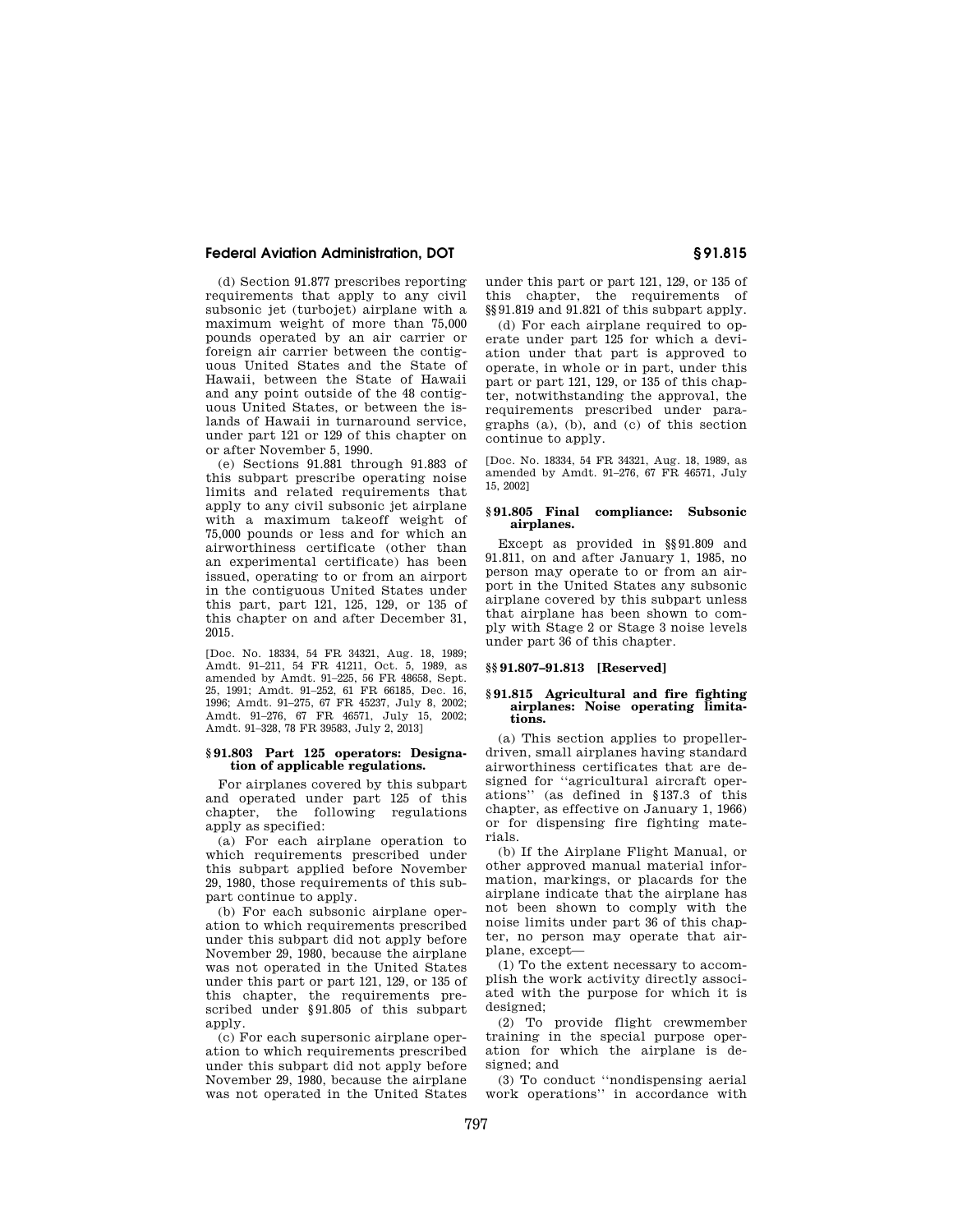(d) Section 91.877 prescribes reporting requirements that apply to any civil subsonic jet (turbojet) airplane with a maximum weight of more than 75,000 pounds operated by an air carrier or foreign air carrier between the contiguous United States and the State of Hawaii, between the State of Hawaii and any point outside of the 48 contiguous United States, or between the islands of Hawaii in turnaround service, under part 121 or 129 of this chapter on or after November 5, 1990.

(e) Sections 91.881 through 91.883 of this subpart prescribe operating noise limits and related requirements that apply to any civil subsonic jet airplane with a maximum takeoff weight of 75,000 pounds or less and for which an airworthiness certificate (other than an experimental certificate) has been issued, operating to or from an airport in the contiguous United States under this part, part 121, 125, 129, or 135 of this chapter on and after December 31, 2015.

[Doc. No. 18334, 54 FR 34321, Aug. 18, 1989; Amdt. 91–211, 54 FR 41211, Oct. 5, 1989, as amended by Amdt. 91–225, 56 FR 48658, Sept. 25, 1991; Amdt. 91–252, 61 FR 66185, Dec. 16, 1996; Amdt. 91–275, 67 FR 45237, July 8, 2002; Amdt. 91–276, 67 FR 46571, July 15, 2002; Amdt. 91–328, 78 FR 39583, July 2, 2013]

# **§ 91.803 Part 125 operators: Designation of applicable regulations.**

For airplanes covered by this subpart and operated under part 125 of this chapter, the following regulations apply as specified:

(a) For each airplane operation to which requirements prescribed under this subpart applied before November 29, 1980, those requirements of this subpart continue to apply.

(b) For each subsonic airplane operation to which requirements prescribed under this subpart did not apply before November 29, 1980, because the airplane was not operated in the United States under this part or part 121, 129, or 135 of this chapter, the requirements prescribed under §91.805 of this subpart apply.

(c) For each supersonic airplane operation to which requirements prescribed under this subpart did not apply before November 29, 1980, because the airplane was not operated in the United States under this part or part 121, 129, or 135 of this chapter, the requirements of §§91.819 and 91.821 of this subpart apply.

(d) For each airplane required to operate under part 125 for which a deviation under that part is approved to operate, in whole or in part, under this part or part 121, 129, or 135 of this chapter, notwithstanding the approval, the requirements prescribed under paragraphs (a), (b), and (c) of this section continue to apply.

[Doc. No. 18334, 54 FR 34321, Aug. 18, 1989, as amended by Amdt. 91–276, 67 FR 46571, July 15, 2002]

## **§ 91.805 Final compliance: Subsonic airplanes.**

Except as provided in §§91.809 and 91.811, on and after January 1, 1985, no person may operate to or from an airport in the United States any subsonic airplane covered by this subpart unless that airplane has been shown to comply with Stage 2 or Stage 3 noise levels under part 36 of this chapter.

#### **§§ 91.807–91.813 [Reserved]**

#### **§ 91.815 Agricultural and fire fighting airplanes: Noise operating limitations.**

(a) This section applies to propellerdriven, small airplanes having standard airworthiness certificates that are designed for ''agricultural aircraft operations'' (as defined in §137.3 of this chapter, as effective on January 1, 1966) or for dispensing fire fighting materials.

(b) If the Airplane Flight Manual, or other approved manual material information, markings, or placards for the airplane indicate that the airplane has not been shown to comply with the noise limits under part 36 of this chapter, no person may operate that airplane, except—

(1) To the extent necessary to accomplish the work activity directly associated with the purpose for which it is designed;

(2) To provide flight crewmember training in the special purpose operation for which the airplane is designed; and

(3) To conduct ''nondispensing aerial work operations'' in accordance with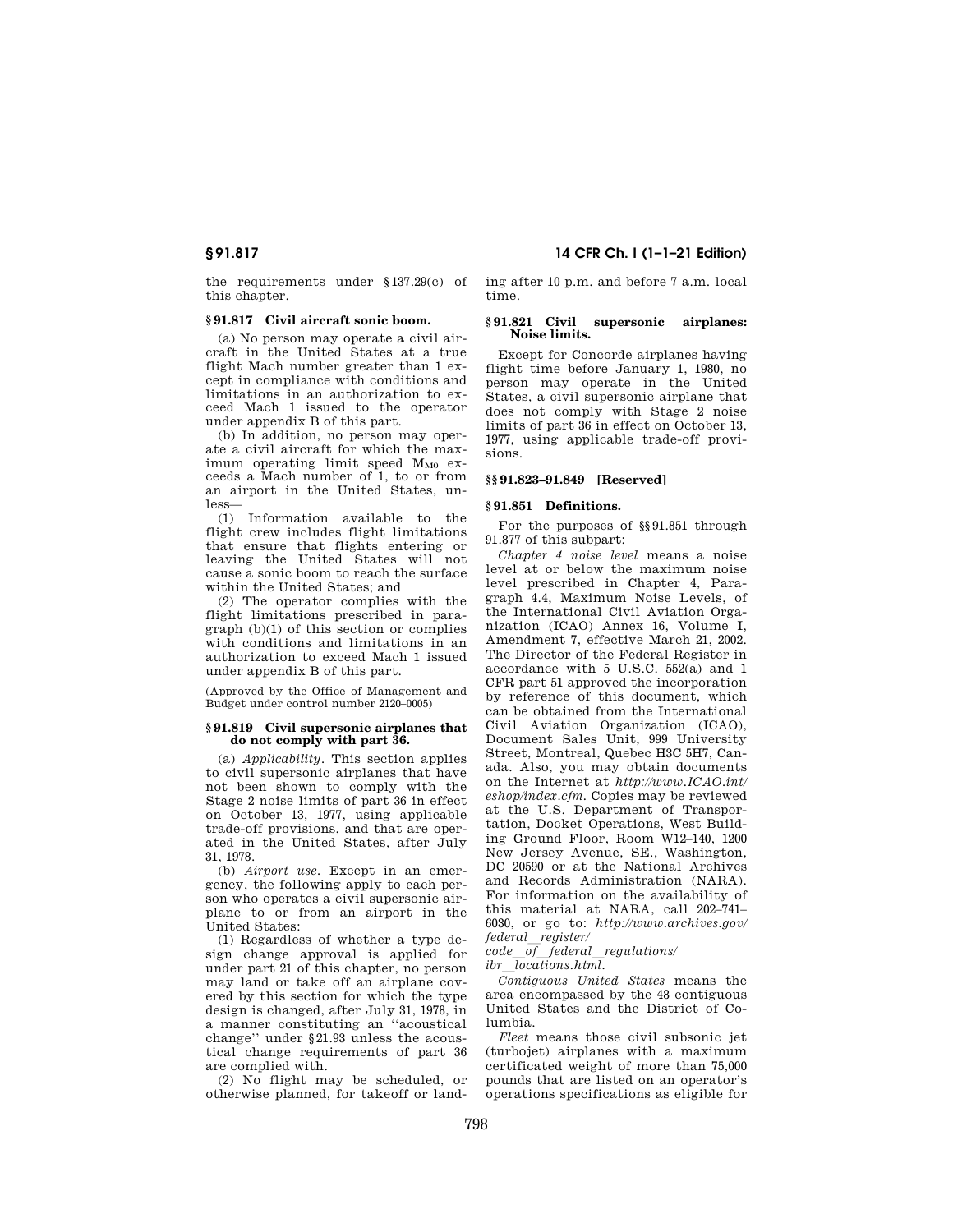the requirements under §137.29(c) of this chapter.

# **§ 91.817 Civil aircraft sonic boom.**

(a) No person may operate a civil aircraft in the United States at a true flight Mach number greater than 1 except in compliance with conditions and limitations in an authorization to exceed Mach 1 issued to the operator under appendix B of this part.

(b) In addition, no person may operate a civil aircraft for which the maximum operating limit speed  $M_{M0}$  exceeds a Mach number of 1, to or from an airport in the United States, unless—

(1) Information available to the flight crew includes flight limitations that ensure that flights entering or leaving the United States will not cause a sonic boom to reach the surface within the United States; and

(2) The operator complies with the flight limitations prescribed in paragraph (b)(1) of this section or complies with conditions and limitations in an authorization to exceed Mach 1 issued under appendix B of this part.

(Approved by the Office of Management and Budget under control number 2120–0005)

## **§ 91.819 Civil supersonic airplanes that do not comply with part 36.**

(a) *Applicability.* This section applies to civil supersonic airplanes that have not been shown to comply with the Stage 2 noise limits of part 36 in effect on October 13, 1977, using applicable trade-off provisions, and that are operated in the United States, after July 31, 1978.

(b) *Airport use.* Except in an emergency, the following apply to each person who operates a civil supersonic airplane to or from an airport in the United States:

(1) Regardless of whether a type design change approval is applied for under part 21 of this chapter, no person may land or take off an airplane covered by this section for which the type design is changed, after July 31, 1978, in a manner constituting an ''acoustical change'' under §21.93 unless the acoustical change requirements of part 36 are complied with.

(2) No flight may be scheduled, or otherwise planned, for takeoff or land-

**§ 91.817 14 CFR Ch. I (1–1–21 Edition)** 

ing after 10 p.m. and before 7 a.m. local time.

# **§ 91.821 Civil supersonic airplanes: Noise limits.**

Except for Concorde airplanes having flight time before January 1, 1980, no person may operate in the United States, a civil supersonic airplane that does not comply with Stage 2 noise limits of part 36 in effect on October 13, 1977, using applicable trade-off provisions.

### **§§ 91.823–91.849 [Reserved]**

## **§ 91.851 Definitions.**

For the purposes of §§91.851 through 91.877 of this subpart:

*Chapter 4 noise level* means a noise level at or below the maximum noise level prescribed in Chapter 4, Paragraph 4.4, Maximum Noise Levels, of the International Civil Aviation Organization (ICAO) Annex 16, Volume I, Amendment 7, effective March 21, 2002. The Director of the Federal Register in accordance with 5 U.S.C. 552(a) and 1 CFR part 51 approved the incorporation by reference of this document, which can be obtained from the International Civil Aviation Organization (ICAO), Document Sales Unit, 999 University Street, Montreal, Quebec H3C 5H7, Canada. Also, you may obtain documents on the Internet at *http://www.ICAO.int/ eshop/index.cfm.* Copies may be reviewed at the U.S. Department of Transportation, Docket Operations, West Building Ground Floor, Room W12–140, 1200 New Jersey Avenue, SE., Washington, DC 20590 or at the National Archives and Records Administration (NARA). For information on the availability of this material at NARA, call 202–741– 6030, or go to: *http://www.archives.gov/ federal*l*register/* 

*code*l*of*l*federal*l*regulations/* 

*ibr locations.html.* 

*Contiguous United States* means the area encompassed by the 48 contiguous United States and the District of Columbia.

*Fleet* means those civil subsonic jet (turbojet) airplanes with a maximum certificated weight of more than 75,000 pounds that are listed on an operator's operations specifications as eligible for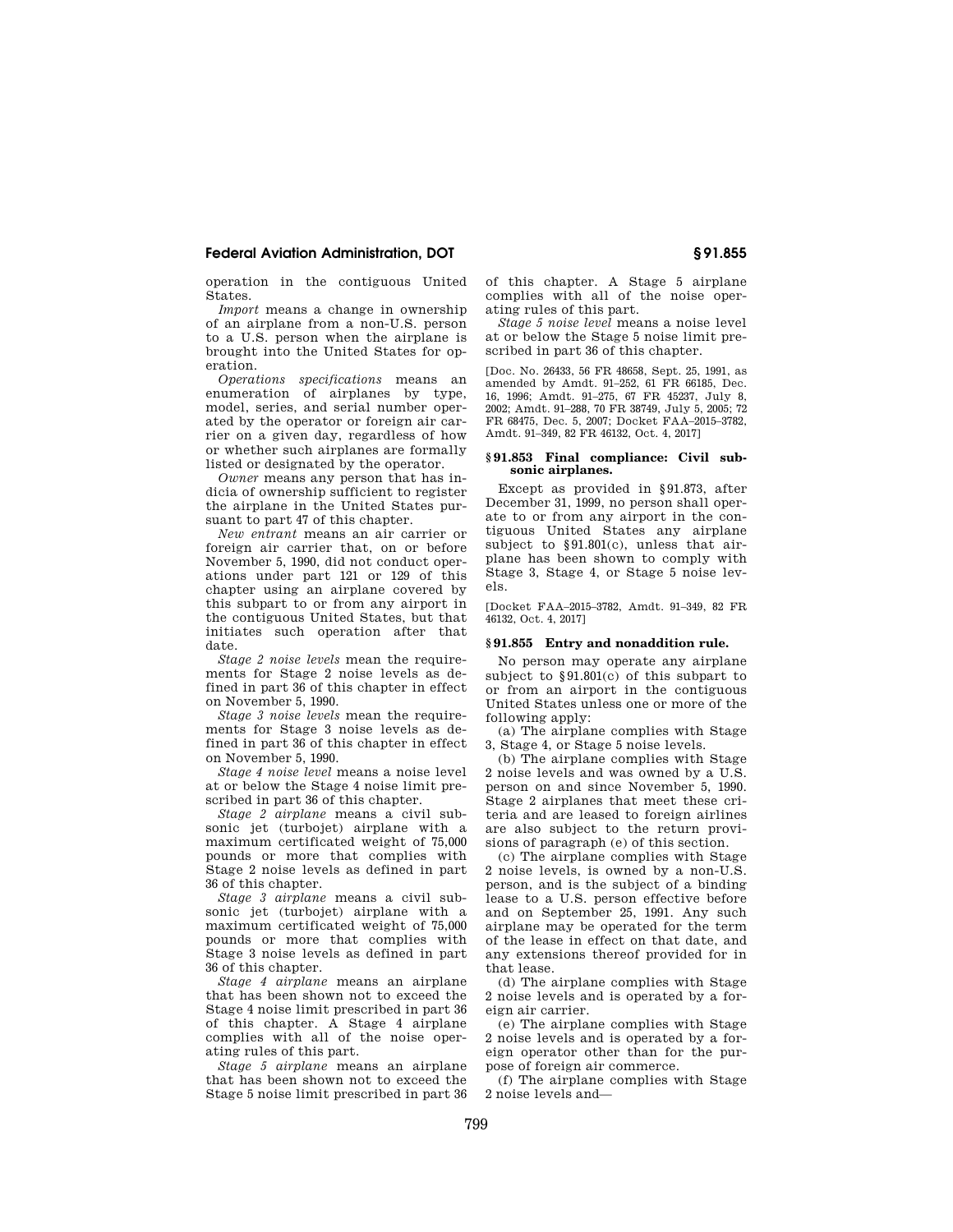operation in the contiguous United States.

*Import* means a change in ownership of an airplane from a non-U.S. person to a U.S. person when the airplane is brought into the United States for operation.

*Operations specifications* means an enumeration of airplanes by type, model, series, and serial number operated by the operator or foreign air carrier on a given day, regardless of how or whether such airplanes are formally listed or designated by the operator.

*Owner* means any person that has indicia of ownership sufficient to register the airplane in the United States pursuant to part 47 of this chapter.

*New entrant* means an air carrier or foreign air carrier that, on or before November 5, 1990, did not conduct operations under part 121 or 129 of this chapter using an airplane covered by this subpart to or from any airport in the contiguous United States, but that initiates such operation after that date.

*Stage 2 noise levels* mean the requirements for Stage 2 noise levels as defined in part 36 of this chapter in effect on November 5, 1990.

*Stage 3 noise levels* mean the requirements for Stage 3 noise levels as defined in part 36 of this chapter in effect on November 5, 1990.

*Stage 4 noise level* means a noise level at or below the Stage 4 noise limit prescribed in part 36 of this chapter.

*Stage 2 airplane* means a civil subsonic jet (turbojet) airplane with a maximum certificated weight of 75,000 pounds or more that complies with Stage 2 noise levels as defined in part 36 of this chapter.

*Stage 3 airplane* means a civil subsonic jet (turbojet) airplane with a maximum certificated weight of 75,000 pounds or more that complies with Stage 3 noise levels as defined in part 36 of this chapter.

*Stage 4 airplane* means an airplane that has been shown not to exceed the Stage 4 noise limit prescribed in part 36 of this chapter. A Stage 4 airplane complies with all of the noise operating rules of this part.

*Stage 5 airplane* means an airplane that has been shown not to exceed the Stage 5 noise limit prescribed in part 36 of this chapter. A Stage 5 airplane complies with all of the noise operating rules of this part.

*Stage 5 noise level* means a noise level at or below the Stage 5 noise limit prescribed in part 36 of this chapter.

[Doc. No. 26433, 56 FR 48658, Sept. 25, 1991, as amended by Amdt. 91–252, 61 FR 66185, Dec. 16, 1996; Amdt. 91–275, 67 FR 45237, July 8, 2002; Amdt. 91–288, 70 FR 38749, July 5, 2005; 72 FR 68475, Dec. 5, 2007; Docket FAA–2015–3782, Amdt. 91–349, 82 FR 46132, Oct. 4, 2017]

## **§ 91.853 Final compliance: Civil subsonic airplanes.**

Except as provided in §91.873, after December 31, 1999, no person shall operate to or from any airport in the contiguous United States any airplane subject to §91.801(c), unless that airplane has been shown to comply with Stage 3, Stage 4, or Stage 5 noise levels.

[Docket FAA–2015–3782, Amdt. 91–349, 82 FR 46132, Oct. 4, 2017]

#### **§ 91.855 Entry and nonaddition rule.**

No person may operate any airplane subject to §91.801(c) of this subpart to or from an airport in the contiguous United States unless one or more of the following apply:

(a) The airplane complies with Stage 3, Stage 4, or Stage 5 noise levels.

(b) The airplane complies with Stage 2 noise levels and was owned by a U.S. person on and since November 5, 1990. Stage 2 airplanes that meet these criteria and are leased to foreign airlines are also subject to the return provisions of paragraph (e) of this section.

(c) The airplane complies with Stage 2 noise levels, is owned by a non-U.S. person, and is the subject of a binding lease to a U.S. person effective before and on September 25, 1991. Any such airplane may be operated for the term of the lease in effect on that date, and any extensions thereof provided for in that lease.

(d) The airplane complies with Stage 2 noise levels and is operated by a foreign air carrier.

(e) The airplane complies with Stage 2 noise levels and is operated by a foreign operator other than for the purpose of foreign air commerce.

(f) The airplane complies with Stage 2 noise levels and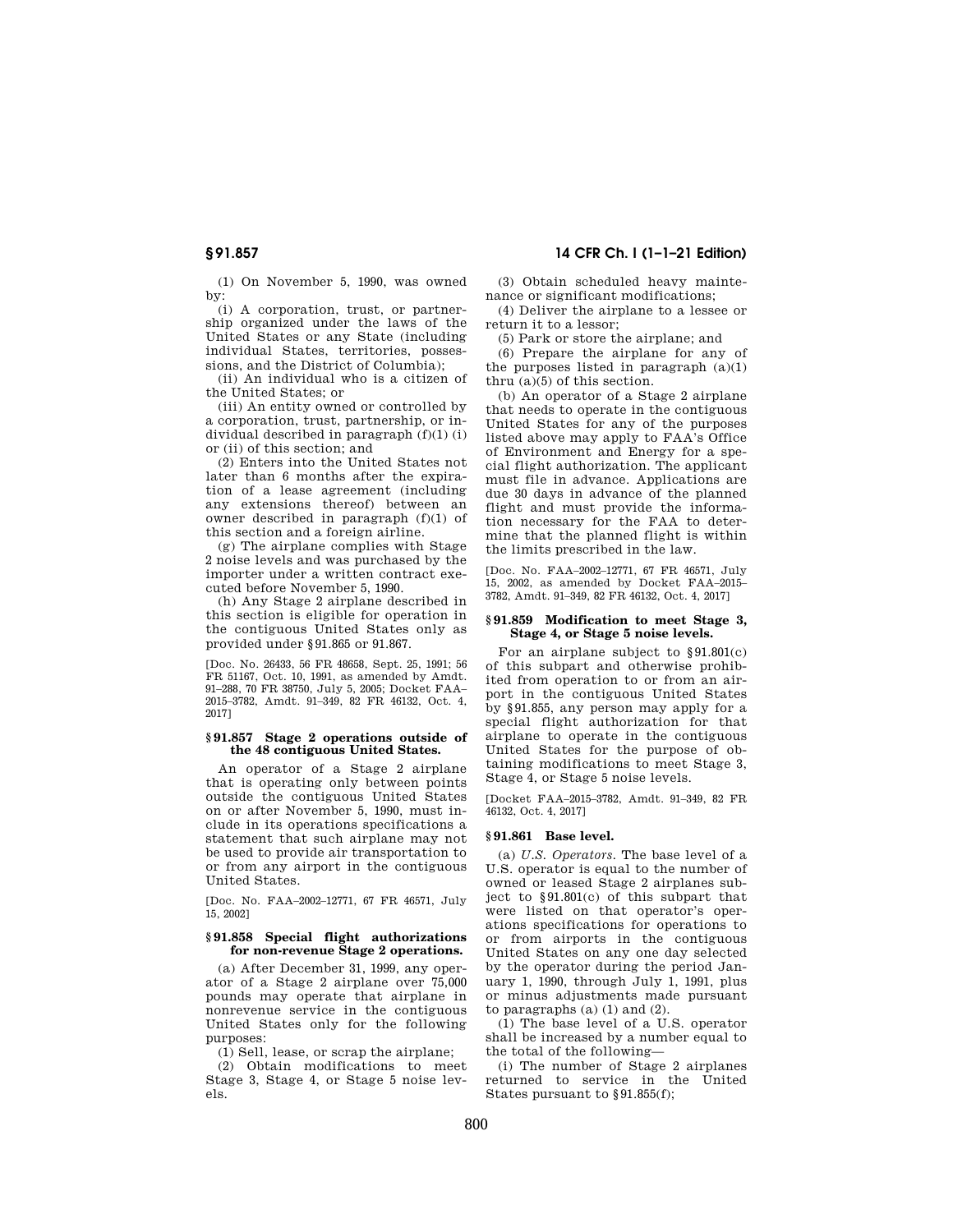**§ 91.857 14 CFR Ch. I (1–1–21 Edition)** 

(1) On November 5, 1990, was owned by:

(i) A corporation, trust, or partnership organized under the laws of the United States or any State (including individual States, territories, possessions, and the District of Columbia);

(ii) An individual who is a citizen of the United States; or

(iii) An entity owned or controlled by a corporation, trust, partnership, or individual described in paragraph (f)(1) (i) or (ii) of this section; and

(2) Enters into the United States not later than 6 months after the expiration of a lease agreement (including any extensions thereof) between an owner described in paragraph (f)(1) of this section and a foreign airline.

(g) The airplane complies with Stage 2 noise levels and was purchased by the importer under a written contract executed before November 5, 1990.

(h) Any Stage 2 airplane described in this section is eligible for operation in the contiguous United States only as provided under §91.865 or 91.867.

[Doc. No. 26433, 56 FR 48658, Sept. 25, 1991; 56 FR 51167, Oct. 10, 1991, as amended by Amdt. 91–288, 70 FR 38750, July 5, 2005; Docket FAA– 2015–3782, Amdt. 91–349, 82 FR 46132, Oct. 4, 2017]

#### **§ 91.857 Stage 2 operations outside of the 48 contiguous United States.**

An operator of a Stage 2 airplane that is operating only between points outside the contiguous United States on or after November 5, 1990, must include in its operations specifications a statement that such airplane may not be used to provide air transportation to or from any airport in the contiguous United States.

[Doc. No. FAA–2002–12771, 67 FR 46571, July 15, 2002]

## **§ 91.858 Special flight authorizations for non-revenue Stage 2 operations.**

(a) After December 31, 1999, any operator of a Stage 2 airplane over 75,000 pounds may operate that airplane in nonrevenue service in the contiguous United States only for the following purposes:

(1) Sell, lease, or scrap the airplane;

(2) Obtain modifications to meet Stage 3, Stage 4, or Stage 5 noise levels.

(3) Obtain scheduled heavy maintenance or significant modifications;

(4) Deliver the airplane to a lessee or return it to a lessor;

(5) Park or store the airplane; and

(6) Prepare the airplane for any of the purposes listed in paragraph  $(a)(1)$ thru (a)(5) of this section.

(b) An operator of a Stage 2 airplane that needs to operate in the contiguous United States for any of the purposes listed above may apply to FAA's Office of Environment and Energy for a special flight authorization. The applicant must file in advance. Applications are due 30 days in advance of the planned flight and must provide the information necessary for the FAA to determine that the planned flight is within the limits prescribed in the law.

[Doc. No. FAA–2002–12771, 67 FR 46571, July 15, 2002, as amended by Docket FAA–2015– 3782, Amdt. 91–349, 82 FR 46132, Oct. 4, 2017]

#### **§ 91.859 Modification to meet Stage 3, Stage 4, or Stage 5 noise levels.**

For an airplane subject to §91.801(c) of this subpart and otherwise prohibited from operation to or from an airport in the contiguous United States by §91.855, any person may apply for a special flight authorization for that airplane to operate in the contiguous United States for the purpose of obtaining modifications to meet Stage 3, Stage 4, or Stage 5 noise levels.

[Docket FAA–2015–3782, Amdt. 91–349, 82 FR 46132, Oct. 4, 2017]

## **§ 91.861 Base level.**

(a) *U.S. Operators.* The base level of a U.S. operator is equal to the number of owned or leased Stage 2 airplanes subject to §91.801(c) of this subpart that were listed on that operator's operations specifications for operations to or from airports in the contiguous United States on any one day selected by the operator during the period January 1, 1990, through July 1, 1991, plus or minus adjustments made pursuant to paragraphs (a) (1) and (2).

(1) The base level of a U.S. operator shall be increased by a number equal to the total of the following—

(i) The number of Stage 2 airplanes returned to service in the United States pursuant to §91.855(f);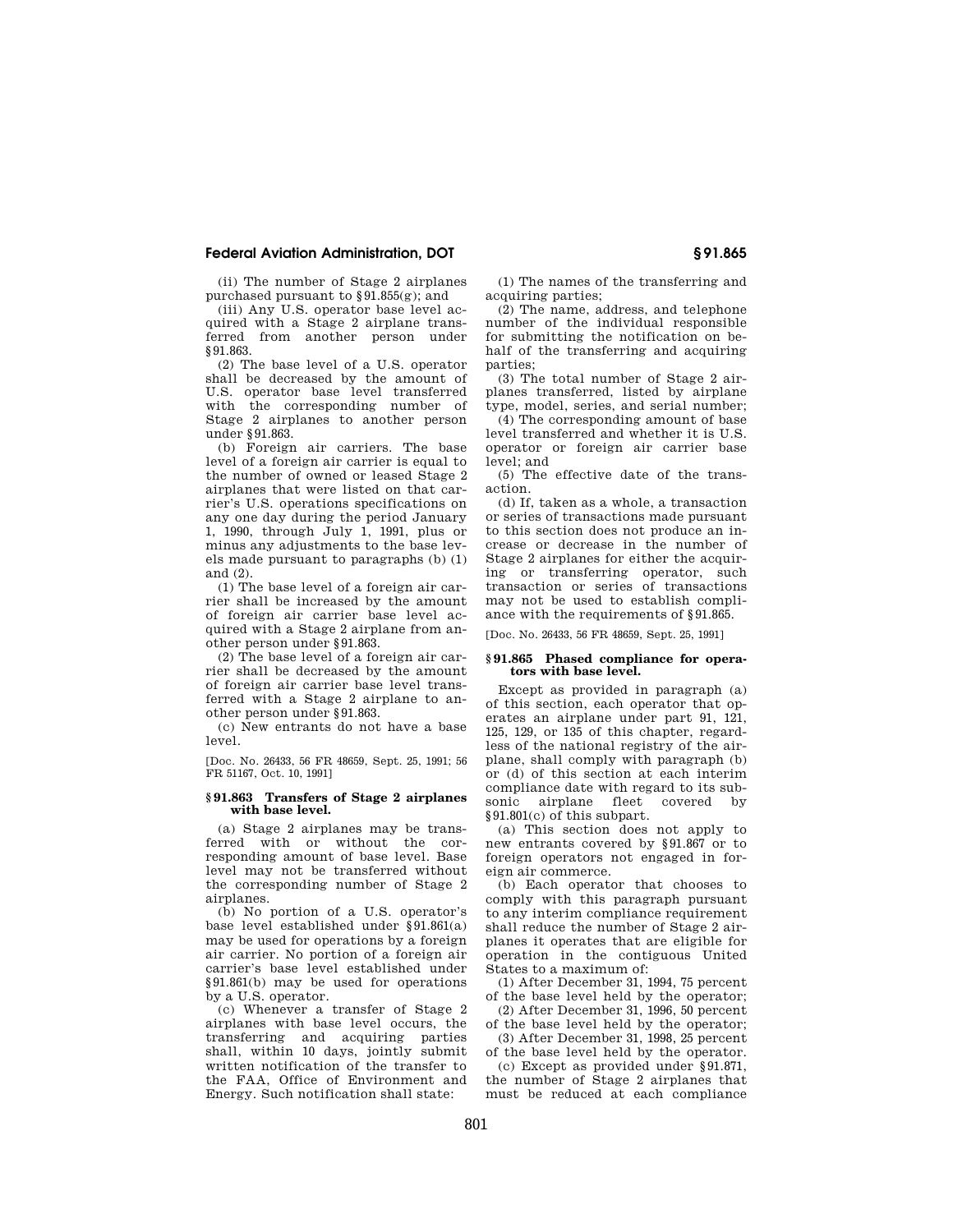(ii) The number of Stage 2 airplanes purchased pursuant to §91.855(g); and

(iii) Any U.S. operator base level acquired with a Stage 2 airplane transferred from another person under §91.863.

(2) The base level of a U.S. operator shall be decreased by the amount of U.S. operator base level transferred with the corresponding number of Stage 2 airplanes to another person under §91.863.

(b) Foreign air carriers. The base level of a foreign air carrier is equal to the number of owned or leased Stage 2 airplanes that were listed on that carrier's U.S. operations specifications on any one day during the period January 1, 1990, through July 1, 1991, plus or minus any adjustments to the base levels made pursuant to paragraphs (b) (1) and (2).

(1) The base level of a foreign air carrier shall be increased by the amount of foreign air carrier base level acquired with a Stage 2 airplane from another person under §91.863.

(2) The base level of a foreign air carrier shall be decreased by the amount of foreign air carrier base level transferred with a Stage 2 airplane to another person under §91.863.

(c) New entrants do not have a base level.

[Doc. No. 26433, 56 FR 48659, Sept. 25, 1991; 56 FR 51167, Oct. 10, 1991]

## **§ 91.863 Transfers of Stage 2 airplanes with base level.**

(a) Stage 2 airplanes may be transferred with or without the corresponding amount of base level. Base level may not be transferred without the corresponding number of Stage 2 airplanes.

(b) No portion of a U.S. operator's base level established under §91.861(a) may be used for operations by a foreign air carrier. No portion of a foreign air carrier's base level established under §91.861(b) may be used for operations by a U.S. operator.

(c) Whenever a transfer of Stage 2 airplanes with base level occurs, the transferring and acquiring parties shall, within 10 days, jointly submit written notification of the transfer to the FAA, Office of Environment and Energy. Such notification shall state:

(1) The names of the transferring and acquiring parties;

(2) The name, address, and telephone number of the individual responsible for submitting the notification on behalf of the transferring and acquiring parties;

(3) The total number of Stage 2 airplanes transferred, listed by airplane type, model, series, and serial number;

(4) The corresponding amount of base level transferred and whether it is U.S. operator or foreign air carrier base level; and

(5) The effective date of the transaction.

(d) If, taken as a whole, a transaction or series of transactions made pursuant to this section does not produce an increase or decrease in the number of Stage 2 airplanes for either the acquiring or transferring operator, such transaction or series of transactions may not be used to establish compliance with the requirements of §91.865.

[Doc. No. 26433, 56 FR 48659, Sept. 25, 1991]

#### **§ 91.865 Phased compliance for operators with base level.**

Except as provided in paragraph (a) of this section, each operator that operates an airplane under part 91, 121, 125, 129, or 135 of this chapter, regardless of the national registry of the airplane, shall comply with paragraph (b) or (d) of this section at each interim compliance date with regard to its subsonic airplane fleet covered by §91.801(c) of this subpart.

(a) This section does not apply to new entrants covered by §91.867 or to foreign operators not engaged in foreign air commerce.

(b) Each operator that chooses to comply with this paragraph pursuant to any interim compliance requirement shall reduce the number of Stage 2 airplanes it operates that are eligible for operation in the contiguous United States to a maximum of:

(1) After December 31, 1994, 75 percent of the base level held by the operator;

(2) After December 31, 1996, 50 percent of the base level held by the operator;

(3) After December 31, 1998, 25 percent of the base level held by the operator. (c) Except as provided under §91.871,

the number of Stage 2 airplanes that must be reduced at each compliance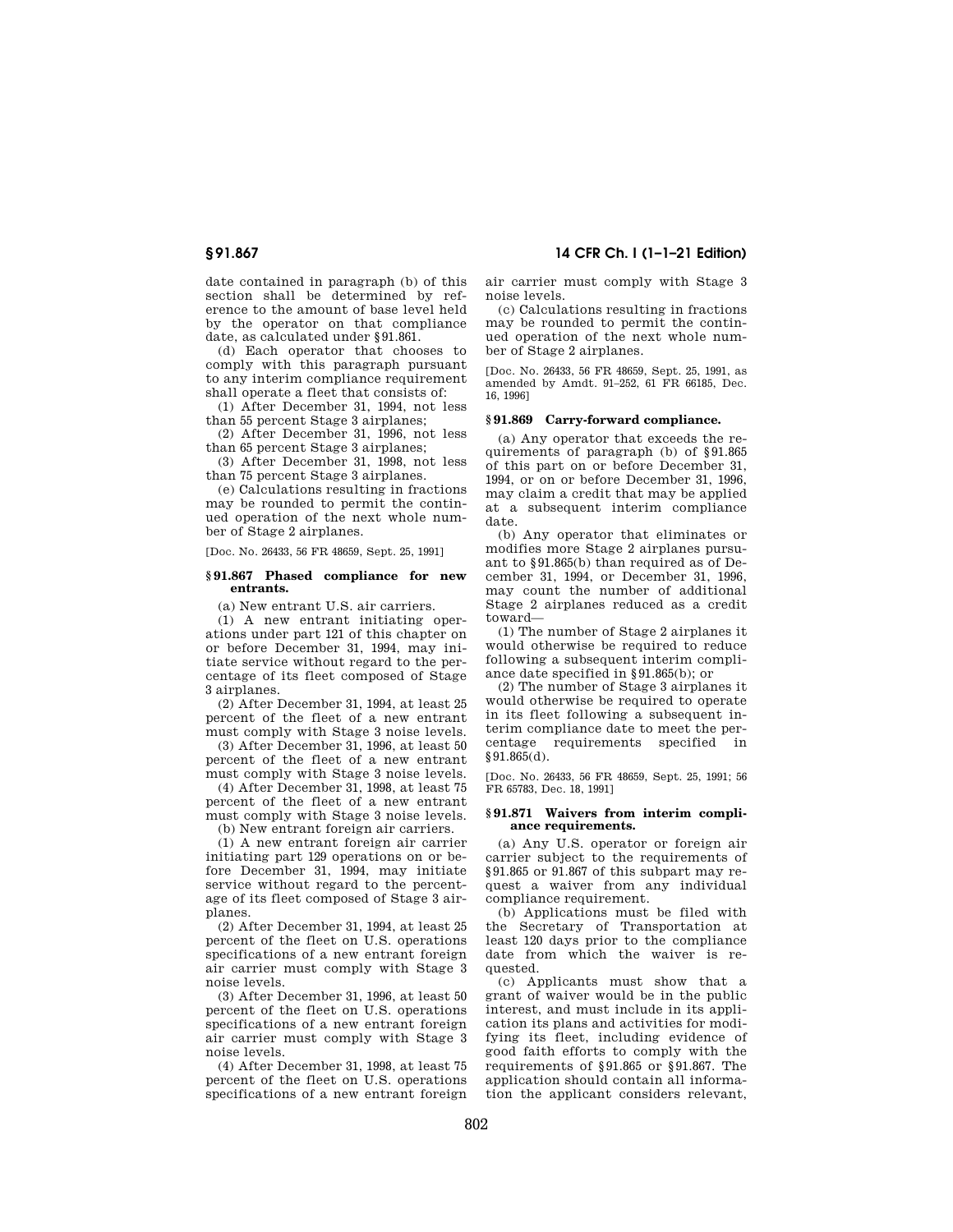date contained in paragraph (b) of this section shall be determined by reference to the amount of base level held by the operator on that compliance date, as calculated under §91.861.

(d) Each operator that chooses to comply with this paragraph pursuant to any interim compliance requirement shall operate a fleet that consists of:

(1) After December 31, 1994, not less than 55 percent Stage 3 airplanes;

(2) After December 31, 1996, not less than 65 percent Stage 3 airplanes;

(3) After December 31, 1998, not less than 75 percent Stage 3 airplanes.

(e) Calculations resulting in fractions may be rounded to permit the continued operation of the next whole number of Stage 2 airplanes.

[Doc. No. 26433, 56 FR 48659, Sept. 25, 1991]

#### **§ 91.867 Phased compliance for new entrants.**

(a) New entrant U.S. air carriers.

(1) A new entrant initiating operations under part 121 of this chapter on or before December 31, 1994, may initiate service without regard to the percentage of its fleet composed of Stage 3 airplanes.

(2) After December 31, 1994, at least 25 percent of the fleet of a new entrant must comply with Stage 3 noise levels.

(3) After December 31, 1996, at least 50 percent of the fleet of a new entrant must comply with Stage 3 noise levels.

(4) After December 31, 1998, at least 75 percent of the fleet of a new entrant must comply with Stage 3 noise levels.

(b) New entrant foreign air carriers.

(1) A new entrant foreign air carrier initiating part 129 operations on or before December 31, 1994, may initiate service without regard to the percentage of its fleet composed of Stage 3 airplanes.

(2) After December 31, 1994, at least 25 percent of the fleet on U.S. operations specifications of a new entrant foreign air carrier must comply with Stage 3 noise levels.

(3) After December 31, 1996, at least 50 percent of the fleet on U.S. operations specifications of a new entrant foreign air carrier must comply with Stage 3 noise levels.

(4) After December 31, 1998, at least 75 percent of the fleet on U.S. operations specifications of a new entrant foreign

**§ 91.867 14 CFR Ch. I (1–1–21 Edition)** 

air carrier must comply with Stage 3 noise levels.

(c) Calculations resulting in fractions may be rounded to permit the continued operation of the next whole number of Stage 2 airplanes.

[Doc. No. 26433, 56 FR 48659, Sept. 25, 1991, as amended by Amdt. 91–252, 61 FR 66185, Dec. 16, 1996]

## **§ 91.869 Carry-forward compliance.**

(a) Any operator that exceeds the requirements of paragraph (b) of §91.865 of this part on or before December 31, 1994, or on or before December 31, 1996, may claim a credit that may be applied at a subsequent interim compliance date.

(b) Any operator that eliminates or modifies more Stage 2 airplanes pursuant to §91.865(b) than required as of December 31, 1994, or December 31, 1996, may count the number of additional Stage 2 airplanes reduced as a credit toward—

(1) The number of Stage 2 airplanes it would otherwise be required to reduce following a subsequent interim compliance date specified in §91.865(b); or

(2) The number of Stage 3 airplanes it would otherwise be required to operate in its fleet following a subsequent interim compliance date to meet the percentage requirements specified in §91.865(d).

[Doc. No. 26433, 56 FR 48659, Sept. 25, 1991; 56 FR 65783, Dec. 18, 1991]

#### **§ 91.871 Waivers from interim compliance requirements.**

(a) Any U.S. operator or foreign air carrier subject to the requirements of §91.865 or 91.867 of this subpart may request a waiver from any individual compliance requirement.

(b) Applications must be filed with the Secretary of Transportation at least 120 days prior to the compliance date from which the waiver is requested.

(c) Applicants must show that a grant of waiver would be in the public interest, and must include in its application its plans and activities for modifying its fleet, including evidence of good faith efforts to comply with the requirements of §91.865 or §91.867. The application should contain all information the applicant considers relevant,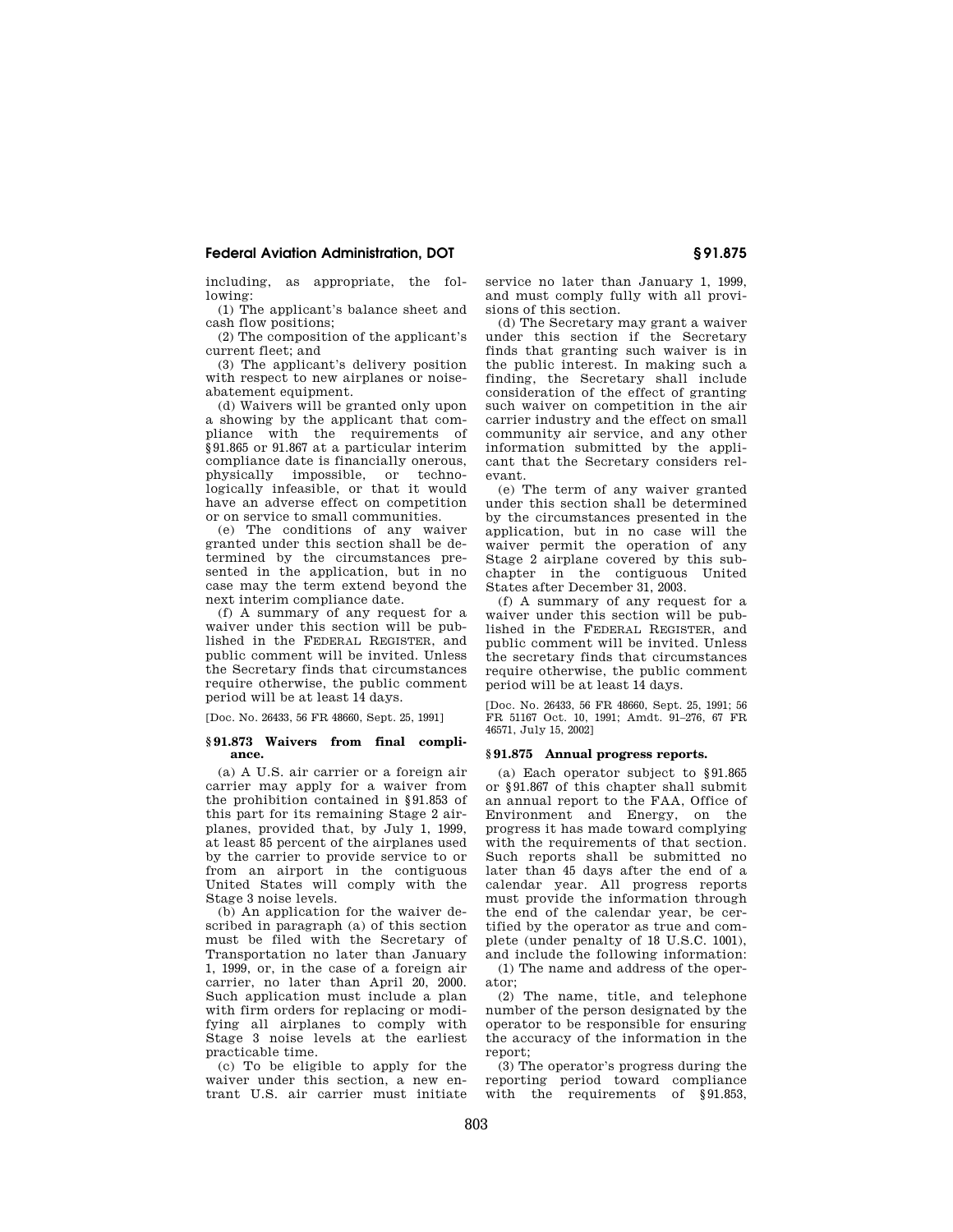including, as appropriate, the following:

(1) The applicant's balance sheet and cash flow positions;

(2) The composition of the applicant's current fleet; and

(3) The applicant's delivery position with respect to new airplanes or noiseabatement equipment.

(d) Waivers will be granted only upon a showing by the applicant that compliance with the requirements of §91.865 or 91.867 at a particular interim compliance date is financially onerous, physically impossible, or technologically infeasible, or that it would have an adverse effect on competition or on service to small communities.

(e) The conditions of any waiver granted under this section shall be determined by the circumstances presented in the application, but in no case may the term extend beyond the next interim compliance date.

(f) A summary of any request for a waiver under this section will be published in the FEDERAL REGISTER, and public comment will be invited. Unless the Secretary finds that circumstances require otherwise, the public comment period will be at least 14 days.

[Doc. No. 26433, 56 FR 48660, Sept. 25, 1991]

### **§ 91.873 Waivers from final compliance.**

(a) A U.S. air carrier or a foreign air carrier may apply for a waiver from the prohibition contained in §91.853 of this part for its remaining Stage 2 airplanes, provided that, by July 1, 1999, at least 85 percent of the airplanes used by the carrier to provide service to or from an airport in the contiguous United States will comply with the Stage 3 noise levels.

(b) An application for the waiver described in paragraph (a) of this section must be filed with the Secretary of Transportation no later than January 1, 1999, or, in the case of a foreign air carrier, no later than April 20, 2000. Such application must include a plan with firm orders for replacing or modifying all airplanes to comply with Stage 3 noise levels at the earliest practicable time.

(c) To be eligible to apply for the waiver under this section, a new entrant U.S. air carrier must initiate service no later than January 1, 1999, and must comply fully with all provisions of this section.

(d) The Secretary may grant a waiver under this section if the Secretary finds that granting such waiver is in the public interest. In making such a finding, the Secretary shall include consideration of the effect of granting such waiver on competition in the air carrier industry and the effect on small community air service, and any other information submitted by the applicant that the Secretary considers relevant.

(e) The term of any waiver granted under this section shall be determined by the circumstances presented in the application, but in no case will the waiver permit the operation of any Stage 2 airplane covered by this subchapter in the contiguous United States after December 31, 2003.

(f) A summary of any request for a waiver under this section will be published in the FEDERAL REGISTER, and public comment will be invited. Unless the secretary finds that circumstances require otherwise, the public comment period will be at least 14 days.

[Doc. No. 26433, 56 FR 48660, Sept. 25, 1991; 56 FR 51167 Oct. 10, 1991; Amdt. 91–276, 67 FR 46571, July 15, 2002]

#### **§ 91.875 Annual progress reports.**

(a) Each operator subject to §91.865 or §91.867 of this chapter shall submit an annual report to the FAA, Office of Environment and Energy, on the progress it has made toward complying with the requirements of that section. Such reports shall be submitted no later than 45 days after the end of a calendar year. All progress reports must provide the information through the end of the calendar year, be certified by the operator as true and complete (under penalty of 18 U.S.C. 1001), and include the following information:

(1) The name and address of the operator;

(2) The name, title, and telephone number of the person designated by the operator to be responsible for ensuring the accuracy of the information in the report;

(3) The operator's progress during the reporting period toward compliance with the requirements of §91.853,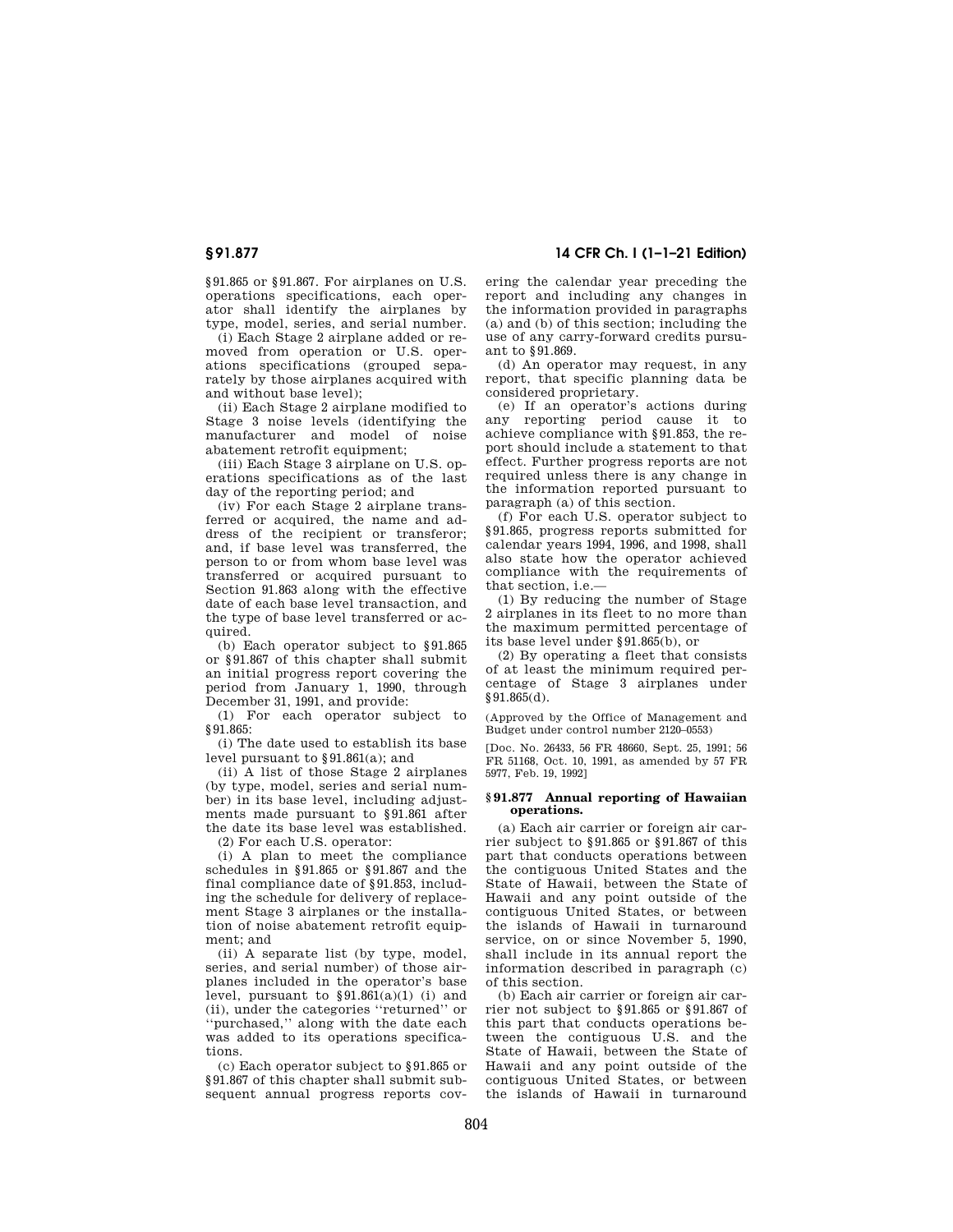§91.865 or §91.867. For airplanes on U.S. operations specifications, each operator shall identify the airplanes by type, model, series, and serial number.

(i) Each Stage 2 airplane added or removed from operation or U.S. operations specifications (grouped separately by those airplanes acquired with and without base level);

(ii) Each Stage 2 airplane modified to Stage 3 noise levels (identifying the manufacturer and model of noise abatement retrofit equipment;

(iii) Each Stage 3 airplane on U.S. operations specifications as of the last day of the reporting period; and

(iv) For each Stage 2 airplane transferred or acquired, the name and address of the recipient or transferor; and, if base level was transferred, the person to or from whom base level was transferred or acquired pursuant to Section 91.863 along with the effective date of each base level transaction, and the type of base level transferred or acquired.

(b) Each operator subject to §91.865 or §91.867 of this chapter shall submit an initial progress report covering the period from January 1, 1990, through December 31, 1991, and provide:

(1) For each operator subject to §91.865:

(i) The date used to establish its base level pursuant to §91.861(a); and

(ii) A list of those Stage 2 airplanes (by type, model, series and serial number) in its base level, including adjustments made pursuant to §91.861 after the date its base level was established.

(2) For each U.S. operator:

(i) A plan to meet the compliance schedules in §91.865 or §91.867 and the final compliance date of §91.853, including the schedule for delivery of replacement Stage 3 airplanes or the installation of noise abatement retrofit equipment; and

(ii) A separate list (by type, model, series, and serial number) of those airplanes included in the operator's base level, pursuant to  $\S 91.861(a)(1)$  (i) and (ii), under the categories ''returned'' or ''purchased,'' along with the date each was added to its operations specifications.

(c) Each operator subject to §91.865 or §91.867 of this chapter shall submit subsequent annual progress reports cov-

**§ 91.877 14 CFR Ch. I (1–1–21 Edition)** 

ering the calendar year preceding the report and including any changes in the information provided in paragraphs (a) and (b) of this section; including the use of any carry-forward credits pursuant to §91.869.

(d) An operator may request, in any report, that specific planning data be considered proprietary.

(e) If an operator's actions during any reporting period cause it to achieve compliance with §91.853, the report should include a statement to that effect. Further progress reports are not required unless there is any change in the information reported pursuant to paragraph (a) of this section.

(f) For each U.S. operator subject to §91.865, progress reports submitted for calendar years 1994, 1996, and 1998, shall also state how the operator achieved compliance with the requirements of that section, i.e.—

(1) By reducing the number of Stage 2 airplanes in its fleet to no more than the maximum permitted percentage of its base level under §91.865(b), or

(2) By operating a fleet that consists of at least the minimum required percentage of Stage 3 airplanes under §91.865(d).

(Approved by the Office of Management and Budget under control number 2120–0553)

[Doc. No. 26433, 56 FR 48660, Sept. 25, 1991; 56 FR 51168, Oct. 10, 1991, as amended by 57 FR 5977, Feb. 19, 1992]

## **§ 91.877 Annual reporting of Hawaiian operations.**

(a) Each air carrier or foreign air carrier subject to §91.865 or §91.867 of this part that conducts operations between the contiguous United States and the State of Hawaii, between the State of Hawaii and any point outside of the contiguous United States, or between the islands of Hawaii in turnaround service, on or since November 5, 1990, shall include in its annual report the information described in paragraph (c) of this section.

(b) Each air carrier or foreign air carrier not subject to §91.865 or §91.867 of this part that conducts operations between the contiguous U.S. and the State of Hawaii, between the State of Hawaii and any point outside of the contiguous United States, or between the islands of Hawaii in turnaround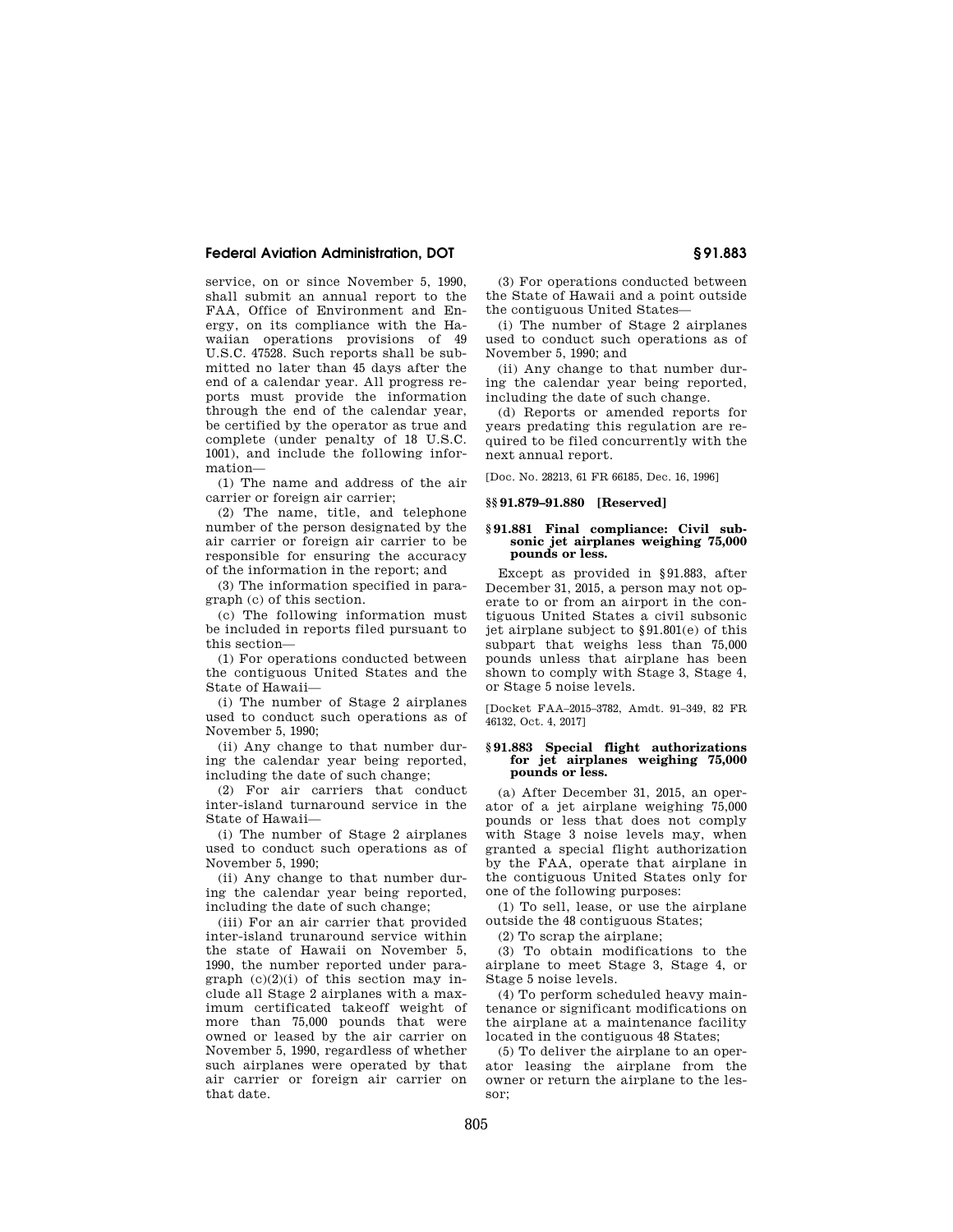service, on or since November 5, 1990, shall submit an annual report to the FAA, Office of Environment and Energy, on its compliance with the Hawaiian operations provisions of 49 U.S.C. 47528. Such reports shall be submitted no later than 45 days after the end of a calendar year. All progress reports must provide the information through the end of the calendar year, be certified by the operator as true and complete (under penalty of 18 U.S.C. 1001), and include the following information—

(1) The name and address of the air carrier or foreign air carrier;

(2) The name, title, and telephone number of the person designated by the air carrier or foreign air carrier to be responsible for ensuring the accuracy of the information in the report; and

(3) The information specified in paragraph (c) of this section.

(c) The following information must be included in reports filed pursuant to this section—

(1) For operations conducted between the contiguous United States and the State of Hawaii—

(i) The number of Stage 2 airplanes used to conduct such operations as of November 5, 1990;

(ii) Any change to that number during the calendar year being reported, including the date of such change;

(2) For air carriers that conduct inter-island turnaround service in the State of Hawaii—

(i) The number of Stage 2 airplanes used to conduct such operations as of November 5, 1990;

(ii) Any change to that number during the calendar year being reported, including the date of such change;

(iii) For an air carrier that provided inter-island trunaround service within the state of Hawaii on November 5, 1990, the number reported under paragraph  $(c)(2)(i)$  of this section may include all Stage 2 airplanes with a maximum certificated takeoff weight of more than 75,000 pounds that were owned or leased by the air carrier on November 5, 1990, regardless of whether such airplanes were operated by that air carrier or foreign air carrier on that date.

(3) For operations conducted between the State of Hawaii and a point outside the contiguous United States—

(i) The number of Stage 2 airplanes used to conduct such operations as of November 5, 1990; and

(ii) Any change to that number during the calendar year being reported, including the date of such change.

(d) Reports or amended reports for years predating this regulation are required to be filed concurrently with the next annual report.

[Doc. No. 28213, 61 FR 66185, Dec. 16, 1996]

## **§§ 91.879–91.880 [Reserved]**

#### **§ 91.881 Final compliance: Civil subsonic jet airplanes weighing 75,000 pounds or less.**

Except as provided in §91.883, after December 31, 2015, a person may not operate to or from an airport in the contiguous United States a civil subsonic jet airplane subject to §91.801(e) of this subpart that weighs less than 75,000 pounds unless that airplane has been shown to comply with Stage 3, Stage 4, or Stage 5 noise levels.

[Docket FAA–2015–3782, Amdt. 91–349, 82 FR 46132, Oct. 4, 2017]

#### **§ 91.883 Special flight authorizations for jet airplanes weighing 75,000 pounds or less.**

(a) After December 31, 2015, an operator of a jet airplane weighing 75,000 pounds or less that does not comply with Stage 3 noise levels may, when granted a special flight authorization by the FAA, operate that airplane in the contiguous United States only for one of the following purposes:

(1) To sell, lease, or use the airplane outside the 48 contiguous States;

(2) To scrap the airplane;

(3) To obtain modifications to the airplane to meet Stage 3, Stage 4, or Stage 5 noise levels.

(4) To perform scheduled heavy maintenance or significant modifications on the airplane at a maintenance facility located in the contiguous 48 States;

(5) To deliver the airplane to an operator leasing the airplane from the owner or return the airplane to the lessor;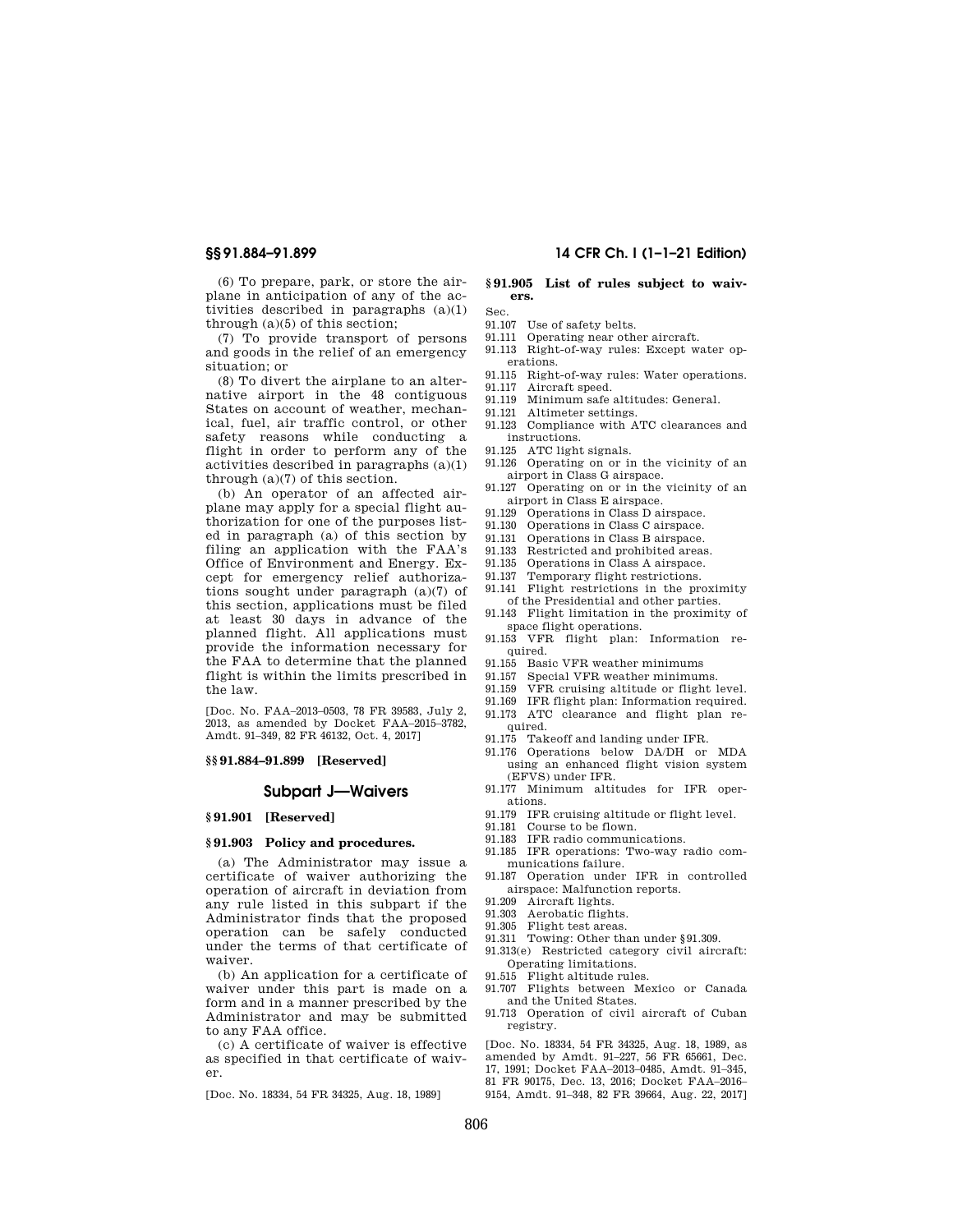(6) To prepare, park, or store the airplane in anticipation of any of the activities described in paragraphs (a)(1) through  $(a)(5)$  of this section;

(7) To provide transport of persons and goods in the relief of an emergency situation; or

(8) To divert the airplane to an alternative airport in the 48 contiguous States on account of weather, mechanical, fuel, air traffic control, or other safety reasons while conducting a flight in order to perform any of the activities described in paragraphs (a)(1) through (a)(7) of this section.

(b) An operator of an affected airplane may apply for a special flight authorization for one of the purposes listed in paragraph (a) of this section by filing an application with the FAA's Office of Environment and Energy. Except for emergency relief authorizations sought under paragraph (a)(7) of this section, applications must be filed at least 30 days in advance of the planned flight. All applications must provide the information necessary for the FAA to determine that the planned flight is within the limits prescribed in the law.

[Doc. No. FAA–2013–0503, 78 FR 39583, July 2, 2013, as amended by Docket FAA–2015–3782, Amdt. 91–349, 82 FR 46132, Oct. 4, 2017]

# **§§ 91.884–91.899 [Reserved]**

# **Subpart J—Waivers**

#### **§ 91.901 [Reserved]**

#### **§ 91.903 Policy and procedures.**

(a) The Administrator may issue a certificate of waiver authorizing the operation of aircraft in deviation from any rule listed in this subpart if the Administrator finds that the proposed operation can be safely conducted under the terms of that certificate of waiver.

(b) An application for a certificate of waiver under this part is made on a form and in a manner prescribed by the Administrator and may be submitted to any FAA office.

(c) A certificate of waiver is effective as specified in that certificate of waiver.

[Doc. No. 18334, 54 FR 34325, Aug. 18, 1989]

## **§§ 91.884–91.899 14 CFR Ch. I (1–1–21 Edition)**

# **§ 91.905 List of rules subject to waivers.**

Sec.

- 91.107 Use of safety belts.
- 91.111 Operating near other aircraft. 91.113 Right-of-way rules: Except water operations.
- 91.115 Right-of-way rules: Water operations.
- 91.117 Aircraft speed.
- 91.119 Minimum safe altitudes: General.
- 91.121 Altimeter settings.
- 91.123 Compliance with ATC clearances and instructions.
- 91.125 ATC light signals. 91.126 Operating on or in the vicinity of an airport in Class G airspace.
- 91.127 Operating on or in the vicinity of an airport in Class E airspace.
- 91.129 Operations in Class D airspace.
- 91.130 Operations in Class C airspace.
- 91.131 Operations in Class B airspace.
- 91.133 Restricted and prohibited areas.
- 91.135 Operations in Class A airspace.
- 91.137 Temporary flight restrictions.
- 91.141 Flight restrictions in the proximity of the Presidential and other parties.
- 91.143 Flight limitation in the proximity of space flight operations.
- 91.153 VFR flight plan: Information required.
- 91.155 Basic VFR weather minimums
- 91.157 Special VFR weather minimums.
- 91.159 VFR cruising altitude or flight level.
- 91.169 IFR flight plan: Information required.
- 91.173 ATC clearance and flight plan required.
- 91.175 Takeoff and landing under IFR.
- 91.176 Operations below DA/DH or MDA
- using an enhanced flight vision system (EFVS) under IFR.
- 91.177 Minimum altitudes for IFR operations.
- 91.179 IFR cruising altitude or flight level.
- 91.181 Course to be flown.
- 91.183 IFR radio communications.
- 91.185 IFR operations: Two-way radio communications failure.
- 91.187 Operation under IFR in controlled airspace: Malfunction reports.
- 91.209 Aircraft lights.
- 91.303 Aerobatic flights.
- 91.305 Flight test areas.
- 91.311 Towing: Other than under §91.309.
- 91.313(e) Restricted category civil aircraft: Operating limitations.
- 91.515 Flight altitude rules.
- 91.707 Flights between Mexico or Canada and the United States.
- 91.713 Operation of civil aircraft of Cuban registry.

[Doc. No. 18334, 54 FR 34325, Aug. 18, 1989, as amended by Amdt. 91–227, 56 FR 65661, Dec.

17, 1991; Docket FAA–2013–0485, Amdt. 91–345, 81 FR 90175, Dec. 13, 2016; Docket FAA–2016–

9154, Amdt. 91–348, 82 FR 39664, Aug. 22, 2017]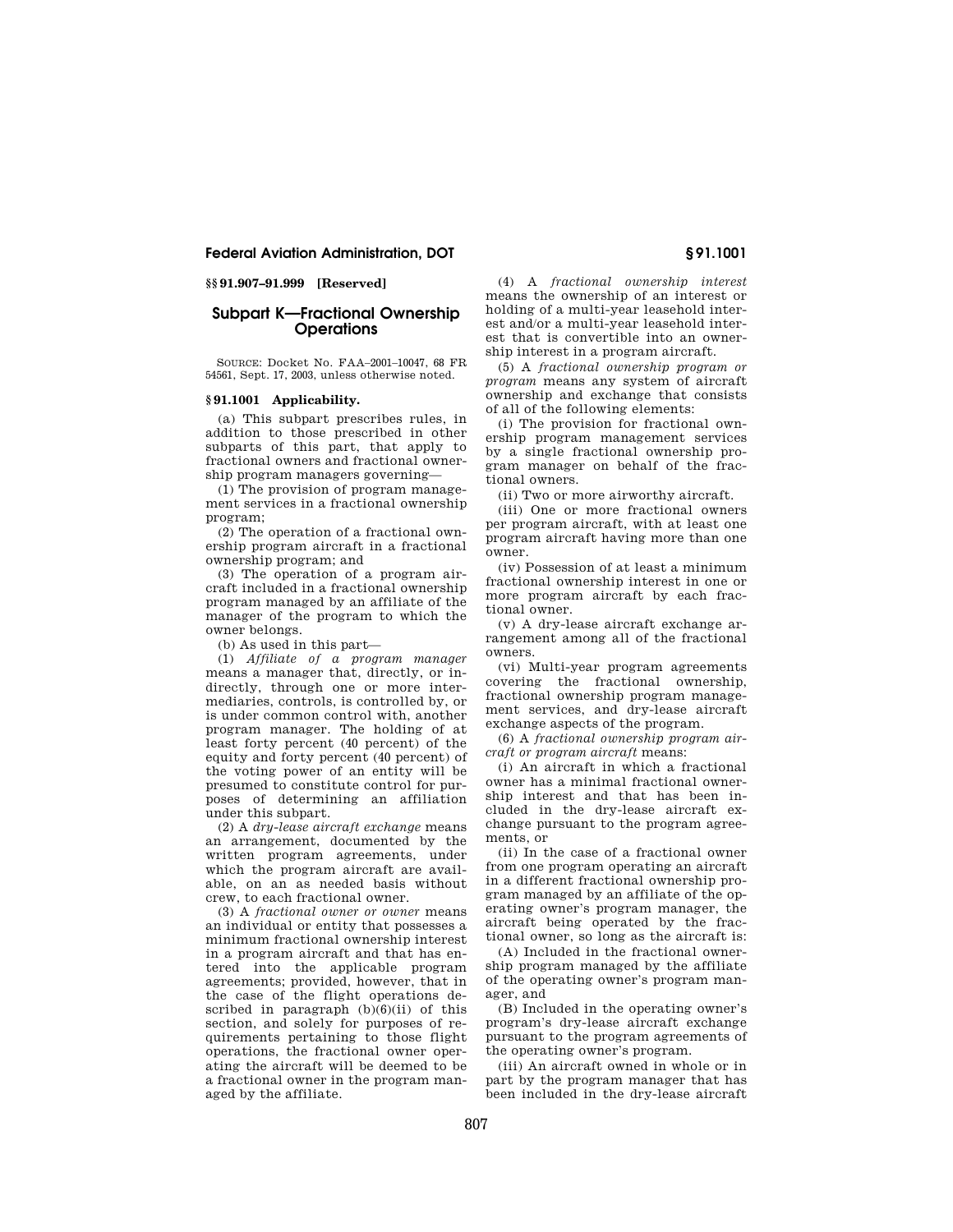**§§ 91.907–91.999 [Reserved]** 

# **Subpart K—Fractional Ownership Operations**

SOURCE: Docket No. FAA–2001–10047, 68 FR 54561, Sept. 17, 2003, unless otherwise noted.

## **§ 91.1001 Applicability.**

(a) This subpart prescribes rules, in addition to those prescribed in other subparts of this part, that apply to fractional owners and fractional ownership program managers governing—

(1) The provision of program management services in a fractional ownership program;

(2) The operation of a fractional ownership program aircraft in a fractional ownership program; and

(3) The operation of a program aircraft included in a fractional ownership program managed by an affiliate of the manager of the program to which the owner belongs.

(b) As used in this part—

(1) *Affiliate of a program manager*  means a manager that, directly, or indirectly, through one or more intermediaries, controls, is controlled by, or is under common control with, another program manager. The holding of at least forty percent (40 percent) of the equity and forty percent (40 percent) of the voting power of an entity will be presumed to constitute control for purposes of determining an affiliation under this subpart.

(2) A *dry-lease aircraft exchange* means an arrangement, documented by the written program agreements, under which the program aircraft are available, on an as needed basis without crew, to each fractional owner.

(3) A *fractional owner or owner* means an individual or entity that possesses a minimum fractional ownership interest in a program aircraft and that has entered into the applicable program agreements; provided, however, that in the case of the flight operations described in paragraph  $(b)(6)(ii)$  of this section, and solely for purposes of requirements pertaining to those flight operations, the fractional owner operating the aircraft will be deemed to be a fractional owner in the program managed by the affiliate.

(4) A *fractional ownership interest*  means the ownership of an interest or holding of a multi-year leasehold interest and/or a multi-year leasehold interest that is convertible into an ownership interest in a program aircraft.

(5) A *fractional ownership program or program* means any system of aircraft ownership and exchange that consists of all of the following elements:

(i) The provision for fractional ownership program management services by a single fractional ownership program manager on behalf of the fractional owners.

(ii) Two or more airworthy aircraft.

(iii) One or more fractional owners per program aircraft, with at least one program aircraft having more than one owner.

(iv) Possession of at least a minimum fractional ownership interest in one or more program aircraft by each fractional owner.

(v) A dry-lease aircraft exchange arrangement among all of the fractional owners.

(vi) Multi-year program agreements covering the fractional ownership, fractional ownership program management services, and dry-lease aircraft exchange aspects of the program.

(6) A *fractional ownership program aircraft or program aircraft* means:

(i) An aircraft in which a fractional owner has a minimal fractional ownership interest and that has been included in the dry-lease aircraft exchange pursuant to the program agreements, or

(ii) In the case of a fractional owner from one program operating an aircraft in a different fractional ownership program managed by an affiliate of the operating owner's program manager, the aircraft being operated by the fractional owner, so long as the aircraft is:

(A) Included in the fractional ownership program managed by the affiliate of the operating owner's program manager, and

(B) Included in the operating owner's program's dry-lease aircraft exchange pursuant to the program agreements of the operating owner's program.

(iii) An aircraft owned in whole or in part by the program manager that has been included in the dry-lease aircraft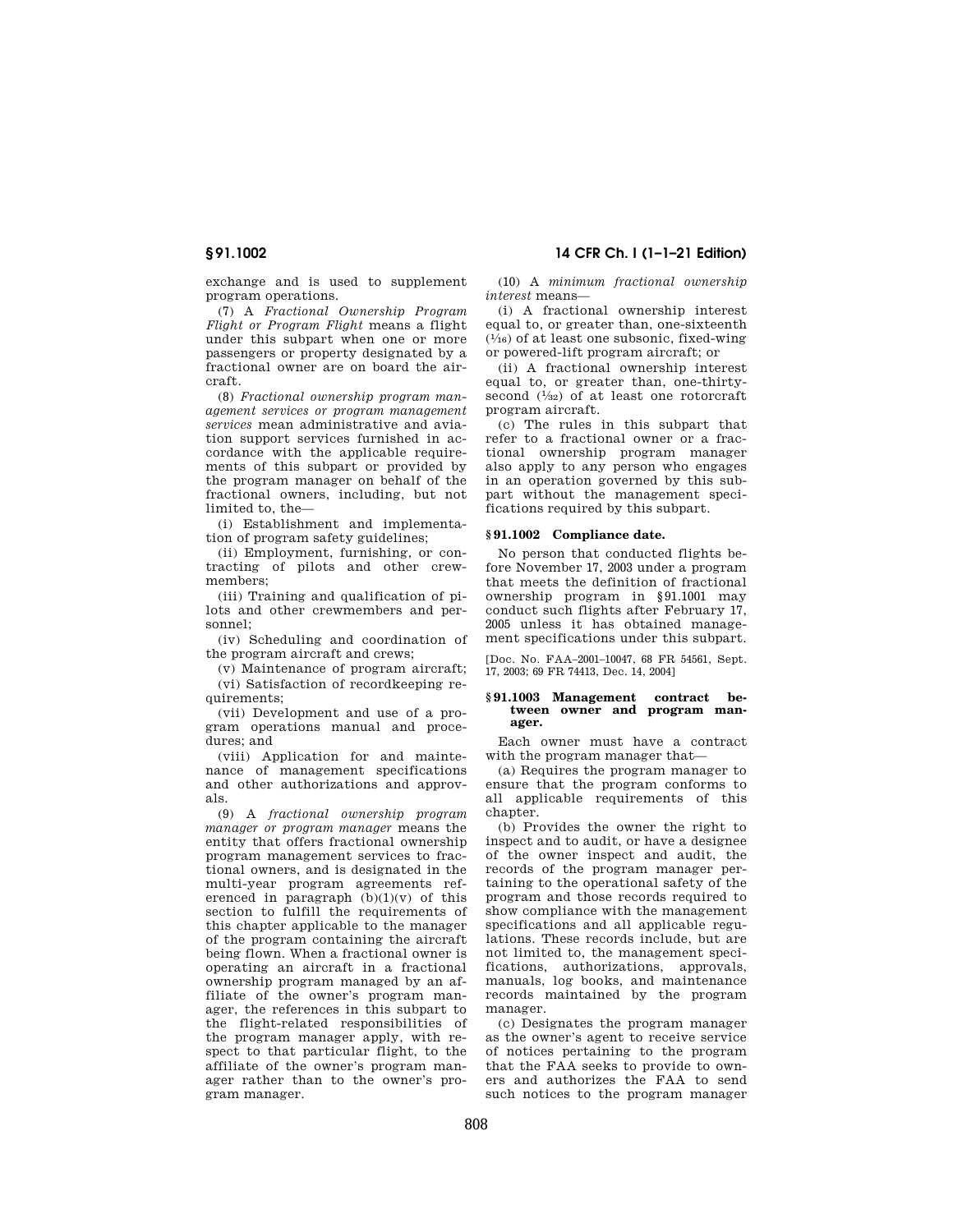**§ 91.1002 14 CFR Ch. I (1–1–21 Edition)** 

exchange and is used to supplement program operations.

(7) A *Fractional Ownership Program Flight or Program Flight* means a flight under this subpart when one or more passengers or property designated by a fractional owner are on board the aircraft.

(8) *Fractional ownership program management services or program management services* mean administrative and aviation support services furnished in accordance with the applicable requirements of this subpart or provided by the program manager on behalf of the fractional owners, including, but not limited to, the—

(i) Establishment and implementation of program safety guidelines;

(ii) Employment, furnishing, or contracting of pilots and other crewmembers;

(iii) Training and qualification of pilots and other crewmembers and personnel;

(iv) Scheduling and coordination of the program aircraft and crews;

(v) Maintenance of program aircraft;

(vi) Satisfaction of recordkeeping requirements;

(vii) Development and use of a program operations manual and procedures; and

(viii) Application for and maintenance of management specifications and other authorizations and approvals.

(9) A *fractional ownership program manager or program manager* means the entity that offers fractional ownership program management services to fractional owners, and is designated in the multi-year program agreements referenced in paragraph  $(b)(1)(v)$  of this section to fulfill the requirements of this chapter applicable to the manager of the program containing the aircraft being flown. When a fractional owner is operating an aircraft in a fractional ownership program managed by an affiliate of the owner's program manager, the references in this subpart to the flight-related responsibilities of the program manager apply, with respect to that particular flight, to the affiliate of the owner's program manager rather than to the owner's program manager.

(10) A *minimum fractional ownership interest* means—

(i) A fractional ownership interest equal to, or greater than, one-sixteenth  $(1/16)$  of at least one subsonic, fixed-wing or powered-lift program aircraft; or

(ii) A fractional ownership interest equal to, or greater than, one-thirtysecond  $(1/32)$  of at least one rotorcraft program aircraft.

(c) The rules in this subpart that refer to a fractional owner or a fractional ownership program manager also apply to any person who engages in an operation governed by this subpart without the management specifications required by this subpart.

#### **§ 91.1002 Compliance date.**

No person that conducted flights before November 17, 2003 under a program that meets the definition of fractional ownership program in §91.1001 may conduct such flights after February 17, 2005 unless it has obtained management specifications under this subpart.

[Doc. No. FAA–2001–10047, 68 FR 54561, Sept. 17, 2003; 69 FR 74413, Dec. 14, 2004]

#### **§ 91.1003 Management contract between owner and program manager.**

Each owner must have a contract with the program manager that—

(a) Requires the program manager to ensure that the program conforms to all applicable requirements of this chapter.

(b) Provides the owner the right to inspect and to audit, or have a designee of the owner inspect and audit, the records of the program manager pertaining to the operational safety of the program and those records required to show compliance with the management specifications and all applicable regulations. These records include, but are not limited to, the management specifications, authorizations, approvals, manuals, log books, and maintenance records maintained by the program manager.

(c) Designates the program manager as the owner's agent to receive service of notices pertaining to the program that the FAA seeks to provide to owners and authorizes the FAA to send such notices to the program manager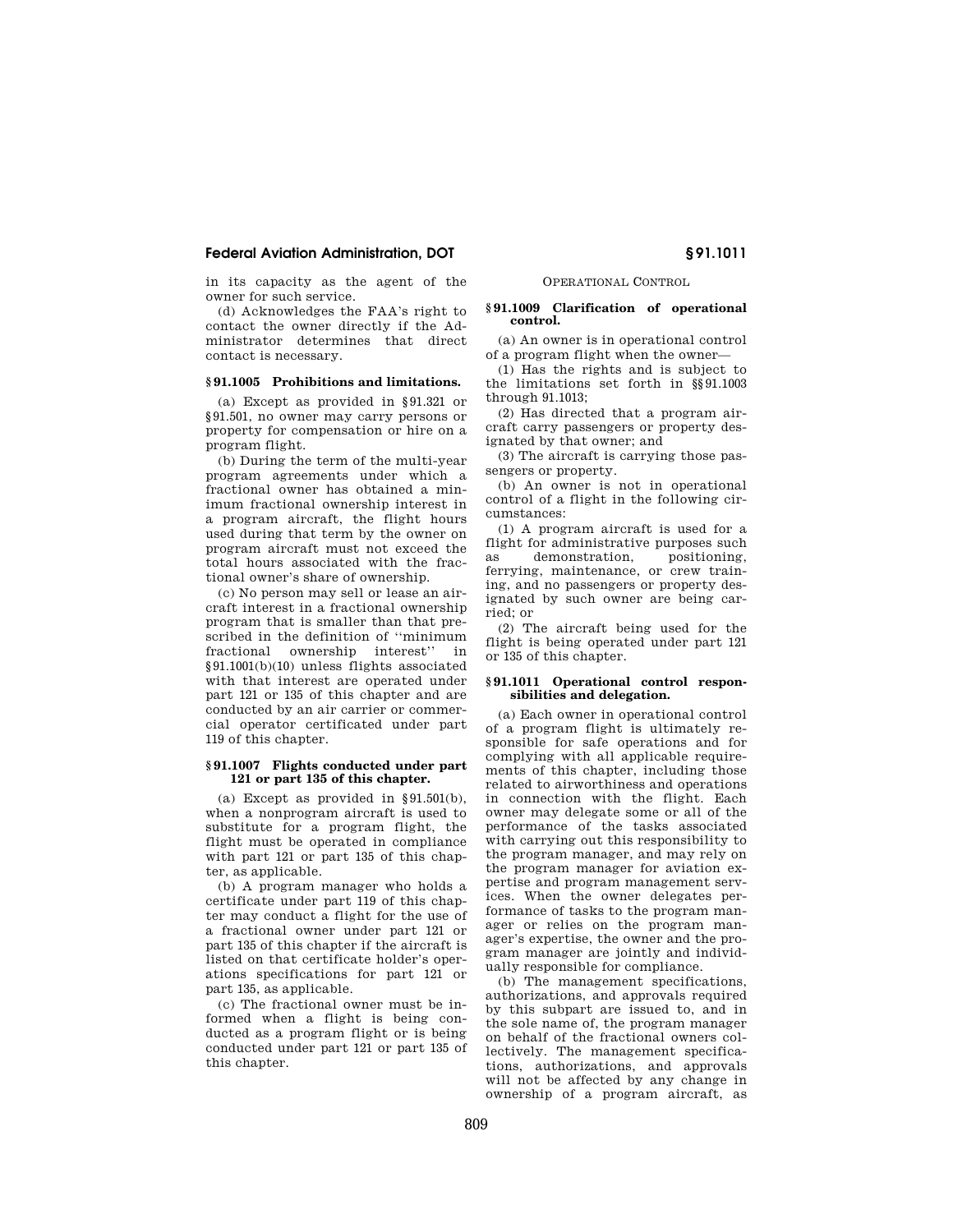in its capacity as the agent of the owner for such service.

(d) Acknowledges the FAA's right to contact the owner directly if the Administrator determines that direct contact is necessary.

# **§ 91.1005 Prohibitions and limitations.**

(a) Except as provided in §91.321 or §91.501, no owner may carry persons or property for compensation or hire on a program flight.

(b) During the term of the multi-year program agreements under which a fractional owner has obtained a minimum fractional ownership interest in a program aircraft, the flight hours used during that term by the owner on program aircraft must not exceed the total hours associated with the fractional owner's share of ownership.

(c) No person may sell or lease an aircraft interest in a fractional ownership program that is smaller than that prescribed in the definition of ''minimum fractional ownership interest'' in §91.1001(b)(10) unless flights associated with that interest are operated under part 121 or 135 of this chapter and are conducted by an air carrier or commercial operator certificated under part 119 of this chapter.

# **§ 91.1007 Flights conducted under part 121 or part 135 of this chapter.**

(a) Except as provided in  $§91.501(b)$ , when a nonprogram aircraft is used to substitute for a program flight, the flight must be operated in compliance with part 121 or part 135 of this chapter, as applicable.

(b) A program manager who holds a certificate under part 119 of this chapter may conduct a flight for the use of a fractional owner under part 121 or part 135 of this chapter if the aircraft is listed on that certificate holder's operations specifications for part 121 or part 135, as applicable.

(c) The fractional owner must be informed when a flight is being conducted as a program flight or is being conducted under part 121 or part 135 of this chapter.

OPERATIONAL CONTROL

### **§ 91.1009 Clarification of operational control.**

(a) An owner is in operational control of a program flight when the owner—

(1) Has the rights and is subject to the limitations set forth in §§91.1003 through 91.1013;

(2) Has directed that a program aircraft carry passengers or property designated by that owner; and

(3) The aircraft is carrying those passengers or property.

(b) An owner is not in operational control of a flight in the following circumstances:

(1) A program aircraft is used for a flight for administrative purposes such as demonstration, positioning, ferrying, maintenance, or crew training, and no passengers or property designated by such owner are being carried; or

(2) The aircraft being used for the flight is being operated under part 121 or 135 of this chapter.

## **§ 91.1011 Operational control responsibilities and delegation.**

(a) Each owner in operational control of a program flight is ultimately responsible for safe operations and for complying with all applicable requirements of this chapter, including those related to airworthiness and operations in connection with the flight. Each owner may delegate some or all of the performance of the tasks associated with carrying out this responsibility to the program manager, and may rely on the program manager for aviation expertise and program management services. When the owner delegates performance of tasks to the program manager or relies on the program manager's expertise, the owner and the program manager are jointly and individually responsible for compliance.

(b) The management specifications, authorizations, and approvals required by this subpart are issued to, and in the sole name of, the program manager on behalf of the fractional owners collectively. The management specifications, authorizations, and approvals will not be affected by any change in ownership of a program aircraft, as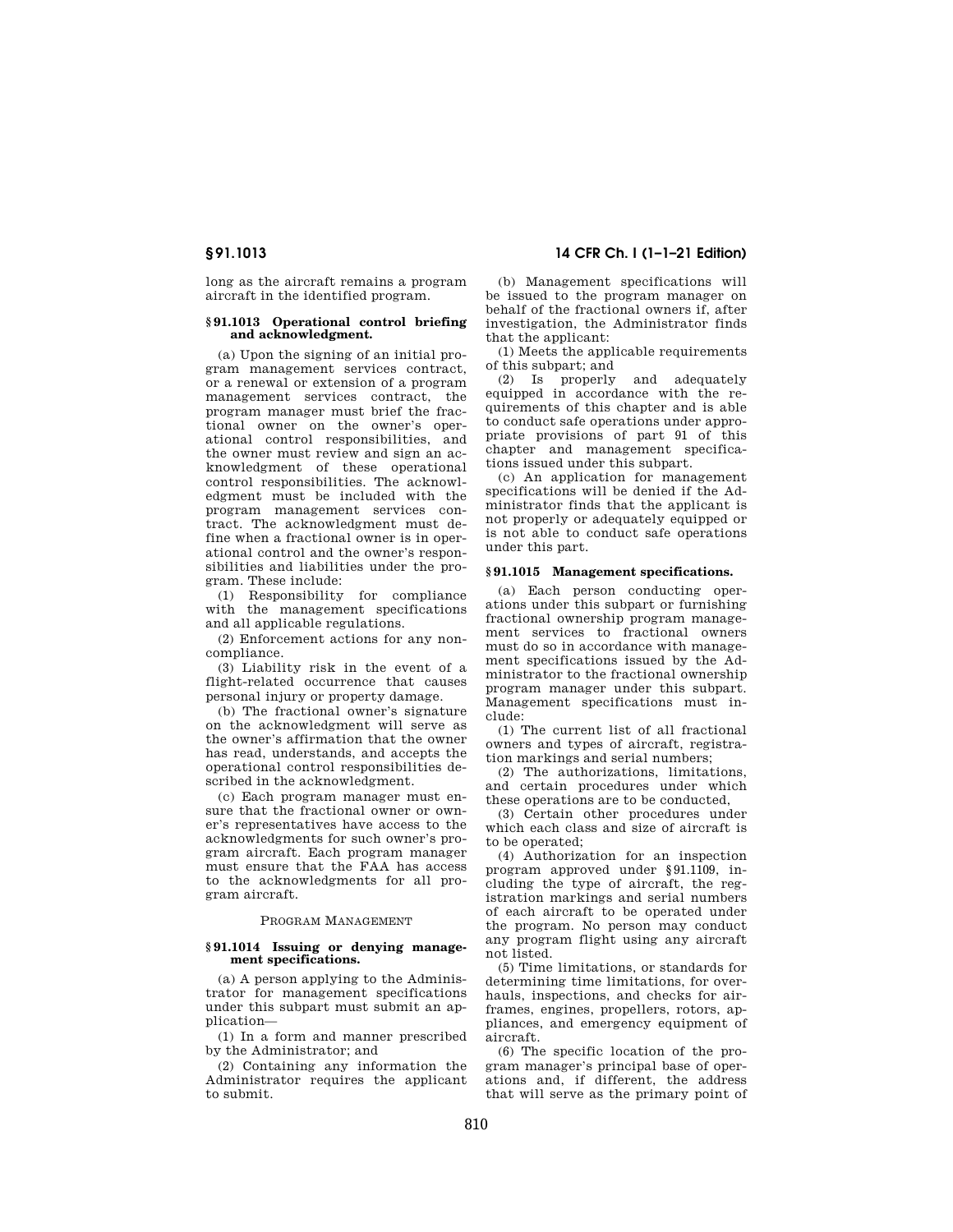long as the aircraft remains a program aircraft in the identified program.

## **§ 91.1013 Operational control briefing and acknowledgment.**

(a) Upon the signing of an initial program management services contract, or a renewal or extension of a program management services contract, the program manager must brief the fractional owner on the owner's operational control responsibilities, and the owner must review and sign an acknowledgment of these operational control responsibilities. The acknowledgment must be included with the program management services contract. The acknowledgment must define when a fractional owner is in operational control and the owner's responsibilities and liabilities under the program. These include:

(1) Responsibility for compliance with the management specifications and all applicable regulations.

(2) Enforcement actions for any noncompliance.

(3) Liability risk in the event of a flight-related occurrence that causes personal injury or property damage.

(b) The fractional owner's signature on the acknowledgment will serve as the owner's affirmation that the owner has read, understands, and accepts the operational control responsibilities described in the acknowledgment.

(c) Each program manager must ensure that the fractional owner or owner's representatives have access to the acknowledgments for such owner's program aircraft. Each program manager must ensure that the FAA has access to the acknowledgments for all program aircraft.

#### PROGRAM MANAGEMENT

#### **§ 91.1014 Issuing or denying management specifications.**

(a) A person applying to the Administrator for management specifications under this subpart must submit an application—

(1) In a form and manner prescribed by the Administrator; and

 $(2)$  Containing any information the Administrator requires the applicant to submit.

(b) Management specifications will be issued to the program manager on behalf of the fractional owners if, after investigation, the Administrator finds that the applicant:

(1) Meets the applicable requirements of this subpart; and

(2) Is properly and adequately equipped in accordance with the requirements of this chapter and is able to conduct safe operations under appropriate provisions of part 91 of this chapter and management specifications issued under this subpart.

(c) An application for management specifications will be denied if the Administrator finds that the applicant is not properly or adequately equipped or is not able to conduct safe operations under this part.

# **§ 91.1015 Management specifications.**

(a) Each person conducting operations under this subpart or furnishing fractional ownership program management services to fractional owners must do so in accordance with management specifications issued by the Administrator to the fractional ownership program manager under this subpart. Management specifications must include:

(1) The current list of all fractional owners and types of aircraft, registration markings and serial numbers;

(2) The authorizations, limitations, and certain procedures under which these operations are to be conducted,

(3) Certain other procedures under which each class and size of aircraft is to be operated;

(4) Authorization for an inspection program approved under §91.1109, including the type of aircraft, the registration markings and serial numbers of each aircraft to be operated under the program. No person may conduct any program flight using any aircraft not listed.

(5) Time limitations, or standards for determining time limitations, for overhauls, inspections, and checks for airframes, engines, propellers, rotors, appliances, and emergency equipment of aircraft.

(6) The specific location of the program manager's principal base of operations and, if different, the address that will serve as the primary point of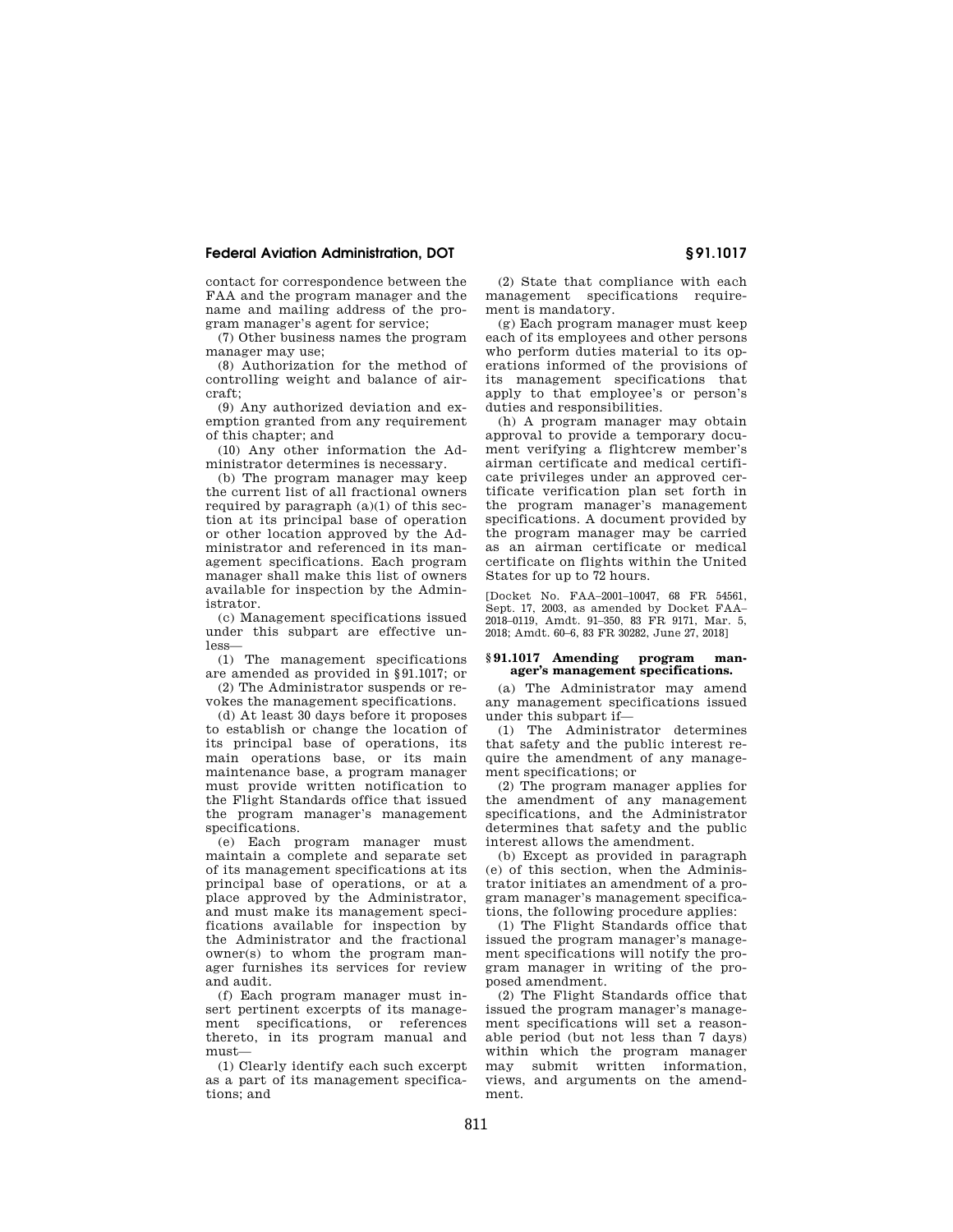contact for correspondence between the FAA and the program manager and the name and mailing address of the program manager's agent for service;

(7) Other business names the program manager may use;

(8) Authorization for the method of controlling weight and balance of aircraft;

(9) Any authorized deviation and exemption granted from any requirement of this chapter; and

(10) Any other information the Administrator determines is necessary.

(b) The program manager may keep the current list of all fractional owners required by paragraph  $(a)(1)$  of this section at its principal base of operation or other location approved by the Administrator and referenced in its management specifications. Each program manager shall make this list of owners available for inspection by the Administrator.

(c) Management specifications issued under this subpart are effective unless—

(1) The management specifications are amended as provided in §91.1017; or (2) The Administrator suspends or re-

vokes the management specifications.

(d) At least 30 days before it proposes to establish or change the location of its principal base of operations, its main operations base, or its main maintenance base, a program manager must provide written notification to the Flight Standards office that issued the program manager's management specifications.

(e) Each program manager must maintain a complete and separate set of its management specifications at its principal base of operations, or at a place approved by the Administrator, and must make its management specifications available for inspection by the Administrator and the fractional owner(s) to whom the program manager furnishes its services for review and audit.

(f) Each program manager must insert pertinent excerpts of its management specifications, or references thereto, in its program manual and must—

(1) Clearly identify each such excerpt as a part of its management specifications; and

(2) State that compliance with each management specifications requirement is mandatory.

(g) Each program manager must keep each of its employees and other persons who perform duties material to its operations informed of the provisions of its management specifications that apply to that employee's or person's duties and responsibilities.

(h) A program manager may obtain approval to provide a temporary document verifying a flightcrew member's airman certificate and medical certificate privileges under an approved certificate verification plan set forth in the program manager's management specifications. A document provided by the program manager may be carried as an airman certificate or medical certificate on flights within the United States for up to 72 hours.

[Docket No. FAA–2001–10047, 68 FR 54561, Sept. 17, 2003, as amended by Docket FAA– 2018–0119, Amdt. 91–350, 83 FR 9171, Mar. 5, 2018; Amdt. 60–6, 83 FR 30282, June 27, 2018]

## **§ 91.1017 Amending program manager's management specifications.**

(a) The Administrator may amend any management specifications issued under this subpart if—

(1) The Administrator determines that safety and the public interest require the amendment of any management specifications; or

(2) The program manager applies for the amendment of any management specifications, and the Administrator determines that safety and the public interest allows the amendment.

(b) Except as provided in paragraph (e) of this section, when the Administrator initiates an amendment of a program manager's management specifications, the following procedure applies:

(1) The Flight Standards office that issued the program manager's management specifications will notify the program manager in writing of the proposed amendment.

(2) The Flight Standards office that issued the program manager's management specifications will set a reasonable period (but not less than 7 days) within which the program manager may submit written information, views, and arguments on the amendment.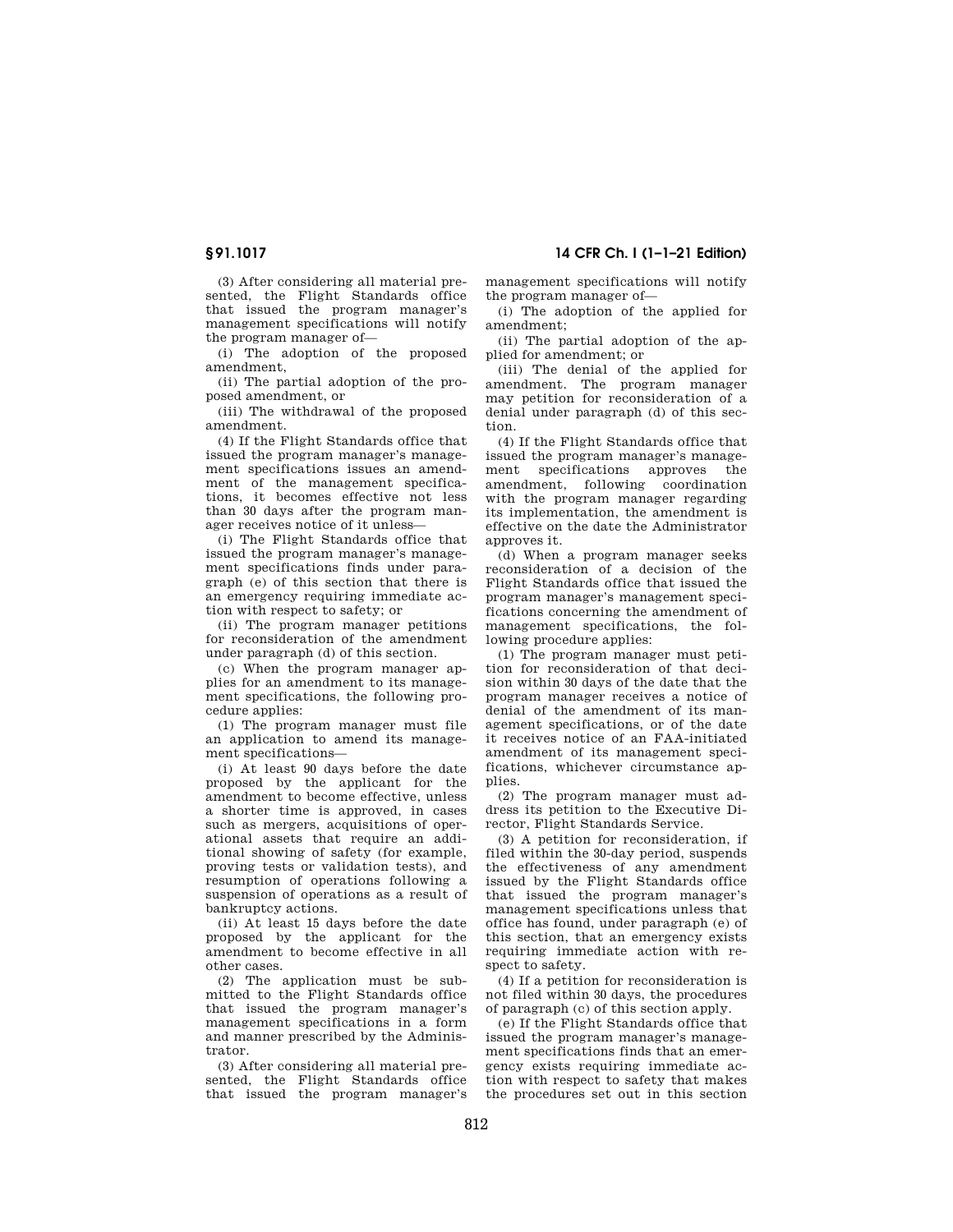**§ 91.1017 14 CFR Ch. I (1–1–21 Edition)** 

(3) After considering all material presented, the Flight Standards office that issued the program manager's management specifications will notify the program manager of—

(i) The adoption of the proposed amendment,

(ii) The partial adoption of the proposed amendment, or

(iii) The withdrawal of the proposed amendment.

(4) If the Flight Standards office that issued the program manager's management specifications issues an amendment of the management specifications, it becomes effective not less than 30 days after the program manager receives notice of it unless—

(i) The Flight Standards office that issued the program manager's management specifications finds under paragraph (e) of this section that there is an emergency requiring immediate action with respect to safety; or

(ii) The program manager petitions for reconsideration of the amendment under paragraph (d) of this section.

(c) When the program manager applies for an amendment to its management specifications, the following procedure applies:

(1) The program manager must file an application to amend its management specifications—

(i) At least 90 days before the date proposed by the applicant for the amendment to become effective, unless a shorter time is approved, in cases such as mergers, acquisitions of operational assets that require an additional showing of safety (for example, proving tests or validation tests), and resumption of operations following a suspension of operations as a result of bankruptcy actions.

(ii) At least 15 days before the date proposed by the applicant for the amendment to become effective in all other cases.

(2) The application must be submitted to the Flight Standards office that issued the program manager's management specifications in a form and manner prescribed by the Administrator.

(3) After considering all material presented, the Flight Standards office that issued the program manager's management specifications will notify the program manager of—

(i) The adoption of the applied for amendment;

(ii) The partial adoption of the applied for amendment; or

(iii) The denial of the applied for amendment. The program manager may petition for reconsideration of a denial under paragraph (d) of this section.

(4) If the Flight Standards office that issued the program manager's management specifications approves the amendment, following coordination with the program manager regarding its implementation, the amendment is effective on the date the Administrator approves it.

(d) When a program manager seeks reconsideration of a decision of the Flight Standards office that issued the program manager's management specifications concerning the amendment of management specifications, the following procedure applies:

(1) The program manager must petition for reconsideration of that decision within 30 days of the date that the program manager receives a notice of denial of the amendment of its management specifications, or of the date it receives notice of an FAA-initiated amendment of its management specifications, whichever circumstance applies.

(2) The program manager must address its petition to the Executive Director, Flight Standards Service.

(3) A petition for reconsideration, if filed within the 30-day period, suspends the effectiveness of any amendment issued by the Flight Standards office that issued the program manager's management specifications unless that office has found, under paragraph (e) of this section, that an emergency exists requiring immediate action with respect to safety.

(4) If a petition for reconsideration is not filed within 30 days, the procedures of paragraph (c) of this section apply.

(e) If the Flight Standards office that issued the program manager's management specifications finds that an emergency exists requiring immediate action with respect to safety that makes the procedures set out in this section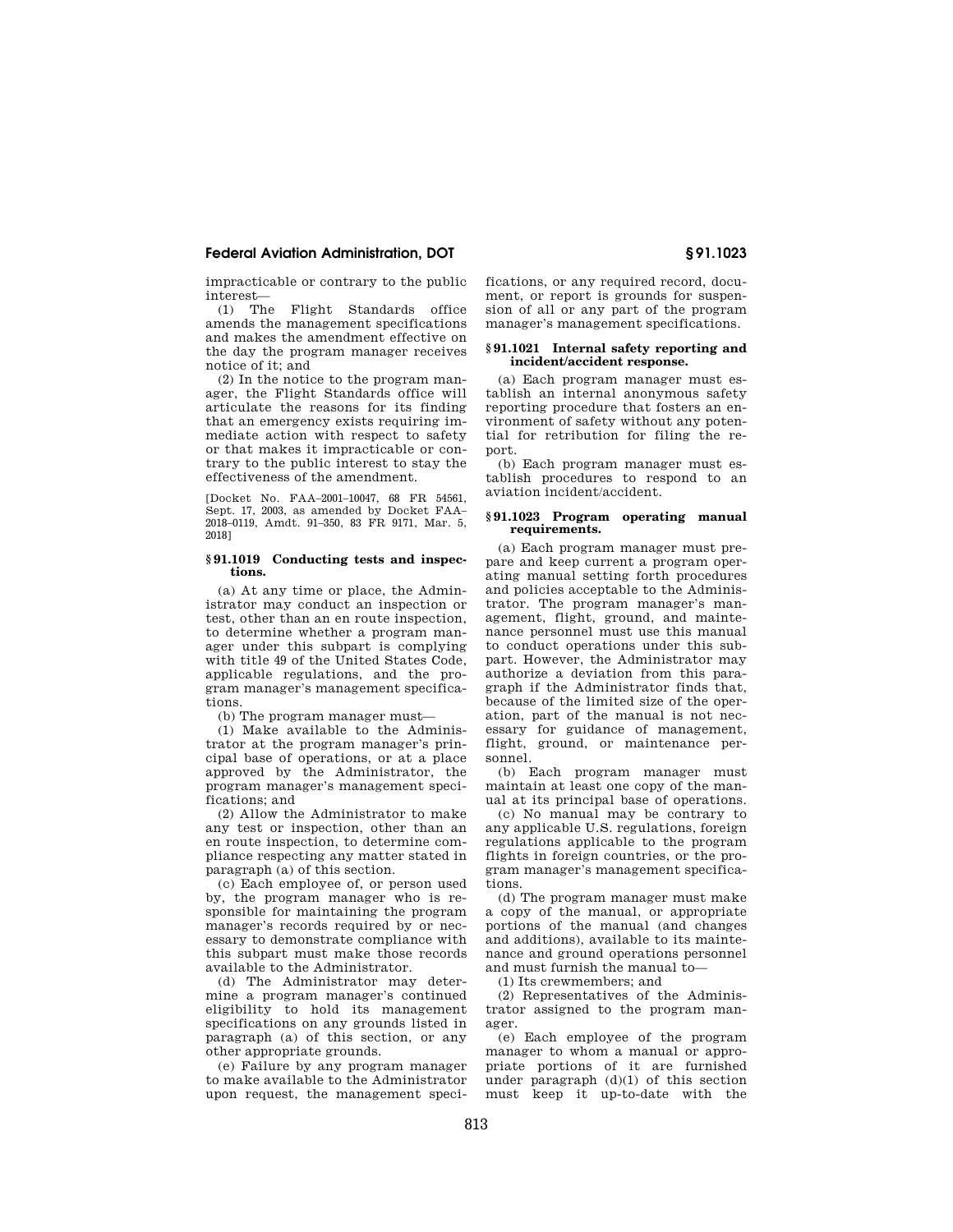impracticable or contrary to the public interest—

(1) The Flight Standards office amends the management specifications and makes the amendment effective on the day the program manager receives notice of it; and

(2) In the notice to the program manager, the Flight Standards office will articulate the reasons for its finding that an emergency exists requiring immediate action with respect to safety or that makes it impracticable or contrary to the public interest to stay the effectiveness of the amendment.

[Docket No. FAA–2001–10047, 68 FR 54561, Sept. 17, 2003, as amended by Docket FAA– 2018–0119, Amdt. 91–350, 83 FR 9171, Mar. 5, 2018]

#### **§ 91.1019 Conducting tests and inspections.**

(a) At any time or place, the Administrator may conduct an inspection or test, other than an en route inspection, to determine whether a program manager under this subpart is complying with title 49 of the United States Code, applicable regulations, and the program manager's management specifications.

(b) The program manager must—

(1) Make available to the Administrator at the program manager's principal base of operations, or at a place approved by the Administrator, the program manager's management specifications; and

(2) Allow the Administrator to make any test or inspection, other than an en route inspection, to determine compliance respecting any matter stated in paragraph (a) of this section.

(c) Each employee of, or person used by, the program manager who is responsible for maintaining the program manager's records required by or necessary to demonstrate compliance with this subpart must make those records available to the Administrator.

(d) The Administrator may determine a program manager's continued eligibility to hold its management specifications on any grounds listed in paragraph (a) of this section, or any other appropriate grounds.

(e) Failure by any program manager to make available to the Administrator upon request, the management specifications, or any required record, document, or report is grounds for suspension of all or any part of the program manager's management specifications.

### **§ 91.1021 Internal safety reporting and incident/accident response.**

(a) Each program manager must establish an internal anonymous safety reporting procedure that fosters an environment of safety without any potential for retribution for filing the report.

(b) Each program manager must establish procedures to respond to an aviation incident/accident.

#### **§ 91.1023 Program operating manual requirements.**

(a) Each program manager must prepare and keep current a program operating manual setting forth procedures and policies acceptable to the Administrator. The program manager's management, flight, ground, and maintenance personnel must use this manual to conduct operations under this subpart. However, the Administrator may authorize a deviation from this paragraph if the Administrator finds that, because of the limited size of the operation, part of the manual is not necessary for guidance of management, flight, ground, or maintenance personnel.

(b) Each program manager must maintain at least one copy of the manual at its principal base of operations.

(c) No manual may be contrary to any applicable U.S. regulations, foreign regulations applicable to the program flights in foreign countries, or the program manager's management specifications.

(d) The program manager must make a copy of the manual, or appropriate portions of the manual (and changes and additions), available to its maintenance and ground operations personnel and must furnish the manual to—

(1) Its crewmembers; and

(2) Representatives of the Administrator assigned to the program manager.

(e) Each employee of the program manager to whom a manual or appropriate portions of it are furnished under paragraph  $(d)(1)$  of this section must keep it up-to-date with the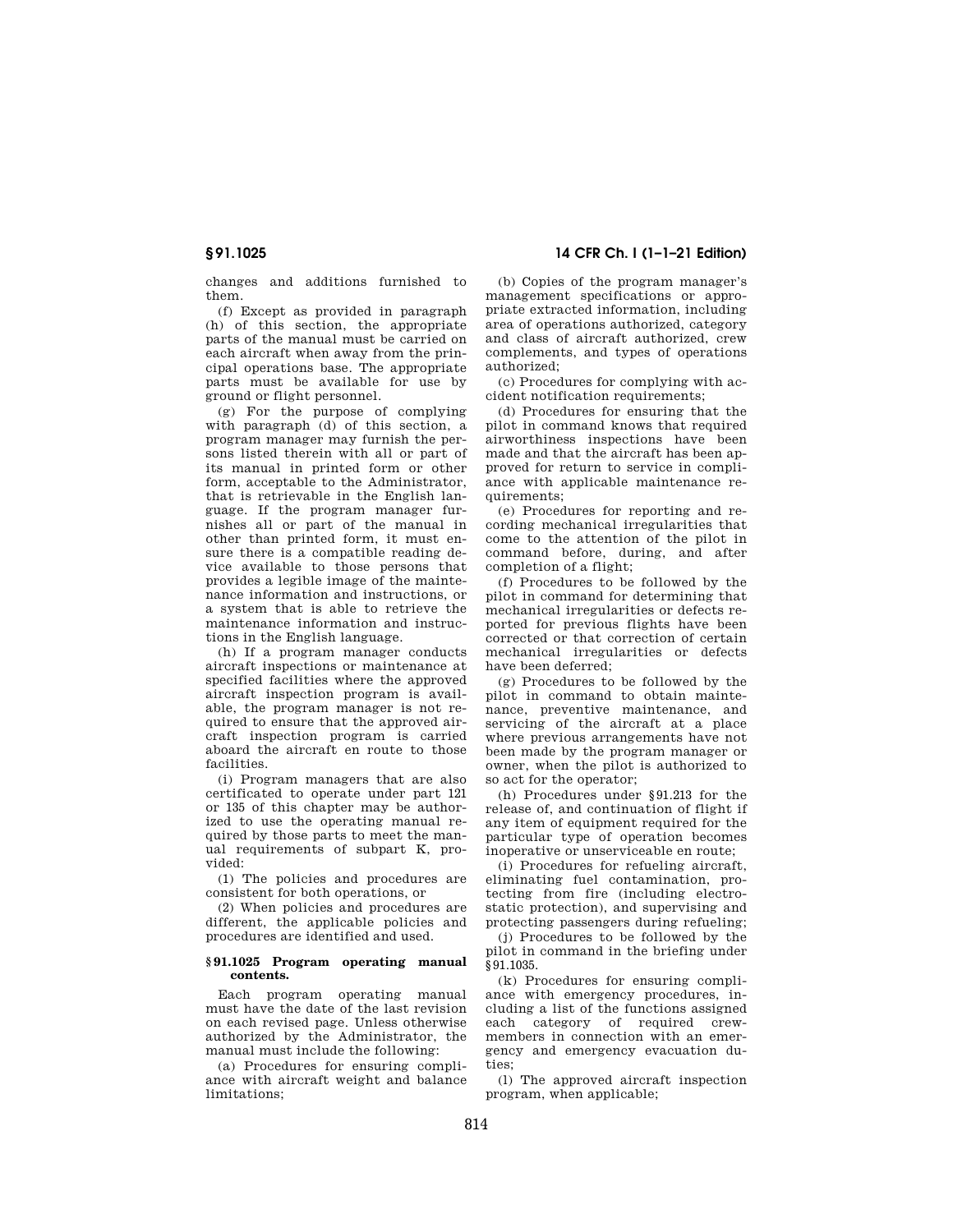**§ 91.1025 14 CFR Ch. I (1–1–21 Edition)** 

changes and additions furnished to them.

(f) Except as provided in paragraph (h) of this section, the appropriate parts of the manual must be carried on each aircraft when away from the principal operations base. The appropriate parts must be available for use by ground or flight personnel.

(g) For the purpose of complying with paragraph (d) of this section, a program manager may furnish the persons listed therein with all or part of its manual in printed form or other form, acceptable to the Administrator, that is retrievable in the English language. If the program manager furnishes all or part of the manual in other than printed form, it must ensure there is a compatible reading device available to those persons that provides a legible image of the maintenance information and instructions, or a system that is able to retrieve the maintenance information and instructions in the English language.

(h) If a program manager conducts aircraft inspections or maintenance at specified facilities where the approved aircraft inspection program is available, the program manager is not required to ensure that the approved aircraft inspection program is carried aboard the aircraft en route to those facilities.

(i) Program managers that are also certificated to operate under part 121 or 135 of this chapter may be authorized to use the operating manual required by those parts to meet the manual requirements of subpart K, provided:

(1) The policies and procedures are consistent for both operations, or

(2) When policies and procedures are different, the applicable policies and procedures are identified and used.

#### **§ 91.1025 Program operating manual contents.**

Each program operating manual must have the date of the last revision on each revised page. Unless otherwise authorized by the Administrator, the manual must include the following:

(a) Procedures for ensuring compliance with aircraft weight and balance limitations;

(b) Copies of the program manager's management specifications or appropriate extracted information, including area of operations authorized, category and class of aircraft authorized, crew complements, and types of operations authorized;

(c) Procedures for complying with accident notification requirements;

(d) Procedures for ensuring that the pilot in command knows that required airworthiness inspections have been made and that the aircraft has been approved for return to service in compliance with applicable maintenance requirements;

(e) Procedures for reporting and recording mechanical irregularities that come to the attention of the pilot in command before, during, and after completion of a flight;

(f) Procedures to be followed by the pilot in command for determining that mechanical irregularities or defects reported for previous flights have been corrected or that correction of certain mechanical irregularities or defects have been deferred;

(g) Procedures to be followed by the pilot in command to obtain maintenance, preventive maintenance, and servicing of the aircraft at a place where previous arrangements have not been made by the program manager or owner, when the pilot is authorized to so act for the operator;

(h) Procedures under §91.213 for the release of, and continuation of flight if any item of equipment required for the particular type of operation becomes inoperative or unserviceable en route;

(i) Procedures for refueling aircraft, eliminating fuel contamination, protecting from fire (including electrostatic protection), and supervising and protecting passengers during refueling;

(j) Procedures to be followed by the pilot in command in the briefing under §91.1035.

(k) Procedures for ensuring compliance with emergency procedures, including a list of the functions assigned each category of required crewmembers in connection with an emergency and emergency evacuation duties;

(l) The approved aircraft inspection program, when applicable;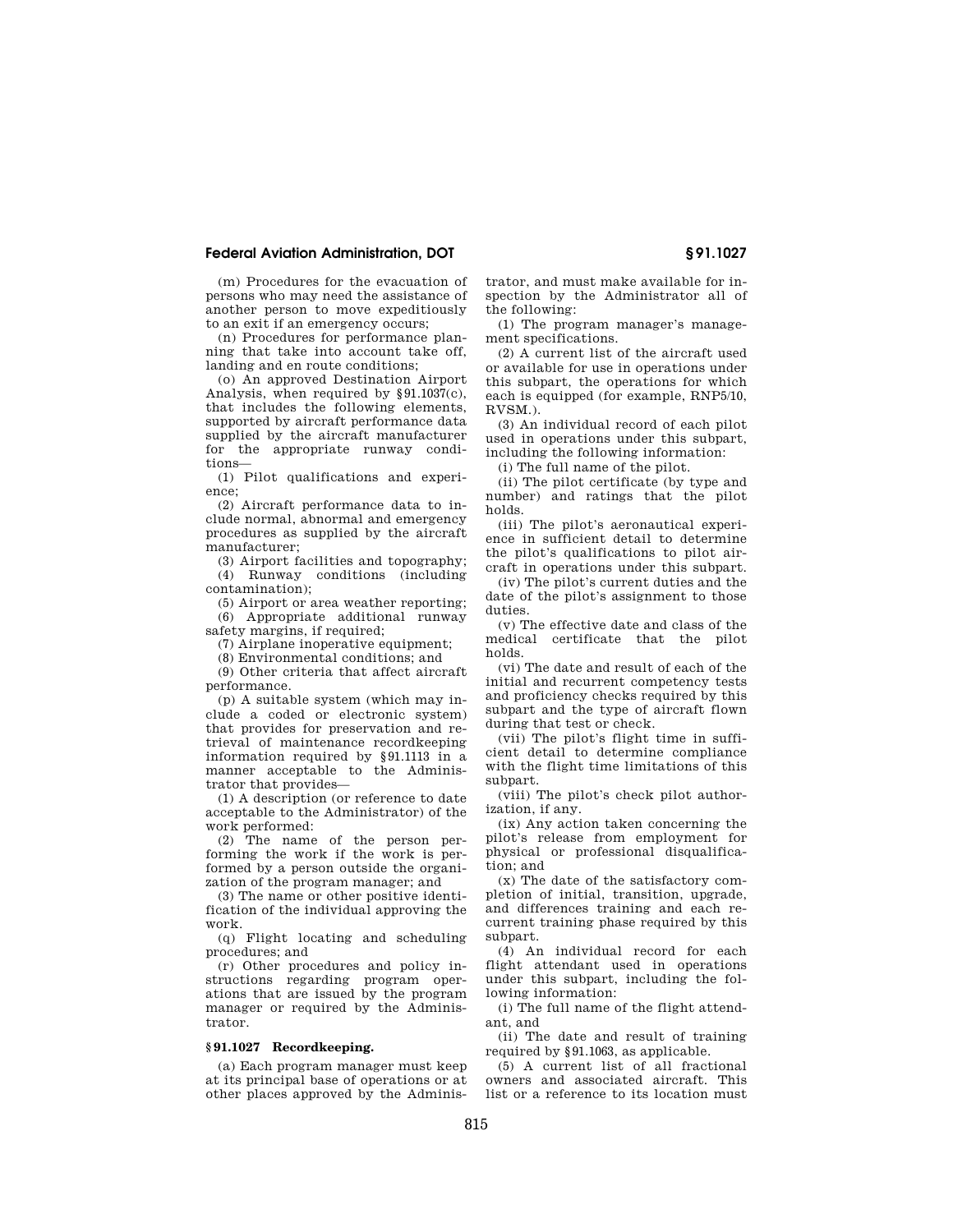(m) Procedures for the evacuation of persons who may need the assistance of another person to move expeditiously to an exit if an emergency occurs;

(n) Procedures for performance planning that take into account take off, landing and en route conditions;

(o) An approved Destination Airport Analysis, when required by §91.1037(c), that includes the following elements, supported by aircraft performance data supplied by the aircraft manufacturer for the appropriate runway conditions—

(1) Pilot qualifications and experience;

(2) Aircraft performance data to include normal, abnormal and emergency procedures as supplied by the aircraft manufacturer;

(3) Airport facilities and topography; (4) Runway conditions (including contamination);

(5) Airport or area weather reporting; (6) Appropriate additional runway safety margins, if required;

(7) Airplane inoperative equipment;

(8) Environmental conditions; and

(9) Other criteria that affect aircraft performance.

(p) A suitable system (which may include a coded or electronic system) that provides for preservation and retrieval of maintenance recordkeeping information required by §91.1113 in a manner acceptable to the Administrator that provides—

(1) A description (or reference to date acceptable to the Administrator) of the work performed:

(2) The name of the person performing the work if the work is performed by a person outside the organization of the program manager; and

(3) The name or other positive identification of the individual approving the work.

(q) Flight locating and scheduling procedures; and

(r) Other procedures and policy instructions regarding program operations that are issued by the program manager or required by the Administrator.

# **§ 91.1027 Recordkeeping.**

(a) Each program manager must keep at its principal base of operations or at other places approved by the Adminis-

trator, and must make available for inspection by the Administrator all of the following:

(1) The program manager's management specifications.

(2) A current list of the aircraft used or available for use in operations under this subpart, the operations for which each is equipped (for example, RNP5/10, RVSM.).

(3) An individual record of each pilot used in operations under this subpart, including the following information:

(i) The full name of the pilot.

(ii) The pilot certificate (by type and number) and ratings that the pilot holds.

(iii) The pilot's aeronautical experience in sufficient detail to determine the pilot's qualifications to pilot aircraft in operations under this subpart.

(iv) The pilot's current duties and the date of the pilot's assignment to those duties.

(v) The effective date and class of the medical certificate that the pilot holds.

(vi) The date and result of each of the initial and recurrent competency tests and proficiency checks required by this subpart and the type of aircraft flown during that test or check.

(vii) The pilot's flight time in sufficient detail to determine compliance with the flight time limitations of this subpart.

(viii) The pilot's check pilot authorization, if any.

(ix) Any action taken concerning the pilot's release from employment for physical or professional disqualification; and

(x) The date of the satisfactory completion of initial, transition, upgrade, and differences training and each recurrent training phase required by this subpart.

(4) An individual record for each flight attendant used in operations under this subpart, including the following information:

(i) The full name of the flight attendant, and

(ii) The date and result of training required by §91.1063, as applicable.

(5) A current list of all fractional owners and associated aircraft. This list or a reference to its location must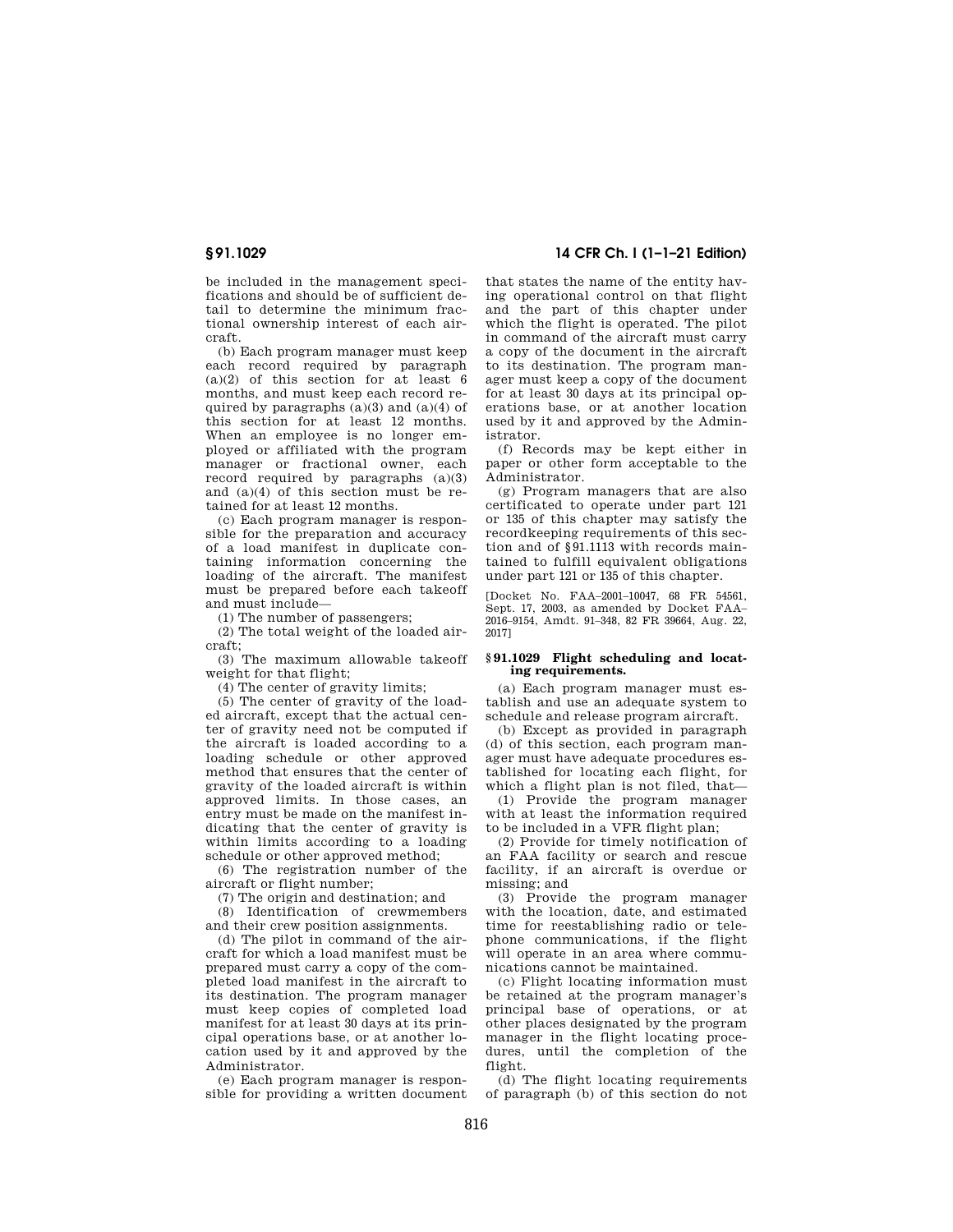be included in the management specifications and should be of sufficient detail to determine the minimum fractional ownership interest of each aircraft.

(b) Each program manager must keep each record required by paragraph  $(a)(2)$  of this section for at least 6 months, and must keep each record required by paragraphs  $(a)(3)$  and  $(a)(4)$  of this section for at least 12 months. When an employee is no longer employed or affiliated with the program manager or fractional owner, each record required by paragraphs (a)(3) and (a)(4) of this section must be retained for at least 12 months.

(c) Each program manager is responsible for the preparation and accuracy of a load manifest in duplicate containing information concerning the loading of the aircraft. The manifest must be prepared before each takeoff and must include—

(1) The number of passengers;

(2) The total weight of the loaded aircraft;

(3) The maximum allowable takeoff weight for that flight;

(4) The center of gravity limits;

(5) The center of gravity of the loaded aircraft, except that the actual center of gravity need not be computed if the aircraft is loaded according to a loading schedule or other approved method that ensures that the center of gravity of the loaded aircraft is within approved limits. In those cases, an entry must be made on the manifest indicating that the center of gravity is within limits according to a loading schedule or other approved method;

(6) The registration number of the aircraft or flight number;

(7) The origin and destination; and

(8) Identification of crewmembers and their crew position assignments.

(d) The pilot in command of the aircraft for which a load manifest must be prepared must carry a copy of the completed load manifest in the aircraft to its destination. The program manager must keep copies of completed load manifest for at least 30 days at its principal operations base, or at another location used by it and approved by the Administrator.

(e) Each program manager is responsible for providing a written document

**§ 91.1029 14 CFR Ch. I (1–1–21 Edition)** 

that states the name of the entity having operational control on that flight and the part of this chapter under which the flight is operated. The pilot in command of the aircraft must carry a copy of the document in the aircraft to its destination. The program manager must keep a copy of the document for at least 30 days at its principal operations base, or at another location used by it and approved by the Administrator.

(f) Records may be kept either in paper or other form acceptable to the Administrator.

(g) Program managers that are also certificated to operate under part 121 or 135 of this chapter may satisfy the recordkeeping requirements of this section and of §91.1113 with records maintained to fulfill equivalent obligations under part 121 or 135 of this chapter.

[Docket No. FAA–2001–10047, 68 FR 54561, Sept. 17, 2003, as amended by Docket FAA– 2016–9154, Amdt. 91–348, 82 FR 39664, Aug. 22, 2017]

# **§ 91.1029 Flight scheduling and locating requirements.**

(a) Each program manager must establish and use an adequate system to schedule and release program aircraft.

(b) Except as provided in paragraph (d) of this section, each program manager must have adequate procedures established for locating each flight, for which a flight plan is not filed, that—

(1) Provide the program manager with at least the information required to be included in a VFR flight plan;

(2) Provide for timely notification of an FAA facility or search and rescue facility, if an aircraft is overdue or missing; and

(3) Provide the program manager with the location, date, and estimated time for reestablishing radio or telephone communications, if the flight will operate in an area where communications cannot be maintained.

(c) Flight locating information must be retained at the program manager's principal base of operations, or at other places designated by the program manager in the flight locating procedures, until the completion of the flight.

(d) The flight locating requirements of paragraph (b) of this section do not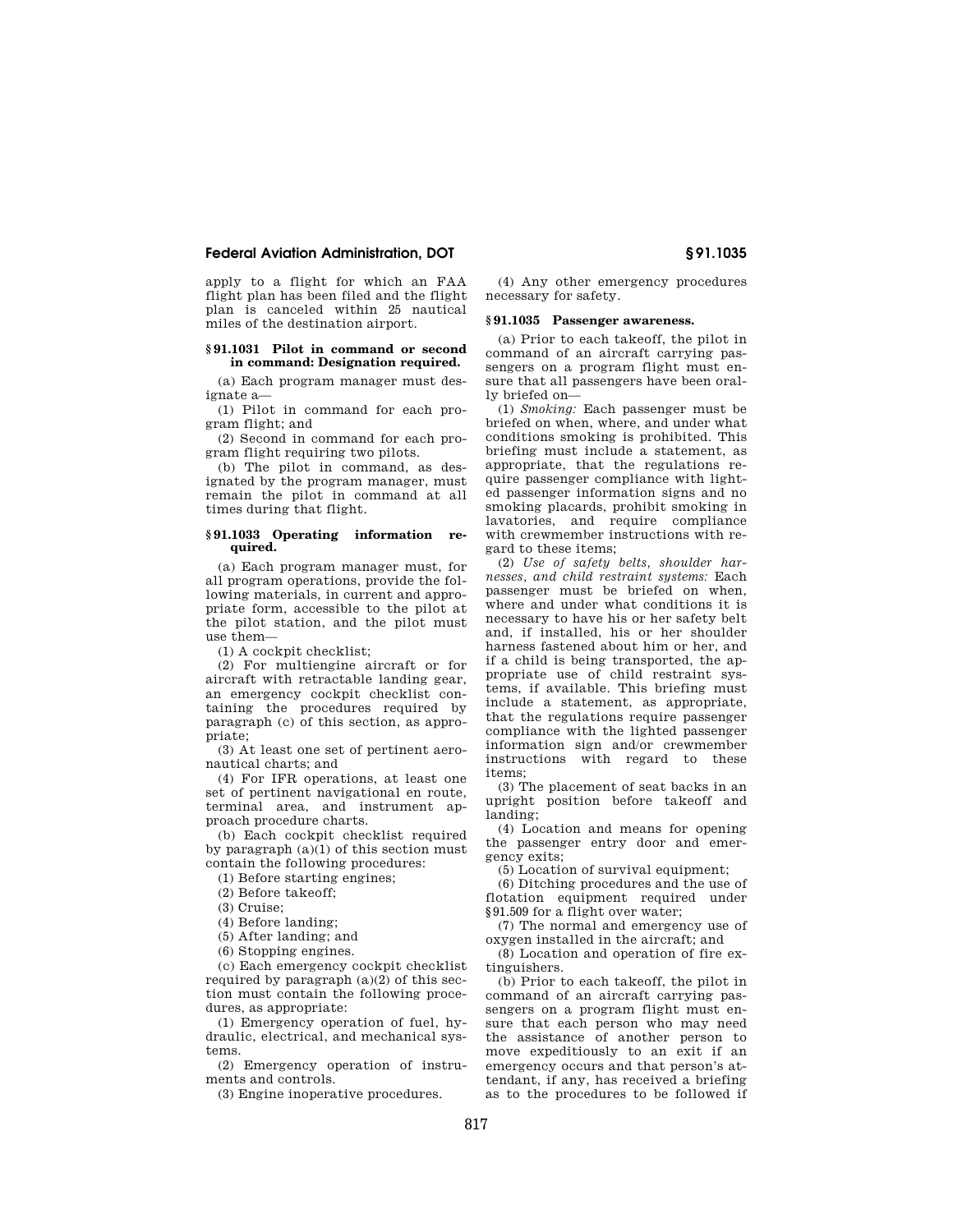apply to a flight for which an FAA flight plan has been filed and the flight plan is canceled within 25 nautical miles of the destination airport.

### **§ 91.1031 Pilot in command or second in command: Designation required.**

(a) Each program manager must designate a—

(1) Pilot in command for each program flight; and

(2) Second in command for each program flight requiring two pilots.

(b) The pilot in command, as designated by the program manager, must remain the pilot in command at all times during that flight.

#### **§ 91.1033 Operating information required.**

(a) Each program manager must, for all program operations, provide the following materials, in current and appropriate form, accessible to the pilot at the pilot station, and the pilot must use them—

(1) A cockpit checklist;

(2) For multiengine aircraft or for aircraft with retractable landing gear, an emergency cockpit checklist containing the procedures required by paragraph (c) of this section, as appropriate;

(3) At least one set of pertinent aeronautical charts; and

(4) For IFR operations, at least one set of pertinent navigational en route, terminal area, and instrument approach procedure charts.

(b) Each cockpit checklist required by paragraph  $(a)(1)$  of this section must contain the following procedures:

(1) Before starting engines;

(2) Before takeoff;

(3) Cruise;

(4) Before landing;

(5) After landing; and

(6) Stopping engines.

(c) Each emergency cockpit checklist required by paragraph  $(a)(2)$  of this section must contain the following procedures, as appropriate:

(1) Emergency operation of fuel, hydraulic, electrical, and mechanical systems.

(2) Emergency operation of instruments and controls.

(3) Engine inoperative procedures.

(4) Any other emergency procedures necessary for safety.

# **§ 91.1035 Passenger awareness.**

(a) Prior to each takeoff, the pilot in command of an aircraft carrying passengers on a program flight must ensure that all passengers have been orally briefed on—

(1) *Smoking:* Each passenger must be briefed on when, where, and under what conditions smoking is prohibited. This briefing must include a statement, as appropriate, that the regulations require passenger compliance with lighted passenger information signs and no smoking placards, prohibit smoking in lavatories, and require compliance with crewmember instructions with regard to these items;

(2) *Use of safety belts, shoulder harnesses, and child restraint systems:* Each passenger must be briefed on when, where and under what conditions it is necessary to have his or her safety belt and, if installed, his or her shoulder harness fastened about him or her, and if a child is being transported, the appropriate use of child restraint systems, if available. This briefing must include a statement, as appropriate, that the regulations require passenger compliance with the lighted passenger information sign and/or crewmember instructions with regard to these items;

(3) The placement of seat backs in an upright position before takeoff and landing;

(4) Location and means for opening the passenger entry door and emergency exits;

(5) Location of survival equipment;

(6) Ditching procedures and the use of flotation equipment required under §91.509 for a flight over water;

(7) The normal and emergency use of oxygen installed in the aircraft; and

(8) Location and operation of fire extinguishers.

(b) Prior to each takeoff, the pilot in command of an aircraft carrying passengers on a program flight must ensure that each person who may need the assistance of another person to move expeditiously to an exit if an emergency occurs and that person's attendant, if any, has received a briefing as to the procedures to be followed if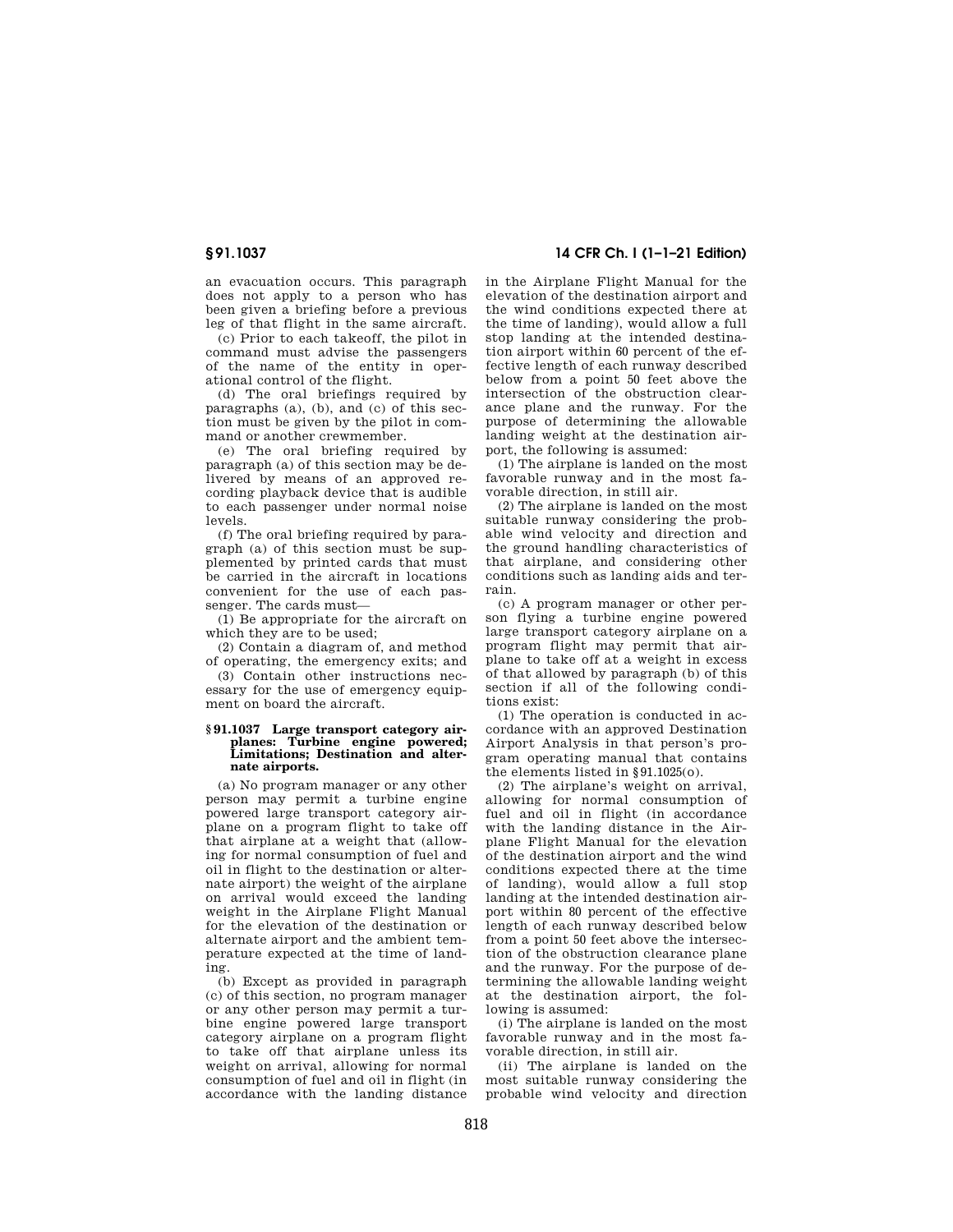an evacuation occurs. This paragraph does not apply to a person who has been given a briefing before a previous leg of that flight in the same aircraft.

(c) Prior to each takeoff, the pilot in command must advise the passengers of the name of the entity in operational control of the flight.

(d) The oral briefings required by paragraphs (a), (b), and (c) of this section must be given by the pilot in command or another crewmember.

(e) The oral briefing required by paragraph (a) of this section may be delivered by means of an approved recording playback device that is audible to each passenger under normal noise levels.

(f) The oral briefing required by paragraph (a) of this section must be supplemented by printed cards that must be carried in the aircraft in locations convenient for the use of each passenger. The cards must—

(1) Be appropriate for the aircraft on which they are to be used;

(2) Contain a diagram of, and method of operating, the emergency exits; and

(3) Contain other instructions necessary for the use of emergency equipment on board the aircraft.

#### **§ 91.1037 Large transport category airplanes: Turbine engine powered; Limitations; Destination and alternate airports.**

(a) No program manager or any other person may permit a turbine engine powered large transport category airplane on a program flight to take off that airplane at a weight that (allowing for normal consumption of fuel and oil in flight to the destination or alternate airport) the weight of the airplane on arrival would exceed the landing weight in the Airplane Flight Manual for the elevation of the destination or alternate airport and the ambient temperature expected at the time of landing.

(b) Except as provided in paragraph (c) of this section, no program manager or any other person may permit a turbine engine powered large transport category airplane on a program flight to take off that airplane unless its weight on arrival, allowing for normal consumption of fuel and oil in flight (in accordance with the landing distance

# **§ 91.1037 14 CFR Ch. I (1–1–21 Edition)**

in the Airplane Flight Manual for the elevation of the destination airport and the wind conditions expected there at the time of landing), would allow a full stop landing at the intended destination airport within 60 percent of the effective length of each runway described below from a point 50 feet above the intersection of the obstruction clearance plane and the runway. For the purpose of determining the allowable landing weight at the destination airport, the following is assumed:

(1) The airplane is landed on the most favorable runway and in the most favorable direction, in still air.

(2) The airplane is landed on the most suitable runway considering the probable wind velocity and direction and the ground handling characteristics of that airplane, and considering other conditions such as landing aids and terrain.

(c) A program manager or other person flying a turbine engine powered large transport category airplane on a program flight may permit that airplane to take off at a weight in excess of that allowed by paragraph (b) of this section if all of the following conditions exist:

(1) The operation is conducted in accordance with an approved Destination Airport Analysis in that person's program operating manual that contains the elements listed in §91.1025(o).

(2) The airplane's weight on arrival, allowing for normal consumption of fuel and oil in flight (in accordance with the landing distance in the Airplane Flight Manual for the elevation of the destination airport and the wind conditions expected there at the time of landing), would allow a full stop landing at the intended destination airport within 80 percent of the effective length of each runway described below from a point 50 feet above the intersection of the obstruction clearance plane and the runway. For the purpose of determining the allowable landing weight at the destination airport, the following is assumed:

(i) The airplane is landed on the most favorable runway and in the most favorable direction, in still air.

(ii) The airplane is landed on the most suitable runway considering the probable wind velocity and direction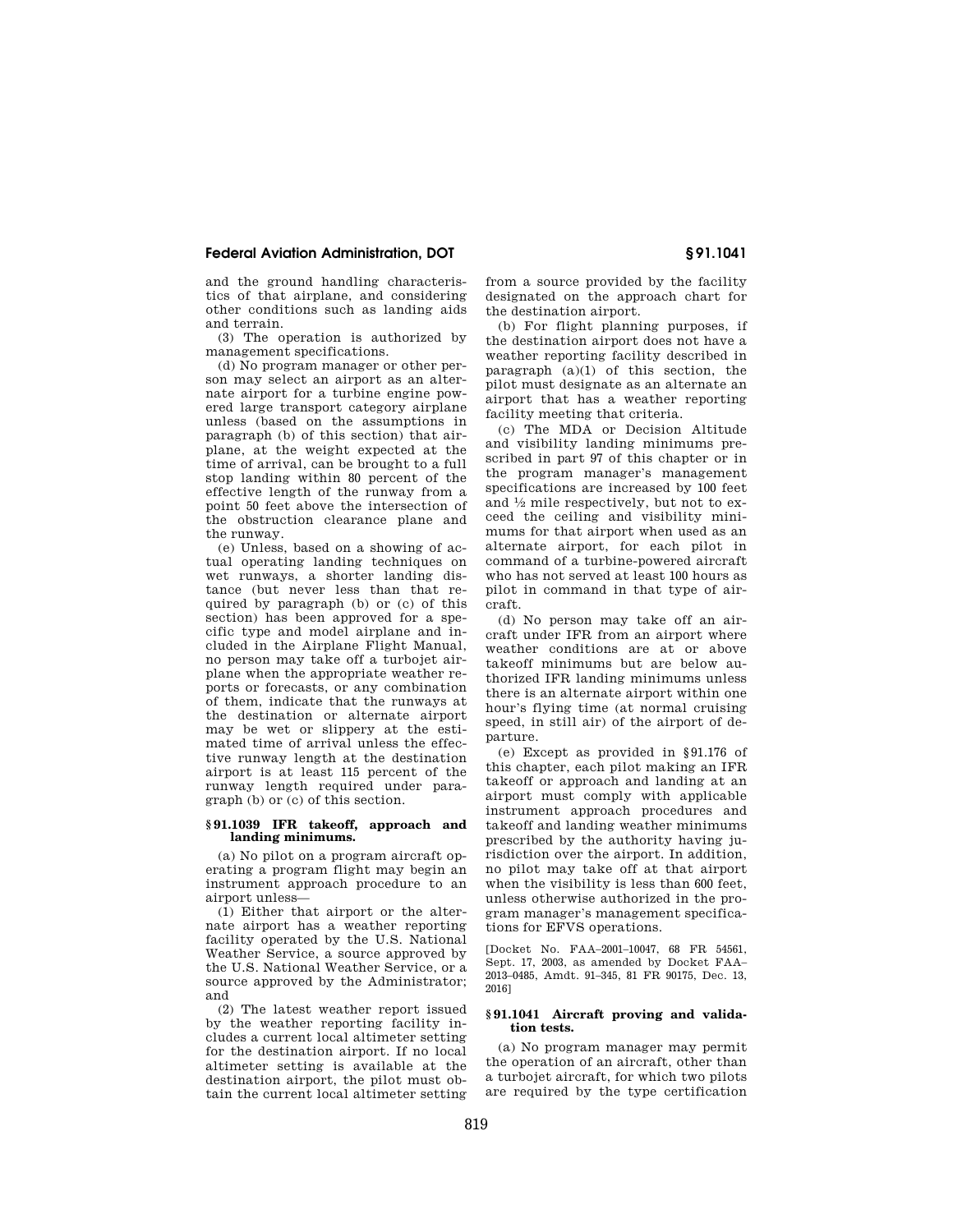and the ground handling characteristics of that airplane, and considering other conditions such as landing aids and terrain.

(3) The operation is authorized by management specifications.

(d) No program manager or other person may select an airport as an alternate airport for a turbine engine powered large transport category airplane unless (based on the assumptions in paragraph (b) of this section) that airplane, at the weight expected at the time of arrival, can be brought to a full stop landing within 80 percent of the effective length of the runway from a point 50 feet above the intersection of the obstruction clearance plane and the runway.

(e) Unless, based on a showing of actual operating landing techniques on wet runways, a shorter landing distance (but never less than that required by paragraph (b) or (c) of this section) has been approved for a specific type and model airplane and included in the Airplane Flight Manual, no person may take off a turbojet airplane when the appropriate weather reports or forecasts, or any combination of them, indicate that the runways at the destination or alternate airport may be wet or slippery at the estimated time of arrival unless the effective runway length at the destination airport is at least 115 percent of the runway length required under paragraph (b) or (c) of this section.

#### **§ 91.1039 IFR takeoff, approach and landing minimums.**

(a) No pilot on a program aircraft operating a program flight may begin an instrument approach procedure to an airport unless—

(1) Either that airport or the alternate airport has a weather reporting facility operated by the U.S. National Weather Service, a source approved by the U.S. National Weather Service, or a source approved by the Administrator; and

(2) The latest weather report issued by the weather reporting facility includes a current local altimeter setting for the destination airport. If no local altimeter setting is available at the destination airport, the pilot must obtain the current local altimeter setting from a source provided by the facility designated on the approach chart for the destination airport.

(b) For flight planning purposes, if the destination airport does not have a weather reporting facility described in paragraph  $(a)(1)$  of this section, the pilot must designate as an alternate an airport that has a weather reporting facility meeting that criteria.

(c) The MDA or Decision Altitude and visibility landing minimums prescribed in part 97 of this chapter or in the program manager's management specifications are increased by 100 feet and  $\frac{1}{2}$  mile respectively, but not to exceed the ceiling and visibility minimums for that airport when used as an alternate airport, for each pilot in command of a turbine-powered aircraft who has not served at least 100 hours as pilot in command in that type of aircraft.

(d) No person may take off an aircraft under IFR from an airport where weather conditions are at or above takeoff minimums but are below authorized IFR landing minimums unless there is an alternate airport within one hour's flying time (at normal cruising speed, in still air) of the airport of departure.

(e) Except as provided in §91.176 of this chapter, each pilot making an IFR takeoff or approach and landing at an airport must comply with applicable instrument approach procedures and takeoff and landing weather minimums prescribed by the authority having jurisdiction over the airport. In addition, no pilot may take off at that airport when the visibility is less than 600 feet, unless otherwise authorized in the program manager's management specifications for EFVS operations.

[Docket No. FAA–2001–10047, 68 FR 54561, Sept. 17, 2003, as amended by Docket FAA– 2013–0485, Amdt. 91–345, 81 FR 90175, Dec. 13, 2016]

## **§ 91.1041 Aircraft proving and validation tests.**

(a) No program manager may permit the operation of an aircraft, other than a turbojet aircraft, for which two pilots are required by the type certification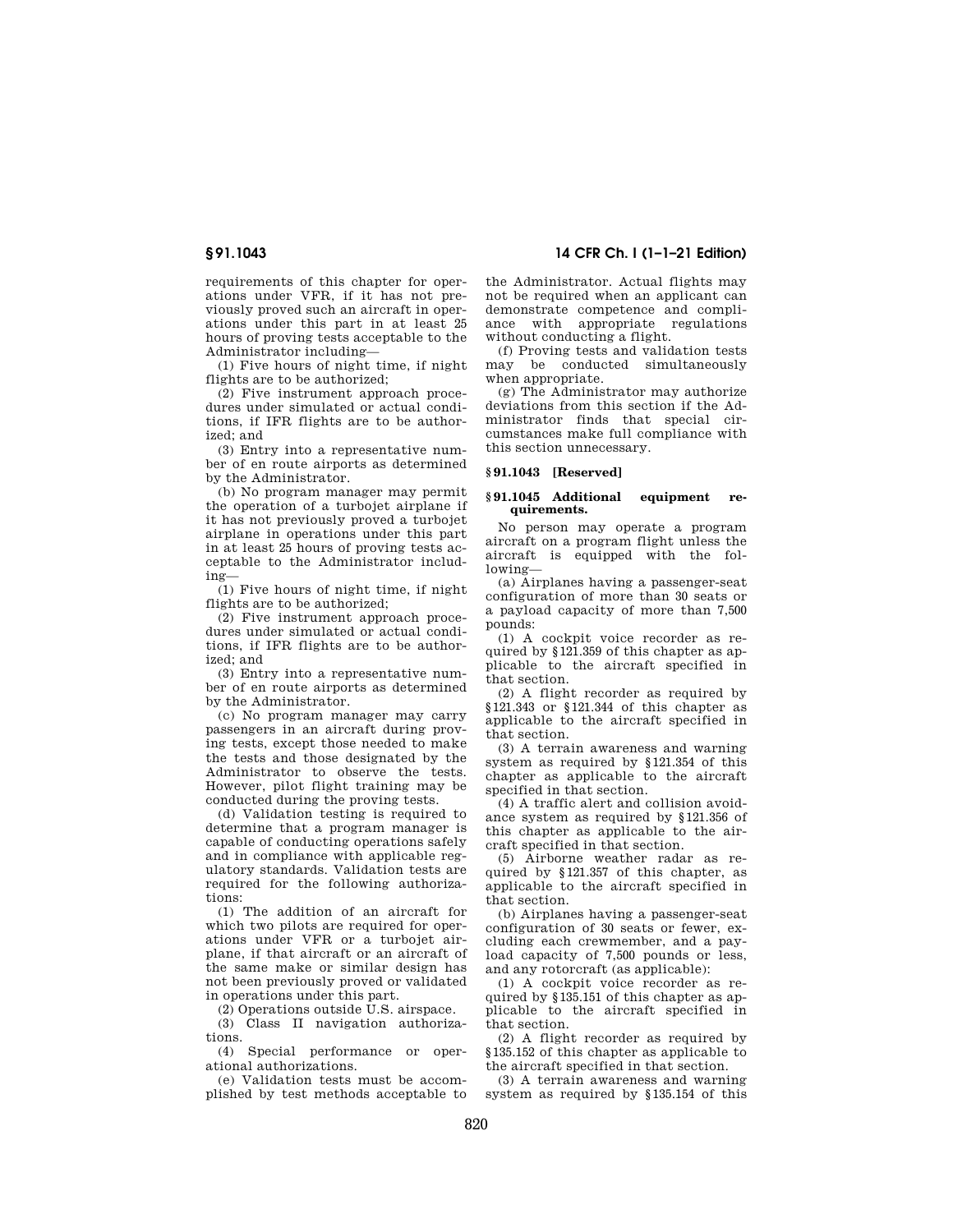requirements of this chapter for operations under VFR, if it has not previously proved such an aircraft in operations under this part in at least 25 hours of proving tests acceptable to the Administrator including—

(1) Five hours of night time, if night flights are to be authorized;

(2) Five instrument approach procedures under simulated or actual conditions, if IFR flights are to be authorized; and

(3) Entry into a representative number of en route airports as determined by the Administrator.

(b) No program manager may permit the operation of a turbojet airplane if it has not previously proved a turbojet airplane in operations under this part in at least 25 hours of proving tests acceptable to the Administrator including—

(1) Five hours of night time, if night flights are to be authorized;

(2) Five instrument approach procedures under simulated or actual conditions, if IFR flights are to be authorized; and

(3) Entry into a representative number of en route airports as determined by the Administrator.

(c) No program manager may carry passengers in an aircraft during proving tests, except those needed to make the tests and those designated by the Administrator to observe the tests. However, pilot flight training may be conducted during the proving tests.

(d) Validation testing is required to determine that a program manager is capable of conducting operations safely and in compliance with applicable regulatory standards. Validation tests are required for the following authorizations:

(1) The addition of an aircraft for which two pilots are required for operations under VFR or a turbojet airplane, if that aircraft or an aircraft of the same make or similar design has not been previously proved or validated in operations under this part.

(2) Operations outside U.S. airspace.

(3) Class II navigation authorizations.

(4) Special performance or operational authorizations.

(e) Validation tests must be accomplished by test methods acceptable to

**§ 91.1043 14 CFR Ch. I (1–1–21 Edition)** 

the Administrator. Actual flights may not be required when an applicant can demonstrate competence and compliance with appropriate regulations without conducting a flight.

(f) Proving tests and validation tests may be conducted simultaneously when appropriate.

(g) The Administrator may authorize deviations from this section if the Administrator finds that special circumstances make full compliance with this section unnecessary.

### **§ 91.1043 [Reserved]**

#### **§ 91.1045 Additional equipment requirements.**

No person may operate a program aircraft on a program flight unless the aircraft is equipped with the following—

(a) Airplanes having a passenger-seat configuration of more than 30 seats or a payload capacity of more than 7,500 pounds:

(1) A cockpit voice recorder as required by §121.359 of this chapter as applicable to the aircraft specified in that section.

(2) A flight recorder as required by §121.343 or §121.344 of this chapter as applicable to the aircraft specified in that section.

(3) A terrain awareness and warning system as required by §121.354 of this chapter as applicable to the aircraft specified in that section.

(4) A traffic alert and collision avoidance system as required by §121.356 of this chapter as applicable to the aircraft specified in that section.

(5) Airborne weather radar as required by §121.357 of this chapter, as applicable to the aircraft specified in that section.

(b) Airplanes having a passenger-seat configuration of 30 seats or fewer, excluding each crewmember, and a payload capacity of 7,500 pounds or less, and any rotorcraft (as applicable):

(1) A cockpit voice recorder as required by §135.151 of this chapter as applicable to the aircraft specified in that section.

(2) A flight recorder as required by §135.152 of this chapter as applicable to the aircraft specified in that section.

(3) A terrain awareness and warning system as required by §135.154 of this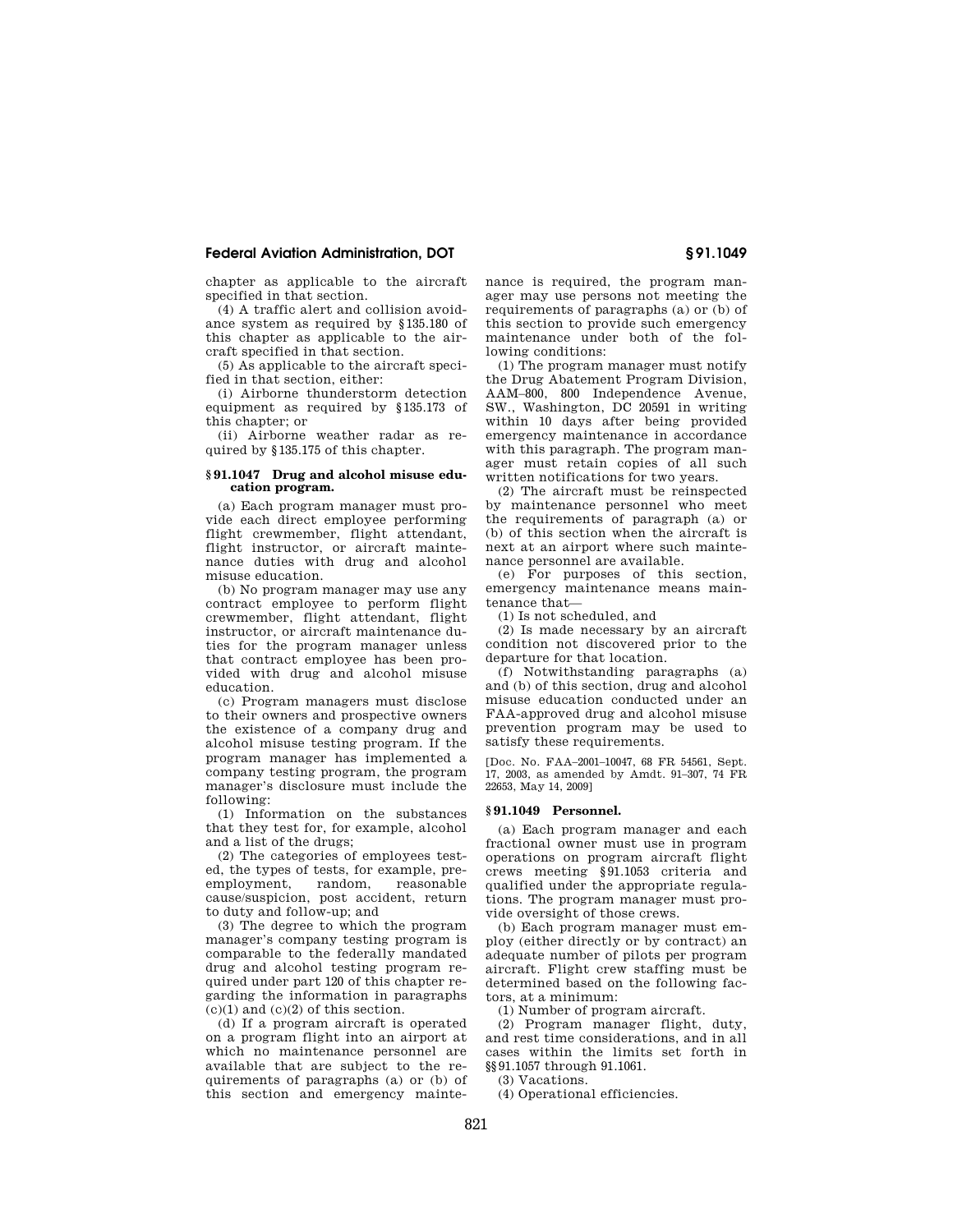chapter as applicable to the aircraft specified in that section.

(4) A traffic alert and collision avoidance system as required by §135.180 of this chapter as applicable to the aircraft specified in that section.

(5) As applicable to the aircraft specified in that section, either:

(i) Airborne thunderstorm detection equipment as required by §135.173 of this chapter; or

(ii) Airborne weather radar as required by §135.175 of this chapter.

#### **§ 91.1047 Drug and alcohol misuse education program.**

(a) Each program manager must provide each direct employee performing flight crewmember, flight attendant, flight instructor, or aircraft maintenance duties with drug and alcohol misuse education.

(b) No program manager may use any contract employee to perform flight crewmember, flight attendant, flight instructor, or aircraft maintenance duties for the program manager unless that contract employee has been provided with drug and alcohol misuse education.

(c) Program managers must disclose to their owners and prospective owners the existence of a company drug and alcohol misuse testing program. If the program manager has implemented a company testing program, the program manager's disclosure must include the following:

(1) Information on the substances that they test for, for example, alcohol and a list of the drugs;

(2) The categories of employees tested, the types of tests, for example, pre-<br>employment, random, reasonable employment, random, cause/suspicion, post accident, return to duty and follow-up; and

(3) The degree to which the program manager's company testing program is comparable to the federally mandated drug and alcohol testing program required under part 120 of this chapter regarding the information in paragraphs  $(c)(1)$  and  $(c)(2)$  of this section.

(d) If a program aircraft is operated on a program flight into an airport at which no maintenance personnel are available that are subject to the requirements of paragraphs (a) or (b) of this section and emergency maintenance is required, the program manager may use persons not meeting the requirements of paragraphs (a) or (b) of this section to provide such emergency maintenance under both of the following conditions:

(1) The program manager must notify the Drug Abatement Program Division, AAM–800, 800 Independence Avenue, SW., Washington, DC 20591 in writing within 10 days after being provided emergency maintenance in accordance with this paragraph. The program manager must retain copies of all such written notifications for two years.

(2) The aircraft must be reinspected by maintenance personnel who meet the requirements of paragraph (a) or (b) of this section when the aircraft is next at an airport where such maintenance personnel are available.

(e) For purposes of this section, emergency maintenance means maintenance that—

(1) Is not scheduled, and

(2) Is made necessary by an aircraft condition not discovered prior to the departure for that location.

(f) Notwithstanding paragraphs (a) and (b) of this section, drug and alcohol misuse education conducted under an FAA-approved drug and alcohol misuse prevention program may be used to satisfy these requirements.

[Doc. No. FAA–2001–10047, 68 FR 54561, Sept. 17, 2003, as amended by Amdt. 91–307, 74 FR 22653, May 14, 2009]

# **§ 91.1049 Personnel.**

(a) Each program manager and each fractional owner must use in program operations on program aircraft flight crews meeting §91.1053 criteria and qualified under the appropriate regulations. The program manager must provide oversight of those crews.

(b) Each program manager must employ (either directly or by contract) an adequate number of pilots per program aircraft. Flight crew staffing must be determined based on the following factors, at a minimum:

(1) Number of program aircraft.

(2) Program manager flight, duty, and rest time considerations, and in all cases within the limits set forth in §§91.1057 through 91.1061.

(3) Vacations.

(4) Operational efficiencies.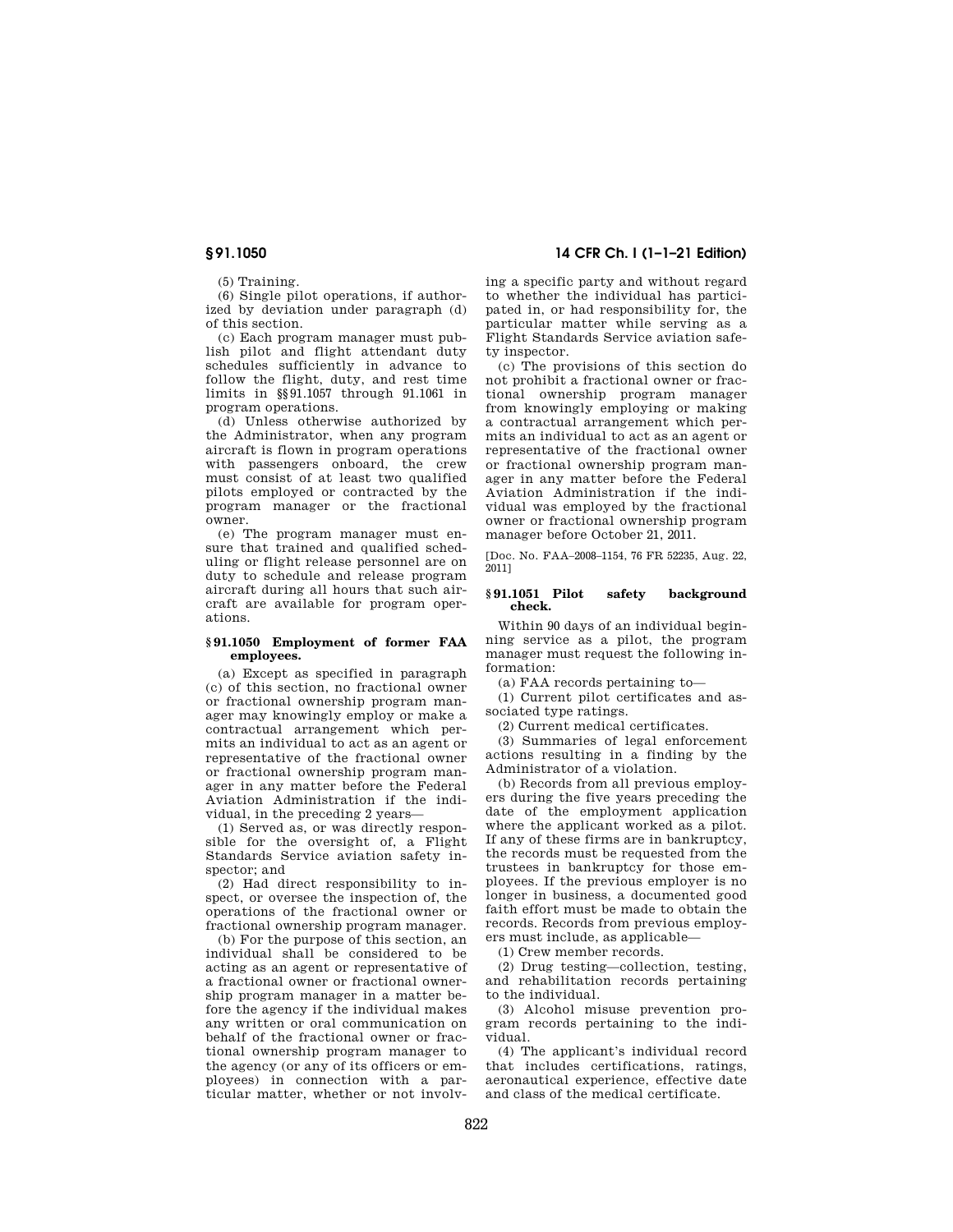(5) Training.

(6) Single pilot operations, if authorized by deviation under paragraph (d) of this section.

(c) Each program manager must publish pilot and flight attendant duty schedules sufficiently in advance to follow the flight, duty, and rest time limits in §§91.1057 through 91.1061 in program operations.

(d) Unless otherwise authorized by the Administrator, when any program aircraft is flown in program operations with passengers onboard, the crew must consist of at least two qualified pilots employed or contracted by the program manager or the fractional owner.

(e) The program manager must ensure that trained and qualified scheduling or flight release personnel are on duty to schedule and release program aircraft during all hours that such aircraft are available for program operations.

#### **§ 91.1050 Employment of former FAA employees.**

(a) Except as specified in paragraph (c) of this section, no fractional owner or fractional ownership program manager may knowingly employ or make a contractual arrangement which permits an individual to act as an agent or representative of the fractional owner or fractional ownership program manager in any matter before the Federal Aviation Administration if the individual, in the preceding 2 years—

(1) Served as, or was directly responsible for the oversight of, a Flight Standards Service aviation safety inspector; and

(2) Had direct responsibility to inspect, or oversee the inspection of, the operations of the fractional owner or fractional ownership program manager.

(b) For the purpose of this section, an individual shall be considered to be acting as an agent or representative of a fractional owner or fractional ownership program manager in a matter before the agency if the individual makes any written or oral communication on behalf of the fractional owner or fractional ownership program manager to the agency (or any of its officers or employees) in connection with a particular matter, whether or not involv-

# **§ 91.1050 14 CFR Ch. I (1–1–21 Edition)**

ing a specific party and without regard to whether the individual has participated in, or had responsibility for, the particular matter while serving as a Flight Standards Service aviation safety inspector.

(c) The provisions of this section do not prohibit a fractional owner or fractional ownership program manager from knowingly employing or making a contractual arrangement which permits an individual to act as an agent or representative of the fractional owner or fractional ownership program manager in any matter before the Federal Aviation Administration if the individual was employed by the fractional owner or fractional ownership program manager before October 21, 2011.

[Doc. No. FAA–2008–1154, 76 FR 52235, Aug. 22, 2011]

#### **§ 91.1051 Pilot safety background check.**

Within 90 days of an individual beginning service as a pilot, the program manager must request the following information:

(a) FAA records pertaining to—

(1) Current pilot certificates and associated type ratings.

(2) Current medical certificates.

(3) Summaries of legal enforcement actions resulting in a finding by the Administrator of a violation.

(b) Records from all previous employers during the five years preceding the date of the employment application where the applicant worked as a pilot. If any of these firms are in bankruptcy, the records must be requested from the trustees in bankruptcy for those employees. If the previous employer is no longer in business, a documented good faith effort must be made to obtain the records. Records from previous employers must include, as applicable—

(1) Crew member records.

(2) Drug testing—collection, testing, and rehabilitation records pertaining to the individual.

(3) Alcohol misuse prevention program records pertaining to the individual.

(4) The applicant's individual record that includes certifications, ratings, aeronautical experience, effective date and class of the medical certificate.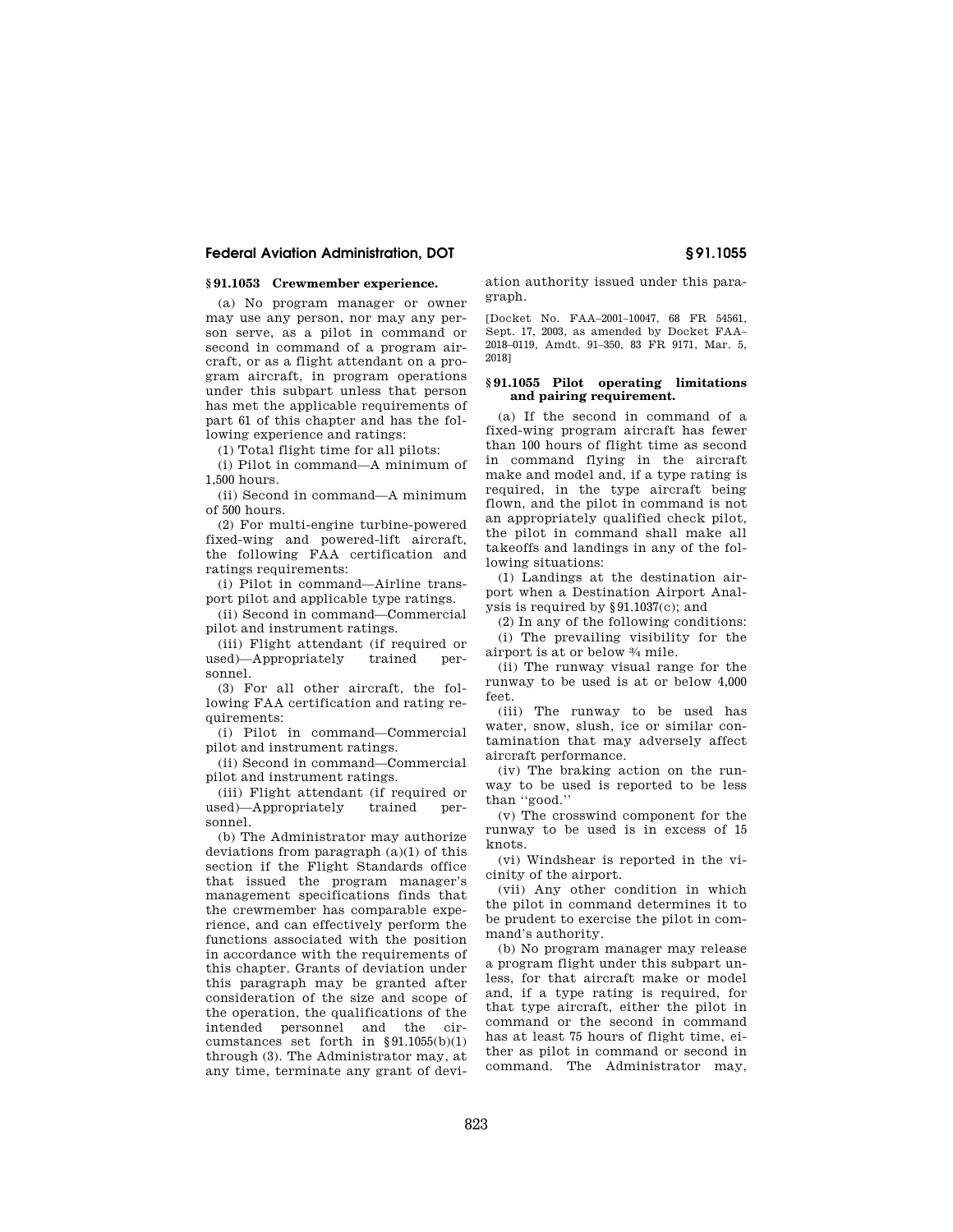# **§ 91.1053 Crewmember experience.**

(a) No program manager or owner may use any person, nor may any person serve, as a pilot in command or second in command of a program aircraft, or as a flight attendant on a program aircraft, in program operations under this subpart unless that person has met the applicable requirements of part 61 of this chapter and has the following experience and ratings:

(1) Total flight time for all pilots:

(i) Pilot in command—A minimum of 1,500 hours.

(ii) Second in command—A minimum of 500 hours.

(2) For multi-engine turbine-powered fixed-wing and powered-lift aircraft, the following FAA certification and ratings requirements:

(i) Pilot in command—Airline transport pilot and applicable type ratings.

(ii) Second in command—Commercial pilot and instrument ratings.

(iii) Flight attendant (if required or used)—Appropriately trained personnel.

(3) For all other aircraft, the following FAA certification and rating requirements:

(i) Pilot in command—Commercial pilot and instrument ratings.

(ii) Second in command—Commercial pilot and instrument ratings.

(iii) Flight attendant (if required or used)—Appropriately trained personnel.

(b) The Administrator may authorize deviations from paragraph (a)(1) of this section if the Flight Standards office that issued the program manager's management specifications finds that the crewmember has comparable experience, and can effectively perform the functions associated with the position in accordance with the requirements of this chapter. Grants of deviation under this paragraph may be granted after consideration of the size and scope of the operation, the qualifications of the intended personnel and the circumstances set forth in §91.1055(b)(1) through (3). The Administrator may, at any time, terminate any grant of deviation authority issued under this paragraph.

[Docket No. FAA–2001–10047, 68 FR 54561, Sept. 17, 2003, as amended by Docket FAA– 2018–0119, Amdt. 91–350, 83 FR 9171, Mar. 5, 2018]

## **§ 91.1055 Pilot operating limitations and pairing requirement.**

(a) If the second in command of a fixed-wing program aircraft has fewer than 100 hours of flight time as second in command flying in the aircraft make and model and, if a type rating is required, in the type aircraft being flown, and the pilot in command is not an appropriately qualified check pilot, the pilot in command shall make all takeoffs and landings in any of the following situations:

(1) Landings at the destination airport when a Destination Airport Analysis is required by §91.1037(c); and

(2) In any of the following conditions:

(i) The prevailing visibility for the airport is at or below 3⁄4 mile.

(ii) The runway visual range for the runway to be used is at or below 4,000 feet.

(iii) The runway to be used has water, snow, slush, ice or similar contamination that may adversely affect aircraft performance.

(iv) The braking action on the runway to be used is reported to be less than ''good.''

(v) The crosswind component for the runway to be used is in excess of 15 knots.

(vi) Windshear is reported in the vicinity of the airport.

(vii) Any other condition in which the pilot in command determines it to be prudent to exercise the pilot in command's authority.

(b) No program manager may release a program flight under this subpart unless, for that aircraft make or model and, if a type rating is required, for that type aircraft, either the pilot in command or the second in command has at least 75 hours of flight time, either as pilot in command or second in command. The Administrator may,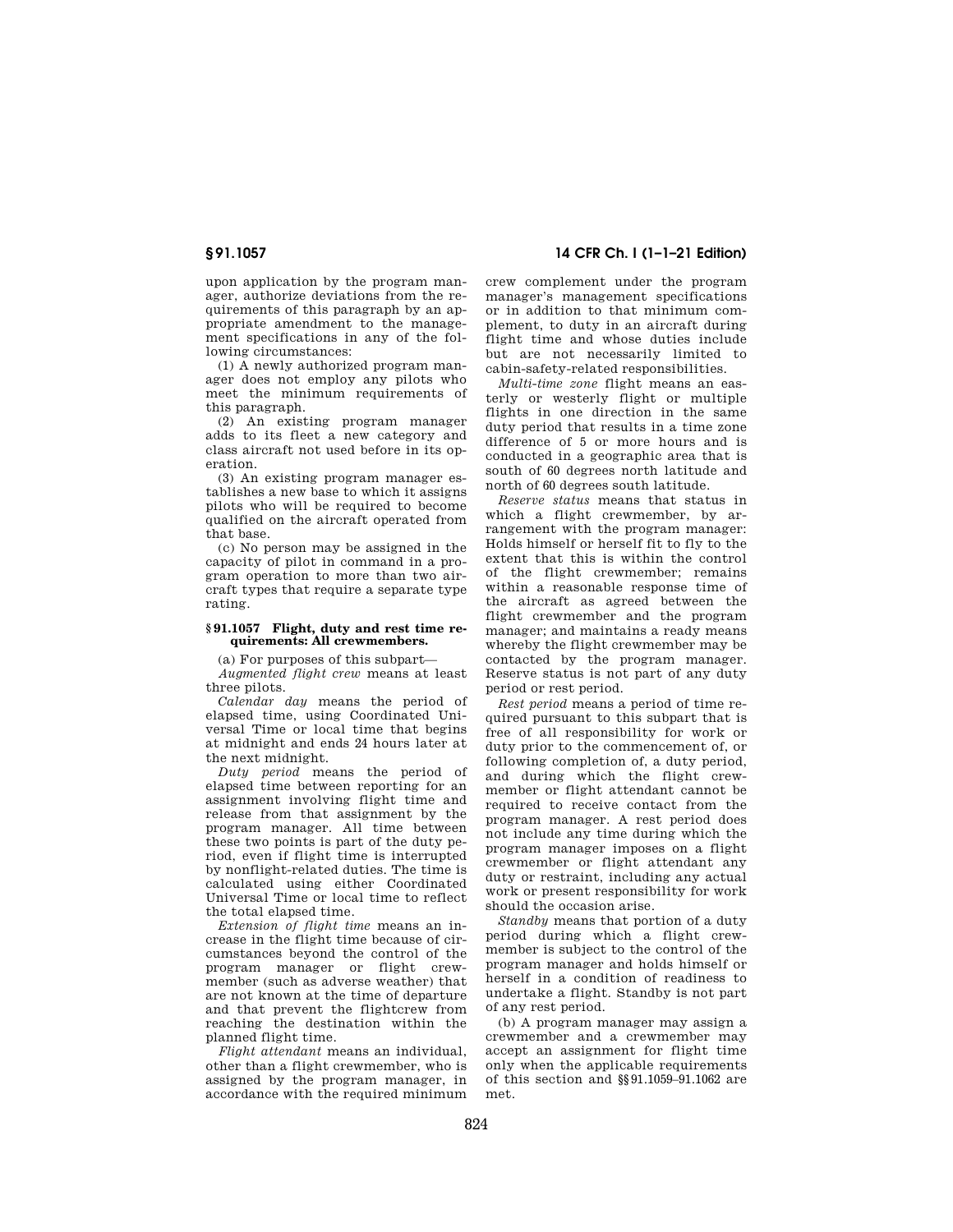upon application by the program manager, authorize deviations from the requirements of this paragraph by an appropriate amendment to the management specifications in any of the following circumstances:

(1) A newly authorized program manager does not employ any pilots who meet the minimum requirements of this paragraph.

(2) An existing program manager adds to its fleet a new category and class aircraft not used before in its operation.

(3) An existing program manager establishes a new base to which it assigns pilots who will be required to become qualified on the aircraft operated from that base.

(c) No person may be assigned in the capacity of pilot in command in a program operation to more than two aircraft types that require a separate type rating.

## **§ 91.1057 Flight, duty and rest time requirements: All crewmembers.**

(a) For purposes of this subpart—

*Augmented flight crew* means at least three pilots.

*Calendar day* means the period of elapsed time, using Coordinated Universal Time or local time that begins at midnight and ends 24 hours later at the next midnight.

*Duty period* means the period of elapsed time between reporting for an assignment involving flight time and release from that assignment by the program manager. All time between these two points is part of the duty period, even if flight time is interrupted by nonflight-related duties. The time is calculated using either Coordinated Universal Time or local time to reflect the total elapsed time.

*Extension of flight time* means an increase in the flight time because of circumstances beyond the control of the program manager or flight crewmember (such as adverse weather) that are not known at the time of departure and that prevent the flightcrew from reaching the destination within the planned flight time.

*Flight attendant* means an individual, other than a flight crewmember, who is assigned by the program manager, in accordance with the required minimum

**§ 91.1057 14 CFR Ch. I (1–1–21 Edition)** 

crew complement under the program manager's management specifications or in addition to that minimum complement, to duty in an aircraft during flight time and whose duties include but are not necessarily limited to cabin-safety-related responsibilities.

*Multi-time zone* flight means an easterly or westerly flight or multiple flights in one direction in the same duty period that results in a time zone difference of 5 or more hours and is conducted in a geographic area that is south of 60 degrees north latitude and north of 60 degrees south latitude.

*Reserve status* means that status in which a flight crewmember, by arrangement with the program manager: Holds himself or herself fit to fly to the extent that this is within the control of the flight crewmember; remains within a reasonable response time of the aircraft as agreed between the flight crewmember and the program manager; and maintains a ready means whereby the flight crewmember may be contacted by the program manager. Reserve status is not part of any duty period or rest period.

*Rest period* means a period of time required pursuant to this subpart that is free of all responsibility for work or duty prior to the commencement of, or following completion of, a duty period, and during which the flight crewmember or flight attendant cannot be required to receive contact from the program manager. A rest period does not include any time during which the program manager imposes on a flight crewmember or flight attendant any duty or restraint, including any actual work or present responsibility for work should the occasion arise.

*Standby* means that portion of a duty period during which a flight crewmember is subject to the control of the program manager and holds himself or herself in a condition of readiness to undertake a flight. Standby is not part of any rest period.

(b) A program manager may assign a crewmember and a crewmember may accept an assignment for flight time only when the applicable requirements of this section and §§91.1059–91.1062 are met.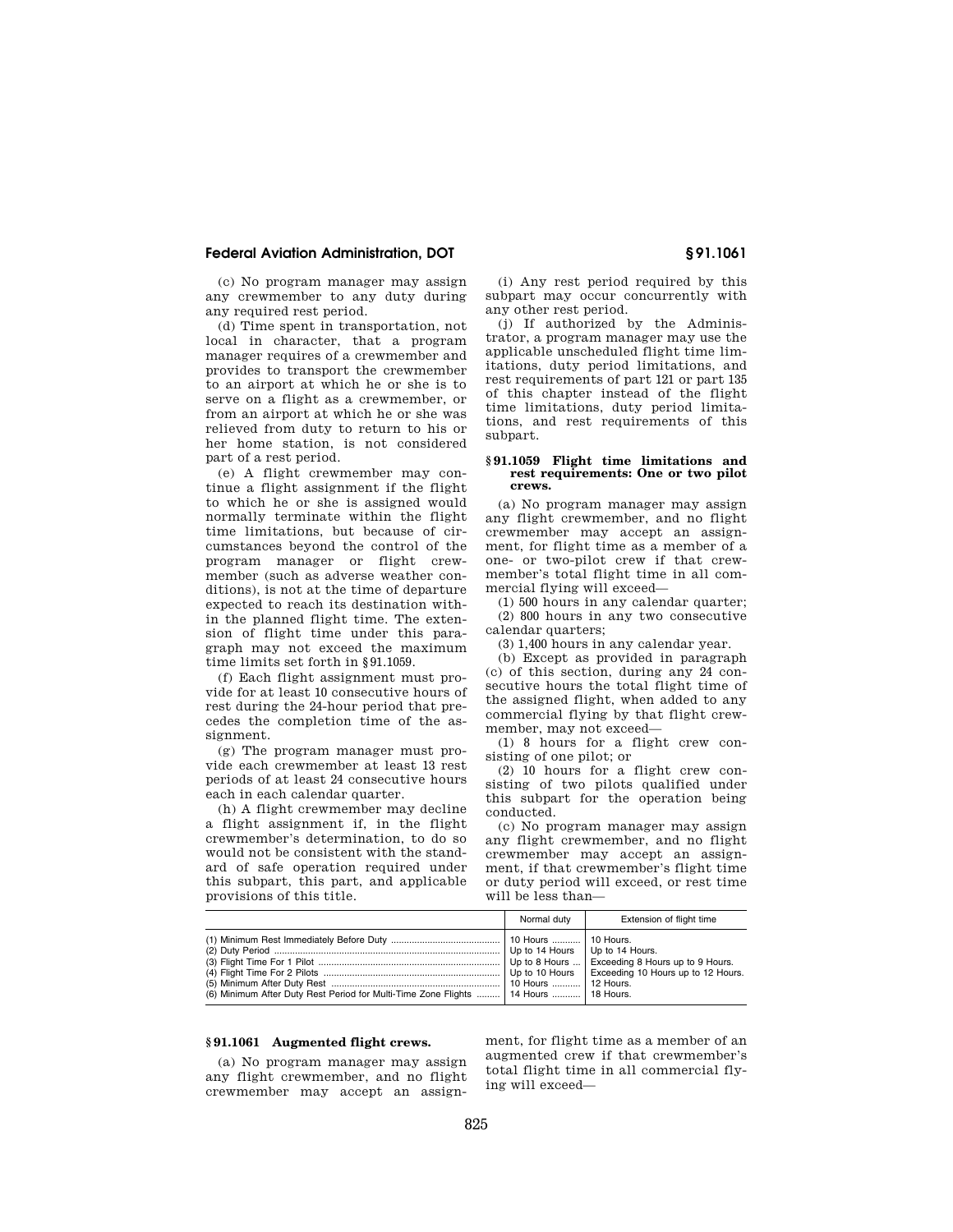(c) No program manager may assign any crewmember to any duty during any required rest period.

(d) Time spent in transportation, not local in character, that a program manager requires of a crewmember and provides to transport the crewmember to an airport at which he or she is to serve on a flight as a crewmember, or from an airport at which he or she was relieved from duty to return to his or her home station, is not considered part of a rest period.

(e) A flight crewmember may continue a flight assignment if the flight to which he or she is assigned would normally terminate within the flight time limitations, but because of circumstances beyond the control of the program manager or flight crewmember (such as adverse weather conditions), is not at the time of departure expected to reach its destination within the planned flight time. The extension of flight time under this paragraph may not exceed the maximum time limits set forth in §91.1059.

(f) Each flight assignment must provide for at least 10 consecutive hours of rest during the 24-hour period that precedes the completion time of the assignment.

(g) The program manager must provide each crewmember at least 13 rest periods of at least 24 consecutive hours each in each calendar quarter.

(h) A flight crewmember may decline a flight assignment if, in the flight crewmember's determination, to do so would not be consistent with the standard of safe operation required under this subpart, this part, and applicable provisions of this title.

(i) Any rest period required by this subpart may occur concurrently with any other rest period.

(j) If authorized by the Administrator, a program manager may use the applicable unscheduled flight time limitations, duty period limitations, and rest requirements of part 121 or part 135 of this chapter instead of the flight time limitations, duty period limitations, and rest requirements of this subpart.

#### **§ 91.1059 Flight time limitations and rest requirements: One or two pilot crews.**

(a) No program manager may assign any flight crewmember, and no flight crewmember may accept an assignment, for flight time as a member of a one- or two-pilot crew if that crewmember's total flight time in all commercial flying will exceed—

(1) 500 hours in any calendar quarter; (2) 800 hours in any two consecutive calendar quarters;

(3) 1,400 hours in any calendar year.

(b) Except as provided in paragraph (c) of this section, during any 24 consecutive hours the total flight time of the assigned flight, when added to any commercial flying by that flight crewmember, may not exceed—

(1) 8 hours for a flight crew consisting of one pilot; or

(2) 10 hours for a flight crew consisting of two pilots qualified under this subpart for the operation being conducted.

(c) No program manager may assign any flight crewmember, and no flight crewmember may accept an assignment, if that crewmember's flight time or duty period will exceed, or rest time will be less than—

|                                                                                     | Normal duty    | Extension of flight time                                           |
|-------------------------------------------------------------------------------------|----------------|--------------------------------------------------------------------|
| (6) Minimum After Duty Rest Period for Multi-Time Zone Flights  14 Hours  18 Hours. | Up to 14 Hours | 10 Hours.<br>Up to 14 Hours.<br>Exceeding 10 Hours up to 12 Hours. |

## **§ 91.1061 Augmented flight crews.**

(a) No program manager may assign any flight crewmember, and no flight crewmember may accept an assignment, for flight time as a member of an augmented crew if that crewmember's total flight time in all commercial flying will exceed—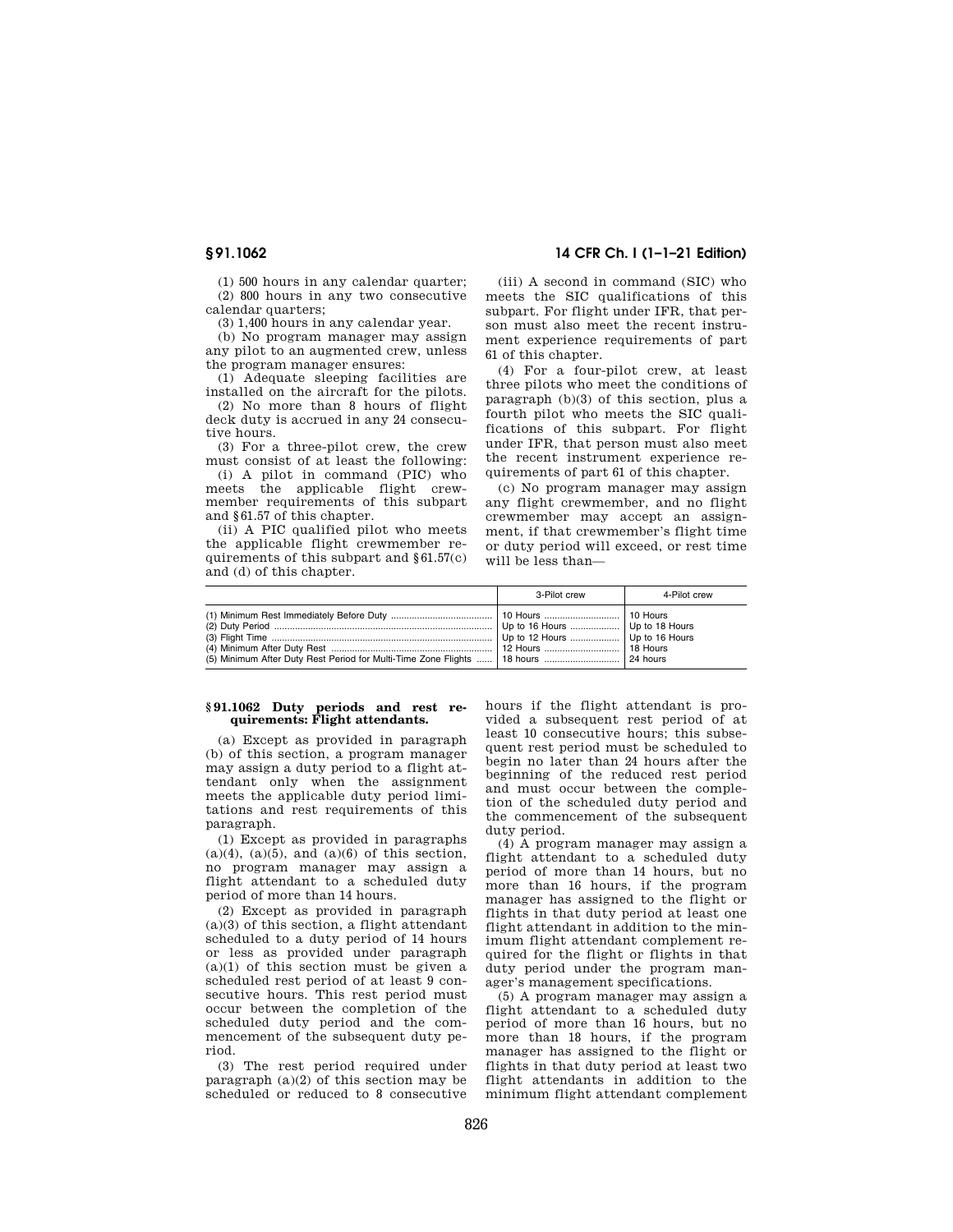(1) 500 hours in any calendar quarter; (2) 800 hours in any two consecutive calendar quarters;

(3) 1,400 hours in any calendar year.

(b) No program manager may assign any pilot to an augmented crew, unless the program manager ensures:

(1) Adequate sleeping facilities are installed on the aircraft for the pilots.

(2) No more than 8 hours of flight deck duty is accrued in any 24 consecutive hours.

(3) For a three-pilot crew, the crew must consist of at least the following:

(i) A pilot in command (PIC) who meets the applicable flight crewmember requirements of this subpart and §61.57 of this chapter.

(ii) A PIC qualified pilot who meets the applicable flight crewmember requirements of this subpart and §61.57(c) and (d) of this chapter.

# **§ 91.1062 14 CFR Ch. I (1–1–21 Edition)**

(iii) A second in command (SIC) who meets the SIC qualifications of this subpart. For flight under IFR, that person must also meet the recent instrument experience requirements of part 61 of this chapter.

(4) For a four-pilot crew, at least three pilots who meet the conditions of paragraph (b)(3) of this section, plus a fourth pilot who meets the SIC qualifications of this subpart. For flight under IFR, that person must also meet the recent instrument experience requirements of part 61 of this chapter.

(c) No program manager may assign any flight crewmember, and no flight crewmember may accept an assignment, if that crewmember's flight time or duty period will exceed, or rest time will be less than—

| 3-Pilot crew | 4-Pilot crew |
|--------------|--------------|
|              |              |

## **§ 91.1062 Duty periods and rest requirements: Flight attendants.**

(a) Except as provided in paragraph (b) of this section, a program manager may assign a duty period to a flight attendant only when the assignment meets the applicable duty period limitations and rest requirements of this paragraph.

(1) Except as provided in paragraphs  $(a)(4)$ ,  $(a)(5)$ , and  $(a)(6)$  of this section, no program manager may assign a flight attendant to a scheduled duty period of more than 14 hours.

(2) Except as provided in paragraph (a)(3) of this section, a flight attendant scheduled to a duty period of 14 hours or less as provided under paragraph  $(a)(1)$  of this section must be given a scheduled rest period of at least 9 consecutive hours. This rest period must occur between the completion of the scheduled duty period and the commencement of the subsequent duty period.

(3) The rest period required under paragraph  $(a)(2)$  of this section may be scheduled or reduced to 8 consecutive hours if the flight attendant is provided a subsequent rest period of at least 10 consecutive hours; this subsequent rest period must be scheduled to begin no later than 24 hours after the beginning of the reduced rest period and must occur between the completion of the scheduled duty period and the commencement of the subsequent duty period.

(4) A program manager may assign a flight attendant to a scheduled duty period of more than 14 hours, but no more than 16 hours, if the program manager has assigned to the flight or flights in that duty period at least one flight attendant in addition to the minimum flight attendant complement required for the flight or flights in that duty period under the program manager's management specifications.

(5) A program manager may assign a flight attendant to a scheduled duty period of more than 16 hours, but no more than 18 hours, if the program manager has assigned to the flight or flights in that duty period at least two flight attendants in addition to the minimum flight attendant complement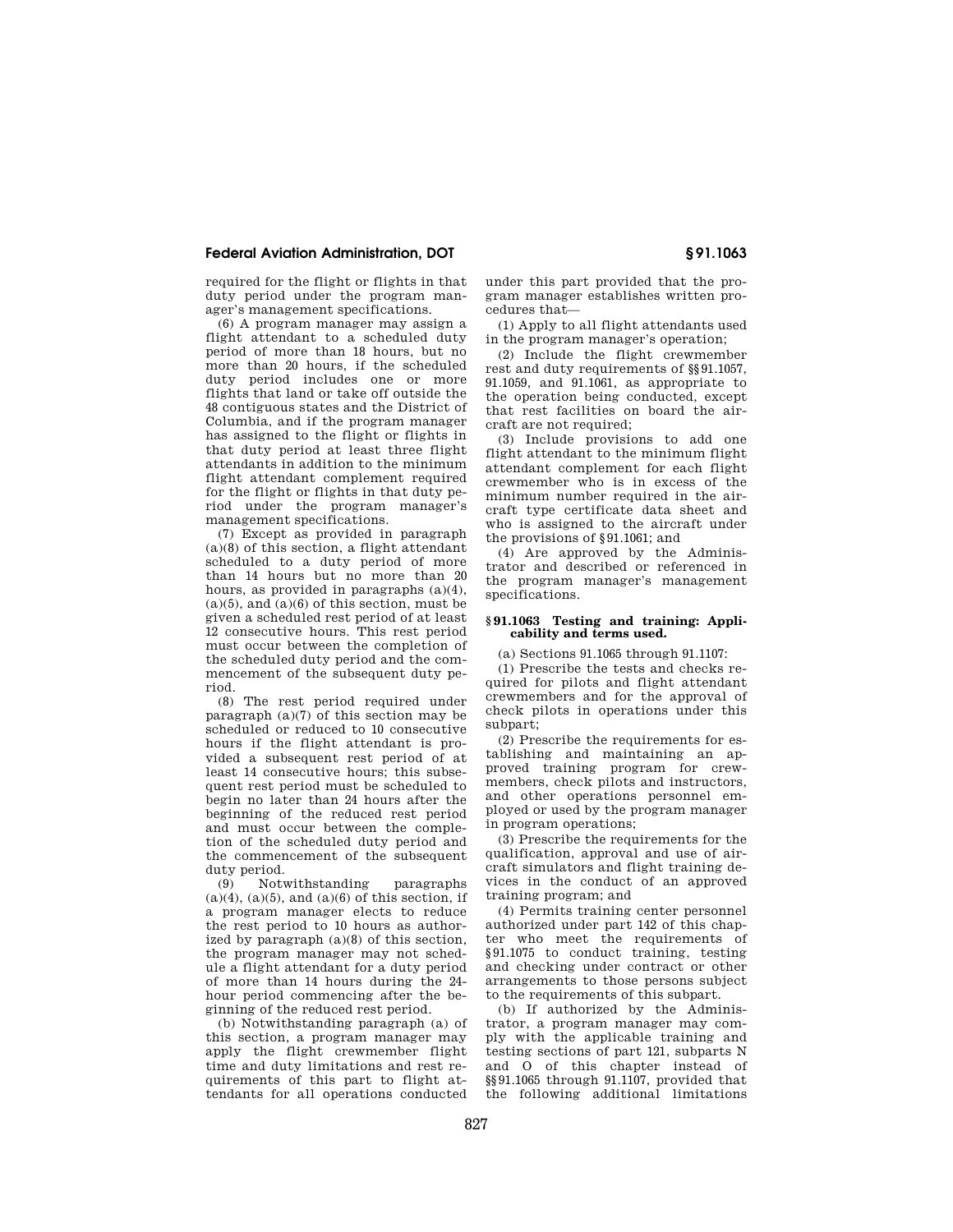required for the flight or flights in that duty period under the program manager's management specifications.

(6) A program manager may assign a flight attendant to a scheduled duty period of more than 18 hours, but no more than 20 hours, if the scheduled duty period includes one or more flights that land or take off outside the 48 contiguous states and the District of Columbia, and if the program manager has assigned to the flight or flights in that duty period at least three flight attendants in addition to the minimum flight attendant complement required for the flight or flights in that duty period under the program manager's management specifications.

(7) Except as provided in paragraph  $(a)(8)$  of this section, a flight attendant scheduled to a duty period of more than 14 hours but no more than 20 hours, as provided in paragraphs (a)(4),  $(a)(5)$ , and  $(a)(6)$  of this section, must be given a scheduled rest period of at least 12 consecutive hours. This rest period must occur between the completion of the scheduled duty period and the commencement of the subsequent duty period.

(8) The rest period required under paragraph (a)(7) of this section may be scheduled or reduced to 10 consecutive hours if the flight attendant is provided a subsequent rest period of at least 14 consecutive hours; this subsequent rest period must be scheduled to begin no later than 24 hours after the beginning of the reduced rest period and must occur between the completion of the scheduled duty period and the commencement of the subsequent duty period.<br>(9) Nots

Notwithstanding paragraphs  $(a)(4)$ ,  $(a)(5)$ , and  $(a)(6)$  of this section, if a program manager elects to reduce the rest period to 10 hours as authorized by paragraph (a)(8) of this section, the program manager may not schedule a flight attendant for a duty period of more than 14 hours during the 24 hour period commencing after the beginning of the reduced rest period.

(b) Notwithstanding paragraph (a) of this section, a program manager may apply the flight crewmember flight time and duty limitations and rest requirements of this part to flight attendants for all operations conducted

under this part provided that the program manager establishes written procedures that—

(1) Apply to all flight attendants used in the program manager's operation;

(2) Include the flight crewmember rest and duty requirements of §§91.1057, 91.1059, and 91.1061, as appropriate to the operation being conducted, except that rest facilities on board the aircraft are not required;

(3) Include provisions to add one flight attendant to the minimum flight attendant complement for each flight crewmember who is in excess of the minimum number required in the aircraft type certificate data sheet and who is assigned to the aircraft under the provisions of §91.1061; and

(4) Are approved by the Administrator and described or referenced in the program manager's management specifications.

#### **§ 91.1063 Testing and training: Applicability and terms used.**

(a) Sections 91.1065 through 91.1107:

(1) Prescribe the tests and checks required for pilots and flight attendant crewmembers and for the approval of check pilots in operations under this subpart;

(2) Prescribe the requirements for establishing and maintaining an approved training program for crewmembers, check pilots and instructors, and other operations personnel employed or used by the program manager in program operations;

(3) Prescribe the requirements for the qualification, approval and use of aircraft simulators and flight training devices in the conduct of an approved training program; and

(4) Permits training center personnel authorized under part 142 of this chapter who meet the requirements of §91.1075 to conduct training, testing and checking under contract or other arrangements to those persons subject to the requirements of this subpart.

(b) If authorized by the Administrator, a program manager may comply with the applicable training and testing sections of part 121, subparts N and O of this chapter instead of §§91.1065 through 91.1107, provided that the following additional limitations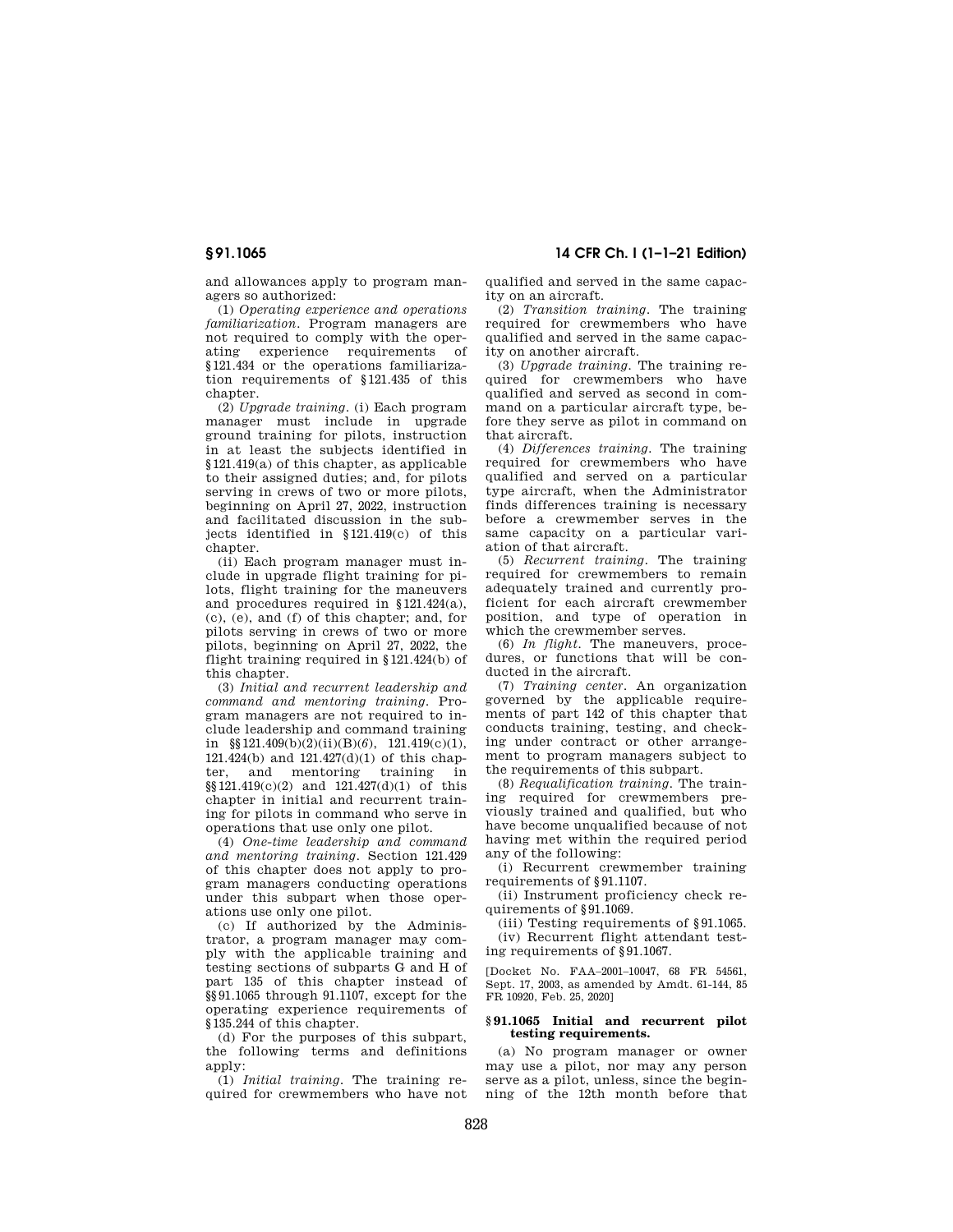and allowances apply to program managers so authorized:

(1) *Operating experience and operations familiarization.* Program managers are not required to comply with the operating experience requirements of §121.434 or the operations familiarization requirements of §121.435 of this chapter.

(2) *Upgrade training.* (i) Each program manager must include in upgrade ground training for pilots, instruction in at least the subjects identified in §121.419(a) of this chapter, as applicable to their assigned duties; and, for pilots serving in crews of two or more pilots, beginning on April 27, 2022, instruction and facilitated discussion in the subjects identified in §121.419(c) of this chapter.

(ii) Each program manager must include in upgrade flight training for pilots, flight training for the maneuvers and procedures required in §121.424(a), (c), (e), and (f) of this chapter; and, for pilots serving in crews of two or more pilots, beginning on April 27, 2022, the flight training required in §121.424(b) of this chapter.

(3) *Initial and recurrent leadership and command and mentoring training.* Program managers are not required to include leadership and command training in §§121.409(b)(2)(ii)(B)(*6*), 121.419(c)(1), 121.424(b) and 121.427(d)(1) of this chapter, and mentoring training in  $\S(121.419(c)(2)$  and  $121.427(d)(1)$  of this chapter in initial and recurrent training for pilots in command who serve in operations that use only one pilot.

(4) *One-time leadership and command and mentoring training.* Section 121.429 of this chapter does not apply to program managers conducting operations under this subpart when those operations use only one pilot.

(c) If authorized by the Administrator, a program manager may comply with the applicable training and testing sections of subparts G and H of part 135 of this chapter instead of §§91.1065 through 91.1107, except for the operating experience requirements of §135.244 of this chapter.

(d) For the purposes of this subpart, the following terms and definitions apply:

(1) *Initial training.* The training required for crewmembers who have not

**§ 91.1065 14 CFR Ch. I (1–1–21 Edition)** 

qualified and served in the same capacity on an aircraft.

(2) *Transition training.* The training required for crewmembers who have qualified and served in the same capacity on another aircraft.

(3) *Upgrade training.* The training required for crewmembers who have qualified and served as second in command on a particular aircraft type, before they serve as pilot in command on that aircraft.

(4) *Differences training.* The training required for crewmembers who have qualified and served on a particular type aircraft, when the Administrator finds differences training is necessary before a crewmember serves in the same capacity on a particular variation of that aircraft.

(5) *Recurrent training.* The training required for crewmembers to remain adequately trained and currently proficient for each aircraft crewmember position, and type of operation in which the crewmember serves.

(6) *In flight.* The maneuvers, procedures, or functions that will be conducted in the aircraft.

(7) *Training center.* An organization governed by the applicable requirements of part 142 of this chapter that conducts training, testing, and checking under contract or other arrangement to program managers subject to the requirements of this subpart.

(8) *Requalification training.* The training required for crewmembers previously trained and qualified, but who have become unqualified because of not having met within the required period any of the following:

(i) Recurrent crewmember training requirements of §91.1107.

(ii) Instrument proficiency check requirements of §91.1069.

(iii) Testing requirements of §91.1065. (iv) Recurrent flight attendant testing requirements of §91.1067.

[Docket No. FAA–2001–10047, 68 FR 54561, Sept. 17, 2003, as amended by Amdt. 61-144, 85 FR 10920, Feb. 25, 2020]

#### **§ 91.1065 Initial and recurrent pilot testing requirements.**

(a) No program manager or owner may use a pilot, nor may any person serve as a pilot, unless, since the beginning of the 12th month before that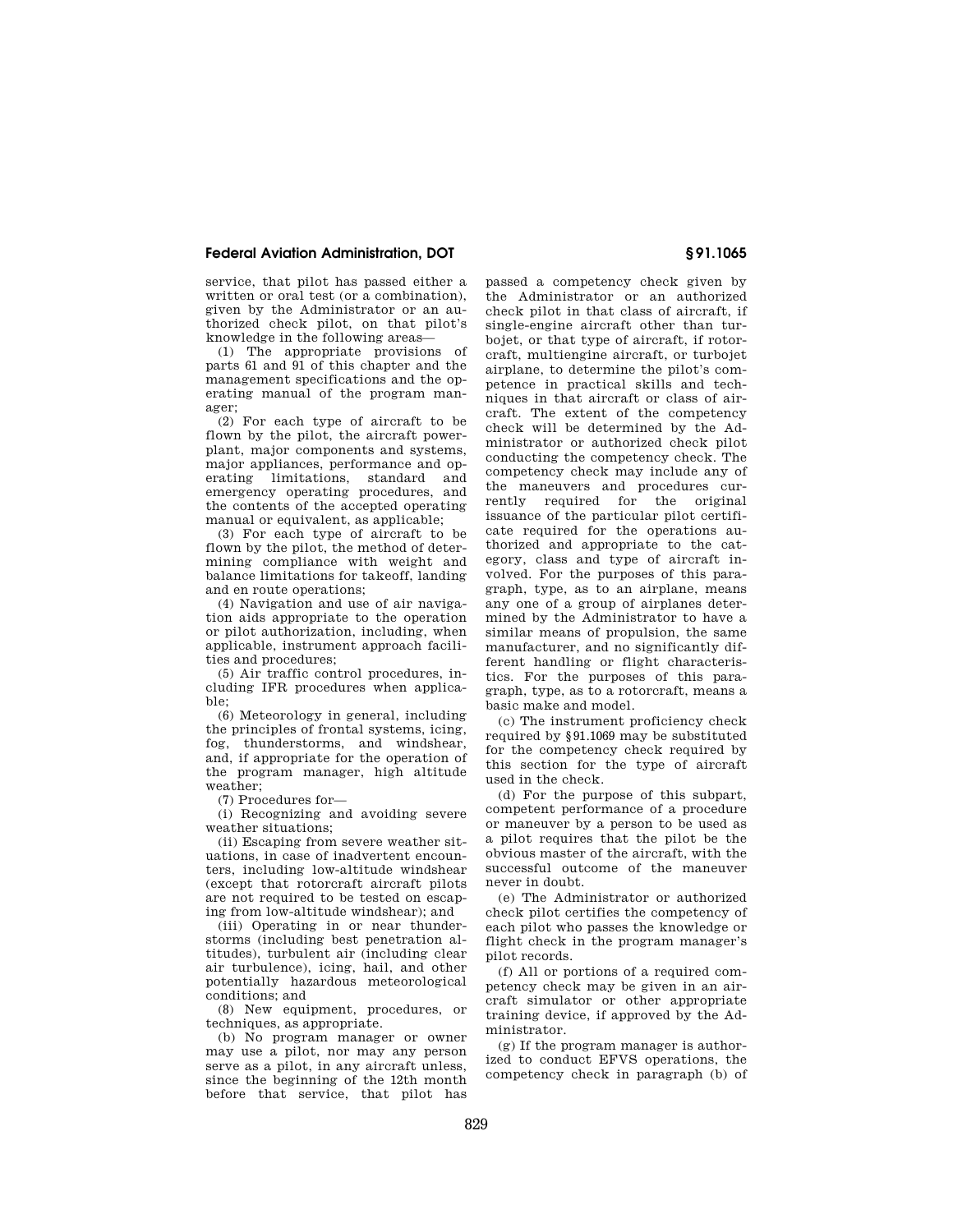service, that pilot has passed either a written or oral test (or a combination), given by the Administrator or an authorized check pilot, on that pilot's knowledge in the following areas—

(1) The appropriate provisions of parts 61 and 91 of this chapter and the management specifications and the operating manual of the program manager;

(2) For each type of aircraft to be flown by the pilot, the aircraft powerplant, major components and systems, major appliances, performance and operating limitations, standard and emergency operating procedures, and the contents of the accepted operating manual or equivalent, as applicable;

(3) For each type of aircraft to be flown by the pilot, the method of determining compliance with weight and balance limitations for takeoff, landing and en route operations;

(4) Navigation and use of air navigation aids appropriate to the operation or pilot authorization, including, when applicable, instrument approach facilities and procedures;

(5) Air traffic control procedures, including IFR procedures when applicable;

(6) Meteorology in general, including the principles of frontal systems, icing, fog, thunderstorms, and windshear, and, if appropriate for the operation of the program manager, high altitude weather;

(7) Procedures for—

(i) Recognizing and avoiding severe weather situations;

(ii) Escaping from severe weather situations, in case of inadvertent encounters, including low-altitude windshear (except that rotorcraft aircraft pilots are not required to be tested on escaping from low-altitude windshear); and

(iii) Operating in or near thunderstorms (including best penetration altitudes), turbulent air (including clear air turbulence), icing, hail, and other potentially hazardous meteorological conditions; and

(8) New equipment, procedures, or techniques, as appropriate.

(b) No program manager or owner may use a pilot, nor may any person serve as a pilot, in any aircraft unless, since the beginning of the 12th month before that service, that pilot has

passed a competency check given by the Administrator or an authorized check pilot in that class of aircraft, if single-engine aircraft other than turbojet, or that type of aircraft, if rotorcraft, multiengine aircraft, or turbojet airplane, to determine the pilot's competence in practical skills and techniques in that aircraft or class of aircraft. The extent of the competency check will be determined by the Administrator or authorized check pilot conducting the competency check. The competency check may include any of the maneuvers and procedures currently required for the original issuance of the particular pilot certificate required for the operations authorized and appropriate to the category, class and type of aircraft involved. For the purposes of this paragraph, type, as to an airplane, means any one of a group of airplanes determined by the Administrator to have a similar means of propulsion, the same manufacturer, and no significantly different handling or flight characteristics. For the purposes of this paragraph, type, as to a rotorcraft, means a basic make and model.

(c) The instrument proficiency check required by §91.1069 may be substituted for the competency check required by this section for the type of aircraft used in the check.

(d) For the purpose of this subpart, competent performance of a procedure or maneuver by a person to be used as a pilot requires that the pilot be the obvious master of the aircraft, with the successful outcome of the maneuver never in doubt.

(e) The Administrator or authorized check pilot certifies the competency of each pilot who passes the knowledge or flight check in the program manager's pilot records.

(f) All or portions of a required competency check may be given in an aircraft simulator or other appropriate training device, if approved by the Administrator.

(g) If the program manager is authorized to conduct EFVS operations, the competency check in paragraph (b) of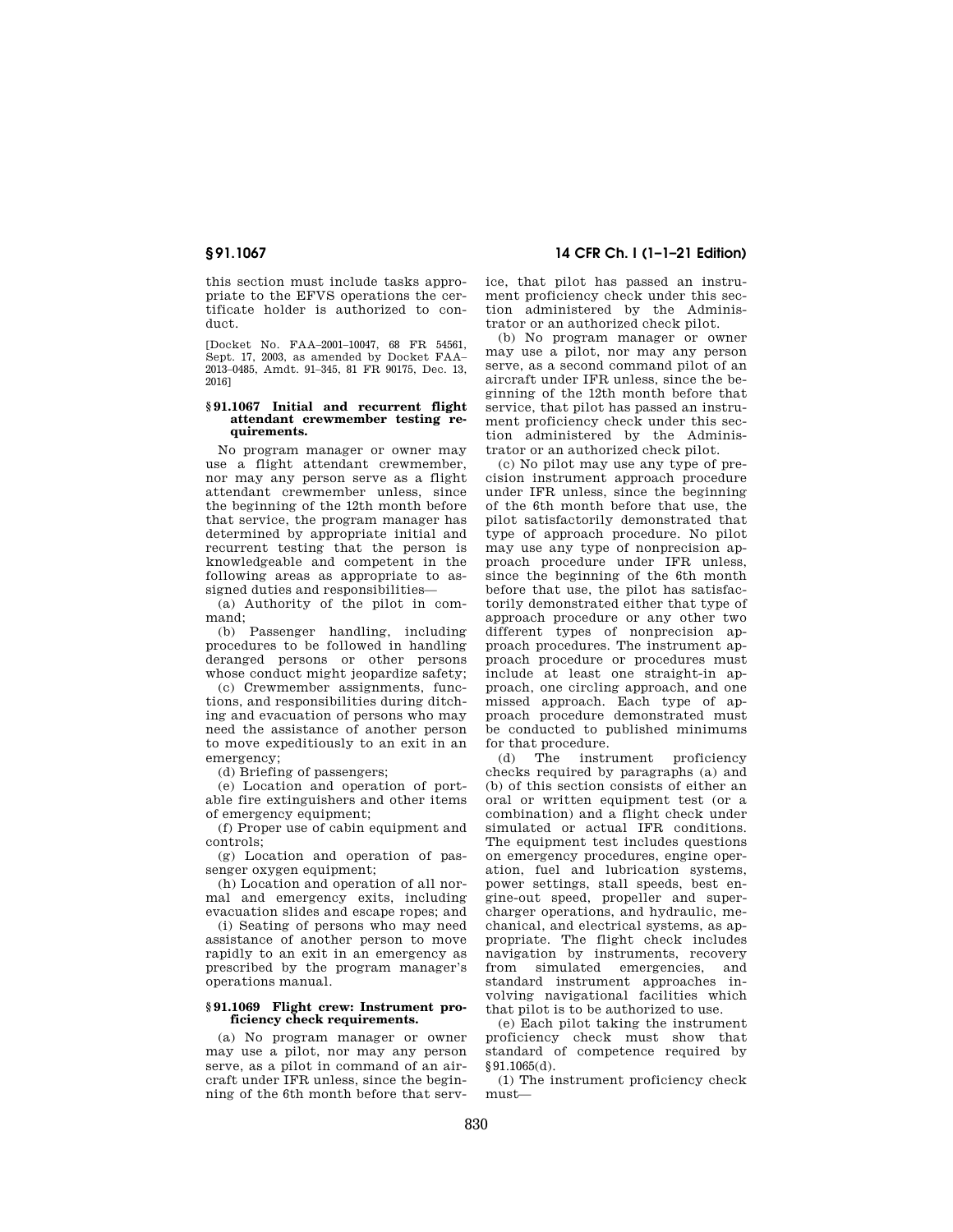this section must include tasks appropriate to the EFVS operations the certificate holder is authorized to conduct.

[Docket No. FAA–2001–10047, 68 FR 54561, Sept. 17, 2003, as amended by Docket FAA– 2013–0485, Amdt. 91–345, 81 FR 90175, Dec. 13, 2016]

#### **§ 91.1067 Initial and recurrent flight attendant crewmember testing requirements.**

No program manager or owner may use a flight attendant crewmember, nor may any person serve as a flight attendant crewmember unless, since the beginning of the 12th month before that service, the program manager has determined by appropriate initial and recurrent testing that the person is knowledgeable and competent in the following areas as appropriate to assigned duties and responsibilities—

(a) Authority of the pilot in command;

(b) Passenger handling, including procedures to be followed in handling deranged persons or other persons whose conduct might jeopardize safety;

(c) Crewmember assignments, functions, and responsibilities during ditching and evacuation of persons who may need the assistance of another person to move expeditiously to an exit in an emergency;

(d) Briefing of passengers;

(e) Location and operation of portable fire extinguishers and other items of emergency equipment;

(f) Proper use of cabin equipment and controls;

(g) Location and operation of passenger oxygen equipment;

(h) Location and operation of all normal and emergency exits, including evacuation slides and escape ropes; and

(i) Seating of persons who may need assistance of another person to move rapidly to an exit in an emergency as prescribed by the program manager's operations manual.

#### **§ 91.1069 Flight crew: Instrument proficiency check requirements.**

(a) No program manager or owner may use a pilot, nor may any person serve, as a pilot in command of an aircraft under IFR unless, since the beginning of the 6th month before that serv-

# **§ 91.1067 14 CFR Ch. I (1–1–21 Edition)**

ice, that pilot has passed an instrument proficiency check under this section administered by the Administrator or an authorized check pilot.

(b) No program manager or owner may use a pilot, nor may any person serve, as a second command pilot of an aircraft under IFR unless, since the beginning of the 12th month before that service, that pilot has passed an instrument proficiency check under this section administered by the Administrator or an authorized check pilot.

(c) No pilot may use any type of precision instrument approach procedure under IFR unless, since the beginning of the 6th month before that use, the pilot satisfactorily demonstrated that type of approach procedure. No pilot may use any type of nonprecision approach procedure under IFR unless, since the beginning of the 6th month before that use, the pilot has satisfactorily demonstrated either that type of approach procedure or any other two different types of nonprecision approach procedures. The instrument approach procedure or procedures must include at least one straight-in approach, one circling approach, and one missed approach. Each type of approach procedure demonstrated must be conducted to published minimums

for that procedure.<br>(d) The instr instrument proficiency checks required by paragraphs (a) and (b) of this section consists of either an oral or written equipment test (or a combination) and a flight check under simulated or actual IFR conditions. The equipment test includes questions on emergency procedures, engine operation, fuel and lubrication systems, power settings, stall speeds, best engine-out speed, propeller and supercharger operations, and hydraulic, mechanical, and electrical systems, as appropriate. The flight check includes navigation by instruments, recovery from simulated emergencies, and standard instrument approaches involving navigational facilities which that pilot is to be authorized to use.

(e) Each pilot taking the instrument proficiency check must show that standard of competence required by §91.1065(d).

(1) The instrument proficiency check must—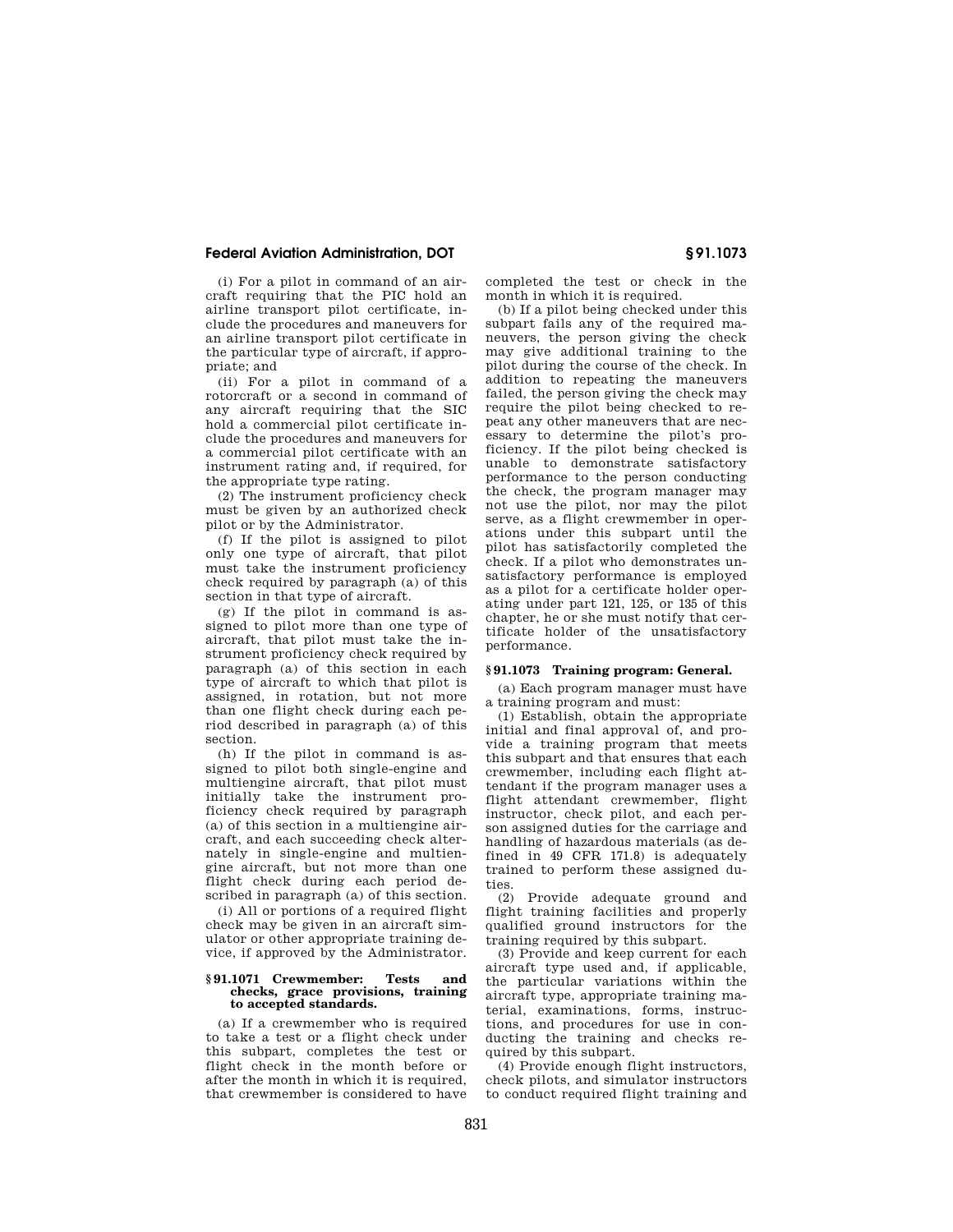(i) For a pilot in command of an aircraft requiring that the PIC hold an airline transport pilot certificate, include the procedures and maneuvers for an airline transport pilot certificate in the particular type of aircraft, if appropriate; and

(ii) For a pilot in command of a rotorcraft or a second in command of any aircraft requiring that the SIC hold a commercial pilot certificate include the procedures and maneuvers for a commercial pilot certificate with an instrument rating and, if required, for the appropriate type rating.

(2) The instrument proficiency check must be given by an authorized check pilot or by the Administrator.

(f) If the pilot is assigned to pilot only one type of aircraft, that pilot must take the instrument proficiency check required by paragraph (a) of this section in that type of aircraft.

(g) If the pilot in command is assigned to pilot more than one type of aircraft, that pilot must take the instrument proficiency check required by paragraph (a) of this section in each type of aircraft to which that pilot is assigned, in rotation, but not more than one flight check during each period described in paragraph (a) of this section.

(h) If the pilot in command is assigned to pilot both single-engine and multiengine aircraft, that pilot must initially take the instrument proficiency check required by paragraph (a) of this section in a multiengine aircraft, and each succeeding check alternately in single-engine and multiengine aircraft, but not more than one flight check during each period described in paragraph (a) of this section.

(i) All or portions of a required flight check may be given in an aircraft simulator or other appropriate training device, if approved by the Administrator.

#### **§ 91.1071 Crewmember: Tests and checks, grace provisions, training to accepted standards.**

(a) If a crewmember who is required to take a test or a flight check under this subpart, completes the test or flight check in the month before or after the month in which it is required, that crewmember is considered to have completed the test or check in the month in which it is required.

(b) If a pilot being checked under this subpart fails any of the required maneuvers, the person giving the check may give additional training to the pilot during the course of the check. In addition to repeating the maneuvers failed, the person giving the check may require the pilot being checked to repeat any other maneuvers that are necessary to determine the pilot's proficiency. If the pilot being checked is unable to demonstrate satisfactory performance to the person conducting the check, the program manager may not use the pilot, nor may the pilot serve, as a flight crewmember in operations under this subpart until the pilot has satisfactorily completed the check. If a pilot who demonstrates unsatisfactory performance is employed as a pilot for a certificate holder operating under part 121, 125, or 135 of this chapter, he or she must notify that certificate holder of the unsatisfactory performance.

#### **§ 91.1073 Training program: General.**

(a) Each program manager must have a training program and must:

(1) Establish, obtain the appropriate initial and final approval of, and provide a training program that meets this subpart and that ensures that each crewmember, including each flight attendant if the program manager uses a flight attendant crewmember, flight instructor, check pilot, and each person assigned duties for the carriage and handling of hazardous materials (as defined in 49 CFR 171.8) is adequately trained to perform these assigned duties.

(2) Provide adequate ground and flight training facilities and properly qualified ground instructors for the training required by this subpart.

(3) Provide and keep current for each aircraft type used and, if applicable, the particular variations within the aircraft type, appropriate training material, examinations, forms, instructions, and procedures for use in conducting the training and checks required by this subpart.

(4) Provide enough flight instructors, check pilots, and simulator instructors to conduct required flight training and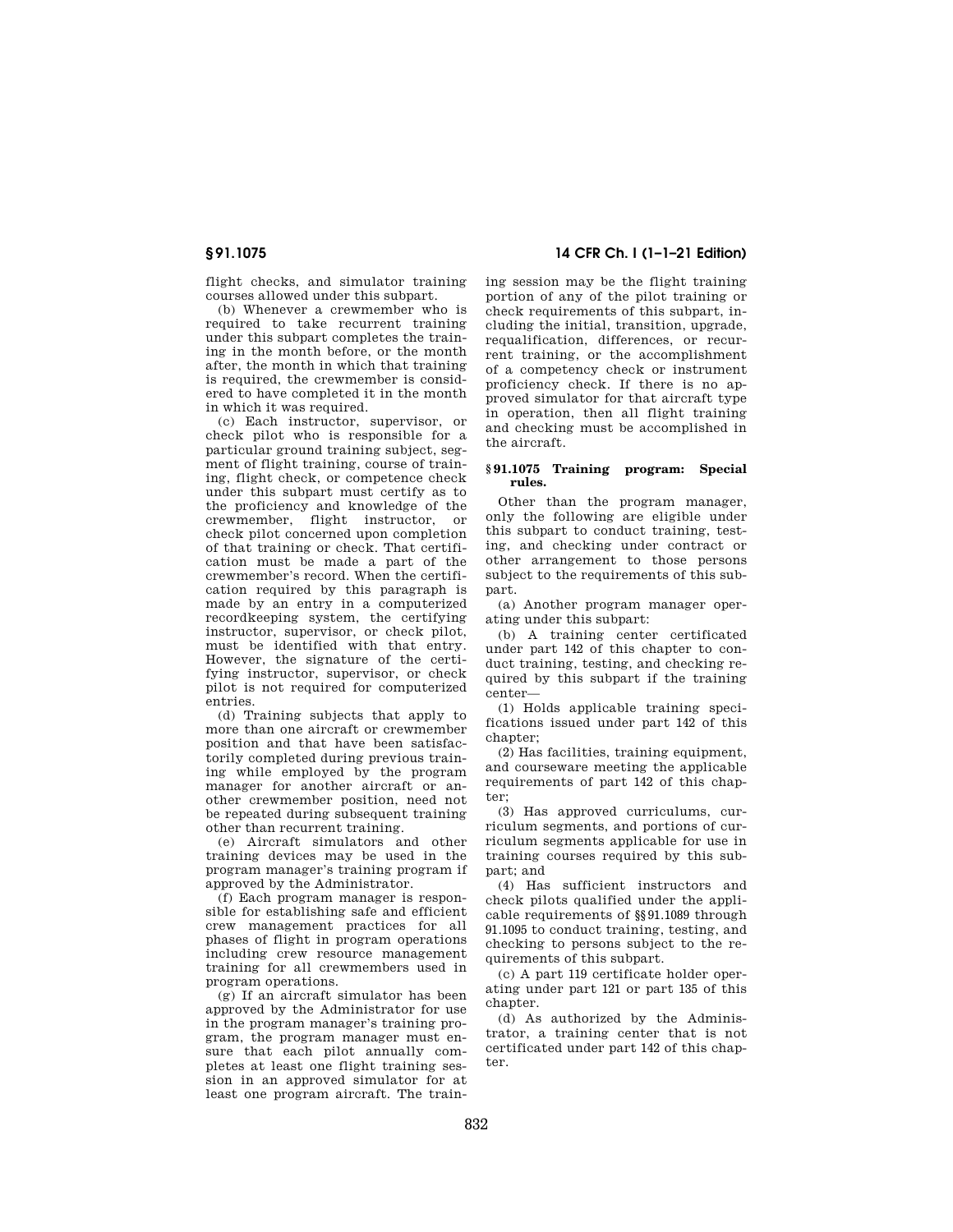flight checks, and simulator training courses allowed under this subpart.

(b) Whenever a crewmember who is required to take recurrent training under this subpart completes the training in the month before, or the month after, the month in which that training is required, the crewmember is considered to have completed it in the month in which it was required.

(c) Each instructor, supervisor, or check pilot who is responsible for a particular ground training subject, segment of flight training, course of training, flight check, or competence check under this subpart must certify as to the proficiency and knowledge of the crewmember, flight instructor, or check pilot concerned upon completion of that training or check. That certification must be made a part of the crewmember's record. When the certification required by this paragraph is made by an entry in a computerized recordkeeping system, the certifying instructor, supervisor, or check pilot, must be identified with that entry. However, the signature of the certifying instructor, supervisor, or check pilot is not required for computerized entries.

(d) Training subjects that apply to more than one aircraft or crewmember position and that have been satisfactorily completed during previous training while employed by the program manager for another aircraft or another crewmember position, need not be repeated during subsequent training other than recurrent training.

(e) Aircraft simulators and other training devices may be used in the program manager's training program if approved by the Administrator.

(f) Each program manager is responsible for establishing safe and efficient crew management practices for all phases of flight in program operations .<br>including crew resource management training for all crewmembers used in program operations.

(g) If an aircraft simulator has been approved by the Administrator for use in the program manager's training program, the program manager must ensure that each pilot annually completes at least one flight training session in an approved simulator for at least one program aircraft. The train-

**§ 91.1075 14 CFR Ch. I (1–1–21 Edition)** 

ing session may be the flight training portion of any of the pilot training or check requirements of this subpart, including the initial, transition, upgrade, requalification, differences, or recurrent training, or the accomplishment of a competency check or instrument proficiency check. If there is no approved simulator for that aircraft type in operation, then all flight training and checking must be accomplished in the aircraft.

## **§ 91.1075 Training program: Special rules.**

Other than the program manager, only the following are eligible under this subpart to conduct training, testing, and checking under contract or other arrangement to those persons subject to the requirements of this subpart.

(a) Another program manager operating under this subpart:

(b) A training center certificated under part 142 of this chapter to conduct training, testing, and checking required by this subpart if the training center—

(1) Holds applicable training specifications issued under part 142 of this chapter;

(2) Has facilities, training equipment, and courseware meeting the applicable requirements of part 142 of this chapter;

(3) Has approved curriculums, curriculum segments, and portions of curriculum segments applicable for use in training courses required by this subpart; and

(4) Has sufficient instructors and check pilots qualified under the applicable requirements of §§91.1089 through 91.1095 to conduct training, testing, and checking to persons subject to the requirements of this subpart.

(c) A part 119 certificate holder operating under part 121 or part 135 of this chapter.

(d) As authorized by the Administrator, a training center that is not certificated under part 142 of this chapter.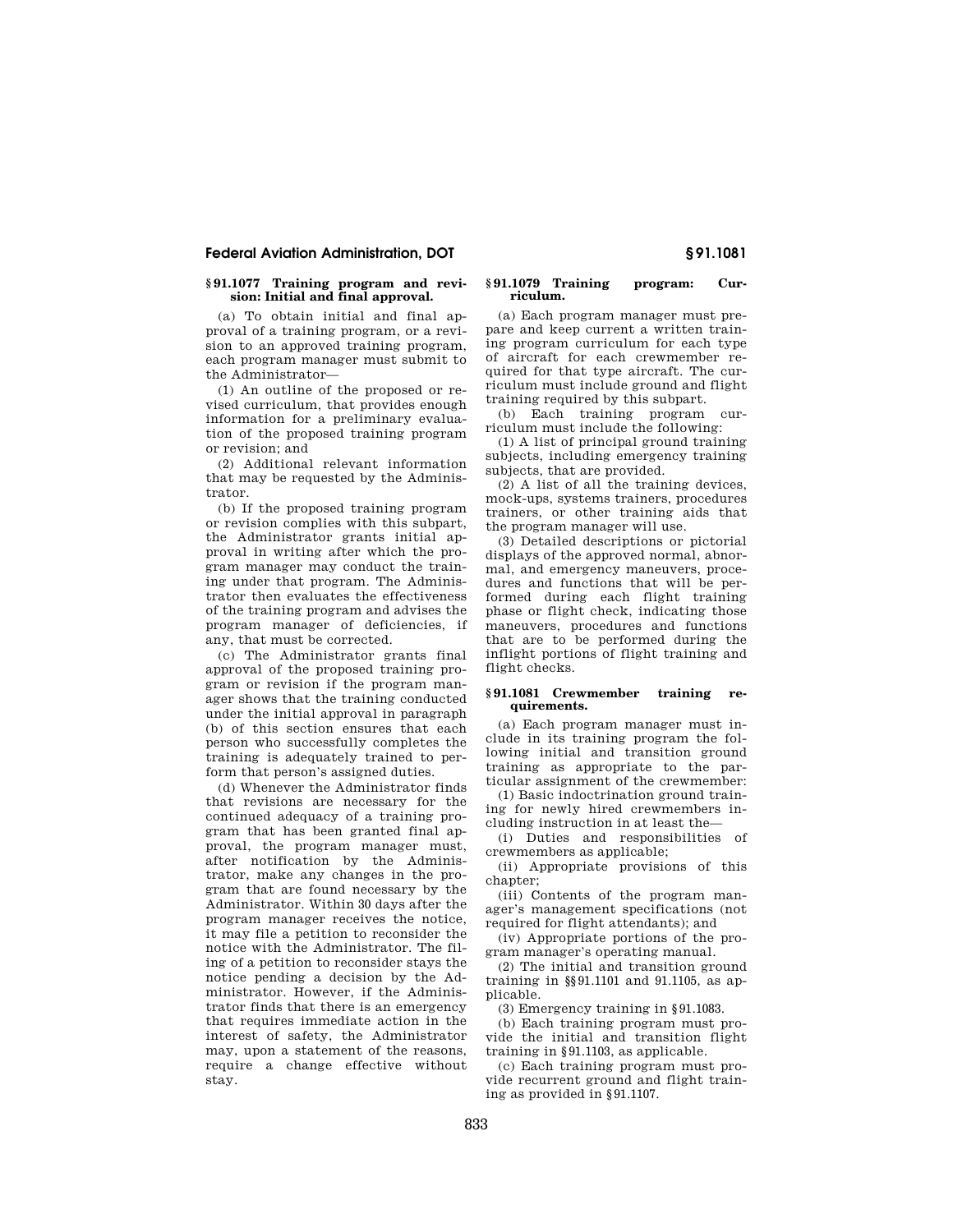## **§ 91.1077 Training program and revision: Initial and final approval.**

(a) To obtain initial and final approval of a training program, or a revision to an approved training program, each program manager must submit to the Administrator—

(1) An outline of the proposed or revised curriculum, that provides enough information for a preliminary evaluation of the proposed training program or revision; and

(2) Additional relevant information that may be requested by the Administrator.

(b) If the proposed training program or revision complies with this subpart, the Administrator grants initial approval in writing after which the program manager may conduct the training under that program. The Administrator then evaluates the effectiveness of the training program and advises the program manager of deficiencies, if any, that must be corrected.

(c) The Administrator grants final approval of the proposed training program or revision if the program manager shows that the training conducted under the initial approval in paragraph (b) of this section ensures that each person who successfully completes the training is adequately trained to perform that person's assigned duties.

(d) Whenever the Administrator finds that revisions are necessary for the continued adequacy of a training program that has been granted final approval, the program manager must, after notification by the Administrator, make any changes in the program that are found necessary by the Administrator. Within 30 days after the program manager receives the notice, it may file a petition to reconsider the notice with the Administrator. The filing of a petition to reconsider stays the notice pending a decision by the Administrator. However, if the Administrator finds that there is an emergency that requires immediate action in the interest of safety, the Administrator may, upon a statement of the reasons, require a change effective without stay.

## **§ 91.1079 Training program: Curriculum.**

(a) Each program manager must prepare and keep current a written training program curriculum for each type of aircraft for each crewmember required for that type aircraft. The curriculum must include ground and flight training required by this subpart.

(b) Each training program curriculum must include the following:

(1) A list of principal ground training subjects, including emergency training subjects, that are provided.

(2) A list of all the training devices, mock-ups, systems trainers, procedures trainers, or other training aids that the program manager will use.

(3) Detailed descriptions or pictorial displays of the approved normal, abnormal, and emergency maneuvers, procedures and functions that will be performed during each flight training phase or flight check, indicating those maneuvers, procedures and functions that are to be performed during the inflight portions of flight training and flight checks.

#### **§ 91.1081 Crewmember training requirements.**

(a) Each program manager must include in its training program the following initial and transition ground training as appropriate to the particular assignment of the crewmember:

(1) Basic indoctrination ground training for newly hired crewmembers including instruction in at least the—

(i) Duties and responsibilities of crewmembers as applicable;

(ii) Appropriate provisions of this chapter;

(iii) Contents of the program manager's management specifications (not required for flight attendants); and

(iv) Appropriate portions of the program manager's operating manual.

(2) The initial and transition ground training in §§91.1101 and 91.1105, as applicable.

(3) Emergency training in §91.1083.

(b) Each training program must provide the initial and transition flight training in §91.1103, as applicable.

(c) Each training program must provide recurrent ground and flight training as provided in §91.1107.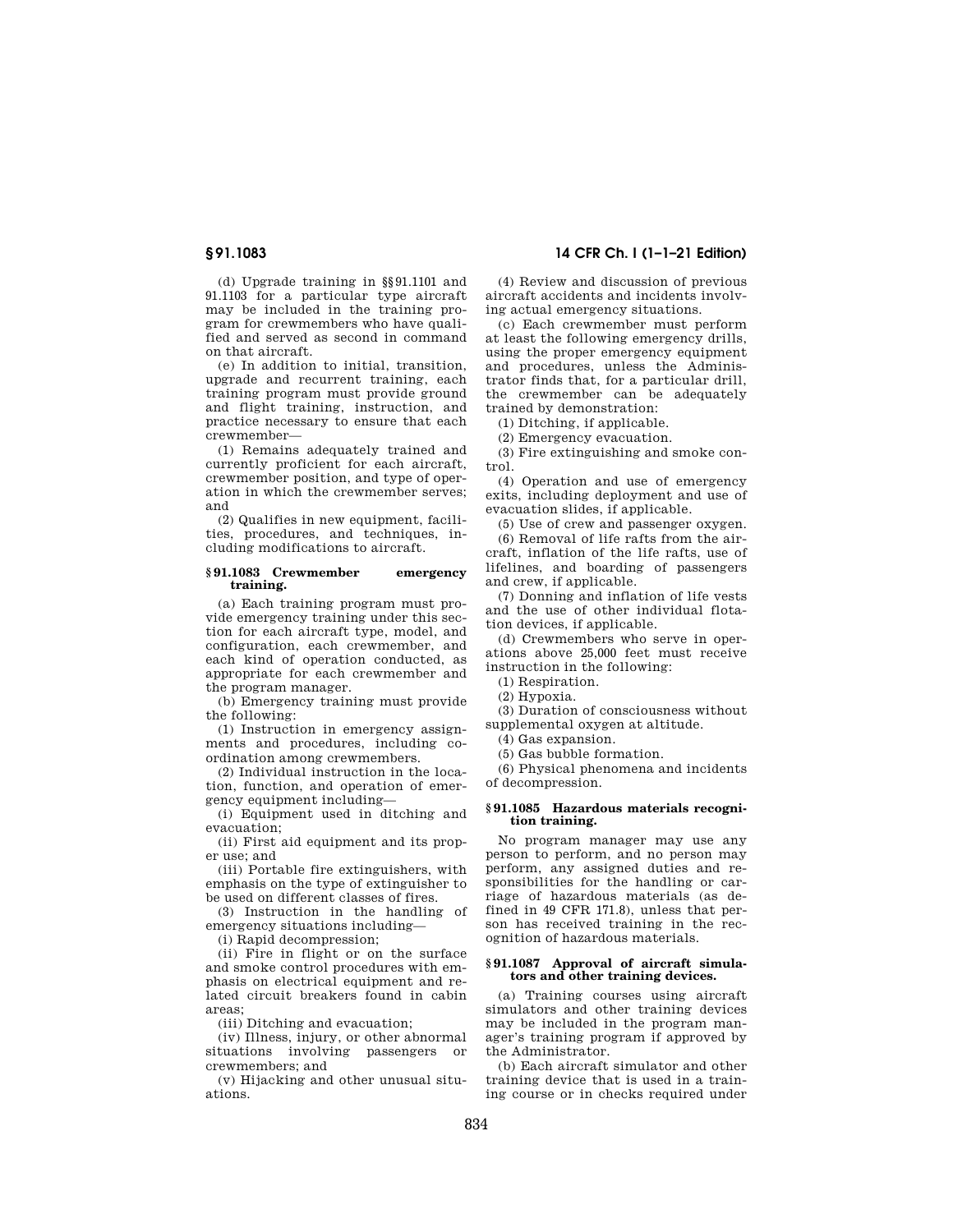(d) Upgrade training in §§91.1101 and 91.1103 for a particular type aircraft may be included in the training program for crewmembers who have qualified and served as second in command on that aircraft.

(e) In addition to initial, transition, upgrade and recurrent training, each training program must provide ground and flight training, instruction, and practice necessary to ensure that each crewmember—

(1) Remains adequately trained and currently proficient for each aircraft, crewmember position, and type of operation in which the crewmember serves; and

(2) Qualifies in new equipment, facilities, procedures, and techniques, including modifications to aircraft.

## **§ 91.1083 Crewmember emergency training.**

(a) Each training program must provide emergency training under this section for each aircraft type, model, and configuration, each crewmember, and each kind of operation conducted, as appropriate for each crewmember and the program manager.

(b) Emergency training must provide the following:

(1) Instruction in emergency assignments and procedures, including coordination among crewmembers.

(2) Individual instruction in the location, function, and operation of emergency equipment including—

(i) Equipment used in ditching and evacuation;

(ii) First aid equipment and its proper use; and

(iii) Portable fire extinguishers, with emphasis on the type of extinguisher to be used on different classes of fires.

(3) Instruction in the handling of emergency situations including—

(i) Rapid decompression;

(ii) Fire in flight or on the surface and smoke control procedures with emphasis on electrical equipment and related circuit breakers found in cabin areas;

(iii) Ditching and evacuation;

(iv) Illness, injury, or other abnormal situations involving passengers or crewmembers; and

(v) Hijacking and other unusual situations.

# **§ 91.1083 14 CFR Ch. I (1–1–21 Edition)**

(4) Review and discussion of previous aircraft accidents and incidents involving actual emergency situations.

(c) Each crewmember must perform at least the following emergency drills, using the proper emergency equipment and procedures, unless the Administrator finds that, for a particular drill, the crewmember can be adequately trained by demonstration:

(1) Ditching, if applicable.

(2) Emergency evacuation.

(3) Fire extinguishing and smoke control.

(4) Operation and use of emergency exits, including deployment and use of evacuation slides, if applicable.

(5) Use of crew and passenger oxygen. (6) Removal of life rafts from the aircraft, inflation of the life rafts, use of lifelines, and boarding of passengers and crew, if applicable.

(7) Donning and inflation of life vests and the use of other individual flotation devices, if applicable.

(d) Crewmembers who serve in operations above 25,000 feet must receive instruction in the following:

(1) Respiration.

(2) Hypoxia.

(3) Duration of consciousness without supplemental oxygen at altitude.

(4) Gas expansion.

(5) Gas bubble formation.

(6) Physical phenomena and incidents

of decompression.

## **§ 91.1085 Hazardous materials recognition training.**

No program manager may use any person to perform, and no person may perform, any assigned duties and responsibilities for the handling or carriage of hazardous materials (as defined in 49 CFR 171.8), unless that person has received training in the recognition of hazardous materials.

### **§ 91.1087 Approval of aircraft simulators and other training devices.**

(a) Training courses using aircraft simulators and other training devices may be included in the program manager's training program if approved by the Administrator.

(b) Each aircraft simulator and other training device that is used in a training course or in checks required under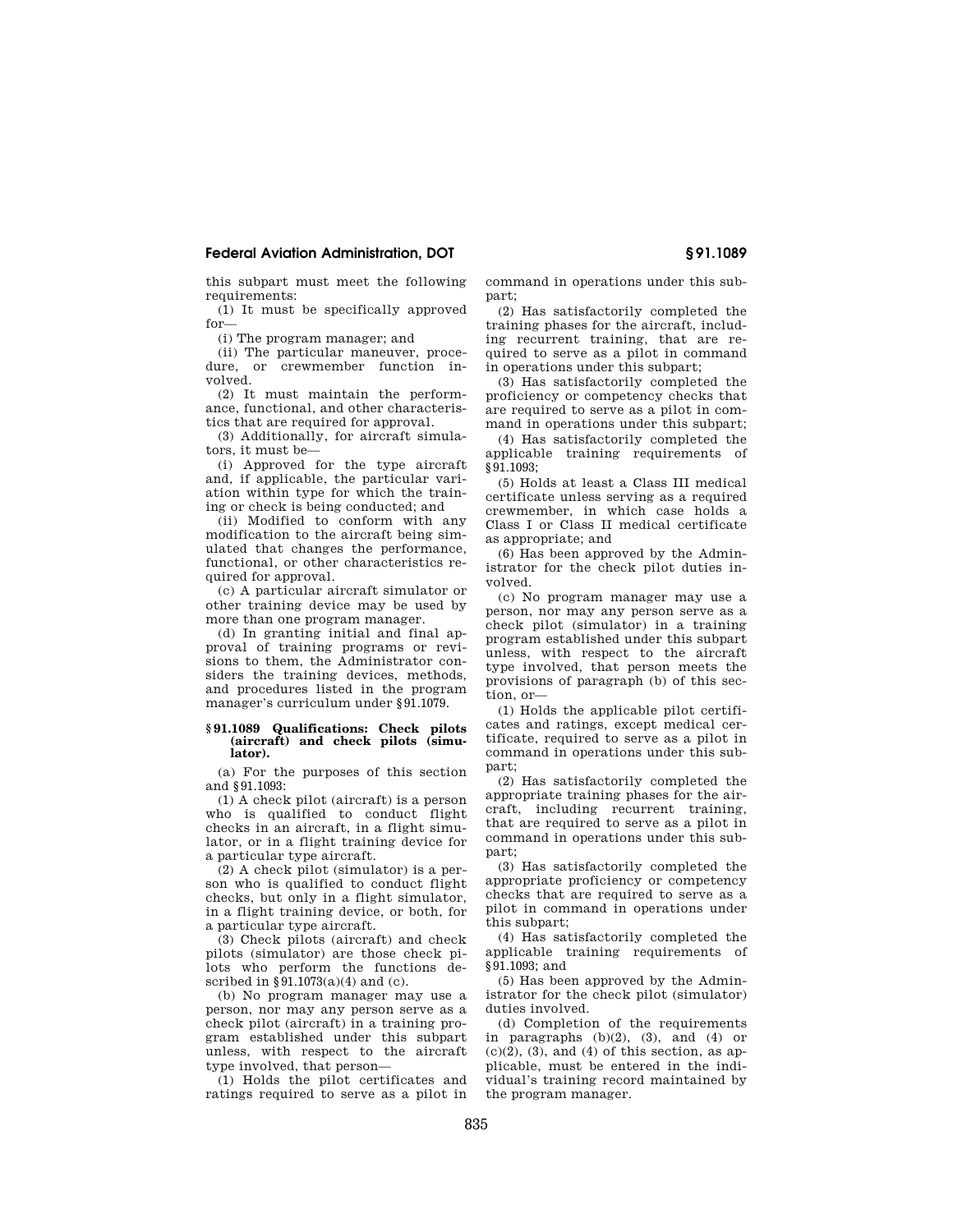this subpart must meet the following requirements:

(1) It must be specifically approved for—

(i) The program manager; and

(ii) The particular maneuver, procedure, or crewmember function involved.

(2) It must maintain the performance, functional, and other characteristics that are required for approval.

(3) Additionally, for aircraft simulators, it must be—

(i) Approved for the type aircraft and, if applicable, the particular variation within type for which the training or check is being conducted; and

(ii) Modified to conform with any modification to the aircraft being simulated that changes the performance, functional, or other characteristics required for approval.

(c) A particular aircraft simulator or other training device may be used by more than one program manager.

(d) In granting initial and final approval of training programs or revisions to them, the Administrator considers the training devices, methods, and procedures listed in the program manager's curriculum under §91.1079.

## **§ 91.1089 Qualifications: Check pilots (aircraft) and check pilots (simulator).**

(a) For the purposes of this section and §91.1093:

(1) A check pilot (aircraft) is a person who is qualified to conduct flight checks in an aircraft, in a flight simulator, or in a flight training device for a particular type aircraft.

(2) A check pilot (simulator) is a person who is qualified to conduct flight checks, but only in a flight simulator, in a flight training device, or both, for a particular type aircraft.

(3) Check pilots (aircraft) and check pilots (simulator) are those check pilots who perform the functions described in §91.1073(a)(4) and (c).

(b) No program manager may use a person, nor may any person serve as a check pilot (aircraft) in a training program established under this subpart unless, with respect to the aircraft type involved, that person—

(1) Holds the pilot certificates and ratings required to serve as a pilot in command in operations under this subpart;

(2) Has satisfactorily completed the training phases for the aircraft, including recurrent training, that are required to serve as a pilot in command in operations under this subpart;

(3) Has satisfactorily completed the proficiency or competency checks that are required to serve as a pilot in command in operations under this subpart;

(4) Has satisfactorily completed the applicable training requirements of §91.1093;

(5) Holds at least a Class III medical certificate unless serving as a required crewmember, in which case holds a Class I or Class II medical certificate as appropriate; and

(6) Has been approved by the Administrator for the check pilot duties involved.

(c) No program manager may use a person, nor may any person serve as a check pilot (simulator) in a training program established under this subpart unless, with respect to the aircraft type involved, that person meets the provisions of paragraph (b) of this section, or—

(1) Holds the applicable pilot certificates and ratings, except medical certificate, required to serve as a pilot in command in operations under this subpart;

(2) Has satisfactorily completed the appropriate training phases for the aircraft, including recurrent training, that are required to serve as a pilot in command in operations under this subpart;

(3) Has satisfactorily completed the appropriate proficiency or competency checks that are required to serve as a pilot in command in operations under this subpart;

(4) Has satisfactorily completed the applicable training requirements of §91.1093; and

(5) Has been approved by the Administrator for the check pilot (simulator) duties involved.

(d) Completion of the requirements in paragraphs  $(b)(2)$ ,  $(3)$ , and  $(4)$  or  $(c)(2)$ ,  $(3)$ , and  $(4)$  of this section, as applicable, must be entered in the individual's training record maintained by the program manager.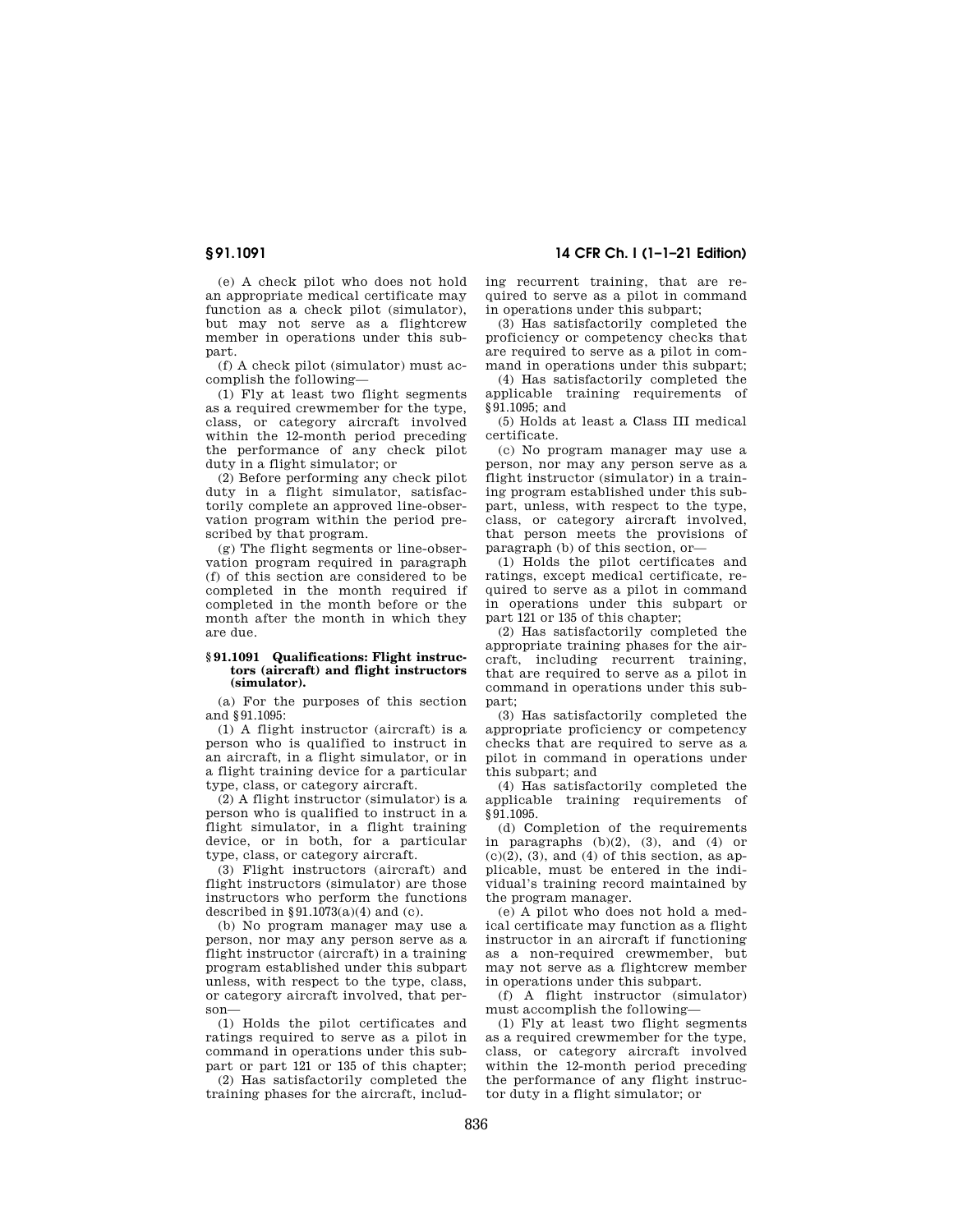(e) A check pilot who does not hold an appropriate medical certificate may function as a check pilot (simulator), but may not serve as a flightcrew member in operations under this subpart.

(f) A check pilot (simulator) must accomplish the following—

(1) Fly at least two flight segments as a required crewmember for the type, class, or category aircraft involved within the 12-month period preceding the performance of any check pilot duty in a flight simulator; or

(2) Before performing any check pilot duty in a flight simulator, satisfactorily complete an approved line-observation program within the period prescribed by that program.

(g) The flight segments or line-observation program required in paragraph (f) of this section are considered to be completed in the month required if completed in the month before or the month after the month in which they are due.

## **§ 91.1091 Qualifications: Flight instructors (aircraft) and flight instructors (simulator).**

(a) For the purposes of this section and §91.1095:

(1) A flight instructor (aircraft) is a person who is qualified to instruct in an aircraft, in a flight simulator, or in a flight training device for a particular type, class, or category aircraft.

(2) A flight instructor (simulator) is a person who is qualified to instruct in a flight simulator, in a flight training device, or in both, for a particular type, class, or category aircraft.

(3) Flight instructors (aircraft) and flight instructors (simulator) are those instructors who perform the functions described in  $§91.1073(a)(4)$  and (c).

(b) No program manager may use a person, nor may any person serve as a flight instructor (aircraft) in a training program established under this subpart unless, with respect to the type, class, or category aircraft involved, that person—

(1) Holds the pilot certificates and ratings required to serve as a pilot in command in operations under this subpart or part 121 or 135 of this chapter;

(2) Has satisfactorily completed the training phases for the aircraft, includ-

**§ 91.1091 14 CFR Ch. I (1–1–21 Edition)** 

ing recurrent training, that are required to serve as a pilot in command in operations under this subpart;

(3) Has satisfactorily completed the proficiency or competency checks that are required to serve as a pilot in command in operations under this subpart;

(4) Has satisfactorily completed the applicable training requirements of §91.1095; and

(5) Holds at least a Class III medical certificate.

(c) No program manager may use a person, nor may any person serve as a flight instructor (simulator) in a training program established under this subpart, unless, with respect to the type, class, or category aircraft involved, that person meets the provisions of paragraph (b) of this section, or—

(1) Holds the pilot certificates and ratings, except medical certificate, required to serve as a pilot in command in operations under this subpart or part 121 or 135 of this chapter;

(2) Has satisfactorily completed the appropriate training phases for the aircraft, including recurrent training, that are required to serve as a pilot in command in operations under this subpart;

(3) Has satisfactorily completed the appropriate proficiency or competency checks that are required to serve as a pilot in command in operations under this subpart; and

(4) Has satisfactorily completed the applicable training requirements of §91.1095.

(d) Completion of the requirements in paragraphs  $(b)(2)$ ,  $(3)$ , and  $(4)$  or  $(c)(2)$ ,  $(3)$ , and  $(4)$  of this section, as applicable, must be entered in the individual's training record maintained by the program manager.

(e) A pilot who does not hold a medical certificate may function as a flight instructor in an aircraft if functioning as a non-required crewmember, but may not serve as a flightcrew member in operations under this subpart.

(f) A flight instructor (simulator) must accomplish the following—

(1) Fly at least two flight segments as a required crewmember for the type, class, or category aircraft involved within the 12-month period preceding the performance of any flight instructor duty in a flight simulator; or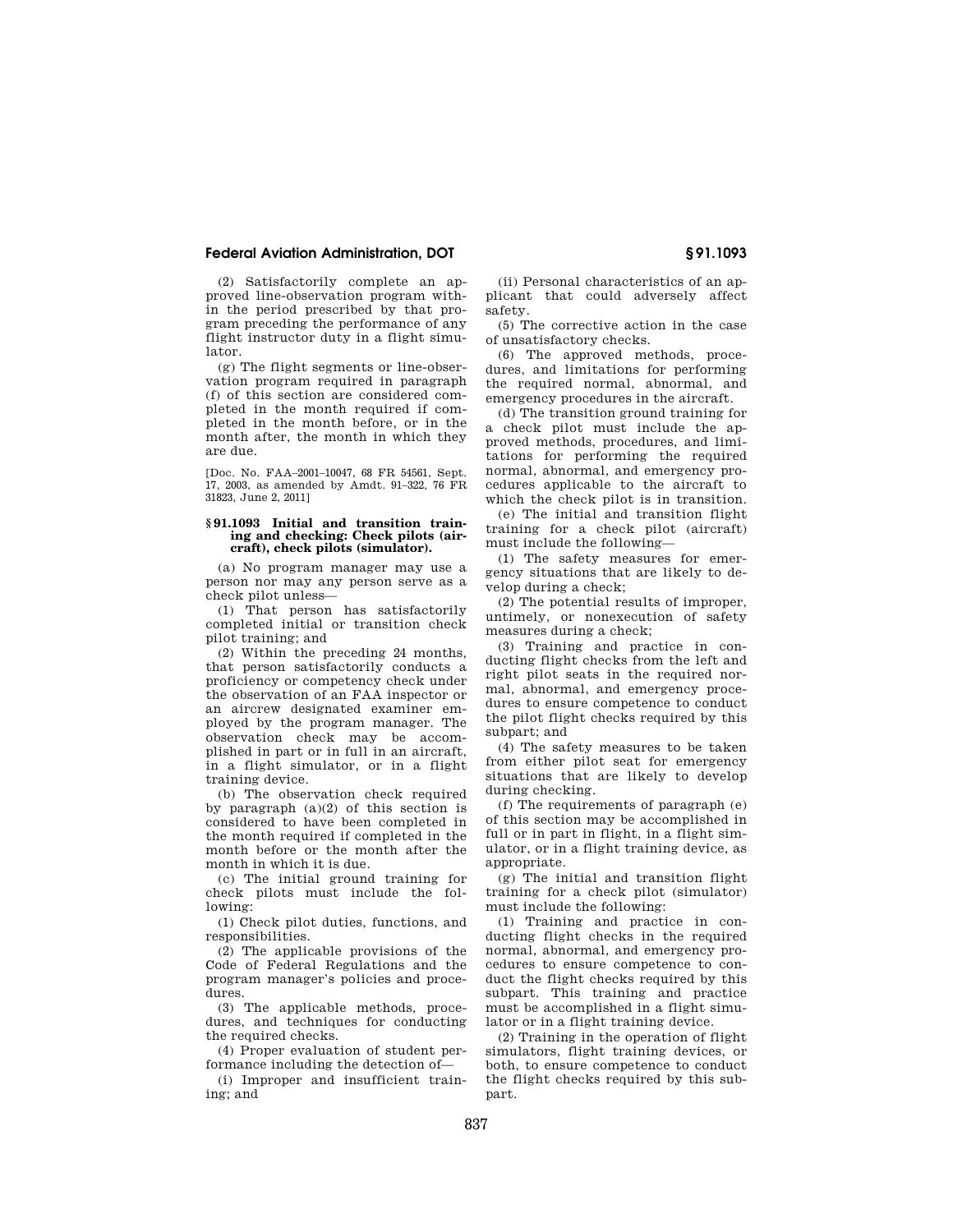(2) Satisfactorily complete an approved line-observation program within the period prescribed by that program preceding the performance of any flight instructor duty in a flight simulator.

(g) The flight segments or line-observation program required in paragraph (f) of this section are considered completed in the month required if completed in the month before, or in the month after, the month in which they are due.

[Doc. No. FAA–2001–10047, 68 FR 54561, Sept. 17, 2003, as amended by Amdt. 91–322, 76 FR 31823, June 2, 2011]

#### **§ 91.1093 Initial and transition training and checking: Check pilots (aircraft), check pilots (simulator).**

(a) No program manager may use a person nor may any person serve as a check pilot unless—

(1) That person has satisfactorily completed initial or transition check pilot training; and

(2) Within the preceding 24 months, that person satisfactorily conducts a proficiency or competency check under the observation of an FAA inspector or an aircrew designated examiner employed by the program manager. The observation check may be accomplished in part or in full in an aircraft, in a flight simulator, or in a flight training device.

(b) The observation check required by paragraph (a)(2) of this section is considered to have been completed in the month required if completed in the month before or the month after the month in which it is due.

(c) The initial ground training for check pilots must include the following:

(1) Check pilot duties, functions, and responsibilities.

(2) The applicable provisions of the Code of Federal Regulations and the program manager's policies and procedures.

(3) The applicable methods, procedures, and techniques for conducting the required checks.

(4) Proper evaluation of student performance including the detection of—

(i) Improper and insufficient training; and

(ii) Personal characteristics of an applicant that could adversely affect safety.

(5) The corrective action in the case of unsatisfactory checks.

(6) The approved methods, procedures, and limitations for performing the required normal, abnormal, and emergency procedures in the aircraft.

(d) The transition ground training for a check pilot must include the approved methods, procedures, and limitations for performing the required normal, abnormal, and emergency procedures applicable to the aircraft to which the check pilot is in transition.

(e) The initial and transition flight training for a check pilot (aircraft) must include the following—

(1) The safety measures for emergency situations that are likely to develop during a check;

(2) The potential results of improper, untimely, or nonexecution of safety measures during a check;

(3) Training and practice in conducting flight checks from the left and right pilot seats in the required normal, abnormal, and emergency procedures to ensure competence to conduct the pilot flight checks required by this subpart; and

(4) The safety measures to be taken from either pilot seat for emergency situations that are likely to develop during checking.

(f) The requirements of paragraph (e) of this section may be accomplished in full or in part in flight, in a flight simulator, or in a flight training device, as appropriate.

(g) The initial and transition flight training for a check pilot (simulator) must include the following:

(1) Training and practice in conducting flight checks in the required normal, abnormal, and emergency procedures to ensure competence to conduct the flight checks required by this subpart. This training and practice must be accomplished in a flight simulator or in a flight training device.

(2) Training in the operation of flight simulators, flight training devices, or both, to ensure competence to conduct the flight checks required by this subpart.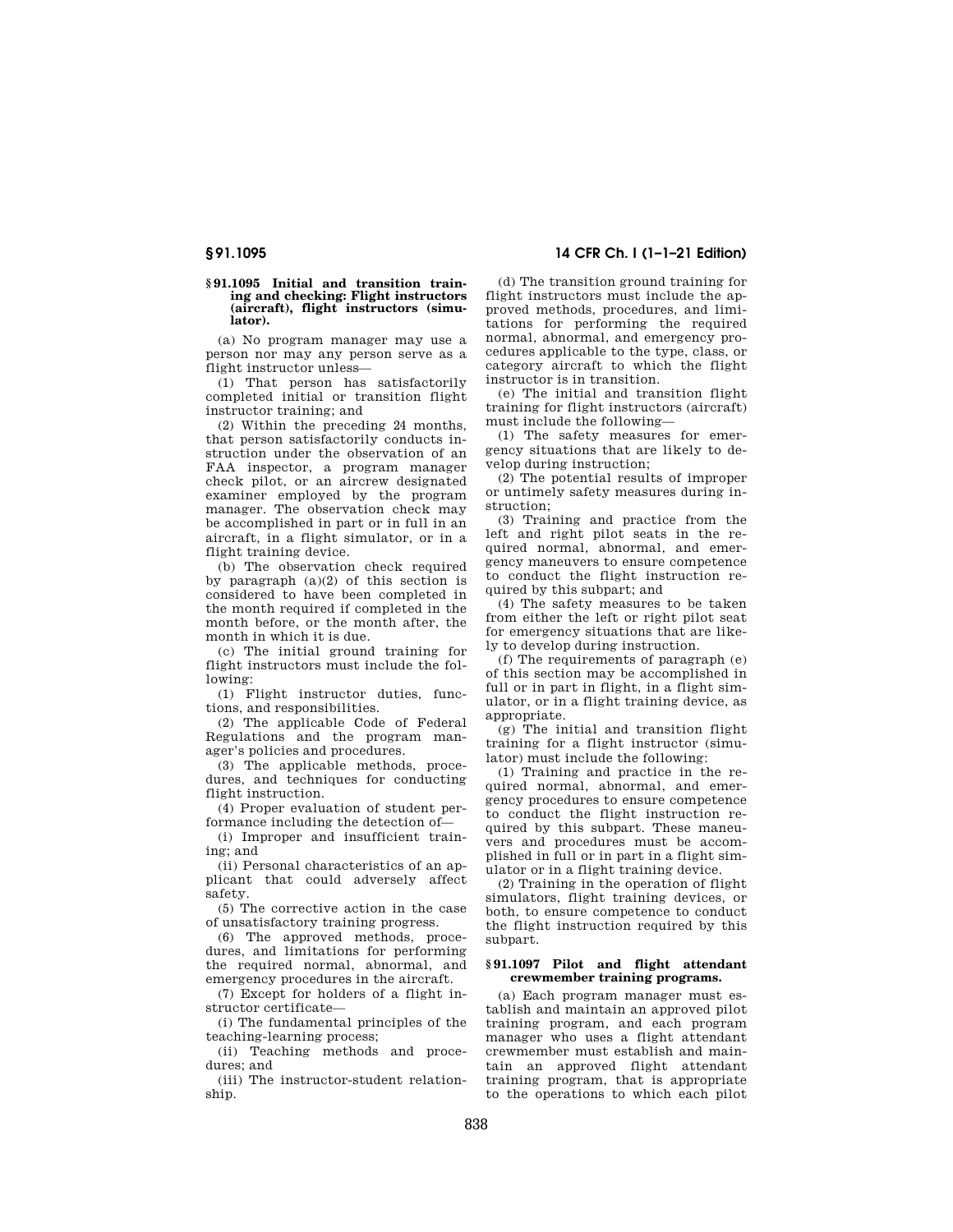# **§ 91.1095 14 CFR Ch. I (1–1–21 Edition)**

### **§ 91.1095 Initial and transition training and checking: Flight instructors (aircraft), flight instructors (simulator).**

(a) No program manager may use a person nor may any person serve as a flight instructor unless—

(1) That person has satisfactorily completed initial or transition flight instructor training; and

(2) Within the preceding 24 months, that person satisfactorily conducts instruction under the observation of an FAA inspector, a program manager check pilot, or an aircrew designated examiner employed by the program manager. The observation check may be accomplished in part or in full in an aircraft, in a flight simulator, or in a flight training device.

(b) The observation check required by paragraph (a)(2) of this section is considered to have been completed in the month required if completed in the month before, or the month after, the month in which it is due.

(c) The initial ground training for flight instructors must include the following:

(1) Flight instructor duties, functions, and responsibilities.

(2) The applicable Code of Federal Regulations and the program manager's policies and procedures.

(3) The applicable methods, procedures, and techniques for conducting flight instruction.

(4) Proper evaluation of student performance including the detection of—

(i) Improper and insufficient training; and

(ii) Personal characteristics of an applicant that could adversely affect safety.

(5) The corrective action in the case of unsatisfactory training progress.

(6) The approved methods, procedures, and limitations for performing the required normal, abnormal, and emergency procedures in the aircraft.

(7) Except for holders of a flight instructor certificate—

(i) The fundamental principles of the teaching-learning process;

(ii) Teaching methods and procedures; and

(iii) The instructor-student relationship.

(d) The transition ground training for flight instructors must include the approved methods, procedures, and limitations for performing the required normal, abnormal, and emergency procedures applicable to the type, class, or category aircraft to which the flight instructor is in transition.

(e) The initial and transition flight training for flight instructors (aircraft) must include the following—

(1) The safety measures for emergency situations that are likely to develop during instruction;

(2) The potential results of improper or untimely safety measures during instruction;

(3) Training and practice from the left and right pilot seats in the required normal, abnormal, and emergency maneuvers to ensure competence to conduct the flight instruction required by this subpart; and

(4) The safety measures to be taken from either the left or right pilot seat for emergency situations that are likely to develop during instruction.

(f) The requirements of paragraph (e) of this section may be accomplished in full or in part in flight, in a flight simulator, or in a flight training device, as appropriate

(g) The initial and transition flight training for a flight instructor (simulator) must include the following:

(1) Training and practice in the required normal, abnormal, and emergency procedures to ensure competence to conduct the flight instruction required by this subpart. These maneuvers and procedures must be accomplished in full or in part in a flight simulator or in a flight training device.

(2) Training in the operation of flight simulators, flight training devices, or both, to ensure competence to conduct the flight instruction required by this subpart.

## **§ 91.1097 Pilot and flight attendant crewmember training programs.**

(a) Each program manager must establish and maintain an approved pilot training program, and each program manager who uses a flight attendant crewmember must establish and maintain an approved flight attendant training program, that is appropriate to the operations to which each pilot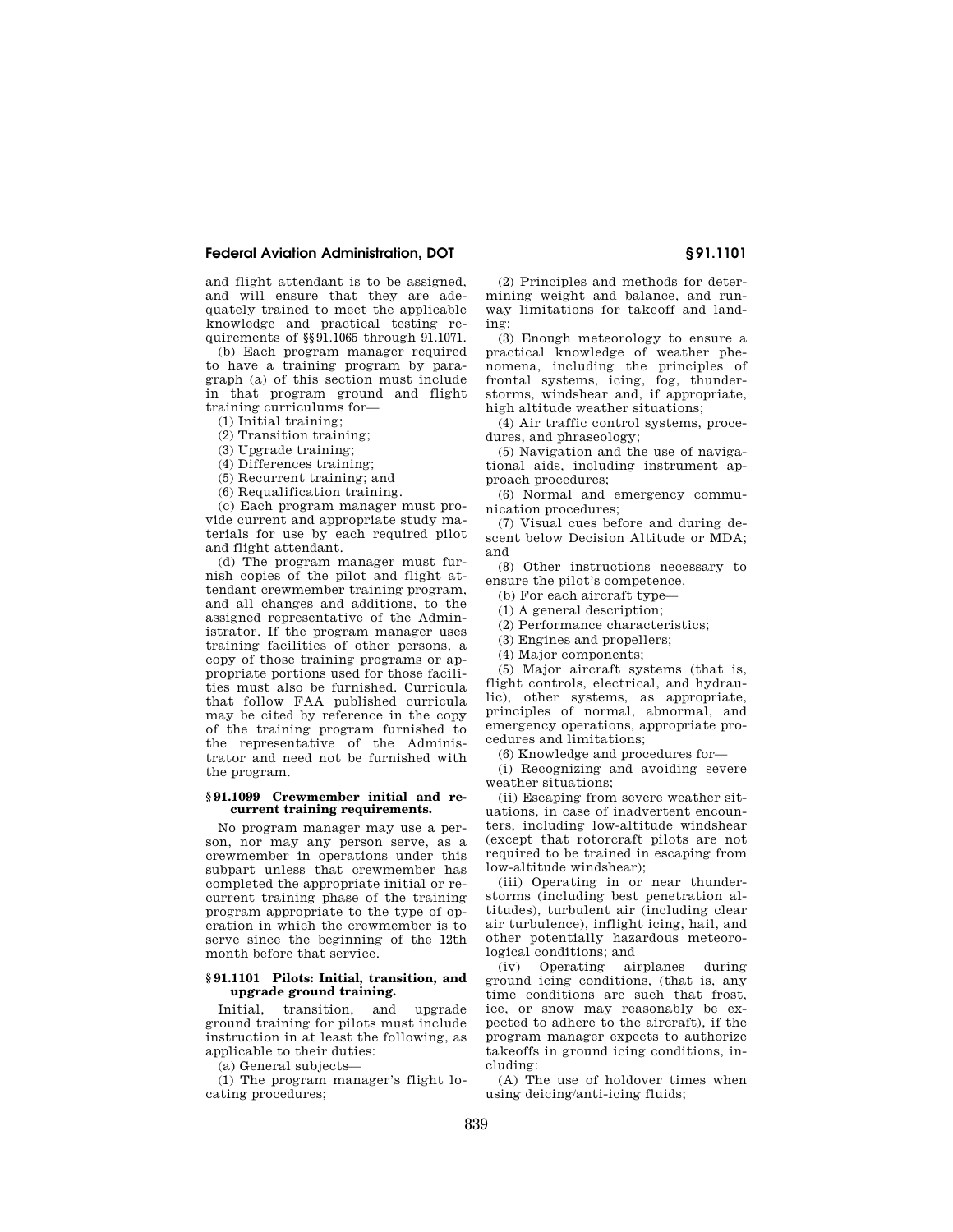and flight attendant is to be assigned, and will ensure that they are adequately trained to meet the applicable knowledge and practical testing requirements of §§91.1065 through 91.1071.

(b) Each program manager required to have a training program by paragraph (a) of this section must include in that program ground and flight training curriculums for—

(1) Initial training;

(2) Transition training;

(3) Upgrade training;

(4) Differences training;

(5) Recurrent training; and

(6) Requalification training.

(c) Each program manager must provide current and appropriate study materials for use by each required pilot and flight attendant.

(d) The program manager must furnish copies of the pilot and flight attendant crewmember training program, and all changes and additions, to the assigned representative of the Administrator. If the program manager uses training facilities of other persons, a copy of those training programs or appropriate portions used for those facilities must also be furnished. Curricula that follow FAA published curricula may be cited by reference in the copy of the training program furnished to the representative of the Administrator and need not be furnished with the program.

#### **§ 91.1099 Crewmember initial and recurrent training requirements.**

No program manager may use a person, nor may any person serve, as a crewmember in operations under this subpart unless that crewmember has completed the appropriate initial or recurrent training phase of the training program appropriate to the type of operation in which the crewmember is to serve since the beginning of the 12th month before that service.

## **§ 91.1101 Pilots: Initial, transition, and upgrade ground training.**

Initial, transition, and upgrade ground training for pilots must include instruction in at least the following, as applicable to their duties:

(a) General subjects—

(1) The program manager's flight locating procedures;

(2) Principles and methods for determining weight and balance, and runway limitations for takeoff and landing;

(3) Enough meteorology to ensure a practical knowledge of weather phenomena, including the principles of frontal systems, icing, fog, thunderstorms, windshear and, if appropriate, high altitude weather situations;

(4) Air traffic control systems, procedures, and phraseology;

(5) Navigation and the use of navigational aids, including instrument approach procedures;

(6) Normal and emergency communication procedures;

(7) Visual cues before and during descent below Decision Altitude or MDA; and

(8) Other instructions necessary to ensure the pilot's competence.

(b) For each aircraft type—

(1) A general description;

(2) Performance characteristics;

(3) Engines and propellers;

(4) Major components;

(5) Major aircraft systems (that is, flight controls, electrical, and hydraulic), other systems, as appropriate, principles of normal, abnormal, and emergency operations, appropriate procedures and limitations;

(6) Knowledge and procedures for—

(i) Recognizing and avoiding severe weather situations;

(ii) Escaping from severe weather situations, in case of inadvertent encounters, including low-altitude windshear (except that rotorcraft pilots are not required to be trained in escaping from low-altitude windshear);

(iii) Operating in or near thunderstorms (including best penetration altitudes), turbulent air (including clear air turbulence), inflight icing, hail, and other potentially hazardous meteorological conditions; and

(iv) Operating airplanes during ground icing conditions, (that is, any time conditions are such that frost, ice, or snow may reasonably be expected to adhere to the aircraft), if the program manager expects to authorize takeoffs in ground icing conditions, including:

(A) The use of holdover times when using deicing/anti-icing fluids;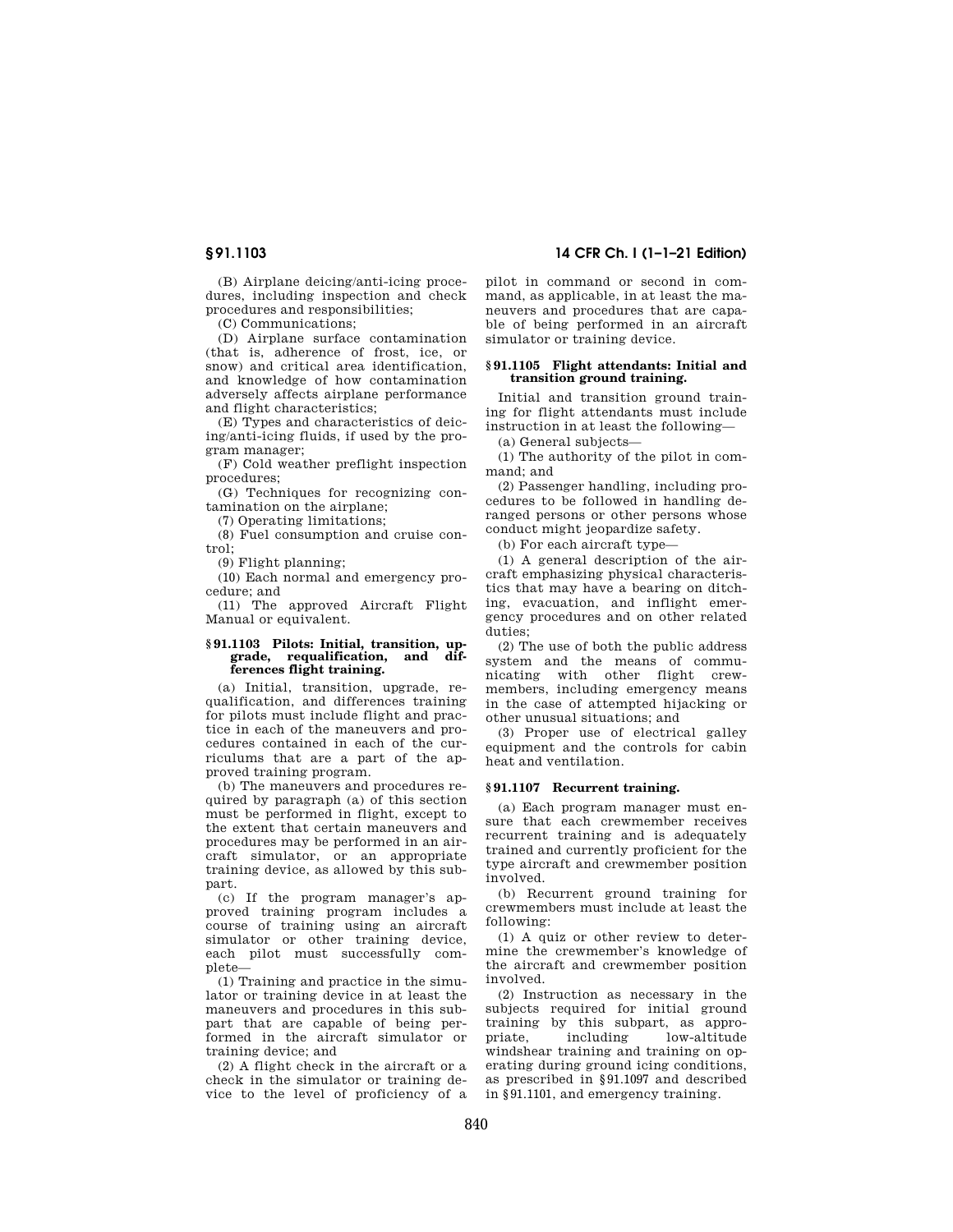(B) Airplane deicing/anti-icing procedures, including inspection and check procedures and responsibilities;

(C) Communications;

(D) Airplane surface contamination (that is, adherence of frost, ice, or snow) and critical area identification, and knowledge of how contamination adversely affects airplane performance and flight characteristics;

(E) Types and characteristics of deicing/anti-icing fluids, if used by the program manager;

(F) Cold weather preflight inspection procedures;

(G) Techniques for recognizing contamination on the airplane;

(7) Operating limitations;

(8) Fuel consumption and cruise control;

(9) Flight planning;

(10) Each normal and emergency procedure; and

(11) The approved Aircraft Flight Manual or equivalent.

#### **§ 91.1103 Pilots: Initial, transition, upgrade, requalification, and differences flight training.**

(a) Initial, transition, upgrade, requalification, and differences training for pilots must include flight and practice in each of the maneuvers and procedures contained in each of the curriculums that are a part of the approved training program.

(b) The maneuvers and procedures required by paragraph (a) of this section must be performed in flight, except to the extent that certain maneuvers and procedures may be performed in an aircraft simulator, or an appropriate training device, as allowed by this subpart.

(c) If the program manager's approved training program includes a course of training using an aircraft simulator or other training device, each pilot must successfully complete—

(1) Training and practice in the simulator or training device in at least the maneuvers and procedures in this subpart that are capable of being performed in the aircraft simulator or training device; and

(2) A flight check in the aircraft or a check in the simulator or training device to the level of proficiency of a

# **§ 91.1103 14 CFR Ch. I (1–1–21 Edition)**

pilot in command or second in command, as applicable, in at least the maneuvers and procedures that are capable of being performed in an aircraft simulator or training device.

## **§ 91.1105 Flight attendants: Initial and transition ground training.**

Initial and transition ground training for flight attendants must include

instruction in at least the following— (a) General subjects—

(1) The authority of the pilot in command; and

(2) Passenger handling, including procedures to be followed in handling deranged persons or other persons whose conduct might jeopardize safety.

(b) For each aircraft type—

(1) A general description of the aircraft emphasizing physical characteristics that may have a bearing on ditching, evacuation, and inflight emergency procedures and on other related duties;

(2) The use of both the public address system and the means of communicating with other flight crewmembers, including emergency means in the case of attempted hijacking or other unusual situations; and

(3) Proper use of electrical galley equipment and the controls for cabin heat and ventilation.

## **§ 91.1107 Recurrent training.**

(a) Each program manager must ensure that each crewmember receives recurrent training and is adequately trained and currently proficient for the type aircraft and crewmember position involved.

(b) Recurrent ground training for crewmembers must include at least the following:

(1) A quiz or other review to determine the crewmember's knowledge of the aircraft and crewmember position involved.

(2) Instruction as necessary in the subjects required for initial ground training by this subpart, as appro-<br>priate, including low-altitude priate, including low-altitude windshear training and training on operating during ground icing conditions, as prescribed in §91.1097 and described in §91.1101, and emergency training.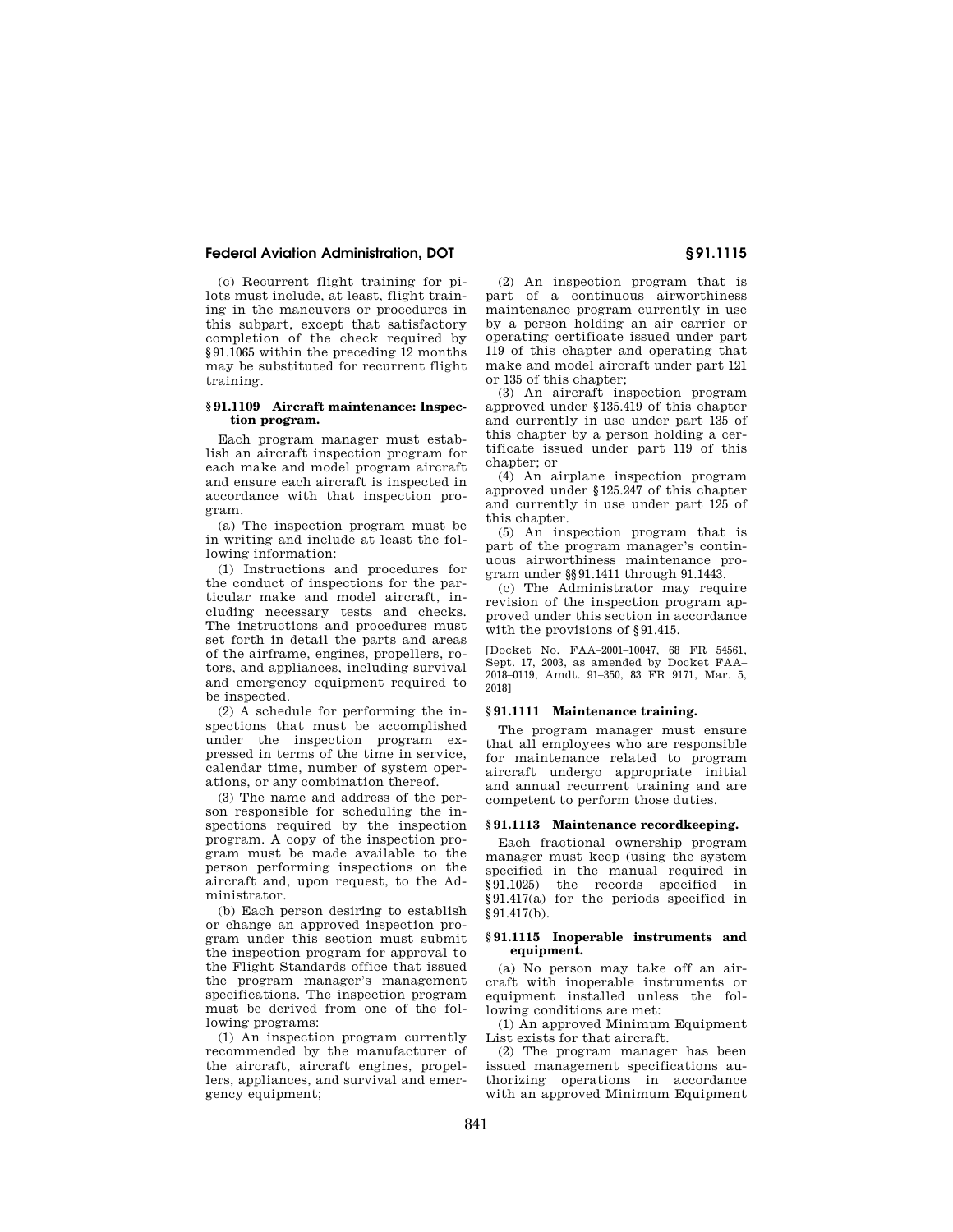(c) Recurrent flight training for pilots must include, at least, flight training in the maneuvers or procedures in this subpart, except that satisfactory completion of the check required by §91.1065 within the preceding 12 months may be substituted for recurrent flight training.

#### **§ 91.1109 Aircraft maintenance: Inspection program.**

Each program manager must establish an aircraft inspection program for each make and model program aircraft and ensure each aircraft is inspected in accordance with that inspection program.

(a) The inspection program must be in writing and include at least the following information:

(1) Instructions and procedures for the conduct of inspections for the particular make and model aircraft, including necessary tests and checks. The instructions and procedures must set forth in detail the parts and areas of the airframe, engines, propellers, rotors, and appliances, including survival and emergency equipment required to be inspected.

(2) A schedule for performing the inspections that must be accomplished under the inspection program expressed in terms of the time in service, calendar time, number of system operations, or any combination thereof.

(3) The name and address of the person responsible for scheduling the inspections required by the inspection program. A copy of the inspection program must be made available to the person performing inspections on the aircraft and, upon request, to the Administrator.

(b) Each person desiring to establish or change an approved inspection program under this section must submit the inspection program for approval to the Flight Standards office that issued the program manager's management specifications. The inspection program must be derived from one of the following programs:

(1) An inspection program currently recommended by the manufacturer of the aircraft, aircraft engines, propellers, appliances, and survival and emergency equipment;

(2) An inspection program that is part of a continuous airworthiness maintenance program currently in use by a person holding an air carrier or operating certificate issued under part 119 of this chapter and operating that make and model aircraft under part 121 or 135 of this chapter;

(3) An aircraft inspection program approved under §135.419 of this chapter and currently in use under part 135 of this chapter by a person holding a certificate issued under part 119 of this chapter; or

(4) An airplane inspection program approved under §125.247 of this chapter and currently in use under part 125 of this chapter.

(5) An inspection program that is part of the program manager's continuous airworthiness maintenance program under §§91.1411 through 91.1443.

(c) The Administrator may require revision of the inspection program approved under this section in accordance with the provisions of §91.415.

[Docket No. FAA–2001–10047, 68 FR 54561, Sept. 17, 2003, as amended by Docket FAA– 2018–0119, Amdt. 91–350, 83 FR 9171, Mar. 5, 2018]

#### **§ 91.1111 Maintenance training.**

The program manager must ensure that all employees who are responsible for maintenance related to program aircraft undergo appropriate initial and annual recurrent training and are competent to perform those duties.

#### **§ 91.1113 Maintenance recordkeeping.**

Each fractional ownership program manager must keep (using the system specified in the manual required in §91.1025) the records specified in §91.417(a) for the periods specified in  $$91.417(b).$ 

## **§ 91.1115 Inoperable instruments and equipment.**

(a) No person may take off an aircraft with inoperable instruments or equipment installed unless the following conditions are met:

(1) An approved Minimum Equipment List exists for that aircraft.

(2) The program manager has been issued management specifications authorizing operations in accordance with an approved Minimum Equipment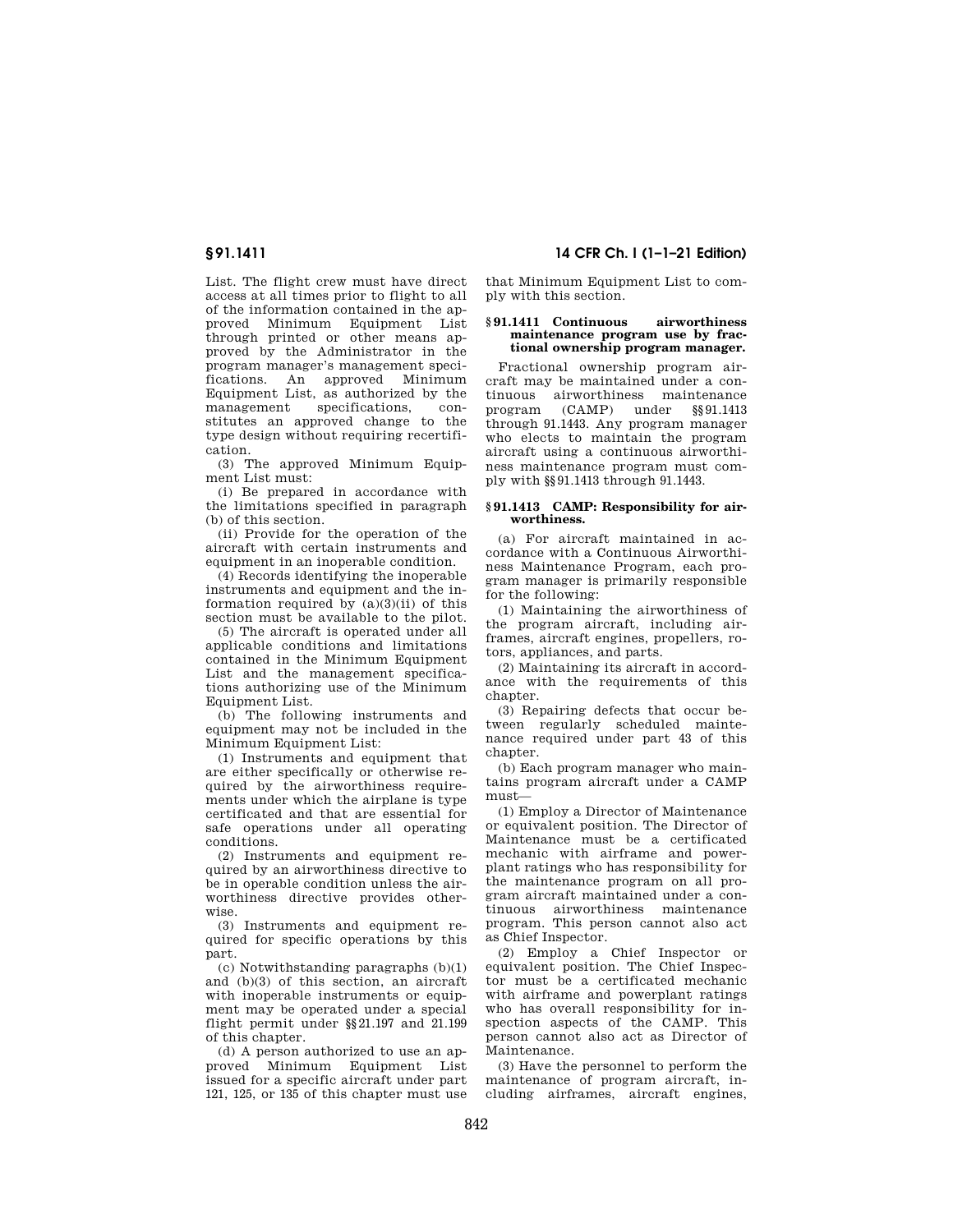List. The flight crew must have direct access at all times prior to flight to all of the information contained in the approved Minimum Equipment List through printed or other means approved by the Administrator in the program manager's management specifications. An approved Minimum Equipment List, as authorized by the<br>management specifications conmanagement specifications. stitutes an approved change to the type design without requiring recertification.

(3) The approved Minimum Equipment List must:

(i) Be prepared in accordance with the limitations specified in paragraph (b) of this section.

(ii) Provide for the operation of the aircraft with certain instruments and equipment in an inoperable condition.

(4) Records identifying the inoperable instruments and equipment and the information required by  $(a)(3)(ii)$  of this section must be available to the pilot.

(5) The aircraft is operated under all applicable conditions and limitations contained in the Minimum Equipment List and the management specifications authorizing use of the Minimum Equipment List.

(b) The following instruments and equipment may not be included in the Minimum Equipment List:

(1) Instruments and equipment that are either specifically or otherwise required by the airworthiness requirements under which the airplane is type certificated and that are essential for safe operations under all operating conditions.

(2) Instruments and equipment required by an airworthiness directive to be in operable condition unless the airworthiness directive provides otherwise.

(3) Instruments and equipment required for specific operations by this part.

(c) Notwithstanding paragraphs (b)(1) and (b)(3) of this section, an aircraft with inoperable instruments or equipment may be operated under a special flight permit under §§21.197 and 21.199 of this chapter.

(d) A person authorized to use an approved Minimum Equipment List issued for a specific aircraft under part 121, 125, or 135 of this chapter must use

**§ 91.1411 14 CFR Ch. I (1–1–21 Edition)** 

that Minimum Equipment List to comply with this section.

#### **§ 91.1411 Continuous airworthiness maintenance program use by fractional ownership program manager.**

Fractional ownership program aircraft may be maintained under a continuous airworthiness maintenance program (CAMP) under §§91.1413 through 91.1443. Any program manager who elects to maintain the program aircraft using a continuous airworthiness maintenance program must comply with §§91.1413 through 91.1443.

## **§ 91.1413 CAMP: Responsibility for airworthiness.**

(a) For aircraft maintained in accordance with a Continuous Airworthiness Maintenance Program, each program manager is primarily responsible for the following:

(1) Maintaining the airworthiness of the program aircraft, including airframes, aircraft engines, propellers, rotors, appliances, and parts.

(2) Maintaining its aircraft in accordance with the requirements of this chapter.

(3) Repairing defects that occur between regularly scheduled maintenance required under part 43 of this chapter.

(b) Each program manager who maintains program aircraft under a CAMP must—

(1) Employ a Director of Maintenance or equivalent position. The Director of Maintenance must be a certificated mechanic with airframe and powerplant ratings who has responsibility for the maintenance program on all program aircraft maintained under a continuous airworthiness maintenance program. This person cannot also act as Chief Inspector.

(2) Employ a Chief Inspector or equivalent position. The Chief Inspector must be a certificated mechanic with airframe and powerplant ratings who has overall responsibility for inspection aspects of the CAMP. This person cannot also act as Director of Maintenance.

(3) Have the personnel to perform the maintenance of program aircraft, including airframes, aircraft engines,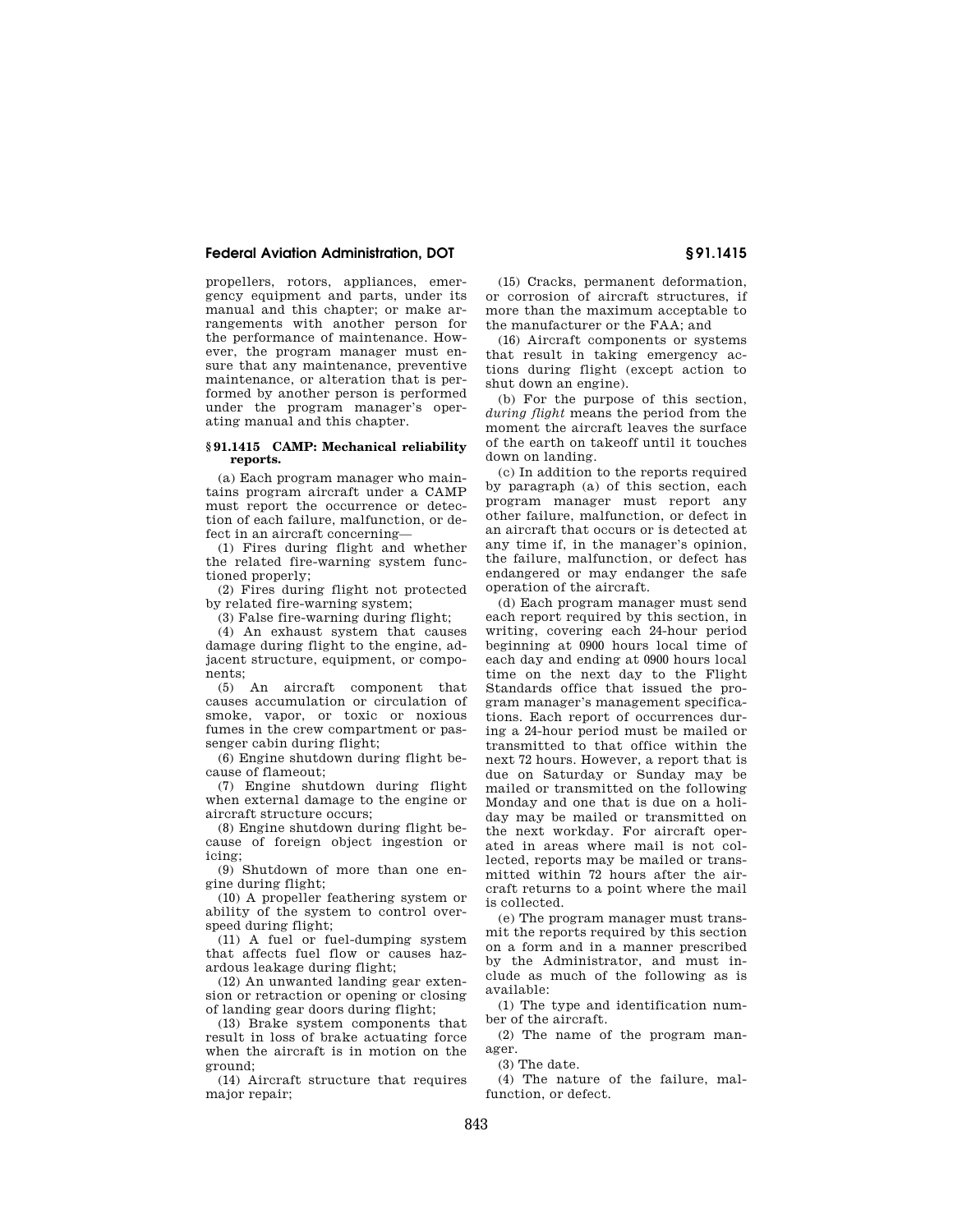propellers, rotors, appliances, emergency equipment and parts, under its manual and this chapter; or make arrangements with another person for the performance of maintenance. However, the program manager must ensure that any maintenance, preventive maintenance, or alteration that is performed by another person is performed under the program manager's operating manual and this chapter.

## **§ 91.1415 CAMP: Mechanical reliability reports.**

(a) Each program manager who maintains program aircraft under a CAMP must report the occurrence or detection of each failure, malfunction, or defect in an aircraft concerning—

(1) Fires during flight and whether the related fire-warning system functioned properly;

(2) Fires during flight not protected by related fire-warning system;

(3) False fire-warning during flight;

(4) An exhaust system that causes damage during flight to the engine, adjacent structure, equipment, or components;

(5) An aircraft component that causes accumulation or circulation of smoke, vapor, or toxic or noxious fumes in the crew compartment or passenger cabin during flight;

(6) Engine shutdown during flight because of flameout;

(7) Engine shutdown during flight when external damage to the engine or aircraft structure occurs;

(8) Engine shutdown during flight because of foreign object ingestion or icing;

(9) Shutdown of more than one engine during flight;

(10) A propeller feathering system or ability of the system to control overspeed during flight;

(11) A fuel or fuel-dumping system that affects fuel flow or causes hazardous leakage during flight;

(12) An unwanted landing gear extension or retraction or opening or closing of landing gear doors during flight;

(13) Brake system components that result in loss of brake actuating force when the aircraft is in motion on the ground;

(14) Aircraft structure that requires major repair;

(15) Cracks, permanent deformation, or corrosion of aircraft structures, if more than the maximum acceptable to the manufacturer or the FAA; and

(16) Aircraft components or systems that result in taking emergency actions during flight (except action to shut down an engine).

(b) For the purpose of this section, *during flight* means the period from the moment the aircraft leaves the surface of the earth on takeoff until it touches down on landing.

(c) In addition to the reports required by paragraph (a) of this section, each program manager must report any other failure, malfunction, or defect in an aircraft that occurs or is detected at any time if, in the manager's opinion, the failure, malfunction, or defect has endangered or may endanger the safe operation of the aircraft.

(d) Each program manager must send each report required by this section, in writing, covering each 24-hour period beginning at 0900 hours local time of each day and ending at 0900 hours local time on the next day to the Flight Standards office that issued the program manager's management specifications. Each report of occurrences during a 24-hour period must be mailed or transmitted to that office within the next 72 hours. However, a report that is due on Saturday or Sunday may be mailed or transmitted on the following Monday and one that is due on a holiday may be mailed or transmitted on the next workday. For aircraft operated in areas where mail is not collected, reports may be mailed or transmitted within 72 hours after the aircraft returns to a point where the mail is collected.

(e) The program manager must transmit the reports required by this section on a form and in a manner prescribed by the Administrator, and must include as much of the following as is available:

(1) The type and identification number of the aircraft.

(2) The name of the program manager.

(3) The date.

(4) The nature of the failure, malfunction, or defect.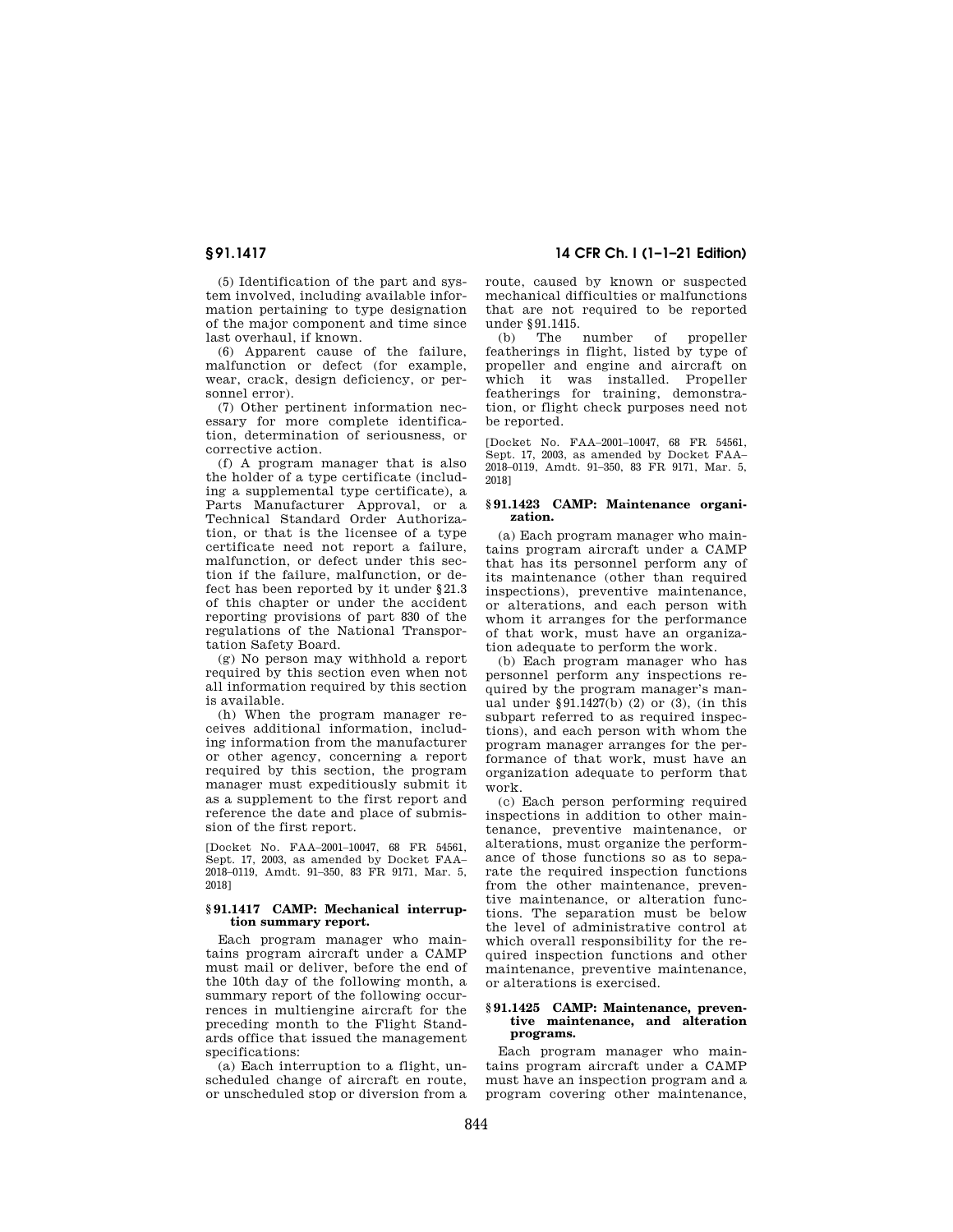(5) Identification of the part and system involved, including available information pertaining to type designation of the major component and time since last overhaul, if known.

(6) Apparent cause of the failure, malfunction or defect (for example, wear, crack, design deficiency, or personnel error).

(7) Other pertinent information necessary for more complete identification, determination of seriousness, or corrective action.

(f) A program manager that is also the holder of a type certificate (including a supplemental type certificate), a Parts Manufacturer Approval, or a Technical Standard Order Authorization, or that is the licensee of a type certificate need not report a failure, malfunction, or defect under this section if the failure, malfunction, or defect has been reported by it under §21.3 of this chapter or under the accident reporting provisions of part 830 of the regulations of the National Transportation Safety Board.

(g) No person may withhold a report required by this section even when not all information required by this section is available.

(h) When the program manager receives additional information, including information from the manufacturer or other agency, concerning a report required by this section, the program manager must expeditiously submit it as a supplement to the first report and reference the date and place of submission of the first report.

[Docket No. FAA–2001–10047, 68 FR 54561, Sept. 17, 2003, as amended by Docket FAA– 2018–0119, Amdt. 91–350, 83 FR 9171, Mar. 5, 2018]

# **§ 91.1417 CAMP: Mechanical interruption summary report.**

Each program manager who maintains program aircraft under a CAMP must mail or deliver, before the end of the 10th day of the following month, a summary report of the following occurrences in multiengine aircraft for the preceding month to the Flight Standards office that issued the management specifications:

(a) Each interruption to a flight, unscheduled change of aircraft en route, or unscheduled stop or diversion from a

**§ 91.1417 14 CFR Ch. I (1–1–21 Edition)** 

route, caused by known or suspected mechanical difficulties or malfunctions that are not required to be reported under §91.1415.<br>(b) The number

of propeller featherings in flight, listed by type of propeller and engine and aircraft on which it was installed. Propeller featherings for training, demonstration, or flight check purposes need not be reported.

[Docket No. FAA–2001–10047, 68 FR 54561, Sept. 17, 2003, as amended by Docket FAA– 2018–0119, Amdt. 91–350, 83 FR 9171, Mar. 5, 2018]

## **§ 91.1423 CAMP: Maintenance organization.**

(a) Each program manager who maintains program aircraft under a CAMP that has its personnel perform any of its maintenance (other than required inspections), preventive maintenance, or alterations, and each person with whom it arranges for the performance of that work, must have an organization adequate to perform the work.

(b) Each program manager who has personnel perform any inspections required by the program manager's manual under §91.1427(b) (2) or (3), (in this subpart referred to as required inspections), and each person with whom the program manager arranges for the performance of that work, must have an organization adequate to perform that work.

(c) Each person performing required inspections in addition to other maintenance, preventive maintenance, or alterations, must organize the performance of those functions so as to separate the required inspection functions from the other maintenance, preventive maintenance, or alteration functions. The separation must be below the level of administrative control at which overall responsibility for the required inspection functions and other maintenance, preventive maintenance, or alterations is exercised.

## **§ 91.1425 CAMP: Maintenance, preventive maintenance, and alteration programs.**

Each program manager who maintains program aircraft under a CAMP must have an inspection program and a program covering other maintenance,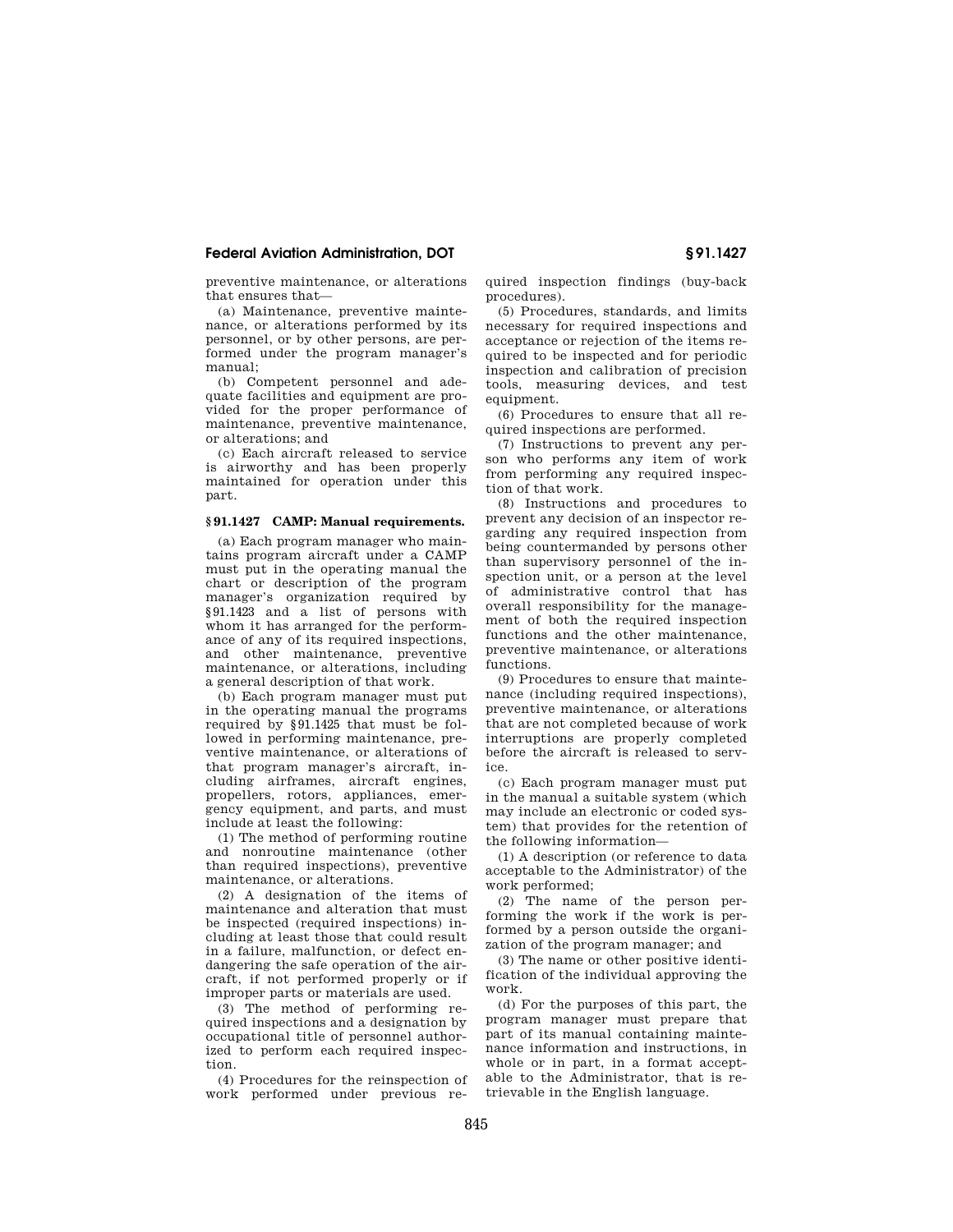preventive maintenance, or alterations that ensures that—

(a) Maintenance, preventive maintenance, or alterations performed by its personnel, or by other persons, are performed under the program manager's manual;

(b) Competent personnel and adequate facilities and equipment are provided for the proper performance of maintenance, preventive maintenance, or alterations; and

(c) Each aircraft released to service is airworthy and has been properly maintained for operation under this part.

# **§ 91.1427 CAMP: Manual requirements.**

(a) Each program manager who maintains program aircraft under a CAMP must put in the operating manual the chart or description of the program manager's organization required by §91.1423 and a list of persons with whom it has arranged for the performance of any of its required inspections, and other maintenance, preventive maintenance, or alterations, including a general description of that work.

(b) Each program manager must put in the operating manual the programs required by §91.1425 that must be followed in performing maintenance, preventive maintenance, or alterations of that program manager's aircraft, including airframes, aircraft engines, propellers, rotors, appliances, emergency equipment, and parts, and must include at least the following:

(1) The method of performing routine and nonroutine maintenance (other than required inspections), preventive maintenance, or alterations.

(2) A designation of the items of maintenance and alteration that must be inspected (required inspections) including at least those that could result in a failure, malfunction, or defect endangering the safe operation of the aircraft, if not performed properly or if improper parts or materials are used.

(3) The method of performing required inspections and a designation by occupational title of personnel authorized to perform each required inspection.

(4) Procedures for the reinspection of work performed under previous required inspection findings (buy-back procedures).

(5) Procedures, standards, and limits necessary for required inspections and acceptance or rejection of the items required to be inspected and for periodic inspection and calibration of precision tools, measuring devices, and test equipment.

(6) Procedures to ensure that all required inspections are performed.

(7) Instructions to prevent any person who performs any item of work from performing any required inspection of that work.

(8) Instructions and procedures to prevent any decision of an inspector regarding any required inspection from being countermanded by persons other than supervisory personnel of the inspection unit, or a person at the level of administrative control that has overall responsibility for the management of both the required inspection functions and the other maintenance, preventive maintenance, or alterations functions.

(9) Procedures to ensure that maintenance (including required inspections), preventive maintenance, or alterations that are not completed because of work interruptions are properly completed before the aircraft is released to service.

(c) Each program manager must put in the manual a suitable system (which may include an electronic or coded system) that provides for the retention of the following information—

(1) A description (or reference to data acceptable to the Administrator) of the work performed;

(2) The name of the person performing the work if the work is performed by a person outside the organization of the program manager; and

(3) The name or other positive identification of the individual approving the work.

(d) For the purposes of this part, the program manager must prepare that part of its manual containing maintenance information and instructions, in whole or in part, in a format acceptable to the Administrator, that is retrievable in the English language.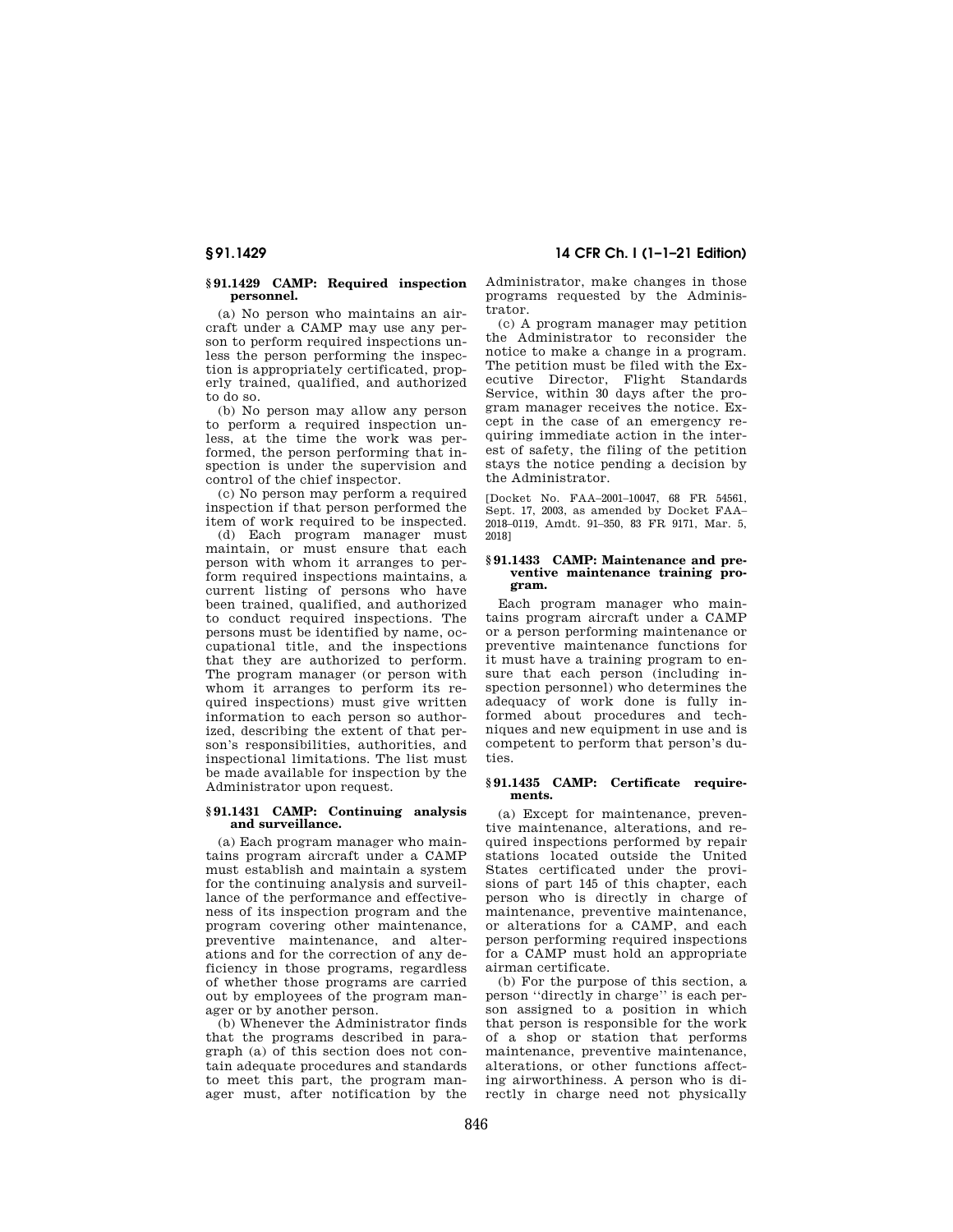#### **§ 91.1429 CAMP: Required inspection personnel.**

(a) No person who maintains an aircraft under a CAMP may use any person to perform required inspections unless the person performing the inspection is appropriately certificated, properly trained, qualified, and authorized to do so.

(b) No person may allow any person to perform a required inspection unless, at the time the work was performed, the person performing that inspection is under the supervision and control of the chief inspector.

(c) No person may perform a required inspection if that person performed the item of work required to be inspected.

(d) Each program manager must maintain, or must ensure that each person with whom it arranges to perform required inspections maintains, a current listing of persons who have been trained, qualified, and authorized to conduct required inspections. The persons must be identified by name, occupational title, and the inspections that they are authorized to perform. The program manager (or person with whom it arranges to perform its required inspections) must give written information to each person so authorized, describing the extent of that person's responsibilities, authorities, and inspectional limitations. The list must be made available for inspection by the Administrator upon request.

## **§ 91.1431 CAMP: Continuing analysis and surveillance.**

(a) Each program manager who maintains program aircraft under a CAMP must establish and maintain a system for the continuing analysis and surveillance of the performance and effectiveness of its inspection program and the program covering other maintenance, preventive maintenance, and alterations and for the correction of any deficiency in those programs, regardless of whether those programs are carried out by employees of the program manager or by another person.

(b) Whenever the Administrator finds that the programs described in paragraph (a) of this section does not contain adequate procedures and standards to meet this part, the program manager must, after notification by the

**§ 91.1429 14 CFR Ch. I (1–1–21 Edition)** 

Administrator, make changes in those programs requested by the Administrator.

(c) A program manager may petition the Administrator to reconsider the notice to make a change in a program. The petition must be filed with the Executive Director, Flight Standards Service, within 30 days after the program manager receives the notice. Except in the case of an emergency requiring immediate action in the interest of safety, the filing of the petition stays the notice pending a decision by the Administrator.

[Docket No. FAA–2001–10047, 68 FR 54561, Sept. 17, 2003, as amended by Docket FAA– 2018–0119, Amdt. 91–350, 83 FR 9171, Mar. 5, 2018]

## **§ 91.1433 CAMP: Maintenance and preventive maintenance training program.**

Each program manager who maintains program aircraft under a CAMP or a person performing maintenance or preventive maintenance functions for it must have a training program to ensure that each person (including inspection personnel) who determines the adequacy of work done is fully informed about procedures and techniques and new equipment in use and is competent to perform that person's duties.

#### **§ 91.1435 CAMP: Certificate requirements.**

(a) Except for maintenance, preventive maintenance, alterations, and required inspections performed by repair stations located outside the United States certificated under the provisions of part 145 of this chapter, each person who is directly in charge of maintenance, preventive maintenance, or alterations for a CAMP, and each person performing required inspections for a CAMP must hold an appropriate airman certificate.

(b) For the purpose of this section, a person ''directly in charge'' is each person assigned to a position in which that person is responsible for the work of a shop or station that performs maintenance, preventive maintenance, alterations, or other functions affecting airworthiness. A person who is directly in charge need not physically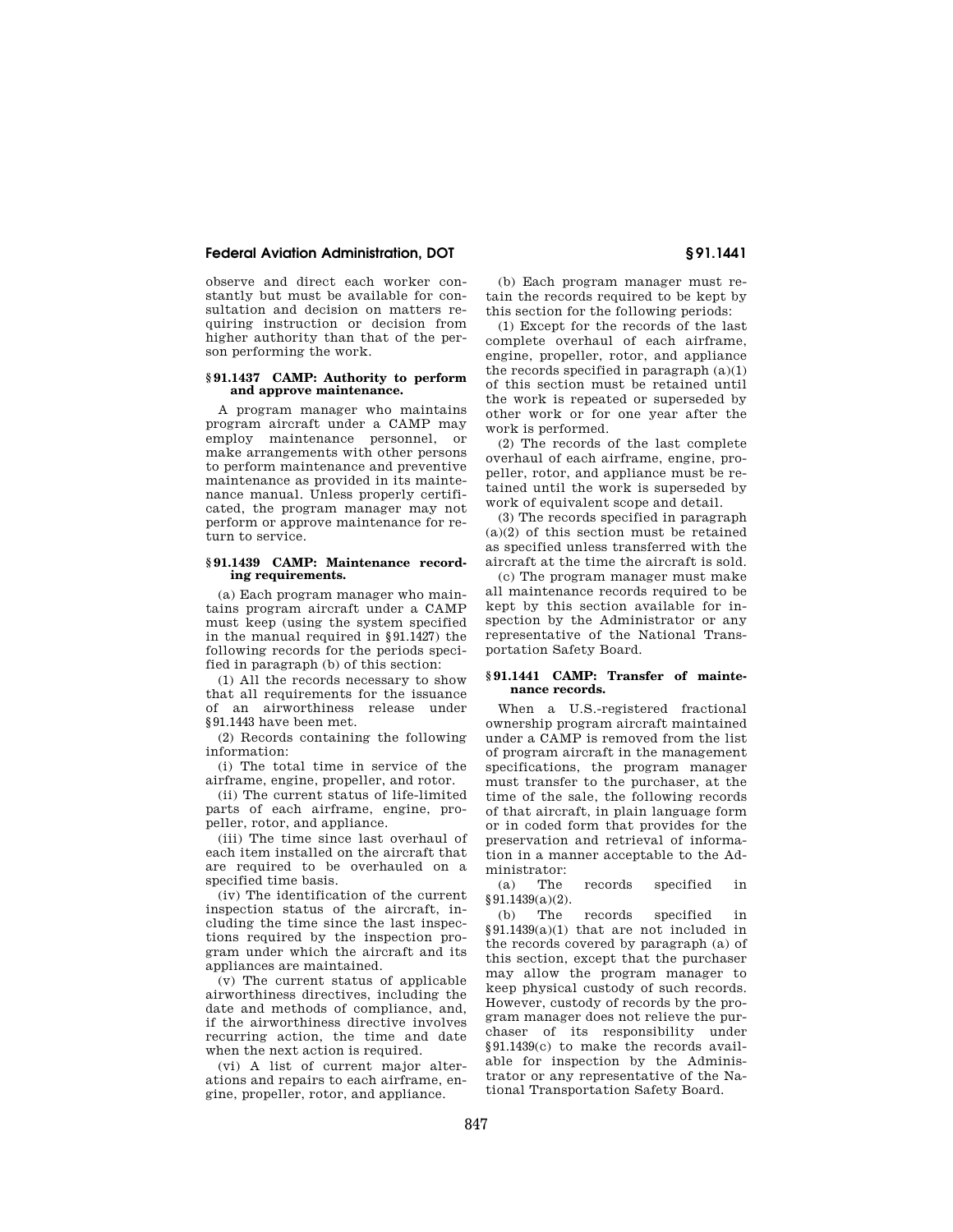observe and direct each worker constantly but must be available for consultation and decision on matters requiring instruction or decision from higher authority than that of the person performing the work.

#### **§ 91.1437 CAMP: Authority to perform and approve maintenance.**

A program manager who maintains program aircraft under a CAMP may employ maintenance personnel, or make arrangements with other persons to perform maintenance and preventive maintenance as provided in its maintenance manual. Unless properly certificated, the program manager may not perform or approve maintenance for return to service.

## **§ 91.1439 CAMP: Maintenance recording requirements.**

(a) Each program manager who maintains program aircraft under a CAMP must keep (using the system specified in the manual required in §91.1427) the following records for the periods specified in paragraph (b) of this section:

(1) All the records necessary to show that all requirements for the issuance of an airworthiness release under §91.1443 have been met.

(2) Records containing the following information:

(i) The total time in service of the airframe, engine, propeller, and rotor.

(ii) The current status of life-limited parts of each airframe, engine, propeller, rotor, and appliance.

(iii) The time since last overhaul of each item installed on the aircraft that are required to be overhauled on a specified time basis.

(iv) The identification of the current inspection status of the aircraft, including the time since the last inspections required by the inspection program under which the aircraft and its appliances are maintained.

(v) The current status of applicable airworthiness directives, including the date and methods of compliance, and if the airworthiness directive involves recurring action, the time and date when the next action is required.

(vi) A list of current major alterations and repairs to each airframe, engine, propeller, rotor, and appliance.

(b) Each program manager must retain the records required to be kept by this section for the following periods:

(1) Except for the records of the last complete overhaul of each airframe, engine, propeller, rotor, and appliance the records specified in paragraph  $(a)(1)$ of this section must be retained until the work is repeated or superseded by other work or for one year after the work is performed.

(2) The records of the last complete overhaul of each airframe, engine, propeller, rotor, and appliance must be retained until the work is superseded by work of equivalent scope and detail.

(3) The records specified in paragraph (a)(2) of this section must be retained as specified unless transferred with the aircraft at the time the aircraft is sold.

(c) The program manager must make all maintenance records required to be kept by this section available for inspection by the Administrator or any representative of the National Transportation Safety Board.

## **§ 91.1441 CAMP: Transfer of maintenance records.**

When a U.S.-registered fractional ownership program aircraft maintained under a CAMP is removed from the list of program aircraft in the management specifications, the program manager must transfer to the purchaser, at the time of the sale, the following records of that aircraft, in plain language form or in coded form that provides for the preservation and retrieval of information in a manner acceptable to the Administrator:

(a) The records specified in  $§91.1439(a)(2).$ 

(b) The records specified in §91.1439(a)(1) that are not included in the records covered by paragraph (a) of this section, except that the purchaser may allow the program manager to keep physical custody of such records. However, custody of records by the program manager does not relieve the purchaser of its responsibility under §91.1439(c) to make the records available for inspection by the Administrator or any representative of the National Transportation Safety Board.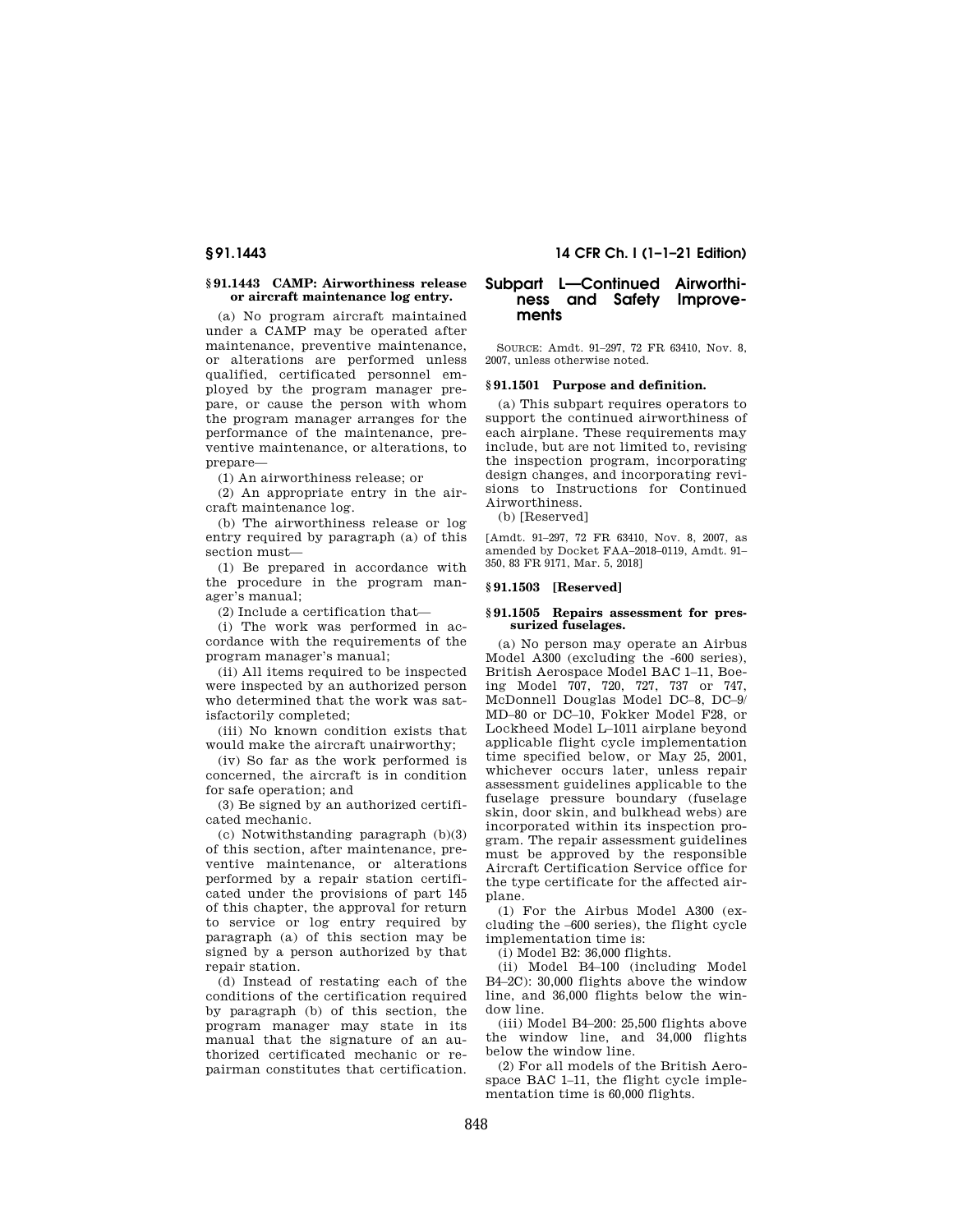## **§ 91.1443 CAMP: Airworthiness release or aircraft maintenance log entry.**

(a) No program aircraft maintained under a CAMP may be operated after maintenance, preventive maintenance, or alterations are performed unless qualified, certificated personnel employed by the program manager prepare, or cause the person with whom the program manager arranges for the performance of the maintenance, preventive maintenance, or alterations, to prepare—

(1) An airworthiness release; or

(2) An appropriate entry in the aircraft maintenance log.

(b) The airworthiness release or log entry required by paragraph (a) of this section must—

(1) Be prepared in accordance with the procedure in the program manager's manual;

(2) Include a certification that—

(i) The work was performed in accordance with the requirements of the program manager's manual;

(ii) All items required to be inspected were inspected by an authorized person who determined that the work was satisfactorily completed;

(iii) No known condition exists that would make the aircraft unairworthy;

(iv) So far as the work performed is concerned, the aircraft is in condition for safe operation; and

(3) Be signed by an authorized certificated mechanic.

(c) Notwithstanding paragraph (b)(3) of this section, after maintenance, preventive maintenance, or alterations performed by a repair station certificated under the provisions of part 145 of this chapter, the approval for return to service or log entry required by paragraph (a) of this section may be signed by a person authorized by that repair station.

(d) Instead of restating each of the conditions of the certification required by paragraph (b) of this section, the program manager may state in its manual that the signature of an authorized certificated mechanic or repairman constitutes that certification.

# **§ 91.1443 14 CFR Ch. I (1–1–21 Edition)**

# **Subpart L—Continued Airworthiness and Safety Improvements**

SOURCE: Amdt. 91–297, 72 FR 63410, Nov. 8, 2007, unless otherwise noted.

## **§ 91.1501 Purpose and definition.**

(a) This subpart requires operators to support the continued airworthiness of each airplane. These requirements may include, but are not limited to, revising the inspection program, incorporating design changes, and incorporating revisions to Instructions for Continued Airworthiness.

(b) [Reserved]

[Amdt. 91–297, 72 FR 63410, Nov. 8, 2007, as amended by Docket FAA–2018–0119, Amdt. 91– 350, 83 FR 9171, Mar. 5, 2018]

# **§ 91.1503 [Reserved]**

### **§ 91.1505 Repairs assessment for pressurized fuselages.**

(a) No person may operate an Airbus Model A300 (excluding the -600 series), British Aerospace Model BAC 1–11, Boeing Model 707, 720, 727, 737 or 747, McDonnell Douglas Model DC–8, DC–9/ MD–80 or DC–10, Fokker Model F28, or Lockheed Model L–1011 airplane beyond applicable flight cycle implementation time specified below, or May 25, 2001, whichever occurs later, unless repair assessment guidelines applicable to the fuselage pressure boundary (fuselage skin, door skin, and bulkhead webs) are incorporated within its inspection program. The repair assessment guidelines must be approved by the responsible Aircraft Certification Service office for the type certificate for the affected airplane.

(1) For the Airbus Model A300 (excluding the –600 series), the flight cycle implementation time is:

(i) Model B2: 36,000 flights.

(ii) Model B4–100 (including Model B4–2C): 30,000 flights above the window line, and 36,000 flights below the window line.

(iii) Model B4–200: 25,500 flights above the window line, and 34,000 flights below the window line.

(2) For all models of the British Aerospace BAC 1–11, the flight cycle implementation time is 60,000 flights.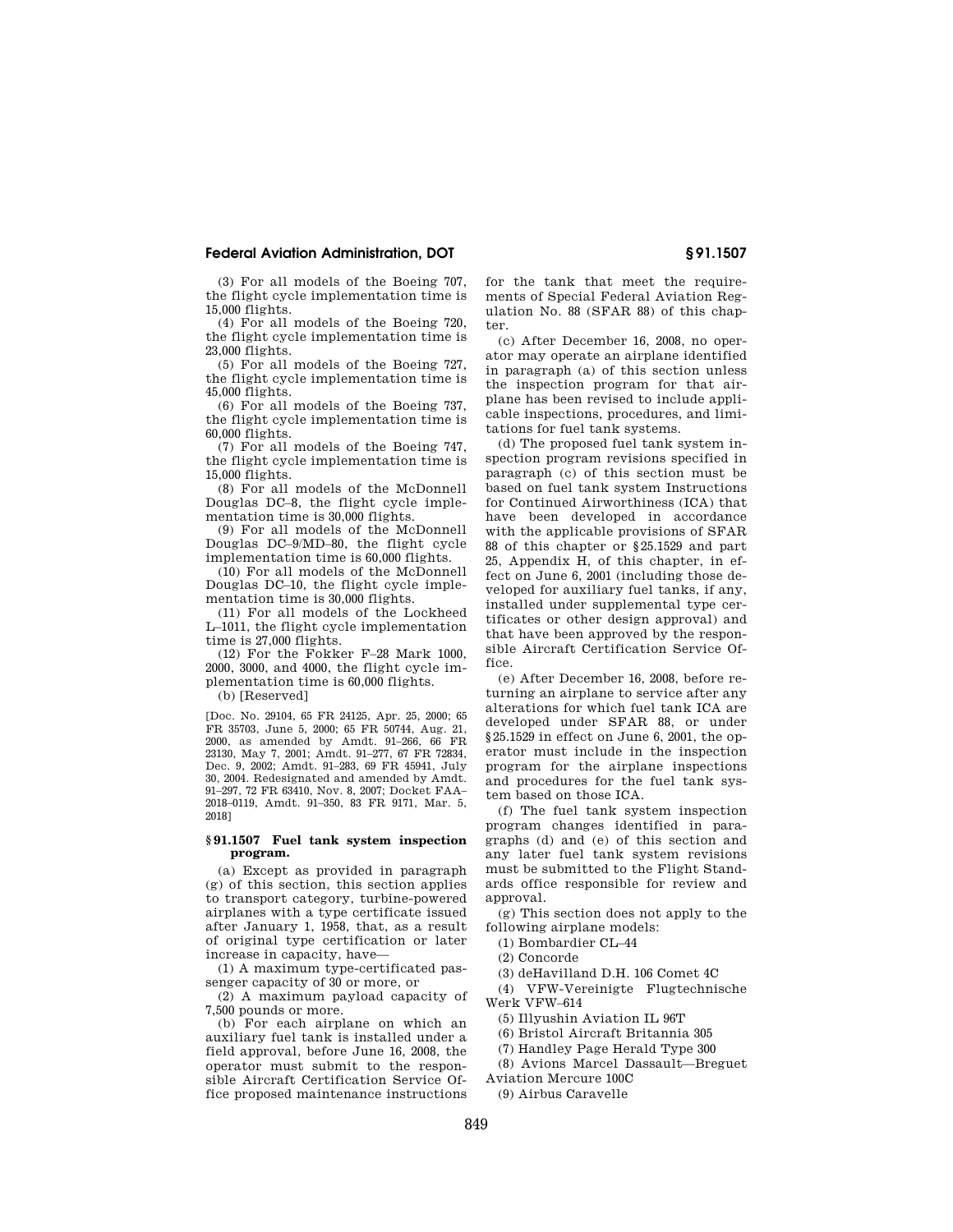(3) For all models of the Boeing 707, the flight cycle implementation time is 15,000 flights.

(4) For all models of the Boeing 720, the flight cycle implementation time is 23,000 flights.

(5) For all models of the Boeing 727, the flight cycle implementation time is 45,000 flights.

(6) For all models of the Boeing 737, the flight cycle implementation time is 60,000 flights.

(7) For all models of the Boeing 747, the flight cycle implementation time is 15,000 flights.

(8) For all models of the McDonnell Douglas DC–8, the flight cycle implementation time is 30,000 flights.

(9) For all models of the McDonnell Douglas DC–9/MD–80, the flight cycle implementation time is 60,000 flights.

(10) For all models of the McDonnell Douglas DC–10, the flight cycle implementation time is 30,000 flights.

(11) For all models of the Lockheed L–1011, the flight cycle implementation time is 27,000 flights.

(12) For the Fokker F–28 Mark 1000, 2000, 3000, and 4000, the flight cycle implementation time is 60,000 flights.

(b) [Reserved]

[Doc. No. 29104, 65 FR 24125, Apr. 25, 2000; 65 FR 35703, June 5, 2000; 65 FR 50744, Aug. 21, 2000, as amended by Amdt. 91–266, 66 FR 23130, May 7, 2001; Amdt. 91–277, 67 FR 72834, Dec. 9, 2002; Amdt. 91–283, 69 FR 45941, July 30, 2004. Redesignated and amended by Amdt. 91–297, 72 FR 63410, Nov. 8, 2007; Docket FAA– 2018–0119, Amdt. 91–350, 83 FR 9171, Mar. 5, 2018]

### **§ 91.1507 Fuel tank system inspection program.**

(a) Except as provided in paragraph (g) of this section, this section applies to transport category, turbine-powered airplanes with a type certificate issued after January 1, 1958, that, as a result of original type certification or later increase in capacity, have—

(1) A maximum type-certificated passenger capacity of 30 or more, or

(2) A maximum payload capacity of 7,500 pounds or more.

(b) For each airplane on which an auxiliary fuel tank is installed under a field approval, before June 16, 2008, the operator must submit to the responsible Aircraft Certification Service Office proposed maintenance instructions

for the tank that meet the requirements of Special Federal Aviation Regulation No. 88 (SFAR 88) of this chapter.

(c) After December 16, 2008, no operator may operate an airplane identified in paragraph (a) of this section unless the inspection program for that airplane has been revised to include applicable inspections, procedures, and limitations for fuel tank systems.

(d) The proposed fuel tank system inspection program revisions specified in paragraph (c) of this section must be based on fuel tank system Instructions for Continued Airworthiness (ICA) that have been developed in accordance with the applicable provisions of SFAR 88 of this chapter or §25.1529 and part 25, Appendix H, of this chapter, in effect on June 6, 2001 (including those developed for auxiliary fuel tanks, if any, installed under supplemental type certificates or other design approval) and that have been approved by the responsible Aircraft Certification Service Office.

(e) After December 16, 2008, before returning an airplane to service after any alterations for which fuel tank ICA are developed under SFAR 88, or under §25.1529 in effect on June 6, 2001, the operator must include in the inspection program for the airplane inspections and procedures for the fuel tank system based on those ICA.

(f) The fuel tank system inspection program changes identified in paragraphs (d) and (e) of this section and any later fuel tank system revisions must be submitted to the Flight Standards office responsible for review and approval.

(g) This section does not apply to the following airplane models:

(1) Bombardier CL–44

(2) Concorde

(3) deHavilland D.H. 106 Comet 4C

(4) VFW-Vereinigte Flugtechnische Werk VFW–614

(5) Illyushin Aviation IL 96T

(6) Bristol Aircraft Britannia 305

(7) Handley Page Herald Type 300

(8) Avions Marcel Dassault—Breguet Aviation Mercure 100C

(9) Airbus Caravelle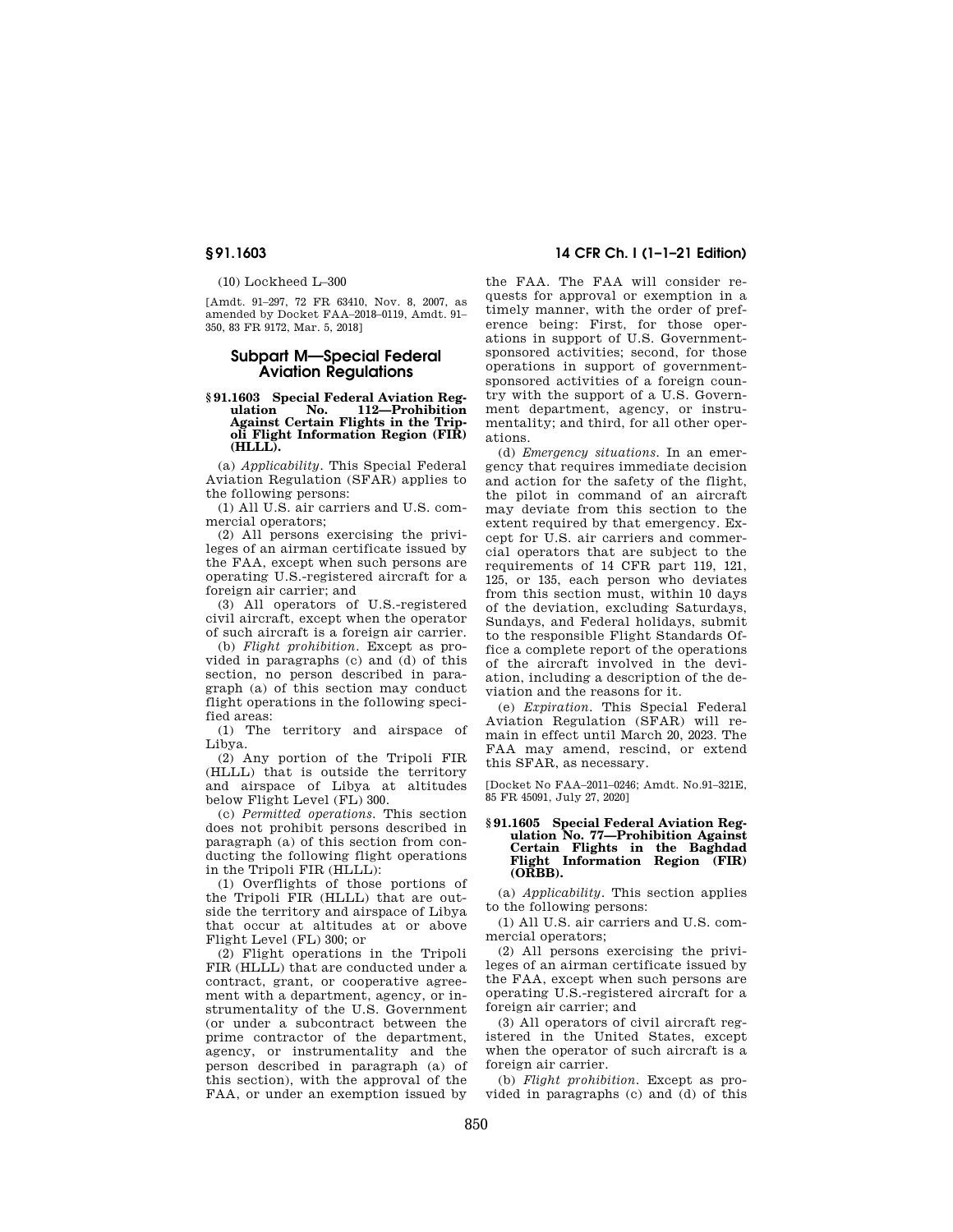(10) Lockheed L–300

[Amdt. 91–297, 72 FR 63410, Nov. 8, 2007, as amended by Docket FAA–2018–0119, Amdt. 91– 350, 83 FR 9172, Mar. 5, 2018]

## **Subpart M—Special Federal Aviation Regulations**

#### **§ 91.1603 Special Federal Aviation Reg-**112-Prohibition **Against Certain Flights in the Tripoli Flight Information Region (FIR) (HLLL).**

(a) *Applicability.* This Special Federal Aviation Regulation (SFAR) applies to the following persons:

(1) All U.S. air carriers and U.S. commercial operators;

(2) All persons exercising the privileges of an airman certificate issued by the FAA, except when such persons are operating U.S.-registered aircraft for a foreign air carrier; and

(3) All operators of U.S.-registered civil aircraft, except when the operator of such aircraft is a foreign air carrier.

(b) *Flight prohibition.* Except as provided in paragraphs (c) and (d) of this section, no person described in paragraph (a) of this section may conduct flight operations in the following specified areas:

(1) The territory and airspace of Libya.

(2) Any portion of the Tripoli FIR (HLLL) that is outside the territory and airspace of Libya at altitudes below Flight Level (FL) 300.

(c) *Permitted operations.* This section does not prohibit persons described in paragraph (a) of this section from conducting the following flight operations in the Tripoli FIR (HLLL):

(1) Overflights of those portions of the Tripoli FIR (HLLL) that are outside the territory and airspace of Libya that occur at altitudes at or above Flight Level (FL) 300; or

(2) Flight operations in the Tripoli FIR (HLLL) that are conducted under a contract, grant, or cooperative agreement with a department, agency, or instrumentality of the U.S. Government (or under a subcontract between the prime contractor of the department, agency, or instrumentality and the person described in paragraph (a) of this section), with the approval of the FAA, or under an exemption issued by

# **§ 91.1603 14 CFR Ch. I (1–1–21 Edition)**

the FAA. The FAA will consider requests for approval or exemption in a timely manner, with the order of preference being: First, for those operations in support of U.S. Governmentsponsored activities; second, for those operations in support of governmentsponsored activities of a foreign country with the support of a U.S. Government department, agency, or instrumentality; and third, for all other operations.

(d) *Emergency situations.* In an emergency that requires immediate decision and action for the safety of the flight, the pilot in command of an aircraft may deviate from this section to the extent required by that emergency. Except for U.S. air carriers and commercial operators that are subject to the requirements of 14 CFR part 119, 121, 125, or 135, each person who deviates from this section must, within 10 days of the deviation, excluding Saturdays, Sundays, and Federal holidays, submit to the responsible Flight Standards Office a complete report of the operations of the aircraft involved in the deviation, including a description of the deviation and the reasons for it.

(e) *Expiration.* This Special Federal Aviation Regulation (SFAR) will remain in effect until March 20, 2023. The FAA may amend, rescind, or extend this SFAR, as necessary.

[Docket No FAA–2011–0246; Amdt. No.91–321E, 85 FR 45091, July 27, 2020]

## **§ 91.1605 Special Federal Aviation Regulation No. 77—Prohibition Against Certain Flights in the Baghdad Flight Information Region (FIR) (ORBB).**

(a) *Applicability.* This section applies to the following persons:

(1) All U.S. air carriers and U.S. commercial operators;

(2) All persons exercising the privileges of an airman certificate issued by the FAA, except when such persons are operating U.S.-registered aircraft for a foreign air carrier; and

(3) All operators of civil aircraft registered in the United States, except when the operator of such aircraft is a foreign air carrier.

(b) *Flight prohibition.* Except as provided in paragraphs (c) and (d) of this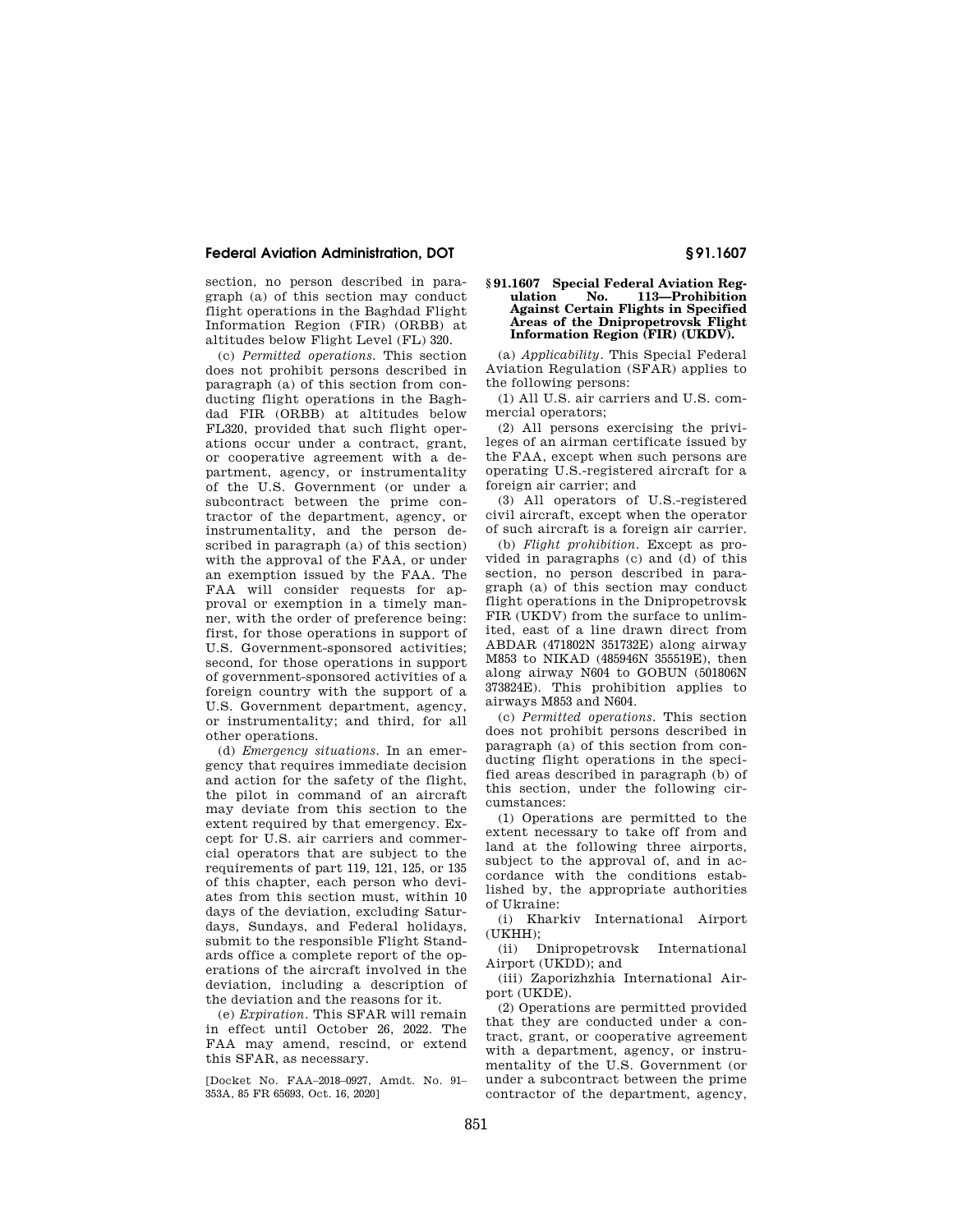section, no person described in paragraph (a) of this section may conduct flight operations in the Baghdad Flight Information Region (FIR) (ORBB) at altitudes below Flight Level (FL) 320.

(c) *Permitted operations.* This section does not prohibit persons described in paragraph (a) of this section from conducting flight operations in the Baghdad FIR (ORBB) at altitudes below FL320, provided that such flight operations occur under a contract, grant, or cooperative agreement with a department, agency, or instrumentality of the U.S. Government (or under a subcontract between the prime contractor of the department, agency, or instrumentality, and the person described in paragraph (a) of this section) with the approval of the FAA, or under an exemption issued by the FAA. The FAA will consider requests for approval or exemption in a timely manner, with the order of preference being: first, for those operations in support of U.S. Government-sponsored activities; second, for those operations in support of government-sponsored activities of a foreign country with the support of a U.S. Government department, agency, or instrumentality; and third, for all other operations.

(d) *Emergency situations.* In an emergency that requires immediate decision and action for the safety of the flight, the pilot in command of an aircraft may deviate from this section to the extent required by that emergency. Except for U.S. air carriers and commercial operators that are subject to the requirements of part 119, 121, 125, or 135 of this chapter, each person who deviates from this section must, within 10 days of the deviation, excluding Saturdays, Sundays, and Federal holidays, submit to the responsible Flight Standards office a complete report of the operations of the aircraft involved in the deviation, including a description of the deviation and the reasons for it.

(e) *Expiration.* This SFAR will remain in effect until October 26, 2022. The FAA may amend, rescind, or extend this SFAR, as necessary.

[Docket No. FAA–2018–0927, Amdt. No. 91– 353A, 85 FR 65693, Oct. 16, 2020]

## **§ 91.1607 Special Federal Aviation Regulation No. 113—Prohibition Against Certain Flights in Specified Areas of the Dnipropetrovsk Flight Information Region (FIR) (UKDV).**

(a) *Applicability.* This Special Federal Aviation Regulation (SFAR) applies to the following persons:

(1) All U.S. air carriers and U.S. commercial operators;

(2) All persons exercising the privileges of an airman certificate issued by the FAA, except when such persons are operating U.S.-registered aircraft for a foreign air carrier; and

(3) All operators of U.S.-registered civil aircraft, except when the operator of such aircraft is a foreign air carrier.

(b) *Flight prohibition.* Except as provided in paragraphs (c) and (d) of this section, no person described in paragraph (a) of this section may conduct flight operations in the Dnipropetrovsk FIR (UKDV) from the surface to unlimited, east of a line drawn direct from ABDAR (471802N 351732E) along airway M853 to NIKAD (485946N 355519E), then along airway N604 to GOBUN (501806N 373824E). This prohibition applies to airways M853 and N604.

(c) *Permitted operations.* This section does not prohibit persons described in paragraph (a) of this section from conducting flight operations in the specified areas described in paragraph (b) of this section, under the following circumstances:

(1) Operations are permitted to the extent necessary to take off from and land at the following three airports, subject to the approval of, and in accordance with the conditions established by, the appropriate authorities of Ukraine:

(i) Kharkiv International Airport (UKHH);

(ii) Dnipropetrovsk International Airport (UKDD); and

(iii) Zaporizhzhia International Airport (UKDE).

(2) Operations are permitted provided that they are conducted under a contract, grant, or cooperative agreement with a department, agency, or instrumentality of the U.S. Government (or under a subcontract between the prime contractor of the department, agency,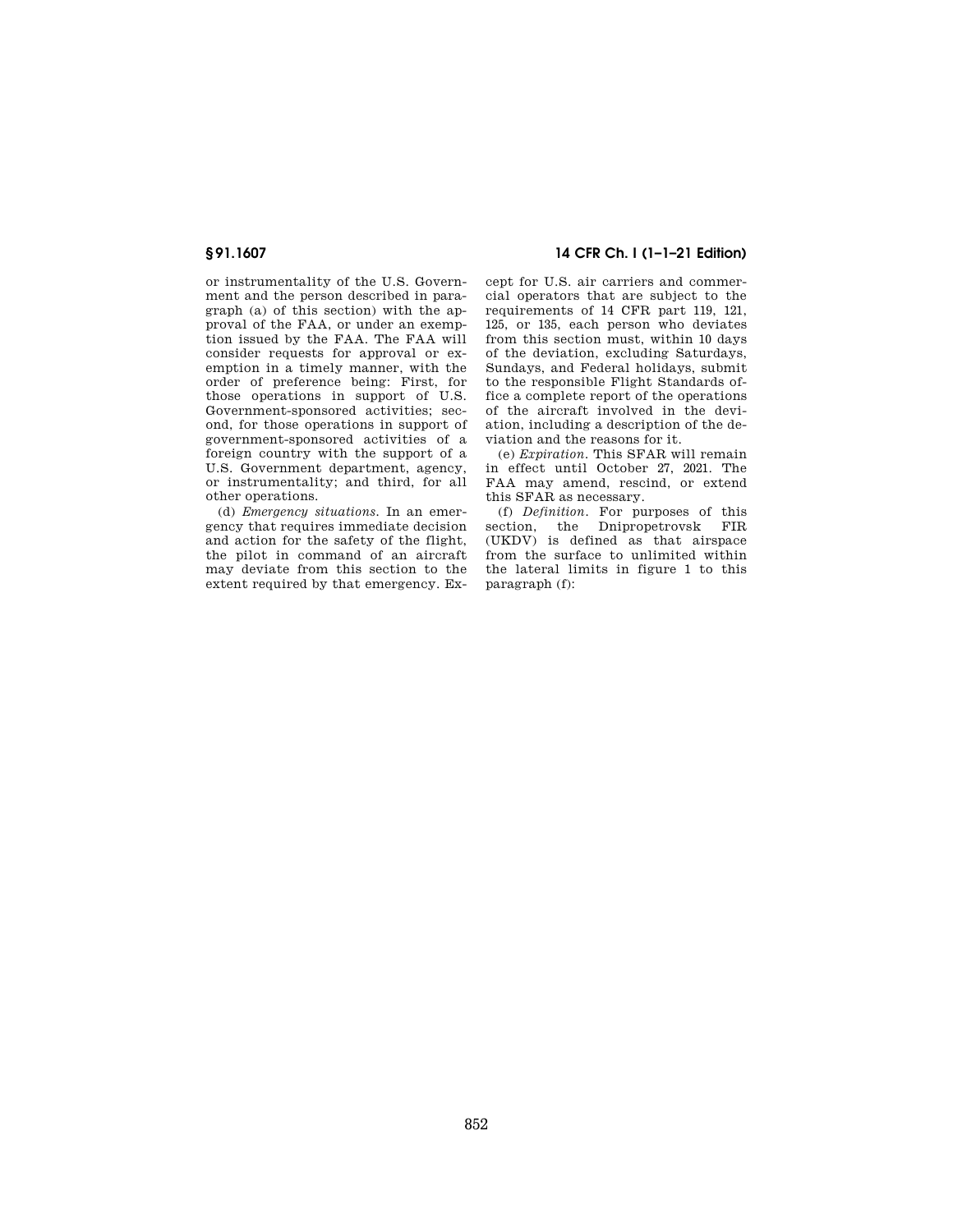or instrumentality of the U.S. Government and the person described in paragraph (a) of this section) with the approval of the FAA, or under an exemption issued by the FAA. The FAA will consider requests for approval or exemption in a timely manner, with the order of preference being: First, for those operations in support of U.S. Government-sponsored activities; second, for those operations in support of government-sponsored activities of a foreign country with the support of a U.S. Government department, agency, or instrumentality; and third, for all other operations.

(d) *Emergency situations.* In an emergency that requires immediate decision and action for the safety of the flight, the pilot in command of an aircraft may deviate from this section to the extent required by that emergency. Ex-

# **§ 91.1607 14 CFR Ch. I (1–1–21 Edition)**

cept for U.S. air carriers and commercial operators that are subject to the requirements of 14 CFR part 119, 121, 125, or 135, each person who deviates from this section must, within 10 days of the deviation, excluding Saturdays, Sundays, and Federal holidays, submit to the responsible Flight Standards office a complete report of the operations of the aircraft involved in the deviation, including a description of the deviation and the reasons for it.

(e) *Expiration.* This SFAR will remain in effect until October 27, 2021. The FAA may amend, rescind, or extend this SFAR as necessary.

(f) *Definition.* For purposes of this section, the Dnipropetrovsk FIR (UKDV) is defined as that airspace from the surface to unlimited within the lateral limits in figure 1 to this paragraph (f):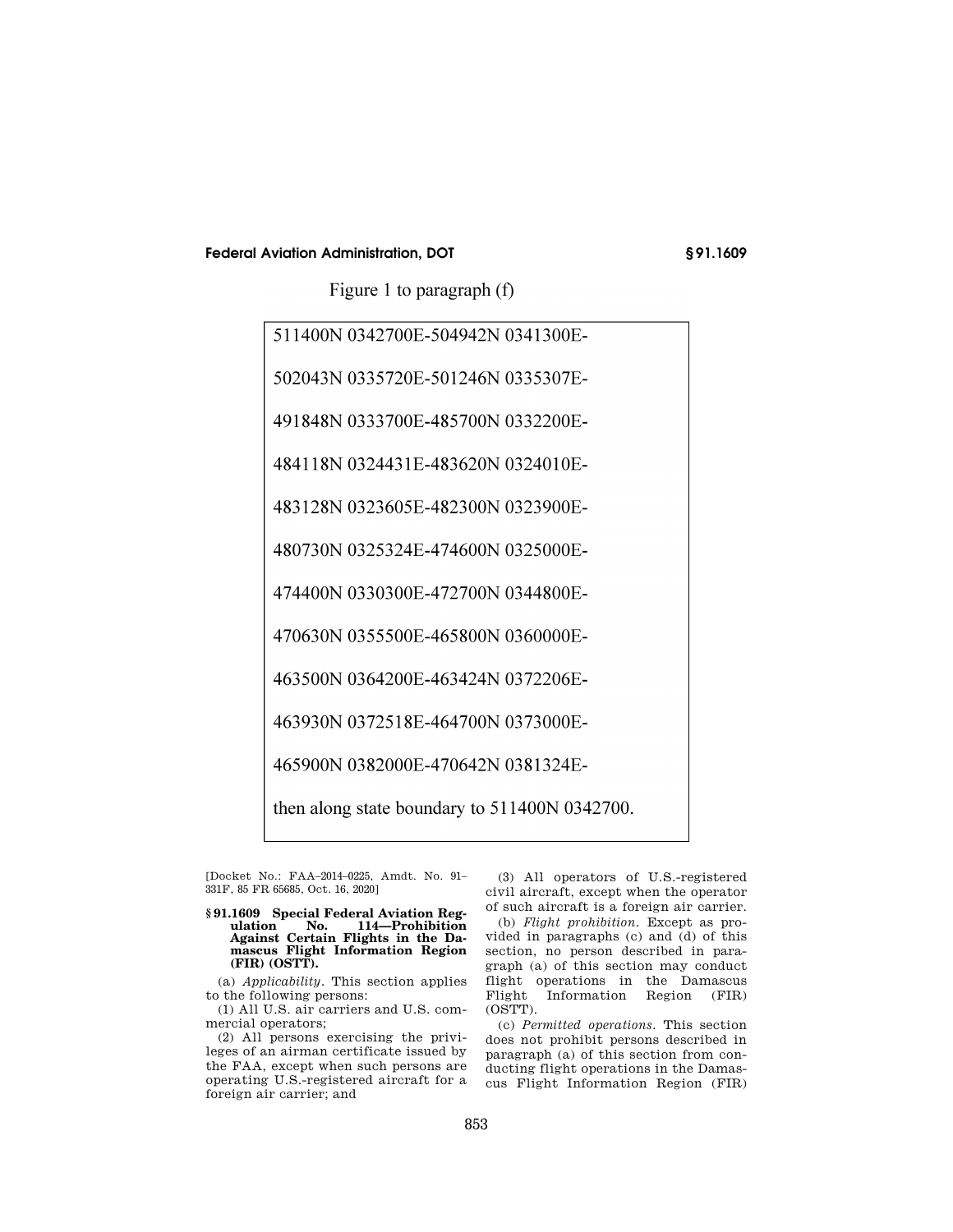Figure 1 to paragraph  $(f)$ 

511400N 0342700E-504942N 0341300E-502043N 0335720E-501246N 0335307E-491848N 0333700E-485700N 0332200E-484118N 0324431E-483620N 0324010E-483128N 0323605E-482300N 0323900E-480730N 0325324E-474600N 0325000E-474400N 0330300E-472700N 0344800E-470630N 0355500E-465800N 0360000E-463500N 0364200E-463424N 0372206E-463930N 0372518E-464700N 0373000E-465900N 0382000E-470642N 0381324Ethen along state boundary to  $511400N$  0342700.

[Docket No.: FAA–2014–0225, Amdt. No. 91– 331F, 85 FR 65685, Oct. 16, 2020]

**§ 91.1609 Special Federal Aviation Regulation No. 114—Prohibition Against Certain Flights in the Damascus Flight Information Region (FIR) (OSTT).** 

(a) *Applicability.* This section applies to the following persons:

(1) All U.S. air carriers and U.S. commercial operators;

(2) All persons exercising the privileges of an airman certificate issued by the FAA, except when such persons are operating U.S.-registered aircraft for a foreign air carrier; and

(3) All operators of U.S.-registered civil aircraft, except when the operator of such aircraft is a foreign air carrier.

(b) *Flight prohibition.* Except as provided in paragraphs (c) and (d) of this section, no person described in paragraph (a) of this section may conduct flight operations in the Damascus<br>Flight Information Region (FIR) Information Region (FIR) (OSTT).

(c) *Permitted operations.* This section does not prohibit persons described in paragraph (a) of this section from conducting flight operations in the Damascus Flight Information Region (FIR)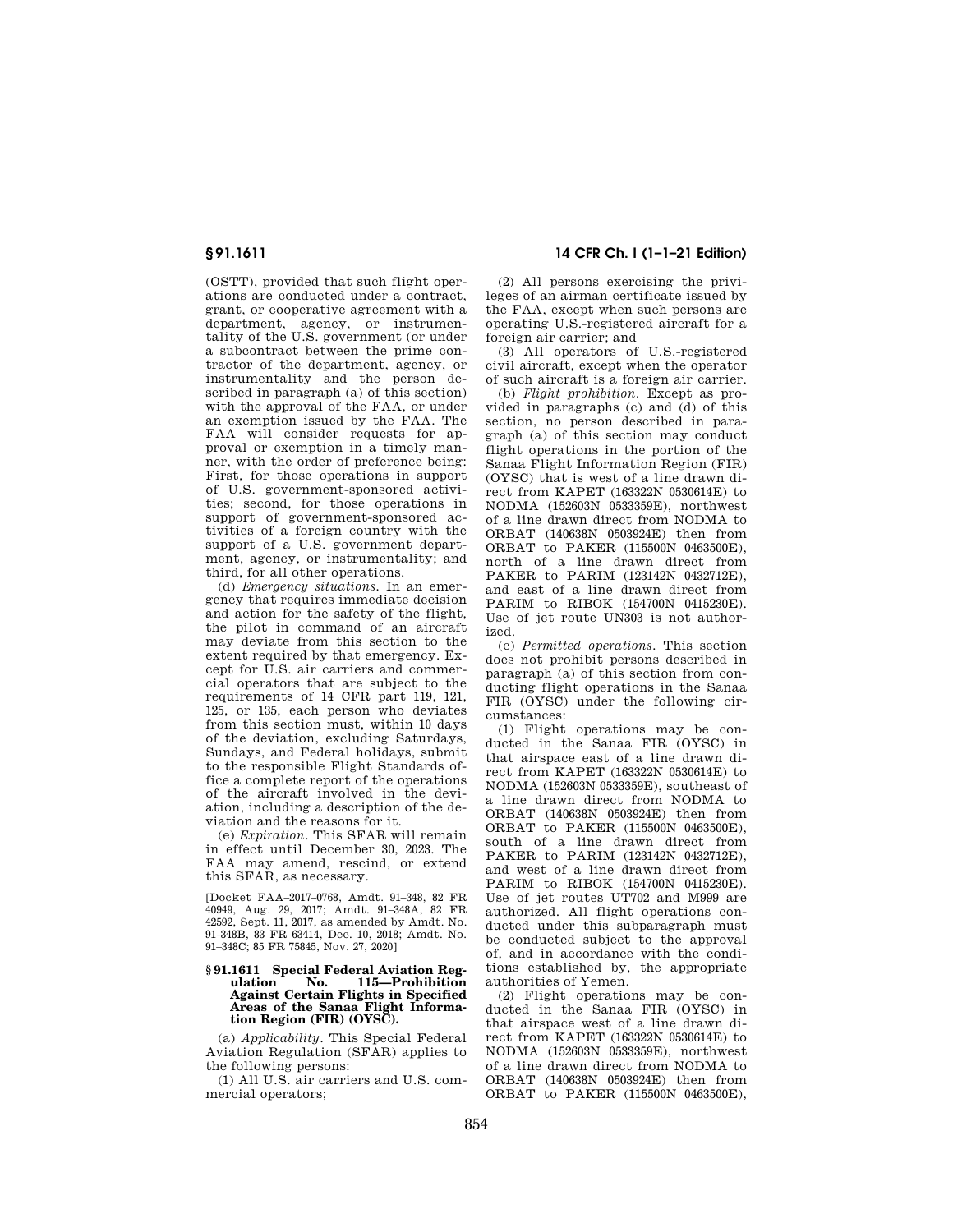(OSTT), provided that such flight operations are conducted under a contract, grant, or cooperative agreement with a department, agency, or instrumentality of the U.S. government (or under a subcontract between the prime contractor of the department, agency, or instrumentality and the person described in paragraph (a) of this section) with the approval of the FAA, or under an exemption issued by the FAA. The FAA will consider requests for approval or exemption in a timely manner, with the order of preference being: First, for those operations in support of U.S. government-sponsored activities; second, for those operations in support of government-sponsored activities of a foreign country with the support of a U.S. government department, agency, or instrumentality; and third, for all other operations.

(d) *Emergency situations.* In an emergency that requires immediate decision and action for the safety of the flight, the pilot in command of an aircraft may deviate from this section to the extent required by that emergency. Except for U.S. air carriers and commercial operators that are subject to the requirements of 14 CFR part 119, 121, 125, or 135, each person who deviates from this section must, within 10 days of the deviation, excluding Saturdays, Sundays, and Federal holidays, submit to the responsible Flight Standards office a complete report of the operations of the aircraft involved in the deviation, including a description of the deviation and the reasons for it.

(e) *Expiration.* This SFAR will remain in effect until December 30, 2023. The FAA may amend, rescind, or extend this SFAR, as necessary.

[Docket FAA–2017–0768, Amdt. 91–348, 82 FR 40949, Aug. 29, 2017; Amdt. 91–348A, 82 FR 42592, Sept. 11, 2017, as amended by Amdt. No. 91-348B, 83 FR 63414, Dec. 10, 2018; Amdt. No. 91–348C; 85 FR 75845, Nov. 27, 2020]

# **§ 91.1611 Special Federal Aviation Regulation No. 115—Prohibition Against Certain Flights in Specified Areas of the Sanaa Flight Information Region (FIR) (OYSC).**

(a) *Applicability.* This Special Federal Aviation Regulation (SFAR) applies to the following persons:

(1) All U.S. air carriers and U.S. commercial operators;

**§ 91.1611 14 CFR Ch. I (1–1–21 Edition)** 

(2) All persons exercising the privileges of an airman certificate issued by the FAA, except when such persons are operating U.S.-registered aircraft for a foreign air carrier; and

(3) All operators of U.S.-registered civil aircraft, except when the operator of such aircraft is a foreign air carrier.

(b) *Flight prohibition.* Except as provided in paragraphs (c) and (d) of this section, no person described in paragraph (a) of this section may conduct flight operations in the portion of the Sanaa Flight Information Region (FIR) (OYSC) that is west of a line drawn direct from KAPET (163322N 0530614E) to NODMA (152603N 0533359E), northwest of a line drawn direct from NODMA to ORBAT (140638N 0503924E) then from ORBAT to PAKER (115500N 0463500E), north of a line drawn direct from PAKER to PARIM (123142N 0432712E), and east of a line drawn direct from PARIM to RIBOK (154700N 0415230E). Use of jet route UN303 is not authorized.

(c) *Permitted operations.* This section does not prohibit persons described in paragraph (a) of this section from conducting flight operations in the Sanaa FIR (OYSC) under the following circumstances:

(1) Flight operations may be conducted in the Sanaa FIR (OYSC) in that airspace east of a line drawn direct from KAPET (163322N 0530614E) to NODMA (152603N 0533359E), southeast of a line drawn direct from NODMA to ORBAT (140638N 0503924E) then from ORBAT to PAKER (115500N 0463500E), south of a line drawn direct from PAKER to PARIM (123142N 0432712E), and west of a line drawn direct from PARIM to RIBOK (154700N 0415230E). Use of jet routes UT702 and M999 are authorized. All flight operations conducted under this subparagraph must be conducted subject to the approval of, and in accordance with the conditions established by, the appropriate authorities of Yemen.

(2) Flight operations may be conducted in the Sanaa FIR (OYSC) in that airspace west of a line drawn direct from KAPET (163322N 0530614E) to NODMA (152603N 0533359E), northwest of a line drawn direct from NODMA to ORBAT (140638N 0503924E) then from ORBAT to PAKER (115500N 0463500E),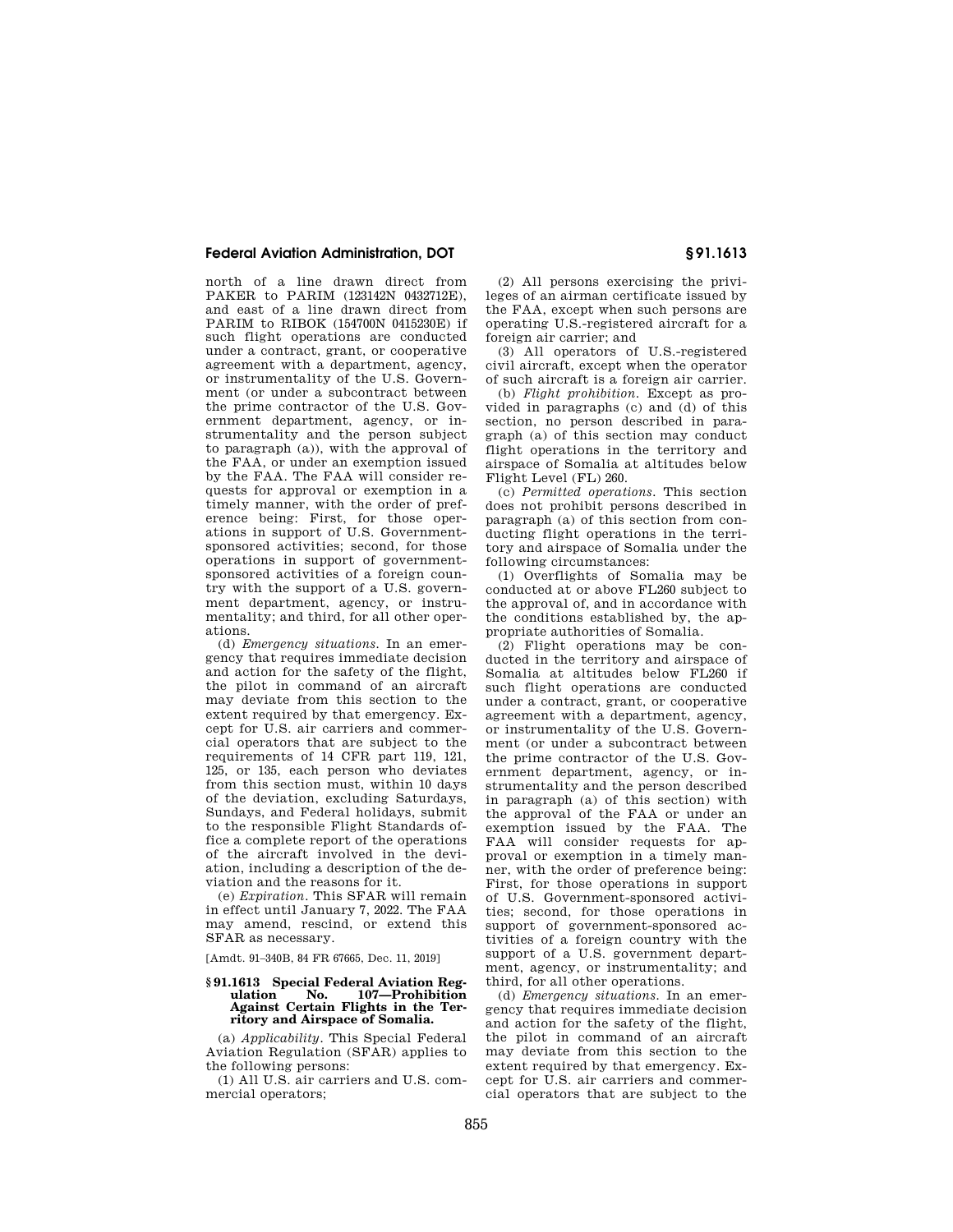north of a line drawn direct from PAKER to PARIM (123142N 0432712E), and east of a line drawn direct from PARIM to RIBOK (154700N 0415230E) if such flight operations are conducted under a contract, grant, or cooperative agreement with a department, agency, or instrumentality of the U.S. Government (or under a subcontract between the prime contractor of the U.S. Government department, agency, or instrumentality and the person subject to paragraph (a)), with the approval of the FAA, or under an exemption issued by the FAA. The FAA will consider requests for approval or exemption in a timely manner, with the order of preference being: First, for those operations in support of U.S. Governmentsponsored activities; second, for those operations in support of governmentsponsored activities of a foreign country with the support of a U.S. government department, agency, or instrumentality; and third, for all other operations.

(d) *Emergency situations.* In an emergency that requires immediate decision and action for the safety of the flight, the pilot in command of an aircraft may deviate from this section to the extent required by that emergency. Except for U.S. air carriers and commercial operators that are subject to the requirements of 14 CFR part 119, 121, 125, or 135, each person who deviates from this section must, within 10 days of the deviation, excluding Saturdays, Sundays, and Federal holidays, submit to the responsible Flight Standards office a complete report of the operations of the aircraft involved in the deviation, including a description of the deviation and the reasons for it.

(e) *Expiration.* This SFAR will remain in effect until January 7, 2022. The FAA may amend, rescind, or extend this SFAR as necessary.

[Amdt. 91–340B, 84 FR 67665, Dec. 11, 2019]

## **§ 91.1613 Special Federal Aviation Regulation No. 107—Prohibition Against Certain Flights in the Territory and Airspace of Somalia.**

(a) *Applicability.* This Special Federal Aviation Regulation (SFAR) applies to the following persons:

(1) All U.S. air carriers and U.S. commercial operators;

(2) All persons exercising the privileges of an airman certificate issued by the FAA, except when such persons are operating U.S.-registered aircraft for a foreign air carrier; and

(3) All operators of U.S.-registered civil aircraft, except when the operator of such aircraft is a foreign air carrier.

(b) *Flight prohibition.* Except as provided in paragraphs (c) and (d) of this section, no person described in paragraph (a) of this section may conduct flight operations in the territory and airspace of Somalia at altitudes below Flight Level (FL) 260.

(c) *Permitted operations.* This section does not prohibit persons described in paragraph (a) of this section from conducting flight operations in the territory and airspace of Somalia under the following circumstances:

(1) Overflights of Somalia may be conducted at or above FL260 subject to the approval of, and in accordance with the conditions established by, the appropriate authorities of Somalia.

(2) Flight operations may be conducted in the territory and airspace of Somalia at altitudes below FL260 if such flight operations are conducted under a contract, grant, or cooperative agreement with a department, agency, or instrumentality of the U.S. Government (or under a subcontract between the prime contractor of the U.S. Government department, agency, or instrumentality and the person described in paragraph (a) of this section) with the approval of the FAA or under an exemption issued by the FAA. The FAA will consider requests for approval or exemption in a timely manner, with the order of preference being: First, for those operations in support of U.S. Government-sponsored activities; second, for those operations in support of government-sponsored activities of a foreign country with the support of a U.S. government department, agency, or instrumentality; and third, for all other operations.

(d) *Emergency situations.* In an emergency that requires immediate decision and action for the safety of the flight, the pilot in command of an aircraft may deviate from this section to the extent required by that emergency. Except for U.S. air carriers and commercial operators that are subject to the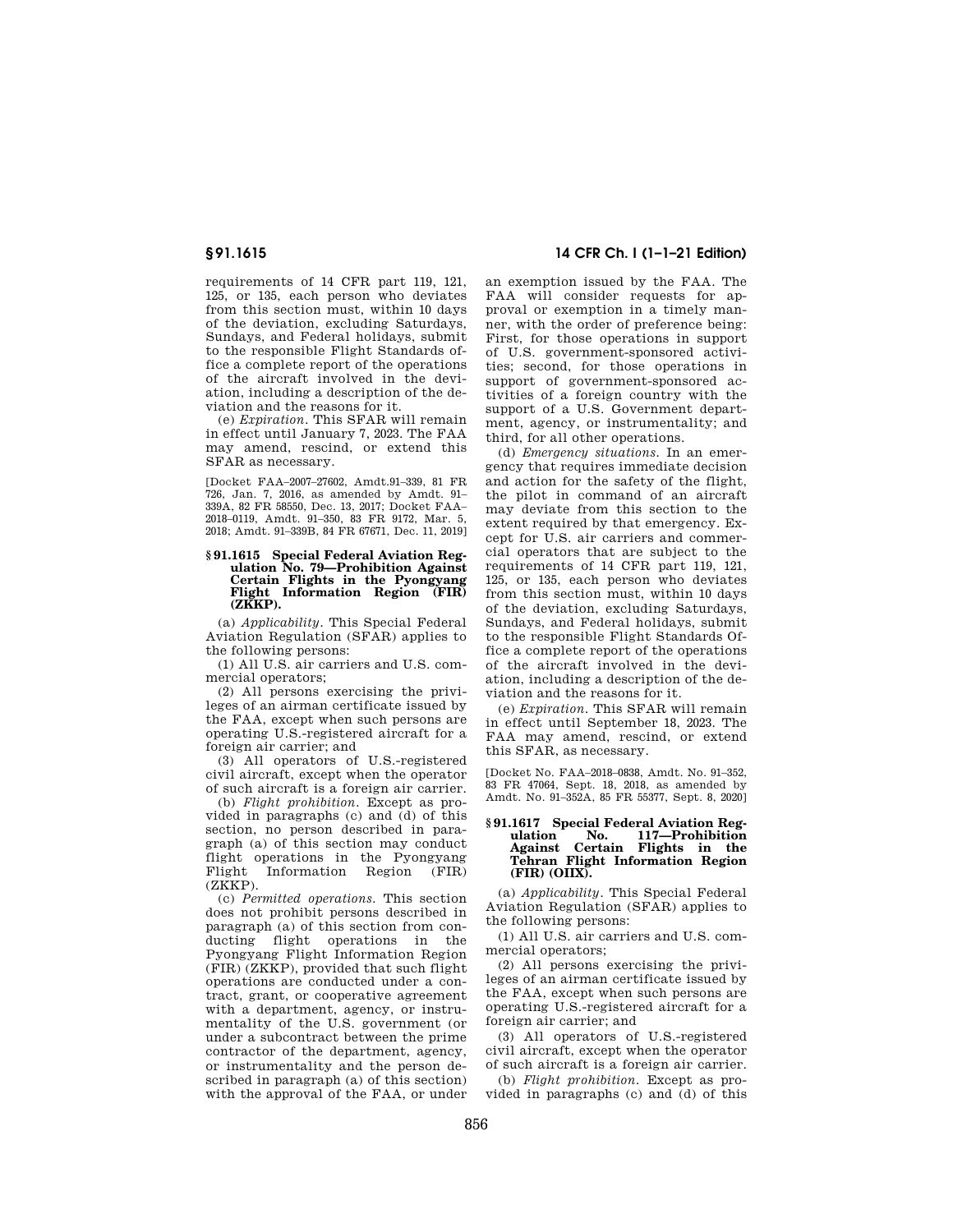requirements of 14 CFR part 119, 121, 125, or 135, each person who deviates from this section must, within 10 days of the deviation, excluding Saturdays, Sundays, and Federal holidays, submit to the responsible Flight Standards office a complete report of the operations of the aircraft involved in the deviation, including a description of the deviation and the reasons for it.

(e) *Expiration.* This SFAR will remain in effect until January 7, 2023. The FAA may amend, rescind, or extend this SFAR as necessary.

[Docket FAA–2007–27602, Amdt.91–339, 81 FR 726, Jan. 7, 2016, as amended by Amdt. 91– 339A, 82 FR 58550, Dec. 13, 2017; Docket FAA– 2018–0119, Amdt. 91–350, 83 FR 9172, Mar. 5, 2018; Amdt. 91–339B, 84 FR 67671, Dec. 11, 2019]

#### **§ 91.1615 Special Federal Aviation Regulation No. 79—Prohibition Against Certain Flights in the Pyongyang Flight Information Region (ZKKP).**

(a) *Applicability.* This Special Federal Aviation Regulation (SFAR) applies to the following persons:

(1) All U.S. air carriers and U.S. commercial operators;

(2) All persons exercising the privileges of an airman certificate issued by the FAA, except when such persons are operating U.S.-registered aircraft for a foreign air carrier; and

(3) All operators of U.S.-registered civil aircraft, except when the operator of such aircraft is a foreign air carrier.

(b) *Flight prohibition.* Except as provided in paragraphs (c) and (d) of this section, no person described in paragraph (a) of this section may conduct flight operations in the Pyongyang<br>Flight Information Region (FIR) Information Region (FIR) (ZKKP).

(c) *Permitted operations.* This section does not prohibit persons described in paragraph (a) of this section from conducting flight operations in the Pyongyang Flight Information Region (FIR) (ZKKP), provided that such flight operations are conducted under a contract, grant, or cooperative agreement with a department, agency, or instrumentality of the U.S. government (or under a subcontract between the prime contractor of the department, agency, or instrumentality and the person described in paragraph (a) of this section) with the approval of the FAA, or under

# **§ 91.1615 14 CFR Ch. I (1–1–21 Edition)**

an exemption issued by the FAA. The FAA will consider requests for approval or exemption in a timely manner, with the order of preference being: First, for those operations in support of U.S. government-sponsored activities; second, for those operations in support of government-sponsored activities of a foreign country with the support of a U.S. Government department, agency, or instrumentality; and third, for all other operations.

(d) *Emergency situations.* In an emergency that requires immediate decision and action for the safety of the flight, the pilot in command of an aircraft may deviate from this section to the extent required by that emergency. Except for U.S. air carriers and commercial operators that are subject to the requirements of 14 CFR part 119, 121, 125, or 135, each person who deviates from this section must, within 10 days of the deviation, excluding Saturdays, Sundays, and Federal holidays, submit to the responsible Flight Standards Office a complete report of the operations of the aircraft involved in the deviation, including a description of the deviation and the reasons for it.

(e) *Expiration.* This SFAR will remain in effect until September 18, 2023. The FAA may amend, rescind, or extend this SFAR, as necessary.

[Docket No. FAA–2018–0838, Amdt. No. 91–352, 83 FR 47064, Sept. 18, 2018, as amended by Amdt. No. 91–352A, 85 FR 55377, Sept. 8, 2020]

## **§ 91.1617 Special Federal Aviation Reg-**117-Prohibition **Against Certain Flights in the Tehran Flight Information Region (FIR) (OIIX).**

(a) *Applicability.* This Special Federal Aviation Regulation (SFAR) applies to the following persons:

(1) All U.S. air carriers and U.S. commercial operators;

(2) All persons exercising the privileges of an airman certificate issued by the FAA, except when such persons are operating U.S.-registered aircraft for a foreign air carrier; and

(3) All operators of U.S.-registered civil aircraft, except when the operator of such aircraft is a foreign air carrier.

(b) *Flight prohibition.* Except as provided in paragraphs (c) and (d) of this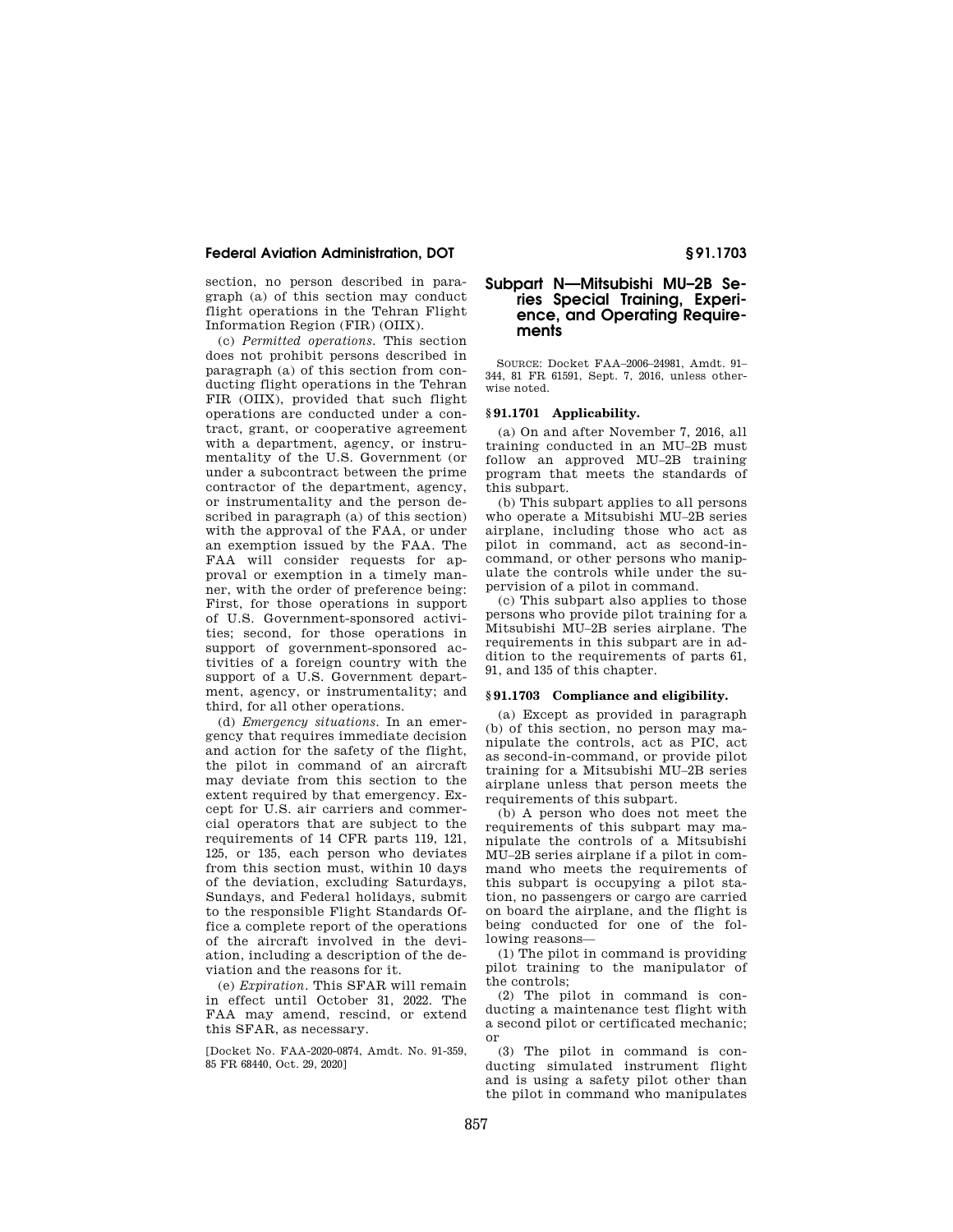# **Federal Aviation Administration, DOT § 91.1703**

section, no person described in paragraph (a) of this section may conduct flight operations in the Tehran Flight Information Region (FIR) (OIIX).

(c) *Permitted operations.* This section does not prohibit persons described in paragraph (a) of this section from conducting flight operations in the Tehran FIR (OIIX), provided that such flight operations are conducted under a contract, grant, or cooperative agreement with a department, agency, or instrumentality of the U.S. Government (or under a subcontract between the prime contractor of the department, agency, or instrumentality and the person described in paragraph (a) of this section) with the approval of the FAA, or under an exemption issued by the FAA. The FAA will consider requests for approval or exemption in a timely manner, with the order of preference being: First, for those operations in support of U.S. Government-sponsored activities; second, for those operations in support of government-sponsored activities of a foreign country with the support of a U.S. Government department, agency, or instrumentality; and third, for all other operations.

(d) *Emergency situations.* In an emergency that requires immediate decision and action for the safety of the flight, the pilot in command of an aircraft may deviate from this section to the extent required by that emergency. Except for U.S. air carriers and commercial operators that are subject to the requirements of 14 CFR parts 119, 121, 125, or 135, each person who deviates from this section must, within 10 days of the deviation, excluding Saturdays, Sundays, and Federal holidays, submit to the responsible Flight Standards Office a complete report of the operations of the aircraft involved in the deviation, including a description of the deviation and the reasons for it.

(e) *Expiration.* This SFAR will remain in effect until October 31, 2022. The FAA may amend, rescind, or extend this SFAR, as necessary.

[Docket No. FAA-2020-0874, Amdt. No. 91-359, 85 FR 68440, Oct. 29, 2020]

# **Subpart N—Mitsubishi MU–2B Series Special Training, Experience, and Operating Requirements**

SOURCE: Docket FAA–2006–24981, Amdt. 91– 344, 81 FR 61591, Sept. 7, 2016, unless otherwise noted.

## **§ 91.1701 Applicability.**

(a) On and after November 7, 2016, all training conducted in an MU–2B must follow an approved MU–2B training program that meets the standards of this subpart.

(b) This subpart applies to all persons who operate a Mitsubishi MU–2B series airplane, including those who act as pilot in command, act as second-incommand, or other persons who manipulate the controls while under the supervision of a pilot in command.

(c) This subpart also applies to those persons who provide pilot training for a Mitsubishi MU–2B series airplane. The requirements in this subpart are in addition to the requirements of parts 61, 91, and 135 of this chapter.

#### **§ 91.1703 Compliance and eligibility.**

(a) Except as provided in paragraph (b) of this section, no person may manipulate the controls, act as PIC, act as second-in-command, or provide pilot training for a Mitsubishi MU–2B series airplane unless that person meets the requirements of this subpart.

(b) A person who does not meet the requirements of this subpart may manipulate the controls of a Mitsubishi MU–2B series airplane if a pilot in command who meets the requirements of this subpart is occupying a pilot station, no passengers or cargo are carried on board the airplane, and the flight is being conducted for one of the following reasons—

(1) The pilot in command is providing pilot training to the manipulator of the controls;

(2) The pilot in command is conducting a maintenance test flight with a second pilot or certificated mechanic; or

(3) The pilot in command is conducting simulated instrument flight and is using a safety pilot other than the pilot in command who manipulates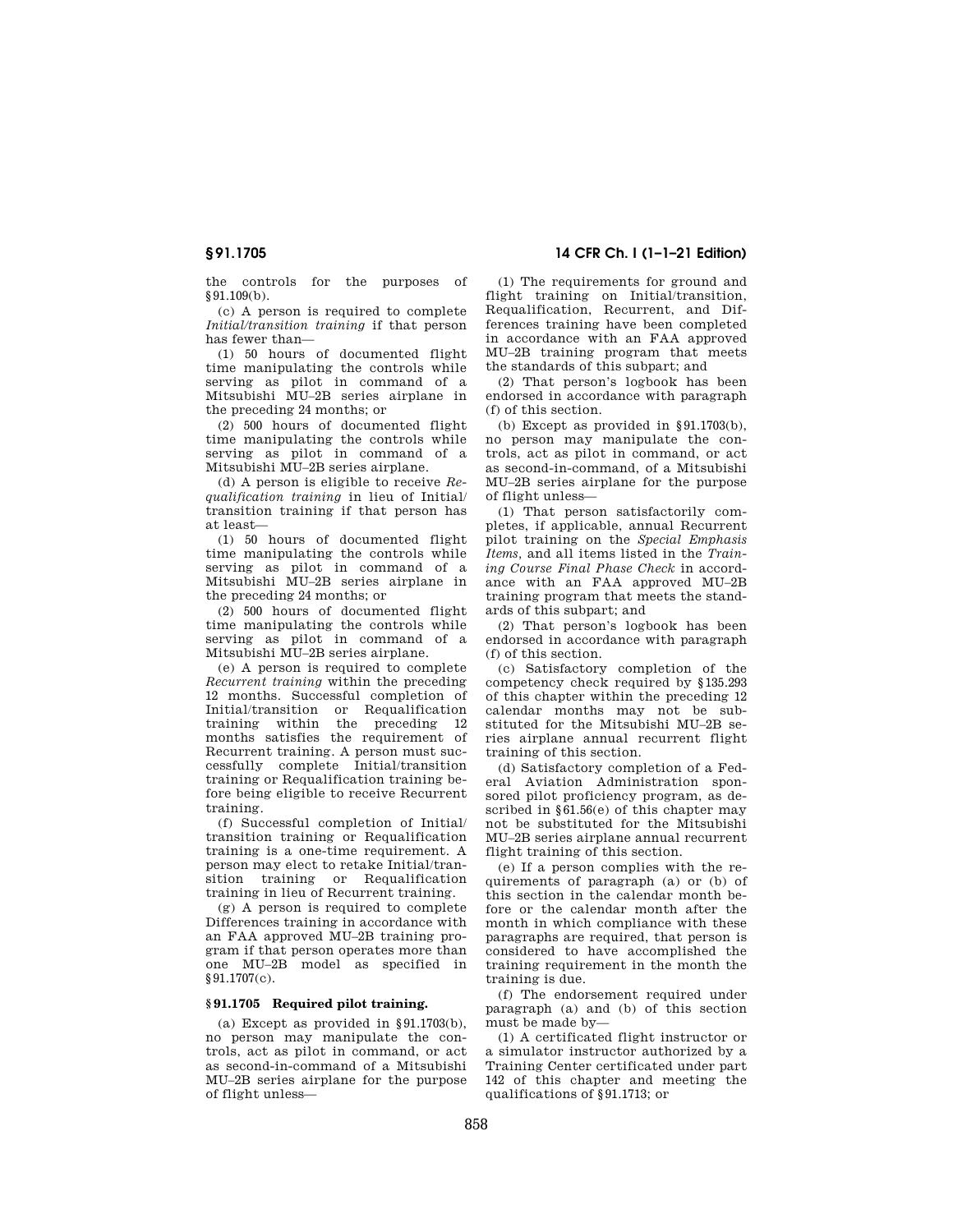**§ 91.1705 14 CFR Ch. I (1–1–21 Edition)** 

the controls for the purposes of §91.109(b).

(c) A person is required to complete *Initial/transition training* if that person has fewer than—

(1) 50 hours of documented flight time manipulating the controls while serving as pilot in command of a Mitsubishi MU–2B series airplane in the preceding 24 months; or

(2) 500 hours of documented flight time manipulating the controls while serving as pilot in command of a Mitsubishi MU–2B series airplane.

(d) A person is eligible to receive *Requalification training* in lieu of Initial/ transition training if that person has at least—

(1) 50 hours of documented flight time manipulating the controls while serving as pilot in command of a Mitsubishi MU–2B series airplane in the preceding 24 months; or

(2) 500 hours of documented flight time manipulating the controls while serving as pilot in command of a Mitsubishi MU–2B series airplane.

(e) A person is required to complete *Recurrent training* within the preceding 12 months. Successful completion of Initial/transition or Requalification training within the preceding 12 months satisfies the requirement of Recurrent training. A person must successfully complete Initial/transition training or Requalification training before being eligible to receive Recurrent training.

(f) Successful completion of Initial/ transition training or Requalification training is a one-time requirement. A person may elect to retake Initial/transition training or Requalification training in lieu of Recurrent training.

(g) A person is required to complete Differences training in accordance with an FAA approved MU–2B training program if that person operates more than one MU–2B model as specified in §91.1707(c).

# **§ 91.1705 Required pilot training.**

(a) Except as provided in §91.1703(b), no person may manipulate the controls, act as pilot in command, or act as second-in-command of a Mitsubishi MU–2B series airplane for the purpose of flight unless—

(1) The requirements for ground and flight training on Initial/transition, Requalification, Recurrent, and Differences training have been completed in accordance with an FAA approved MU–2B training program that meets the standards of this subpart; and

(2) That person's logbook has been endorsed in accordance with paragraph (f) of this section.

(b) Except as provided in §91.1703(b), no person may manipulate the controls, act as pilot in command, or act as second-in-command, of a Mitsubishi MU–2B series airplane for the purpose of flight unless—

(1) That person satisfactorily completes, if applicable, annual Recurrent pilot training on the *Special Emphasis Items,* and all items listed in the *Training Course Final Phase Check* in accordance with an FAA approved MU–2B training program that meets the standards of this subpart; and

(2) That person's logbook has been endorsed in accordance with paragraph (f) of this section.

(c) Satisfactory completion of the competency check required by §135.293 of this chapter within the preceding 12 calendar months may not be substituted for the Mitsubishi MU–2B series airplane annual recurrent flight training of this section.

(d) Satisfactory completion of a Federal Aviation Administration sponsored pilot proficiency program, as described in §61.56(e) of this chapter may not be substituted for the Mitsubishi MU–2B series airplane annual recurrent flight training of this section.

(e) If a person complies with the requirements of paragraph (a) or (b) of this section in the calendar month before or the calendar month after the month in which compliance with these paragraphs are required, that person is considered to have accomplished the training requirement in the month the training is due.

(f) The endorsement required under paragraph (a) and (b) of this section must be made by—

(1) A certificated flight instructor or a simulator instructor authorized by a Training Center certificated under part 142 of this chapter and meeting the qualifications of §91.1713; or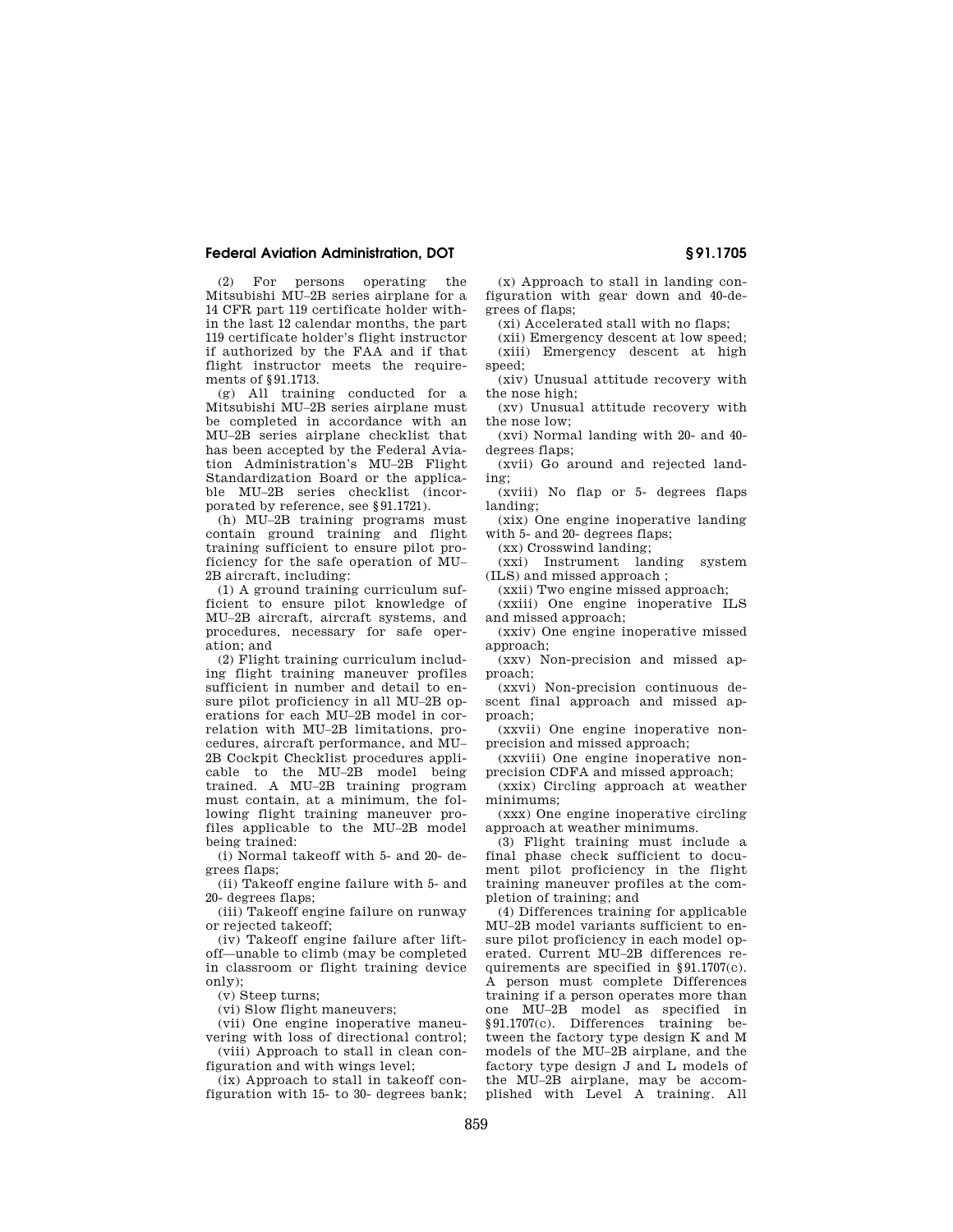# **Federal Aviation Administration, DOT § 91.1705**

(2) For persons operating the Mitsubishi MU–2B series airplane for a 14 CFR part 119 certificate holder within the last 12 calendar months, the part 119 certificate holder's flight instructor if authorized by the FAA and if that flight instructor meets the requirements of §91.1713.

(g) All training conducted for a Mitsubishi MU–2B series airplane must be completed in accordance with an MU–2B series airplane checklist that has been accepted by the Federal Aviation Administration's MU–2B Flight Standardization Board or the applicable MU–2B series checklist (incorporated by reference, see §91.1721).

(h) MU–2B training programs must contain ground training and flight training sufficient to ensure pilot proficiency for the safe operation of MU– 2B aircraft, including:

(1) A ground training curriculum sufficient to ensure pilot knowledge of MU–2B aircraft, aircraft systems, and procedures, necessary for safe operation; and

(2) Flight training curriculum including flight training maneuver profiles sufficient in number and detail to ensure pilot proficiency in all MU–2B operations for each MU–2B model in correlation with MU–2B limitations, procedures, aircraft performance, and MU– 2B Cockpit Checklist procedures applicable to the MU–2B model being trained. A MU–2B training program must contain, at a minimum, the following flight training maneuver profiles applicable to the MU–2B model being trained:

(i) Normal takeoff with 5- and 20- degrees flaps;

(ii) Takeoff engine failure with 5- and 20- degrees flaps;

(iii) Takeoff engine failure on runway or rejected takeoff;

(iv) Takeoff engine failure after liftoff—unable to climb (may be completed in classroom or flight training device only);

(v) Steep turns;

(vi) Slow flight maneuvers;

(vii) One engine inoperative maneu-

vering with loss of directional control; (viii) Approach to stall in clean configuration and with wings level;

(ix) Approach to stall in takeoff configuration with 15- to 30- degrees bank;

(x) Approach to stall in landing configuration with gear down and 40-degrees of flaps;

(xi) Accelerated stall with no flaps;

(xii) Emergency descent at low speed; (xiii) Emergency descent at high speed;

(xiv) Unusual attitude recovery with the nose high;

(xv) Unusual attitude recovery with the nose low;

(xvi) Normal landing with 20- and 40 degrees flaps;

(xvii) Go around and rejected landing;

(xviii) No flap or 5- degrees flaps landing;

(xix) One engine inoperative landing with 5- and 20- degrees flaps;

(xx) Crosswind landing;

(xxi) Instrument landing system (ILS) and missed approach ;

(xxii) Two engine missed approach;

(xxiii) One engine inoperative ILS and missed approach;

(xxiv) One engine inoperative missed approach;

(xxv) Non-precision and missed approach;

(xxvi) Non-precision continuous descent final approach and missed approach;

(xxvii) One engine inoperative nonprecision and missed approach;

(xxviii) One engine inoperative nonprecision CDFA and missed approach;

(xxix) Circling approach at weather minimums;

(xxx) One engine inoperative circling approach at weather minimums.

(3) Flight training must include a final phase check sufficient to document pilot proficiency in the flight training maneuver profiles at the completion of training; and

(4) Differences training for applicable MU–2B model variants sufficient to ensure pilot proficiency in each model operated. Current MU–2B differences requirements are specified in §91.1707(c). A person must complete Differences training if a person operates more than one MU–2B model as specified in §91.1707(c). Differences training between the factory type design K and M models of the MU–2B airplane, and the factory type design J and L models of the MU–2B airplane, may be accomplished with Level A training. All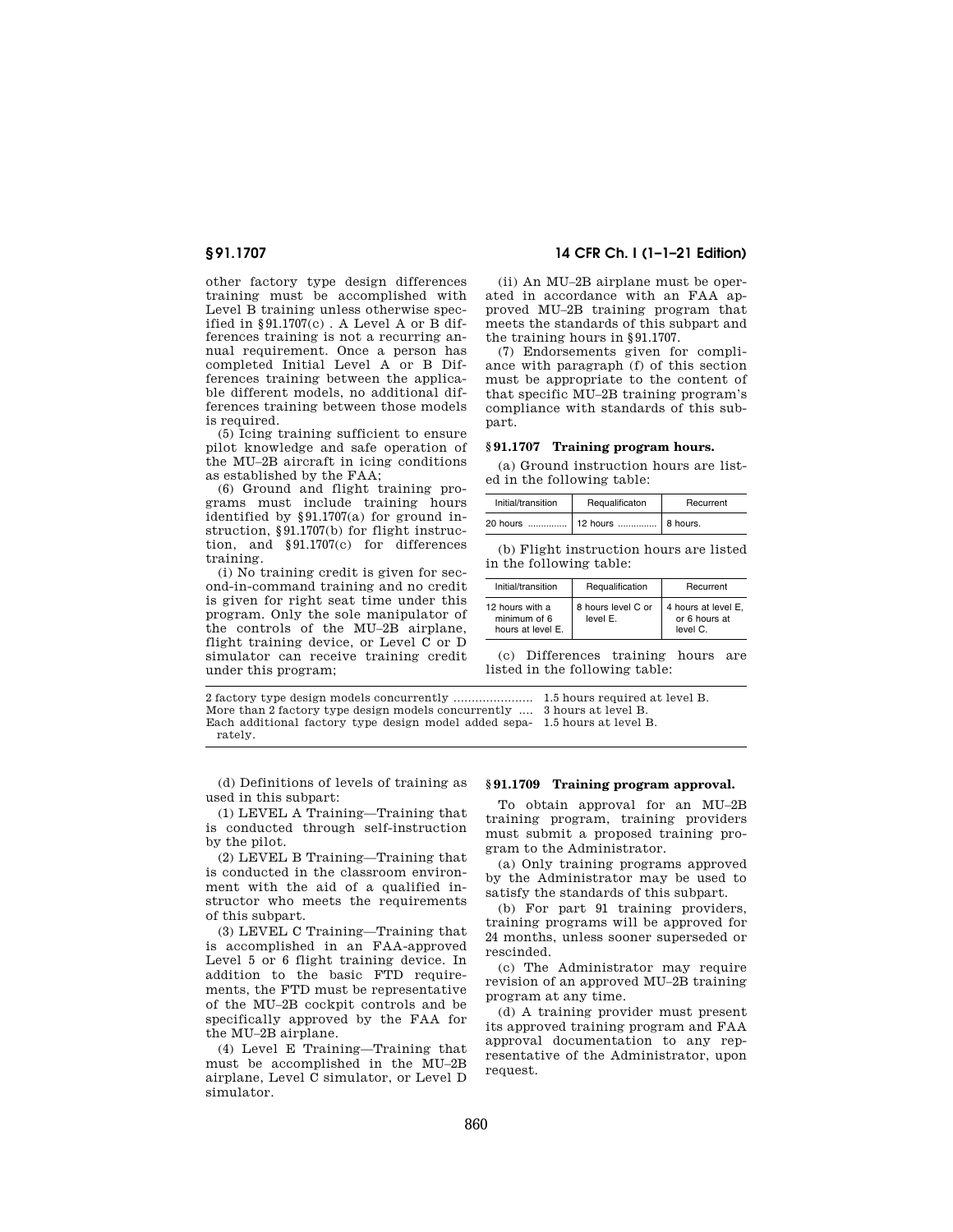other factory type design differences training must be accomplished with Level B training unless otherwise specified in §91.1707(c) . A Level A or B differences training is not a recurring annual requirement. Once a person has completed Initial Level A or B Differences training between the applicable different models, no additional differences training between those models is required.

(5) Icing training sufficient to ensure pilot knowledge and safe operation of the MU–2B aircraft in icing conditions as established by the FAA;

(6) Ground and flight training programs must include training hours identified by §91.1707(a) for ground instruction, §91.1707(b) for flight instruction, and §91.1707(c) for differences training.

(i) No training credit is given for second-in-command training and no credit is given for right seat time under this program. Only the sole manipulator of the controls of the MU–2B airplane, flight training device, or Level C or D simulator can receive training credit under this program;

**§ 91.1707 14 CFR Ch. I (1–1–21 Edition)** 

(ii) An MU–2B airplane must be operated in accordance with an FAA approved MU–2B training program that meets the standards of this subpart and the training hours in §91.1707.

(7) Endorsements given for compliance with paragraph (f) of this section must be appropriate to the content of that specific MU–2B training program's compliance with standards of this subpart.

## **§ 91.1707 Training program hours.**

(a) Ground instruction hours are listed in the following table:

| Initial/transition | Requalificaton       | Recurrent |  |
|--------------------|----------------------|-----------|--|
| 20 hours           | 12 hours    8 hours. |           |  |

(b) Flight instruction hours are listed in the following table:

| Initial/transition                                   | Requalification                | Recurrent                                        |
|------------------------------------------------------|--------------------------------|--------------------------------------------------|
| 12 hours with a<br>minimum of 6<br>hours at level E. | 8 hours level C or<br>level E. | 4 hours at level E,<br>or 6 hours at<br>level C. |

(c) Differences training hours are listed in the following table:

2 factory type design models concurrently ...................... 1.5 hours required at level B. More than 2 factory type design models concurrently .... 3 hours at level B. Each additional factory type design model added sepa-1.5 hours at level B. rately.

(d) Definitions of levels of training as used in this subpart:

(1) LEVEL A Training—Training that is conducted through self-instruction by the pilot.

(2) LEVEL B Training—Training that is conducted in the classroom environment with the aid of a qualified instructor who meets the requirements of this subpart.

(3) LEVEL C Training—Training that is accomplished in an FAA-approved Level 5 or 6 flight training device. In addition to the basic FTD requirements, the FTD must be representative of the MU–2B cockpit controls and be specifically approved by the FAA for the MU–2B airplane.

(4) Level E Training—Training that must be accomplished in the MU–2B airplane, Level C simulator, or Level D simulator.

# **§ 91.1709 Training program approval.**

To obtain approval for an MU–2B training program, training providers must submit a proposed training program to the Administrator.

(a) Only training programs approved by the Administrator may be used to satisfy the standards of this subpart.

(b) For part 91 training providers, training programs will be approved for 24 months, unless sooner superseded or rescinded.

(c) The Administrator may require revision of an approved MU–2B training program at any time.

(d) A training provider must present its approved training program and FAA approval documentation to any representative of the Administrator, upon request.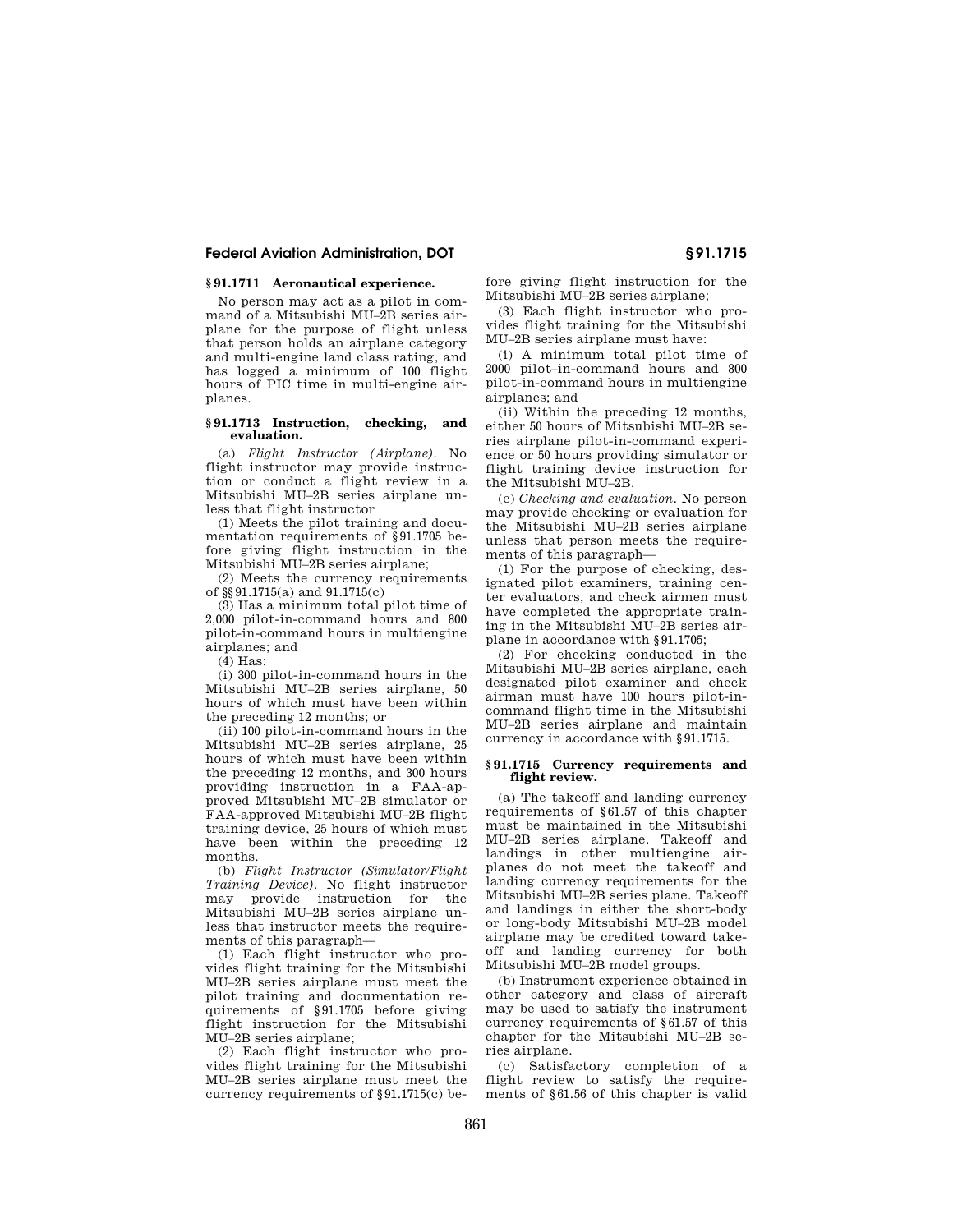# **Federal Aviation Administration, DOT § 91.1715**

# **§ 91.1711 Aeronautical experience.**

No person may act as a pilot in command of a Mitsubishi MU–2B series airplane for the purpose of flight unless that person holds an airplane category and multi-engine land class rating, and has logged a minimum of 100 flight hours of PIC time in multi-engine airplanes.

## **§ 91.1713 Instruction, checking, and evaluation.**

(a) *Flight Instructor (Airplane).* No flight instructor may provide instruction or conduct a flight review in a Mitsubishi MU–2B series airplane unless that flight instructor

(1) Meets the pilot training and documentation requirements of §91.1705 before giving flight instruction in the Mitsubishi MU–2B series airplane;

(2) Meets the currency requirements of §§91.1715(a) and 91.1715(c)

(3) Has a minimum total pilot time of 2,000 pilot-in-command hours and 800 pilot-in-command hours in multiengine airplanes; and

(4) Has:

(i) 300 pilot-in-command hours in the Mitsubishi MU–2B series airplane, 50 hours of which must have been within the preceding 12 months; or

(ii) 100 pilot-in-command hours in the Mitsubishi MU–2B series airplane, 25 hours of which must have been within the preceding 12 months, and 300 hours providing instruction in a FAA-approved Mitsubishi MU–2B simulator or FAA-approved Mitsubishi MU–2B flight training device, 25 hours of which must have been within the preceding 12 months.

(b) *Flight Instructor (Simulator/Flight Training Device).* No flight instructor may provide instruction for the Mitsubishi MU–2B series airplane unless that instructor meets the requirements of this paragraph—

(1) Each flight instructor who provides flight training for the Mitsubishi MU–2B series airplane must meet the pilot training and documentation requirements of §91.1705 before giving flight instruction for the Mitsubishi MU–2B series airplane;

(2) Each flight instructor who provides flight training for the Mitsubishi MU–2B series airplane must meet the currency requirements of §91.1715(c) before giving flight instruction for the Mitsubishi MU–2B series airplane;

(3) Each flight instructor who provides flight training for the Mitsubishi MU–2B series airplane must have:

(i) A minimum total pilot time of 2000 pilot–in-command hours and 800 pilot-in-command hours in multiengine airplanes; and

(ii) Within the preceding 12 months, either 50 hours of Mitsubishi MU–2B series airplane pilot-in-command experience or 50 hours providing simulator or flight training device instruction for the Mitsubishi MU–2B.

(c) *Checking and evaluation.* No person may provide checking or evaluation for the Mitsubishi MU–2B series airplane unless that person meets the requirements of this paragraph—

(1) For the purpose of checking, designated pilot examiners, training center evaluators, and check airmen must have completed the appropriate training in the Mitsubishi MU–2B series airplane in accordance with §91.1705;

(2) For checking conducted in the Mitsubishi MU–2B series airplane, each designated pilot examiner and check airman must have 100 hours pilot-incommand flight time in the Mitsubishi MU–2B series airplane and maintain currency in accordance with §91.1715.

### **§ 91.1715 Currency requirements and flight review.**

(a) The takeoff and landing currency requirements of §61.57 of this chapter must be maintained in the Mitsubishi MU–2B series airplane. Takeoff and landings in other multiengine airplanes do not meet the takeoff and landing currency requirements for the Mitsubishi MU–2B series plane. Takeoff and landings in either the short-body or long-body Mitsubishi MU–2B model airplane may be credited toward takeoff and landing currency for both Mitsubishi MU–2B model groups.

(b) Instrument experience obtained in other category and class of aircraft may be used to satisfy the instrument currency requirements of §61.57 of this chapter for the Mitsubishi MU–2B series airplane.

(c) Satisfactory completion of a flight review to satisfy the requirements of §61.56 of this chapter is valid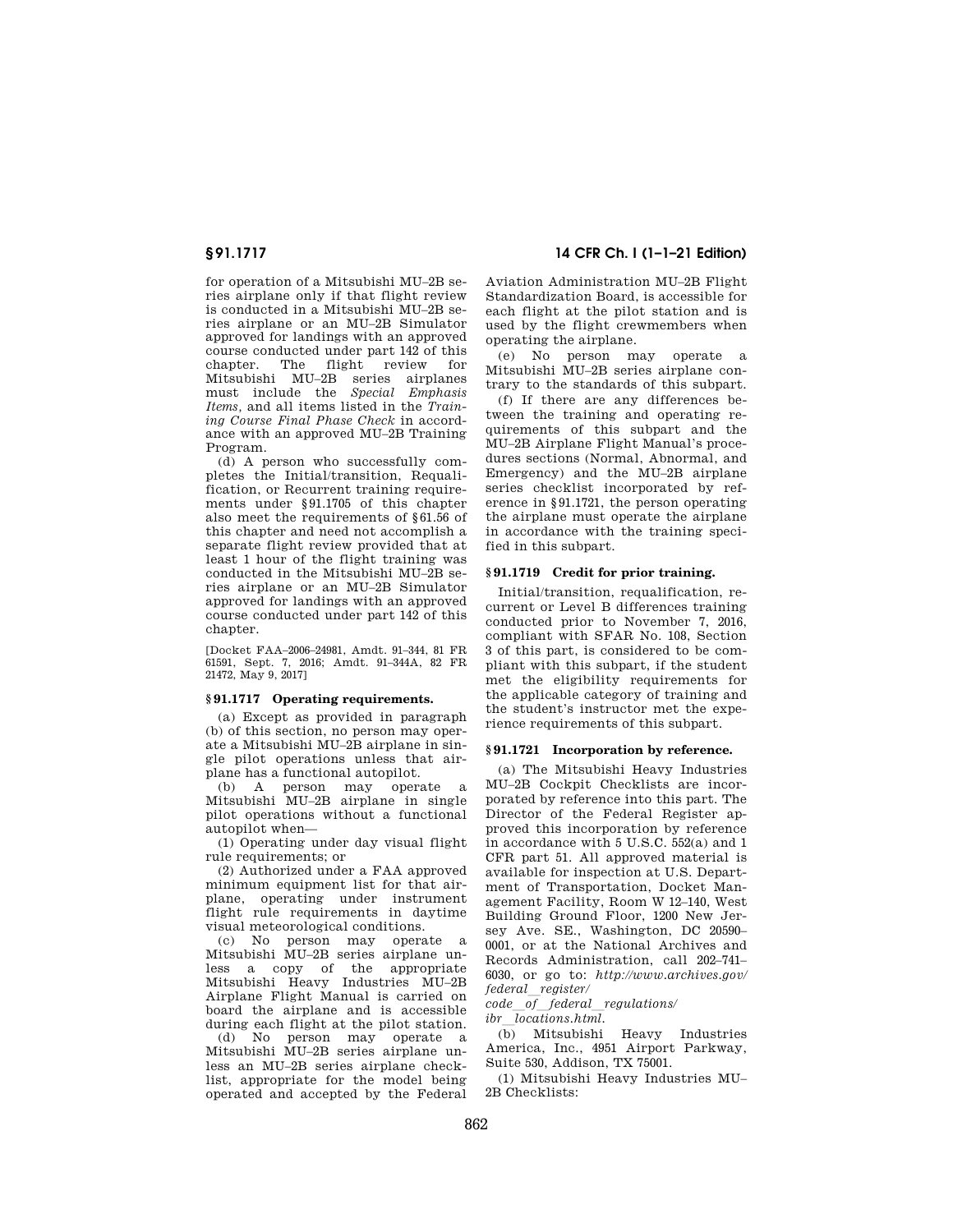for operation of a Mitsubishi MU–2B series airplane only if that flight review is conducted in a Mitsubishi MU–2B series airplane or an MU–2B Simulator approved for landings with an approved course conducted under part 142 of this chapter. The flight review for Mitsubishi MU–2B series airplanes must include the *Special Emphasis Items,* and all items listed in the *Training Course Final Phase Check* in accordance with an approved MU–2B Training Program.

(d) A person who successfully completes the Initial/transition, Requalification, or Recurrent training requirements under §91.1705 of this chapter also meet the requirements of §61.56 of this chapter and need not accomplish a separate flight review provided that at least 1 hour of the flight training was conducted in the Mitsubishi MU–2B series airplane or an MU–2B Simulator approved for landings with an approved course conducted under part 142 of this chapter.

[Docket FAA–2006–24981, Amdt. 91–344, 81 FR 61591, Sept. 7, 2016; Amdt. 91–344A, 82 FR 21472, May 9, 2017]

## **§ 91.1717 Operating requirements.**

(a) Except as provided in paragraph (b) of this section, no person may operate a Mitsubishi MU–2B airplane in single pilot operations unless that airplane has a functional autopilot.

(b) A person may operate a Mitsubishi MU–2B airplane in single pilot operations without a functional autopilot when—

(1) Operating under day visual flight rule requirements; or

(2) Authorized under a FAA approved minimum equipment list for that airplane, operating under instrument flight rule requirements in daytime visual meteorological conditions.

(c) No person may operate a Mitsubishi MU–2B series airplane unless a copy of the appropriate Mitsubishi Heavy Industries MU–2B Airplane Flight Manual is carried on board the airplane and is accessible

during each flight at the pilot station.<br>(d) No person may operate a  $(d)$  No person may Mitsubishi MU–2B series airplane unless an MU–2B series airplane checklist, appropriate for the model being operated and accepted by the Federal

# **§ 91.1717 14 CFR Ch. I (1–1–21 Edition)**

Aviation Administration MU–2B Flight Standardization Board, is accessible for each flight at the pilot station and is used by the flight crewmembers when operating the airplane.

(e) No person may operate a Mitsubishi MU–2B series airplane contrary to the standards of this subpart.

(f) If there are any differences between the training and operating requirements of this subpart and the MU–2B Airplane Flight Manual's procedures sections (Normal, Abnormal, and Emergency) and the MU–2B airplane series checklist incorporated by reference in §91.1721, the person operating the airplane must operate the airplane in accordance with the training specified in this subpart.

# **§ 91.1719 Credit for prior training.**

Initial/transition, requalification, recurrent or Level B differences training conducted prior to November 7, 2016, compliant with SFAR No. 108, Section 3 of this part, is considered to be compliant with this subpart, if the student met the eligibility requirements for the applicable category of training and the student's instructor met the experience requirements of this subpart.

### **§ 91.1721 Incorporation by reference.**

(a) The Mitsubishi Heavy Industries MU–2B Cockpit Checklists are incorporated by reference into this part. The Director of the Federal Register approved this incorporation by reference in accordance with 5 U.S.C. 552(a) and 1 CFR part 51. All approved material is available for inspection at U.S. Department of Transportation, Docket Management Facility, Room W 12–140, West Building Ground Floor, 1200 New Jersey Ave. SE., Washington, DC 20590– 0001, or at the National Archives and Records Administration, call 202–741– 6030, or go to: *http://www.archives.gov/ federal*l*register/* 

*code*l*of*l*federal*l*regulations/* 

*ibr*l*locations.html.* 

(b) Mitsubishi Heavy Industries America, Inc., 4951 Airport Parkway, Suite 530, Addison, TX 75001.

(1) Mitsubishi Heavy Industries MU– 2B Checklists: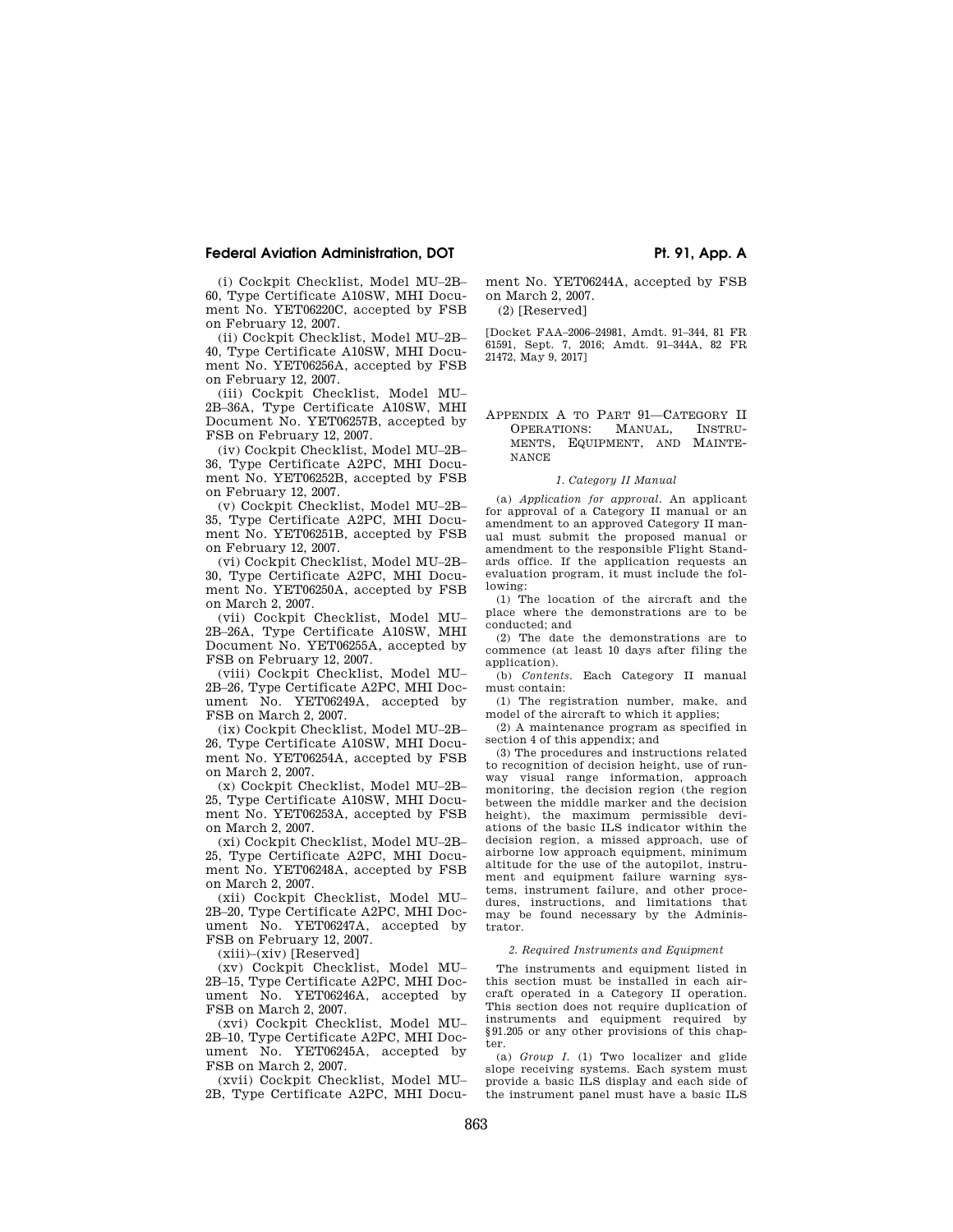# **Federal Aviation Administration, DOT**  Pt. 91, App. A

(i) Cockpit Checklist, Model MU–2B– 60, Type Certificate A10SW, MHI Document No. YET06220C, accepted by FSB

on February 12, 2007. (ii) Cockpit Checklist, Model MU–2B– 40, Type Certificate A10SW, MHI Document No. YET06256A, accepted by FSB on February 12, 2007.

(iii) Cockpit Checklist, Model MU– 2B–36A, Type Certificate A10SW, MHI Document No. YET06257B, accepted by FSB on February 12, 2007.

(iv) Cockpit Checklist, Model MU–2B– 36, Type Certificate A2PC, MHI Document No. YET06252B, accepted by FSB on February 12, 2007.

(v) Cockpit Checklist, Model MU–2B– 35, Type Certificate A2PC, MHI Document No. YET06251B, accepted by FSB on February 12, 2007.

(vi) Cockpit Checklist, Model MU–2B– 30, Type Certificate A2PC, MHI Document No. YET06250A, accepted by FSB on March 2, 2007.

(vii) Cockpit Checklist, Model MU– 2B–26A, Type Certificate A10SW, MHI Document No. YET06255A, accepted by FSB on February 12, 2007.

(viii) Cockpit Checklist, Model MU– 2B–26, Type Certificate A2PC, MHI Document No. YET06249A, accepted by FSB on March 2, 2007.

(ix) Cockpit Checklist, Model MU–2B– 26, Type Certificate A10SW, MHI Document No. YET06254A, accepted by FSB on March 2, 2007.

(x) Cockpit Checklist, Model MU–2B– 25, Type Certificate A10SW, MHI Document No. YET06253A, accepted by FSB on March 2, 2007.

(xi) Cockpit Checklist, Model MU–2B– 25, Type Certificate A2PC, MHI Document No. YET06248A, accepted by FSB on March 2, 2007.

(xii) Cockpit Checklist, Model MU– 2B–20, Type Certificate A2PC, MHI Document No. YET06247A, accepted by FSB on February 12, 2007.

(xiii)–(xiv) [Reserved]

(xv) Cockpit Checklist, Model MU– 2B–15, Type Certificate A2PC, MHI Document No. YET06246A, accepted by FSB on March 2, 2007.

(xvi) Cockpit Checklist, Model MU– 2B–10, Type Certificate A2PC, MHI Document No. YET06245A, accepted by FSB on March 2, 2007.

(xvii) Cockpit Checklist, Model MU– 2B, Type Certificate A2PC, MHI Docu-

ment No. YET06244A, accepted by FSB on March 2, 2007.

(2) [Reserved]

[Docket FAA–2006–24981, Amdt. 91–344, 81 FR 61591, Sept. 7, 2016; Amdt. 91–344A, 82 FR 21472, May 9, 2017]

APPENDIX A TO PART 91—CATEGORY II OPERATIONS: MANUAL, INSTRU-MENTS, EQUIPMENT, AND MAINTE-NANCE

### *1. Category II Manual*

(a) *Application for approval.* An applicant for approval of a Category II manual or an amendment to an approved Category II manual must submit the proposed manual or amendment to the responsible Flight Standards office. If the application requests an evaluation program, it must include the following:

(1) The location of the aircraft and the place where the demonstrations are to be conducted; and

(2) The date the demonstrations are to commence (at least 10 days after filing the application).

(b) *Contents.* Each Category II manual must contain:

(1) The registration number, make, and model of the aircraft to which it applies;

(2) A maintenance program as specified in section 4 of this appendix; and

(3) The procedures and instructions related to recognition of decision height, use of runway visual range information, approach monitoring, the decision region (the region between the middle marker and the decision height), the maximum permissible deviations of the basic ILS indicator within the decision region, a missed approach, use of airborne low approach equipment, minimum altitude for the use of the autopilot, instrument and equipment failure warning systems, instrument failure, and other procedures, instructions, and limitations that may be found necessary by the Administrator.

## *2. Required Instruments and Equipment*

The instruments and equipment listed in this section must be installed in each aircraft operated in a Category II operation. This section does not require duplication of instruments and equipment required by §91.205 or any other provisions of this chapter.

(a) *Group I.* (1) Two localizer and glide slope receiving systems. Each system must provide a basic ILS display and each side of the instrument panel must have a basic ILS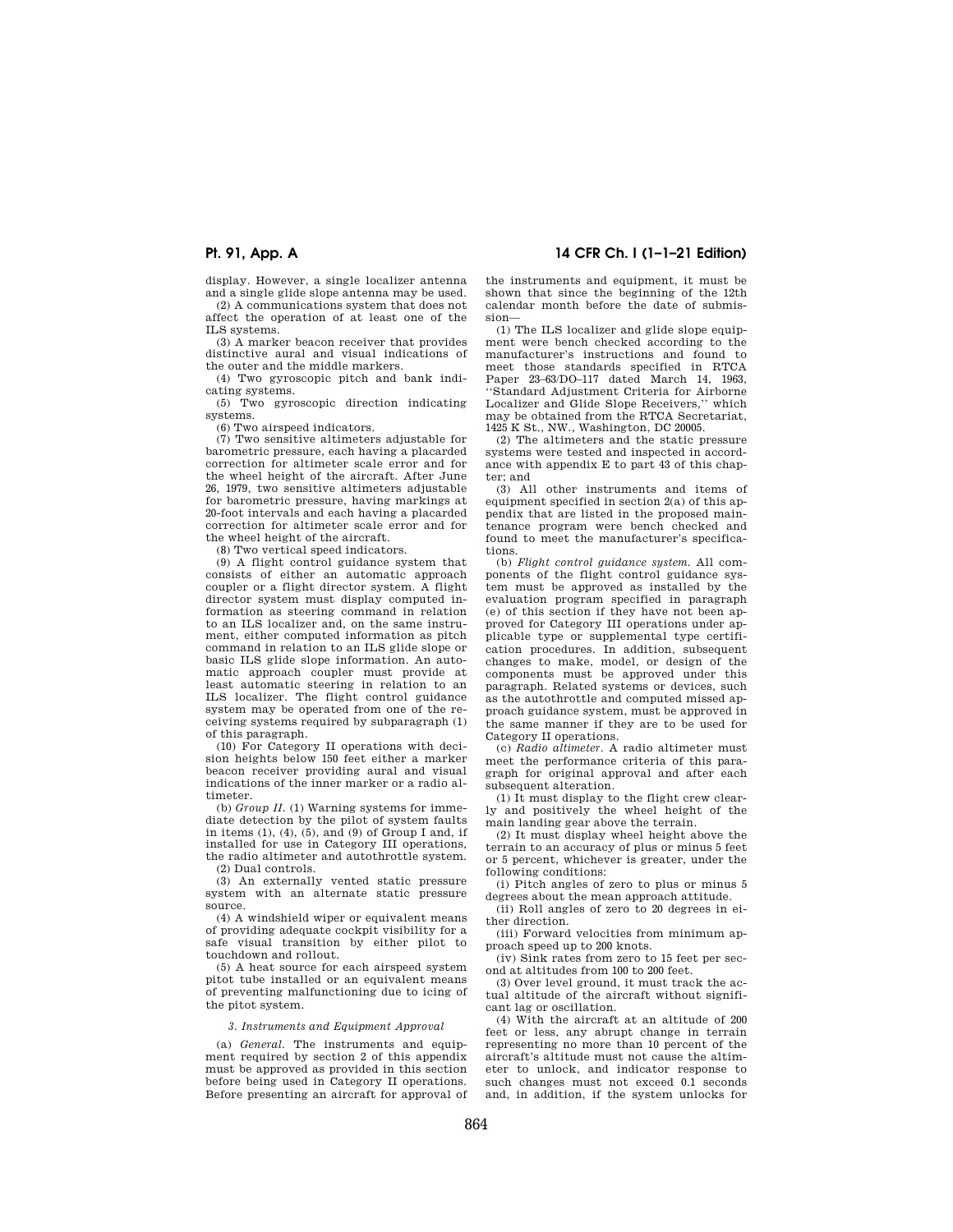display. However, a single localizer antenna and a single glide slope antenna may be used. (2) A communications system that does not affect the operation of at least one of the ILS systems.

(3) A marker beacon receiver that provides distinctive aural and visual indications of the outer and the middle markers.

(4) Two gyroscopic pitch and bank indicating systems.

(5) Two gyroscopic direction indicating systems.

(6) Two airspeed indicators.

(7) Two sensitive altimeters adjustable for barometric pressure, each having a placarded correction for altimeter scale error and for the wheel height of the aircraft. After June 26, 1979, two sensitive altimeters adjustable for barometric pressure, having markings at 20-foot intervals and each having a placarded correction for altimeter scale error and for the wheel height of the aircraft.

(8) Two vertical speed indicators.

(9) A flight control guidance system that consists of either an automatic approach coupler or a flight director system. A flight director system must display computed information as steering command in relation to an ILS localizer and, on the same instrument, either computed information as pitch command in relation to an ILS glide slope or basic ILS glide slope information. An automatic approach coupler must provide at least automatic steering in relation to an ILS localizer. The flight control guidance system may be operated from one of the receiving systems required by subparagraph (1) of this paragraph.

(10) For Category II operations with decision heights below 150 feet either a marker beacon receiver providing aural and visual indications of the inner marker or a radio altimeter.

(b) *Group II.* (1) Warning systems for immediate detection by the pilot of system faults in items  $(1)$ ,  $(4)$ ,  $(5)$ , and  $(9)$  of Group I and, if installed for use in Category III operations, the radio altimeter and autothrottle system. (2) Dual controls.

(3) An externally vented static pressure system with an alternate static pressure source.

(4) A windshield wiper or equivalent means of providing adequate cockpit visibility for a safe visual transition by either pilot to touchdown and rollout.

(5) A heat source for each airspeed system pitot tube installed or an equivalent means of preventing malfunctioning due to icing of the pitot system.

### *3. Instruments and Equipment Approval*

(a) *General.* The instruments and equipment required by section 2 of this appendix must be approved as provided in this section before being used in Category II operations. Before presenting an aircraft for approval of

**Pt. 91, App. A 14 CFR Ch. I (1–1–21 Edition)** 

the instruments and equipment, it must be shown that since the beginning of the 12th calendar month before the date of submission—

(1) The ILS localizer and glide slope equipment were bench checked according to the manufacturer's instructions and found to meet those standards specified in RTCA Paper 23–63/DO–117 dated March 14, 1963, ''Standard Adjustment Criteria for Airborne Localizer and Glide Slope Receivers,'' which may be obtained from the RTCA Secretariat, 1425 K St., NW., Washington, DC 20005.

(2) The altimeters and the static pressure systems were tested and inspected in accordance with appendix E to part 43 of this chapter; and

(3) All other instruments and items of equipment specified in section 2(a) of this appendix that are listed in the proposed maintenance program were bench checked and found to meet the manufacturer's specifications.

(b) *Flight control guidance system.* All components of the flight control guidance system must be approved as installed by the evaluation program specified in paragraph (e) of this section if they have not been approved for Category III operations under applicable type or supplemental type certification procedures. In addition, subsequent changes to make, model, or design of the components must be approved under this paragraph. Related systems or devices, such as the autothrottle and computed missed approach guidance system, must be approved in the same manner if they are to be used for Category II operations.

(c) *Radio altimeter.* A radio altimeter must meet the performance criteria of this paragraph for original approval and after each subsequent alteration.

(1) It must display to the flight crew clearly and positively the wheel height of the main landing gear above the terrain.

(2) It must display wheel height above the terrain to an accuracy of plus or minus 5 feet or 5 percent, whichever is greater, under the following conditions:

(i) Pitch angles of zero to plus or minus 5 degrees about the mean approach attitude.

(ii) Roll angles of zero to 20 degrees in either direction.

(iii) Forward velocities from minimum approach speed up to 200 knots.

(iv) Sink rates from zero to 15 feet per second at altitudes from 100 to 200 feet.

(3) Over level ground, it must track the actual altitude of the aircraft without significant lag or oscillation.

(4) With the aircraft at an altitude of 200 feet or less, any abrupt change in terrain representing no more than 10 percent of the aircraft's altitude must not cause the altimeter to unlock, and indicator response to such changes must not exceed 0.1 seconds and, in addition, if the system unlocks for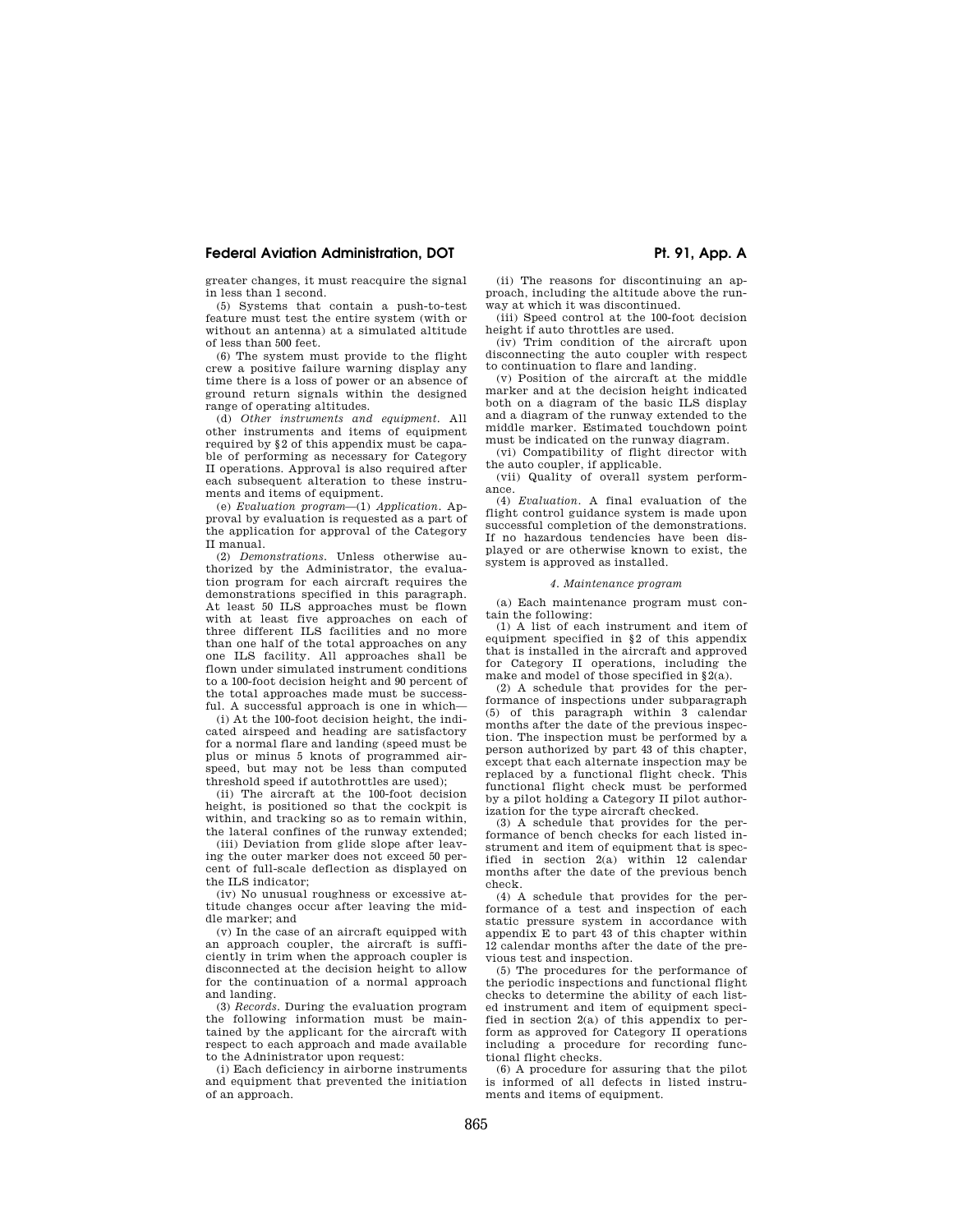# **Federal Aviation Administration, DOT**  Pt. 91, App. A

greater changes, it must reacquire the signal in less than 1 second.

(5) Systems that contain a push-to-test feature must test the entire system (with or without an antenna) at a simulated altitude of less than 500 feet.

(6) The system must provide to the flight crew a positive failure warning display any time there is a loss of power or an absence of ground return signals within the designed range of operating altitudes.

(d) *Other instruments and equipment.* All other instruments and items of equipment required by §2 of this appendix must be capable of performing as necessary for Category II operations. Approval is also required after each subsequent alteration to these instruments and items of equipment.

(e) *Evaluation program*—(1) *Application.* Approval by evaluation is requested as a part of the application for approval of the Category II manual.

(2) *Demonstrations.* Unless otherwise authorized by the Administrator, the evaluation program for each aircraft requires the demonstrations specified in this paragraph. At least 50 ILS approaches must be flown with at least five approaches on each of three different ILS facilities and no more than one half of the total approaches on any one ILS facility. All approaches shall be flown under simulated instrument conditions to a 100-foot decision height and 90 percent of the total approaches made must be successful. A successful approach is one in which—

(i) At the 100-foot decision height, the indicated airspeed and heading are satisfactory for a normal flare and landing (speed must be plus or minus 5 knots of programmed airspeed, but may not be less than computed threshold speed if autothrottles are used);

(ii) The aircraft at the 100-foot decision height, is positioned so that the cockpit is within, and tracking so as to remain within, the lateral confines of the runway extended;

(iii) Deviation from glide slope after leaving the outer marker does not exceed 50 percent of full-scale deflection as displayed on the ILS indicator;

(iv) No unusual roughness or excessive attitude changes occur after leaving the middle marker; and

(v) In the case of an aircraft equipped with an approach coupler, the aircraft is sufficiently in trim when the approach coupler is disconnected at the decision height to allow for the continuation of a normal approach and landing.

(3) *Records.* During the evaluation program the following information must be maintained by the applicant for the aircraft with respect to each approach and made available to the Adninistrator upon request:

(i) Each deficiency in airborne instruments and equipment that prevented the initiation of an approach.

(ii) The reasons for discontinuing an approach, including the altitude above the runway at which it was discontinued.

(iii) Speed control at the 100-foot decision height if auto throttles are used.

(iv) Trim condition of the aircraft upon disconnecting the auto coupler with respect to continuation to flare and landing.

(v) Position of the aircraft at the middle marker and at the decision height indicated both on a diagram of the basic ILS display and a diagram of the runway extended to the middle marker. Estimated touchdown point must be indicated on the runway diagram.

(vi) Compatibility of flight director with the auto coupler, if applicable.

(vii) Quality of overall system performance.

(4) *Evaluation.* A final evaluation of the flight control guidance system is made upon successful completion of the demonstrations. If no hazardous tendencies have been displayed or are otherwise known to exist, the system is approved as installed.

#### *4. Maintenance program*

(a) Each maintenance program must contain the following:

(1) A list of each instrument and item of equipment specified in §2 of this appendix that is installed in the aircraft and approved for Category II operations, including the make and model of those specified in §2(a).

(2) A schedule that provides for the performance of inspections under subparagraph (5) of this paragraph within 3 calendar months after the date of the previous inspection. The inspection must be performed by a person authorized by part 43 of this chapter, except that each alternate inspection may be replaced by a functional flight check. This functional flight check must be performed by a pilot holding a Category II pilot authorization for the type aircraft checked.

(3) A schedule that provides for the performance of bench checks for each listed instrument and item of equipment that is specified in section 2(a) within 12 calendar months after the date of the previous bench check.

(4) A schedule that provides for the performance of a test and inspection of each static pressure system in accordance with appendix E to part 43 of this chapter within 12 calendar months after the date of the previous test and inspection.

(5) The procedures for the performance of the periodic inspections and functional flight checks to determine the ability of each listed instrument and item of equipment specified in section 2(a) of this appendix to perform as approved for Category II operations including a procedure for recording functional flight checks.

(6) A procedure for assuring that the pilot is informed of all defects in listed instruments and items of equipment.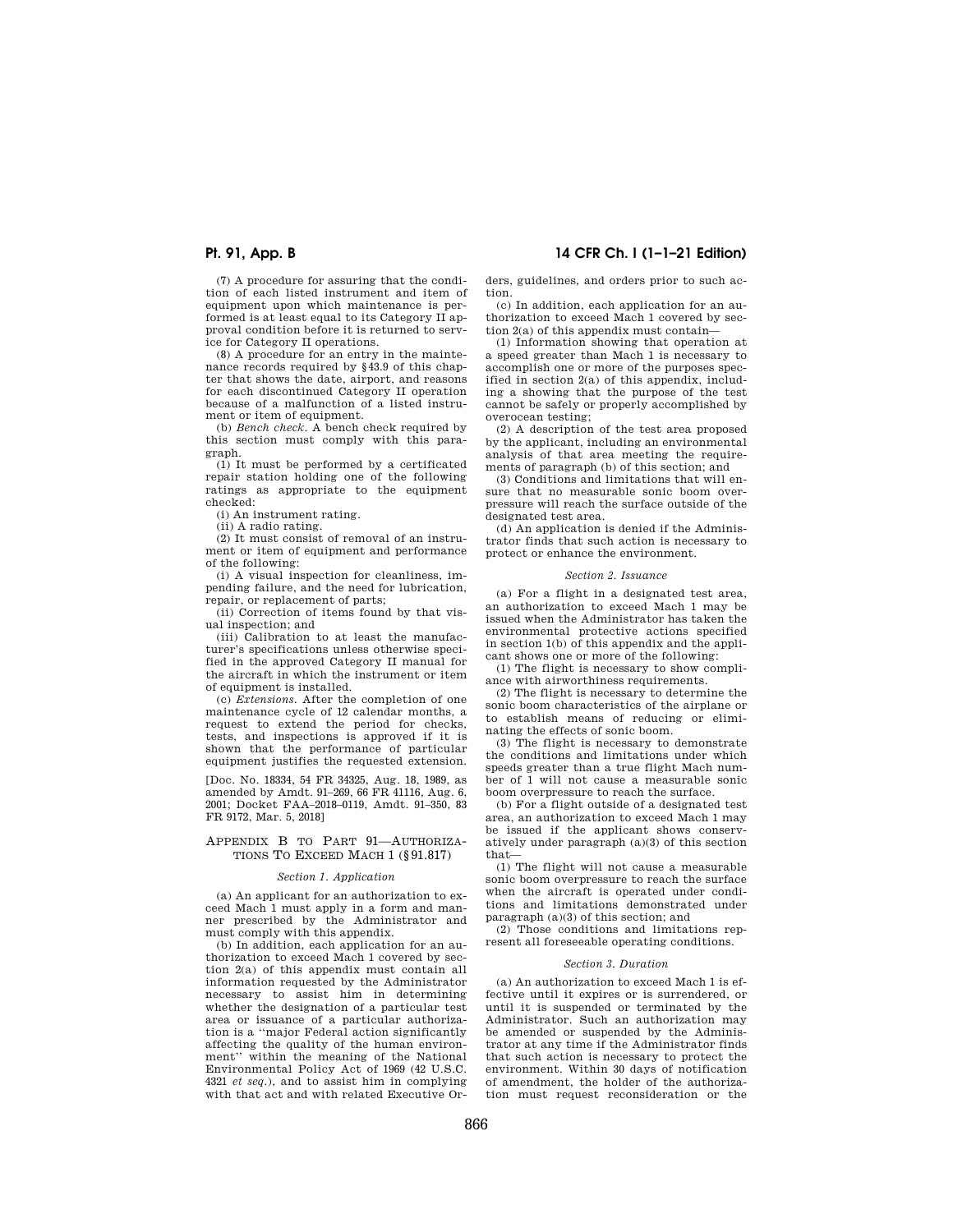**Pt. 91, App. B 14 CFR Ch. I (1–1–21 Edition)** 

(7) A procedure for assuring that the condition of each listed instrument and item of equipment upon which maintenance is performed is at least equal to its Category II approval condition before it is returned to service for Category II operations.

(8) A procedure for an entry in the maintenance records required by §43.9 of this chapter that shows the date, airport, and reasons for each discontinued Category II operation because of a malfunction of a listed instrument or item of equipment.

(b) *Bench check.* A bench check required by this section must comply with this paragraph.

(1) It must be performed by a certificated repair station holding one of the following ratings as appropriate to the equipment checked:

(i) An instrument rating.

(ii) A radio rating.

(2) It must consist of removal of an instrument or item of equipment and performance of the following:

(i) A visual inspection for cleanliness, impending failure, and the need for lubrication, repair, or replacement of parts;

(ii) Correction of items found by that visual inspection; and

(iii) Calibration to at least the manufacturer's specifications unless otherwise specified in the approved Category II manual for the aircraft in which the instrument or item of equipment is installed.

(c) *Extensions.* After the completion of one maintenance cycle of 12 calendar months, a request to extend the period for checks, tests, and inspections is approved if it is shown that the performance of particular equipment justifies the requested extension.

[Doc. No. 18334, 54 FR 34325, Aug. 18, 1989, as amended by Amdt. 91–269, 66 FR 41116, Aug. 6, 2001; Docket FAA–2018–0119, Amdt. 91–350, 83 FR 9172, Mar. 5, 2018]

## APPENDIX B TO PART 91—AUTHORIZA-TIONS TO EXCEED MACH 1 (§91.817)

#### *Section 1. Application*

(a) An applicant for an authorization to exceed Mach 1 must apply in a form and manner prescribed by the Administrator and must comply with this appendix.

(b) In addition, each application for an authorization to exceed Mach 1 covered by section 2(a) of this appendix must contain all information requested by the Administrator necessary to assist him in determining whether the designation of a particular test area or issuance of a particular authorization is a ''major Federal action significantly affecting the quality of the human environment'' within the meaning of the National Environmental Policy Act of 1969 (42 U.S.C. 4321 *et seq.*), and to assist him in complying with that act and with related Executive Orders, guidelines, and orders prior to such action.

(c) In addition, each application for an authorization to exceed Mach 1 covered by section 2(a) of this appendix must contain—

(1) Information showing that operation at a speed greater than Mach 1 is necessary to accomplish one or more of the purposes specified in section 2(a) of this appendix, including a showing that the purpose of the test cannot be safely or properly accomplished by overocean testing;

(2) A description of the test area proposed by the applicant, including an environmental analysis of that area meeting the requirements of paragraph (b) of this section; and

(3) Conditions and limitations that will ensure that no measurable sonic boom overpressure will reach the surface outside of the designated test area.

(d) An application is denied if the Administrator finds that such action is necessary to protect or enhance the environment.

#### *Section 2. Issuance*

(a) For a flight in a designated test area, an authorization to exceed Mach 1 may be issued when the Administrator has taken the environmental protective actions specified in section 1(b) of this appendix and the applicant shows one or more of the following:

(1) The flight is necessary to show compliance with airworthiness requirements.

(2) The flight is necessary to determine the sonic boom characteristics of the airplane or to establish means of reducing or eliminating the effects of sonic boom.

(3) The flight is necessary to demonstrate the conditions and limitations under which speeds greater than a true flight Mach number of 1 will not cause a measurable sonic boom overpressure to reach the surface.

(b) For a flight outside of a designated test area, an authorization to exceed Mach 1 may be issued if the applicant shows conservatively under paragraph (a)(3) of this section that—

(1) The flight will not cause a measurable sonic boom overpressure to reach the surface when the aircraft is operated under conditions and limitations demonstrated under paragraph (a)(3) of this section; and

(2) Those conditions and limitations represent all foreseeable operating conditions.

#### *Section 3. Duration*

(a) An authorization to exceed Mach 1 is effective until it expires or is surrendered, or until it is suspended or terminated by the Administrator. Such an authorization may be amended or suspended by the Administrator at any time if the Administrator finds that such action is necessary to protect the environment. Within 30 days of notification of amendment, the holder of the authorization must request reconsideration or the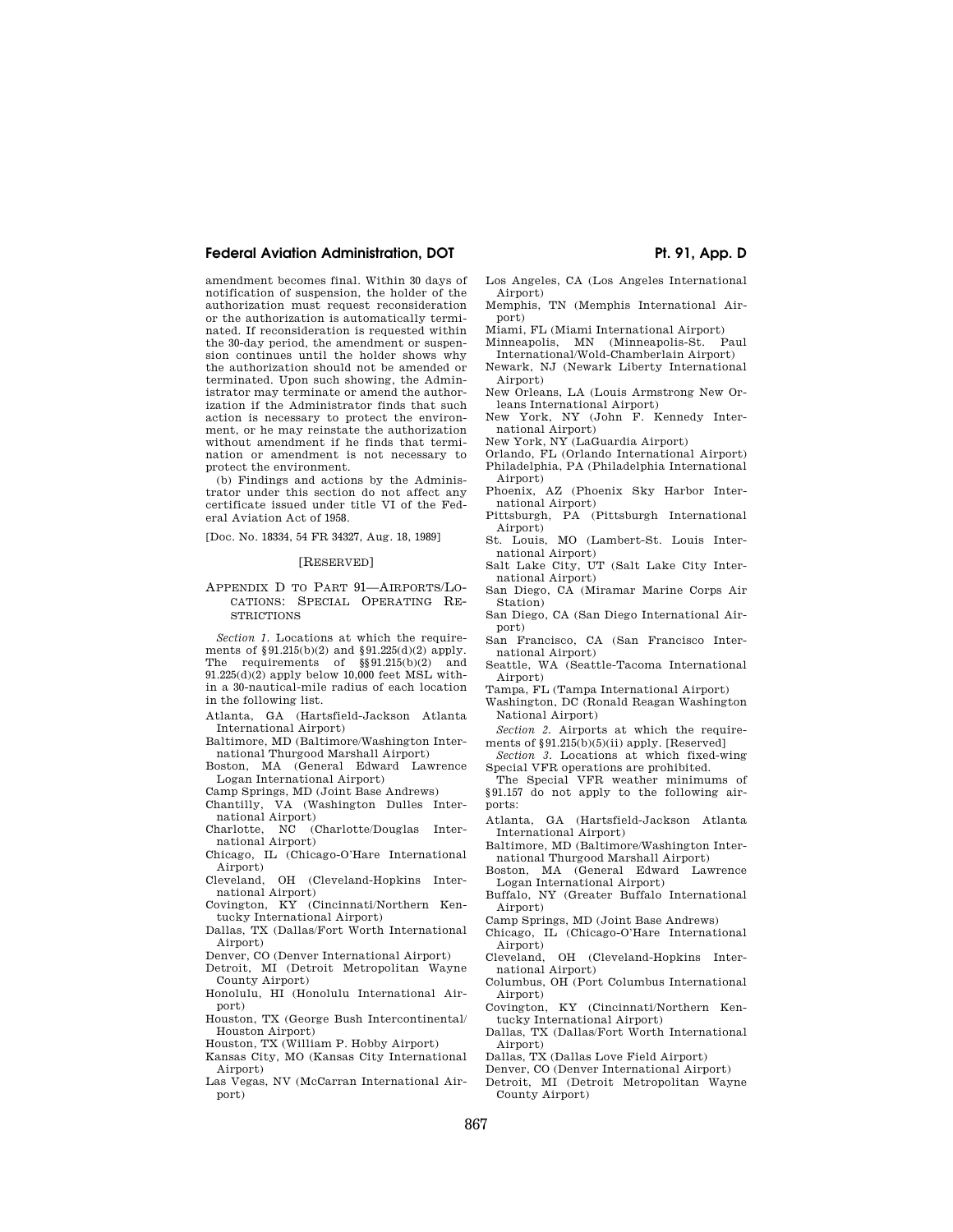## **Federal Aviation Administration, DOT Pt. 91, App. D**

amendment becomes final. Within 30 days of notification of suspension, the holder of the authorization must request reconsideration or the authorization is automatically terminated. If reconsideration is requested within the 30-day period, the amendment or suspension continues until the holder shows why the authorization should not be amended or terminated. Upon such showing, the Administrator may terminate or amend the authorization if the Administrator finds that such action is necessary to protect the environment, or he may reinstate the authorization without amendment if he finds that termination or amendment is not necessary to protect the environment.

(b) Findings and actions by the Administrator under this section do not affect any certificate issued under title VI of the Federal Aviation Act of 1958.

[Doc. No. 18334, 54 FR 34327, Aug. 18, 1989]

## [RESERVED]

## APPENDIX D TO PART 91—AIRPORTS/LO-CATIONS: SPECIAL OPERATING RE-**STRICTIONS**

*Section 1.* Locations at which the requirements of §91.215(b)(2) and §91.225(d)(2) apply. The requirements of §§91.215(b)(2) and  $91.225(d)(2)$  apply below 10,000 feet MSL within a 30-nautical-mile radius of each location in the following list.

Atlanta, GA (Hartsfield-Jackson Atlanta International Airport)

Baltimore, MD (Baltimore/Washington International Thurgood Marshall Airport)

- Boston, MA (General Edward Lawrence Logan International Airport)
- Camp Springs, MD (Joint Base Andrews)
- Chantilly, VA (Washington Dulles International Airport)

Charlotte, NC (Charlotte/Douglas International Airport)

- Chicago, IL (Chicago-O'Hare International Airport)
- Cleveland, OH (Cleveland-Hopkins International Airport)
- Covington, KY (Cincinnati/Northern Kentucky International Airport)
- Dallas, TX (Dallas/Fort Worth International Airport)

Denver, CO (Denver International Airport)

- Detroit, MI (Detroit Metropolitan Wayne County Airport)
- Honolulu, HI (Honolulu International Airport)
- Houston, TX (George Bush Intercontinental/ Houston Airport)
- Houston, TX (William P. Hobby Airport)
- Kansas City, MO (Kansas City International Airport)
- Las Vegas, NV (McCarran International Airport)
- Los Angeles, CA (Los Angeles International Airport)
- Memphis, TN (Memphis International Airport)
- Miami, FL (Miami International Airport) Minneapolis, MN (Minneapolis-St. Paul
- International/Wold-Chamberlain Airport) Newark, NJ (Newark Liberty International Airport)
- New Orleans, LA (Louis Armstrong New Orleans International Airport)
- New York, NY (John F. Kennedy International Airport)
- New York, NY (LaGuardia Airport)
- Orlando, FL (Orlando International Airport) Philadelphia, PA (Philadelphia International
- Airport) Phoenix, AZ (Phoenix Sky Harbor Inter-
- national Airport) Pittsburgh, PA (Pittsburgh International
- Airport)
- St. Louis, MO (Lambert-St. Louis International Airport)
- Salt Lake City, UT (Salt Lake City International Airport)
- San Diego, CA (Miramar Marine Corps Air Station)
- San Diego, CA (San Diego International Airport)
- San Francisco, CA (San Francisco International Airport)
- Seattle, WA (Seattle-Tacoma International Airport)
- Tampa, FL (Tampa International Airport) Washington, DC (Ronald Reagan Washington National Airport)
- *Section 2.* Airports at which the require-
- ments of §91.215(b)(5)(ii) apply. [Reserved] *Section 3.* Locations at which fixed-wing Special VFR operations are prohibited.
- The Special VFR weather minimums of §91.157 do not apply to the following airports:
- Atlanta, GA (Hartsfield-Jackson Atlanta International Airport)
- Baltimore, MD (Baltimore/Washington International Thurgood Marshall Airport)
- Boston, MA (General Edward Lawrence Logan International Airport)
- Buffalo, NY (Greater Buffalo International Airport)
- Camp Springs, MD (Joint Base Andrews) Chicago, IL (Chicago-O'Hare International
- Airport) Cleveland, OH (Cleveland-Hopkins Inter-
- national Airport) Columbus, OH (Port Columbus International
- Airport) Covington, KY (Cincinnati/Northern Ken-
- tucky International Airport)
- Dallas, TX (Dallas/Fort Worth International Airport)
- Dallas, TX (Dallas Love Field Airport)
- Denver, CO (Denver International Airport)
- Detroit, MI (Detroit Metropolitan Wayne County Airport)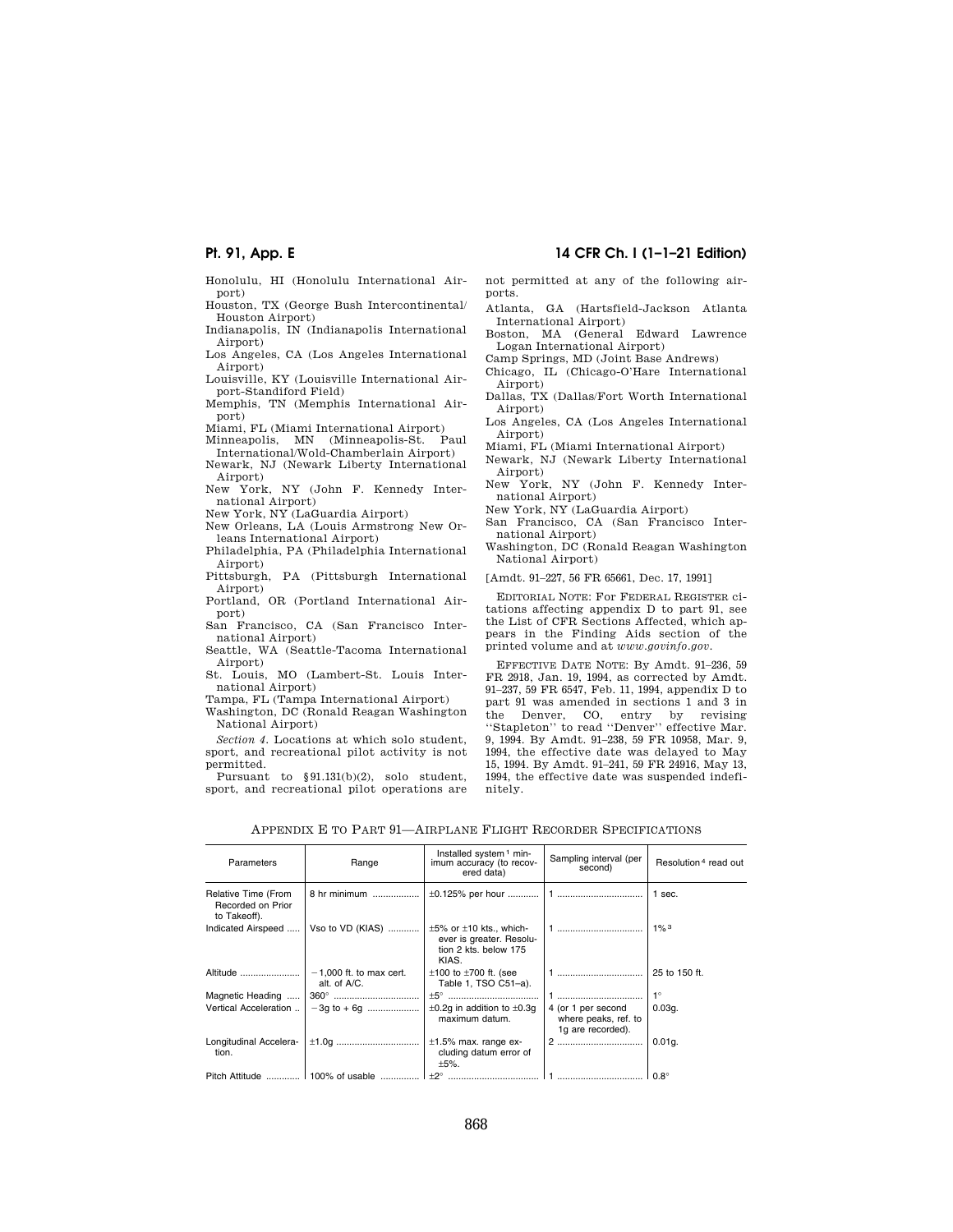**Pt. 91, App. E 14 CFR Ch. I (1–1–21 Edition)** 

Honolulu, HI (Honolulu International Airport) Houston, TX (George Bush Intercontinental/

Houston Airport)

Indianapolis, IN (Indianapolis International Airport)

Los Angeles, CA (Los Angeles International Airport)

Louisville, KY (Louisville International Airport-Standiford Field)

Memphis, TN (Memphis International Airport)

Miami, FL (Miami International Airport)

Minneapolis, MN (Minneapolis-St. Paul International/Wold-Chamberlain Airport)

Newark, NJ (Newark Liberty International Airport)

New York, NY (John F. Kennedy International Airport) New York, NY (LaGuardia Airport)

New Orleans, LA (Louis Armstrong New Or-

leans International Airport) Philadelphia, PA (Philadelphia International

Airport) Pittsburgh, PA (Pittsburgh International

Airport) Portland, OR (Portland International Airport)

San Francisco, CA (San Francisco International Airport)

Seattle, WA (Seattle-Tacoma International Airport)

St. Louis, MO (Lambert-St. Louis International Airport)

Tampa, FL (Tampa International Airport)

Washington, DC (Ronald Reagan Washington National Airport)

*Section 4.* Locations at which solo student, sport, and recreational pilot activity is not permitted.

Pursuant to §91.131(b)(2), solo student, sport, and recreational pilot operations are not permitted at any of the following airports.

Atlanta, GA (Hartsfield-Jackson Atlanta International Airport)

Boston, MA (General Edward Lawrence Logan International Airport)

Camp Springs, MD (Joint Base Andrews) Chicago, IL (Chicago-O'Hare International

Airport) Dallas, TX (Dallas/Fort Worth International

Airport) Los Angeles, CA (Los Angeles International Airport)

Miami, FL (Miami International Airport)

Newark, NJ (Newark Liberty International Airport)

New York, NY (John F. Kennedy International Airport)

New York, NY (LaGuardia Airport) San Francisco, CA (San Francisco International Airport)

Washington, DC (Ronald Reagan Washington National Airport)

[Amdt. 91–227, 56 FR 65661, Dec. 17, 1991]

EDITORIAL NOTE: For FEDERAL REGISTER citations affecting appendix D to part 91, see the List of CFR Sections Affected, which appears in the Finding Aids section of the printed volume and at *www.govinfo.gov.* 

EFFECTIVE DATE NOTE: By Amdt. 91–236, 59 FR 2918, Jan. 19, 1994, as corrected by Amdt. 91–237, 59 FR 6547, Feb. 11, 1994, appendix D to part 91 was amended in sections 1 and 3 in the Denver, CO, entry by revising ''Stapleton'' to read ''Denver'' effective Mar. 9, 1994. By Amdt. 91–238, 59 FR 10958, Mar. 9, 1994, the effective date was delayed to May 15, 1994. By Amdt. 91–241, 59 FR 24916, May 13, 1994, the effective date was suspended indefinitely.

| APPENDIX E TO PART 91—AIRPLANE FLIGHT RECORDER SPECIFICATIONS |  |
|---------------------------------------------------------------|--|
|---------------------------------------------------------------|--|

| Parameters                                               | Range                                     | Installed system <sup>1</sup> min-<br>imum accuracy (to recov-<br>ered data)                     | Sampling interval (per<br>second)                               | Resolution 4 read out |
|----------------------------------------------------------|-------------------------------------------|--------------------------------------------------------------------------------------------------|-----------------------------------------------------------------|-----------------------|
| Relative Time (From<br>Recorded on Prior<br>to Takeoff). | 8 hr minimum                              |                                                                                                  |                                                                 | 1 sec.                |
| Indicated Airspeed                                       | Vso to VD (KIAS)                          | $\pm 5\%$ or $\pm 10$ kts., which-<br>ever is greater. Resolu-<br>tion 2 kts. below 175<br>KIAS. |                                                                 | $1\%3$                |
| Altitude                                                 | $-1,000$ ft. to max cert.<br>alt. of A/C. | $\pm 100$ to $\pm 700$ ft. (see<br>Table 1, TSO C51-a).                                          |                                                                 | 25 to 150 ft.         |
| Magnetic Heading                                         | 360° ……………………………                          |                                                                                                  |                                                                 | $1^\circ$             |
| Vertical Acceleration                                    | $-3q$ to $+6q$                            | $\pm 0.2$ g in addition to $\pm 0.3$ g<br>maximum datum.                                         | 4 (or 1 per second<br>where peaks, ref. to<br>1g are recorded). | 0.03q.                |
| Longitudinal Accelera-<br>tion.                          |                                           | $\pm 1.5\%$ max. range ex-<br>cluding datum error of<br>$\pm 5\%$ .                              |                                                                 | 0.01q.                |
|                                                          | Pitch Attitude    100% of usable          | $+2^\circ$                                                                                       |                                                                 | $0.8^\circ$           |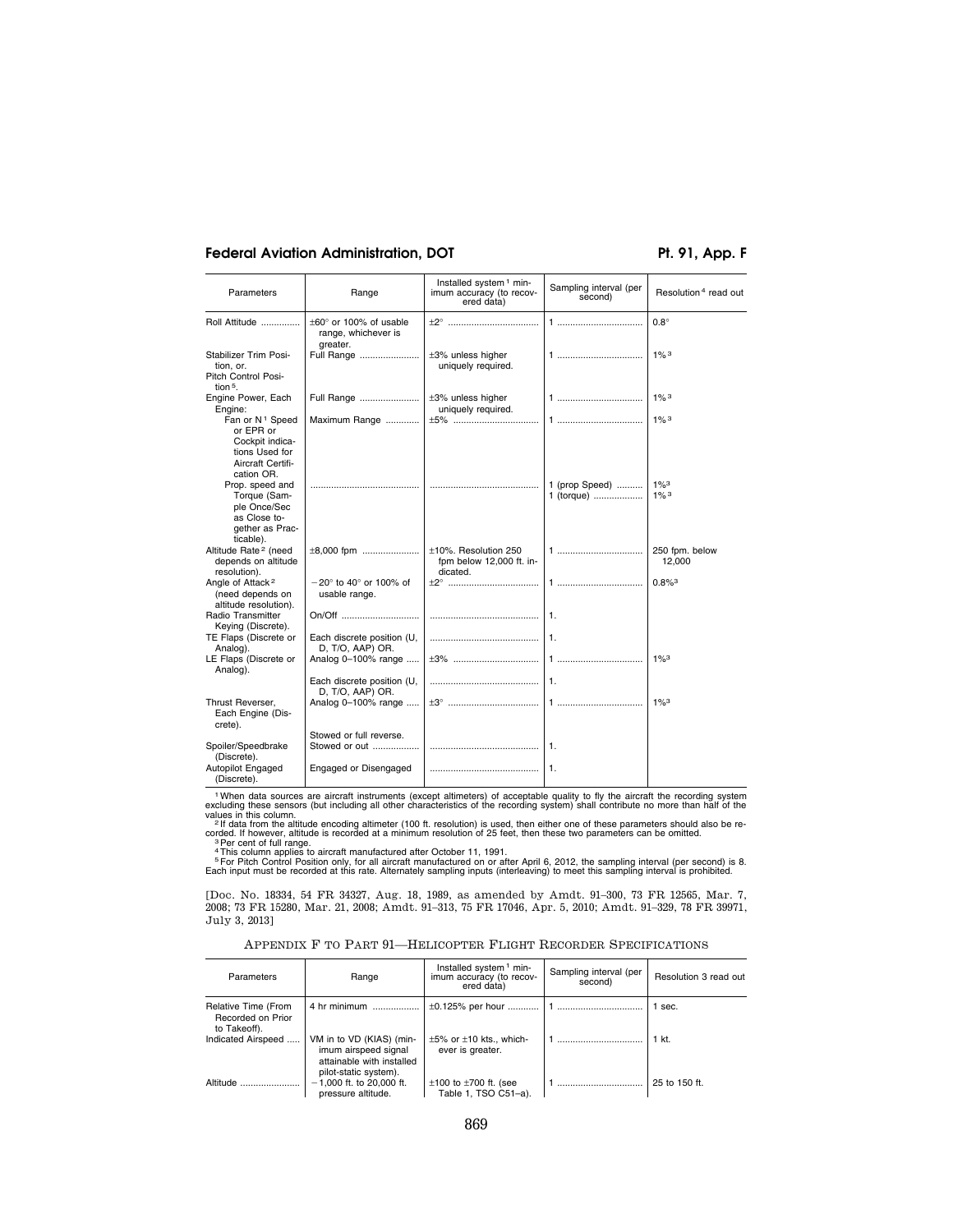# Federal Aviation Administration, DOT **Ph. 91, App. F** Pt. 91, App. F

| Parameters                                                                                                       | Range                                                               | Installed system <sup>1</sup> min-<br>imum accuracy (to recov-<br>ered data) | Sampling interval (per<br>second) | Resolution <sup>4</sup> read out         |
|------------------------------------------------------------------------------------------------------------------|---------------------------------------------------------------------|------------------------------------------------------------------------------|-----------------------------------|------------------------------------------|
| <b>Roll Attitude </b>                                                                                            | $\pm 60^\circ$ or 100% of usable<br>range, whichever is<br>greater. |                                                                              |                                   | $0.8^\circ$                              |
| Stabilizer Trim Posi-<br>tion, or.<br>Pitch Control Posi-<br>tion 5.                                             | Full Range                                                          | ±3% unless higher<br>uniquely required.                                      |                                   | $1\%3$                                   |
| Engine Power, Each<br>Engine:                                                                                    | Full Range                                                          | $\pm 3\%$ unless higher<br>uniquely required.                                |                                   | $1\%3$                                   |
| Fan or N <sup>1</sup> Speed<br>or EPR or<br>Cockpit indica-<br>tions Used for<br>Aircraft Certifi-<br>cation OR. | Maximum Range                                                       | $\pm 5\%$                                                                    | 1                                 | $1\%$ <sup>3</sup>                       |
| Prop. speed and<br>Torque (Sam-<br>ple Once/Sec<br>as Close to-<br>gether as Prac-<br>ticable).                  |                                                                     |                                                                              | 1 (prop Speed)<br>1 (torque)      | $1\%$ <sup>3</sup><br>$1\%$ <sup>3</sup> |
| Altitude Rate <sup>2</sup> (need<br>depends on altitude<br>resolution).                                          | $\pm 8,000$ fpm                                                     | ±10%. Resolution 250<br>fpm below 12,000 ft. in-<br>dicated.                 | 1                                 | 250 fpm. below<br>12,000                 |
| Angle of Attack <sup>2</sup><br>(need depends on<br>altitude resolution).                                        | $-20^\circ$ to 40° or 100% of<br>usable range.                      |                                                                              |                                   | 0.8%3                                    |
| Radio Transmitter<br>Keying (Discrete).                                                                          | On/Off                                                              |                                                                              | 1.                                |                                          |
| TE Flaps (Discrete or<br>Analog).                                                                                | Each discrete position (U,<br>D, T/O, AAP) OR.                      |                                                                              | $\mathbf{1}$ .                    |                                          |
| LE Flaps (Discrete or<br>Analog).                                                                                | Analog 0-100% range                                                 |                                                                              | 1                                 | $1\%$ <sup>3</sup>                       |
|                                                                                                                  | Each discrete position (U,<br>D, T/O, AAP) OR.                      |                                                                              | 1.                                |                                          |
| Thrust Reverser,<br>Each Engine (Dis-<br>crete).                                                                 | Analog 0-100% range                                                 |                                                                              |                                   | $1\%3$                                   |
|                                                                                                                  | Stowed or full reverse.                                             |                                                                              |                                   |                                          |
| Spoiler/Speedbrake<br>(Discrete).                                                                                | Stowed or out                                                       |                                                                              | 1.                                |                                          |
| <b>Autopilot Engaged</b><br>(Discrete).                                                                          | Engaged or Disengaged                                               |                                                                              | 1.                                |                                          |

<sup>1</sup>When data sources are aircraft instruments (except altimeters) of acceptable quality to fly the aircraft the recording system<br>excluding enters or to the relation of the recording system) shall contribute no more than ha

[Doc. No. 18334, 54 FR 34327, Aug. 18, 1989, as amended by Amdt. 91–300, 73 FR 12565, Mar. 7, 2008; 73 FR 15280, Mar. 21, 2008; Amdt. 91–313, 75 FR 17046, Apr. 5, 2010; Amdt. 91–329, 78 FR 39971, July 3, 2013]

| Parameters                                               | Range                                                                                                  | Installed system <sup>1</sup> min-<br>imum accuracy (to recov-<br>ered data) | Sampling interval (per<br>second) | Resolution 3 read out |
|----------------------------------------------------------|--------------------------------------------------------------------------------------------------------|------------------------------------------------------------------------------|-----------------------------------|-----------------------|
| Relative Time (From<br>Recorded on Prior<br>to Takeoff). | 4 hr minimum                                                                                           |                                                                              |                                   | 1 sec.                |
| Indicated Airspeed                                       | VM in to VD (KIAS) (min-<br>imum airspeed signal<br>attainable with installed<br>pilot-static system). | $\pm 5\%$ or $\pm 10$ kts., which-<br>ever is greater.                       |                                   | 1 kt.                 |
| Altitude                                                 | $-1,000$ ft. to 20,000 ft.<br>pressure altitude.                                                       | $\pm 100$ to $\pm 700$ ft. (see<br>Table 1, TSO C51-a).                      |                                   | 25 to 150 ft.         |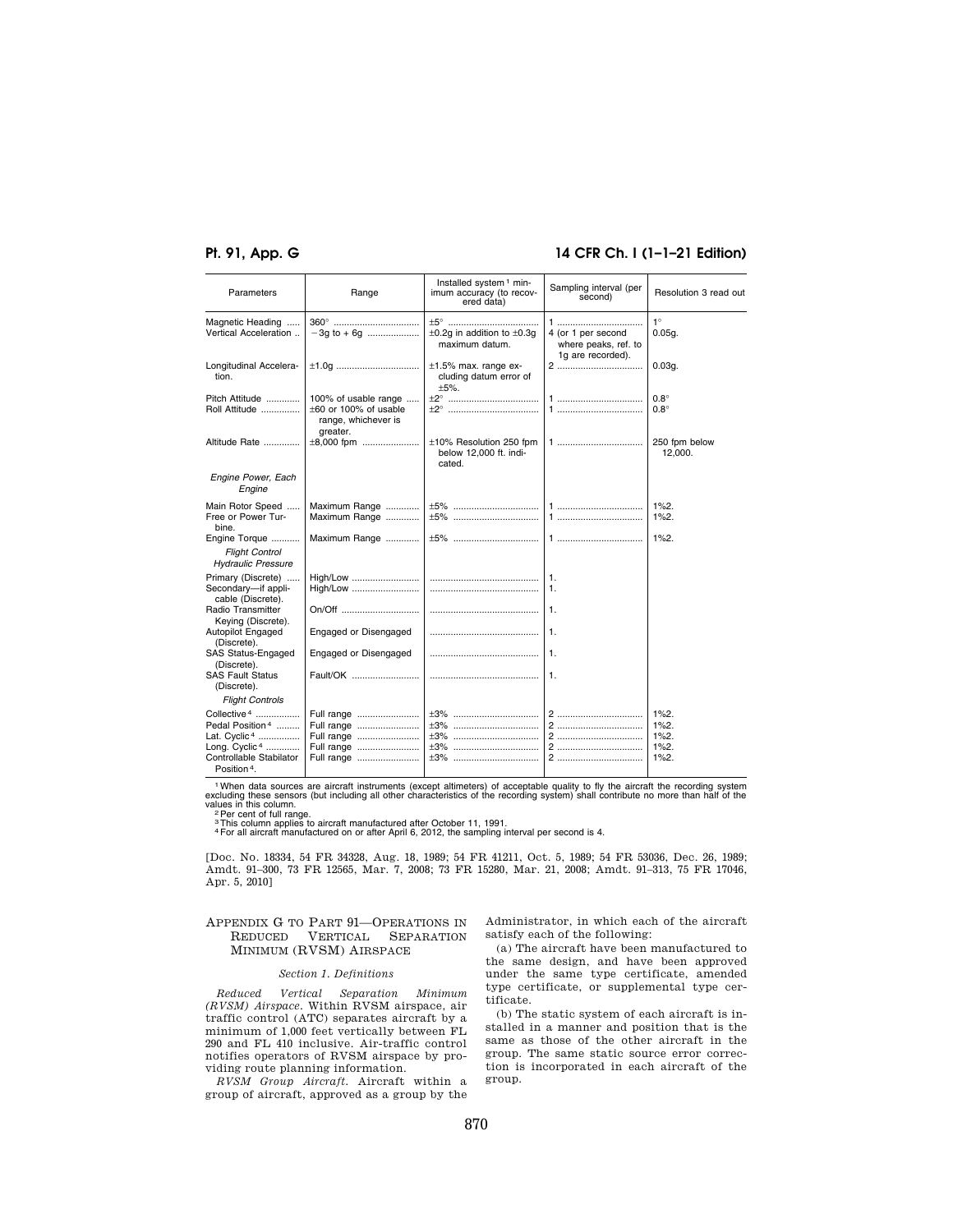# **Pt. 91, App. G 14 CFR Ch. I (1–1–21 Edition)**

| Parameters                                                                                                                                                            | Range                                                                                 | Installed system <sup>1</sup> min-<br>imum accuracy (to recov-<br>ered data) | Sampling interval (per<br>second)                                    | Resolution 3 read out                            |
|-----------------------------------------------------------------------------------------------------------------------------------------------------------------------|---------------------------------------------------------------------------------------|------------------------------------------------------------------------------|----------------------------------------------------------------------|--------------------------------------------------|
| Magnetic Heading<br>Vertical Acceleration                                                                                                                             | 360°<br>$-3q$ to + 6q                                                                 | $\pm 0.2$ g in addition to $\pm 0.3$ g<br>maximum datum.                     | 1<br>4 (or 1 per second<br>where peaks, ref. to<br>1q are recorded). | $1^{\circ}$<br>0.05g.                            |
| Longitudinal Accelera-<br>tion.                                                                                                                                       |                                                                                       | $\pm 1.5\%$ max. range ex-<br>cluding datum error of<br>$\pm 5\%$ .          | 2                                                                    | 0.03q.                                           |
| Pitch Attitude<br><b>Roll Attitude </b>                                                                                                                               | 100% of usable range<br>$\pm 60$ or 100% of usable<br>range, whichever is<br>greater. |                                                                              |                                                                      | $0.8^\circ$<br>$0.8^\circ$                       |
| Altitude Rate                                                                                                                                                         | $\pm 8,000$ fpm                                                                       | ±10% Resolution 250 fpm<br>below 12,000 ft. indi-<br>cated.                  |                                                                      | 250 fpm below<br>12,000.                         |
| Engine Power, Each<br>Engine                                                                                                                                          |                                                                                       |                                                                              |                                                                      |                                                  |
| Main Rotor Speed<br>Free or Power Tur-<br>bine.                                                                                                                       | Maximum Range<br>Maximum Range                                                        | $\pm 5\%$<br>$\pm 5\%$                                                       | 1                                                                    | 1%2.<br>$1\%2.$                                  |
| Engine Torque<br><b>Flight Control</b><br><b>Hydraulic Pressure</b>                                                                                                   | Maximum Range                                                                         |                                                                              |                                                                      | $1\%2.$                                          |
| Primary (Discrete)<br>Secondary-if appli-<br>cable (Discrete).                                                                                                        | High/Low<br>High/Low                                                                  |                                                                              | 1.<br>1.                                                             |                                                  |
| Radio Transmitter<br>Keying (Discrete).                                                                                                                               | On/Off                                                                                |                                                                              | 1.                                                                   |                                                  |
| <b>Autopilot Engaged</b><br>(Discrete).                                                                                                                               | Engaged or Disengaged                                                                 |                                                                              | 1.                                                                   |                                                  |
| SAS Status-Engaged<br>(Discrete).                                                                                                                                     | Engaged or Disengaged                                                                 |                                                                              | 1.                                                                   |                                                  |
| <b>SAS Fault Status</b><br>(Discrete).                                                                                                                                | Fault/OK                                                                              |                                                                              | 1.                                                                   |                                                  |
| <b>Flight Controls</b>                                                                                                                                                |                                                                                       |                                                                              |                                                                      |                                                  |
| Collective <sup>4</sup><br>Pedal Position <sup>4</sup><br>Lat. Cyclic <sup>4</sup><br>Long. Cyclic <sup>4</sup><br>Controllable Stabilator<br>Position <sup>4</sup> . | Full range<br>Full range<br>Full range<br>Full range<br>Full range                    |                                                                              | 2<br>2<br>2<br>2                                                     | $1\%2.$<br>1%2.<br>$1\%2.$<br>$1\%2.$<br>$1\%2.$ |

<sup>1</sup>When data sources are aircraft instruments (except altimeters) of acceptable quality to fly the aircraft the recording system<br>excluding these sensors (but including all other characteristics of the recording system) sha values in this column.<br>『Per cent of full range.<br>『This column applies to aircraft manufactured after October 11, 1991.<br>『This column applies to aircraft manufactured after April 6, 2012, the sampling interval per second is 4

[Doc. No. 18334, 54 FR 34328, Aug. 18, 1989; 54 FR 41211, Oct. 5, 1989; 54 FR 53036, Dec. 26, 1989;

Amdt. 91–300, 73 FR 12565, Mar. 7, 2008; 73 FR 15280, Mar. 21, 2008; Amdt. 91–313, 75 FR 17046, Apr. 5, 2010]

## APPENDIX G TO PART 91—OPERATIONS IN REDUCED VERTICAL SEPARATION MINIMUM (RVSM) AIRSPACE

## *Section 1. Definitions*

*Reduced Vertical Separation Minimum (RVSM) Airspace.* Within RVSM airspace, air traffic control (ATC) separates aircraft by a minimum of 1,000 feet vertically between FL 290 and FL 410 inclusive. Air-traffic control notifies operators of RVSM airspace by providing route planning information.

*RVSM Group Aircraft.* Aircraft within a group of aircraft, approved as a group by the

Administrator, in which each of the aircraft satisfy each of the following:

(a) The aircraft have been manufactured to the same design, and have been approved under the same type certificate, amended type certificate, or supplemental type certificate.

(b) The static system of each aircraft is installed in a manner and position that is the same as those of the other aircraft in the group. The same static source error correction is incorporated in each aircraft of the group.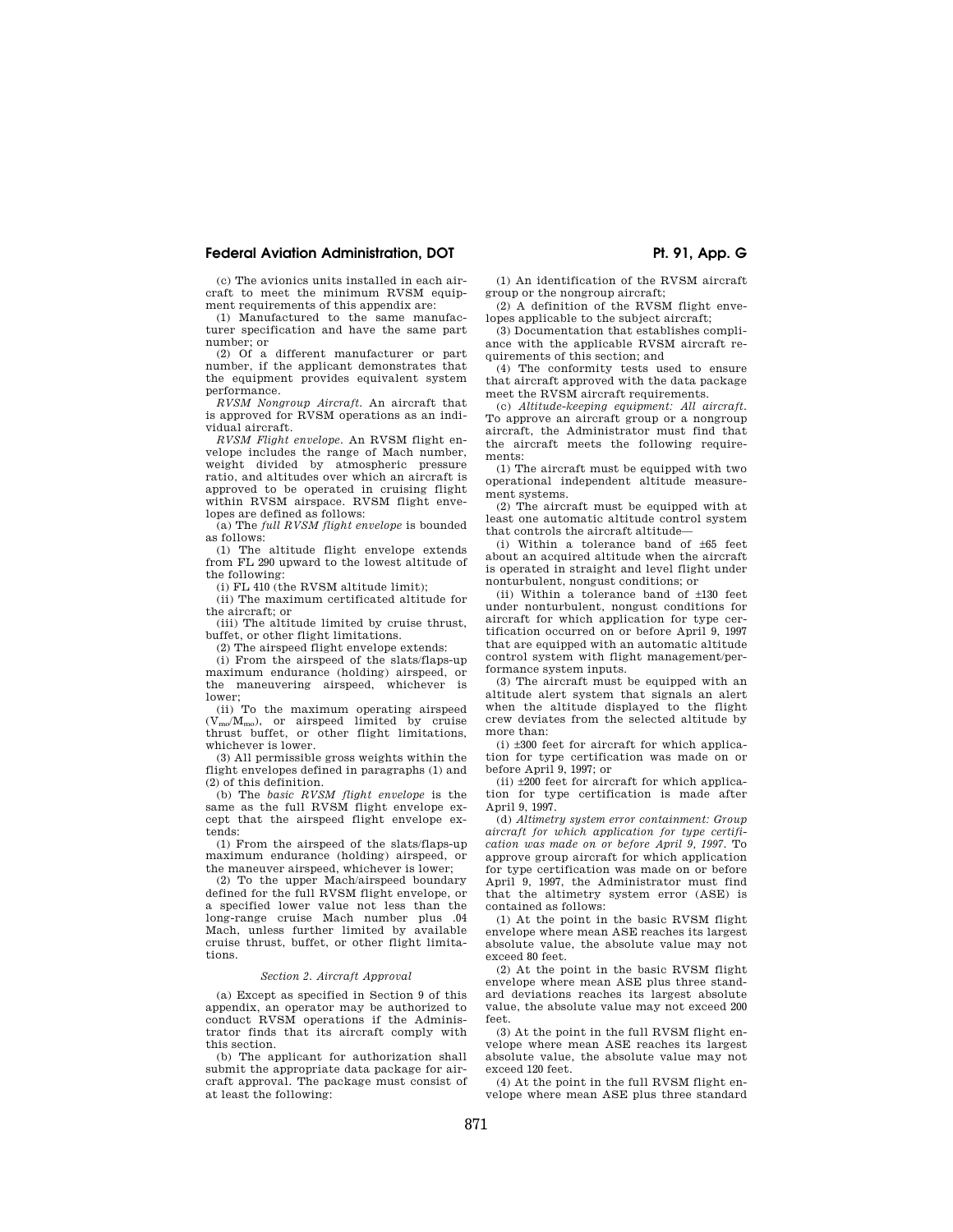# Federal Aviation Administration, DOT **Philopheral Princess** Pt. 91, App. G

(c) The avionics units installed in each aircraft to meet the minimum RVSM equipment requirements of this appendix are:

(1) Manufactured to the same manufacturer specification and have the same part number; or

(2) Of a different manufacturer or part number, if the applicant demonstrates that the equipment provides equivalent system performance.

*RVSM Nongroup Aircraft.* An aircraft that is approved for RVSM operations as an individual aircraft.

*RVSM Flight envelope.* An RVSM flight envelope includes the range of Mach number, weight divided by atmospheric pressure ratio, and altitudes over which an aircraft is approved to be operated in cruising flight within RVSM airspace. RVSM flight envelopes are defined as follows:

(a) The *full RVSM flight envelope* is bounded as follows:

(1) The altitude flight envelope extends from FL 290 upward to the lowest altitude of the following:

(i) FL 410 (the RVSM altitude limit);

(ii) The maximum certificated altitude for the aircraft; or

(iii) The altitude limited by cruise thrust, buffet, or other flight limitations.

(2) The airspeed flight envelope extends:

(i) From the airspeed of the slats/flaps-up maximum endurance (holding) airspeed, or the maneuvering airspeed, whichever is

lower; (ii) To the maximum operating airspeed  $(V_{\text{mo}}/M_{\text{mo}})$ , or airspeed limited by cruise thrust buffet, or other flight limitations, whichever is lower.

(3) All permissible gross weights within the flight envelopes defined in paragraphs (1) and (2) of this definition.

(b) The *basic RVSM flight envelope* is the same as the full RVSM flight envelope except that the airspeed flight envelope extends:

(1) From the airspeed of the slats/flaps-up maximum endurance (holding) airspeed, or the maneuver airspeed, whichever is lower;

(2) To the upper Mach/airspeed boundary defined for the full RVSM flight envelope, or a specified lower value not less than the long-range cruise Mach number plus .04 Mach, unless further limited by available cruise thrust, buffet, or other flight limitations.

### *Section 2. Aircraft Approval*

(a) Except as specified in Section 9 of this appendix, an operator may be authorized to conduct RVSM operations if the Administrator finds that its aircraft comply with this section.

(b) The applicant for authorization shall submit the appropriate data package for aircraft approval. The package must consist of at least the following:

(1) An identification of the RVSM aircraft group or the nongroup aircraft;

(2) A definition of the RVSM flight envelopes applicable to the subject aircraft;

(3) Documentation that establishes compliance with the applicable RVSM aircraft requirements of this section; and

(4) The conformity tests used to ensure that aircraft approved with the data package meet the RVSM aircraft requirements.

(c) *Altitude-keeping equipment: All aircraft.*  To approve an aircraft group or a nongroup aircraft, the Administrator must find that the aircraft meets the following requirements:

(1) The aircraft must be equipped with two operational independent altitude measurement systems.

(2) The aircraft must be equipped with at least one automatic altitude control system that controls the aircraft altitude—

(i) Within a tolerance band of ±65 feet about an acquired altitude when the aircraft is operated in straight and level flight under nonturbulent, nongust conditions; or

(ii) Within a tolerance band of ±130 feet under nonturbulent, nongust conditions for aircraft for which application for type certification occurred on or before April 9, 1997 that are equipped with an automatic altitude control system with flight management/performance system inputs.

(3) The aircraft must be equipped with an altitude alert system that signals an alert when the altitude displayed to the flight crew deviates from the selected altitude by more than:

 $(i)$   $\pm 300$  feet for aircraft for which application for type certification was made on or before April 9, 1997; or

(ii)  $\pm 200$  feet for aircraft for which application for type certification is made after April 9, 1997.

(d) *Altimetry system error containment: Group aircraft for which application for type certification was made on or before April 9, 1997.* To approve group aircraft for which application for type certification was made on or before April 9, 1997, the Administrator must find that the altimetry system error (ASE) is contained as follows:

(1) At the point in the basic RVSM flight envelope where mean ASE reaches its largest absolute value, the absolute value may not exceed 80 feet.

(2) At the point in the basic RVSM flight envelope where mean ASE plus three standard deviations reaches its largest absolute value, the absolute value may not exceed 200 feet.

(3) At the point in the full RVSM flight envelope where mean ASE reaches its largest absolute value, the absolute value may not exceed 120 feet.

(4) At the point in the full RVSM flight envelope where mean ASE plus three standard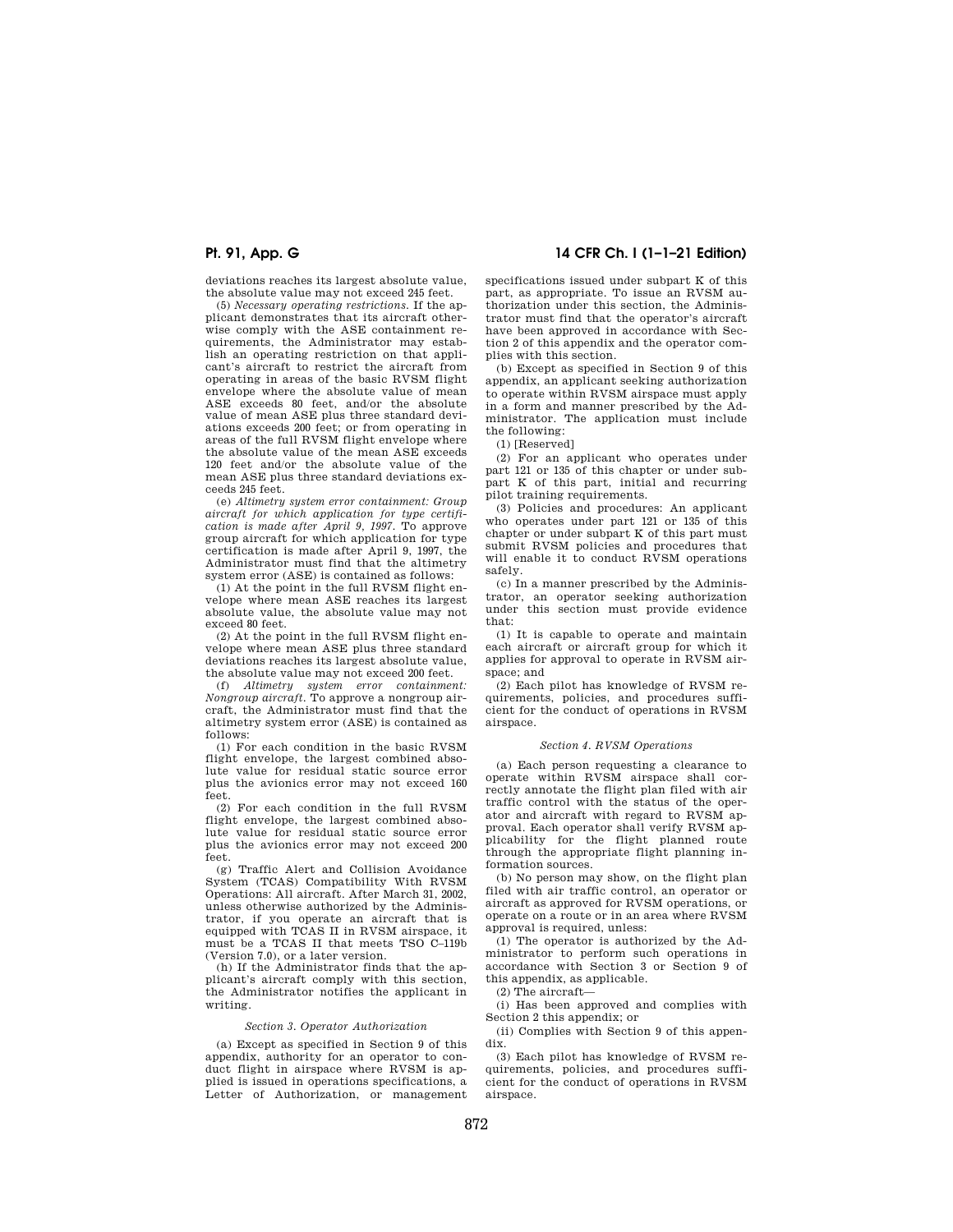deviations reaches its largest absolute value, the absolute value may not exceed 245 feet.

(5) *Necessary operating restrictions.* If the applicant demonstrates that its aircraft otherwise comply with the ASE containment requirements, the Administrator may establish an operating restriction on that applicant's aircraft to restrict the aircraft from operating in areas of the basic RVSM flight envelope where the absolute value of mean ASE exceeds 80 feet, and/or the absolute value of mean ASE plus three standard deviations exceeds 200 feet; or from operating in areas of the full RVSM flight envelope where the absolute value of the mean ASE exceeds 120 feet and/or the absolute value of the mean ASE plus three standard deviations exceeds 245 feet.

(e) *Altimetry system error containment: Group aircraft for which application for type certification is made after April 9, 1997.* To approve group aircraft for which application for type certification is made after April 9, 1997, the Administrator must find that the altimetry system error (ASE) is contained as follows:

(1) At the point in the full RVSM flight envelope where mean ASE reaches its largest absolute value, the absolute value may not exceed 80 feet.

(2) At the point in the full RVSM flight envelope where mean ASE plus three standard deviations reaches its largest absolute value, the absolute value may not exceed 200 feet.

(f) *Altimetry system error containment: Nongroup aircraft.* To approve a nongroup aircraft, the Administrator must find that the altimetry system error (ASE) is contained as follows:

(1) For each condition in the basic RVSM flight envelope, the largest combined absolute value for residual static source error plus the avionics error may not exceed 160 feet.

(2) For each condition in the full RVSM flight envelope, the largest combined absolute value for residual static source error plus the avionics error may not exceed 200 feet.

(g) Traffic Alert and Collision Avoidance System (TCAS) Compatibility With RVSM Operations: All aircraft. After March 31, 2002, unless otherwise authorized by the Administrator, if you operate an aircraft that is equipped with TCAS II in RVSM airspace, it must be a TCAS II that meets TSO C–119b (Version 7.0), or a later version.

(h) If the Administrator finds that the applicant's aircraft comply with this section, the Administrator notifies the applicant in writing.

### *Section 3. Operator Authorization*

(a) Except as specified in Section 9 of this appendix, authority for an operator to conduct flight in airspace where RVSM is applied is issued in operations specifications, a Letter of Authorization, or management

# **Pt. 91, App. G 14 CFR Ch. I (1–1–21 Edition)**

specifications issued under subpart K of this part, as appropriate. To issue an RVSM authorization under this section, the Administrator must find that the operator's aircraft have been approved in accordance with Section 2 of this appendix and the operator complies with this section.

(b) Except as specified in Section 9 of this appendix, an applicant seeking authorization to operate within RVSM airspace must apply in a form and manner prescribed by the Administrator. The application must include the following:

(1) [Reserved]

(2) For an applicant who operates under part 121 or 135 of this chapter or under subpart K of this part, initial and recurring pilot training requirements.

(3) Policies and procedures: An applicant who operates under part 121 or 135 of this chapter or under subpart K of this part must submit RVSM policies and procedures that will enable it to conduct RVSM operations safely.

(c) In a manner prescribed by the Administrator, an operator seeking authorization under this section must provide evidence that:

(1) It is capable to operate and maintain each aircraft or aircraft group for which it applies for approval to operate in RVSM airspace; and

(2) Each pilot has knowledge of RVSM requirements, policies, and procedures sufficient for the conduct of operations in RVSM airspace.

#### *Section 4. RVSM Operations*

(a) Each person requesting a clearance to operate within RVSM airspace shall correctly annotate the flight plan filed with air traffic control with the status of the operator and aircraft with regard to RVSM approval. Each operator shall verify RVSM applicability for the flight planned route through the appropriate flight planning information sources.

(b) No person may show, on the flight plan filed with air traffic control, an operator or aircraft as approved for RVSM operations, or operate on a route or in an area where RVSM approval is required, unless:

(1) The operator is authorized by the Administrator to perform such operations in accordance with Section 3 or Section 9 of this appendix, as applicable.

(2) The aircraft—

(i) Has been approved and complies with Section 2 this appendix; or

(ii) Complies with Section 9 of this appendix.

(3) Each pilot has knowledge of RVSM requirements, policies, and procedures sufficient for the conduct of operations in RVSM airspace.